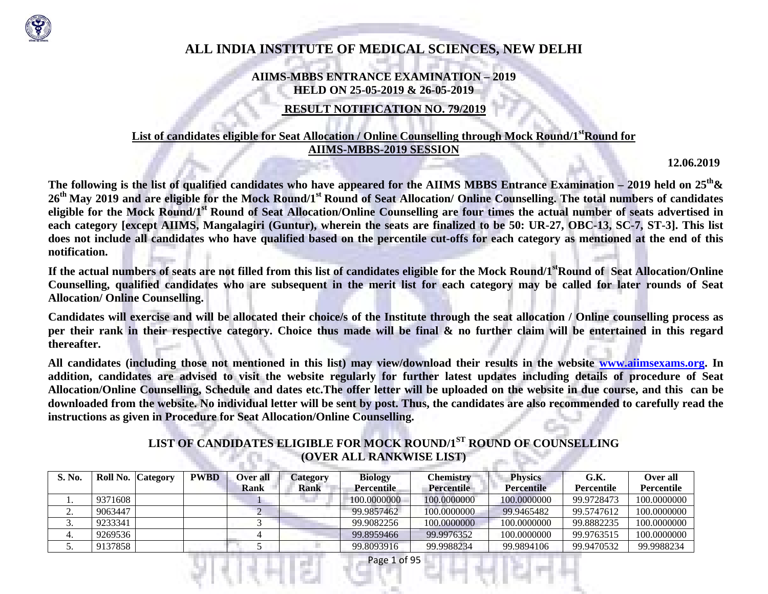

# **ALL INDIA INSTITUTE OF MEDICAL SCIENCES, NEW DELHI**

### **AIIMS-MBBS ENTRANCE EXAMINATION – 2019 HELD ON 25-05-2019 & 26-05-2019**

# **RESULT NOTIFICATION NO. 79/2019**

### List of candidates eligible for Seat Allocation / Online Counselling through Mock Round/1<sup>st</sup>Round for **AIIMS-MBBS-2019 SESSION**

**12.06.2019** 

**The following is the list of qualified candidates who have appeared for the AIIMS MBBS Entrance Examination – 2019 held on 25th& <sup>26</sup>th May 2019 and are eligible for the Mock Round/1st Round of Seat Allocation/ Online Counselling. The total numbers of candidates eligible for the Mock Round/1st Round of Seat Allocation/Online Counselling are four times the actual number of seats advertised in each category [except AIIMS, Mangalagiri (Guntur), wherein the seats are finalized to be 50: UR-27, OBC-13, SC-7, ST-3]. This list does not include all candidates who have qualified based on the percentile cut-offs for each category as mentioned at the end of this notification.** 

**If the actual numbers of seats are not filled from this list of candidates eligible for the Mock Round/1stRound of Seat Allocation/Online Counselling, qualified candidates who are subsequent in the merit list for each category may be called for later rounds of Seat Allocation/ Online Counselling.** 

**Candidates will exercise and will be allocated their choice/s of the Institute through the seat allocation / Online counselling process as per their rank in their respective category. Choice thus made will be final & no further claim will be entertained in this regard thereafter.** 

**All candidates (including those not mentioned in this list) may view/download their results in the website www.aiimsexams.org. In addition, candidates are advised to visit the website regularly for further latest updates including details of procedure of Seat Allocation/Online Counselling, Schedule and dates etc.The offer letter will be uploaded on the website in due course, and this can be downloaded from the website. No individual letter will be sent by post. Thus, the candidates are also recommended to carefully read the instructions as given in Procedure for Seat Allocation/Online Counselling.** 

# **LIST OF CANDIDATES ELIGIBLE FOR MOCK ROUND/1ST ROUND OF COUNSELLING (OVER ALL RANKWISE LIST)**

| <b>S. No.</b> |         | Roll No. Category | <b>PWBD</b> | Over all | Category | <b>Biology</b>    | Chemistrv         | <b>Physics</b>    | G.K.       | Over all          |
|---------------|---------|-------------------|-------------|----------|----------|-------------------|-------------------|-------------------|------------|-------------------|
|               |         |                   |             | Rank     | Rank     | <b>Percentile</b> | <b>Percentile</b> | <b>Percentile</b> | Percentile | <b>Percentile</b> |
|               | 9371608 |                   |             |          |          | 100.0000000       | 100.0000000       | 100.0000000       | 99.9728473 | 100.0000000       |
| <u>.</u>      | 9063447 |                   |             |          |          | 99.9857462        | 100.0000000       | 99.9465482        | 99.5747612 | 100.0000000       |
| J.            | 9233341 |                   |             |          |          | 99.9082256        | 100.0000000       | 100.0000000       | 99.8882235 | 100.0000000       |
|               | 9269536 |                   |             |          |          | 99.8959466        | 99.9976352        | 100.0000000       | 99.9763515 | 100.0000000       |
| J.            | 9137858 |                   |             |          |          | 99.8093916        | 99.9988234        | 99.9894106        | 99.9470532 | 99.9988234        |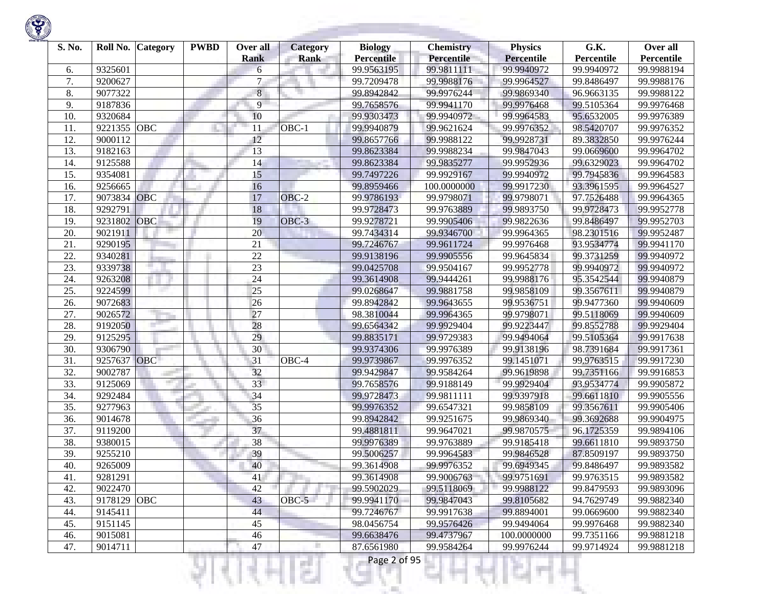

| S. No. | Roll No. | Category   | <b>PWBD</b> | Over all<br><b>Rank</b> | <b>Category</b><br><b>Rank</b> | <b>Biology</b><br><b>Percentile</b> | <b>Chemistry</b><br><b>Percentile</b> | <b>Physics</b><br><b>Percentile</b> | G.K.<br>Percentile | Over all<br>Percentile |
|--------|----------|------------|-------------|-------------------------|--------------------------------|-------------------------------------|---------------------------------------|-------------------------------------|--------------------|------------------------|
| 6.     | 9325601  |            |             | 6                       |                                | 99.9563195                          | 99.9811111                            | 99.9940972                          | 99.9940972         | 99.9988194             |
| 7.     | 9200627  |            |             | $\tau$                  |                                | 99.7209478                          | 99.9988176                            | 99.9964527                          | 99.8486497         | 99.9988176             |
| 8.     | 9077322  |            |             | $\bf 8$                 |                                | 99.8942842                          | 99.9976244                            | 99.9869340                          | 96.9663135         | 99.9988122             |
| 9.     | 9187836  |            |             | 9                       |                                | 99.7658576                          | 99.9941170                            | 99.9976468                          | 99.5105364         | 99.9976468             |
| 10.    | 9320684  |            |             | 10                      |                                | 99.9303473                          | 99.9940972                            | 99.9964583                          | 95.6532005         | 99.9976389             |
| 11.    | 9221355  | OBC        |             | 11                      | OBC-1                          | 99.9940879                          | 99.9621624                            | 99.9976352                          | 98.5420707         | 99.9976352             |
| 12.    | 9000112  |            |             | 12                      |                                | 99.8657766                          | 99.9988122                            | 99.9928731                          | 89.3832850         | 99.9976244             |
| 13.    | 9182163  |            |             | 13                      |                                | 99.8623384                          | 99.9988234                            | 99.9847043                          | 99.0669600         | 99.9964702             |
| 14.    | 9125588  |            |             | 14                      |                                | 99.8623384                          | 99.9835277                            | 99.9952936                          | 99.6329023         | 99.9964702             |
| 15.    | 9354081  |            |             | 15                      |                                | 99.7497226                          | 99.9929167                            | 99.9940972                          | 99.7945836         | 99.9964583             |
| 16.    | 9256665  |            |             | 16                      |                                | 99.8959466                          | 100.0000000                           | 99.9917230                          | 93.3961595         | 99.9964527             |
| 17.    | 9073834  | OBC        |             | 17                      | OBC-2                          | 99.9786193                          | 99.9798071                            | 99.9798071                          | 97.7526488         | 99.9964365             |
| 18.    | 9292791  |            |             | 18                      |                                | 99.9728473                          | 99.9763889                            | 99.9893750                          | 99.9728473         | 99.9952778             |
| 19.    | 9231802  | OBC        |             | 19                      | OBC-3                          | 99.9278721                          | 99.9905406                            | 99.9822636                          | 99.8486497         | 99.9952703             |
| 20.    | 9021911  |            |             | 20                      |                                | 99.7434314                          | 99.9346700                            | 99.9964365                          | 98.2301516         | 99.9952487             |
| 21.    | 9290195  |            |             | 21                      |                                | 99.7246767                          | 99.9611724                            | 99.9976468                          | 93.9534774         | 99.9941170             |
| 22.    | 9340281  |            |             | 22                      |                                | 99.9138196                          | 99.9905556                            | 99.9645834                          | 99.3731259         | 99.9940972             |
| 23.    | 9339738  |            |             | 23                      |                                | 99.0425708                          | 99.9504167                            | 99.9952778                          | 99.9940972         | 99.9940972             |
| 24.    | 9263208  |            |             | 24                      |                                | 99.3614908                          | 99.9444261                            | 99.9988176                          | 95.3542544         | 99.9940879             |
| 25.    | 9224599  |            |             | 25                      |                                | 99.0268647                          | 99.9881758                            | 99.9858109                          | 99.3567611         | 99.9940879             |
| 26.    | 9072683  |            |             | 26                      |                                | 99.8942842                          | 99.9643655                            | 99.9536751                          | 99.9477360         | 99.9940609             |
| 27.    | 9026572  |            |             | 27                      |                                | 98.3810044                          | 99.9964365                            | 99.9798071                          | 99.5118069         | 99.9940609             |
| 28.    | 9192050  |            |             | 28                      |                                | 99.6564342                          | 99.9929404                            | 99.9223447                          | 99.8552788         | 99.9929404             |
| 29.    | 9125295  |            |             | 29                      |                                | 99.8835171                          | 99.9729383                            | 99.9494064                          | 99.5105364         | 99.9917638             |
| 30.    | 9306790  |            |             | 30                      |                                | 99.9374306                          | 99.9976389                            | 99.9138196                          | 98.7391684         | 99.9917361             |
| 31.    | 9257637  | OBC        |             | 31                      | OBC-4                          | 99.9739867                          | 99.9976352                            | 99.1451071                          | 99.9763515         | 99.9917230             |
| 32.    | 9002787  |            |             | 32                      |                                | 99.9429847                          | 99.9584264                            | 99.9619898                          | 99.7351166         | 99.9916853             |
| 33.    | 9125069  |            |             | 33                      |                                | 99.7658576                          | 99.9188149                            | 99.9929404                          | 93.9534774         | 99.9905872             |
| 34.    | 9292484  |            |             | 34                      |                                | 99.9728473                          | 99.9811111                            | 99.9397918                          | 99.6611810         | 99.9905556             |
| 35.    | 9277963  |            |             | 35                      |                                | 99.9976352                          | 99.6547321                            | 99.9858109                          | 99.3567611         | 99.9905406             |
| 36.    | 9014678  |            |             | 36                      |                                | 99.8942842                          | 99.9251675                            | 99.9869340                          | 99.3692688         | 99.9904975             |
| 37.    | 9119200  |            |             | 37                      |                                | 99.4881811                          | 99.9647021                            | 99.9870575                          | 96.1725359         | 99.9894106             |
| 38.    | 9380015  |            |             | 38                      |                                | 99.9976389                          | 99.9763889                            | 99.9185418                          | 99.6611810         | 99.9893750             |
| 39.    | 9255210  |            |             | 39                      |                                | 99.5006257                          | 99.9964583                            | 99.9846528                          | 87.8509197         | 99.9893750             |
| 40.    | 9265009  |            |             | 40                      |                                | 99.3614908                          | 99.9976352                            | 99.6949345                          | 99.8486497         | 99.9893582             |
| 41.    | 9281291  |            |             | 41                      |                                | 99.3614908                          | 99.9006763                            | 99.9751691                          | 99.9763515         | 99.9893582             |
| 42.    | 9022470  |            |             | 42                      |                                | 99.5902029                          | 99.5118069                            | 99.9988122                          | 99.8479593         | 99.9893096             |
| 43.    | 9178129  | <b>OBC</b> |             | 43                      | OBC-5                          | 99.9941170                          | 99.9847043                            | 99.8105682                          | 94.7629749         | 99.9882340             |
| 44.    | 9145411  |            |             | 44                      |                                | 99.7246767                          | 99.9917638                            | 99.8894001                          | 99.0669600         | 99.9882340             |
| 45.    | 9151145  |            |             | 45                      |                                | 98.0456754                          | 99.9576426                            | 99.9494064                          | 99.9976468         | 99.9882340             |
| 46.    | 9015081  |            |             | 46                      |                                | 99.6638476                          | 99.4737967                            | 100.0000000                         | 99.7351166         | 99.9881218             |
| 47.    | 9014711  |            |             | 47                      |                                | 87.6561980                          | 99.9584264                            | 99.9976244                          | 99.9714924         | 99.9881218             |
|        |          |            |             |                         | s                              | Page 2 of 95                        |                                       |                                     |                    |                        |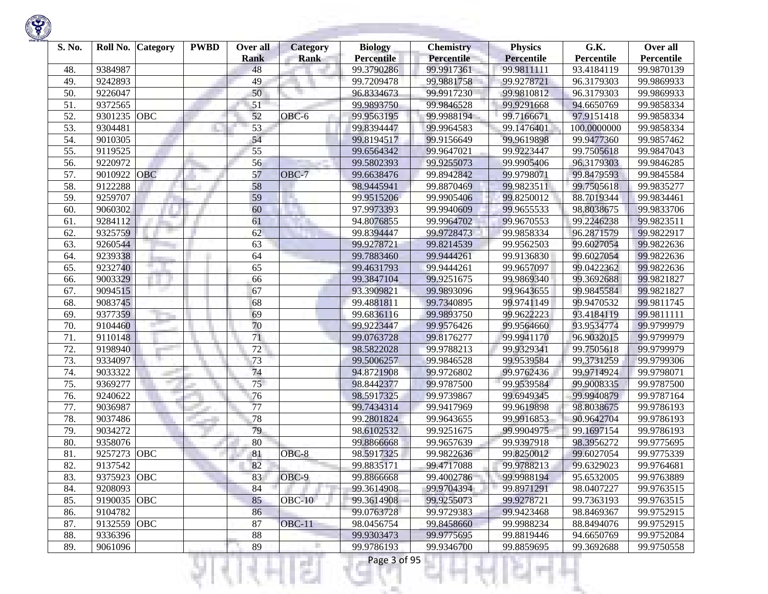| S. No. | Roll No.    | Category   | <b>PWBD</b> | Over all<br><b>Rank</b> | <b>Category</b><br><b>Rank</b> | <b>Biology</b><br><b>Percentile</b> | <b>Chemistry</b><br><b>Percentile</b> | <b>Physics</b><br><b>Percentile</b> | G.K.<br>Percentile | Over all<br>Percentile |
|--------|-------------|------------|-------------|-------------------------|--------------------------------|-------------------------------------|---------------------------------------|-------------------------------------|--------------------|------------------------|
| 48.    | 9384987     |            |             | 48                      |                                | 99.3790286                          | 99.9917361                            | 99.9811111                          | 93.4184119         | 99.9870139             |
| 49.    | 9242893     |            |             | 49                      |                                | 99.7209478                          | 99.9881758                            | 99.9278721                          | 96.3179303         | 99.9869933             |
| 50.    | 9226047     |            |             | 50                      |                                | 96.8334673                          | 99.9917230                            | 99.9810812                          | 96.3179303         | 99.9869933             |
| 51.    | 9372565     |            |             | 51                      |                                | 99.9893750                          | 99.9846528                            | 99.9291668                          | 94.6650769         | 99.9858334             |
| 52.    | 9301235     | OBC        |             | 52                      | OBC-6                          | 99.9563195                          | 99.9988194                            | 99.7166671                          | 97.9151418         | 99.9858334             |
| 53.    | 9304481     |            |             | 53                      |                                | 99.8394447                          | 99.9964583                            | 99.1476401                          | 100.0000000        | 99.9858334             |
| 54.    | 9010305     |            |             | 54                      |                                | 99.8194517                          | 99.9156649                            | 99.9619898                          | 99.9477360         | 99.9857462             |
| 55.    | 9119525     |            |             | 55                      |                                | 99.6564342                          | 99.9647021                            | 99.9223447                          | 99.7505618         | 99.9847043             |
| 56.    | 9220972     |            |             | 56                      |                                | 99.5802393                          | 99.9255073                            | 99.9905406                          | 96.3179303         | 99.9846285             |
| 57.    | 9010922     | OBC        |             | 57                      | OBC-7                          | 99.6638476                          | 99.8942842                            | 99.9798071                          | 99.8479593         | 99.9845584             |
| 58.    | 9122288     |            |             | 58                      |                                | 98.9445941                          | 99.8870469                            | 99.9823511                          | 99.7505618         | 99.9835277             |
| 59.    | 9259707     |            |             | 59                      |                                | 99.9515206                          | 99.9905406                            | 99.8250012                          | 88.7019344         | 99.9834461             |
| 60.    | 9060302     |            |             | 60                      |                                | 97.9973393                          | 99.9940609                            | 99.9655533                          | 98.8038675         | 99.9833706             |
| 61.    | 9284112     |            |             | 61                      |                                | 94.8076855                          | 99.9964702                            | 99.9670553                          | 99.2246238         | 99.9823511             |
| 62.    | 9325759     |            |             | 62                      |                                | 99.8394447                          | 99.9728473                            | 99.9858334                          | 96.2871579         | 99.9822917             |
| 63.    | 9260544     |            |             | 63                      |                                | 99.9278721                          | 99.8214539                            | 99.9562503                          | 99.6027054         | 99.9822636             |
| 64.    | 9239338     |            |             | 64                      |                                | 99.7883460                          | 99.9444261                            | 99.9136830                          | 99.6027054         | 99.9822636             |
| 65.    | 9232740     |            |             | 65                      |                                | 99.4631793                          | 99.9444261                            | 99.9657097                          | 99.0422362         | 99.9822636             |
| 66.    | 9003329     |            |             | 66                      |                                | 99.3847104                          | 99.9251675                            | 99.9869340                          | 99.3692688         | 99.9821827             |
| 67.    | 9094515     |            |             | 67                      |                                | 93.3909821                          | 99.9893096                            | 99.9643655                          | 99.9845584         | 99.9821827             |
| 68.    | 9083745     |            |             | 68                      |                                | 99.4881811                          | 99.7340895                            | 99.9741149                          | 99.9470532         | 99.9811745             |
| 69.    | 9377359     |            |             | 69                      |                                | 99.6836116                          | 99.9893750                            | 99.9622223                          | 93.4184119         | 99.9811111             |
| 70.    | 9104460     |            |             | 70                      |                                | 99.9223447                          | 99.9576426                            | 99.9564660                          | 93.9534774         | 99.9799979             |
| 71.    | 9110148     |            |             | 71                      |                                | 99.0763728                          | 99.8176277                            | 99.9941170                          | 96.9032015         | 99.9799979             |
| 72.    | 9198940     |            |             | 72                      |                                | 98.5822028                          | 99.9788213                            | 99.9329341                          | 99.7505618         | 99.9799979             |
| 73.    | 9334097     |            |             | 73                      |                                | 99.5006257                          | 99.9846528                            | 99.9539584                          | 99.3731259         | 99.9799306             |
| 74.    | 9033322     |            |             | 74                      |                                | 94.8721908                          | 99.9726802                            | 99.9762436                          | 99.9714924         | 99.9798071             |
| 75.    | 9369277     |            |             | 75                      |                                | 98.8442377                          | 99.9787500                            | 99.9539584                          | 99.9008335         | 99.9787500             |
| 76.    | 9240622     |            |             | 76                      |                                | 98.5917325                          | 99.9739867                            | 99.6949345                          | 99.9940879         | 99.9787164             |
| 77.    | 9036987     |            |             | 77                      |                                | 99.7434314                          | 99.9417969                            | 99.9619898                          | 98.8038675         | 99.9786193             |
| 78.    | 9037486     |            |             | 78                      |                                | 99.2801824                          | 99.9643655                            | 99.9916853                          | 90.9642704         | 99.9786193             |
| 79.    | 9034272     |            |             | 79                      |                                | 98.6102532                          | 99.9251675                            | 99.9904975                          | 99.1697154         | 99.9786193             |
| 80.    | 9358076     |            |             | 80                      |                                | 99.8866668                          | 99.9657639                            | 99.9397918                          | 98.3956272         | 99.9775695             |
| 81.    | 9257273     | <b>OBC</b> |             | 81                      | OBC-8                          | 98.5917325                          | 99.9822636                            | 99.8250012                          | 99.6027054         | 99.9775339             |
| 82.    | 9137542     |            |             | 82                      |                                | 99.8835171                          | 99.4717088                            | 99.9788213                          | 99.6329023         | 99.9764681             |
| 83.    | 9375923 OBC |            |             | 83                      | OBC-9                          | 99.8866668                          | 99.4002786                            | 99.9988194                          | 95.6532005         | 99.9763889             |
| 84.    | 9208093     |            |             | 84                      |                                | 99.3614908                          | 99.9704394                            | 99.8971291                          | 98.0407227         | 99.9763515             |
| 85.    | 9190035 OBC |            |             | 85                      | $OBC-10$                       | 99.3614908                          | 99.9255073                            | 99.9278721                          | 99.7363193         | 99.9763515             |
| 86.    | 9104782     |            |             | 86                      |                                | 99.0763728                          | 99.9729383                            | 99.9423468                          | 98.8469367         | 99.9752915             |
| 87.    | 9132559 OBC |            |             | 87                      | <b>OBC-11</b>                  | 98.0456754                          | 99.8458660                            | 99.9988234                          | 88.8494076         | 99.9752915             |
| 88.    | 9336396     |            |             | 88                      |                                | 99.9303473                          | 99.9775695                            | 99.8819446                          | 94.6650769         | 99.9752084             |
| 89.    | 9061096     |            |             | 89                      |                                | 99.9786193                          | 99.9346700                            | 99.8859695                          | 99.3692688         | 99.9750558             |
|        |             |            |             |                         | s                              | Page 3 of 95                        |                                       |                                     |                    |                        |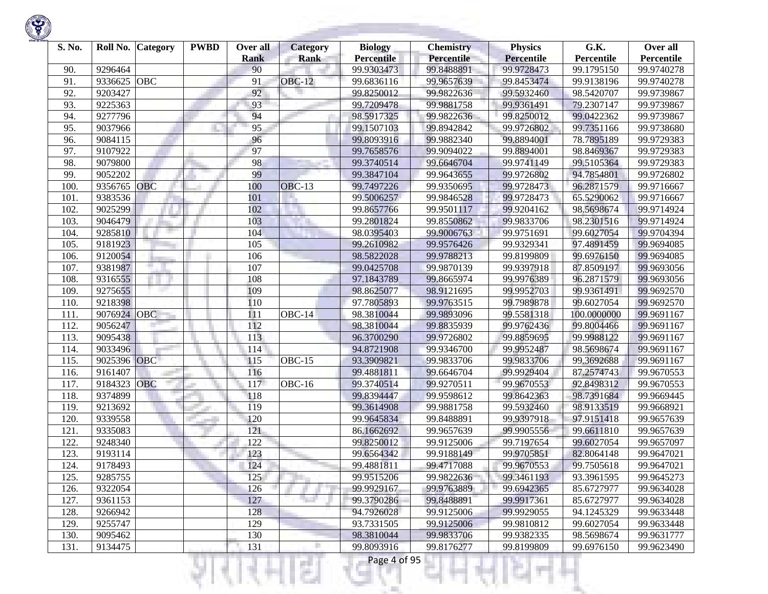| S. No. | Roll No. | Category   | <b>PWBD</b> | Over all<br><b>Rank</b> | <b>Category</b><br><b>Rank</b> | <b>Biology</b><br><b>Percentile</b> | <b>Chemistry</b><br><b>Percentile</b> | <b>Physics</b><br><b>Percentile</b> | G.K.<br>Percentile | Over all<br>Percentile |
|--------|----------|------------|-------------|-------------------------|--------------------------------|-------------------------------------|---------------------------------------|-------------------------------------|--------------------|------------------------|
| 90.    | 9296464  |            |             | 90                      |                                | 99.9303473                          | 99.8488891                            | 99.9728473                          | 99.1795150         | 99.9740278             |
| 91.    | 9336625  | <b>OBC</b> |             | 91                      | <b>OBC-12</b>                  | 99.6836116                          | 99.9657639                            | 99.8453474                          | 99.9138196         | 99.9740278             |
| 92.    | 9203427  |            |             | 92                      |                                | 99.8250012                          | 99.9822636                            | 99.5932460                          | 98.5420707         | 99.9739867             |
| 93.    | 9225363  |            |             | 93                      |                                | 99.7209478                          | 99.9881758                            | 99.9361491                          | 79.2307147         | 99.9739867             |
| 94.    | 9277796  |            |             | 94                      |                                | 98.5917325                          | 99.9822636                            | 99.8250012                          | 99.0422362         | 99.9739867             |
| 95.    | 9037966  |            |             | 95                      |                                | 99.1507103                          | 99.8942842                            | 99.9726802                          | 99.7351166         | 99.9738680             |
| 96.    | 9084115  |            |             | 96                      |                                | 99.8093916                          | 99.9882340                            | 99.8894001                          | 78.7895189         | 99.9729383             |
| 97.    | 9107922  |            |             | 97                      |                                | 99.7658576                          | 99.9094022                            | 99.8894001                          | 98.8469367         | 99.9729383             |
| 98.    | 9079800  |            |             | 98                      |                                | 99.3740514                          | 99.6646704                            | 99.9741149                          | 99.5105364         | 99.9729383             |
| 99.    | 9052202  |            |             | 99                      |                                | 99.3847104                          | 99.9643655                            | 99.9726802                          | 94.7854801         | 99.9726802             |
| 100    | 9356765  | <b>OBC</b> |             | 100                     | $OBC-13$                       | 99.7497226                          | 99.9350695                            | 99.9728473                          | 96.2871579         | 99.9716667             |
| 101.   | 9383536  |            |             | 101                     |                                | 99.5006257                          | 99.9846528                            | 99.9728473                          | 65.5290062         | 99.9716667             |
| 102.   | 9025299  |            |             | 102                     |                                | 99.8657766                          | 99.9501117                            | 99.9204162                          | 98.5698674         | 99.9714924             |
| 103.   | 9046479  |            |             | 103                     |                                | 99.2801824                          | 99.8550862                            | 99.9833706                          | 98.2301516         | 99.9714924             |
| 104.   | 9285810  |            |             | 104                     |                                | 98.0395403                          | 99.9006763                            | 99.9751691                          | 99.6027054         | 99.9704394             |
| 105    | 9181923  |            |             | 105                     |                                | 99.2610982                          | 99.9576426                            | 99.9329341                          | 97.4891459         | 99.9694085             |
| 106.   | 9120054  |            |             | 106                     |                                | 98.5822028                          | 99.9788213                            | 99.8199809                          | 99.6976150         | 99.9694085             |
| 107.   | 9381987  |            |             | 107                     |                                | 99.0425708                          | 99.9870139                            | 99.9397918                          | 87.8509197         | 99.9693056             |
| 108    | 9316555  |            |             | 108                     |                                | 97.1843789                          | 99.8665974                            | 99.9976389                          | 96.2871579         | 99.9693056             |
| 109    | 9275655  |            |             | 109                     |                                | 98.8625077                          | 98.9121695                            | 99.9952703                          | 99.9361491         | 99.9692570             |
| 110.   | 9218398  |            |             | 110                     |                                | 97.7805893                          | 99.9763515                            | 99.7989878                          | 99.6027054         | 99.9692570             |
| 111.   | 9076924  | OBC        |             | 111                     | OBC-14                         | 98.3810044                          | 99.9893096                            | 99.5581318                          | 100.0000000        | 99.9691167             |
| 112.   | 9056247  |            |             | 112                     |                                | 98.3810044                          | 99.8835939                            | 99.9762436                          | 99.8004466         | 99.9691167             |
| 113.   | 9095438  |            |             | 113                     |                                | 96.3700290                          | 99.9726802                            | 99.8859695                          | 99.9988122         | 99.9691167             |
| 114.   | 9033496  |            |             | 114                     |                                | 94.8721908                          | 99.9346700                            | 99.9952487                          | 98.5698674         | 99.9691167             |
| 115.   | 9025396  | <b>OBC</b> |             | 115                     | $OBC-15$                       | 93.3909821                          | 99.9833706                            | 99.9833706                          | 99.3692688         | 99.9691167             |
| 116.   | 9161407  |            |             | 116                     |                                | 99.4881811                          | 99.6646704                            | 99.9929404                          | 87.2574743         | 99.9670553             |
| 117.   | 9184323  | <b>OBC</b> |             | 117                     | <b>OBC-16</b>                  | 99.3740514                          | 99.9270511                            | 99.9670553                          | 92.8498312         | 99.9670553             |
| 118.   | 9374899  |            |             | 118                     |                                | 99.8394447                          | 99.9598612                            | 99.8642363                          | 98.7391684         | 99.9669445             |
| 119.   | 9213692  |            |             | 119                     |                                | 99.3614908                          | 99.9881758                            | 99.5932460                          | 98.9133519         | 99.9668921             |
| 120    | 9339558  |            |             | 120                     |                                | 99.9645834                          | 99.8488891                            | 99.9397918                          | 97.9151418         | 99.9657639             |
| 121.   | 9335083  |            |             | 121                     |                                | 86.1662692                          | 99.9657639                            | 99.9905556                          | 99.6611810         | 99.9657639             |
| 122.   | 9248340  |            |             | 122                     |                                | 99.8250012                          | 99.9125006                            | 99.7197654                          | 99.6027054         | 99.9657097             |
| 123.   | 9193114  |            |             | 123                     |                                | 99.6564342                          | 99.9188149                            | 99.9705851                          | 82.8064148         | 99.9647021             |
| 124.   | 9178493  |            |             | 124                     |                                | 99.4881811                          | 99.4717088                            | 99.9670553                          | 99.7505618         | 99.9647021             |
| 125.   | 9285755  |            |             | 125                     |                                | 99.9515206                          | 99.9822636                            | 99.3461193                          | 93.3961595         | 99.9645273             |
| 126.   | 9322054  |            |             | 126                     |                                | 99.9929167                          | 99.9763889                            | 99.6942365                          | 85.6727977         | 99.9634028             |
| 127.   | 9361153  |            |             | 127                     | ta 1                           | 99.3790286                          | 99.8488891                            | 99.9917361                          | 85.6727977         | 99.9634028             |
| 128.   | 9266942  |            |             | 128                     |                                | 94.7926028                          | 99.9125006                            | 99.9929055                          | 94.1245329         | 99.9633448             |
| 129.   | 9255747  |            |             | 129                     |                                | 93.7331505                          | 99.9125006                            | 99.9810812                          | 99.6027054         | 99.9633448             |
| 130.   | 9095462  |            |             | 130                     |                                | 98.3810044                          | 99.9833706                            | 99.9382335                          | 98.5698674         | 99.9631777             |
| 131.   | 9134475  |            |             | 131                     |                                | 99.8093916                          | 99.8176277                            | 99.8199809                          | 99.6976150         | 99.9623490             |
|        |          |            |             |                         | s                              | Page 4 of 95                        |                                       |                                     |                    |                        |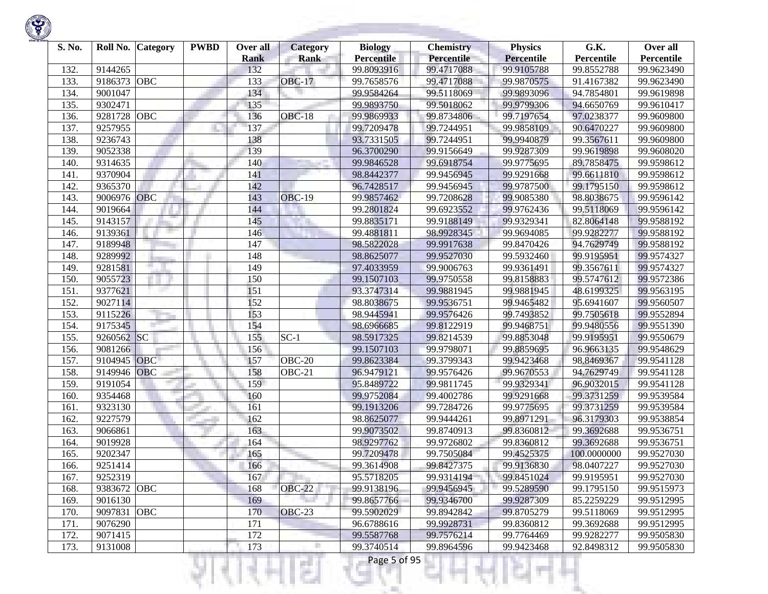| S. No. | Roll No. | <b>Category</b> | <b>PWBD</b> | Over all<br><b>Rank</b> | <b>Category</b><br><b>Rank</b> | <b>Biology</b><br><b>Percentile</b> | <b>Chemistry</b><br><b>Percentile</b> | <b>Physics</b><br><b>Percentile</b> | G.K.<br>Percentile | Over all<br>Percentile |
|--------|----------|-----------------|-------------|-------------------------|--------------------------------|-------------------------------------|---------------------------------------|-------------------------------------|--------------------|------------------------|
| 132.   | 9144265  |                 |             | 132                     |                                | 99.8093916                          | 99.4717088                            | 99.9105788                          | 99.8552788         | 99.9623490             |
| 133.   | 9186373  | OBC             |             | 133                     | <b>OBC-17</b>                  | 99.7658576                          | 99.4717088                            | 99.9870575                          | 91.4167382         | 99.9623490             |
| 134.   | 9001047  |                 |             | 134                     |                                | 99.9584264                          | 99.5118069                            | 99.9893096                          | 94.7854801         | 99.9619898             |
| 135.   | 9302471  |                 |             | 135                     |                                | 99.9893750                          | 99.5018062                            | 99.9799306                          | 94.6650769         | 99.9610417             |
| 136.   | 9281728  | OBC             |             | 136                     | <b>OBC-18</b>                  | 99.9869933                          | 99.8734806                            | 99.7197654                          | 97.0238377         | 99.9609800             |
| 137.   | 9257955  |                 |             | 137                     |                                | 99.7209478                          | 99.7244951                            | 99.9858109                          | 90.6470227         | 99.9609800             |
| 138.   | 9236743  |                 |             | 138                     |                                | 93.7331505                          | 99.7244951                            | 99.9940879                          | 99.3567611         | 99.9609800             |
| 139.   | 9052338  |                 |             | 139                     |                                | 96.3700290                          | 99.9156649                            | 99.9287309                          | 99.9619898         | 99.9608020             |
| 140.   | 9314635  |                 |             | 140                     |                                | 99.9846528                          | 99.6918754                            | 99.9775695                          | 89.7858475         | 99.9598612             |
| 141.   | 9370904  |                 |             | 141                     |                                | 98.8442377                          | 99.9456945                            | 99.9291668                          | 99.6611810         | 99.9598612             |
| 142.   | 9365370  |                 |             | 142                     |                                | 96.7428517                          | 99.9456945                            | 99.9787500                          | 99.1795150         | 99.9598612             |
| 143.   | 9006976  | OBC             |             | 143                     | <b>OBC-19</b>                  | 99.9857462                          | 99.7208628                            | 99.9085380                          | 98.8038675         | 99.9596142             |
| 144.   | 9019664  |                 |             | 144                     |                                | 99.2801824                          | 99.6923552                            | 99.9762436                          | 99.5118069         | 99.9596142             |
| 145.   | 9143157  |                 |             | 145                     |                                | 99.8835171                          | 99.9188149                            | 99.9329341                          | 82.8064148         | 99.9588192             |
| 146.   | 9139361  |                 |             | 146                     |                                | 99.4881811                          | 98.9928345                            | 99.9694085                          | 99.9282277         | 99.9588192             |
| 147.   | 9189948  |                 |             | 147                     |                                | 98.5822028                          | 99.9917638                            | 99.8470426                          | 94.7629749         | 99.9588192             |
| 148.   | 9289992  |                 |             | 148                     |                                | 98.8625077                          | 99.9527030                            | 99.5932460                          | 99.9195951         | 99.9574327             |
| 149.   | 9281581  |                 |             | 149                     |                                | 97.4033959                          | 99.9006763                            | 99.9361491                          | 99.3567611         | 99.9574327             |
| 150.   | 9055723  |                 |             | 150                     |                                | 99.1507103                          | 99.9750558                            | 99.8158883                          | 99.5747612         | 99.9572386             |
| 151.   | 9377621  |                 |             | 151                     |                                | 93.3747314                          | 99.9881945                            | 99.9881945                          | 48.6199325         | 99.9563195             |
| 152.   | 9027114  |                 |             | 152                     |                                | 98.8038675                          | 99.9536751                            | 99.9465482                          | 95.6941607         | 99.9560507             |
| 153.   | 9115226  |                 |             | 153                     |                                | 98.9445941                          | 99.9576426                            | 99.7493852                          | 99.7505618         | 99.9552894             |
| 154.   | 9175345  |                 |             | 154                     |                                | 98.6966685                          | 99.8122919                            | 99.9468751                          | 99.9480556         | 99.9551390             |
| 155.   | 9260562  | SC              |             | 155                     | $SC-1$                         | 98.5917325                          | 99.8214539                            | 99.8853048                          | 99.9195951         | 99.9550679             |
| 156.   | 9081266  |                 |             | 156                     |                                | 99.1507103                          | 99.9798071                            | 99.8859695                          | 96.9663135         | 99.9548629             |
| 157.   | 9104945  | <b>OBC</b>      |             | 157                     | OBC-20                         | 99.8623384                          | 99.3799343                            | 99.9423468                          | 98.8469367         | 99.9541128             |
| 158.   | 9149946  | OBC             |             | 158                     | OBC-21                         | 96.9479121                          | 99.9576426                            | 99.9670553                          | 94.7629749         | 99.9541128             |
| 159.   | 9191054  |                 |             | 159                     |                                | 95.8489722                          | 99.9811745                            | 99.9329341                          | 96.9032015         | 99.9541128             |
| 160.   | 9354468  |                 |             | 160                     |                                | 99.9752084                          | 99.4002786                            | 99.9291668                          | 99.3731259         | 99.9539584             |
| 161.   | 9323130  |                 |             | 161                     |                                | 99.1913206                          | 99.7284726                            | 99.9775695                          | 99.3731259         | 99.9539584             |
| 162.   | 9227579  |                 |             | 162                     |                                | 98.8625077                          | 99.9444261                            | 99.8971291                          | 96.3179303         | 99.9538854             |
| 163.   | 9066861  |                 |             | 163                     |                                | 99.9073502                          | 99.8740913                            | 99.8360812                          | 99.3692688         | 99.9536751             |
| 164.   | 9019928  |                 |             | 164                     |                                | 98.9297762                          | 99.9726802                            | 99.8360812                          | 99.3692688         | 99.9536751             |
| 165.   | 9202347  |                 |             | 165                     |                                | 99.7209478                          | 99.7505084                            | 99.4525375                          | 100.0000000        | 99.9527030             |
| 166.   | 9251414  |                 |             | 166                     |                                | 99.3614908                          | 99.8427375                            | 99.9136830                          | 98.0407227         | 99.9527030             |
| 167.   | 9252319  |                 |             | 167                     |                                | 95.5718205                          | 99.9314194                            | 99.8451024                          | 99.9195951         | 99.9527030             |
| 168.   | 9383672  | <b>OBC</b>      |             | 168                     | <b>OBC-22</b>                  | 99.9138196                          | 99.9456945                            | 99.5289590                          | 99.1795150         | 99.9515973             |
| 169.   | 9016130  |                 |             | 169                     |                                | 99.8657766                          | 99.9346700                            | 99.9287309                          | 85.2259229         | 99.9512995             |
| 170.   | 9097831  | <b>OBC</b>      |             | 170                     | OBC-23                         | 99.5902029                          | 99.8942842                            | 99.8705279                          | 99.5118069         | 99.9512995             |
| 171.   | 9076290  |                 |             | 171                     |                                | 96.6788616                          | 99.9928731                            | 99.8360812                          | 99.3692688         | 99.9512995             |
| 172.   | 9071415  |                 |             | 172                     |                                | 99.5587768                          | 99.7576214                            | 99.7764469                          | 99.9282277         | 99.9505830             |
| 173.   | 9131008  |                 |             | 173                     |                                | 99.3740514                          | 99.8964596                            | 99.9423468                          | 92.8498312         | 99.9505830             |
|        |          |                 |             |                         | s.                             | Page 5 of 95                        |                                       |                                     |                    |                        |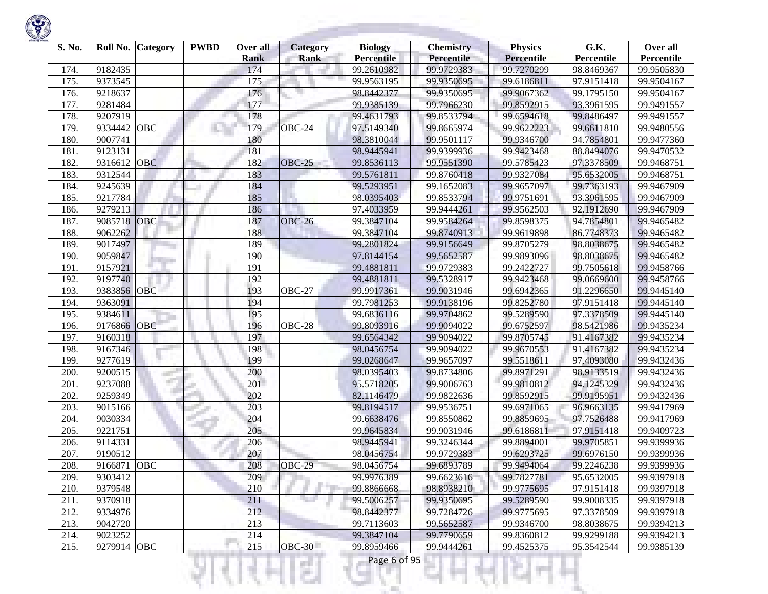| S. No. | Roll No.    | <b>Category</b> | <b>PWBD</b> | Over all<br><b>Rank</b> | <b>Category</b><br><b>Rank</b> | <b>Biology</b><br><b>Percentile</b> | <b>Chemistry</b><br><b>Percentile</b> | <b>Physics</b><br><b>Percentile</b> | G.K.<br>Percentile | Over all<br>Percentile |
|--------|-------------|-----------------|-------------|-------------------------|--------------------------------|-------------------------------------|---------------------------------------|-------------------------------------|--------------------|------------------------|
| 174.   | 9182435     |                 |             | 174                     |                                | 99.2610982                          | 99.9729383                            | 99.7270299                          | 98.8469367         | 99.9505830             |
| 175.   | 9373545     |                 |             | 175                     |                                | 99.9563195                          | 99.9350695                            | 99.6186811                          | 97.9151418         | 99.9504167             |
| 176.   | 9218637     |                 |             | 176                     |                                | 98.8442377                          | 99.9350695                            | 99.9067362                          | 99.1795150         | 99.9504167             |
| 177.   | 9281484     |                 |             | 177                     |                                | 99.9385139                          | 99.7966230                            | 99.8592915                          | 93.3961595         | 99.9491557             |
| 178.   | 9207919     |                 |             | 178                     |                                | 99.4631793                          | 99.8533794                            | 99.6594618                          | 99.8486497         | 99.9491557             |
| 179.   | 9334442     | OBC             |             | 179                     | OBC-24                         | 97.5149340                          | 99.8665974                            | 99.9622223                          | 99.6611810         | 99.9480556             |
| 180.   | 9007741     |                 |             | 180                     |                                | 98.3810044                          | 99.9501117                            | 99.9346700                          | 94.7854801         | 99.9477360             |
| 181.   | 9123131     |                 |             | 181                     |                                | 98.9445941                          | 99.9399936                            | 99.9423468                          | 88.8494076         | 99.9470532             |
| 182.   | 9316612     | <b>OBC</b>      |             | 182                     | <b>OBC-25</b>                  | 99.8536113                          | 99.9551390                            | 99.5785423                          | 97.3378509         | 99.9468751             |
| 183.   | 9312544     |                 |             | 183                     |                                | 99.5761811                          | 99.8760418                            | 99.9327084                          | 95.6532005         | 99.9468751             |
| 184.   | 9245639     |                 |             | 184                     |                                | 99.5293951                          | 99.1652083                            | 99.9657097                          | 99.7363193         | 99.9467909             |
| 185.   | 9217784     |                 |             | 185                     | u.                             | 98.0395403                          | 99.8533794                            | 99.9751691                          | 93.3961595         | 99.9467909             |
| 186.   | 9279213     |                 |             | 186                     |                                | 97.4033959                          | 99.9444261                            | 99.9562503                          | 92.1912690         | 99.9467909             |
| 187.   | 9085718     | OBC             |             | 187                     | <b>OBC-26</b>                  | 99.3847104                          | 99.9584264                            | 99.8598375                          | 94.7854801         | 99.9465482             |
| 188.   | 9062262     |                 |             | 188                     |                                | 99.3847104                          | 99.8740913                            | 99.9619898                          | 86.7748373         | 99.9465482             |
| 189.   | 9017497     |                 |             | 189                     |                                | 99.2801824                          | 99.9156649                            | 99.8705279                          | 98.8038675         | 99.9465482             |
| 190.   | 9059847     |                 |             | 190                     |                                | 97.8144154                          | 99.5652587                            | 99.9893096                          | 98.8038675         | 99.9465482             |
| 191.   | 9157921     |                 |             | 191                     |                                | 99.4881811                          | 99.9729383                            | 99.2422727                          | 99.7505618         | 99.9458766             |
| 192.   | 9197740     |                 |             | 192                     |                                | 99.4881811                          | 99.5328917                            | 99.9423468                          | 99.0669600         | 99.9458766             |
| 193.   | 9383856 OBC |                 |             | 193                     | OBC-27                         | 99.9917361                          | 99.9031946                            | 99.6942365                          | 91.2296650         | 99.9445140             |
| 194.   | 9363091     |                 |             | 194                     |                                | 99.7981253                          | 99.9138196                            | 99.8252780                          | 97.9151418         | 99.9445140             |
| 195.   | 9384611     |                 |             | 195                     |                                | 99.6836116                          | 99.9704862                            | 99.5289590                          | 97.3378509         | 99.9445140             |
| 196.   | 9176866     | OBC             |             | 196                     | OBC-28                         | 99.8093916                          | 99.9094022                            | 99.6752597                          | 98.5421986         | 99.9435234             |
| 197.   | 9160318     |                 |             | 197                     |                                | 99.6564342                          | 99.9094022                            | 99.8705745                          | 91.4167382         | 99.9435234             |
| 198.   | 9167346     |                 |             | 198                     |                                | 98.0456754                          | 99.9094022                            | 99.9670553                          | 91.4167382         | 99.9435234             |
| 199.   | 9277619     |                 |             | 199                     |                                | 99.0268647                          | 99.9657097                            | 99.5518611                          | 97,4093080         | 99.9432436             |
| 200.   | 9200515     |                 |             | 200                     |                                | 98.0395403                          | 99.8734806                            | 99.8971291                          | 98.9133519         | 99.9432436             |
| 201.   | 9237088     |                 |             | 201                     |                                | 95.5718205                          | 99.9006763                            | 99.9810812                          | 94.1245329         | 99.9432436             |
| 202.   | 9259349     |                 |             | 202                     |                                | 82.1146479                          | 99.9822636                            | 99.8592915                          | 99.9195951         | 99.9432436             |
| 203.   | 9015166     |                 |             | 203                     |                                | 99.8194517                          | 99.9536751                            | 99.6971065                          | 96.9663135         | 99.9417969             |
| 204.   | 9030334     |                 |             | 204                     |                                | 99.6638476                          | 99.8550862                            | 99.8859695                          | 97.7526488         | 99.9417969             |
| 205.   | 9221751     |                 |             | 205                     |                                | 99.9645834                          | 99.9031946                            | 99.6186811                          | 97.9151418         | 99.9409723             |
| 206.   | 9114331     |                 |             | 206                     |                                | 98.9445941                          | 99.3246344                            | 99.8894001                          | 99.9705851         | 99.9399936             |
| 207.   | 9190512     |                 |             | 207                     |                                | 98.0456754                          | 99.9729383                            | 99.6293725                          | 99.6976150         | 99.9399936             |
| 208.   | 9166871     | OBC             |             | 208                     | OBC-29                         | 98.0456754                          | 99.6893789                            | 99.9494064                          | 99.2246238         | 99.9399936             |
| 209.   | 9303412     |                 |             | 209                     |                                | 99.9976389                          | 99.6623616                            | 99.7827781                          | 95.6532005         | 99.9397918             |
| 210.   | 9379548     |                 |             | 210                     |                                | 99.8866668                          | 98.8938210                            | 99.9775695                          | 97.9151418         | 99.9397918             |
| 211.   | 9370918     |                 |             | 211                     |                                | 99.5006257                          | 99.9350695                            | 99.5289590                          | 99.9008335         | 99.9397918             |
| 212.   | 9334976     |                 |             | 212                     |                                | 98.8442377                          | 99.7284726                            | 99.9775695                          | 97.3378509         | 99.9397918             |
| 213.   | 9042720     |                 |             | 213                     |                                | 99.7113603                          | 99.5652587                            | 99.9346700                          | 98.8038675         | 99.9394213             |
| 214.   | 9023252     |                 |             | 214                     |                                | 99.3847104                          | 99.7790659                            | 99.8360812                          | 99.9299188         | 99.9394213             |
| 215.   | 9279914 OBC |                 |             | 215                     | <b>OBC-30</b>                  | 99.8959466                          | 99.9444261                            | 99.4525375                          | 95.3542544         | 99.9385139             |
|        |             |                 |             |                         | ç.                             | Page 6 of 95                        |                                       |                                     |                    |                        |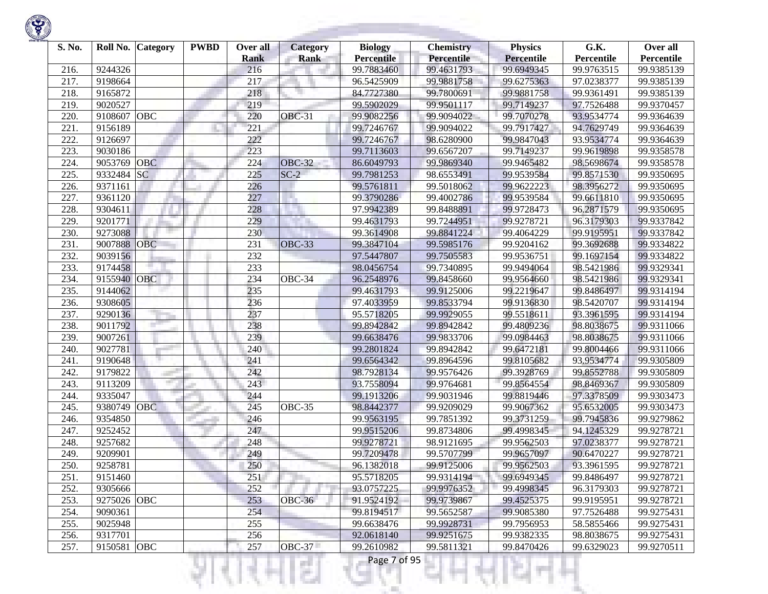| S. No. | Roll No.    | Category   | <b>PWBD</b> | Over all<br><b>Rank</b> | <b>Category</b><br><b>Rank</b> | <b>Biology</b><br><b>Percentile</b> | <b>Chemistry</b><br><b>Percentile</b> | <b>Physics</b><br><b>Percentile</b> | G.K.<br>Percentile | Over all<br>Percentile |
|--------|-------------|------------|-------------|-------------------------|--------------------------------|-------------------------------------|---------------------------------------|-------------------------------------|--------------------|------------------------|
| 216.   | 9244326     |            |             | 216                     |                                | 99.7883460                          | 99.4631793                            | 99.6949345                          | 99.9763515         | 99.9385139             |
| 217.   | 9198664     |            |             | 217                     |                                | 96.5425909                          | 99.9881758                            | 99.6275363                          | 97.0238377         | 99.9385139             |
| 218.   | 9165872     |            |             | 218                     |                                | 84.7727380                          | 99.7800691                            | 99.9881758                          | 99.9361491         | 99.9385139             |
| 219.   | 9020527     |            |             | 219                     |                                | 99.5902029                          | 99.9501117                            | 99.7149237                          | 97.7526488         | 99.9370457             |
| 220    | 9108607     | <b>OBC</b> |             | 220                     | <b>OBC-31</b>                  | 99.9082256                          | 99.9094022                            | 99.7070278                          | 93.9534774         | 99.9364639             |
| 221.   | 9156189     |            |             | 221                     |                                | 99.7246767                          | 99.9094022                            | 99.7917427                          | 94.7629749         | 99.9364639             |
| 222.   | 9126697     |            |             | 222                     |                                | 99.7246767                          | 98.6280900                            | 99.9847043                          | 93.9534774         | 99.9364639             |
| 223.   | 9030186     |            |             | 223                     |                                | 99.7113603                          | 99.6567207                            | 99.7149237                          | 99.9619898         | 99.9358578             |
| 224.   | 9053769     | <b>OBC</b> |             | 224                     | <b>OBC-32</b>                  | 86.6049793                          | 99.9869340                            | 99.9465482                          | 98.5698674         | 99.9358578             |
| 225.   | 9332484     | <b>SC</b>  |             | 225                     | $SC-2$                         | 99.7981253                          | 98.6553491                            | 99.9539584                          | 99.8571530         | 99.9350695             |
| 226.   | 9371161     |            |             | 226                     |                                | 99.5761811                          | 99.5018062                            | 99.9622223                          | 98.3956272         | 99.9350695             |
| 227.   | 9361120     |            |             | 227                     |                                | 99.3790286                          | 99.4002786                            | 99.9539584                          | 99.6611810         | 99.9350695             |
| 228.   | 9304611     |            |             | 228                     |                                | 97.9942389                          | 99.8488891                            | 99.9728473                          | 96.2871579         | 99.9350695             |
| 229.   | 9201771     |            |             | 229                     |                                | 99.4631793                          | 99.7244951                            | 99.9278721                          | 96.3179303         | 99.9337842             |
| 230.   | 9273088     |            |             | 230                     |                                | 99.3614908                          | 99.8841224                            | 99.4064229                          | 99.9195951         | 99.9337842             |
| 231.   | 9007888     | <b>OBC</b> |             | 231                     | <b>OBC-33</b>                  | 99.3847104                          | 99.5985176                            | 99.9204162                          | 99.3692688         | 99.9334822             |
| 232.   | 9039156     |            |             | 232                     |                                | 97.5447807                          | 99.7505583                            | 99.9536751                          | 99.1697154         | 99.9334822             |
| 233.   | 9174458     |            |             | 233                     |                                | 98.0456754                          | 99.7340895                            | 99.9494064                          | 98.5421986         | 99.9329341             |
| 234.   | 9155940     | <b>OBC</b> |             | 234                     | OBC-34                         | 96.2548976                          | 99.8458660                            | 99.9564660                          | 98.5421986         | 99.9329341             |
| 235.   | 9144062     |            |             | 235                     |                                | 99.4631793                          | 99.9125006                            | 99.2219647                          | 99.8486497         | 99.9314194             |
| 236.   | 9308605     |            |             | 236                     |                                | 97.4033959                          | 99.8533794                            | 99.9136830                          | 98.5420707         | 99.9314194             |
| 237.   | 9290136     |            |             | 237                     |                                | 95.5718205                          | 99.9929055                            | 99.5518611                          | 93.3961595         | 99.9314194             |
| 238.   | 9011792     |            |             | 238                     |                                | 99.8942842                          | 99.8942842                            | 99.4809236                          | 98.8038675         | 99.9311066             |
| 239.   | 9007261     |            |             | 239                     |                                | 99.6638476                          | 99.9833706                            | 99.0984463                          | 98.8038675         | 99.9311066             |
| 240.   | 9027781     |            |             | 240                     |                                | 99.2801824                          | 99.8942842                            | 99.6472181                          | 99.8004466         | 99.9311066             |
| 241.   | 9190648     |            |             | 241                     |                                | 99.6564342                          | 99.8964596                            | 99.8105682                          | 93.9534774         | 99.9305809             |
| 242.   | 9179822     |            |             | 242                     |                                | 98.7928134                          | 99.9576426                            | 99.3928769                          | 99.8552788         | 99.9305809             |
| 243.   | 9113209     |            |             | 243                     |                                | 93.7558094                          | 99.9764681                            | 99.8564554                          | 98.8469367         | 99.9305809             |
| 244.   | 9335047     |            |             | 244                     |                                | 99.1913206                          | 99.9031946                            | 99.8819446                          | 97.3378509         | 99.9303473             |
| 245.   | 9380749     | <b>OBC</b> |             | 245                     | OBC-35                         | 98.8442377                          | 99.9209029                            | 99.9067362                          | 95.6532005         | 99.9303473             |
| 246.   | 9354850     |            |             | 246                     |                                | 99.9563195                          | 99.7851392                            | 99.3731259                          | 99.7945836         | 99.9279862             |
| 247.   | 9252452     |            |             | 247                     |                                | 99.9515206                          | 99.8734806                            | 99.4998345                          | 94.1245329         | 99.9278721             |
| 248.   | 9257682     |            |             | 248                     |                                | 99.9278721                          | 98.9121695                            | 99.9562503                          | 97.0238377         | 99.9278721             |
| 249    | 9209901     |            |             | 249                     |                                | 99.7209478                          | 99.5707799                            | 99.9657097                          | 90.6470227         | 99.9278721             |
| 250.   | 9258781     |            |             | 250                     |                                | 96.1382018                          | 99.9125006                            | 99.9562503                          | 93.3961595         | 99.9278721             |
| 251.   | 9151460     |            |             | 251                     |                                | 95.5718205                          | 99.9314194                            | 99.6949345                          | 99.8486497         | 99.9278721             |
| 252.   | 9305666     |            |             | 252                     |                                | 93.0757225                          | 99.9976352                            | 99.4998345                          | 96.3179303         | 99.9278721             |
| 253.   | 9275026 OBC |            |             | 253                     | <b>OBC-36</b>                  | 91.9524192                          | 99.9739867                            | 99.4525375                          | 99.9195951         | 99.9278721             |
| 254.   | 9090361     |            |             | 254                     |                                | 99.8194517                          | 99.5652587                            | 99.9085380                          | 97.7526488         | 99.9275431             |
| 255.   | 9025948     |            |             | 255                     |                                | 99.6638476                          | 99.9928731                            | 99.7956953                          | 58.5855466         | 99.9275431             |
| 256.   | 9317701     |            |             | 256                     |                                | 92.0618140                          | 99.9251675                            | 99.9382335                          | 98.8038675         | 99.9275431             |
| 257.   | 9150581 OBC |            |             | 257                     | <b>OBC-37</b>                  | 99.2610982                          | 99.5811321                            | 99.8470426                          | 99.6329023         | 99.9270511             |
|        |             |            |             |                         | ç.                             | Page 7 of 95                        |                                       |                                     |                    |                        |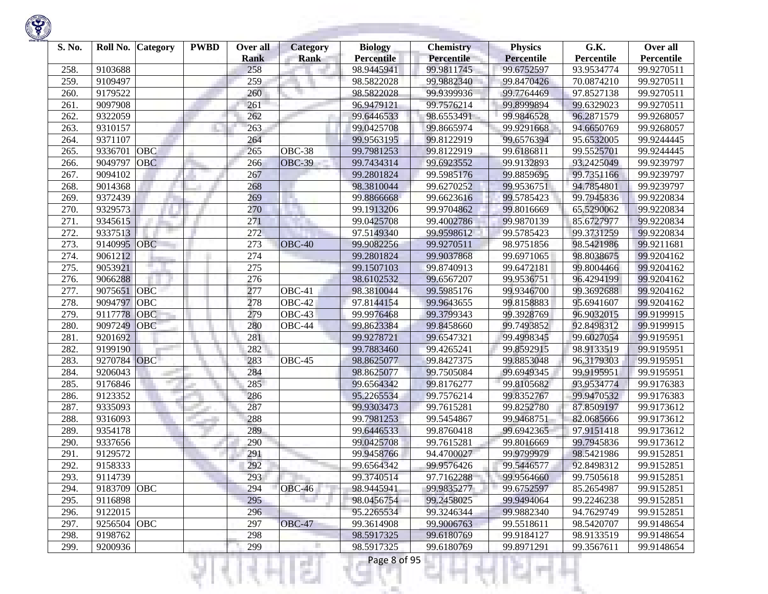| S. No. | Roll No.    | Category   | <b>PWBD</b> | Over all<br><b>Rank</b> | <b>Category</b><br><b>Rank</b> | <b>Biology</b><br><b>Percentile</b> | <b>Chemistry</b><br><b>Percentile</b> | <b>Physics</b><br><b>Percentile</b> | G.K.<br>Percentile | Over all<br>Percentile |
|--------|-------------|------------|-------------|-------------------------|--------------------------------|-------------------------------------|---------------------------------------|-------------------------------------|--------------------|------------------------|
| 258.   | 9103688     |            |             | 258                     |                                | 98.9445941                          | 99.9811745                            | 99.6752597                          | 93.9534774         | 99.9270511             |
| 259.   | 9109497     |            |             | 259                     |                                | 98.5822028                          | 99.9882340                            | 99.8470426                          | 70.0874210         | 99.9270511             |
| 260    | 9179522     |            |             | 260                     |                                | 98.5822028                          | 99.9399936                            | 99.7764469                          | 97.8527138         | 99.9270511             |
| 261.   | 9097908     |            |             | 261                     |                                | 96.9479121                          | 99.7576214                            | 99.8999894                          | 99.6329023         | 99.9270511             |
| 262.   | 9322059     |            |             | 262                     |                                | 99.6446533                          | 98.6553491                            | 99.9846528                          | 96.2871579         | 99.9268057             |
| 263.   | 9310157     |            |             | 263                     |                                | 99.0425708                          | 99.8665974                            | 99.9291668                          | 94.6650769         | 99.9268057             |
| 264.   | 9371107     |            |             | 264                     |                                | 99.9563195                          | 99.8122919                            | 99.6576394                          | 95.6532005         | 99.9244445             |
| 265.   | 9336701     | OBC        |             | 265                     | OBC-38                         | 99.7981253                          | 99.8122919                            | 99.6186811                          | 99.5525701         | 99.9244445             |
| 266.   | 9049797     | <b>OBC</b> |             | 266                     | <b>OBC-39</b>                  | 99.7434314                          | 99.6923552                            | 99.9132893                          | 93.2425049         | 99.9239797             |
| 267.   | 9094102     |            |             | 267                     |                                | 99.2801824                          | 99.5985176                            | 99.8859695                          | 99.7351166         | 99.9239797             |
| 268.   | 9014368     |            |             | 268                     |                                | 98.3810044                          | 99.6270252                            | 99.9536751                          | 94.7854801         | 99.9239797             |
| 269.   | 9372439     |            |             | 269                     | H.                             | 99.8866668                          | 99.6623616                            | 99.5785423                          | 99.7945836         | 99.9220834             |
| 270.   | 9329573     |            |             | 270                     |                                | 99.1913206                          | 99.9704862                            | 99.8016669                          | 65.5290062         | 99.9220834             |
| 271.   | 9345615     |            |             | 271                     |                                | 99.0425708                          | 99.4002786                            | 99.9870139                          | 85.6727977         | 99.9220834             |
| 272.   | 9337513     |            |             | 272                     |                                | 97.5149340                          | 99.9598612                            | 99.5785423                          | 99.3731259         | 99.9220834             |
| 273.   | 9140995     | <b>OBC</b> |             | 273                     | $OBC-40$                       | 99.9082256                          | 99.9270511                            | 98.9751856                          | 98.5421986         | 99.9211681             |
| 274.   | 9061212     |            |             | 274                     |                                | 99.2801824                          | 99.9037868                            | 99.6971065                          | 98.8038675         | 99.9204162             |
| 275.   | 9053921     |            |             | 275                     |                                | 99.1507103                          | 99.8740913                            | 99.6472181                          | 99.8004466         | 99.9204162             |
| 276.   | 9066288     |            |             | 276                     |                                | 98.6102532                          | 99.6567207                            | 99.9536751                          | 96.4294199         | 99.9204162             |
| 277.   | 9075651     | <b>OBC</b> |             | 277                     | OBC-41                         | 98.3810044                          | 99.5985176                            | 99.9346700                          | 99.3692688         | 99.9204162             |
| 278.   | 9094797     | OBC        |             | 278                     | OBC-42                         | 97.8144154                          | 99.9643655                            | 99.8158883                          | 95.6941607         | 99.9204162             |
| 279.   | 9117778     | <b>OBC</b> |             | 279                     | OBC-43                         | 99.9976468                          | 99.3799343                            | 99.3928769                          | 96.9032015         | 99.9199915             |
| 280    | 9097249     | <b>OBC</b> |             | 280                     | OBC-44                         | 99.8623384                          | 99.8458660                            | 99.7493852                          | 92.8498312         | 99.9199915             |
| 281.   | 9201692     |            |             | 281                     |                                | 99.9278721                          | 99.6547321                            | 99.4998345                          | 99.6027054         | 99.9195951             |
| 282.   | 9199190     |            |             | 282                     |                                | 99.7883460                          | 99.4265241                            | 99.8592915                          | 98.9133519         | 99.9195951             |
| 283.   | 9270784     | <b>OBC</b> |             | 283                     | OBC-45                         | 98.8625077                          | 99.8427375                            | 99.8853048                          | 96.3179303         | 99.9195951             |
| 284.   | 9206043     |            |             | 284                     |                                | 98.8625077                          | 99.7505084                            | 99.6949345                          | 99.9195951         | 99.9195951             |
| 285.   | 9176846     |            |             | 285                     |                                | 99.6564342                          | 99.8176277                            | 99.8105682                          | 93.9534774         | 99.9176383             |
| 286.   | 9123352     |            |             | 286                     |                                | 95.2265534                          | 99.7576214                            | 99.8352767                          | 99.9470532         | 99.9176383             |
| 287.   | 9335093     |            |             | 287                     |                                | 99.9303473                          | 99.7615281                            | 99.8252780                          | 87.8509197         | 99.9173612             |
| 288.   | 9316093     |            |             | 288                     |                                | 99.7981253                          | 99.5454867                            | 99.9468751                          | 82.0685666         | 99.9173612             |
| 289.   | 9354178     |            |             | 289                     |                                | 99.6446533                          | 99.8760418                            | 99.6942365                          | 97.9151418         | 99.9173612             |
| 290    | 9337656     |            |             | 290                     |                                | 99.0425708                          | 99.7615281                            | 99.8016669                          | 99.7945836         | 99.9173612             |
| 291.   | 9129572     |            |             | 291                     |                                | 99.9458766                          | 94.4700027                            | 99.9799979                          | 98.5421986         | 99.9152851             |
| 292.   | 9158333     |            |             | 292                     |                                | 99.6564342                          | 99.9576426                            | 99.5446577                          | 92.8498312         | 99.9152851             |
| 293.   | 9114739     |            |             | 293                     |                                | 99.3740514                          | 97.7162288                            | 99.9564660                          | 99.7505618         | 99.9152851             |
| 294.   | 9183709 OBC |            |             | 294                     | OBC-46                         | 98.9445941                          | 99.9835277                            | 99.6752597                          | 85.2654987         | 99.9152851             |
| 295.   | 9116898     |            |             | 295                     |                                | 98.0456754                          | 99.2458025                            | 99.9494064                          | 99.2246238         | 99.9152851             |
| 296.   | 9122015     |            |             | 296                     |                                | 95.2265534                          | 99.3246344                            | 99.9882340                          | 94.7629749         | 99.9152851             |
| 297.   | 9256504 OBC |            |             | 297                     | <b>OBC-47</b>                  | 99.3614908                          | 99.9006763                            | 99.5518611                          | 98.5420707         | 99.9148654             |
| 298.   | 9198762     |            |             | 298                     |                                | 98.5917325                          | 99.6180769                            | 99.9184127                          | 98.9133519         | 99.9148654             |
| 299.   | 9200936     |            |             | 299                     |                                | 98.5917325                          | 99.6180769                            | 99.8971291                          | 99.3567611         | 99.9148654             |
|        |             |            |             |                         | s                              | Page 8 of 95                        |                                       |                                     |                    |                        |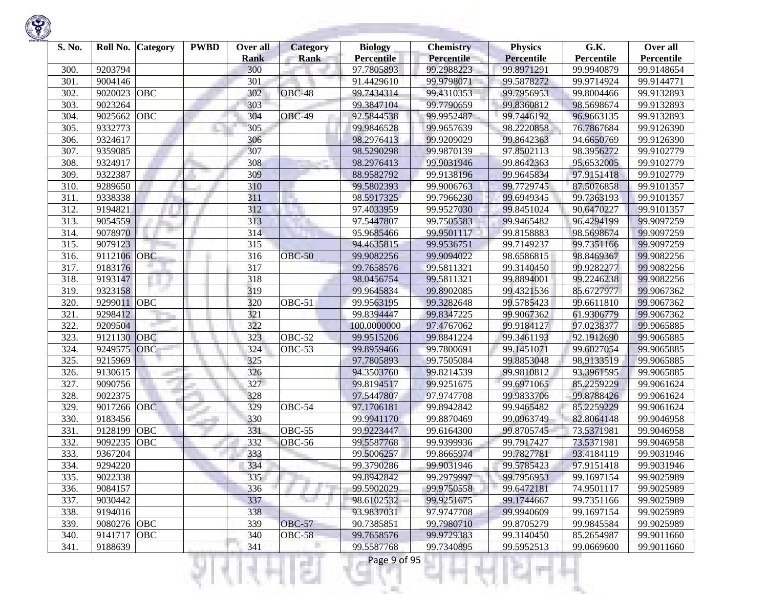| S. No. | Roll No.    | Category   | <b>PWBD</b> | Over all<br><b>Rank</b> | <b>Category</b><br><b>Rank</b> | <b>Biology</b><br><b>Percentile</b> | <b>Chemistry</b><br>Percentile | <b>Physics</b><br><b>Percentile</b> | G.K.<br>Percentile | Over all<br>Percentile |
|--------|-------------|------------|-------------|-------------------------|--------------------------------|-------------------------------------|--------------------------------|-------------------------------------|--------------------|------------------------|
| 300.   | 9203794     |            |             | 300                     |                                | 97.7805893                          | 99.2988223                     | 99.8971291                          | 99.9940879         | 99.9148654             |
| 301.   | 9004146     |            |             | 301                     |                                | 91.4429610                          | 99.9798071                     | 99.5878272                          | 99.9714924         | 99.9144771             |
| 302.   | 9020023     | <b>OBC</b> |             | 302                     | <b>OBC-48</b>                  | 99.7434314                          | 99.4310353                     | 99.7956953                          | 99.8004466         | 99.9132893             |
| 303.   | 9023264     |            |             | 303                     |                                | 99.3847104                          | 99.7790659                     | 99.8360812                          | 98.5698674         | 99.9132893             |
| 304.   | 9025662     | OBC        |             | 304                     | <b>OBC-49</b>                  | 92.5844538                          | 99.9952487                     | 99.7446192                          | 96.9663135         | 99.9132893             |
| 305.   | 9332773     |            |             | 305                     |                                | 99.9846528                          | 99.9657639                     | 98.2220858                          | 76.7867684         | 99.9126390             |
| 306.   | 9324617     |            |             | 306                     |                                | 98.2976413                          | 99.9209029                     | 99.8642363                          | 94.6650769         | 99.9126390             |
| 307.   | 9359085     |            |             | 307                     |                                | 98.5290298                          | 99.9870139                     | 97.8502113                          | 98.3956272         | 99.9102779             |
| 308.   | 9324917     |            |             | 308                     |                                | 98.2976413                          | 99.9031946                     | 99.8642363                          | 95.6532005         | 99.9102779             |
| 309.   | 9322387     |            |             | 309                     |                                | 88.9582792                          | 99.9138196                     | 99.9645834                          | 97.9151418         | 99.9102779             |
| 310.   | 9289650     |            |             | 310                     |                                | 99.5802393                          | 99.9006763                     | 99.7729745                          | 87.5076858         | 99.9101357             |
| 311.   | 9338338     |            |             | 311                     |                                | 98.5917325                          | 99.7966230                     | 99.6949345                          | 99.7363193         | 99.9101357             |
| 312.   | 9194821     |            |             | 312                     |                                | 97.4033959                          | 99.9527030                     | 99.8451024                          | 90.6470227         | 99.9101357             |
| 313.   | 9054559     |            |             | 313                     |                                | 97.5447807                          | 99.7505583                     | 99.9465482                          | 96.4294199         | 99.9097259             |
| 314.   | 9078970     |            |             | 314                     |                                | 95.9685466                          | 99.9501117                     | 99.8158883                          | 98.5698674         | 99.9097259             |
| 315.   | 9079123     |            |             | 315                     |                                | 94.4635815                          | 99.9536751                     | 99.7149237                          | 99.7351166         | 99.9097259             |
| 316.   | 9112106 OBC |            |             | 316                     | <b>OBC-50</b>                  | 99.9082256                          | 99.9094022                     | 98.6586815                          | 98.8469367         | 99.9082256             |
| 317.   | 9183176     |            |             | 317                     |                                | 99.7658576                          | 99.5811321                     | 99.3140450                          | 99.9282277         | 99.9082256             |
| 318.   | 9193147     |            |             | 318                     |                                | 98.0456754                          | 99.5811321                     | 99.8894001                          | 99.2246238         | 99.9082256             |
| 319.   | 9323158     |            |             | 319                     |                                | 99.9645834                          | 99.8902085                     | 99.4321536                          | 85.6727977         | 99.9067362             |
| 320.   | 9299011     | <b>OBC</b> |             | 320                     | $\overline{O}$ BC-51           | 99.9563195                          | 99.3282648                     | 99.5785423                          | 99.6611810         | 99.9067362             |
| 321.   | 9298412     |            |             | 321                     |                                | 99.8394447                          | 99.8347225                     | 99.9067362                          | 61.9306779         | 99.9067362             |
| 322.   | 9209504     |            |             | 322                     |                                | 100.0000000                         | 97.4767062                     | 99.9184127                          | 97.0238377         | 99.9065885             |
| 323.   | 9121130     | OBC        |             | 323                     | $\overline{O}$ BC-52           | 99.9515206                          | 99.8841224                     | 99.3461193                          | 92.1912690         | 99.9065885             |
| 324.   | 9249575     | OBC        |             | 324                     | OBC-53                         | 99.8959466                          | 99.7800691                     | 99.1451071                          | 99.6027054         | 99.9065885             |
| 325.   | 9215969     |            |             | 325                     |                                | 97.7805893                          | 99.7505084                     | 99.8853048                          | 98.9133519         | 99.9065885             |
| 326.   | 9130615     |            |             | 326                     |                                | 94.3503760                          | 99.8214539                     | 99.9810812                          | 93.3961595         | 99.9065885             |
| 327.   | 9090756     |            |             | 327                     |                                | 99.8194517                          | 99.9251675                     | 99.6971065                          | 85.2259229         | 99.9061624             |
| 328.   | 9022375     |            |             | 328                     |                                | 97.5447807                          | 97.9747708                     | 99.9833706                          | 99.8788426         | 99.9061624             |
| 329.   | 9017266     | <b>OBC</b> |             | 329                     | OBC-54                         | 97.1706181                          | 99.8942842                     | 99.9465482                          | 85.2259229         | 99.9061624             |
| 330.   | 9183456     |            |             | 330                     |                                | 99.9941170                          | 99.8870469                     | 99.0963749                          | 82.8064148         | 99.9046958             |
| 331.   | 9128199     | OBC        |             | 331                     | OBC-55                         | 99.9223447                          | 99.6164300                     | 99.8705745                          | 73.5371981         | 99.9046958             |
| 332.   | 9092235     | OBC        |             | 332                     | OBC-56                         | 99.5587768                          | 99.9399936                     | 99.7917427                          | 73.5371981         | 99.9046958             |
| 333.   | 9367204     |            |             | 333                     |                                | 99.5006257                          | 99.8665974                     | 99.7827781                          | 93.4184119         | 99.9031946             |
| 334.   | 9294220     |            |             | 334                     |                                | 99.3790286                          | 99.9031946                     | 99.5785423                          | 97.9151418         | 99.9031946             |
| 335.   | 9022338     |            |             | 335                     |                                | 99.8942842                          | 99.2979997                     | 99.7956953                          | 99.1697154         | 99.9025989             |
| 336.   | 9084157     |            |             | 336                     |                                | 99.5902029                          | 99.9750558                     | 99.6472181                          | 74.9501117         | 99.9025989             |
| 337.   | 9030442     |            |             | 337                     | n a                            | 98.6102532                          | 99.9251675                     | 99.1744667                          | 99.7351166         | 99.9025989             |
| 338.   | 9194016     |            |             | 338                     |                                | 93.9837031                          | 97.9747708                     | 99.9940609                          | 99.1697154         | 99.9025989             |
| 339.   | 9080276 OBC |            |             | 339                     | <b>OBC-57</b>                  | 90.7385851                          | 99.7980710                     | 99.8705279                          | 99.9845584         | 99.9025989             |
| 340.   | 9141717     | <b>OBC</b> |             | 340                     | <b>OBC-58</b>                  | 99.7658576                          | 99.9729383                     | 99.3140450                          | 85.2654987         | 99.9011660             |
| 341.   | 9188639     |            |             | 341                     |                                | 99.5587768                          | 99.7340895                     | 99.5952513                          | 99.0669600         | 99.9011660             |
|        |             |            |             |                         | s                              | Page 9 of 95                        |                                |                                     |                    |                        |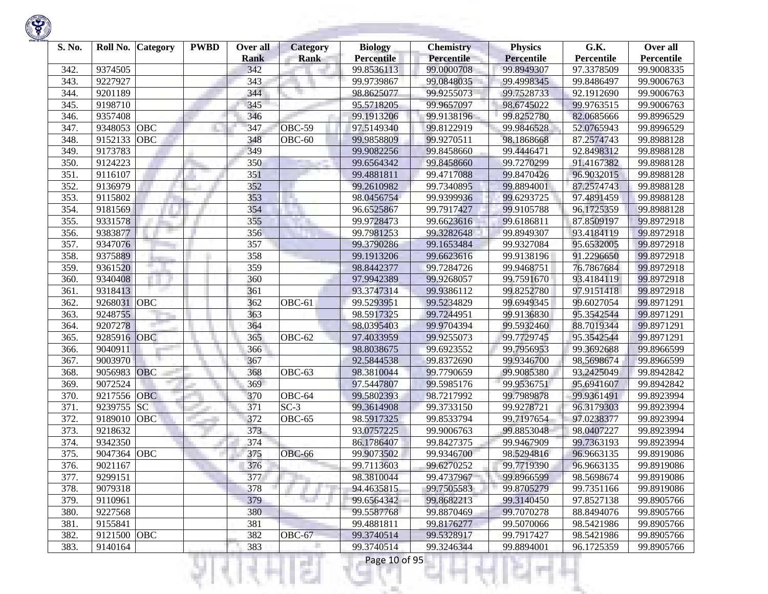| S. No. | Roll No.    | Category   | <b>PWBD</b> | Over all<br><b>Rank</b> | <b>Category</b><br><b>Rank</b> | <b>Biology</b><br><b>Percentile</b> | <b>Chemistry</b><br><b>Percentile</b> | <b>Physics</b><br><b>Percentile</b> | G.K.<br>Percentile | Over all<br>Percentile |
|--------|-------------|------------|-------------|-------------------------|--------------------------------|-------------------------------------|---------------------------------------|-------------------------------------|--------------------|------------------------|
| 342    | 9374505     |            |             | 342                     |                                | 99.8536113                          | 99.0000708                            | 99.8949307                          | 97.3378509         | 99.9008335             |
| 343.   | 9227927     |            |             | 343                     |                                | 99.9739867                          | 99.0848035                            | 99.4998345                          | 99.8486497         | 99.9006763             |
| 344    | 9201189     |            |             | 344                     |                                | 98.8625077                          | 99.9255073                            | 99.7528733                          | 92.1912690         | 99.9006763             |
| 345.   | 9198710     |            |             | 345                     |                                | 95.5718205                          | 99.9657097                            | 98.6745022                          | 99.9763515         | 99.9006763             |
| 346.   | 9357408     |            |             | 346                     |                                | 99.1913206                          | 99.9138196                            | 99.8252780                          | 82.0685666         | 99.8996529             |
| 347.   | 9348053     | OBC        |             | 347                     | OBC-59                         | 97.5149340                          | 99.8122919                            | 99.9846528                          | 52.0765943         | 99.8996529             |
| 348.   | 9152133     | OBC        |             | 348                     | OBC-60                         | 99.9858809                          | 99.9270511                            | 98.1868668                          | 87.2574743         | 99.8988128             |
| 349    | 9173783     |            |             | 349                     |                                | 99.9082256                          | 99.8458660                            | 99.4446471                          | 92.8498312         | 99.8988128             |
| 350.   | 9124223     |            |             | 350                     |                                | 99.6564342                          | 99.8458660                            | 99.7270299                          | 91.4167382         | 99.8988128             |
| 351    | 9116107     |            |             | 351                     |                                | 99.4881811                          | 99.4717088                            | 99.8470426                          | 96.9032015         | 99.8988128             |
| 352    | 9136979     |            |             | 352                     |                                | 99.2610982                          | 99.7340895                            | 99.8894001                          | 87.2574743         | 99.8988128             |
| 353.   | 9115802     |            |             | 353                     | ×.                             | 98.0456754                          | 99.9399936                            | 99.6293725                          | 97.4891459         | 99.8988128             |
| 354.   | 9181569     |            |             | 354                     |                                | 96.6525867                          | 99.7917427                            | 99.9105788                          | 96.1725359         | 99.8988128             |
| 355.   | 9331578     |            |             | 355                     |                                | 99.9728473                          | 99.6623616                            | 99.6186811                          | 87.8509197         | 99.8972918             |
| 356.   | 9383877     |            |             | 356                     |                                | 99.7981253                          | 99.3282648                            | 99.8949307                          | 93.4184119         | 99.8972918             |
| 357.   | 9347076     |            |             | 357                     |                                | 99.3790286                          | 99.1653484                            | 99.9327084                          | 95.6532005         | 99.8972918             |
| 358.   | 9375889     |            |             | 358                     |                                | 99.1913206                          | 99.6623616                            | 99.9138196                          | 91.2296650         | 99.8972918             |
| 359    | 9361520     |            |             | 359                     |                                | 98.8442377                          | 99.7284726                            | 99.9468751                          | 76.7867684         | 99.8972918             |
| 360    | 9340408     |            |             | 360                     |                                | 97.9942389                          | 99.9268057                            | 99.7591670                          | 93.4184119         | 99.8972918             |
| 361    | 9318413     |            |             | 361                     |                                | 93.3747314                          | 99.9386112                            | 99.8252780                          | 97.9151418         | 99.8972918             |
| 362    | 9268031     | OBC        |             | 362                     | OBC-61                         | 99.5293951                          | 99.5234829                            | 99.6949345                          | 99.6027054         | 99.8971291             |
| 363.   | 9248755     |            |             | 363                     |                                | 98.5917325                          | 99.7244951                            | 99.9136830                          | 95.3542544         | 99.8971291             |
| 364.   | 9207278     |            |             | 364                     |                                | 98.0395403                          | 99.9704394                            | 99.5932460                          | 88.7019344         | 99.8971291             |
| 365.   | 9285916     | <b>OBC</b> |             | 365                     | OBC-62                         | 97.4033959                          | 99.9255073                            | 99.7729745                          | 95.3542544         | 99.8971291             |
| 366.   | 9040911     |            |             | 366                     |                                | 98.8038675                          | 99.6923552                            | 99.7956953                          | 99.3692688         | 99.8966599             |
| 367.   | 9003970     |            |             | 367                     |                                | 92.5844538                          | 99.8372690                            | 99.9346700                          | 98.5698674         | 99.8966599             |
| 368.   | 9056983     | OBC        |             | 368                     | OBC-63                         | 98.3810044                          | 99.7790659                            | 99.9085380                          | 93.2425049         | 99.8942842             |
| 369    | 9072524     |            |             | 369                     |                                | 97.5447807                          | 99.5985176                            | 99.9536751                          | 95.6941607         | 99.8942842             |
| 370.   | 9217556     | <b>OBC</b> |             | 370                     | OBC-64                         | 99.5802393                          | 98.7217992                            | 99.7989878                          | 99.9361491         | 99.8923994             |
| 371.   | 9239755     | <b>SC</b>  |             | 371                     | $SC-3$                         | 99.3614908                          | 99.3733150                            | 99.9278721                          | 96.3179303         | 99.8923994             |
| 372.   | 9189010     | OBC        |             | 372                     | OBC-65                         | 98.5917325                          | 99.8533794                            | 99.7197654                          | 97.0238377         | 99.8923994             |
| 373.   | 9218632     |            |             | 373                     |                                | 93.0757225                          | 99.9006763                            | 99.8853048                          | 98.0407227         | 99.8923994             |
| 374.   | 9342350     |            |             | 374                     |                                | 86.1786407                          | 99.8427375                            | 99.9467909                          | 99.7363193         | 99.8923994             |
| 375.   | 9047364     | OBC        |             | 375                     | OBC-66                         | 99.9073502                          | 99.9346700                            | 98.5294816                          | 96.9663135         | 99.8919086             |
| 376.   | 9021167     |            |             | 376                     |                                | 99.7113603                          | 99.6270252                            | 99.7719390                          | 96.9663135         | 99.8919086             |
| 377.   | 9299151     |            |             | 377                     |                                | 98.3810044                          | 99.4737967                            | 99.8966599                          | 98.5698674         | 99.8919086             |
| 378.   | 9079318     |            |             | 378                     |                                | 94.4635815                          | 99.7505583                            | 99.8705279                          | 99.7351166         | 99.8919086             |
| 379.   | 9110961     |            |             | 379                     |                                | 99.6564342                          | 99.8682213                            | 99.3140450                          | 97.8527138         | 99.8905766             |
| 380.   | 9227568     |            |             | 380                     |                                | 99.5587768                          | 99.8870469                            | 99.7070278                          | 88.8494076         | 99.8905766             |
| 381.   | 9155841     |            |             | 381                     |                                | 99.4881811                          | 99.8176277                            | 99.5070066                          | 98.5421986         | 99.8905766             |
| 382.   | 9121500 OBC |            |             | 382                     | OBC-67                         | 99.3740514                          | 99.5328917                            | 99.7917427                          | 98.5421986         | 99.8905766             |
| 383.   | 9140164     |            |             | 383                     |                                | 99.3740514                          | 99.3246344                            | 99.8894001                          | 96.1725359         | 99.8905766             |
|        |             |            |             |                         |                                | Page 10 of 95                       |                                       |                                     |                    |                        |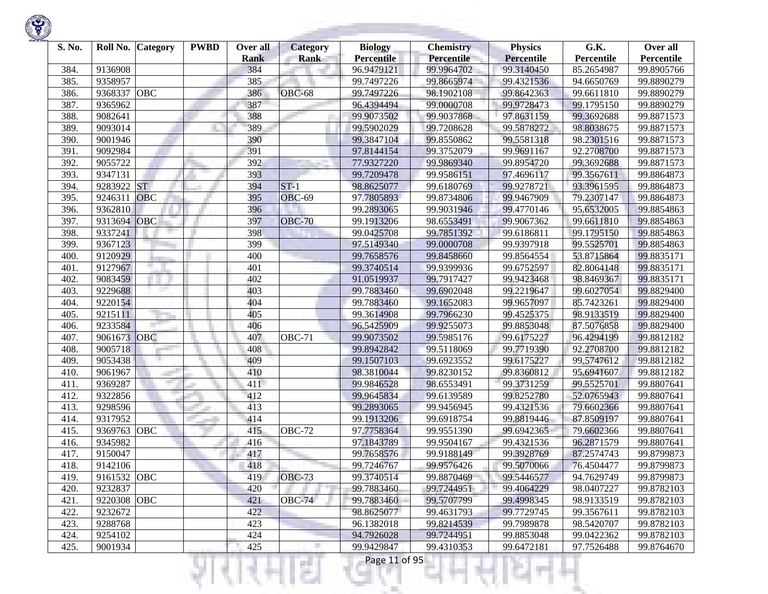

| S. No. | Roll No.    | <b>Category</b> | <b>PWBD</b> | Over all           | <b>Category</b> | <b>Biology</b>                  | <b>Chemistry</b>         | <b>Physics</b>                  | G.K.                     | Over all                 |
|--------|-------------|-----------------|-------------|--------------------|-----------------|---------------------------------|--------------------------|---------------------------------|--------------------------|--------------------------|
| 384.   | 9136908     |                 |             | <b>Rank</b><br>384 | <b>Rank</b>     | <b>Percentile</b><br>96.9479121 | Percentile<br>99.9964702 | <b>Percentile</b><br>99.3140450 | Percentile<br>85.2654987 | Percentile<br>99.8905766 |
| 385.   | 9358957     |                 |             | 385                |                 | 99.7497226                      | 99.8665974               | 99.4321536                      | 94.6650769               | 99.8890279               |
| 386.   | 9368337     | OBC             |             | 386                | OBC-68          | 99.7497226                      | 98.1902108               | 99.8642363                      | 99.6611810               | 99.8890279               |
| 387.   | 9365962     |                 |             | 387                |                 | 96.4394494                      | 99.0000708               | 99.9728473                      | 99.1795150               | 99.8890279               |
|        | 9082641     |                 |             | 388                |                 |                                 |                          | 97.8631159                      | 99.3692688               |                          |
| 388.   |             |                 |             |                    |                 | 99.9073502                      | 99.9037868               |                                 |                          | 99.8871573               |
| 389.   | 9093014     |                 |             | 389                |                 | 99.5902029                      | 99.7208628               | 99.5878272                      | 98.8038675               | 99.8871573               |
| 390.   | 9001946     |                 |             | 390                |                 | 99.3847104                      | 99.8550862               | 99.5581318                      | 98.2301516               | 99.8871573               |
| 391.   | 9092984     |                 |             | 391                |                 | 97.8144154                      | 99.3752079               | 99.9691167                      | 92.2708700               | 99.8871573               |
| 392.   | 9055722     |                 |             | 392                |                 | 77.9327220                      | 99.9869340               | 99.8954720                      | 99.3692688               | 99.8871573               |
| 393.   | 9347131     |                 |             | 393                |                 | 99.7209478                      | 99.9586151               | 97.4696117                      | 99.3567611               | 99.8864873               |
| 394.   | 9283922     | <b>ST</b>       |             | 394                | $ST-1$          | 98.8625077                      | 99.6180769               | 99.9278721                      | 93.3961595               | 99.8864873               |
| 395.   | 9246311     | <b>OBC</b>      |             | 395                | <b>OBC-69</b>   | 97.7805893                      | 99.8734806               | 99.9467909                      | 79.2307147               | 99.8864873               |
| 396.   | 9362810     |                 |             | 396                |                 | 99.2893065                      | 99.9031946               | 99.4770146                      | 95.6532005               | 99.8854863               |
| 397.   | 9313694     | OBC             |             | 397                | <b>OBC-70</b>   | 99.1913206                      | 98.6553491               | 99.9067362                      | 99.6611810               | 99.8854863               |
| 398.   | 9337241     |                 |             | 398                |                 | 99.0425708                      | 99.7851392               | 99.6186811                      | 99.1795150               | 99.8854863               |
| 399.   | 9367123     |                 |             | 399                |                 | 97.5149340                      | 99.0000708               | 99.9397918                      | 99.5525701               | 99.8854863               |
| 400.   | 9120929     |                 |             | 400                |                 | 99.7658576                      | 99.8458660               | 99.8564554                      | 53.8715864               | 99.8835171               |
| 401.   | 9127967     |                 |             | 401                |                 | 99.3740514                      | 99.9399936               | 99.6752597                      | 82.8064148               | 99.8835171               |
| 402.   | 9083459     |                 |             | 402                |                 | 91.0519937                      | 99.7917427               | 99.9423468                      | 98.8469367               | 99.8835171               |
| 403.   | 9229688     |                 |             | 403                |                 | 99.7883460                      | 99.6902048               | 99.2219647                      | 99.6027054               | 99.8829400               |
| 404.   | 9220154     |                 |             | 404                |                 | 99.7883460                      | 99.1652083               | 99.9657097                      | 85.7423261               | 99.8829400               |
| 405.   | 9215111     |                 |             | 405                |                 | 99.3614908                      | 99.7966230               | 99.4525375                      | 98.9133519               | 99.8829400               |
| 406.   | 9233584     |                 |             | 406                |                 | 96.5425909                      | 99.9255073               | 99.8853048                      | 87.5076858               | 99.8829400               |
| 407.   | 9061673     | OBC             |             | 407                | <b>OBC-71</b>   | 99.9073502                      | 99.5985176               | 99.6175227                      | 96.4294199               | 99.8812182               |
| 408.   | 9005718     |                 |             | 408                |                 | 99.8942842                      | 99.5118069               | 99.7719390                      | 92.2708700               | 99.8812182               |
| 409.   | 9053438     |                 |             | 409                |                 | 99.1507103                      | 99.6923552               | 99.6175227                      | 99.5747612               | 99.8812182               |
| 410.   | 9061967     |                 |             | 410                |                 | 98.3810044                      | 99.8230152               | 99.8360812                      | 95.6941607               | 99.8812182               |
| 411.   | 9369287     |                 |             | 411                |                 | 99.9846528                      | 98.6553491               | 99.3731259                      | 99.5525701               | 99.8807641               |
| 412.   | 9322856     |                 |             | 412                |                 | 99.9645834                      | 99.6139589               | 99.8252780                      | 52.0765943               | 99.8807641               |
| 413.   | 9298596     |                 |             | 413                |                 | 99.2893065                      | 99.9456945               | 99.4321536                      | 79.6602366               | 99.8807641               |
| 414.   | 9317952     |                 |             | 414                |                 | 99.1913206                      | 99.6918754               | 99.8819446                      | 87.8509197               | 99.8807641               |
| 415.   | 9369763     | OBC             |             | 415                | OBC-72          | 97.7758364                      | 99.9551390               | 99.6942365                      | 79.6602366               | 99.8807641               |
| 416.   | 9345982     |                 |             | 416                |                 | 97.1843789                      | 99.9504167               | 99.4321536                      | 96.2871579               | 99.8807641               |
| 417.   | 9150047     |                 |             | 417                |                 | 99.7658576                      | 99.9188149               | 99.3928769                      | 87.2574743               | 99.8799873               |
| 418.   | 9142106     |                 |             | 418                |                 | 99.7246767                      | 99.9576426               | 99.5070066                      | 76.4504477               | 99.8799873               |
| 419.   | 9161532 OBC |                 |             | 419                | <b>OBC-73</b>   | 99.3740514                      | 99.8870469               | 99.5446577                      | 94.7629749               | 99.8799873               |
| 420.   | 9232837     |                 |             | 420                |                 | 99.7883460                      | 99.7244951               | 99.4064229                      | 98.0407227               | 99.8782103               |
| 421.   | 9220308 OBC |                 |             | 421                | <b>OBC-74</b>   | 99.7883460                      | 99.5707799               | 99.4998345                      | 98.9133519               | 99.8782103               |
| 422.   | 9232672     |                 |             | 422                |                 | 98.8625077                      | 99.4631793               | 99.7729745                      | 99.3567611               | 99.8782103               |
| 423.   | 9288768     |                 |             | 423                |                 | 96.1382018                      | 99.8214539               | 99.7989878                      | 98.5420707               | 99.8782103               |
| 424.   | 9254102     |                 |             | 424                |                 | 94.7926028                      | 99.7244951               | 99.8853048                      | 99.0422362               | 99.8782103               |
| 425.   | 9001934     |                 |             | 425                |                 | 99.9429847                      | 99.4310353               | 99.6472181                      | 97.7526488               | 99.8764670               |

ાયનમ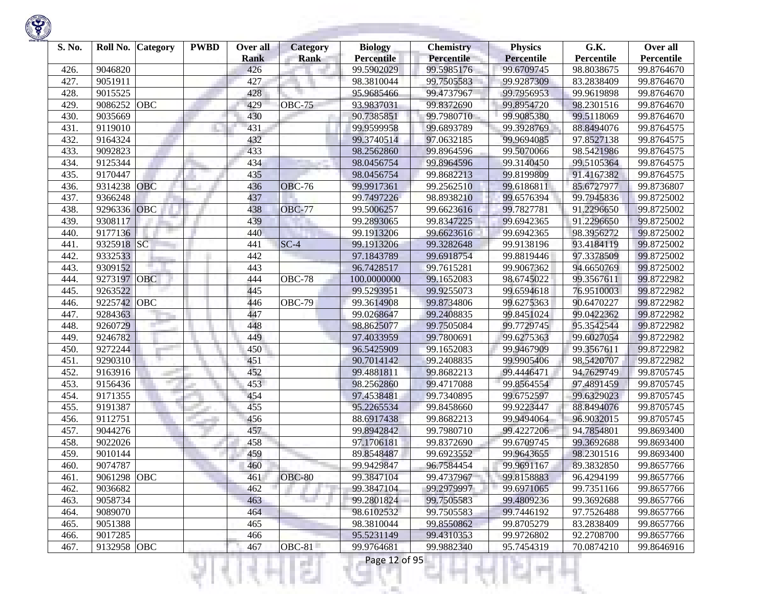| S. No.       | Roll No.    | <b>Category</b> | <b>PWBD</b> | Over all           | <b>Category</b> | <b>Biology</b>                  | <b>Chemistry</b>         | <b>Physics</b>                  | G.K.                     | Over all                 |
|--------------|-------------|-----------------|-------------|--------------------|-----------------|---------------------------------|--------------------------|---------------------------------|--------------------------|--------------------------|
|              | 9046820     |                 |             | <b>Rank</b><br>426 | <b>Rank</b>     | <b>Percentile</b><br>99.5902029 | Percentile<br>99.5985176 | <b>Percentile</b><br>99.6709745 | Percentile<br>98.8038675 | Percentile<br>99.8764670 |
| 426.<br>427. | 9051911     |                 |             | 427                |                 | 98.3810044                      | 99.7505583               | 99.9287309                      | 83.2838409               | 99.8764670               |
| 428.         | 9015525     |                 |             | 428                |                 | 95.9685466                      | 99.4737967               | 99.7956953                      | 99.9619898               | 99.8764670               |
|              | 9086252     | <b>OBC</b>      |             | 429                | <b>OBC-75</b>   | 93.9837031                      | 99.8372690               | 99.8954720                      | 98.2301516               | 99.8764670               |
| 429.         | 9035669     |                 |             | 430                |                 | 90.7385851                      | 99.7980710               |                                 | 99.5118069               |                          |
| 430.         |             |                 |             |                    |                 |                                 |                          | 99.9085380                      |                          | 99.8764670               |
| 431.         | 9119010     |                 |             | 431                |                 | 99.9599958                      | 99.6893789               | 99.3928769                      | 88.8494076               | 99.8764575               |
| 432.         | 9164324     |                 |             | 432                |                 | 99.3740514                      | 97.0632185               | 99.9694085                      | 97.8527138               | 99.8764575               |
| 433.         | 9092823     |                 |             | 433                |                 | 98.2562860                      | 99.8964596               | 99.5070066                      | 98.5421986               | 99.8764575               |
| 434.         | 9125344     |                 |             | 434                |                 | 98.0456754                      | 99.8964596               | 99.3140450                      | 99.5105364               | 99.8764575               |
| 435.         | 9170447     |                 |             | 435                |                 | 98.0456754                      | 99.8682213               | 99.8199809                      | 91.4167382               | 99.8764575               |
| 436.         | 9314238     | <b>OBC</b>      |             | 436                | <b>OBC-76</b>   | 99.9917361                      | 99.2562510               | 99.6186811                      | 85.6727977               | 99.8736807               |
| 437.         | 9366248     |                 |             | 437                |                 | 99.7497226                      | 98.8938210               | 99.6576394                      | 99.7945836               | 99.8725002               |
| 438.         | 9296336     | <b>OBC</b>      |             | 438                | <b>OBC-77</b>   | 99.5006257                      | 99.6623616               | 99.7827781                      | 91.2296650               | 99.8725002               |
| 439.         | 9308117     |                 |             | 439                |                 | 99.2893065                      | 99.8347225               | 99.6942365                      | 91.2296650               | 99.8725002               |
| 440.         | 9177136     |                 |             | 440                |                 | 99.1913206                      | 99.6623616               | 99.6942365                      | 98.3956272               | 99.8725002               |
| 441.         | 9325918     | SC              |             | 441                | $SC-4$          | 99.1913206                      | 99.3282648               | 99.9138196                      | 93.4184119               | 99.8725002               |
| 442.         | 9332533     |                 |             | 442                |                 | 97.1843789                      | 99.6918754               | 99.8819446                      | 97.3378509               | 99.8725002               |
| 443.         | 9309152     |                 |             | 443                |                 | 96.7428517                      | 99.7615281               | 99.9067362                      | 94.6650769               | 99.8725002               |
| 444.         | 9273197     | <b>OBC</b>      |             | 444                | <b>OBC-78</b>   | 100.0000000                     | 99.1652083               | 98.6745022                      | 99.3567611               | 99.8722982               |
| 445.         | 9263522     |                 |             | 445                |                 | 99.5293951                      | 99.9255073               | 99.6594618                      | 76.9510003               | 99.8722982               |
| 446.         | 9225742 OBC |                 |             | 446                | <b>OBC-79</b>   | 99.3614908                      | 99.8734806               | 99.6275363                      | 90.6470227               | 99.8722982               |
| 447.         | 9284363     |                 |             | 447                |                 | 99.0268647                      | 99.2408835               | 99.8451024                      | 99.0422362               | 99.8722982               |
| 448.         | 9260729     |                 |             | 448                |                 | 98.8625077                      | 99.7505084               | 99.7729745                      | 95.3542544               | 99.8722982               |
| 449.         | 9246782     |                 |             | 449                |                 | 97.4033959                      | 99.7800691               | 99.6275363                      | 99.6027054               | 99.8722982               |
| 450.         | 9272244     |                 |             | 450                |                 | 96.5425909                      | 99.1652083               | 99.9467909                      | 99.3567611               | 99.8722982               |
| 451.         | 9290310     |                 |             | 451                |                 | 90.7014142                      | 99.2408835               | 99.9905406                      | 98.5420707               | 99.8722982               |
| 452.         | 9163916     |                 |             | 452                |                 | 99.4881811                      | 99.8682213               | 99.4446471                      | 94.7629749               | 99.8705745               |
| 453.         | 9156436     |                 |             | 453                |                 | 98.2562860                      | 99.4717088               | 99.8564554                      | 97.4891459               | 99.8705745               |
| 454.         | 9171355     |                 |             | 454                |                 | 97.4538481                      | 99.7340895               | 99.6752597                      | 99.6329023               | 99.8705745               |
| 455.         | 9191387     |                 |             | 455                |                 | 95.2265534                      | 99.8458660               | 99.9223447                      | 88.8494076               | 99.8705745               |
| 456.         | 9112751     |                 |             | 456                |                 | 88.6917438                      | 99.8682213               | 99.9494064                      | 96.9032015               | 99.8705745               |
| 457.         | 9044276     |                 |             | 457                |                 | 99.8942842                      | 99.7980710               | 99.4227206                      | 94.7854801               | 99.8693400               |
| 458.         | 9022026     |                 |             | 458                |                 | 97.1706181                      | 99.8372690               | 99.6709745                      | 99.3692688               | 99.8693400               |
| 459.         | 9010144     |                 |             | 459                |                 | 89.8548487                      | 99.6923552               | 99.9643655                      | 98.2301516               | 99.8693400               |
| 460.         | 9074787     |                 |             | 460                |                 | 99.9429847                      | 96.7584454               | 99.9691167                      | 89.3832850               | 99.8657766               |
| 461.         | 9061298 OBC |                 |             | 461                | $OBC-80$        | 99.3847104                      | 99.4737967               | 99.8158883                      | 96.4294199               | 99.8657766               |
| 462.         | 9036682     |                 |             | 462                |                 | 99.3847104                      | 99.2979997               | 99.6971065                      | 99.7351166               | 99.8657766               |
| 463.         | 9058734     |                 |             | 463                |                 | 99.2801824                      | 99.7505583               | 99.4809236                      | 99.3692688               | 99.8657766               |
| 464.         | 9089070     |                 |             | 464                |                 | 98.6102532                      | 99.7505583               | 99.7446192                      | 97.7526488               | 99.8657766               |
| 465.         | 9051388     |                 |             | 465                |                 | 98.3810044                      | 99.8550862               | 99.8705279                      | 83.2838409               | 99.8657766               |
| 466.         | 9017285     |                 |             | 466                |                 | 95.5231149                      | 99.4310353               | 99.9726802                      | 92.2708700               | 99.8657766               |
| 467.         | 9132958 OBC |                 |             | 467                | $OBC-81$        | 99.9764681                      | 99.9882340               | 95.7454319                      | 70.0874210               | 99.8646916               |

a.

Ħ

ш

÷

K)

w

Ħ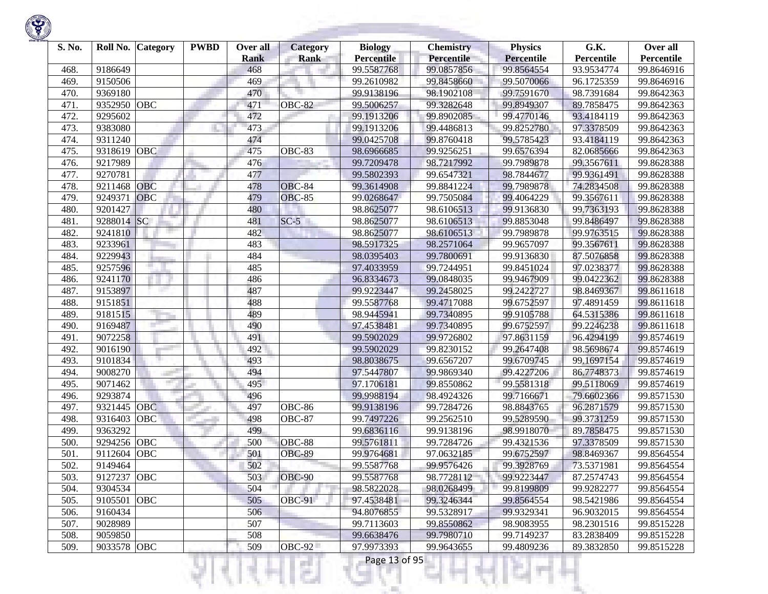| S. No. | Roll No.    | <b>Category</b> | <b>PWBD</b> | Over all<br><b>Rank</b> | <b>Category</b><br><b>Rank</b> | <b>Biology</b><br><b>Percentile</b> | <b>Chemistry</b><br><b>Percentile</b> | <b>Physics</b><br><b>Percentile</b> | G.K.<br>Percentile | Over all<br>Percentile |
|--------|-------------|-----------------|-------------|-------------------------|--------------------------------|-------------------------------------|---------------------------------------|-------------------------------------|--------------------|------------------------|
| 468.   | 9186649     |                 |             | 468                     |                                | 99.5587768                          | 99.0857856                            | 99.8564554                          | 93.9534774         | 99.8646916             |
| 469.   | 9150506     |                 |             | 469                     |                                | 99.2610982                          | 99.8458660                            | 99.5070066                          | 96.1725359         | 99.8646916             |
| 470.   | 9369180     |                 |             | 470                     |                                | 99.9138196                          | 98.1902108                            | 99.7591670                          | 98.7391684         | 99.8642363             |
| 471.   | 9352950     | OBC             |             | 471                     | OBC-82                         | 99.5006257                          | 99.3282648                            | 99.8949307                          | 89.7858475         | 99.8642363             |
| 472.   | 9295602     |                 |             | 472                     |                                | 99.1913206                          | 99.8902085                            | 99.4770146                          | 93.4184119         | 99.8642363             |
| 473.   | 9383080     |                 |             | 473                     |                                | 99.1913206                          | 99.4486813                            | 99.8252780                          | 97.3378509         | 99.8642363             |
| 474.   | 9311240     |                 |             | 474                     |                                | 99.0425708                          | 99.8760418                            | 99.5785423                          | 93.4184119         | 99.8642363             |
| 475.   | 9318619     | OBC             |             | 475                     | OBC-83                         | 98.6966685                          | 99.9256251                            | 99.6576394                          | 82.0685666         | 99.8642363             |
| 476.   | 9217989     |                 |             | 476                     |                                | 99.7209478                          | 98.7217992                            | 99.7989878                          | 99.3567611         | 99.8628388             |
| 477.   | 9270781     |                 |             | 477                     |                                | 99.5802393                          | 99.6547321                            | 98.7844677                          | 99.9361491         | 99.8628388             |
| 478.   | 9211468     | OBC             |             | 478                     | OBC-84                         | 99.3614908                          | 99.8841224                            | 99.7989878                          | 74.2834508         | 99.8628388             |
| 479.   | 9249371     | <b>OBC</b>      |             | 479                     | <b>OBC-85</b>                  | 99.0268647                          | 99.7505084                            | 99.4064229                          | 99.3567611         | 99.8628388             |
| 480.   | 9201427     |                 |             | 480                     |                                | 98.8625077                          | 98.6106513                            | 99.9136830                          | 99.7363193         | 99.8628388             |
| 481.   | 9288014     | SC              |             | 481                     | $SC-5$                         | 98.8625077                          | 98.6106513                            | 99.8853048                          | 99.8486497         | 99.8628388             |
| 482.   | 9241810     |                 |             | 482                     |                                | 98.8625077                          | 98.6106513                            | 99.7989878                          | 99.9763515         | 99.8628388             |
| 483.   | 9233961     |                 |             | 483                     |                                | 98.5917325                          | 98.2571064                            | 99.9657097                          | 99.3567611         | 99.8628388             |
| 484.   | 9229943     |                 |             | 484                     |                                | 98.0395403                          | 99.7800691                            | 99.9136830                          | 87.5076858         | 99.8628388             |
| 485.   | 9257596     |                 |             | 485                     |                                | 97.4033959                          | 99.7244951                            | 99.8451024                          | 97.0238377         | 99.8628388             |
| 486.   | 9241170     |                 |             | 486                     |                                | 96.8334673                          | 99.0848035                            | 99.9467909                          | 99.0422362         | 99.8628388             |
| 487.   | 9153897     |                 |             | 487                     |                                | 99.9223447                          | 99.2458025                            | 99.2422727                          | 98.8469367         | 99.8611618             |
| 488.   | 9151851     |                 |             | 488                     |                                | 99.5587768                          | 99.4717088                            | 99.6752597                          | 97.4891459         | 99.8611618             |
| 489.   | 9181515     |                 |             | 489                     |                                | 98.9445941                          | 99.7340895                            | 99.9105788                          | 64.5315386         | 99.8611618             |
| 490.   | 9169487     |                 |             | 490                     |                                | 97.4538481                          | 99.7340895                            | 99.6752597                          | 99.2246238         | 99.8611618             |
| 491.   | 9072258     |                 |             | 491                     |                                | 99.5902029                          | 99.9726802                            | 97.8631159                          | 96.4294199         | 99.8574619             |
| 492.   | 9016190     |                 |             | 492                     |                                | 99.5902029                          | 99.8230152                            | 99.2647408                          | 98.5698674         | 99.8574619             |
| 493.   | 9101834     |                 |             | 493                     |                                | 98.8038675                          | 99.6567207                            | 99.6709745                          | 99.1697154         | 99.8574619             |
| 494.   | 9008270     |                 |             | 494                     |                                | 97.5447807                          | 99.9869340                            | 99.4227206                          | 86.7748373         | 99.8574619             |
| 495.   | 9071462     | mar.            |             | 495                     |                                | 97.1706181                          | 99.8550862                            | 99.5581318                          | 99.5118069         | 99.8574619             |
| 496.   | 9293874     |                 |             | 496                     |                                | 99.9988194                          | 98.4924326                            | 99.7166671                          | 79.6602366         | 99.8571530             |
| 497.   | 9321445     | <b>OBC</b>      |             | 497                     | OBC-86                         | 99.9138196                          | 99.7284726                            | 98.8843765                          | 96.2871579         | 99.8571530             |
| 498.   | 9316403     | OBC             |             | 498                     | OBC-87                         | 99.7497226                          | 99.2562510                            | 99.5289590                          | 99.3731259         | 99.8571530             |
| 499.   | 9363292     |                 |             | 499                     |                                | 99.6836116                          | 99.9138196                            | 98.9918070                          | 89.7858475         | 99.8571530             |
| 500.   | 9294256     | <b>OBC</b>      |             | 500                     | $\overline{OBC}$ -88           | 99.5761811                          | 99.7284726                            | 99.4321536                          | 97.3378509         | 99.8571530             |
| 501    | 9112604     | <b>OBC</b>      |             | 501                     | OBC-89                         | 99.9764681                          | 97.0632185                            | 99.6752597                          | 98.8469367         | 99.8564554             |
| 502.   | 9149464     |                 |             | 502                     |                                | 99.5587768                          | 99.9576426                            | 99.3928769                          | 73.5371981         | 99.8564554             |
| 503.   | 9127237 OBC |                 |             | 503                     | OBC-90                         | 99.5587768                          | 98.7728112                            | 99.9223447                          | 87.2574743         | 99.8564554             |
| 504.   | 9304534     |                 |             | 504                     |                                | 98.5822028                          | 98.0268499                            | 99.8199809                          | 99.9282277         | 99.8564554             |
| 505.   | 9105501     | <b>OBC</b>      |             | 505                     | <b>OBC-91</b>                  | 97.4538481                          | 99.3246344                            | 99.8564554                          | 98.5421986         | 99.8564554             |
| 506.   | 9160434     |                 |             | 506                     |                                | 94.8076855                          | 99.5328917                            | 99.9329341                          | 96.9032015         | 99.8564554             |
| 507.   | 9028989     |                 |             | 507                     |                                | 99.7113603                          | 99.8550862                            | 98.9083955                          | 98.2301516         | 99.8515228             |
| 508.   | 9059850     |                 |             | 508                     |                                | 99.6638476                          | 99.7980710                            | 99.7149237                          | 83.2838409         | 99.8515228             |
| 509.   | 9033578 OBC |                 |             | 509                     | <b>OBC-92</b>                  | 97.9973393                          | 99.9643655                            | 99.4809236                          | 89.3832850         | 99.8515228             |

a.

₹Н

W.

m

ш

÷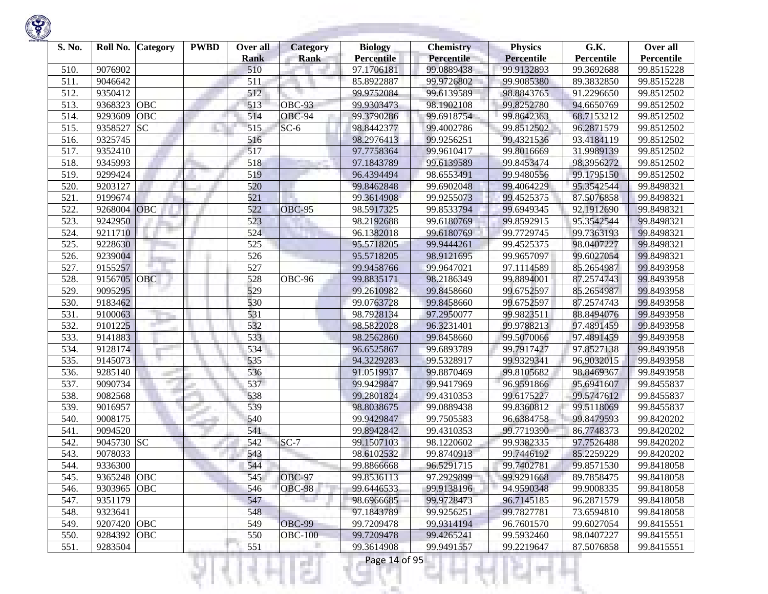| S. No. | Roll No.    | Category   | <b>PWBD</b> | Over all<br><b>Rank</b> | <b>Category</b><br><b>Rank</b> | <b>Biology</b><br><b>Percentile</b> | <b>Chemistry</b><br><b>Percentile</b> | <b>Physics</b><br><b>Percentile</b> | G.K.<br>Percentile | Over all<br>Percentile |
|--------|-------------|------------|-------------|-------------------------|--------------------------------|-------------------------------------|---------------------------------------|-------------------------------------|--------------------|------------------------|
| 510.   | 9076902     |            |             | 510                     |                                | 97.1706181                          | 99.0889438                            | 99.9132893                          | 99.3692688         | 99.8515228             |
| 511.   | 9046642     |            |             | 511                     |                                | 85.8922887                          | 99.9726802                            | 99.9085380                          | 89.3832850         | 99.8515228             |
| 512.   | 9350412     |            |             | 512                     |                                | 99.9752084                          | 99.6139589                            | 98.8843765                          | 91.2296650         | 99.8512502             |
| 513.   | 9368323     | <b>OBC</b> |             | 513                     | $OE-93$                        | 99.9303473                          | 98.1902108                            | 99.8252780                          | 94.6650769         | 99.8512502             |
| 514.   | 9293609     | OBC        |             | 514                     | OBC-94                         | 99.3790286                          | 99.6918754                            | 99.8642363                          | 68.7153212         | 99.8512502             |
| 515.   | 9358527     | <b>SC</b>  |             | 515                     | $SC-6$                         | 98.8442377                          | 99.4002786                            | 99.8512502                          | 96.2871579         | 99.8512502             |
| 516.   | 9325745     |            |             | 516                     |                                | 98.2976413                          | 99.9256251                            | 99.4321536                          | 93.4184119         | 99.8512502             |
| 517.   | 9352410     |            |             | 517                     |                                | 97.7758364                          | 99.9610417                            | 99.8016669                          | 31.9989139         | 99.8512502             |
| 518.   | 9345993     |            |             | 518                     |                                | 97.1843789                          | 99.6139589                            | 99.8453474                          | 98.3956272         | 99.8512502             |
| 519.   | 9299424     |            |             | 519                     |                                | 96.4394494                          | 98.6553491                            | 99.9480556                          | 99.1795150         | 99.8512502             |
| 520.   | 9203127     |            |             | 520                     |                                | 99.8462848                          | 99.6902048                            | 99.4064229                          | 95.3542544         | 99.8498321             |
| 521.   | 9199674     |            |             | 521                     |                                | 99.3614908                          | 99.9255073                            | 99.4525375                          | 87.5076858         | 99.8498321             |
| 522.   | 9268004     | <b>OBC</b> |             | 522                     | <b>OBC-95</b>                  | 98.5917325                          | 99.8533794                            | 99.6949345                          | 92.1912690         | 99.8498321             |
| 523.   | 9242950     |            |             | 523                     |                                | 98.2192688                          | 99.6180769                            | 99.8592915                          | 95.3542544         | 99.8498321             |
| 524.   | 9211710     |            |             | 524                     |                                | 96.1382018                          | 99.6180769                            | 99.7729745                          | 99.7363193         | 99.8498321             |
| 525.   | 9228630     |            |             | 525                     |                                | 95.5718205                          | 99.9444261                            | 99.4525375                          | 98.0407227         | 99.8498321             |
| 526.   | 9239004     |            |             | 526                     |                                | 95.5718205                          | 98.9121695                            | 99.9657097                          | 99.6027054         | 99.8498321             |
| 527.   | 9155257     |            |             | 527                     |                                | 99.9458766                          | 99.9647021                            | 97.1114589                          | 85.2654987         | 99.8493958             |
| 528.   | 9156705 OBC |            |             | 528                     | OBC-96                         | 99.8835171                          | 98.2186349                            | 99.8894001                          | 87.2574743         | 99.8493958             |
| 529.   | 9095295     |            |             | 529                     |                                | 99.2610982                          | 99.8458660                            | 99.6752597                          | 85.2654987         | 99.8493958             |
| 530.   | 9183462     |            |             | 530                     |                                | 99.0763728                          | 99.8458660                            | 99.6752597                          | 87.2574743         | 99.8493958             |
| 531.   | 9100063     |            |             | 531                     |                                | 98.7928134                          | 97.2950077                            | 99.9823511                          | 88.8494076         | 99.8493958             |
| 532.   | 9101225     |            |             | 532                     |                                | 98.5822028                          | 96.3231401                            | 99.9788213                          | 97.4891459         | 99.8493958             |
| 533.   | 9141883     |            |             | 533                     |                                | 98.2562860                          | 99.8458660                            | 99.5070066                          | 97.4891459         | 99.8493958             |
| 534.   | 9128174     |            |             | 534                     |                                | 96.6525867                          | 99.6893789                            | 99.7917427                          | 97.8527138         | 99.8493958             |
| 535.   | 9145073     |            |             | 535                     |                                | 94.3229283                          | 99.5328917                            | 99.9329341                          | 96.9032015         | 99.8493958             |
| 536.   | 9285140     |            |             | 536                     |                                | 91.0519937                          | 99.8870469                            | 99.8105682                          | 98.8469367         | 99.8493958             |
| 537.   | 9090734     |            |             | 537                     |                                | 99.9429847                          | 99.9417969                            | 96.9591866                          | 95.6941607         | 99.8455837             |
| 538.   | 9082568     |            |             | 538                     |                                | 99.2801824                          | 99.4310353                            | 99.6175227                          | 99.5747612         | 99.8455837             |
| 539.   | 9016957     |            |             | 539                     |                                | 98.8038675                          | 99.0889438                            | 99.8360812                          | 99.5118069         | 99.8455837             |
| 540.   | 9008175     |            |             | 540                     |                                | 99.9429847                          | 99.7505583                            | 96.6384758                          | 99.8479593         | 99.8420202             |
| 541.   | 9094520     |            |             | 541                     |                                | 99.8942842                          | 99.4310353                            | 99.7719390                          | 86.7748373         | 99.8420202             |
| 542.   | 9045730 SC  |            |             | 542                     | $SC-7$                         | 99.1507103                          | 98.1220602                            | 99.9382335                          | 97.7526488         | 99.8420202             |
| 543.   | 9078033     |            |             | 543                     |                                | 98.6102532                          | 99.8740913                            | 99.7446192                          | 85.2259229         | 99.8420202             |
| 544.   | 9336300     |            |             | 544                     |                                | 99.8866668                          | 96.5291715                            | 99.7402781                          | 99.8571530         | 99.8418058             |
| 545.   | 9365248 OBC |            |             | 545                     | <b>OBC-97</b>                  | 99.8536113                          | 97.2929899                            | 99.9291668                          | 89.7858475         | 99.8418058             |
| 546.   | 9303965 OBC |            |             | 546                     | <b>OBC-98</b>                  | 99.6446533                          | 99.9138196                            | 94.9590348                          | 99.9008335         | 99.8418058             |
| 547.   | 9351179     |            |             | 547                     |                                | 98.6966685                          | 99.9728473                            | 96.7145185                          | 96.2871579         | 99.8418058             |
| 548.   | 9323641     |            |             | 548                     |                                | 97.1843789                          | 99.9256251                            | 99.7827781                          | 73.6594810         | 99.8418058             |
| 549.   | 9207420 OBC |            |             | 549                     | <b>OBC-99</b>                  | 99.7209478                          | 99.9314194                            | 96.7601570                          | 99.6027054         | 99.8415551             |
| 550.   | 9284392 OBC |            |             | 550                     | <b>OBC-100</b>                 | 99.7209478                          | 99.4265241                            | 99.5932460                          | 98.0407227         | 99.8415551             |
| 551.   | 9283504     |            |             | 551                     |                                | 99.3614908                          | 99.9491557                            | 99.2219647                          | 87.5076858         | 99.8415551             |
|        |             |            |             |                         | a a                            | Page 14 of 95                       |                                       |                                     |                    |                        |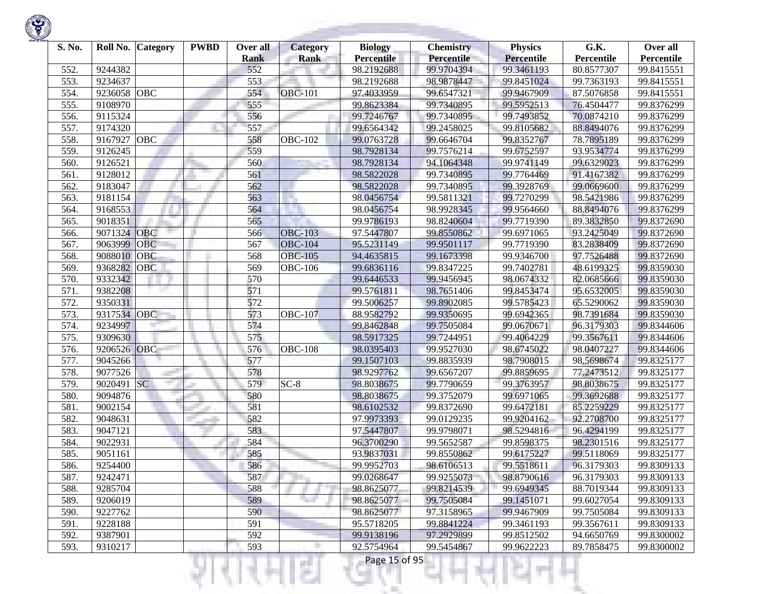| S. No. | Roll No. | Category   | <b>PWBD</b> | Over all<br><b>Rank</b> | <b>Category</b><br><b>Rank</b> | <b>Biology</b><br><b>Percentile</b> | <b>Chemistry</b><br><b>Percentile</b> | <b>Physics</b><br><b>Percentile</b> | G.K.<br>Percentile | Over all<br>Percentile |
|--------|----------|------------|-------------|-------------------------|--------------------------------|-------------------------------------|---------------------------------------|-------------------------------------|--------------------|------------------------|
| 552.   | 9244382  |            |             | 552                     |                                | 98.2192688                          | 99.9704394                            | 99.3461193                          | 80.8577307         | 99.8415551             |
| 553.   | 9234637  |            |             | 553                     |                                | 98.2192688                          | 98.9878447                            | 99.8451024                          | 99.7363193         | 99.8415551             |
| 554.   | 9236058  | <b>OBC</b> |             | 554                     | <b>OBC-101</b>                 | 97.4033959                          | 99.6547321                            | 99.9467909                          | 87.5076858         | 99.8415551             |
| 555.   | 9108970  |            |             | 555                     |                                | 99.8623384                          | 99.7340895                            | 99.5952513                          | 76.4504477         | 99.8376299             |
| 556.   | 9115324  |            |             | 556                     |                                | 99.7246767                          | 99.7340895                            | 99.7493852                          | 70.0874210         | 99.8376299             |
| 557.   | 9174320  |            |             | 557                     |                                | 99.6564342                          | 99.2458025                            | 99.8105682                          | 88.8494076         | 99.8376299             |
| 558.   | 9167927  | OBC        |             | 558                     | <b>OBC-102</b>                 | 99.0763728                          | 99.6646704                            | 99.8352767                          | 78.7895189         | 99.8376299             |
| 559.   | 9126245  |            |             | 559                     |                                | 98.7928134                          | 99.7576214                            | 99.6752597                          | 93.9534774         | 99.8376299             |
| 560.   | 9126521  |            |             | 560                     |                                | 98.7928134                          | 94.1064348                            | 99.9741149                          | 99.6329023         | 99.8376299             |
| 561.   | 9128012  |            |             | 561                     |                                | 98.5822028                          | 99.7340895                            | 99.7764469                          | 91.4167382         | 99.8376299             |
| 562.   | 9183047  |            |             | 562                     |                                | 98.5822028                          | 99.7340895                            | 99.3928769                          | 99.0669600         | 99.8376299             |
| 563.   | 9181154  |            |             | 563                     | u.                             | 98.0456754                          | 99.5811321                            | 99.7270299                          | 98.5421986         | 99.8376299             |
| 564.   | 9168553  |            |             | 564                     |                                | 98.0456754                          | 98.9928345                            | 99.9564660                          | 88.8494076         | 99.8376299             |
| 565.   | 9018351  |            |             | 565                     |                                | 99.9786193                          | 98.8240604                            | 99.7719390                          | 89.3832850         | 99.8372690             |
| 566.   | 9071324  | <b>OBC</b> |             | 566                     | <b>OBC-103</b>                 | 97.5447807                          | 99.8550862                            | 99.6971065                          | 93.2425049         | 99.8372690             |
| 567.   | 9063999  | <b>OBC</b> |             | 567                     | <b>OBC-104</b>                 | 95.5231149                          | 99.9501117                            | 99.7719390                          | 83.2838409         | 99.8372690             |
| 568.   | 9088010  | <b>OBC</b> |             | 568                     | <b>OBC-105</b>                 | 94.4635815                          | 99.1673398                            | 99.9346700                          | 97.7526488         | 99.8372690             |
| 569.   | 9368282  | <b>OBC</b> |             | 569                     | <b>OBC-106</b>                 | 99.6836116                          | 99.8347225                            | 99.7402781                          | 48.6199325         | 99.8359030             |
| 570.   | 9332342  |            |             | 570                     |                                | 99.6446533                          | 99.9456945                            | 98.0674332                          | 82.0685666         | 99.8359030             |
| 571.   | 9382208  |            |             | 571                     |                                | 99.5761811                          | 98.7651406                            | 99.8453474                          | 95.6532005         | 99.8359030             |
| 572.   | 9350331  |            |             | 572                     |                                | 99.5006257                          | 99.8902085                            | 99.5785423                          | 65.5290062         | 99.8359030             |
| 573.   | 9317534  | <b>OBC</b> |             | 573                     | <b>OBC-107</b>                 | 88.9582792                          | 99.9350695                            | 99.6942365                          | 98.7391684         | 99.8359030             |
| 574.   | 9234997  |            |             | 574                     |                                | 99.8462848                          | 99.7505084                            | 99.0670671                          | 96.3179303         | 99.8344606             |
| 575.   | 9309630  |            |             | 575                     |                                | 98.5917325                          | 99.7244951                            | 99.4064229                          | 99.3567611         | 99.8344606             |
| 576.   | 9206526  | OBC        |             | 576                     | <b>OBC-108</b>                 | 98.0395403                          | 99.9527030                            | 98.6745022                          | 98.0407227         | 99.8344606             |
| 577.   | 9045266  |            |             | 577                     |                                | 99.1507103                          | 99.8835939                            | 98.7908015                          | 98.5698674         | 99.8325177             |
| 578.   | 9077526  |            |             | 578                     |                                | 98.9297762                          | 99.6567207                            | 99.8859695                          | 77.2473512         | 99.8325177             |
| 579.   | 9020491  | <b>SC</b>  |             | 579                     | $SC-8$                         | 98.8038675                          | 99.7790659                            | 99.3763957                          | 98.8038675         | 99.8325177             |
| 580.   | 9094876  |            |             | 580                     |                                | 98.8038675                          | 99.3752079                            | 99.6971065                          | 99.3692688         | 99.8325177             |
| 581.   | 9002154  |            |             | 581                     |                                | 98.6102532                          | 99.8372690                            | 99.6472181                          | 85.2259229         | 99.8325177             |
| 582.   | 9048631  |            |             | 582                     |                                | 97.9973393                          | 99.0129235                            | 99.9204162                          | 92.2708700         | 99.8325177             |
| 583.   | 9047121  |            |             | 583                     |                                | 97.5447807                          | 99.9798071                            | 98.5294816                          | 96.4294199         | 99.8325177             |
| 584.   | 9022931  |            |             | 584                     |                                | 96.3700290                          | 99.5652587                            | 99.8598375                          | 98.2301516         | 99.8325177             |
| 585.   | 9051161  |            |             | 585                     |                                | 93.9837031                          | 99.8550862                            | 99.6175227                          | 99.5118069         | 99.8325177             |
| 586.   | 9254400  |            |             | 586                     |                                | 99.9952703                          | 98.6106513                            | 99.5518611                          | 96.3179303         | 99.8309133             |
| 587.   | 9242471  |            |             | 587                     |                                | 99.0268647                          | 99.9255073                            | 98.8790616                          | 96.3179303         | 99.8309133             |
| 588.   | 9285704  |            |             | 588                     |                                | 98.8625077                          | 99.8214539                            | 99.6949345                          | 88.7019344         | 99.8309133             |
| 589.   | 9206019  |            |             | 589                     |                                | 98.8625077                          | 99.7505084                            | 99.1451071                          | 99.6027054         | 99.8309133             |
| 590.   | 9227762  |            |             | 590                     |                                | 98.8625077                          | 97.3158965                            | 99.9467909                          | 99.7505084         | 99.8309133             |
| 591.   | 9228188  |            |             | 591                     |                                | 95.5718205                          | 99.8841224                            | 99.3461193                          | 99.3567611         | 99.8309133             |
| 592.   | 9387901  |            |             | 592                     |                                | 99.9138196                          | 97.2929899                            | 99.8512502                          | 94.6650769         | 99.8300002             |
| 593.   | 9310217  |            |             | 593                     |                                | 92.5754964                          | 99.5454867                            | 99.9622223                          | 89.7858475         | 99.8300002             |
|        |          |            |             |                         |                                | Page 15 of 95                       |                                       |                                     |                    |                        |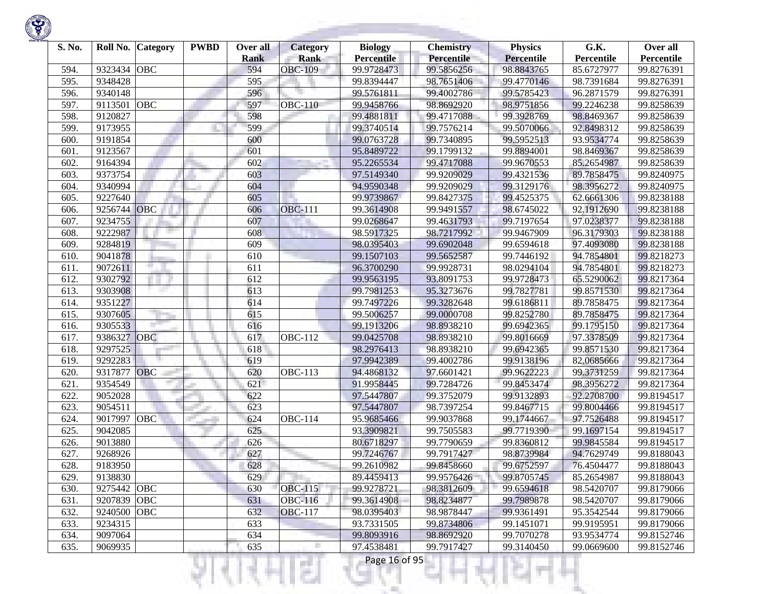| S. No. | Roll No.    | Category   | <b>PWBD</b> | Over all<br><b>Rank</b> | <b>Category</b><br><b>Rank</b> | <b>Biology</b><br><b>Percentile</b> | <b>Chemistry</b><br><b>Percentile</b> | <b>Physics</b><br><b>Percentile</b> | G.K.<br>Percentile | Over all<br>Percentile |
|--------|-------------|------------|-------------|-------------------------|--------------------------------|-------------------------------------|---------------------------------------|-------------------------------------|--------------------|------------------------|
| 594.   | 9323434     | <b>OBC</b> |             | 594                     | <b>OBC-109</b>                 | 99.9728473                          | 99.5856256                            | 98.8843765                          | 85.6727977         | 99.8276391             |
| 595.   | 9348428     |            |             | 595                     |                                | 99.8394447                          | 98.7651406                            | 99.4770146                          | 98.7391684         | 99.8276391             |
| 596.   | 9340148     |            |             | 596                     |                                | 99.5761811                          | 99.4002786                            | 99.5785423                          | 96.2871579         | 99.8276391             |
| 597.   | 9113501     | <b>OBC</b> |             | 597                     | <b>OBC-110</b>                 | 99.9458766                          | 98.8692920                            | 98.9751856                          | 99.2246238         | 99.8258639             |
| 598.   | 9120827     |            |             | 598                     |                                | 99.4881811                          | 99.4717088                            | 99.3928769                          | 98.8469367         | 99.8258639             |
| 599    | 9173955     |            |             | 599                     |                                | 99.3740514                          | 99.7576214                            | 99.5070066                          | 92.8498312         | 99.8258639             |
| 600.   | 9191854     |            |             | 600                     |                                | 99.0763728                          | 99.7340895                            | 99.5952513                          | 93.9534774         | 99.8258639             |
| 601.   | 9123567     |            |             | 601                     |                                | 95.8489722                          | 99.1799132                            | 99.8894001                          | 98.8469367         | 99.8258639             |
| 602.   | 9164394     |            |             | 602                     |                                | 95.2265534                          | 99.4717088                            | 99.9670553                          | 85.2654987         | 99.8258639             |
| 603.   | 9373754     |            |             | 603                     |                                | 97.5149340                          | 99.9209029                            | 99.4321536                          | 89.7858475         | 99.8240975             |
| 604.   | 9340994     |            |             | 604                     |                                | 94.9590348                          | 99.9209029                            | 99.3129176                          | 98.3956272         | 99.8240975             |
| 605.   | 9227640     |            |             | 605                     |                                | 99.9739867                          | 99.8427375                            | 99.4525375                          | 62.6661306         | 99.8238188             |
| 606.   | 9256744     | OBC        |             | 606                     | <b>OBC-111</b>                 | 99.3614908                          | 99.9491557                            | 98.6745022                          | 92.1912690         | 99.8238188             |
| 607.   | 9234755     |            |             | 607                     |                                | 99.0268647                          | 99.4631793                            | 99.7197654                          | 97.0238377         | 99.8238188             |
| 608.   | 9222987     |            |             | 608                     |                                | 98.5917325                          | 98.7217992                            | 99.9467909                          | 96.3179303         | 99.8238188             |
| 609    | 9284819     |            |             | 609                     |                                | 98.0395403                          | 99.6902048                            | 99.6594618                          | 97.4093080         | 99.8238188             |
| 610.   | 9041878     |            |             | 610                     |                                | 99.1507103                          | 99.5652587                            | 99.7446192                          | 94.7854801         | 99.8218273             |
| 611.   | 9072611     |            |             | 611                     |                                | 96.3700290                          | 99.9928731                            | 98.0294104                          | 94.7854801         | 99.8218273             |
| 612.   | 9302792     |            |             | 612                     |                                | 99.9563195                          | 93.8091753                            | 99.9728473                          | 65.5290062         | 99.8217364             |
| 613.   | 9303908     |            |             | 613                     |                                | 99.7981253                          | 95.3273676                            | 99.7827781                          | 99.8571530         | 99.8217364             |
| 614.   | 9351227     |            |             | 614                     |                                | 99.7497226                          | 99.3282648                            | 99.6186811                          | 89.7858475         | 99.8217364             |
| 615.   | 9307605     |            |             | 615                     |                                | 99.5006257                          | 99.0000708                            | 99.8252780                          | 89.7858475         | 99.8217364             |
| 616.   | 9305533     |            |             | 616                     |                                | 99.1913206                          | 98.8938210                            | 99.6942365                          | 99.1795150         | 99.8217364             |
| 617.   | 9386327     | OBC        |             | 617                     | <b>OBC-112</b>                 | 99.0425708                          | 98.8938210                            | 99.8016669                          | 97.3378509         | 99.8217364             |
| 618.   | 9297525     |            |             | 618                     |                                | 98.2976413                          | 98.8938210                            | 99.6942365                          | 99.8571530         | 99.8217364             |
| 619.   | 9292283     |            |             | 619                     |                                | 97.9942389                          | 99.4002786                            | 99.9138196                          | 82.0685666         | 99.8217364             |
| 620.   | 9317877     | <b>OBC</b> |             | 620                     | <b>OBC-113</b>                 | 94.4868132                          | 97.6601421                            | 99.9622223                          | 99.3731259         | 99.8217364             |
| 621.   | 9354549     |            |             | 621                     |                                | 91.9958445                          | 99.7284726                            | 99.8453474                          | 98.3956272         | 99.8217364             |
| 622.   | 9052028     |            |             | 622                     |                                | 97.5447807                          | 99.3752079                            | 99.9132893                          | 92.2708700         | 99.8194517             |
| 623.   | 9054511     |            |             | 623                     |                                | 97.5447807                          | 98.7397254                            | 99.8467715                          | 99.8004466         | 99.8194517             |
| 624.   | 9017997     | OBC        |             | 624                     | <b>OBC-114</b>                 | 95.9685466                          | 99.9037868                            | 99.1744667                          | 97.7526488         | 99.8194517             |
| 625.   | 9042085     |            |             | 625                     |                                | 93.3909821                          | 99.7505583                            | 99.7719390                          | 99.1697154         | 99.8194517             |
| 626.   | 9013880     |            |             | 626                     |                                | 80.6718297                          | 99.7790659                            | 99.8360812                          | 99.9845584         | 99.8194517             |
| 627.   | 9268926     |            |             | 627                     |                                | 99.7246767                          | 99.7917427                            | 98.8739984                          | 94.7629749         | 99.8188043             |
| 628.   | 9183950     |            |             | 628                     |                                | 99.2610982                          | 99.8458660                            | 99.6752597                          | 76.4504477         | 99.8188043             |
| 629.   | 9138830     |            |             | 629                     |                                | 89.4459413                          | 99.9576426                            | 99.8705745                          | 85.2654987         | 99.8188043             |
| 630.   | 9275442 OBC |            |             | 630                     | <b>OBC-115</b>                 | 99.9278721                          | 98.3812609                            | 99.6594618                          | 98.5420707         | 99.8179066             |
| 631.   | 9207839 OBC |            |             | 631                     | <b>OBC-116</b>                 | 99.3614908                          | 98.8234877                            | 99.7989878                          | 98.5420707         | 99.8179066             |
| 632.   | 9240500     | OBC        |             | 632                     | <b>OBC-117</b>                 | 98.0395403                          | 98.9878447                            | 99.9361491                          | 95.3542544         | 99.8179066             |
| 633.   | 9234315     |            |             | 633                     |                                | 93.7331505                          | 99.8734806                            | 99.1451071                          | 99.9195951         | 99.8179066             |
| 634.   | 9097064     |            |             | 634                     |                                | 99.8093916                          | 98.8692920                            | 99.7070278                          | 93.9534774         | 99.8152746             |
| 635.   | 9069935     |            |             | 635                     |                                | 97.4538481                          | 99.7917427                            | 99.3140450                          | 99.0669600         | 99.8152746             |
|        |             |            |             |                         | s                              | Page 16 of 95                       |                                       |                                     |                    |                        |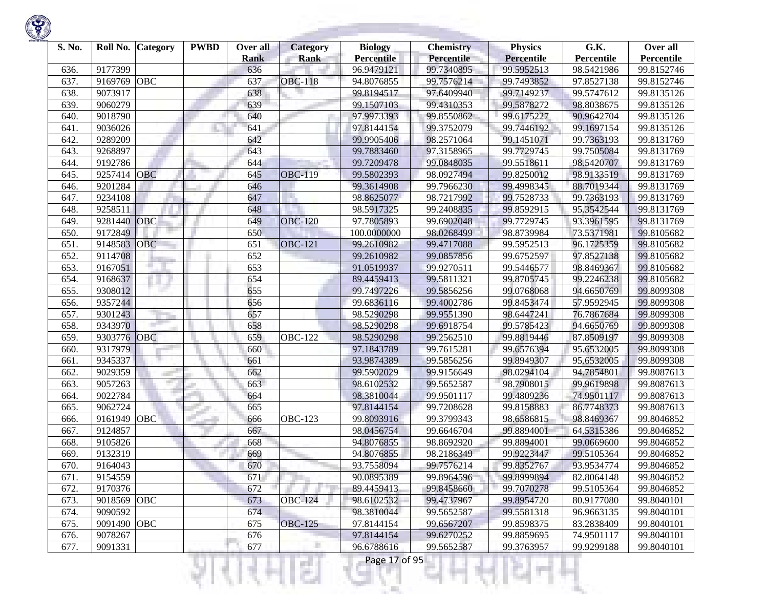| S. No. | Roll No. | <b>Category</b> | <b>PWBD</b> | Over all    | <b>Category</b> | <b>Biology</b>    | <b>Chemistry</b>  | <b>Physics</b>    | G.K.       | Over all   |
|--------|----------|-----------------|-------------|-------------|-----------------|-------------------|-------------------|-------------------|------------|------------|
|        |          |                 |             | <b>Rank</b> | <b>Rank</b>     | <b>Percentile</b> | <b>Percentile</b> | <b>Percentile</b> | Percentile | Percentile |
| 636.   | 9177399  |                 |             | 636         |                 | 96.9479121        | 99.7340895        | 99.5952513        | 98.5421986 | 99.8152746 |
| 637.   | 9169769  | OBC             |             | 637         | <b>OBC-118</b>  | 94.8076855        | 99.7576214        | 99.7493852        | 97.8527138 | 99.8152746 |
| 638.   | 9073917  |                 |             | 638         |                 | 99.8194517        | 97.6409940        | 99.7149237        | 99.5747612 | 99.8135126 |
| 639.   | 9060279  |                 |             | 639         |                 | 99.1507103        | 99.4310353        | 99.5878272        | 98.8038675 | 99.8135126 |
| 640.   | 9018790  |                 |             | 640         |                 | 97.9973393        | 99.8550862        | 99.6175227        | 90.9642704 | 99.8135126 |
| 641.   | 9036026  |                 |             | 641         |                 | 97.8144154        | 99.3752079        | 99.7446192        | 99.1697154 | 99.8135126 |
| 642.   | 9289209  |                 |             | 642         |                 | 99.9905406        | 98.2571064        | 99.1451071        | 99.7363193 | 99.8131769 |
| 643.   | 9268897  |                 |             | 643         |                 | 99.7883460        | 97.3158965        | 99.7729745        | 99.7505084 | 99.8131769 |
| 644.   | 9192786  |                 |             | 644         |                 | 99.7209478        | 99.0848035        | 99.5518611        | 98.5420707 | 99.8131769 |
| 645.   | 9257414  | <b>OBC</b>      |             | 645         | <b>OBC-119</b>  | 99.5802393        | 98.0927494        | 99.8250012        | 98.9133519 | 99.8131769 |
| 646.   | 9201284  |                 |             | 646         |                 | 99.3614908        | 99.7966230        | 99.4998345        | 88.7019344 | 99.8131769 |
| 647.   | 9234108  |                 |             | 647         |                 | 98.8625077        | 98.7217992        | 99.7528733        | 99.7363193 | 99.8131769 |
| 648.   | 9258511  |                 |             | 648         |                 | 98.5917325        | 99.2408835        | 99.8592915        | 95.3542544 | 99.8131769 |
| 649.   | 9281440  | OBC             |             | 649         | <b>OBC-120</b>  | 97.7805893        | 99.6902048        | 99.7729745        | 93.3961595 | 99.8131769 |
| 650.   | 9172849  |                 |             | 650         |                 | 100.0000000       | 98.0268499        | 98.8739984        | 73.5371981 | 99.8105682 |
| 651.   | 9148583  | <b>OBC</b>      |             | 651         | <b>OBC-121</b>  | 99.2610982        | 99.4717088        | 99.5952513        | 96.1725359 | 99.8105682 |
| 652.   | 9114708  |                 |             | 652         |                 | 99.2610982        | 99.0857856        | 99.6752597        | 97.8527138 | 99.8105682 |
| 653.   | 9167051  |                 |             | 653         |                 | 91.0519937        | 99.9270511        | 99.5446577        | 98.8469367 | 99.8105682 |
| 654.   | 9168637  |                 |             | 654         |                 | 89.4459413        | 99.5811321        | 99.8705745        | 99.2246238 | 99.8105682 |
| 655.   | 9308012  |                 |             | 655         |                 | 99.7497226        | 99.5856256        | 99.0768068        | 94.6650769 | 99.8099308 |
| 656.   | 9357244  |                 |             | 656         |                 | 99.6836116        | 99.4002786        | 99.8453474        | 57.9592945 | 99.8099308 |
| 657.   | 9301243  |                 |             | 657         |                 | 98.5290298        | 99.9551390        | 98.6447241        | 76.7867684 | 99.8099308 |
| 658.   | 9343970  |                 |             | 658         |                 | 98.5290298        | 99.6918754        | 99.5785423        | 94.6650769 | 99.8099308 |
| 659.   | 9303776  | OBC             |             | 659         | <b>OBC-122</b>  | 98.5290298        | 99.2562510        | 99.8819446        | 87.8509197 | 99.8099308 |
| 660.   | 9317979  |                 |             | 660         |                 | 97.1843789        | 99.7615281        | 99.6576394        | 95.6532005 | 99.8099308 |
| 661.   | 9345337  |                 |             | 661         |                 | 93.9874389        | 99.5856256        | 99.8949307        | 95.6532005 | 99.8099308 |
| 662.   | 9029359  |                 |             | 662         |                 | 99.5902029        | 99.9156649        | 98.0294104        | 94.7854801 | 99.8087613 |
| 663.   | 9057263  | m.              |             | 663         |                 | 98.6102532        | 99.5652587        | 98.7908015        | 99.9619898 | 99.8087613 |
| 664.   | 9022784  |                 |             | 664         |                 | 98.3810044        | 99.9501117        | 99.4809236        | 74.9501117 | 99.8087613 |
| 665.   | 9062724  |                 |             | 665         |                 | 97.8144154        | 99.7208628        | 99.8158883        | 86.7748373 | 99.8087613 |
| 666.   | 9161949  | OBC             |             | 666         | <b>OBC-123</b>  | 99.8093916        | 99.3799343        | 98.6586815        | 98.8469367 | 99.8046852 |
| 667.   | 9124857  |                 |             | 667         |                 | 98.0456754        | 99.6646704        | 99.8894001        | 64.5315386 | 99.8046852 |
| 668.   | 9105826  |                 |             | 668         |                 | 94.8076855        | 98.8692920        | 99.8894001        | 99.0669600 | 99.8046852 |
| 669.   | 9132319  |                 |             | 669         |                 | 94.8076855        | 98.2186349        | 99.9223447        | 99.5105364 | 99.8046852 |
| 670.   | 9164043  |                 |             | 670         |                 | 93.7558094        | 99.7576214        | 99.8352767        | 93.9534774 | 99.8046852 |
| 671.   | 9154559  |                 |             | 671         |                 | 90.0895389        | 99.8964596        | 99.8999894        | 82.8064148 | 99.8046852 |
| 672.   | 9170376  |                 |             | 672         |                 | 89.4459413        |                   |                   |            |            |
|        | 9018569  |                 |             |             | <b>OBC-124</b>  |                   | 99.8458660        | 99.7070278        | 99.5105364 | 99.8046852 |
| 673.   |          | OBC             |             | 673         |                 | 98.6102532        | 99.4737967        | 99.8954720        | 80.9177080 | 99.8040101 |
| 674.   | 9090592  |                 |             | 674         |                 | 98.3810044        | 99.5652587        | 99.5581318        | 96.9663135 | 99.8040101 |
| 675.   | 9091490  | OBC             |             | 675         | <b>OBC-125</b>  | 97.8144154        | 99.6567207        | 99.8598375        | 83.2838409 | 99.8040101 |
| 676.   | 9078267  |                 |             | 676         |                 | 97.8144154        | 99.6270252        | 99.8859695        | 74.9501117 | 99.8040101 |
| 677.   | 9091331  |                 |             | 677         | г               | 96.6788616        | 99.5652587        | 99.3763957        | 99.9299188 | 99.8040101 |

Ħ

Ш

27

K)

w

Ħ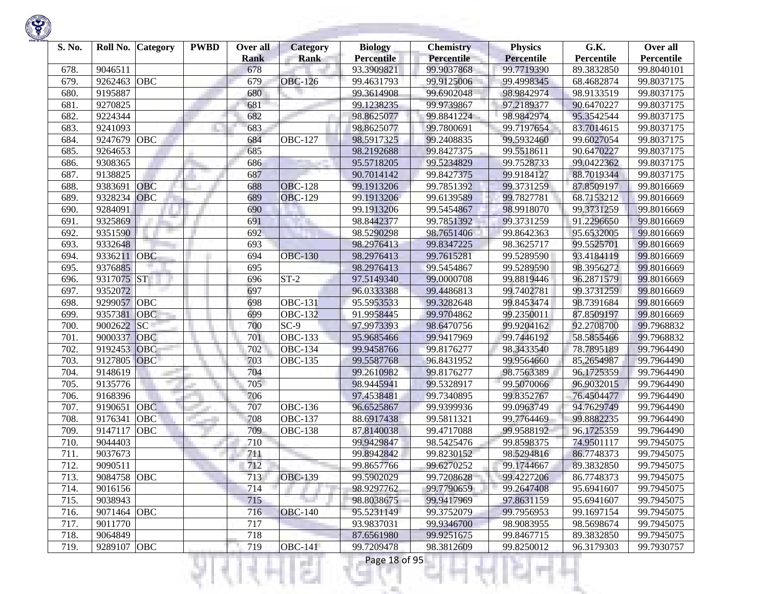| S. No. | Roll No.    | <b>Category</b> | <b>PWBD</b> | Over all           | <b>Category</b> | <b>Biology</b><br><b>Percentile</b> | <b>Chemistry</b><br>Percentile | <b>Physics</b><br><b>Percentile</b> | G.K.<br>Percentile | Over all<br>Percentile |
|--------|-------------|-----------------|-------------|--------------------|-----------------|-------------------------------------|--------------------------------|-------------------------------------|--------------------|------------------------|
| 678.   | 9046511     |                 |             | <b>Rank</b><br>678 | <b>Rank</b>     | 93.3909821                          | 99.9037868                     | 99.7719390                          | 89.3832850         | 99.8040101             |
| 679.   | 9262463     | <b>OBC</b>      |             | 679                | <b>OBC-126</b>  | 99.4631793                          | 99.9125006                     | 99.4998345                          | 68.4682874         | 99.8037175             |
| 680.   | 9195887     |                 |             | 680                |                 | 99.3614908                          | 99.6902048                     | 98.9842974                          | 98.9133519         | 99.8037175             |
| 681.   | 9270825     |                 |             | 681                |                 | 99.1238235                          | 99.9739867                     | 97.2189377                          | 90.6470227         | 99.8037175             |
| 682.   | 9224344     |                 |             | 682                |                 | 98.8625077                          | 99.8841224                     | 98.9842974                          |                    |                        |
|        |             |                 |             |                    |                 |                                     |                                |                                     | 95.3542544         | 99.8037175             |
| 683.   | 9241093     |                 |             | 683                |                 | 98.8625077                          | 99.7800691                     | 99.7197654                          | 83.7014615         | 99.8037175             |
| 684.   | 9247679     | OBC             |             | 684                | <b>OBC-127</b>  | 98.5917325                          | 99.2408835                     | 99.5932460                          | 99.6027054         | 99.8037175             |
| 685.   | 9264653     |                 |             | 685                |                 | 98.2192688                          | 99.8427375                     | 99.5518611                          | 90.6470227         | 99.8037175             |
| 686.   | 9308365     |                 |             | 686                |                 | 95.5718205                          | 99.5234829                     | 99.7528733                          | 99.0422362         | 99.8037175             |
| 687.   | 9138825     |                 |             | 687                |                 | 90.7014142                          | 99.8427375                     | 99.9184127                          | 88.7019344         | 99.8037175             |
| 688.   | 9383691     | <b>OBC</b>      |             | 688                | <b>OBC-128</b>  | 99.1913206                          | 99.7851392                     | 99.3731259                          | 87.8509197         | 99.8016669             |
| 689.   | 9328234     | <b>OBC</b>      |             | 689                | <b>OBC-129</b>  | 99.1913206                          | 99.6139589                     | 99.7827781                          | 68.7153212         | 99.8016669             |
| 690.   | 9284091     |                 |             | 690                |                 | 99.1913206                          | 99.5454867                     | 98.9918070                          | 99.3731259         | 99.8016669             |
| 691.   | 9325869     |                 |             | 691                |                 | 98.8442377                          | 99.7851392                     | 99.3731259                          | 91.2296650         | 99.8016669             |
| 692.   | 9351590     |                 |             | 692                |                 | 98.5290298                          | 98.7651406                     | 99.8642363                          | 95.6532005         | 99.8016669             |
| 693.   | 9332648     |                 |             | 693                |                 | 98.2976413                          | 99.8347225                     | 98.3625717                          | 99.5525701         | 99.8016669             |
| 694.   | 9336211     | <b>OBC</b>      |             | 694                | <b>OBC-130</b>  | 98.2976413                          | 99.7615281                     | 99.5289590                          | 93.4184119         | 99.8016669             |
| 695.   | 9376885     |                 |             | 695                |                 | 98.2976413                          | 99.5454867                     | 99.5289590                          | 98.3956272         | 99.8016669             |
| 696.   | 9317075 ST  |                 |             | 696                | $ST-2$          | 97.5149340                          | 99.0000708                     | 99.8819446                          | 96.2871579         | 99.8016669             |
| 697.   | 9352072     |                 |             | 697                |                 | 96.0333388                          | 99.4486813                     | 99.7402781                          | 99.3731259         | 99.8016669             |
| 698.   | 9299057 OBC |                 |             | 698                | <b>OBC-131</b>  | 95.5953533                          | 99.3282648                     | 99.8453474                          | 98.7391684         | 99.8016669             |
| 699.   | 9357381     | <b>OBC</b>      |             | 699                | <b>OBC-132</b>  | 91.9958445                          | 99.9704862                     | 99.2350011                          | 87.8509197         | 99.8016669             |
| 700.   | 9002622     | SC              |             | 700                | $SC-9$          | 97.9973393                          | 98.6470756                     | 99.9204162                          | 92.2708700         | 99.7968832             |
| 701.   | 9000337     | OBC             |             | 701                | <b>OBC-133</b>  | 95.9685466                          | 99.9417969                     | 99.7446192                          | 58.5855466         | 99.7968832             |
| 702.   | 9192453     | OBC             |             | 702                | <b>OBC-134</b>  | 99.9458766                          | 99.8176277                     | 98.3433540                          | 78.7895189         | 99.7964490             |
| 703.   | 9127805     | OBC             |             | 703                | <b>OBC-135</b>  | 99.5587768                          | 96.8431952                     | 99.9564660                          | 85.2654987         | 99.7964490             |
| 704.   | 9148619     |                 |             | 704                |                 | 99.2610982                          | 99.8176277                     | 98.7563389                          | 96.1725359         | 99.7964490             |
| 705.   | 9135776     |                 |             | 705                |                 | 98.9445941                          | 99.5328917                     | 99.5070066                          | 96.9032015         | 99.7964490             |
| 706.   | 9168396     |                 |             | 706                |                 | 97.4538481                          | 99.7340895                     | 99.8352767                          | 76.4504477         | 99.7964490             |
| 707.   | 9190651     | <b>OBC</b>      |             | 707                | <b>OBC-136</b>  | 96.6525867                          | 99.9399936                     | 99.0963749                          | 94.7629749         | 99.7964490             |
| 708.   | 9176341     | OBC             |             | 708                | <b>OBC-137</b>  | 88.6917438                          | 99.5811321                     | 99.7764469                          | 99.8882235         | 99.7964490             |
| 709.   | 9147117     | OBC             |             | 709                | <b>OBC-138</b>  | 87.8140038                          | 99.4717088                     | 99.9588192                          | 96.1725359         | 99.7964490             |
| 710.   | 9044403     |                 |             | 710                |                 | 99.9429847                          | 98.5425476                     | 99.8598375                          | 74.9501117         | 99.7945075             |
| 711.   | 9037673     |                 |             | 711                |                 | 99.8942842                          | 99.8230152                     | 98.5294816                          | 86.7748373         | 99.7945075             |
| 712.   | 9090511     |                 |             | 712                |                 | 99.8657766                          | 99.6270252                     | 99.1744667                          | 89.3832850         | 99.7945075             |
| 713.   | 9084758 OBC |                 |             | 713                | <b>OBC-139</b>  | 99.5902029                          | 99.7208628                     | 99.4227206                          | 86.7748373         | 99.7945075             |
| 714.   | 9016156     |                 |             | 714                |                 | 98.9297762                          | 99.7790659                     | 99.2647408                          | 95.6941607         | 99.7945075             |
| 715.   | 9038943     |                 |             | 715                |                 | 98.8038675                          | 99.9417969                     | 97.8631159                          | 95.6941607         | 99.7945075             |
| 716.   | 9071464 OBC |                 |             | 716                | <b>OBC-140</b>  | 95.5231149                          | 99.3752079                     | 99.7956953                          | 99.1697154         | 99.7945075             |
| 717.   | 9011770     |                 |             | 717                |                 | 93.9837031                          | 99.9346700                     | 98.9083955                          | 98.5698674         | 99.7945075             |
| 718.   | 9064849     |                 |             | 718                |                 | 87.6561980                          | 99.9251675                     | 99.8467715                          | 89.3832850         | 99.7945075             |
|        |             |                 |             |                    |                 |                                     |                                |                                     |                    |                        |
| 719.   | 9289107 OBC |                 |             | 719                | <b>OBC-141</b>  | 99.7209478                          | 98.3812609                     | 99.8250012                          | 96.3179303         | 99.7930757             |

a.

375

ш

÷

K)

w

Ħ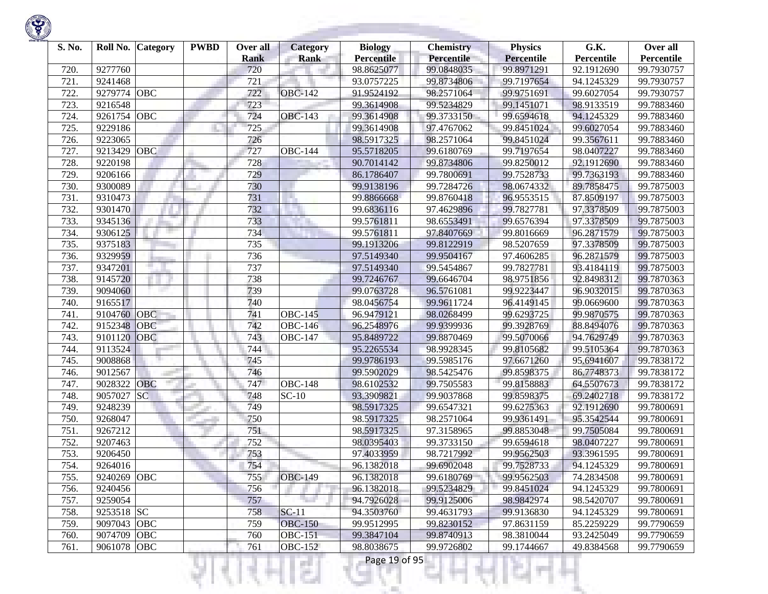| S. No. | Roll No.    | <b>Category</b> | <b>PWBD</b> | Over all<br><b>Rank</b> | <b>Category</b><br><b>Rank</b> | <b>Biology</b><br><b>Percentile</b> | <b>Chemistry</b><br>Percentile | <b>Physics</b><br><b>Percentile</b> | G.K.<br>Percentile | Over all<br>Percentile |
|--------|-------------|-----------------|-------------|-------------------------|--------------------------------|-------------------------------------|--------------------------------|-------------------------------------|--------------------|------------------------|
| 720.   | 9277760     |                 |             | 720                     |                                | 98.8625077                          | 99.0848035                     | 99.8971291                          | 92.1912690         | 99.7930757             |
| 721.   | 9241468     |                 |             | 721                     |                                | 93.0757225                          | 99.8734806                     | 99.7197654                          | 94.1245329         | 99.7930757             |
| 722.   | 9279774     | <b>OBC</b>      |             | 722                     | <b>OBC-142</b>                 | 91.9524192                          | 98.2571064                     | 99.9751691                          | 99.6027054         | 99.7930757             |
| 723.   | 9216548     |                 |             | 723                     |                                | 99.3614908                          | 99.5234829                     | 99.1451071                          | 98.9133519         | 99.7883460             |
| 724.   | 9261754     | OBC             |             | 724                     | <b>OBC-143</b>                 | 99.3614908                          | 99.3733150                     | 99.6594618                          | 94.1245329         | 99.7883460             |
| 725.   | 9229186     |                 |             | 725                     |                                | 99.3614908                          | 97.4767062                     | 99.8451024                          | 99.6027054         | 99.7883460             |
| 726.   | 9223065     |                 |             | 726                     |                                | 98.5917325                          | 98.2571064                     | 99.8451024                          | 99.3567611         | 99.7883460             |
| 727.   | 9213429     | OBC             |             | 727                     | <b>OBC-144</b>                 | 95.5718205                          | 99.6180769                     | 99.7197654                          | 98.0407227         | 99.7883460             |
| 728.   | 9220198     |                 |             | 728                     |                                | 90.7014142                          | 99.8734806                     | 99.8250012                          | 92.1912690         | 99.7883460             |
| 729.   | 9206166     |                 |             | 729                     |                                | 86.1786407                          | 99.7800691                     | 99.7528733                          | 99.7363193         | 99.7883460             |
| 730.   | 9300089     |                 |             | 730                     |                                | 99.9138196                          | 99.7284726                     | 98.0674332                          | 89.7858475         | 99.7875003             |
| 731.   | 9310473     |                 |             | 731                     | H.                             | 99.8866668                          | 99.8760418                     | 96.9553515                          | 87.8509197         | 99.7875003             |
| 732.   | 9301470     |                 |             | 732                     |                                | 99.6836116                          | 97.4629896                     | 99.7827781                          | 97.3378509         | 99.7875003             |
| 733.   | 9345136     |                 |             | 733                     |                                | 99.5761811                          | 98.6553491                     | 99.6576394                          | 97.3378509         | 99.7875003             |
| 734.   | 9306125     |                 |             | 734                     |                                | 99.5761811                          | 97.8407669                     | 99.8016669                          | 96.2871579         | 99.7875003             |
| 735.   | 9375183     |                 |             | 735                     |                                | 99.1913206                          | 99.8122919                     | 98.5207659                          | 97.3378509         | 99.7875003             |
| 736.   | 9329959     |                 |             | 736                     |                                | 97.5149340                          | 99.9504167                     | 97.4606285                          | 96.2871579         | 99.7875003             |
| 737.   | 9347201     |                 |             | 737                     |                                | 97.5149340                          | 99.5454867                     | 99.7827781                          | 93.4184119         | 99.7875003             |
| 738.   | 9145720     |                 |             | 738                     |                                | 99.7246767                          | 99.6646704                     | 98.9751856                          | 92.8498312         | 99.7870363             |
| 739.   | 9094060     |                 |             | 739                     |                                | 99.0763728                          | 96.5761081                     | 99.9223447                          | 96.9032015         | 99.7870363             |
| 740.   | 9165517     |                 |             | 740                     |                                | 98.0456754                          | 99.9611724                     | 96.4149145                          | 99.0669600         | 99.7870363             |
| 741.   | 9104760     | <b>OBC</b>      |             | 741                     | <b>OBC-145</b>                 | 96.9479121                          | 98.0268499                     | 99.6293725                          | 99.9870575         | 99.7870363             |
| 742.   | 9152348     | OBC             |             | 742                     | $OBC-146$                      | 96.2548976                          | 99.9399936                     | 99.3928769                          | 88.8494076         | 99.7870363             |
| 743.   | 9101120     | OBC             |             | 743                     | <b>OBC-147</b>                 | 95.8489722                          | 99.8870469                     | 99.5070066                          | 94.7629749         | 99.7870363             |
| 744.   | 9113524     |                 |             | 744                     |                                | 95.2265534                          | 98.9928345                     | 99.8105682                          | 99.5105364         | 99.7870363             |
| 745.   | 9008868     |                 |             | 745                     |                                | 99.9786193                          | 99.5985176                     | 97.6671260                          | 95.6941607         | 99.7838172             |
| 746.   | 9012567     |                 |             | 746                     |                                | 99.5902029                          | 98.5425476                     | 99.8598375                          | 86.7748373         | 99.7838172             |
| 747.   | 9028322     | OBC             |             | 747                     | <b>OBC-148</b>                 | 98.6102532                          | 99.7505583                     | 99.8158883                          | 64.5507673         | 99.7838172             |
| 748.   | 9057027     | SC              |             | 748                     | $SC-10$                        | 93.3909821                          | 99.9037868                     | 99.8598375                          | 69.2402718         | 99.7838172             |
| 749.   | 9248239     |                 |             | 749                     |                                | 98.5917325                          | 99.6547321                     | 99.6275363                          | 92.1912690         | 99.7800691             |
| 750.   | 9268047     |                 |             | 750                     |                                | 98.5917325                          | 98.2571064                     | 99.9361491                          | 95.3542544         | 99.7800691             |
| 751.   | 9267212     |                 |             | 751                     |                                | 98.5917325                          | 97.3158965                     | 99.8853048                          | 99.7505084         | 99.7800691             |
| 752.   | 9207463     |                 |             | 752                     |                                | 98.0395403                          | 99.3733150                     | 99.6594618                          | 98.0407227         | 99.7800691             |
| 753.   | 9206450     |                 |             | 753                     |                                | 97.4033959                          | 98.7217992                     | 99.9562503                          | 93.3961595         | 99.7800691             |
| 754.   | 9264016     |                 |             | 754                     |                                | 96.1382018                          | 99.6902048                     | 99.7528733                          | 94.1245329         | 99.7800691             |
| 755.   | 9240269 OBC |                 |             | 755                     | <b>OBC-149</b>                 | 96.1382018                          | 99.6180769                     | 99.9562503                          | 74.2834508         | 99.7800691             |
| 756.   | 9240456     |                 |             | 756                     |                                | 96.1382018                          | 99.5234829                     | 99.8451024                          | 94.1245329         | 99.7800691             |
| 757.   | 9259054     |                 |             | 757                     |                                | 94.7926028                          | 99.9125006                     | 98.9842974                          | 98.5420707         | 99.7800691             |
| 758.   | 9253518 SC  |                 |             | 758                     | $SC-11$                        | 94.3503760                          | 99.4631793                     | 99.9136830                          | 94.1245329         | 99.7800691             |
| 759.   | 9097043 OBC |                 |             | 759                     | <b>OBC-150</b>                 | 99.9512995                          | 99.8230152                     | 97.8631159                          | 85.2259229         | 99.7790659             |
| 760.   | 9074709 OBC |                 |             | 760                     | <b>OBC-151</b>                 | 99.3847104                          | 99.8740913                     | 98.3810044                          | 93.2425049         | 99.7790659             |
| 761.   | 9061078 OBC |                 |             | 761                     | <b>OBC-152</b>                 | 98.8038675                          | 99.9726802                     | 99.1744667                          | 49.8384568         | 99.7790659             |
|        |             |                 |             |                         | a s                            | Page 19 of 95                       |                                |                                     |                    |                        |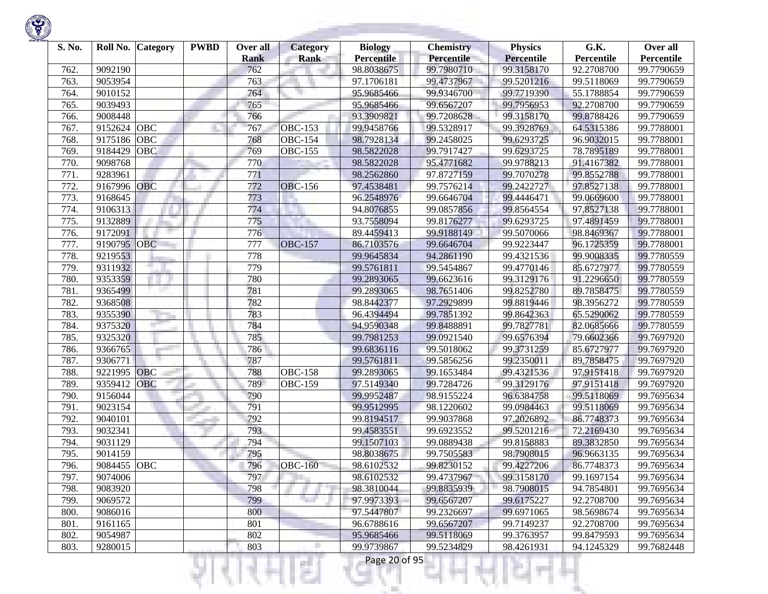| S. No. | Roll No. | <b>Category</b> | <b>PWBD</b> | Over all<br>Rank | <b>Category</b><br>Rank | <b>Biology</b><br><b>Percentile</b> | <b>Chemistry</b><br><b>Percentile</b> | <b>Physics</b><br><b>Percentile</b> | G.K.<br>Percentile | Over all<br>Percentile |
|--------|----------|-----------------|-------------|------------------|-------------------------|-------------------------------------|---------------------------------------|-------------------------------------|--------------------|------------------------|
| 762.   | 9092190  |                 |             | 762              |                         | 98.8038675                          | 99.7980710                            | 99.3158170                          | 92.2708700         | 99.7790659             |
| 763.   | 9053954  |                 |             | 763              |                         | 97.1706181                          | 99.4737967                            | 99.5201216                          | 99.5118069         | 99.7790659             |
| 764.   | 9010152  |                 |             | 764              |                         | 95.9685466                          | 99.9346700                            | 99.7719390                          | 55.1788854         | 99.7790659             |
| 765.   | 9039493  |                 |             | 765              |                         | 95.9685466                          | 99.6567207                            | 99.7956953                          | 92.2708700         | 99.7790659             |
| 766.   | 9008448  |                 |             | 766              |                         | 93.3909821                          | 99.7208628                            | 99.3158170                          | 99.8788426         | 99.7790659             |
| 767.   | 9152624  | OBC             |             | 767              | <b>OBC-153</b>          | 99.9458766                          | 99.5328917                            | 99.3928769                          | 64.5315386         | 99.7788001             |
| 768.   | 9175186  | OBC             |             | 768              | <b>OBC-154</b>          | 98.7928134                          | 99.2458025                            | 99.6293725                          | 96.9032015         | 99.7788001             |
| 769.   | 9184429  | <b>OBC</b>      |             | 769              | <b>OBC-155</b>          | 98.5822028                          | 99.7917427                            | 99.6293725                          | 78.7895189         | 99.7788001             |
| 770.   | 9098768  |                 |             | 770              |                         | 98.5822028                          | 95.4771682                            | 99.9788213                          | 91.4167382         | 99.7788001             |
| 771.   | 9283961  |                 |             | 771              |                         | 98.2562860                          | 97.8727159                            | 99.7070278                          | 99.8552788         | 99.7788001             |
| 772.   | 9167996  | <b>OBC</b>      |             | 772              | <b>OBC-156</b>          | 97.4538481                          | 99.7576214                            | 99.2422727                          | 97.8527138         | 99.7788001             |
| 773.   | 9168645  |                 |             | 773              |                         | 96.2548976                          | 99.6646704                            | 99.4446471                          | 99.0669600         | 99.7788001             |
| 774.   | 9106313  |                 |             | 774              |                         | 94.8076855                          | 99.0857856                            | 99.8564554                          | 97.8527138         | 99.7788001             |
| 775.   | 9132889  |                 |             | 775              |                         | 93.7558094                          | 99.8176277                            | 99.6293725                          | 97.4891459         | 99.7788001             |
| 776.   | 9172091  |                 |             | 776              |                         | 89.4459413                          | 99.9188149                            | 99.5070066                          | 98.8469367         | 99.7788001             |
| 777.   | 9190795  | <b>OBC</b>      |             | 777              | <b>OBC-157</b>          | 86.7103576                          | 99.6646704                            | 99.9223447                          | 96.1725359         | 99.7788001             |
| 778.   | 9219553  |                 |             | 778              |                         | 99.9645834                          | 94.2861190                            | 99.4321536                          | 99.9008335         | 99.7780559             |
| 779.   | 9311932  |                 |             | 779              |                         | 99.5761811                          | 99.5454867                            | 99.4770146                          | 85.6727977         | 99.7780559             |
| 780.   | 9353359  |                 |             | 780              |                         | 99.2893065                          | 99.6623616                            | 99.3129176                          | 91.2296650         | 99.7780559             |
| 781.   | 9365499  |                 |             | 781              |                         | 99.2893065                          | 98.7651406                            | 99.8252780                          | 89.7858475         | 99.7780559             |
| 782.   | 9368508  |                 |             | 782              |                         | 98.8442377                          | 97.2929899                            | 99.8819446                          | 98.3956272         |                        |
|        |          |                 |             |                  |                         |                                     | 99.7851392                            |                                     |                    | 99.7780559             |
| 783.   | 9355390  |                 |             | 783              |                         | 96.4394494                          |                                       | 99.8642363                          | 65.5290062         | 99.7780559             |
| 784.   | 9375320  |                 |             | 784              |                         | 94.9590348                          | 99.8488891<br>99.0921540              | 99.7827781                          | 82.0685666         | 99.7780559             |
| 785.   | 9325320  |                 |             | 785              |                         | 99.7981253                          |                                       | 99.6576394                          | 79.6602366         | 99.7697920             |
| 786.   | 9366765  |                 |             | 786              |                         | 99.6836116                          | 99.5018062                            | 99.3731259                          | 85.6727977         | 99.7697920             |
| 787.   | 9306771  |                 |             | 787              |                         | 99.5761811                          | 99.5856256                            | 99.2350011                          | 89.7858475         | 99.7697920             |
| 788.   | 9221995  | <b>OBC</b>      |             | 788              | <b>OBC-158</b>          | 99.2893065                          | 99.1653484                            | 99.4321536                          | 97.9151418         | 99.7697920             |
| 789    | 9359412  | OBC             |             | 789              | <b>OBC-159</b>          | 97.5149340                          | 99.7284726                            | 99.3129176                          | 97.9151418         | 99.7697920             |
| 790.   | 9156044  |                 |             | 790              |                         | 99.9952487                          | 98.9155224                            | 96.6384758                          | 99.5118069         | 99.7695634             |
| 791.   | 9023154  |                 |             | 791              |                         | 99.9512995                          | 98.1220602                            | 99.0984463                          | 99.5118069         | 99.7695634             |
| 792.   | 9040101  |                 |             | 792              |                         | 99.8194517                          | 99.9037868                            | 97.2026892                          | 86.7748373         | 99.7695634             |
| 793.   | 9032341  |                 |             | 793              |                         | 99.4583551                          | 99.6923552                            | 99.5201216                          | 72.2169430         | 99.7695634             |
| 794.   | 9031129  |                 |             | 794              |                         | 99.1507103                          | 99.0889438                            | 99.8158883                          | 89.3832850         | 99.7695634             |
| 795    | 9014159  |                 |             | 795              |                         | 98.8038675                          | 99.7505583                            | 98.7908015                          | 96.9663135         | 99.7695634             |
| 796.   | 9084455  | OBC             |             | 796              | <b>OBC-160</b>          | 98.6102532                          | 99.8230152                            | 99.4227206                          | 86.7748373         | 99.7695634             |
| 797.   | 9074006  |                 |             | 797              |                         | 98.6102532                          | 99.4737967                            | 99.3158170                          | 99.1697154         | 99.7695634             |
| 798.   | 9083920  |                 |             | 798              |                         | 98.3810044                          | 99.8835939                            | 98.7908015                          | 94.7854801         | 99.7695634             |
| 799.   | 9069572  |                 |             | 799              |                         | 97.9973393                          | 99.6567207                            | 99.6175227                          | 92.2708700         | 99.7695634             |
| 800.   | 9086016  |                 |             | 800              |                         | 97.5447807                          | 99.2326697                            | 99.6971065                          | 98.5698674         | 99.7695634             |
| 801.   | 9161165  |                 |             | 801              |                         | 96.6788616                          | 99.6567207                            | 99.7149237                          | 92.2708700         | 99.7695634             |
| 802.   | 9054987  |                 |             | 802              |                         | 95.9685466                          | 99.5118069                            | 99.3763957                          | 99.8479593         | 99.7695634             |
| 803.   | 9280015  |                 |             | 803              |                         | 99.9739867                          | 99.5234829                            | 98.4261931                          | 94.1245329         | 99.7682448             |
|        |          |                 |             |                  |                         | Page 20 of 95<br>H.                 |                                       |                                     |                    |                        |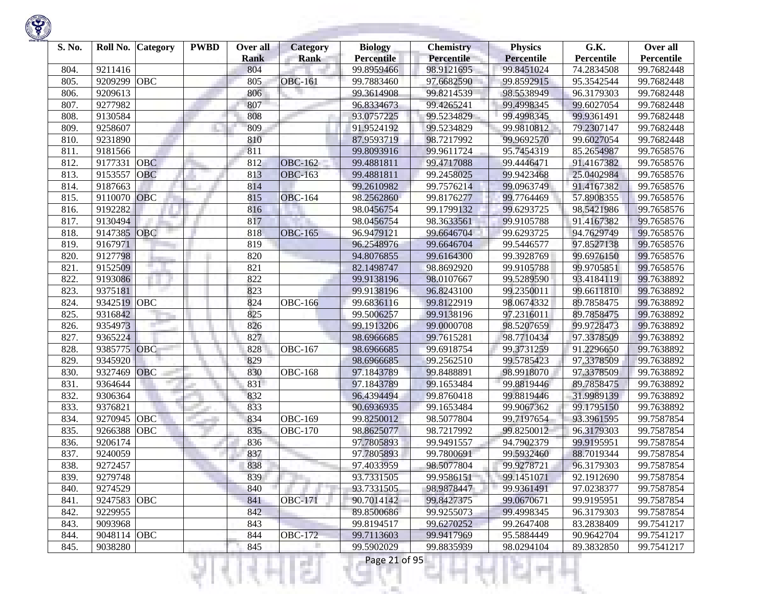

| S. No. | Roll No.           | <b>Category</b> | <b>PWBD</b> | Over all    | <b>Category</b> | <b>Biology</b>           | <b>Chemistry</b><br><b>Percentile</b> | <b>Physics</b>    | G.K.       | Over all   |
|--------|--------------------|-----------------|-------------|-------------|-----------------|--------------------------|---------------------------------------|-------------------|------------|------------|
|        |                    |                 |             | <b>Rank</b> | <b>Rank</b>     | <b>Percentile</b>        |                                       | <b>Percentile</b> | Percentile | Percentile |
| 804.   | 9211416<br>9209299 | OBC             |             | 804<br>805  |                 | 99.8959466               | 98.9121695                            | 99.8451024        | 74.2834508 | 99.7682448 |
| 805.   |                    |                 |             |             | <b>OBC-161</b>  | 99.7883460<br>99.3614908 | 97.6682590                            | 99.8592915        | 95.3542544 | 99.7682448 |
| 806.   | 9209613            |                 |             | 806         |                 |                          | 99.8214539                            | 98.5538949        | 96.3179303 | 99.7682448 |
| 807.   | 9277982            |                 |             | 807         |                 | 96.8334673               | 99.4265241                            | 99.4998345        | 99.6027054 | 99.7682448 |
| 808.   | 9130584            |                 |             | 808         |                 | 93.0757225               | 99.5234829                            | 99.4998345        | 99.9361491 | 99.7682448 |
| 809.   | 9258607            |                 |             | 809         |                 | 91.9524192               | 99.5234829                            | 99.9810812        | 79.2307147 | 99.7682448 |
| 810.   | 9231890            |                 |             | 810         |                 | 87.9593719               | 98.7217992                            | 99.9692570        | 99.6027054 | 99.7682448 |
| 811.   | 9181566            |                 |             | 811         |                 | 99.8093916               | 99.9611724                            | 95.7454319        | 85.2654987 | 99.7658576 |
| 812.   | 9177331            | <b>OBC</b>      |             | 812         | <b>OBC-162</b>  | 99.4881811               | 99.4717088                            | 99.4446471        | 91.4167382 | 99.7658576 |
| 813.   | 9153557            | OBC             |             | 813         | <b>OBC-163</b>  | 99.4881811               | 99.2458025                            | 99.9423468        | 25.0402984 | 99.7658576 |
| 814.   | 9187663            |                 |             | 814         |                 | 99.2610982               | 99.7576214                            | 99.0963749        | 91.4167382 | 99.7658576 |
| 815.   | 9110070            | <b>OBC</b>      |             | 815         | <b>OBC-164</b>  | 98.2562860               | 99.8176277                            | 99.7764469        | 57.8908355 | 99.7658576 |
| 816.   | 9192282            |                 |             | 816         |                 | 98.0456754               | 99.1799132                            | 99.6293725        | 98.5421986 | 99.7658576 |
| 817.   | 9130494            |                 |             | 817         |                 | 98.0456754               | 98.3633561                            | 99.9105788        | 91.4167382 | 99.7658576 |
| 818.   | 9147385            | <b>OBC</b>      |             | 818         | <b>OBC-165</b>  | 96.9479121               | 99.6646704                            | 99.6293725        | 94.7629749 | 99.7658576 |
| 819.   | 9167971            |                 |             | 819         |                 | 96.2548976               | 99.6646704                            | 99.5446577        | 97.8527138 | 99.7658576 |
| 820.   | 9127798            |                 |             | 820         |                 | 94.8076855               | 99.6164300                            | 99.3928769        | 99.6976150 | 99.7658576 |
| 821.   | 9152509            |                 |             | 821         |                 | 82.1498747               | 98.8692920                            | 99.9105788        | 99.9705851 | 99.7658576 |
| 822.   | 9193086            |                 |             | 822         |                 | 99.9138196               | 98.0107667                            | 99.5289590        | 93.4184119 | 99.7638892 |
| 823.   | 9375181            |                 |             | 823         |                 | 99.9138196               | 96.8243100                            | 99.2350011        | 99.6611810 | 99.7638892 |
| 824.   | 9342519 OBC        |                 |             | 824         | <b>OBC-166</b>  | 99.6836116               | 99.8122919                            | 98.0674332        | 89.7858475 | 99.7638892 |
| 825.   | 9316842            |                 |             | 825         |                 | 99.5006257               | 99.9138196                            | 97.2316011        | 89.7858475 | 99.7638892 |
| 826.   | 9354973            |                 |             | 826         |                 | 99.1913206               | 99.0000708                            | 98.5207659        | 99.9728473 | 99.7638892 |
| 827.   | 9365224            |                 |             | 827         |                 | 98.6966685               | 99.7615281                            | 98.7710434        | 97.3378509 | 99.7638892 |
| 828.   | 9385775            | OBC             |             | 828         | <b>OBC-167</b>  | 98.6966685               | 99.6918754                            | 99.3731259        | 91.2296650 | 99.7638892 |
| 829.   | 9345920            |                 |             | 829         |                 | 98.6966685               | 99.2562510                            | 99.5785423        | 97.3378509 | 99.7638892 |
| 830.   | 9327469            | <b>OBC</b>      |             | 830         | <b>OBC-168</b>  | 97.1843789               | 99.8488891                            | 98.9918070        | 97.3378509 | 99.7638892 |
| 831.   | 9364644            |                 |             | 831         |                 | 97.1843789               | 99.1653484                            | 99.8819446        | 89.7858475 | 99.7638892 |
| 832.   | 9306364            |                 |             | 832         |                 | 96.4394494               | 99.8760418                            | 99.8819446        | 31.9989139 | 99.7638892 |
| 833.   | 9376821            |                 |             | 833         |                 | 90.6936935               | 99.1653484                            | 99.9067362        | 99.1795150 | 99.7638892 |
| 834.   | 9270945            | OBC             |             | 834         | <b>OBC-169</b>  | 99.8250012               | 98.5077804                            | 99.7197654        | 93.3961595 | 99.7587854 |
| 835.   | 9266388            | OBC             |             | 835         | <b>OBC-170</b>  | 98.8625077               | 98.7217992                            | 99.8250012        | 96.3179303 | 99.7587854 |
| 836.   | 9206174            |                 |             | 836         |                 | 97.7805893               | 99.9491557                            | 94.7902379        | 99.9195951 | 99.7587854 |
| 837.   | 9240059            |                 |             | 837         |                 | 97.7805893               | 99.7800691                            | 99.5932460        | 88.7019344 | 99.7587854 |
| 838.   | 9272457            |                 |             | 838         |                 | 97.4033959               | 98.5077804                            | 99.9278721        | 96.3179303 | 99.7587854 |
| 839.   | 9279748            |                 |             | 839         |                 | 93.7331505               | 99.9586151                            | 99.1451071        | 92.1912690 | 99.7587854 |
| 840.   | 9274529            |                 |             | 840         |                 | 93.7331505               | 98.9878447                            | 99.9361491        | 97.0238377 | 99.7587854 |
| 841.   | 9247583            | <b>OBC</b>      |             | 841         | <b>OBC-171</b>  | 90.7014142               | 99.8427375                            | 99.0670671        | 99.9195951 | 99.7587854 |
| 842.   | 9229955            |                 |             | 842         |                 | 89.8500686               | 99.9255073                            | 99.4998345        | 96.3179303 | 99.7587854 |
| 843.   | 9093968            |                 |             | 843         |                 | 99.8194517               | 99.6270252                            | 99.2647408        | 83.2838409 | 99.7541217 |
| 844.   | 9048114 OBC        |                 |             | 844         | <b>OBC-172</b>  | 99.7113603               | 99.9417969                            | 95.5884449        | 90.9642704 | 99.7541217 |
| 845.   | 9038280            |                 |             | 845         | г               | 99.5902029               | 99.8835939                            | 98.0294104        | 89.3832850 | 99.7541217 |

大气

v

H

n

ы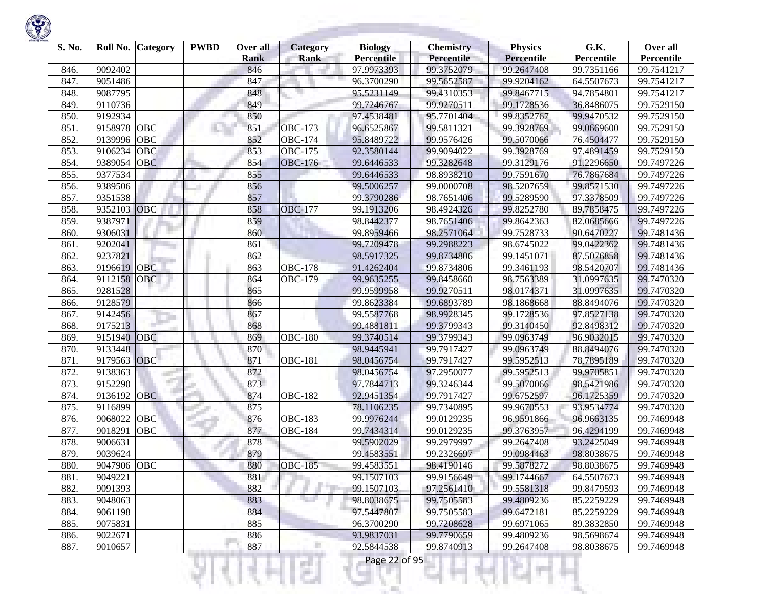| S. No. | Roll No.    | <b>Category</b> | <b>PWBD</b> | Over all<br>Rank | <b>Category</b><br><b>Rank</b> | <b>Biology</b><br><b>Percentile</b> | <b>Chemistry</b><br><b>Percentile</b> | <b>Physics</b><br><b>Percentile</b> | G.K.<br>Percentile | Over all<br>Percentile |
|--------|-------------|-----------------|-------------|------------------|--------------------------------|-------------------------------------|---------------------------------------|-------------------------------------|--------------------|------------------------|
| 846.   | 9092402     |                 |             | 846              |                                | 97.9973393                          | 99.3752079                            | 99.2647408                          | 99.7351166         | 99.7541217             |
| 847.   | 9051486     |                 |             | 847              |                                | 96.3700290                          | 99.5652587                            | 99.9204162                          | 64.5507673         | 99.7541217             |
| 848.   | 9087795     |                 |             | 848              |                                | 95.5231149                          | 99.4310353                            | 99.8467715                          | 94.7854801         | 99.7541217             |
| 849.   | 9110736     |                 |             | 849              |                                | 99.7246767                          | 99.9270511                            | 99.1728536                          | 36.8486075         | 99.7529150             |
| 850.   | 9192934     |                 |             | 850              |                                | 97.4538481                          | 95.7701404                            | 99.8352767                          | 99.9470532         | 99.7529150             |
| 851.   | 9158978     | OBC             |             | 851              | <b>OBC-173</b>                 | 96.6525867                          | 99.5811321                            | 99.3928769                          | 99.0669600         | 99.7529150             |
| 852.   | 9139996     | OBC             |             | 852              | $\overline{OBC-174}$           | 95.8489722                          | 99.9576426                            | 99.5070066                          | 76.4504477         | 99.7529150             |
| 853.   | 9106234     | <b>OBC</b>      |             | 853              | <b>OBC-175</b>                 | 92.3580144                          | 99.9094022                            | 99.3928769                          | 97.4891459         | 99.7529150             |
| 854.   | 9389054     | <b>OBC</b>      |             | 854              | <b>OBC-176</b>                 | 99.6446533                          | 99.3282648                            | 99.3129176                          | 91.2296650         | 99.7497226             |
| 855.   | 9377534     |                 |             | 855              |                                | 99.6446533                          | 98.8938210                            | 99.7591670                          | 76.7867684         | 99.7497226             |
| 856.   | 9389506     |                 |             | 856              |                                | 99.5006257                          | 99.0000708                            | 98.5207659                          | 99.8571530         | 99.7497226             |
| 857.   | 9351538     |                 |             | 857              |                                | 99.3790286                          | 98.7651406                            | 99.5289590                          | 97.3378509         | 99.7497226             |
| 858.   | 9352103     | OBC             |             | 858              | <b>OBC-177</b>                 | 99.1913206                          | 98.4924326                            | 99.8252780                          | 89.7858475         | 99.7497226             |
| 859.   | 9387971     |                 |             | 859              |                                | 98.8442377                          | 98.7651406                            | 99.8642363                          | 82.0685666         | 99.7497226             |
| 860.   | 9306031     |                 |             | 860              |                                | 99.8959466                          | 98.2571064                            | 99.7528733                          | 90.6470227         | 99.7481436             |
| 861.   | 9202041     |                 |             | 861              |                                | 99.7209478                          | 99.2988223                            | 98.6745022                          | 99.0422362         | 99.7481436             |
| 862.   | 9237821     |                 |             | 862              |                                | 98.5917325                          | 99.8734806                            | 99.1451071                          | 87.5076858         | 99.7481436             |
| 863.   | 9196619     | <b>OBC</b>      |             | 863              | <b>OBC-178</b>                 | 91.4262404                          | 99.8734806                            | 99.3461193                          | 98.5420707         | 99.7481436             |
| 864.   | 9112158     | OBC             |             | 864              | <b>OBC-179</b>                 | 99.9635255                          | 99.8458660                            | 98.7563389                          | 31.0997635         | 99.7470320             |
| 865.   | 9281528     |                 |             | 865              |                                | 99.9599958                          | 99.9270511                            | 98.0174371                          | 31.0997635         | 99.7470320             |
| 866.   | 9128579     |                 |             | 866              |                                | 99.8623384                          | 99.6893789                            | 98.1868668                          | 88.8494076         | 99.7470320             |
| 867.   | 9142456     |                 |             | 867              |                                | 99.5587768                          | 98.9928345                            | 99.1728536                          | 97.8527138         | 99.7470320             |
| 868.   | 9175213     |                 |             | 868              |                                | 99.4881811                          | 99.3799343                            | 99.3140450                          | 92.8498312         | 99.7470320             |
| 869.   | 9151940     | <b>OBC</b>      |             | 869              | <b>OBC-180</b>                 | 99.3740514                          | 99.3799343                            | 99.0963749                          | 96.9032015         | 99.7470320             |
| 870.   | 9133448     |                 |             | 870              |                                | 98.9445941                          | 99.7917427                            | 99.0963749                          | 88.8494076         | 99.7470320             |
| 871.   | 9179563     | OBC             |             | 871              | <b>OBC-181</b>                 | 98.0456754                          | 99.7917427                            | 99.5952513                          | 78.7895189         | 99.7470320             |
| 872.   | 9138363     |                 |             | 872              |                                | 98.0456754                          | 97.2950077                            | 99.5952513                          | 99.9705851         | 99.7470320             |
| 873.   | 9152290     |                 |             | 873              |                                | 97.7844713                          | 99.3246344                            | 99.5070066                          | 98.5421986         | 99.7470320             |
| 874.   | 9136192     | <b>OBC</b>      |             | 874              | <b>OBC-182</b>                 | 92.9451354                          | 99.7917427                            | 99.6752597                          | 96.1725359         | 99.7470320             |
| 875.   | 9116899     |                 |             | 875              |                                | 78.1106235                          | 99.7340895                            | 99.9670553                          | 93.9534774         | 99.7470320             |
| 876.   | 9068022     | OBC             |             | 876              | <b>OBC-183</b>                 | 99.9976244                          | 99.0129235                            | 96.9591866                          | 96.9663135         | 99.7469948             |
| 877.   | 9018291     | OBC             |             | 877              | <b>OBC-184</b>                 | 99.7434314                          | 99.0129235                            | 99.3763957                          | 96.4294199         | 99.7469948             |
| 878.   | 9006631     |                 |             | 878              |                                | 99.5902029                          | 99.2979997                            | 99.2647408                          | 93.2425049         | 99.7469948             |
| 879.   | 9039624     |                 |             | 879              |                                | 99.4583551                          | 99.2326697                            | 99.0984463                          | 98.8038675         | 99.7469948             |
| 880.   | 9047906 OBC |                 |             | 880              | <b>OBC-185</b>                 | 99.4583551                          | 98.4190146                            | 99.5878272                          | 98.8038675         | 99.7469948             |
| 881.   | 9049221     |                 |             | 881              |                                | 99.1507103                          | 99.9156649                            | 99.1744667                          | 64.5507673         | 99.7469948             |
| 882.   | 9091393     |                 |             | 882              |                                | 99.1507103                          | 97.2561410                            | 99.5581318                          | 99.8479593         | 99.7469948             |
| 883.   | 9048063     |                 |             | 883              |                                | 98.8038675                          | 99.7505583                            | 99.4809236                          | 85.2259229         | 99.7469948             |
| 884.   | 9061198     |                 |             | 884              |                                | 97.5447807                          | 99.7505583                            | 99.6472181                          | 85.2259229         | 99.7469948             |
| 885.   | 9075831     |                 |             | 885              |                                | 96.3700290                          | 99.7208628                            | 99.6971065                          | 89.3832850         | 99.7469948             |
| 886.   | 9022671     |                 |             | 886              |                                | 93.9837031                          | 99.7790659                            | 99.4809236                          | 98.5698674         | 99.7469948             |
| 887.   | 9010657     |                 |             | 887              |                                | 92.5844538                          | 99.8740913                            | 99.2647408                          | 98.8038675         | 99.7469948             |
|        |             |                 |             |                  |                                | Page 22 of 95<br>H.                 |                                       |                                     |                    |                        |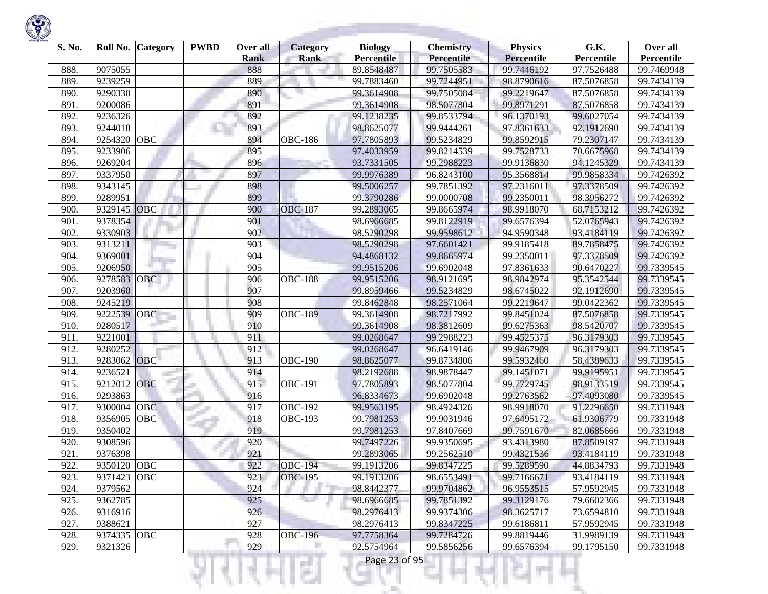

| S. No. | Roll No.    | <b>Category</b> | <b>PWBD</b> | Over all    | <b>Category</b> | <b>Biology</b>    | <b>Chemistry</b>  | <b>Physics</b>    | G.K.       | Over all   |
|--------|-------------|-----------------|-------------|-------------|-----------------|-------------------|-------------------|-------------------|------------|------------|
|        |             |                 |             | <b>Rank</b> | <b>Rank</b>     | <b>Percentile</b> | <b>Percentile</b> | <b>Percentile</b> | Percentile | Percentile |
| 888.   | 9075055     |                 |             | 888         |                 | 89.8548487        | 99.7505583        | 99.7446192        | 97.7526488 | 99.7469948 |
| 889.   | 9239259     |                 |             | 889         |                 | 99.7883460        | 99.7244951        | 98.8790616        | 87.5076858 | 99.7434139 |
| 890.   | 9290330     |                 |             | 890         |                 | 99.3614908        | 99.7505084        | 99.2219647        | 87.5076858 | 99.7434139 |
| 891.   | 9200086     |                 |             | 891         |                 | 99.3614908        | 98.5077804        | 99.8971291        | 87.5076858 | 99.7434139 |
| 892.   | 9236326     |                 |             | 892         |                 | 99.1238235        | 99.8533794        | 96.1370193        | 99.6027054 | 99.7434139 |
| 893.   | 9244018     |                 |             | 893         |                 | 98.8625077        | 99.9444261        | 97.8361633        | 92.1912690 | 99.7434139 |
| 894.   | 9254320     | OBC             |             | 894         | <b>OBC-186</b>  | 97.7805893        | 99.5234829        | 99.8592915        | 79.2307147 | 99.7434139 |
| 895.   | 9233906     |                 |             | 895         |                 | 97.4033959        | 99.8214539        | 99.7528733        | 70.6675968 | 99.7434139 |
| 896.   | 9269204     |                 |             | 896         |                 | 93.7331505        | 99.2988223        | 99.9136830        | 94.1245329 | 99.7434139 |
| 897.   | 9337950     |                 |             | 897         |                 | 99.9976389        | 96.8243100        | 95.3568814        | 99.9858334 | 99.7426392 |
| 898.   | 9343145     |                 |             | 898         |                 | 99.5006257        | 99.7851392        | 97.2316011        | 97.3378509 | 99.7426392 |
| 899.   | 9289951     |                 |             | 899         |                 | 99.3790286        | 99.0000708        | 99.2350011        | 98.3956272 | 99.7426392 |
| 900.   | 9329145     | OBC             |             | 900         | <b>OBC-187</b>  | 99.2893065        | 99.8665974        | 98.9918070        | 68.7153212 | 99.7426392 |
| 901.   | 9378354     |                 |             | 901         |                 | 98.6966685        | 99.8122919        | 99.6576394        | 52.0765943 | 99.7426392 |
| 902.   | 9330903     |                 |             | 902         |                 | 98.5290298        | 99.9598612        | 94.9590348        | 93.4184119 | 99.7426392 |
| 903.   | 9313211     |                 |             | 903         |                 | 98.5290298        | 97.6601421        | 99.9185418        | 89.7858475 | 99.7426392 |
| 904.   | 9369001     |                 |             | 904         |                 | 94.4868132        | 99.8665974        | 99.2350011        | 97.3378509 | 99.7426392 |
| 905.   | 9206950     |                 |             | 905         |                 | 99.9515206        | 99.6902048        | 97.8361633        | 90.6470227 | 99.7339545 |
| 906.   | 9278583     | <b>OBC</b>      |             | 906         | <b>OBC-188</b>  | 99.9515206        | 98.9121695        | 98.9842974        | 95.3542544 | 99.7339545 |
| 907.   | 9203960     |                 |             | 907         |                 | 99.8959466        | 99.5234829        | 98.6745022        | 92.1912690 | 99.7339545 |
| 908.   | 9245219     |                 |             | 908         |                 | 99.8462848        | 98.2571064        | 99.2219647        | 99.0422362 | 99.7339545 |
| 909.   | 9222539     | OBC             |             | 909         | <b>OBC-189</b>  | 99.3614908        | 98.7217992        | 99.8451024        | 87.5076858 | 99.7339545 |
| 910.   | 9280517     |                 |             | 910         |                 | 99.3614908        | 98.3812609        | 99.6275363        | 98.5420707 | 99.7339545 |
| 911.   | 9221001     |                 |             | 911         |                 | 99.0268647        | 99.2988223        | 99.4525375        | 96.3179303 | 99.7339545 |
| 912.   | 9280252     |                 |             | 912         |                 | 99.0268647        | 96.6419146        | 99.9467909        | 96.3179303 | 99.7339545 |
| 913.   | 9283062     | OBC             |             | 913         | <b>OBC-190</b>  | 98.8625077        | 99.8734806        | 99.5932460        | 58.4389633 | 99.7339545 |
| 914.   | 9236521     |                 |             | 914         |                 | 98.2192688        | 98.9878447        | 99.1451071        | 99.9195951 | 99.7339545 |
| 915.   | 9212012     | OBC             |             | 915         | <b>OBC-191</b>  | 97.7805893        | 98.5077804        | 99.7729745        | 98.9133519 | 99.7339545 |
| 916.   | 9293863     |                 |             | 916         |                 | 96.8334673        | 99.6902048        | 99.2763562        | 97.4093080 | 99.7339545 |
| 917.   | 9300004     | OBC             |             | 917         | OBC-192         | 99.9563195        | 98.4924326        | 98.9918070        | 91.2296650 | 99.7331948 |
| 918.   | 9356905     | OBC             |             | 918         | <b>OBC-193</b>  | 99.7981253        | 99.9031946        | 97.6495172        | 61.9306779 | 99.7331948 |
| 919.   | 9350402     |                 |             | 919         |                 | 99.7981253        | 97.8407669        | 99.7591670        | 82.0685666 | 99.7331948 |
| 920.   | 9308596     |                 |             | 920         |                 | 99.7497226        | 99.9350695        | 93.4313980        | 87.8509197 | 99.7331948 |
| 921.   | 9376398     |                 |             | 921         |                 | 99.2893065        | 99.2562510        | 99.4321536        | 93.4184119 | 99.7331948 |
| 922.   | 9350120     | OBC             |             | 922         | <b>OBC-194</b>  | 99.1913206        | 99.8347225        | 99.5289590        | 44.8834793 | 99.7331948 |
| 923.   | 9371423 OBC |                 |             | 923         | <b>OBC-195</b>  | 99.1913206        | 98.6553491        | 99.7166671        | 93.4184119 | 99.7331948 |
| 924.   | 9379562     |                 |             | 924         |                 | 98.8442377        | 99.9704862        | 96.9553515        | 57.9592945 | 99.7331948 |
| 925.   | 9362785     |                 |             | 925         | Tarihi          | 98.6966685        | 99.7851392        | 99.3129176        | 79.6602366 | 99.7331948 |
| 926.   | 9316916     |                 |             | 926         |                 | 98.2976413        | 99.9374306        | 98.3625717        | 73.6594810 | 99.7331948 |
| 927.   | 9388621     |                 |             | 927         |                 | 98.2976413        | 99.8347225        | 99.6186811        | 57.9592945 | 99.7331948 |
| 928.   | 9374335 OBC |                 |             | 928         | <b>OBC-196</b>  | 97.7758364        | 99.7284726        | 99.8819446        | 31.9989139 | 99.7331948 |
| 929.   | 9321326     |                 |             | 929         |                 | 92.5754964        | 99.5856256        | 99.6576394        | 99.1795150 | 99.7331948 |

!यनम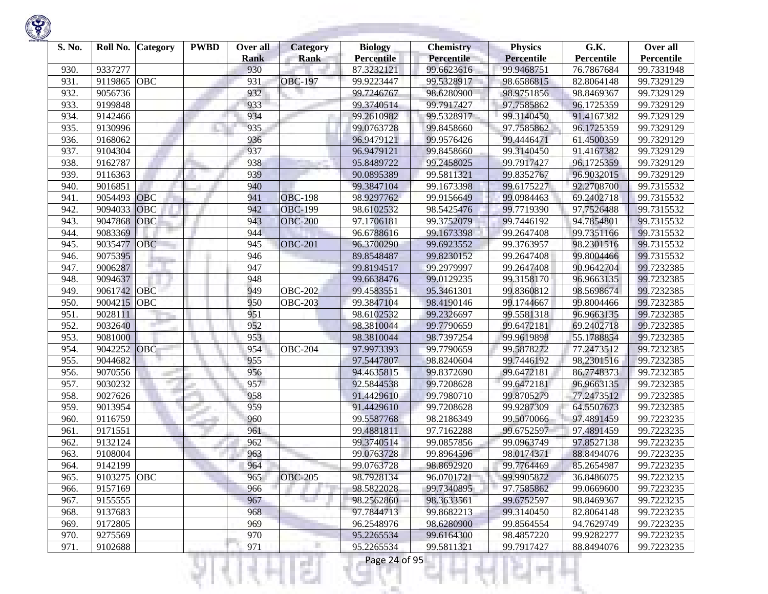| S. No. | Roll No.    | Category   | <b>PWBD</b> | Over all<br><b>Rank</b> | <b>Category</b><br><b>Rank</b> | <b>Biology</b><br><b>Percentile</b> | <b>Chemistry</b><br><b>Percentile</b> | <b>Physics</b><br><b>Percentile</b> | G.K.<br>Percentile | Over all<br>Percentile |
|--------|-------------|------------|-------------|-------------------------|--------------------------------|-------------------------------------|---------------------------------------|-------------------------------------|--------------------|------------------------|
| 930.   | 9337277     |            |             | 930                     |                                | 87.3232121                          | 99.6623616                            | 99.9468751                          | 76.7867684         | 99.7331948             |
| 931.   | 9119865     | OBC        |             | 931                     | <b>OBC-197</b>                 | 99.9223447                          | 99.5328917                            | 98.6586815                          | 82.8064148         | 99.7329129             |
| 932.   | 9056736     |            |             | 932                     |                                | 99.7246767                          | 98.6280900                            | 98.9751856                          | 98.8469367         | 99.7329129             |
| 933.   | 9199848     |            |             | 933                     |                                | 99.3740514                          | 99.7917427                            | 97.7585862                          | 96.1725359         | 99.7329129             |
| 934.   | 9142466     |            |             | 934                     |                                | 99.2610982                          | 99.5328917                            | 99.3140450                          | 91.4167382         | 99.7329129             |
| 935.   | 9130996     |            |             | 935                     |                                | 99.0763728                          | 99.8458660                            | 97.7585862                          | 96.1725359         | 99.7329129             |
| 936.   | 9168062     |            |             | 936                     |                                | 96.9479121                          | 99.9576426                            | 99.4446471                          | 61.4500359         | 99.7329129             |
| 937.   | 9104304     |            |             | 937                     |                                | 96.9479121                          | 99.8458660                            | 99.3140450                          | 91.4167382         | 99.7329129             |
| 938.   | 9162787     |            |             | 938                     |                                | 95.8489722                          | 99.2458025                            | 99.7917427                          | 96.1725359         | 99.7329129             |
| 939.   | 9116363     |            |             | 939                     |                                | 90.0895389                          | 99.5811321                            | 99.8352767                          | 96.9032015         | 99.7329129             |
| 940.   | 9016851     |            |             | 940                     |                                | 99.3847104                          | 99.1673398                            | 99.6175227                          | 92.2708700         | 99.7315532             |
| 941.   | 9054493     | OBC        |             | 941                     | <b>OBC-198</b>                 | 98.9297762                          | 99.9156649                            | 99.0984463                          | 69.2402718         | 99.7315532             |
| 942.   | 9094033     | OBC        |             | 942                     | <b>OBC-199</b>                 | 98.6102532                          | 98.5425476                            | 99.7719390                          | 97.7526488         | 99.7315532             |
| 943.   | 9047868     | OBC        |             | 943                     | <b>OBC-200</b>                 | 97.1706181                          | 99.3752079                            | 99.7446192                          | 94.7854801         | 99.7315532             |
| 944.   | 9083369     |            |             | 944                     |                                | 96.6788616                          | 99.1673398                            | 99.2647408                          | 99.7351166         | 99.7315532             |
| 945.   | 9035477     | <b>OBC</b> |             | 945                     | <b>OBC-201</b>                 | 96.3700290                          | 99.6923552                            | 99.3763957                          | 98.2301516         | 99.7315532             |
| 946.   | 9075395     |            |             | 946                     |                                | 89.8548487                          | 99.8230152                            | 99.2647408                          | 99.8004466         | 99.7315532             |
| 947.   | 9006287     |            |             | 947                     |                                | 99.8194517                          | 99.2979997                            | 99.2647408                          | 90.9642704         | 99.7232385             |
| 948.   | 9094637     |            |             | 948                     |                                | 99.6638476                          | 99.0129235                            | 99.3158170                          | 96.9663135         | 99.7232385             |
| 949.   | 9061742     | OBC        |             | 949                     | <b>OBC-202</b>                 | 99.4583551                          | 95.3461301                            | 99.8360812                          | 98.5698674         | 99.7232385             |
| 950.   | 9004215 OBC |            |             | 950                     | <b>OBC-203</b>                 | 99.3847104                          | 98.4190146                            | 99.1744667                          | 99.8004466         | 99.7232385             |
| 951.   | 9028111     |            |             | 951                     |                                | 98.6102532                          | 99.2326697                            | 99.5581318                          | 96.9663135         | 99.7232385             |
| 952.   | 9032640     |            |             | 952                     |                                | 98.3810044                          | 99.7790659                            | 99.6472181                          | 69.2402718         | 99.7232385             |
| 953.   | 9081000     |            |             | 953                     |                                | 98.3810044                          | 98.7397254                            | 99.9619898                          | 55.1788854         | 99.7232385             |
| 954.   | 9042252     | OBC        |             | 954                     | $\overline{OBC}$ -204          | 97.9973393                          | 99.7790659                            | 99.5878272                          | 77.2473512         | 99.7232385             |
| 955.   | 9044682     |            |             | 955                     |                                | 97.5447807                          | 98.8240604                            | 99.7446192                          | 98.2301516         | 99.7232385             |
| 956.   | 9070556     |            |             | 956                     |                                | 94.4635815                          | 99.8372690                            | 99.6472181                          | 86.7748373         | 99.7232385             |
| 957.   | 9030232     |            |             | 957                     |                                | 92.5844538                          | 99.7208628                            | 99.6472181                          | 96.9663135         | 99.7232385             |
| 958.   | 9027626     |            |             | 958                     |                                | 91.4429610                          | 99.7980710                            | 99.8705279                          | 77.2473512         | 99.7232385             |
| 959.   | 9013954     |            |             | 959                     |                                | 91.4429610                          | 99.7208628                            | 99.9287309                          | 64.5507673         | 99.7232385             |
| 960    | 9116759     |            |             | 960                     |                                | 99.5587768                          | 98.2186349                            | 99.5070066                          | 97.4891459         | 99.7223235             |
| 961.   | 9171551     |            |             | 961                     |                                | 99.4881811                          | 97.7162288                            | 99.6752597                          | 97.4891459         | 99.7223235             |
| 962.   | 9132124     |            |             | 962                     |                                | 99.3740514                          | 99.0857856                            | 99.0963749                          | 97.8527138         | 99.7223235             |
| 963    | 9108004     |            |             | 963                     |                                | 99.0763728                          | 99.8964596                            | 98.0174371                          | 88.8494076         | 99.7223235             |
| 964.   | 9142199     |            |             | 964                     |                                | 99.0763728                          | 98.8692920                            | 99.7764469                          | 85.2654987         | 99.7223235             |
| 965.   | 9103275 OBC |            |             | 965                     | <b>OBC-205</b>                 | 98.7928134                          | 96.0701721                            | 99.9905872                          | 36.8486075         | 99.7223235             |
| 966.   | 9157169     |            |             | 966                     |                                | 98.5822028                          | 99.7340895                            | 97.7585862                          | 99.0669600         | 99.7223235             |
| 967.   | 9155555     |            |             | 967                     |                                | 98.2562860                          | 98.3633561                            | 99.6752597                          | 98.8469367         | 99.7223235             |
| 968.   | 9137683     |            |             | 968                     |                                | 97.7844713                          | 99.8682213                            | 99.3140450                          | 82.8064148         | 99.7223235             |
| 969.   | 9172805     |            |             | 969                     |                                | 96.2548976                          | 98.6280900                            | 99.8564554                          | 94.7629749         | 99.7223235             |
| 970.   | 9275569     |            |             | 970                     |                                | 95.2265534                          | 99.6164300                            | 98.4857220                          | 99.9282277         | 99.7223235             |
| 971.   | 9102688     |            |             | 971                     |                                | 95.2265534                          | 99.5811321                            | 99.7917427                          | 88.8494076         | 99.7223235             |
|        |             |            |             |                         | s                              | Page 24 of 95                       |                                       |                                     |                    |                        |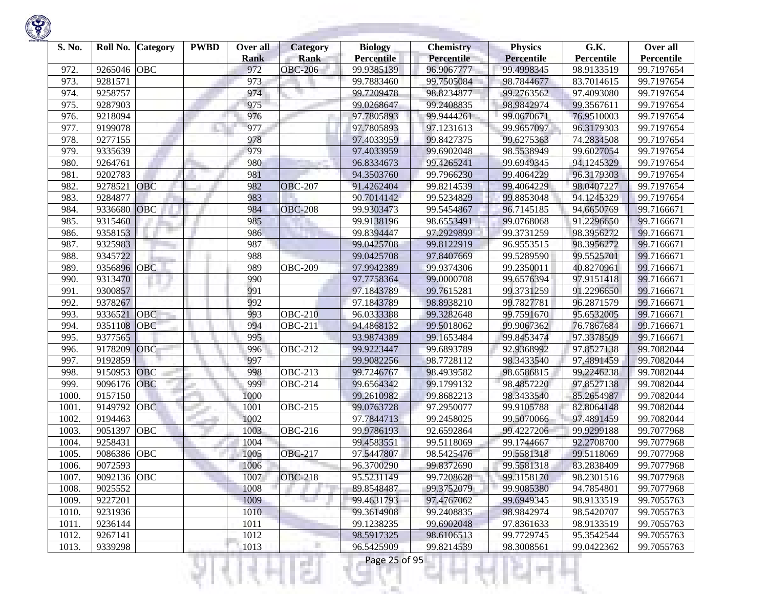| S. No. | Roll No.    | <b>Category</b> | <b>PWBD</b> | Over all<br><b>Rank</b> | Category<br><b>Rank</b> | <b>Biology</b><br><b>Percentile</b> | <b>Chemistry</b><br>Percentile | <b>Physics</b><br><b>Percentile</b> | G.K.<br>Percentile | Over all<br>Percentile |
|--------|-------------|-----------------|-------------|-------------------------|-------------------------|-------------------------------------|--------------------------------|-------------------------------------|--------------------|------------------------|
| 972.   | 9265046     | <b>OBC</b>      |             | 972                     | <b>OBC-206</b>          | 99.9385139                          | 96.9067777                     | 99.4998345                          | 98.9133519         | 99.7197654             |
| 973.   | 9281571     |                 |             | 973                     |                         | 99.7883460                          | 99.7505084                     | 98.7844677                          | 83.7014615         | 99.7197654             |
| 974.   | 9258757     |                 |             | 974                     |                         | 99.7209478                          | 98.8234877                     | 99.2763562                          | 97.4093080         | 99.7197654             |
| 975.   | 9287903     |                 |             | 975                     |                         | 99.0268647                          | 99.2408835                     | 98.9842974                          | 99.3567611         | 99.7197654             |
| 976.   | 9218094     |                 |             | 976                     |                         | 97.7805893                          | 99.9444261                     | 99.0670671                          | 76.9510003         | 99.7197654             |
| 977.   | 9199078     |                 |             | 977                     |                         | 97.7805893                          | 97.1231613                     | 99.9657097                          | 96.3179303         | 99.7197654             |
| 978.   | 9277155     |                 |             | 978                     |                         | 97.4033959                          | 99.8427375                     | 99.6275363                          | 74.2834508         | 99.7197654             |
| 979.   | 9335639     |                 |             | 979                     |                         | 97.4033959                          | 99.6902048                     | 98.5538949                          | 99.6027054         | 99.7197654             |
| 980    | 9264761     |                 |             | 980                     |                         | 96.8334673                          | 99.4265241                     | 99.6949345                          | 94.1245329         | 99.7197654             |
| 981.   | 9202783     |                 |             | 981                     |                         | 94.3503760                          | 99.7966230                     | 99.4064229                          | 96.3179303         | 99.7197654             |
| 982.   | 9278521     | OBC             |             | 982                     | <b>OBC-207</b>          | 91.4262404                          | 99.8214539                     | 99.4064229                          | 98.0407227         | 99.7197654             |
| 983.   | 9284877     |                 |             | 983                     |                         | 90.7014142                          | 99.5234829                     | 99.8853048                          | 94.1245329         | 99.7197654             |
| 984.   | 9336680     | OBC             |             | 984                     | <b>OBC-208</b>          | 99.9303473                          | 99.5454867                     | 96.7145185                          | 94.6650769         | 99.7166671             |
| 985.   | 9315460     |                 |             | 985                     |                         | 99.9138196                          | 98.6553491                     | 99.0768068                          | 91.2296650         | 99.7166671             |
| 986.   | 9358153     |                 |             | 986                     |                         | 99.8394447                          | 97.2929899                     | 99.3731259                          | 98.3956272         | 99.7166671             |
| 987.   | 9325983     |                 |             | 987                     |                         | 99.0425708                          | 99.8122919                     | 96.9553515                          | 98.3956272         | 99.7166671             |
| 988.   | 9345722     |                 |             | 988                     |                         | 99.0425708                          | 97.8407669                     | 99.5289590                          | 99.5525701         | 99.7166671             |
| 989    | 9356896     | <b>OBC</b>      |             | 989                     | <b>OBC-209</b>          | 97.9942389                          | 99.9374306                     | 99.2350011                          | 40.8270961         | 99.7166671             |
| 990    | 9313470     |                 |             | 990                     |                         | 97.7758364                          | 99.0000708                     | 99.6576394                          | 97.9151418         | 99.7166671             |
| 991.   | 9300857     |                 |             | 991                     |                         | 97.1843789                          | 99.7615281                     | 99.3731259                          | 91.2296650         | 99.7166671             |
| 992.   | 9378267     |                 |             | 992                     |                         | 97.1843789                          | 98.8938210                     | 99.7827781                          | 96.2871579         | 99.7166671             |
| 993.   | 9336521     | OBC             |             | 993                     | <b>OBC-210</b>          | 96.0333388                          | 99.3282648                     | 99.7591670                          | 95.6532005         | 99.7166671             |
| 994.   | 9351108     | <b>OBC</b>      |             | 994                     | <b>OBC-211</b>          | 94.4868132                          | 99.5018062                     | 99.9067362                          | 76.7867684         | 99.7166671             |
| 995.   | 9377565     |                 |             | 995                     |                         | 93.9874389                          | 99.1653484                     | 99.8453474                          | 97.3378509         | 99.7166671             |
| 996.   | 9178209     | OBC             |             | 996                     | <b>OBC-212</b>          | 99.9223447                          | 99.6893789                     | 92.9368992                          | 97.8527138         | 99.7082044             |
| 997.   | 9192859     |                 |             | 997                     |                         | 99.9082256                          | 98.7728112                     | 98.3433540                          | 97.4891459         | 99.7082044             |
| 998.   | 9150953     | <b>OBC</b>      |             | 998                     | <b>OBC-213</b>          | 99.7246767                          | 98.4939582                     | 98.6586815                          | 99.2246238         | 99.7082044             |
| 999    | 9096176     | OBC             |             | 999                     | <b>OBC-214</b>          | 99.6564342                          | 99.1799132                     | 98.4857220                          | 97.8527138         | 99.7082044             |
| 1000   | 9157150     |                 |             | 1000                    |                         | 99.2610982                          | 99.8682213                     | 98.3433540                          | 85.2654987         | 99.7082044             |
| 1001.  | 9149792     | <b>OBC</b>      |             | 1001                    | $\overline{OBC}$ -215   | 99.0763728                          | 97.2950077                     | 99.9105788                          | 82.8064148         | 99.7082044             |
| 1002.  | 9194463     |                 |             | 1002                    |                         | 97.7844713                          | 99.2458025                     | 99.5070066                          | 97.4891459         | 99.7082044             |
| 1003.  | 9051397     | <b>OBC</b>      |             | 1003                    | <b>OBC-216</b>          | 99.9786193                          | 92.6592864                     | 99.4227206                          | 99.9299188         | 99.7077968             |
| 1004.  | 9258431     |                 |             | 1004                    |                         | 99.4583551                          | 99.5118069                     | 99.1744667                          | 92.2708700         | 99.7077968             |
| 1005   | 9086386     | <b>OBC</b>      |             | 1005                    | <b>OBC-217</b>          | 97.5447807                          | 98.5425476                     | 99.5581318                          | 99.5118069         | 99.7077968             |
| 1006.  | 9072593     |                 |             | 1006                    |                         | 96.3700290                          | 99.8372690                     | 99.5581318                          | 83.2838409         | 99.7077968             |
| 1007.  | 9092136 OBC |                 |             | 1007                    | <b>OBC-218</b>          | 95.5231149                          | 99.7208628                     | 99.3158170                          | 98.2301516         | 99.7077968             |
| 1008.  | 9025552     |                 |             | 1008                    |                         | 89.8548487                          | 99.3752079                     | 99.9085380                          | 94.7854801         | 99.7077968             |
| 1009.  | 9227201     |                 |             | 1009                    | n a                     | 99.4631793                          | 97.4767062                     | 99.6949345                          | 98.9133519         | 99.7055763             |
| 1010.  | 9231936     |                 |             | 1010                    |                         | 99.3614908                          | 99.2408835                     | 98.9842974                          | 98.5420707         | 99.7055763             |
| 1011.  | 9236144     |                 |             | 1011                    |                         | 99.1238235                          | 99.6902048                     | 97.8361633                          | 98.9133519         | 99.7055763             |
| 1012.  | 9267141     |                 |             | 1012                    |                         | 98.5917325                          | 98.6106513                     | 99.7729745                          | 95.3542544         | 99.7055763             |
| 1013.  | 9339298     |                 |             | 1013                    |                         | 96.5425909                          | 99.8214539                     | 98.3008561                          | 99.0422362         | 99.7055763             |
|        |             |                 |             |                         | s                       | Page 25 of 95                       |                                |                                     |                    |                        |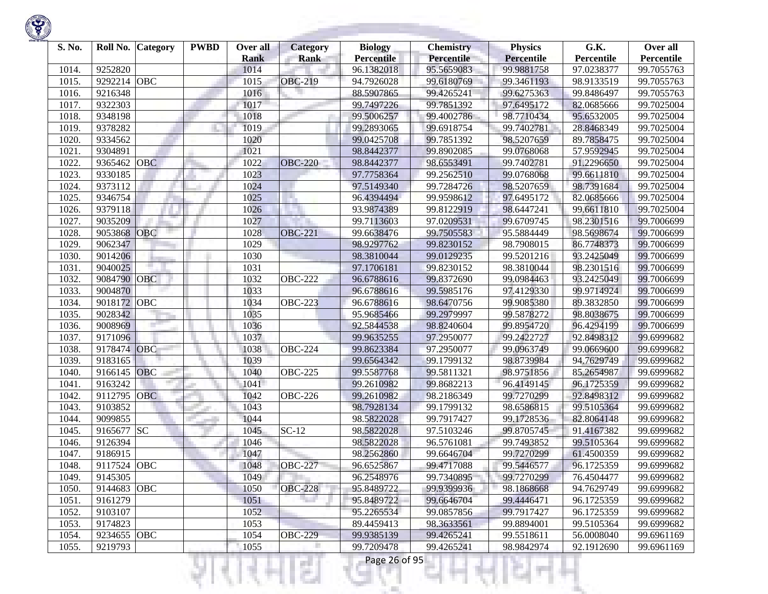

| S. No. | Roll No.    | <b>Category</b> | <b>PWBD</b> | Over all    | <b>Category</b> | <b>Biology</b>    | <b>Chemistry</b> | <b>Physics</b>    | G.K.       | Over all   |
|--------|-------------|-----------------|-------------|-------------|-----------------|-------------------|------------------|-------------------|------------|------------|
|        |             |                 |             | <b>Rank</b> | <b>Rank</b>     | <b>Percentile</b> | Percentile       | <b>Percentile</b> | Percentile | Percentile |
| 1014.  | 9252820     |                 |             | 1014        |                 | 96.1382018        | 95.5659083       | 99.9881758        | 97.0238377 | 99.7055763 |
| 1015.  | 9292214     | <b>OBC</b>      |             | 1015        | <b>OBC-219</b>  | 94.7926028        | 99.6180769       | 99.3461193        | 98.9133519 | 99.7055763 |
| 1016.  | 9216348     |                 |             | 1016        |                 | 88.5907865        | 99.4265241       | 99.6275363        | 99.8486497 | 99.7055763 |
| 1017.  | 9322303     |                 |             | 1017        |                 | 99.7497226        | 99.7851392       | 97.6495172        | 82.0685666 | 99.7025004 |
| 1018.  | 9348198     |                 |             | 1018        |                 | 99.5006257        | 99.4002786       | 98.7710434        | 95.6532005 | 99.7025004 |
| 1019.  | 9378282     |                 |             | 1019        |                 | 99.2893065        | 99.6918754       | 99.7402781        | 28.8468349 | 99.7025004 |
| 1020   | 9334562     |                 |             | 1020        |                 | 99.0425708        | 99.7851392       | 98.5207659        | 89.7858475 | 99.7025004 |
| 1021.  | 9304891     |                 |             | 1021        |                 | 98.8442377        | 99.8902085       | 99.0768068        | 57.9592945 | 99.7025004 |
| 1022.  | 9365462     | <b>OBC</b>      |             | 1022        | <b>OBC-220</b>  | 98.8442377        | 98.6553491       | 99.7402781        | 91.2296650 | 99.7025004 |
| 1023.  | 9330185     |                 |             | 1023        |                 | 97.7758364        | 99.2562510       | 99.0768068        | 99.6611810 | 99.7025004 |
| 1024.  | 9373112     |                 |             | 1024        |                 | 97.5149340        | 99.7284726       | 98.5207659        | 98.7391684 | 99.7025004 |
| 1025.  | 9346754     |                 |             | 1025        | H.              | 96.4394494        | 99.9598612       | 97.6495172        | 82.0685666 | 99.7025004 |
| 1026.  | 9379118     |                 |             | 1026        |                 | 93.9874389        | 99.8122919       | 98.6447241        | 99.6611810 | 99.7025004 |
| 1027.  | 9035209     |                 |             | 1027        |                 | 99.7113603        | 97.0209531       | 99.6709745        | 98.2301516 | 99.7006699 |
| 1028   | 9053868     | <b>OBC</b>      |             | 1028        | <b>OBC-221</b>  | 99.6638476        | 99.7505583       | 95.5884449        | 98.5698674 | 99.7006699 |
| 1029.  | 9062347     |                 |             | 1029        |                 | 98.9297762        | 99.8230152       | 98.7908015        | 86.7748373 | 99.7006699 |
| 1030   | 9014206     |                 |             | 1030        |                 | 98.3810044        | 99.0129235       | 99.5201216        | 93.2425049 | 99.7006699 |
| 1031.  | 9040025     |                 |             | 1031        |                 | 97.1706181        | 99.8230152       | 98.3810044        | 98.2301516 | 99.7006699 |
| 1032.  | 9084790     | OBC             |             | 1032        | <b>OBC-222</b>  | 96.6788616        | 99.8372690       | 99.0984463        | 93.2425049 | 99.7006699 |
| 1033.  | 9004870     |                 |             | 1033        |                 | 96.6788616        | 99.5985176       | 97.4129330        | 99.9714924 | 99.7006699 |
| 1034.  | 9018172     | OBC             |             | 1034        | <b>OBC-223</b>  | 96.6788616        | 98.6470756       | 99.9085380        | 89.3832850 | 99.7006699 |
| 1035.  | 9028342     |                 |             | 1035        |                 | 95.9685466        | 99.2979997       | 99.5878272        | 98.8038675 | 99.7006699 |
| 1036.  | 9008969     |                 |             | 1036        |                 | 92.5844538        | 98.8240604       | 99.8954720        | 96.4294199 | 99.7006699 |
| 1037.  | 9171096     |                 |             | 1037        |                 | 99.9635255        | 97.2950077       | 99.2422727        | 92.8498312 | 99.6999682 |
| 1038.  | 9178474     | OBC             |             | 1038        | <b>OBC-224</b>  | 99.8623384        | 97.2950077       | 99.0963749        | 99.0669600 | 99.6999682 |
| 1039.  | 9183165     |                 |             | 1039        |                 | 99.6564342        | 99.1799132       | 98.8739984        | 94.7629749 | 99.6999682 |
| 1040   | 9166145     | <b>OBC</b>      |             | 1040        | <b>OBC-225</b>  | 99.5587768        | 99.5811321       | 98.9751856        | 85.2654987 | 99.6999682 |
| 1041.  | 9163242     |                 |             | 1041        |                 | 99.2610982        | 99.8682213       | 96.4149145        | 96.1725359 | 99.6999682 |
| 1042.  | 9112795     | <b>OBC</b>      |             | 1042        | <b>OBC-226</b>  | 99.2610982        | 98.2186349       | 99.7270299        | 92.8498312 | 99.6999682 |
| 1043.  | 9103852     |                 |             | 1043        |                 | 98.7928134        | 99.1799132       | 98.6586815        | 99.5105364 | 99.6999682 |
| 1044.  | 9099855     |                 |             | 1044        |                 | 98.5822028        | 99.7917427       | 99.1728536        | 82.8064148 | 99.6999682 |
| 1045.  | 9165677     | <b>SC</b>       |             | 1045        | $SC-12$         | 98.5822028        | 97.5103246       | 99.8705745        | 91.4167382 | 99.6999682 |
| 1046.  | 9126394     |                 |             | 1046        |                 | 98.5822028        | 96.5761081       | 99.7493852        | 99.5105364 | 99.6999682 |
| 1047.  | 9186915     |                 |             | 1047        |                 | 98.2562860        | 99.6646704       | 99.7270299        | 61.4500359 | 99.6999682 |
| 1048.  | 9117524 OBC |                 |             | 1048        | <b>OBC-227</b>  | 96.6525867        | 99.4717088       | 99.5446577        | 96.1725359 | 99.6999682 |
| 1049.  | 9145305     |                 |             | 1049        |                 | 96.2548976        | 99.7340895       | 99.7270299        | 76.4504477 | 99.6999682 |
| 1050.  | 9144683     | <b>OBC</b>      |             | 1050        | <b>OBC-228</b>  | 95.8489722        | 99.9399936       | 98.1868668        | 94.7629749 | 99.6999682 |
| 1051.  | 9161279     |                 |             | 1051        |                 | 95.8489722        | 99.6646704       | 99.4446471        | 96.1725359 | 99.6999682 |
| 1052.  | 9103107     |                 |             | 1052        |                 | 95.2265534        | 99.0857856       | 99.7917427        | 96.1725359 | 99.6999682 |
| 1053.  | 9174823     |                 |             | 1053        |                 | 89.4459413        | 98.3633561       | 99.8894001        | 99.5105364 | 99.6999682 |
| 1054.  | 9234655 OBC |                 |             | 1054        | <b>OBC-229</b>  | 99.9385139        | 99.4265241       | 99.5518611        | 56.0008040 | 99.6961169 |
| 1055.  | 9219793     |                 |             | 1055        | г               | 99.7209478        | 99.4265241       | 98.9842974        | 92.1912690 | 99.6961169 |

<u> Andrew Marian (</u>

к

Ħ

리버서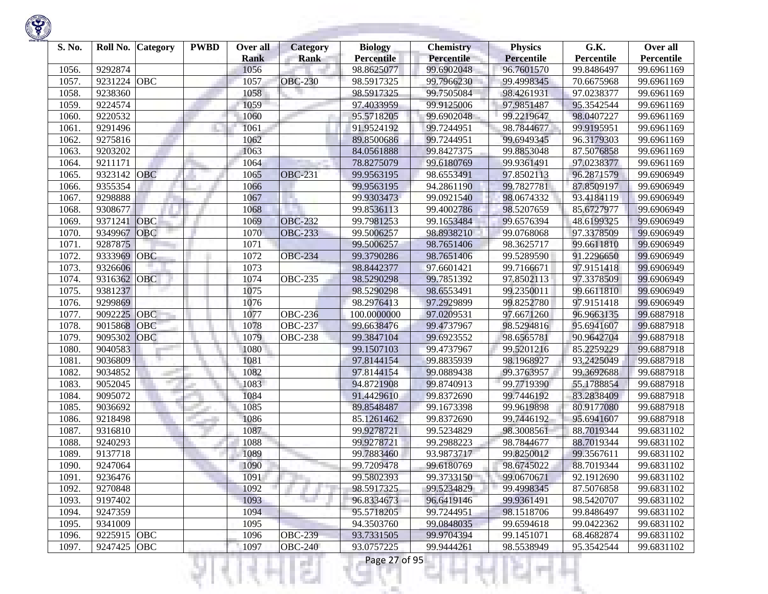

| S. No. | Roll No.    | <b>Category</b> | <b>PWBD</b> | Over all    | Category       | <b>Biology</b>    | <b>Chemistry</b>  | <b>Physics</b>    | G.K.       | Over all   |
|--------|-------------|-----------------|-------------|-------------|----------------|-------------------|-------------------|-------------------|------------|------------|
|        |             |                 |             | <b>Rank</b> | <b>Rank</b>    | <b>Percentile</b> | <b>Percentile</b> | <b>Percentile</b> | Percentile | Percentile |
| 1056.  | 9292874     |                 |             | 1056        |                | 98.8625077        | 99.6902048        | 96.7601570        | 99.8486497 | 99.6961169 |
| 1057.  | 9231224     | <b>OBC</b>      |             | 1057        | <b>OBC-230</b> | 98.5917325        | 99.7966230        | 99.4998345        | 70.6675968 | 99.6961169 |
| 1058.  | 9238360     |                 |             | 1058        |                | 98.5917325        | 99.7505084        | 98.4261931        | 97.0238377 | 99.6961169 |
| 1059.  | 9224574     |                 |             | 1059        |                | 97.4033959        | 99.9125006        | 97.9851487        | 95.3542544 | 99.6961169 |
| 1060   | 9220532     |                 |             | 1060        |                | 95.5718205        | 99.6902048        | 99.2219647        | 98.0407227 | 99.6961169 |
| 1061   | 9291496     |                 |             | 1061        |                | 91.9524192        | 99.7244951        | 98.7844677        | 99.9195951 | 99.6961169 |
| 1062.  | 9275816     |                 |             | 1062        |                | 89.8500686        | 99.7244951        | 99.6949345        | 96.3179303 | 99.6961169 |
| 1063.  | 9203202     |                 |             | 1063        |                | 84.0561888        | 99.8427375        | 99.8853048        | 87.5076858 | 99.6961169 |
| 1064.  | 9211171     |                 |             | 1064        |                | 78.8275079        | 99.6180769        | 99.9361491        | 97.0238377 | 99.6961169 |
| 1065   | 9323142     | <b>OBC</b>      |             | 1065        | <b>OBC-231</b> | 99.9563195        | 98.6553491        | 97.8502113        | 96.2871579 | 99.6906949 |
| 1066.  | 9355354     |                 |             | 1066        |                | 99.9563195        | 94.2861190        | 99.7827781        | 87.8509197 | 99.6906949 |
| 1067.  | 9298888     |                 |             | 1067        |                | 99.9303473        | 99.0921540        | 98.0674332        | 93.4184119 | 99.6906949 |
| 1068   | 9308677     |                 |             | 1068        |                | 99.8536113        | 99.4002786        | 98.5207659        | 85.6727977 | 99.6906949 |
| 1069   | 9371241     | OBC             |             | 1069        | <b>OBC-232</b> | 99.7981253        | 99.1653484        | 99.6576394        | 48.6199325 | 99.6906949 |
| 1070   | 9349967     | <b>OBC</b>      |             | 1070        | <b>OBC-233</b> | 99.5006257        | 98.8938210        | 99.0768068        | 97.3378509 | 99.6906949 |
| 1071.  | 9287875     |                 |             | 1071        |                | 99.5006257        | 98.7651406        | 98.3625717        | 99.6611810 | 99.6906949 |
| 1072.  | 9333969     | <b>OBC</b>      |             | 1072        | <b>OBC-234</b> | 99.3790286        | 98.7651406        | 99.5289590        | 91.2296650 | 99.6906949 |
| 1073.  | 9326606     |                 |             | 1073        |                | 98.8442377        | 97.6601421        | 99.7166671        | 97.9151418 | 99.6906949 |
| 1074.  | 9316362     | <b>OBC</b>      |             | 1074        | <b>OBC-235</b> | 98.5290298        | 99.7851392        | 97.8502113        | 97.3378509 | 99.6906949 |
| 1075.  | 9381237     |                 |             | 1075        |                | 98.5290298        | 98.6553491        | 99.2350011        | 99.6611810 | 99.6906949 |
| 1076.  | 9299869     |                 |             | 1076        |                | 98.2976413        | 97.2929899        | 99.8252780        | 97.9151418 | 99.6906949 |
| 1077.  | 9092225     | OBC             |             | 1077        | <b>OBC-236</b> | 100.0000000       | 97.0209531        | 97.6671260        | 96.9663135 | 99.6887918 |
| 1078.  | 9015868     | <b>OBC</b>      |             | 1078        | <b>OBC-237</b> | 99.6638476        | 99.4737967        | 98.5294816        | 95.6941607 | 99.6887918 |
| 1079   | 9095302     | OBC             |             | 1079        | <b>OBC-238</b> | 99.3847104        | 99.6923552        | 98.6565781        | 90.9642704 | 99.6887918 |
| 1080   | 9040583     |                 |             | 1080        |                | 99.1507103        | 99.4737967        | 99.5201216        | 85.2259229 | 99.6887918 |
| 1081.  | 9036809     |                 |             | 1081        |                | 97.8144154        | 99.8835939        | 98.1968927        | 93.2425049 | 99.6887918 |
| 1082.  | 9034852     |                 |             | 1082        |                | 97.8144154        | 99.0889438        | 99.3763957        | 99.3692688 | 99.6887918 |
| 1083.  | 9052045     |                 |             | 1083        |                | 94.8721908        | 99.8740913        | 99.7719390        | 55.1788854 | 99.6887918 |
| 1084.  | 9095072     |                 |             | 1084        |                | 91.4429610        | 99.8372690        | 99.7446192        | 83.2838409 | 99.6887918 |
| 1085.  | 9036692     |                 |             | 1085        |                | 89.8548487        | 99.1673398        | 99.9619898        | 80.9177080 | 99.6887918 |
| 1086.  | 9218498     |                 |             | 1086        |                | 85.1261462        | 99.8372690        | 99.7446192        | 95.6941607 | 99.6887918 |
| 1087.  | 9316810     |                 |             | 1087        |                | 99.9278721        | 99.5234829        | 98.3008561        | 88.7019344 | 99.6831102 |
| 1088   | 9240293     |                 |             | 1088        |                | 99.9278721        | 99.2988223        | 98.7844677        | 88.7019344 | 99.6831102 |
| 1089   | 9137718     |                 |             | 1089        |                | 99.7883460        | 93.9873717        | 99.8250012        | 99.3567611 | 99.6831102 |
| 1090.  | 9247064     |                 |             | 1090        |                | 99.7209478        | 99.6180769        | 98.6745022        | 88.7019344 | 99.6831102 |
| 1091.  | 9236476     |                 |             | 1091        |                | 99.5802393        | 99.3733150        | 99.0670671        | 92.1912690 | 99.6831102 |
| 1092.  | 9270848     |                 |             | 1092        |                | 98.5917325        | 99.5234829        | 99.4998345        | 87.5076858 | 99.6831102 |
| 1093.  | 9197402     |                 |             | 1093        | w              | 96.8334673        | 96.6419146        | 99.9361491        | 98.5420707 | 99.6831102 |
| 1094.  | 9247359     |                 |             | 1094        |                | 95.5718205        | 99.7244951        | 98.1518706        | 99.8486497 | 99.6831102 |
| 1095.  | 9341009     |                 |             | 1095        |                | 94.3503760        | 99.0848035        | 99.6594618        | 99.0422362 | 99.6831102 |
| 1096.  | 9225915 OBC |                 |             | 1096        | <b>OBC-239</b> | 93.7331505        | 99.9704394        | 99.1451071        | 68.4682874 | 99.6831102 |
| 1097.  | 9247425     | <b>OBC</b>      |             | 1097        | <b>OBC-240</b> | 93.0757225        | 99.9444261        | 98.5538949        | 95.3542544 | 99.6831102 |

ાયનમ્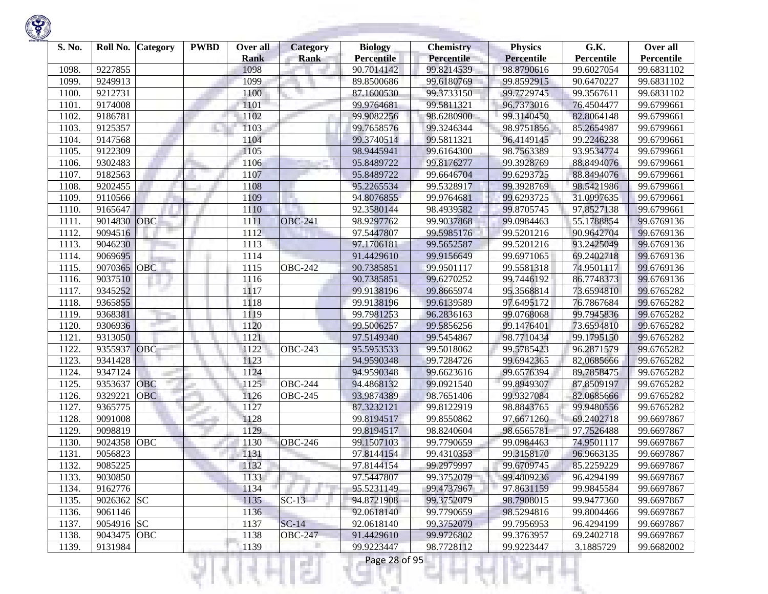

| S. No. | Roll No.    | <b>Category</b> | <b>PWBD</b> | Over all    | <b>Category</b> | <b>Biology</b>    | <b>Chemistry</b> | <b>Physics</b>    | G.K.       | Over all   |
|--------|-------------|-----------------|-------------|-------------|-----------------|-------------------|------------------|-------------------|------------|------------|
|        |             |                 |             | <b>Rank</b> | <b>Rank</b>     | <b>Percentile</b> | Percentile       | <b>Percentile</b> | Percentile | Percentile |
| 1098.  | 9227855     |                 |             | 1098        |                 | 90.7014142        | 99.8214539       | 98.8790616        | 99.6027054 | 99.6831102 |
| 1099.  | 9249913     |                 |             | 1099        |                 | 89.8500686        | 99.6180769       | 99.8592915        | 90.6470227 | 99.6831102 |
| 1100   | 9212731     |                 |             | 1100        |                 | 87.1600530        | 99.3733150       | 99.7729745        | 99.3567611 | 99.6831102 |
| 1101.  | 9174008     |                 |             | 1101        |                 | 99.9764681        | 99.5811321       | 96.7373016        | 76.4504477 | 99.6799661 |
| 1102.  | 9186781     |                 |             | 1102        |                 | 99.9082256        | 98.6280900       | 99.3140450        | 82.8064148 | 99.6799661 |
| 1103.  | 9125357     |                 |             | 1103        |                 | 99.7658576        | 99.3246344       | 98.9751856        | 85.2654987 | 99.6799661 |
| 1104.  | 9147568     |                 |             | 1104        |                 | 99.3740514        | 99.5811321       | 96.4149145        | 99.2246238 | 99.6799661 |
| 1105.  | 9122309     |                 |             | 1105        |                 | 98.9445941        | 99.6164300       | 98.7563389        | 93.9534774 | 99.6799661 |
| 1106.  | 9302483     |                 |             | 1106        |                 | 95.8489722        | 99.8176277       | 99.3928769        | 88.8494076 | 99.6799661 |
| 1107.  | 9182563     |                 |             | 1107        |                 | 95.8489722        | 99.6646704       | 99.6293725        | 88.8494076 | 99.6799661 |
| 1108   | 9202455     |                 |             | 1108        |                 | 95.2265534        | 99.5328917       | 99.3928769        | 98.5421986 | 99.6799661 |
| 1109.  | 9110566     |                 |             | 1109        | ×.              | 94.8076855        | 99.9764681       | 99.6293725        | 31.0997635 | 99.6799661 |
| 1110   | 9165647     |                 |             | 1110        |                 | 92.3580144        | 98.4939582       | 99.8705745        | 97.8527138 | 99.6799661 |
| 1111.  | 9014830     | OBC             |             | 1111        | <b>OBC-241</b>  | 98.9297762        | 99.9037868       | 99.0984463        | 55.1788854 | 99.6769136 |
| 1112.  | 9094516     |                 |             | 1112        |                 | 97.5447807        | 99.5985176       | 99.5201216        | 90.9642704 | 99.6769136 |
| 1113.  | 9046230     |                 |             | 1113        |                 | 97.1706181        | 99.5652587       | 99.5201216        | 93.2425049 | 99.6769136 |
| 1114.  | 9069695     |                 |             | 1114        |                 | 91.4429610        | 99.9156649       | 99.6971065        | 69.2402718 | 99.6769136 |
| 1115.  | 9070365     | <b>OBC</b>      |             | 1115        | <b>OBC-242</b>  | 90.7385851        | 99.9501117       | 99.5581318        | 74.9501117 | 99.6769136 |
| 1116.  | 9037510     |                 |             | 1116        |                 | 90.7385851        | 99.6270252       | 99.7446192        | 86.7748373 | 99.6769136 |
| 1117.  | 9345252     |                 |             | 1117        |                 | 99.9138196        | 99.8665974       | 95.3568814        | 73.6594810 | 99.6765282 |
| 1118   | 9365855     |                 |             | 1118        |                 | 99.9138196        | 99.6139589       | 97.6495172        | 76.7867684 | 99.6765282 |
| 1119.  | 9368381     |                 |             | 1119        |                 | 99.7981253        | 96.2836163       | 99.0768068        | 99.7945836 | 99.6765282 |
| 1120   | 9306936     |                 |             | 1120        |                 | 99.5006257        | 99.5856256       | 99.1476401        | 73.6594810 | 99.6765282 |
| 1121.  | 9313050     |                 |             | 1121        |                 | 97.5149340        | 99.5454867       | 98.7710434        | 99.1795150 | 99.6765282 |
| 1122.  | 9355937     | OBC             |             | 1122        | <b>OBC-243</b>  | 95.5953533        | 99.5018062       | 99.5785423        | 96.2871579 | 99.6765282 |
| 1123.  | 9341428     |                 |             | 1123        |                 | 94.9590348        | 99.7284726       | 99.6942365        | 82.0685666 | 99.6765282 |
| 1124.  | 9347124     |                 |             | 1124        |                 | 94.9590348        | 99.6623616       | 99.6576394        | 89.7858475 | 99.6765282 |
| 1125.  | 9353637     | <b>OBC</b>      |             | 1125        | <b>OBC-244</b>  | 94.4868132        | 99.0921540       | 99.8949307        | 87.8509197 | 99.6765282 |
| 1126.  | 9329221     | <b>OBC</b>      |             | 1126        | <b>OBC-245</b>  | 93.9874389        | 98.7651406       | 99.9327084        | 82.0685666 | 99.6765282 |
| 1127.  | 9365775     |                 |             | 1127        |                 | 87.3232121        | 99.8122919       | 98.8843765        | 99.9480556 | 99.6765282 |
| 1128   | 9091008     |                 |             | 1128        |                 | 99.8194517        | 99.8550862       | 97.6671260        | 69.2402718 | 99.6697867 |
| 1129.  | 9098819     |                 |             | 1129        |                 | 99.8194517        | 98.8240604       | 98.6565781        | 97.7526488 | 99.6697867 |
| 1130   | 9024358     | <b>OBC</b>      |             | 1130        | <b>OBC-246</b>  | 99.1507103        | 99.7790659       | 99.0984463        | 74.9501117 | 99.6697867 |
| 1131   | 9056823     |                 |             | 1131        |                 | 97.8144154        | 99.4310353       | 99.3158170        | 96.9663135 | 99.6697867 |
| 1132.  | 9085225     |                 |             | 1132        |                 | 97.8144154        | 99.2979997       | 99.6709745        | 85.2259229 | 99.6697867 |
| 1133.  | 9030850     |                 |             | 1133        |                 | 97.5447807        | 99.3752079       | 99.4809236        | 96.4294199 | 99.6697867 |
| 1134.  | 9162776     |                 |             | 1134        |                 | 95.5231149        | 99.4737967       | 97.8631159        | 99.9845584 | 99.6697867 |
| 1135.  | 9026362 SC  |                 |             | 1135        | $SC-13$         | 94.8721908        | 99.3752079       | 98.7908015        | 99.9477360 | 99.6697867 |
| 1136.  | 9061146     |                 |             | 1136        |                 | 92.0618140        | 99.7790659       | 98.5294816        | 99.8004466 | 99.6697867 |
| 1137.  | 9054916 SC  |                 |             | 1137        | $SC-14$         | 92.0618140        | 99.3752079       | 99.7956953        | 96.4294199 | 99.6697867 |
| 1138.  | 9043475 OBC |                 |             | 1138        | <b>OBC-247</b>  | 91.4429610        | 99.9726802       | 99.3763957        | 69.2402718 | 99.6697867 |
| 1139.  | 9131984     |                 |             | 1139        | п               | 99.9223447        | 98.7728112       | 99.9223447        | 3.1885729  | 99.6682002 |

थिनम्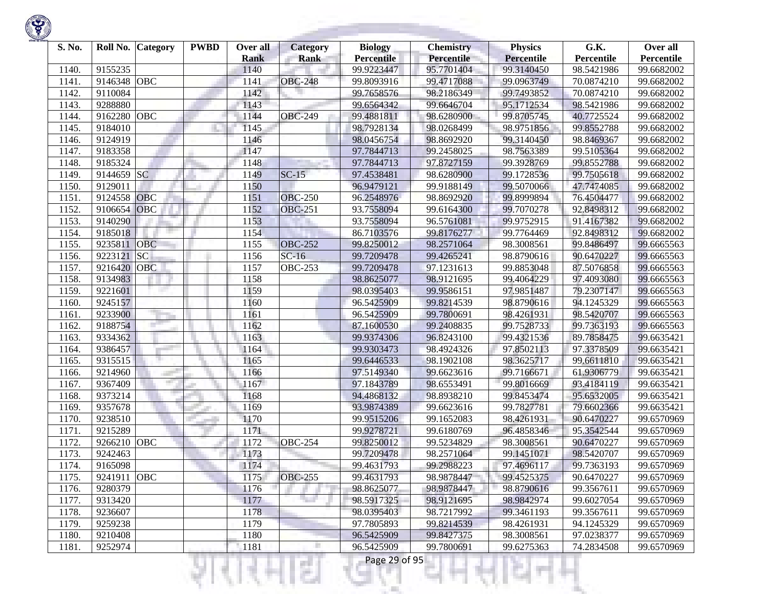

| S. No. | Roll No.    | <b>Category</b> | <b>PWBD</b> | Over all<br><b>Rank</b> | <b>Category</b><br><b>Rank</b> | <b>Biology</b><br><b>Percentile</b> | <b>Chemistry</b><br>Percentile | <b>Physics</b><br><b>Percentile</b> | G.K.<br>Percentile | Over all<br>Percentile |
|--------|-------------|-----------------|-------------|-------------------------|--------------------------------|-------------------------------------|--------------------------------|-------------------------------------|--------------------|------------------------|
| 1140.  | 9155235     |                 |             | 1140                    |                                | 99.9223447                          | 95.7701404                     | 99.3140450                          | 98.5421986         | 99.6682002             |
| 1141.  | 9146348     | <b>OBC</b>      |             | 1141                    | <b>OBC-248</b>                 | 99.8093916                          | 99.4717088                     | 99.0963749                          | 70.0874210         | 99.6682002             |
| 1142.  | 9110084     |                 |             | 1142                    |                                | 99.7658576                          | 98.2186349                     | 99.7493852                          | 70.0874210         | 99.6682002             |
| 1143.  | 9288880     |                 |             | 1143                    |                                | 99.6564342                          | 99.6646704                     | 95.1712534                          | 98.5421986         | 99.6682002             |
| 1144.  | 9162280     | <b>OBC</b>      |             | 1144                    | <b>OBC-249</b>                 | 99.4881811                          | 98.6280900                     | 99.8705745                          | 40.7725524         | 99.6682002             |
| 1145.  | 9184010     |                 |             | 1145                    |                                | 98.7928134                          | 98.0268499                     | 98.9751856                          | 99.8552788         | 99.6682002             |
| 1146.  | 9124919     |                 |             | 1146                    |                                | 98.0456754                          | 98.8692920                     | 99.3140450                          | 98.8469367         | 99.6682002             |
| 1147.  | 9183358     |                 |             | 1147                    |                                | 97.7844713                          | 99.2458025                     | 98.7563389                          | 99.5105364         | 99.6682002             |
| 1148.  | 9185324     |                 |             | 1148                    |                                | 97.7844713                          | 97.8727159                     | 99.3928769                          | 99.8552788         | 99.6682002             |
| 1149.  | 9144659 SC  |                 |             | 1149                    | $SC-15$                        | 97.4538481                          | 98.6280900                     | 99.1728536                          | 99.7505618         | 99.6682002             |
| 1150   | 9129011     |                 |             | 1150                    |                                | 96.9479121                          | 99.9188149                     | 99.5070066                          | 47.7474085         | 99.6682002             |
| 1151.  | 9124558     | <b>OBC</b>      |             | 1151                    | <b>OBC-250</b>                 | 96.2548976                          | 98.8692920                     | 99.8999894                          | 76.4504477         | 99.6682002             |
| 1152.  | 9106654     | <b>OBC</b>      |             | 1152                    | <b>OBC-251</b>                 | 93.7558094                          | 99.6164300                     | 99.7070278                          | 92.8498312         | 99.6682002             |
| 1153.  | 9140290     |                 |             | 1153                    |                                | 93.7558094                          | 96.5761081                     | 99.9752915                          | 91.4167382         | 99.6682002             |
| 1154.  | 9185018     |                 |             | 1154                    |                                | 86.7103576                          | 99.8176277                     | 99.7764469                          | 92.8498312         | 99.6682002             |
| 1155.  | 9235811     | <b>OBC</b>      |             | 1155                    | <b>OBC-252</b>                 | 99.8250012                          | 98.2571064                     | 98.3008561                          | 99.8486497         | 99.6665563             |
| 1156.  | 9223121     | SC              |             | 1156                    | $\overline{SC-16}$             | 99.7209478                          | 99.4265241                     | 98.8790616                          | 90.6470227         | 99.6665563             |
| 1157.  | 9216420     | <b>OBC</b>      |             | 1157                    | <b>OBC-253</b>                 | 99.7209478                          | 97.1231613                     | 99.8853048                          | 87.5076858         | 99.6665563             |
| 1158.  | 9134983     |                 |             | 1158                    |                                | 98.8625077                          | 98.9121695                     | 99.4064229                          | 97.4093080         | 99.6665563             |
| 1159.  | 9221601     |                 |             | 1159                    |                                | 98.0395403                          | 99.9586151                     | 97.9851487                          | 79.2307147         | 99.6665563             |
| 1160   | 9245157     |                 |             | 1160                    |                                | 96.5425909                          | 99.8214539                     | 98.8790616                          | 94.1245329         | 99.6665563             |
| 1161.  | 9233900     |                 |             | 1161                    |                                | 96.5425909                          | 99.7800691                     | 98.4261931                          | 98.5420707         | 99.6665563             |
| 1162.  | 9188754     |                 |             | 1162                    |                                | 87.1600530                          | 99.2408835                     | 99.7528733                          | 99.7363193         | 99.6665563             |
| 1163.  | 9334362     |                 |             | 1163                    |                                | 99.9374306                          | 96.8243100                     | 99.4321536                          | 89.7858475         | 99.6635421             |
| 1164.  | 9386457     |                 |             | 1164                    |                                | 99.9303473                          | 98.4924326                     | 97.8502113                          | 97.3378509         | 99.6635421             |
| 1165.  | 9315515     |                 |             | 1165                    |                                | 99.6446533                          | 98.1902108                     | 98.3625717                          | 99.6611810         | 99.6635421             |
| 1166.  | 9214960     |                 |             | 1166                    |                                | 97.5149340                          | 99.6623616                     | 99.7166671                          | 61.9306779         | 99.6635421             |
| 1167.  | 9367409     |                 |             | 1167                    |                                | 97.1843789                          | 98.6553491                     | 99.8016669                          | 93.4184119         | 99.6635421             |
| 1168   | 9373214     |                 |             | 1168                    |                                | 94.4868132                          | 98.8938210                     | 99.8453474                          | 95.6532005         | 99.6635421             |
| 1169.  | 9357678     |                 |             | 1169                    |                                | 93.9874389                          | 99.6623616                     | 99.7827781                          | 79.6602366         | 99.6635421             |
| 1170   | 9238510     |                 |             | 1170                    |                                | 99.9515206                          | 99.1652083                     | 98.4261931                          | 90.6470227         | 99.6570969             |
| 1171.  | 9215289     |                 |             | 1171                    |                                | 99.9278721                          | 99.6180769                     | 96.4858346                          | 95.3542544         | 99.6570969             |
| 1172.  | 9266210     | <b>OBC</b>      |             | 1172                    | <b>OBC-254</b>                 | 99.8250012                          | 99.5234829                     | 98.3008561                          | 90.6470227         | 99.6570969             |
| 1173.  | 9242463     |                 |             | 1173                    |                                | 99.7209478                          | 98.2571064                     | 99.1451071                          | 98.5420707         | 99.6570969             |
| 1174.  | 9165098     |                 |             | 1174                    |                                | 99.4631793                          | 99.2988223                     | 97.4696117                          | 99.7363193         | 99.6570969             |
| 1175.  | 9241911 OBC |                 |             | 1175                    | <b>OBC-255</b>                 | 99.4631793                          | 98.9878447                     | 99.4525375                          | 90.6470227         | 99.6570969             |
| 1176.  | 9280379     |                 |             | 1176                    |                                | 98.8625077                          | 98.9878447                     | 98.8790616                          | 99.3567611         | 99.6570969             |
| 1177.  | 9313420     |                 |             | 1177                    |                                | 98.5917325                          | 98.9121695                     | 98.9842974                          | 99.6027054         | 99.6570969             |
| 1178.  | 9236607     |                 |             | 1178                    |                                | 98.0395403                          | 98.7217992                     | 99.3461193                          | 99.3567611         | 99.6570969             |
| 1179.  | 9259238     |                 |             | 1179                    |                                | 97.7805893                          | 99.8214539                     | 98.4261931                          | 94.1245329         | 99.6570969             |
| 1180.  | 9210408     |                 |             | 1180                    |                                | 96.5425909                          | 99.8427375                     | 98.3008561                          | 97.0238377         | 99.6570969             |
| 1181.  | 9252974     |                 |             | 1181                    |                                | 96.5425909                          | 99.7800691                     | 99.6275363                          | 74.2834508         | 99.6570969             |
|        |             |                 |             |                         | g                              | Page 29 of 95                       |                                |                                     |                    |                        |

**State of Concession**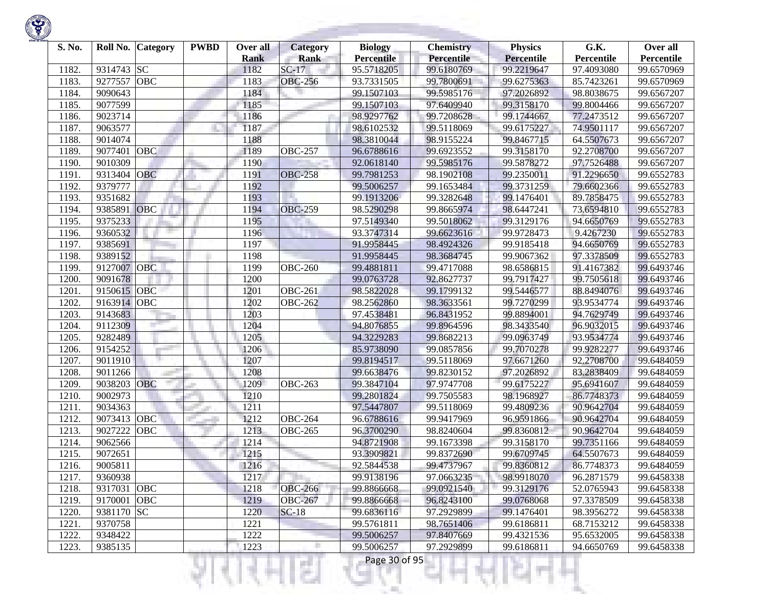

| S. No. | Roll No.    | Category   | <b>PWBD</b> | Over all<br><b>Rank</b> | <b>Category</b><br>Rank | <b>Biology</b><br><b>Percentile</b> | <b>Chemistry</b><br>Percentile | <b>Physics</b><br><b>Percentile</b> | G.K.<br>Percentile | Over all<br>Percentile |
|--------|-------------|------------|-------------|-------------------------|-------------------------|-------------------------------------|--------------------------------|-------------------------------------|--------------------|------------------------|
| 1182.  | 9314743     | <b>SC</b>  |             | 1182                    | $SC-17$                 | 95.5718205                          | 99.6180769                     | 99.2219647                          | 97.4093080         | 99.6570969             |
| 1183.  | 9277557     | <b>OBC</b> |             | 1183                    | <b>OBC-256</b>          | 93.7331505                          | 99.7800691                     | 99.6275363                          | 85.7423261         | 99.6570969             |
| 1184.  | 9090643     |            |             | 1184                    |                         | 99.1507103                          | 99.5985176                     | 97.2026892                          | 98.8038675         | 99.6567207             |
| 1185.  | 9077599     |            |             | 1185                    |                         | 99.1507103                          | 97.6409940                     | 99.3158170                          | 99.8004466         | 99.6567207             |
| 1186.  | 9023714     |            |             | 1186                    |                         | 98.9297762                          | 99.7208628                     | 99.1744667                          | 77.2473512         | 99.6567207             |
| 1187.  | 9063577     |            |             | 1187                    |                         | 98.6102532                          | 99.5118069                     | 99.6175227                          | 74.9501117         | 99.6567207             |
| 1188   | 9014074     |            |             | 1188                    |                         | 98.3810044                          | 98.9155224                     | 99.8467715                          | 64.5507673         | 99.6567207             |
| 1189   | 9077401     | <b>OBC</b> |             | 1189                    | <b>OBC-257</b>          | 96.6788616                          | 99.6923552                     | 99.3158170                          | 92.2708700         | 99.6567207             |
| 1190.  | 9010309     |            |             | 1190                    |                         | 92.0618140                          | 99.5985176                     | 99.5878272                          | 97.7526488         | 99.6567207             |
| 1191.  | 9313404     | <b>OBC</b> |             | 1191                    | <b>OBC-258</b>          | 99.7981253                          | 98.1902108                     | 99.2350011                          | 91.2296650         | 99.6552783             |
| 1192.  | 9379777     |            |             | 1192                    |                         | 99.5006257                          | 99.1653484                     | 99.3731259                          | 79.6602366         | 99.6552783             |
| 1193.  | 9351682     |            |             | 1193                    |                         | 99.1913206                          | 99.3282648                     | 99.1476401                          | 89.7858475         | 99.6552783             |
| 1194.  | 9385891     | OBC        |             | 1194                    | <b>OBC-259</b>          | 98.5290298                          | 99.8665974                     | 98.6447241                          | 73.6594810         | 99.6552783             |
| 1195.  | 9375233     |            |             | 1195                    |                         | 97.5149340                          | 99.5018062                     | 99.3129176                          | 94.6650769         | 99.6552783             |
| 1196.  | 9360532     |            |             | 1196                    |                         | 93.3747314                          | 99.6623616                     | 99.9728473                          | 9.4267230          | 99.6552783             |
| 1197.  | 9385691     |            |             | 1197                    |                         | 91.9958445                          | 98.4924326                     | 99.9185418                          | 94.6650769         | 99.6552783             |
| 1198   | 9389152     |            |             | 1198                    |                         | 91.9958445                          | 98.3684745                     | 99.9067362                          | 97.3378509         | 99.6552783             |
| 1199   | 9127007     | <b>OBC</b> |             | 1199                    | <b>OBC-260</b>          | 99.4881811                          | 99.4717088                     | 98.6586815                          | 91.4167382         | 99.6493746             |
| 1200.  | 9091678     |            |             | 1200                    |                         | 99.0763728                          | 92.8627737                     | 99.7917427                          | 99.7505618         | 99.6493746             |
| 1201.  | 9150615     | <b>OBC</b> |             | 1201                    | <b>OBC-261</b>          | 98.5822028                          | 99.1799132                     | 99.5446577                          | 88.8494076         | 99.6493746             |
| 1202.  | 9163914     | OBC        |             | 1202                    | <b>OBC-262</b>          | 98.2562860                          | 98.3633561                     | 99.7270299                          | 93.9534774         | 99.6493746             |
| 1203.  | 9143683     |            |             | 1203                    |                         | 97.4538481                          | 96.8431952                     | 99.8894001                          | 94.7629749         | 99.6493746             |
| 1204.  | 9112309     |            |             | 1204                    |                         | 94.8076855                          | 99.8964596                     | 98.3433540                          | 96.9032015         | 99.6493746             |
| 1205.  | 9282489     |            |             | 1205                    |                         | 94.3229283                          | 99.8682213                     | 99.0963749                          | 93.9534774         | 99.6493746             |
| 1206.  | 9154252     |            |             | 1206                    |                         | 85.9738090                          | 99.0857856                     | 99.7070278                          | 99.9282277         | 99.6493746             |
| 1207.  | 9011910     |            |             | 1207                    |                         | 99.8194517                          | 99.5118069                     | 97.6671260                          | 92.2708700         | 99.6484059             |
| 1208   | 9011266     |            |             | 1208                    |                         | 99.6638476                          | 99.8230152                     | 97.2026892                          | 83.2838409         | 99.6484059             |
| 1209   | 9038203     | <b>OBC</b> |             | 1209                    | <b>OBC-263</b>          | 99.3847104                          | 97.9747708                     | 99.6175227                          | 95.6941607         | 99.6484059             |
| 1210.  | 9002973     |            |             | 1210                    |                         | 99.2801824                          | 99.7505583                     | 98.1968927                          | 86.7748373         | 99.6484059             |
| 1211.  | 9034363     |            |             | 1211                    |                         | 97.5447807                          | 99.5118069                     | 99.4809236                          | 90.9642704         | 99.6484059             |
| 1212.  | 9073413     | OBC        |             | 1212                    | <b>OBC-264</b>          | 96.6788616                          | 99.9417969                     | 96.9591866                          | 90.9642704         | 99.6484059             |
| 1213.  | 9027222     | OBC        |             | 1213                    | <b>OBC-265</b>          | 96.3700290                          | 98.8240604                     | 99.8360812                          | 90.9642704         | 99.6484059             |
| 1214.  | 9062566     |            |             | 1214                    |                         | 94.8721908                          | 99.1673398                     | 99.3158170                          | 99.7351166         | 99.6484059             |
| 1215.  | 9072651     |            |             | 1215                    |                         | 93.3909821                          | 99.8372690                     | 99.6709745                          | 64.5507673         | 99.6484059             |
| 1216.  | 9005811     |            |             | 1216                    |                         | 92.5844538                          | 99.4737967                     | 99.8360812                          | 86.7748373         | 99.6484059             |
| 1217.  | 9360938     |            |             | 1217                    |                         | 99.9138196                          | 97.0663235                     | 98.9918070                          | 96.2871579         | 99.6458338             |
| 1218.  | 9317031 OBC |            |             | 1218                    | <b>OBC-266</b>          | 99.8866668                          | 99.0921540                     | 99.3129176                          | 52.0765943         | 99.6458338             |
| 1219.  | 9170001     | <b>OBC</b> |             | 1219                    | <b>OBC-267</b>          | 99.8866668                          | 96.8243100                     | 99.0768068                          | 97.3378509         | 99.6458338             |
| 1220.  | 9381170     | <b>SC</b>  |             | 1220                    | $SC-18$                 | 99.6836116                          | 97.2929899                     | 99.1476401                          | 98.3956272         | 99.6458338             |
| 1221.  | 9370758     |            |             | 1221                    |                         | 99.5761811                          | 98.7651406                     | 99.6186811                          | 68.7153212         | 99.6458338             |
| 1222.  | 9348422     |            |             | 1222                    |                         | 99.5006257                          | 97.8407669                     | 99.4321536                          | 95.6532005         | 99.6458338             |
| 1223.  | 9385135     |            |             | 1223                    |                         | 99.5006257                          | 97.2929899                     | 99.6186811                          | 94.6650769         | 99.6458338             |
|        |             |            |             |                         | s                       | Page 30 of 95                       |                                |                                     |                    |                        |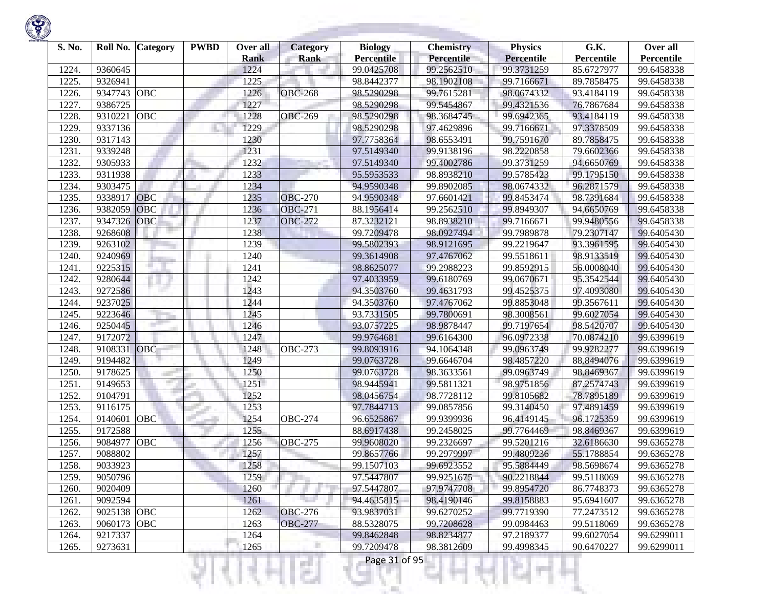

| S. No. | Roll No.    | <b>Category</b> | <b>PWBD</b> | Over all<br><b>Rank</b> | <b>Category</b><br><b>Rank</b> | <b>Biology</b><br><b>Percentile</b> | <b>Chemistry</b><br><b>Percentile</b> | <b>Physics</b><br><b>Percentile</b> | G.K.<br>Percentile | Over all<br>Percentile |
|--------|-------------|-----------------|-------------|-------------------------|--------------------------------|-------------------------------------|---------------------------------------|-------------------------------------|--------------------|------------------------|
| 1224.  | 9360645     |                 |             | 1224                    |                                | 99.0425708                          | 99.2562510                            | 99.3731259                          | 85.6727977         | 99.6458338             |
| 1225.  | 9326941     |                 |             | 1225                    |                                | 98.8442377                          | 98.1902108                            | 99.7166671                          | 89.7858475         | 99.6458338             |
| 1226.  | 9347743     | <b>OBC</b>      |             | 1226                    | <b>OBC-268</b>                 | 98.5290298                          | 99.7615281                            | 98.0674332                          | 93.4184119         | 99.6458338             |
| 1227.  | 9386725     |                 |             | 1227                    |                                | 98.5290298                          | 99.5454867                            | 99.4321536                          | 76.7867684         | 99.6458338             |
| 1228.  | 9310221     | OBC             |             | 1228                    | <b>OBC-269</b>                 | 98.5290298                          | 98.3684745                            | 99.6942365                          | 93.4184119         | 99.6458338             |
| 1229.  | 9337136     |                 |             | 1229                    |                                | 98.5290298                          | 97.4629896                            | 99.7166671                          | 97.3378509         | 99.6458338             |
| 1230.  | 9317143     |                 |             | 1230                    |                                | 97.7758364                          | 98.6553491                            | 99.7591670                          | 89.7858475         | 99.6458338             |
| 1231.  | 9339248     |                 |             | 1231                    |                                | 97.5149340                          | 99.9138196                            | 98.2220858                          | 79.6602366         | 99.6458338             |
| 1232.  | 9305933     |                 |             | 1232                    |                                | 97.5149340                          | 99.4002786                            | 99.3731259                          | 94.6650769         | 99.6458338             |
| 1233.  | 9311938     |                 |             | 1233                    |                                | 95.5953533                          | 98.8938210                            | 99.5785423                          | 99.1795150         | 99.6458338             |
| 1234.  | 9303475     |                 |             | 1234                    |                                | 94.9590348                          | 99.8902085                            | 98.0674332                          | 96.2871579         | 99.6458338             |
| 1235.  | 9338917     | <b>OBC</b>      |             | 1235                    | <b>OBC-270</b>                 | 94.9590348                          | 97.6601421                            | 99.8453474                          | 98.7391684         | 99.6458338             |
| 1236.  | 9382059     | OBC             |             | 1236                    | <b>OBC-271</b>                 | 88.1956414                          | 99.2562510                            | 99.8949307                          | 94.6650769         | 99.6458338             |
| 1237.  | 9347326     | <b>OBC</b>      |             | 1237                    | <b>OBC-272</b>                 | 87.3232121                          | 98.8938210                            | 99.7166671                          | 99.9480556         | 99.6458338             |
| 1238.  | 9268608     |                 |             | 1238                    |                                | 99.7209478                          | 98.0927494                            | 99.7989878                          | 79.2307147         | 99.6405430             |
| 1239.  | 9263102     |                 |             | 1239                    |                                | 99.5802393                          | 98.9121695                            | 99.2219647                          | 93.3961595         | 99.6405430             |
| 1240.  | 9240969     |                 |             | 1240                    |                                | 99.3614908                          | 97.4767062                            | 99.5518611                          | 98.9133519         | 99.6405430             |
| 1241.  | 9225315     |                 |             | 1241                    |                                | 98.8625077                          | 99.2988223                            | 99.8592915                          | 56.0008040         | 99.6405430             |
| 1242.  | 9280644     |                 |             | 1242                    |                                | 97.4033959                          | 99.6180769                            | 99.0670671                          | 95.3542544         | 99.6405430             |
| 1243.  | 9272586     |                 |             | 1243                    |                                | 94.3503760                          | 99.4631793                            | 99.4525375                          | 97.4093080         | 99.6405430             |
| 1244.  | 9237025     |                 |             | 1244                    |                                | 94.3503760                          | 97.4767062                            | 99.8853048                          | 99.3567611         | 99.6405430             |
| 1245.  | 9223646     |                 |             | 1245                    |                                | 93.7331505                          | 99.7800691                            | 98.3008561                          | 99.6027054         | 99.6405430             |
| 1246.  | 9250445     |                 |             | 1246                    |                                | 93.0757225                          | 98.9878447                            | 99.7197654                          | 98.5420707         | 99.6405430             |
| 1247.  | 9172072     |                 |             | 1247                    |                                | 99.9764681                          | 99.6164300                            | 96.0972338                          | 70.0874210         | 99.6399619             |
| 1248.  | 9108331     | OBC             |             | 1248                    | $\overline{OBC}$ -273          | 99.8093916                          | 94.1064348                            | 99.0963749                          | 99.9282277         | 99.6399619             |
| 1249.  | 9194482     |                 |             | 1249                    |                                | 99.0763728                          | 99.6646704                            | 98.4857220                          | 88.8494076         | 99.6399619             |
| 1250.  | 9178625     |                 |             | 1250                    |                                | 99.0763728                          | 98.3633561                            | 99.0963749                          | 98.8469367         | 99.6399619             |
| 1251.  | 9149653     |                 |             | 1251                    |                                | 98.9445941                          | 99.5811321                            | 98.9751856                          | 87.2574743         | 99.6399619             |
| 1252.  | 9104791     |                 |             | 1252                    |                                | 98.0456754                          | 98.7728112                            | 99.8105682                          | 78.7895189         | 99.6399619             |
| 1253.  | 9116175     |                 |             | 1253                    |                                | 97.7844713                          | 99.0857856                            | 99.3140450                          | 97.4891459         | 99.6399619             |
| 1254.  | 9140601     | OBC             |             | 1254                    | <b>OBC-274</b>                 | 96.6525867                          | 99.9399936                            | 96.4149145                          | 96.1725359         | 99.6399619             |
| 1255.  | 9172588     |                 |             | 1255                    |                                | 88.6917438                          | 99.2458025                            | 99.7764469                          | 98.8469367         | 99.6399619             |
| 1256.  | 9084977     | <b>OBC</b>      |             | 1256                    | <b>OBC-275</b>                 | 99.9608020                          | 99.2326697                            | 99.5201216                          | 32.6186630         | 99.6365278             |
| 1257.  | 9088802     |                 |             | 1257                    |                                | 99.8657766                          | 99.2979997                            | 99.4809236                          | 55.1788854         | 99.6365278             |
| 1258.  | 9033923     |                 |             | 1258                    |                                | 99.1507103                          | 99.6923552                            | 95.5884449                          | 98.5698674         | 99.6365278             |
| 1259.  | 9050796     |                 |             | 1259                    |                                | 97.5447807                          | 99.9251675                            | 90.2218844                          | 99.5118069         | 99.6365278             |
| 1260.  | 9020409     |                 |             | 1260                    |                                | 97.5447807                          | 97.9747708                            | 99.8954720                          | 86.7748373         | 99.6365278             |
| 1261.  | 9092594     |                 |             | 1261                    |                                | 94.4635815                          | 98.4190146                            | 99.8158883                          | 95.6941607         | 99.6365278             |
| 1262.  | 9025138 OBC |                 |             | 1262                    | <b>OBC-276</b>                 | 93.9837031                          | 99.6270252                            | 99.7719390                          | 77.2473512         | 99.6365278             |
| 1263.  | 9060173     | <b>OBC</b>      |             | 1263                    | <b>OBC-277</b>                 | 88.5328075                          | 99.7208628                            | 99.0984463                          | 99.5118069         | 99.6365278             |
| 1264.  | 9217337     |                 |             | 1264                    |                                | 99.8462848                          | 98.8234877                            | 97.2189377                          | 99.6027054         | 99.6299011             |
| 1265.  | 9273631     |                 |             | 1265                    |                                | 99.7209478                          | 98.3812609                            | 99.4998345                          | 90.6470227         | 99.6299011             |
|        |             |                 |             |                         | s                              | Page 31 of 95                       |                                       |                                     |                    |                        |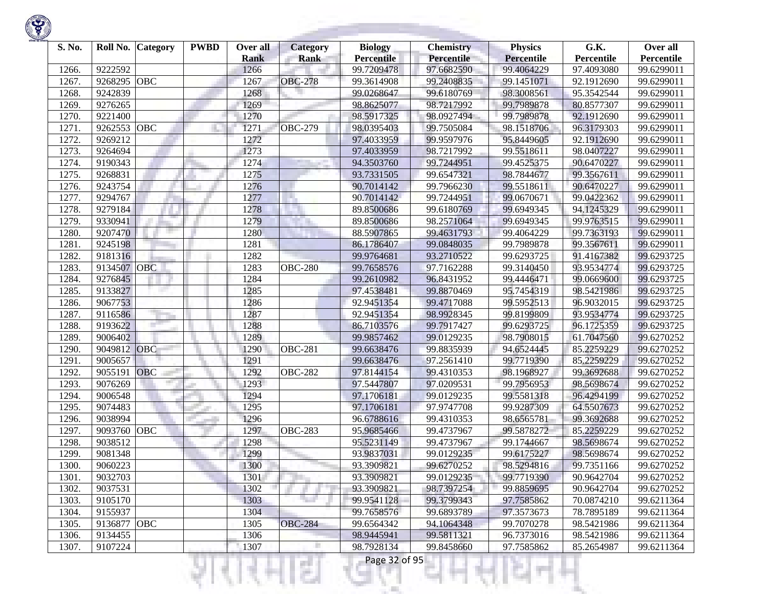

| S. No. | Roll No.    | <b>Category</b> | <b>PWBD</b> | Over all<br><b>Rank</b> | <b>Category</b><br><b>Rank</b> | <b>Biology</b><br><b>Percentile</b> | <b>Chemistry</b><br>Percentile | <b>Physics</b><br><b>Percentile</b> | G.K.<br>Percentile | Over all<br>Percentile |
|--------|-------------|-----------------|-------------|-------------------------|--------------------------------|-------------------------------------|--------------------------------|-------------------------------------|--------------------|------------------------|
| 1266.  | 9222592     |                 |             | 1266                    |                                | 99.7209478                          | 97.6682590                     | 99.4064229                          | 97.4093080         | 99.6299011             |
| 1267.  | 9268295     | <b>OBC</b>      |             | 1267                    | <b>OBC-278</b>                 | 99.3614908                          | 99.2408835                     | 99.1451071                          | 92.1912690         | 99.6299011             |
| 1268.  | 9242839     |                 |             | 1268                    |                                | 99.0268647                          | 99.6180769                     | 98.3008561                          | 95.3542544         | 99.6299011             |
| 1269.  | 9276265     |                 |             | 1269                    |                                | 98.8625077                          | 98.7217992                     | 99.7989878                          | 80.8577307         | 99.6299011             |
| 1270.  | 9221400     |                 |             | 1270                    |                                | 98.5917325                          | 98.0927494                     | 99.7989878                          | 92.1912690         | 99.6299011             |
| 1271.  | 9262553     | OBC             |             | 1271                    | <b>OBC-279</b>                 | 98.0395403                          | 99.7505084                     | 98.1518706                          | 96.3179303         | 99.6299011             |
| 1272.  | 9269212     |                 |             | 1272                    |                                | 97.4033959                          | 99.9597976                     | 95.8449605                          | 92.1912690         | 99.6299011             |
| 1273.  | 9264694     |                 |             | 1273                    |                                | 97.4033959                          | 98.7217992                     | 99.5518611                          | 98.0407227         | 99.6299011             |
| 1274.  | 9190343     |                 |             | 1274                    |                                | 94.3503760                          | 99.7244951                     | 99.4525375                          | 90.6470227         | 99.6299011             |
| 1275.  | 9268831     |                 |             | 1275                    |                                | 93.7331505                          | 99.6547321                     | 98.7844677                          | 99.3567611         | 99.6299011             |
| 1276.  | 9243754     |                 |             | 1276                    |                                | 90.7014142                          | 99.7966230                     | 99.5518611                          | 90.6470227         | 99.6299011             |
| 1277.  | 9294767     |                 |             | 1277                    | ×.                             | 90.7014142                          | 99.7244951                     | 99.0670671                          | 99.0422362         | 99.6299011             |
| 1278.  | 9279184     |                 |             | 1278                    |                                | 89.8500686                          | 99.6180769                     | 99.6949345                          | 94.1245329         | 99.6299011             |
| 1279.  | 9330941     |                 |             | 1279                    |                                | 89.8500686                          | 98.2571064                     | 99.6949345                          | 99.9763515         | 99.6299011             |
| 1280.  | 9207470     |                 |             | 1280                    |                                | 88.5907865                          | 99.4631793                     | 99.4064229                          | 99.7363193         | 99.6299011             |
| 1281.  | 9245198     |                 |             | 1281                    |                                | 86.1786407                          | 99.0848035                     | 99.7989878                          | 99.3567611         | 99.6299011             |
| 1282.  | 9181316     |                 |             | 1282                    |                                | 99.9764681                          | 93.2710522                     | 99.6293725                          | 91.4167382         | 99.6293725             |
| 1283.  | 9134507     | <b>OBC</b>      |             | 1283                    | <b>OBC-280</b>                 | 99.7658576                          | 97.7162288                     | 99.3140450                          | 93.9534774         | 99.6293725             |
| 1284.  | 9276845     |                 |             | 1284                    |                                | 99.2610982                          | 96.8431952                     | 99.4446471                          | 99.0669600         | 99.6293725             |
| 1285.  | 9133827     |                 |             | 1285                    |                                | 97.4538481                          | 99.8870469                     | 95.7454319                          | 98.5421986         | 99.6293725             |
| 1286.  | 9067753     |                 |             | 1286                    |                                | 92.9451354                          | 99.4717088                     | 99.5952513                          | 96.9032015         | 99.6293725             |
| 1287.  | 9116586     |                 |             | 1287                    |                                | 92.9451354                          | 98.9928345                     | 99.8199809                          | 93.9534774         | 99.6293725             |
| 1288.  | 9193622     |                 |             | 1288                    |                                | 86.7103576                          | 99.7917427                     | 99.6293725                          | 96.1725359         | 99.6293725             |
| 1289.  | 9006402     |                 |             | 1289                    |                                | 99.9857462                          | 99.0129235                     | 98.7908015                          | 61.7047560         | 99.6270252             |
| 1290   | 9049812     | OBC             |             | 1290                    | <b>OBC-281</b>                 | 99.6638476                          | 99.8835939                     | 94.6524445                          | 85.2259229         | 99.6270252             |
| 1291.  | 9005657     |                 |             | 1291                    |                                | 99.6638476                          | 97.2561410                     | 99.7719390                          | 85.2259229         | 99.6270252             |
| 1292.  | 9055191     | OBC             |             | 1292                    | <b>OBC-282</b>                 | 97.8144154                          | 99.4310353                     | 98.1968927                          | 99.3692688         | 99.6270252             |
| 1293.  | 9076269     |                 |             | 1293                    |                                | 97.5447807                          | 97.0209531                     | 99.7956953                          | 98.5698674         | 99.6270252             |
| 1294.  | 9006548     |                 |             | 1294                    |                                | 97.1706181                          | 99.0129235                     | 99.5581318                          | 96.4294199         | 99.6270252             |
| 1295.  | 9074483     |                 |             | 1295                    |                                | 97.1706181                          | 97.9747708                     | 99.9287309                          | 64.5507673         | 99.6270252             |
| 1296.  | 9038994     |                 |             | 1296                    |                                | 96.6788616                          | 99.4310353                     | 98.6565781                          | 99.3692688         | 99.6270252             |
| 1297.  | 9093760     | OBC             |             | 1297                    | <b>OBC-283</b>                 | 95.9685466                          | 99.4737967                     | 99.5878272                          | 85.2259229         | 99.6270252             |
| 1298.  | 9038512     |                 |             | 1298                    |                                | 95.5231149                          | 99.4737967                     | 99.1744667                          | 98.5698674         | 99.6270252             |
| 1299   | 9081348     |                 |             | 1299                    |                                | 93.9837031                          | 99.0129235                     | 99.6175227                          | 98.5698674         | 99.6270252             |
| 1300.  | 9060223     |                 |             | 1300                    |                                | 93.3909821                          | 99.6270252                     | 98.5294816                          | 99.7351166         | 99.6270252             |
| 1301.  | 9032703     |                 |             | 1301                    |                                | 93.3909821                          | 99.0129235                     | 99.7719390                          | 90.9642704         | 99.6270252             |
| 1302.  | 9037531     |                 |             | 1302                    |                                | 93.3909821                          | 98.7397254                     | 99.8859695                          | 90.9642704         | 99.6270252             |
| 1303.  | 9105170     |                 |             | 1303                    |                                | 99.9541128                          | 99.3799343                     | 97.7585862                          | 70.0874210         | 99.6211364             |
| 1304.  | 9155937     |                 |             | 1304                    |                                | 99.7658576                          | 99.6893789                     | 97.3573673                          | 78.7895189         | 99.6211364             |
| 1305.  | 9136877 OBC |                 |             | 1305                    | <b>OBC-284</b>                 | 99.6564342                          | 94.1064348                     | 99.7070278                          | 98.5421986         | 99.6211364             |
| 1306.  | 9134455     |                 |             | 1306                    |                                | 98.9445941                          | 99.5811321                     | 96.7373016                          | 98.5421986         | 99.6211364             |
| 1307.  | 9107224     |                 |             | 1307                    |                                | 98.7928134                          | 99.8458660                     | 97.7585862                          | 85.2654987         | 99.6211364             |
|        |             |                 |             |                         | s                              | Page 32 of 95                       |                                |                                     |                    |                        |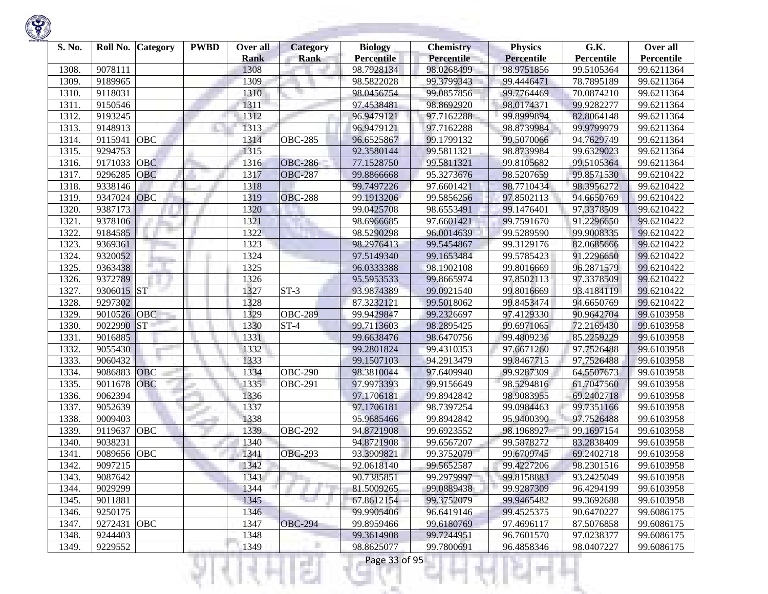

| S. No. | Roll No. | Category   | <b>PWBD</b> | Over all<br><b>Rank</b> | Category<br><b>Rank</b> | <b>Biology</b><br><b>Percentile</b> | <b>Chemistry</b><br><b>Percentile</b> | <b>Physics</b><br><b>Percentile</b> | G.K.<br>Percentile | Over all<br>Percentile |
|--------|----------|------------|-------------|-------------------------|-------------------------|-------------------------------------|---------------------------------------|-------------------------------------|--------------------|------------------------|
| 1308   | 9078111  |            |             | 1308                    |                         | 98.7928134                          | 98.0268499                            | 98.9751856                          | 99.5105364         | 99.6211364             |
| 1309.  | 9189965  |            |             | 1309                    |                         | 98.5822028                          | 99.3799343                            | 99.4446471                          | 78.7895189         | 99.6211364             |
| 1310.  | 9118031  |            |             | 1310                    |                         | 98.0456754                          | 99.0857856                            | 99.7764469                          | 70.0874210         | 99.6211364             |
| 1311.  | 9150546  |            |             | 1311                    |                         | 97.4538481                          | 98.8692920                            | 98.0174371                          | 99.9282277         | 99.6211364             |
| 1312.  | 9193245  |            |             | 1312                    |                         | 96.9479121                          | 97.7162288                            | 99.8999894                          | 82.8064148         | 99.6211364             |
| 1313.  | 9148913  |            |             | 1313                    |                         | 96.9479121                          | 97.7162288                            | 98.8739984                          | 99.9799979         | 99.6211364             |
| 1314.  | 9115941  | OBC        |             | 1314                    | <b>OBC-285</b>          | 96.6525867                          | 99.1799132                            | 99.5070066                          | 94.7629749         | 99.6211364             |
| 1315.  | 9294753  |            |             | 1315                    |                         | 92.3580144                          | 99.5811321                            | 98.8739984                          | 99.6329023         | 99.6211364             |
| 1316.  | 9171033  | <b>OBC</b> |             | 1316                    | <b>OBC-286</b>          | 77.1528750                          | 99.5811321                            | 99.8105682                          | 99.5105364         | 99.6211364             |
| 1317.  | 9296285  | OBC        |             | 1317                    | <b>OBC-287</b>          | 99.8866668                          | 95.3273676                            | 98.5207659                          | 99.8571530         | 99.6210422             |
| 1318.  | 9338146  |            |             | 1318                    |                         | 99.7497226                          | 97.6601421                            | 98.7710434                          | 98.3956272         | 99.6210422             |
| 1319.  | 9347024  | <b>OBC</b> |             | 1319                    | <b>OBC-288</b>          | 99.1913206                          | 99.5856256                            | 97.8502113                          | 94.6650769         | 99.6210422             |
| 1320.  | 9387173  |            |             | 1320                    |                         | 99.0425708                          | 98.6553491                            | 99.1476401                          | 97.3378509         | 99.6210422             |
| 1321.  | 9378106  |            |             | 1321                    |                         | 98.6966685                          | 97.6601421                            | 99.7591670                          | 91.2296650         | 99.6210422             |
| 1322.  | 9184585  |            |             | 1322                    |                         | 98.5290298                          | 96.0014639                            | 99.5289590                          | 99.9008335         | 99.6210422             |
| 1323.  | 9369361  |            |             | 1323                    |                         | 98.2976413                          | 99.5454867                            | 99.3129176                          | 82.0685666         | 99.6210422             |
| 1324.  | 9320052  |            |             | 1324                    |                         | 97.5149340                          | 99.1653484                            | 99.5785423                          | 91.2296650         | 99.6210422             |
| 1325.  | 9363438  |            |             | 1325                    |                         | 96.0333388                          | 98.1902108                            | 99.8016669                          | 96.2871579         | 99.6210422             |
| 1326.  | 9372789  |            |             | 1326                    |                         | 95.5953533                          | 99.8665974                            | 97.8502113                          | 97.3378509         | 99.6210422             |
| 1327.  | 9306015  | <b>ST</b>  |             | 1327                    | $ST-3$                  | 93.9874389                          | 99.0921540                            | 99.8016669                          | 93.4184119         | 99.6210422             |
| 1328.  | 9297302  |            |             | 1328                    |                         | 87.3232121                          | 99.5018062                            | 99.8453474                          | 94.6650769         | 99.6210422             |
| 1329   | 9010526  | OBC        |             | 1329                    | <b>OBC-289</b>          | 99.9429847                          | 99.2326697                            | 97.4129330                          | 90.9642704         | 99.6103958             |
| 1330.  | 9022990  | <b>ST</b>  |             | 1330                    | $ST-4$                  | 99.7113603                          | 98.2895425                            | 99.6971065                          | 72.2169430         | 99.6103958             |
| 1331.  | 9016885  |            |             | 1331                    |                         | 99.6638476                          | 98.6470756                            | 99.4809236                          | 85.2259229         | 99.6103958             |
| 1332.  | 9055430  |            |             | 1332                    |                         | 99.2801824                          | 99.4310353                            | 97.6671260                          | 97.7526488         | 99.6103958             |
| 1333.  | 9060432  |            |             | 1333                    |                         | 99.1507103                          | 94.2913479                            | 99.8467715                          | 97.7526488         | 99.6103958             |
| 1334.  | 9086883  | <b>OBC</b> |             | 1334                    | $\overline{OBC}$ -290   | 98.3810044                          | 97.6409940                            | 99.9287309                          | 64.5507673         | 99.6103958             |
| 1335.  | 9011678  | <b>OBC</b> |             | 1335                    | <b>OBC-291</b>          | 97.9973393                          | 99.9156649                            | 98.5294816                          | 61.7047560         | 99.6103958             |
| 1336.  | 9062394  |            |             | 1336                    |                         | 97.1706181                          | 99.8942842                            | 98.9083955                          | 69.2402718         | 99.6103958             |
| 1337.  | 9052639  |            |             | 1337                    |                         | 97.1706181                          | 98.7397254                            | 99.0984463                          | 99.7351166         | 99.6103958             |
| 1338.  | 9009403  |            |             | 1338                    |                         | 95.9685466                          | 99.8942842                            | 95.9400390                          | 97.7526488         | 99.6103958             |
| 1339.  | 9119637  | <b>OBC</b> |             | 1339                    | <b>OBC-292</b>          | 94.8721908                          | 99.6923552                            | 98.1968927                          | 99.1697154         | 99.6103958             |
| 1340.  | 9038231  |            |             | 1340                    |                         | 94.8721908                          | 99.6567207                            | 99.5878272                          | 83.2838409         | 99.6103958             |
| 1341   | 9089656  | <b>OBC</b> |             | 1341                    | <b>OBC-293</b>          | 93.3909821                          | 99.3752079                            | 99.6709745                          | 69.2402718         | 99.6103958             |
| 1342.  | 9097215  |            |             | 1342                    |                         | 92.0618140                          | 99.5652587                            | 99.4227206                          | 98.2301516         | 99.6103958             |
| 1343.  | 9087642  |            |             | 1343                    |                         | 90.7385851                          | 99.2979997                            | 99.8158883                          | 93.2425049         | 99.6103958             |
| 1344.  | 9029299  |            |             | 1344                    |                         | 81.5009265                          | 99.0889438                            | 99.9287309                          | 96.4294199         | 99.6103958             |
| 1345.  | 9011881  |            |             | 1345                    |                         | 67.8612154                          | 99.3752079                            | 99.9465482                          | 99.3692688         | 99.6103958             |
| 1346.  | 9250175  |            |             | 1346                    |                         | 99.9905406                          | 96.6419146                            | 99.4525375                          | 90.6470227         | 99.6086175             |
| 1347.  | 9272431  | OBC        |             | 1347                    | <b>OBC-294</b>          | 99.8959466                          | 99.6180769                            | 97.4696117                          | 87.5076858         | 99.6086175             |
| 1348.  | 9244403  |            |             | 1348                    |                         | 99.3614908                          | 99.7244951                            | 96.7601570                          | 97.0238377         | 99.6086175             |
| 1349.  | 9229552  |            |             | 1349                    |                         | 98.8625077                          | 99.7800691                            | 96.4858346                          | 98.0407227         | 99.6086175             |
|        |          |            |             |                         | ç.                      | Page 33 of 95                       |                                       |                                     |                    |                        |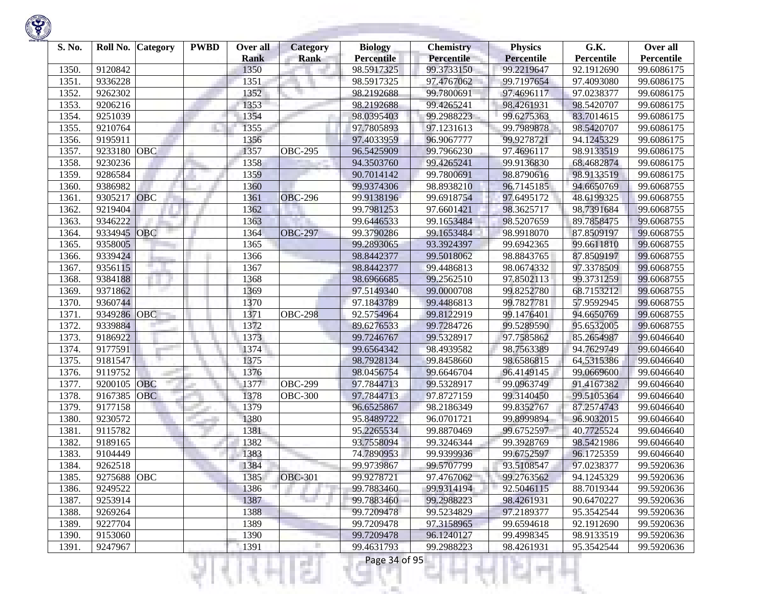

| S. No. | Roll No.    | Category   | <b>PWBD</b> | Over all<br><b>Rank</b> | Category<br><b>Rank</b> | <b>Biology</b><br><b>Percentile</b> | <b>Chemistry</b><br><b>Percentile</b> | <b>Physics</b><br><b>Percentile</b> | G.K.<br>Percentile | Over all<br>Percentile |
|--------|-------------|------------|-------------|-------------------------|-------------------------|-------------------------------------|---------------------------------------|-------------------------------------|--------------------|------------------------|
| 1350.  | 9120842     |            |             | 1350                    |                         | 98.5917325                          | 99.3733150                            | 99.2219647                          | 92.1912690         | 99.6086175             |
| 1351.  | 9336228     |            |             | 1351                    |                         | 98.5917325                          | 97.4767062                            | 99.7197654                          | 97.4093080         | 99.6086175             |
| 1352.  | 9262302     |            |             | 1352                    |                         | 98.2192688                          | 99.7800691                            | 97.4696117                          | 97.0238377         | 99.6086175             |
| 1353.  | 9206216     |            |             | 1353                    |                         | 98.2192688                          | 99.4265241                            | 98.4261931                          | 98.5420707         | 99.6086175             |
| 1354.  | 9251039     |            |             | 1354                    |                         | 98.0395403                          | 99.2988223                            | 99.6275363                          | 83.7014615         | 99.6086175             |
| 1355.  | 9210764     |            |             | 1355                    |                         | 97.7805893                          | 97.1231613                            | 99.7989878                          | 98.5420707         | 99.6086175             |
| 1356.  | 9195911     |            |             | 1356                    |                         | 97.4033959                          | 96.9067777                            | 99.9278721                          | 94.1245329         | 99.6086175             |
| 1357.  | 9233180     | <b>OBC</b> |             | 1357                    | <b>OBC-295</b>          | 96.5425909                          | 99.7966230                            | 97.4696117                          | 98.9133519         | 99.6086175             |
| 1358.  | 9230236     |            |             | 1358                    |                         | 94.3503760                          | 99.4265241                            | 99.9136830                          | 68.4682874         | 99.6086175             |
| 1359.  | 9286584     |            |             | 1359                    |                         | 90.7014142                          | 99.7800691                            | 98.8790616                          | 98.9133519         | 99.6086175             |
| 1360   | 9386982     |            |             | 1360                    |                         | 99.9374306                          | 98.8938210                            | 96.7145185                          | 94.6650769         | 99.6068755             |
| 1361.  | 9305217     | <b>OBC</b> |             | 1361                    | <b>OBC-296</b>          | 99.9138196                          | 99.6918754                            | 97.6495172                          | 48.6199325         | 99.6068755             |
| 1362.  | 9219404     |            |             | 1362                    |                         | 99.7981253                          | 97.6601421                            | 98.3625717                          | 98.7391684         | 99.6068755             |
| 1363.  | 9346222     |            |             | 1363                    |                         | 99.6446533                          | 99.1653484                            | 98.5207659                          | 89.7858475         | 99.6068755             |
| 1364.  | 9334945     | OBC        |             | 1364                    | <b>OBC-297</b>          | 99.3790286                          | 99.1653484                            | 98.9918070                          | 87.8509197         | 99.6068755             |
| 1365.  | 9358005     |            |             | 1365                    |                         | 99.2893065                          | 93.3924397                            | 99.6942365                          | 99.6611810         | 99.6068755             |
| 1366.  | 9339424     |            |             | 1366                    |                         | 98.8442377                          | 99.5018062                            | 98.8843765                          | 87.8509197         | 99.6068755             |
| 1367.  | 9356115     |            |             | 1367                    |                         | 98.8442377                          | 99.4486813                            | 98.0674332                          | 97.3378509         | 99.6068755             |
| 1368   | 9384188     |            |             | 1368                    |                         | 98.6966685                          | 99.2562510                            | 97.8502113                          | 99.3731259         | 99.6068755             |
| 1369   | 9371862     |            |             | 1369                    |                         | 97.5149340                          | 99.0000708                            | 99.8252780                          | 68.7153212         | 99.6068755             |
| 1370   | 9360744     |            |             | 1370                    |                         | 97.1843789                          | 99.4486813                            | 99.7827781                          | 57.9592945         | 99.6068755             |
| 1371.  | 9349286     | <b>OBC</b> |             | 1371                    | <b>OBC-298</b>          | 92.5754964                          | 99.8122919                            | 99.1476401                          | 94.6650769         | 99.6068755             |
| 1372.  | 9339884     |            |             | 1372                    |                         | 89.6276533                          | 99.7284726                            | 99.5289590                          | 95.6532005         | 99.6068755             |
| 1373.  | 9186922     |            |             | 1373                    |                         | 99.7246767                          | 99.5328917                            | 97.7585862                          | 85.2654987         | 99.6046640             |
| 1374.  | 9177591     |            |             | 1374                    |                         | 99.6564342                          | 98.4939582                            | 98.7563389                          | 94.7629749         | 99.6046640             |
| 1375.  | 9181547     |            |             | 1375                    |                         | 98.7928134                          | 99.8458660                            | 98.6586815                          | 64.5315386         | 99.6046640             |
| 1376.  | 9119752     |            |             | 1376                    |                         | 98.0456754                          | 99.6646704                            | 96.4149145                          | 99.0669600         | 99.6046640             |
| 1377.  | 9200105     | <b>OBC</b> |             | 1377                    | <b>OBC-299</b>          | 97.7844713                          | 99.5328917                            | 99.0963749                          | 91.4167382         | 99.6046640             |
| 1378.  | 9167385     | <b>OBC</b> |             | 1378                    | <b>OBC-300</b>          | 97.7844713                          | 97.8727159                            | 99.3140450                          | 99.5105364         | 99.6046640             |
| 1379   | 9177158     |            |             | 1379                    |                         | 96.6525867                          | 98.2186349                            | 99.8352767                          | 87.2574743         | 99.6046640             |
| 1380   | 9230572     |            |             | 1380                    |                         | 95.8489722                          | 96.0701721                            | 99.8999894                          | 96.9032015         | 99.6046640             |
| 1381.  | 9115782     |            |             | 1381                    |                         | 95.2265534                          | 99.8870469                            | 99.6752597                          | 40.7725524         | 99.6046640             |
| 1382.  | 9189165     |            |             | 1382                    |                         | 93.7558094                          | 99.3246344                            | 99.3928769                          | 98.5421986         | 99.6046640             |
| 1383   | 9104449     |            |             | 1383                    |                         | 74.7890953                          | 99.9399936                            | 99.6752597                          | 96.1725359         | 99.6046640             |
| 1384.  | 9262518     |            |             | 1384                    |                         | 99.9739867                          | 99.5707799                            | 93.5108547                          | 97.0238377         | 99.5920636             |
| 1385.  | 9275688 OBC |            |             | 1385                    | <b>OBC-301</b>          | 99.9278721                          | 97.4767062                            | 99.2763562                          | 94.1245329         | 99.5920636             |
| 1386.  | 9249522     |            |             | 1386                    |                         | 99.7883460                          | 99.9314194                            | 92.5046115                          | 88.7019344         | 99.5920636             |
| 1387.  | 9253914     |            |             | 1387                    |                         | 99.7883460                          | 99.2988223                            | 98.4261931                          | 90.6470227         | 99.5920636             |
| 1388.  | 9269264     |            |             | 1388                    |                         | 99.7209478                          | 99.5234829                            | 97.2189377                          | 95.3542544         | 99.5920636             |
| 1389.  | 9227704     |            |             | 1389                    |                         | 99.7209478                          | 97.3158965                            | 99.6594618                          | 92.1912690         | 99.5920636             |
| 1390.  | 9153060     |            |             | 1390                    |                         | 99.7209478                          | 96.1240127                            | 99.4998345                          | 98.9133519         | 99.5920636             |
| 1391.  | 9247967     |            |             | 1391                    |                         | 99.4631793                          | 99.2988223                            | 98.4261931                          | 95.3542544         | 99.5920636             |
|        |             |            |             |                         | ç.                      | Page 34 of 95                       |                                       |                                     |                    |                        |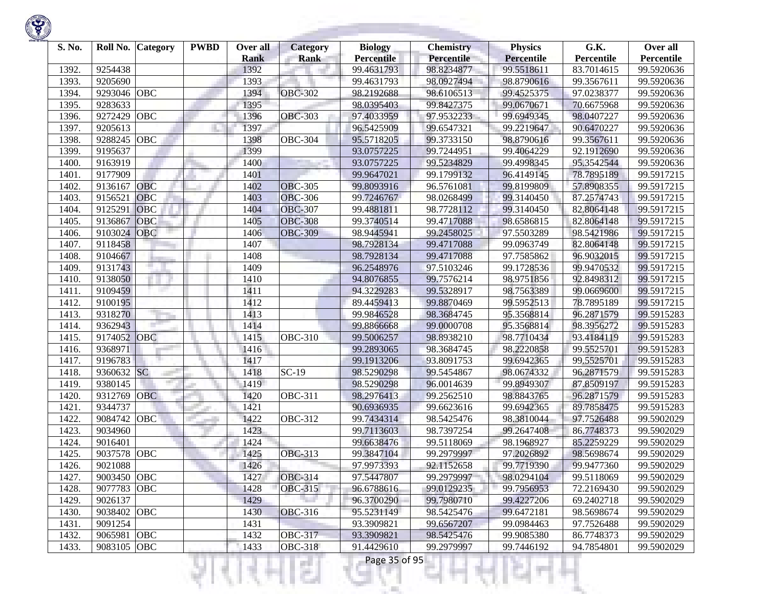

| S. No. | Roll No.    | <b>Category</b> | <b>PWBD</b> | Over all<br><b>Rank</b> | <b>Category</b><br>Rank | <b>Biology</b><br><b>Percentile</b> | <b>Chemistry</b><br>Percentile | <b>Physics</b><br><b>Percentile</b> | G.K.<br>Percentile | Over all<br>Percentile |
|--------|-------------|-----------------|-------------|-------------------------|-------------------------|-------------------------------------|--------------------------------|-------------------------------------|--------------------|------------------------|
| 1392.  | 9254438     |                 |             | 1392                    |                         | 99.4631793                          | 98.8234877                     | 99.5518611                          | 83.7014615         | 99.5920636             |
| 1393.  | 9205690     |                 |             | 1393                    |                         | 99.4631793                          | 98.0927494                     | 98.8790616                          | 99.3567611         | 99.5920636             |
| 1394.  | 9293046     | OBC             |             | 1394                    | <b>OBC-302</b>          | 98.2192688                          | 98.6106513                     | 99.4525375                          | 97.0238377         | 99.5920636             |
| 1395.  | 9283633     |                 |             | 1395                    |                         | 98.0395403                          | 99.8427375                     | 99.0670671                          | 70.6675968         | 99.5920636             |
| 1396.  | 9272429     | OBC             |             | 1396                    | <b>OBC-303</b>          | 97.4033959                          | 97.9532233                     | 99.6949345                          | 98.0407227         | 99.5920636             |
| 1397.  | 9205613     |                 |             | 1397                    |                         | 96.5425909                          | 99.6547321                     | 99.2219647                          | 90.6470227         | 99.5920636             |
| 1398.  | 9288245     | OBC             |             | 1398                    | <b>OBC-304</b>          | 95.5718205                          | 99.3733150                     | 98.8790616                          | 99.3567611         | 99.5920636             |
| 1399   | 9195637     |                 |             | 1399                    |                         | 93.0757225                          | 99.7244951                     | 99.4064229                          | 92.1912690         | 99.5920636             |
| 1400.  | 9163919     |                 |             | 1400                    |                         | 93.0757225                          | 99.5234829                     | 99.4998345                          | 95.3542544         | 99.5920636             |
| 1401.  | 9177909     |                 |             | 1401                    |                         | 99.9647021                          | 99.1799132                     | 96.4149145                          | 78.7895189         | 99.5917215             |
| 1402.  | 9136167     | OBC             |             | 1402                    | <b>OBC-305</b>          | 99.8093916                          | 96.5761081                     | 99.8199809                          | 57.8908355         | 99.5917215             |
| 1403   | 9156521     | <b>OBC</b>      |             | 1403                    | <b>OBC-306</b>          | 99.7246767                          | 98.0268499                     | 99.3140450                          | 87.2574743         | 99.5917215             |
| 1404.  | 9125291     | <b>OBC</b>      |             | 1404                    | <b>OBC-307</b>          | 99.4881811                          | 98.7728112                     | 99.3140450                          | 82.8064148         | 99.5917215             |
| 1405   | 9136867     | OBC             |             | 1405                    | <b>OBC-308</b>          | 99.3740514                          | 99.4717088                     | 98.6586815                          | 82.8064148         | 99.5917215             |
| 1406.  | 9103024     | <b>OBC</b>      |             | 1406                    | <b>OBC-309</b>          | 98.9445941                          | 99.2458025                     | 97.5503289                          | 98.5421986         | 99.5917215             |
| 1407.  | 9118458     |                 |             | 1407                    |                         | 98.7928134                          | 99.4717088                     | 99.0963749                          | 82.8064148         | 99.5917215             |
| 1408.  | 9104667     |                 |             | 1408                    |                         | 98.7928134                          | 99.4717088                     | 97.7585862                          | 96.9032015         | 99.5917215             |
| 1409.  | 9131743     |                 |             | 1409                    |                         | 96.2548976                          | 97.5103246                     | 99.1728536                          | 99.9470532         | 99.5917215             |
| 1410.  | 9138050     |                 |             | 1410                    |                         | 94.8076855                          | 99.7576214                     | 98.9751856                          | 92.8498312         | 99.5917215             |
| 1411.  | 9109459     |                 |             | 1411                    |                         | 94.3229283                          | 99.5328917                     | 98.7563389                          | 99.0669600         | 99.5917215             |
| 1412.  | 9100195     |                 |             | 1412                    |                         | 89.4459413                          | 99.8870469                     | 99.5952513                          | 78.7895189         | 99.5917215             |
| 1413.  | 9318270     |                 |             | 1413                    |                         | 99.9846528                          | 98.3684745                     | 95.3568814                          | 96.2871579         | 99.5915283             |
| 1414.  | 9362943     |                 |             | 1414                    |                         | 99.8866668                          | 99.0000708                     | 95.3568814                          | 98.3956272         | 99.5915283             |
| 1415.  | 9174052 OBC |                 |             | 1415                    | <b>OBC-310</b>          | 99.5006257                          | 98.8938210                     | 98.7710434                          | 93.4184119         | 99.5915283             |
| 1416.  | 9368971     |                 |             | 1416                    |                         | 99.2893065                          | 98.3684745                     | 98.2220858                          | 99.5525701         | 99.5915283             |
| 1417.  | 9196783     |                 |             | 1417                    |                         | 99.1913206                          | 93.8091753                     | 99.6942365                          | 99.5525701         | 99.5915283             |
| 1418.  | 9360632 SC  | a P             |             | 1418                    | $SC-19$                 | 98.5290298                          | 99.5454867                     | 98.0674332                          | 96.2871579         | 99.5915283             |
| 1419.  | 9380145     |                 |             | 1419                    |                         | 98.5290298                          | 96.0014639                     | 99.8949307                          | 87.8509197         | 99.5915283             |
| 1420.  | 9312769     | <b>OBC</b>      |             | 1420                    | <b>OBC-311</b>          | 98.2976413                          | 99.2562510                     | 98.8843765                          | 96.2871579         | 99.5915283             |
| 1421   | 9344737     |                 |             | 1421                    |                         | 90.6936935                          | 99.6623616                     | 99.6942365                          | 89.7858475         | 99.5915283             |
| 1422.  | 9084742     | OBC             |             | 1422                    | <b>OBC-312</b>          | 99.7434314                          | 98.5425476                     | 98.3810044                          | 97.7526488         | 99.5902029             |
| 1423.  | 9034960     |                 |             | 1423                    |                         | 99.7113603                          | 98.7397254                     | 99.2647408                          | 86.7748373         | 99.5902029             |
| 1424.  | 9016401     |                 |             | 1424                    |                         | 99.6638476                          | 99.5118069                     | 98.1968927                          | 85.2259229         | 99.5902029             |
| 1425   | 9037578     | OBC             |             | 1425                    | <b>OBC-313</b>          | 99.3847104                          | 99.2979997                     | 97.2026892                          | 98.5698674         | 99.5902029             |
| 1426.  | 9021088     |                 |             | 1426                    |                         | 97.9973393                          | 92.1152658                     | 99.7719390                          | 99.9477360         | 99.5902029             |
| 1427.  | 9003450 OBC |                 |             | 1427                    | <b>OBC-314</b>          | 97.5447807                          | 99.2979997                     | 98.0294104                          | 99.5118069         | 99.5902029             |
| 1428.  | 9077783 OBC |                 |             | 1428                    | <b>OBC-315</b>          | 96.6788616                          | 99.0129235                     | 99.7956953                          | 72.2169430         | 99.5902029             |
| 1429.  | 9026137     |                 |             | 1429                    |                         | 96.3700290                          | 99.7980710                     | 99.4227206                          | 69.2402718         | 99.5902029             |
| 1430.  | 9038402 OBC |                 |             | 1430                    | <b>OBC-316</b>          | 95.5231149                          | 98.5425476                     | 99.6472181                          | 98.5698674         | 99.5902029             |
| 1431.  | 9091254     |                 |             | 1431                    |                         | 93.3909821                          | 99.6567207                     | 99.0984463                          | 97.7526488         | 99.5902029             |
| 1432.  | 9065981 OBC |                 |             | 1432                    | <b>OBC-317</b>          | 93.3909821                          | 98.5425476                     | 99.9085380                          | 86.7748373         | 99.5902029             |
| 1433.  | 9083105 OBC |                 |             | 1433                    | <b>OBC-318</b>          | 91.4429610                          | 99.2979997                     | 99.7446192                          | 94.7854801         | 99.5902029             |

리미니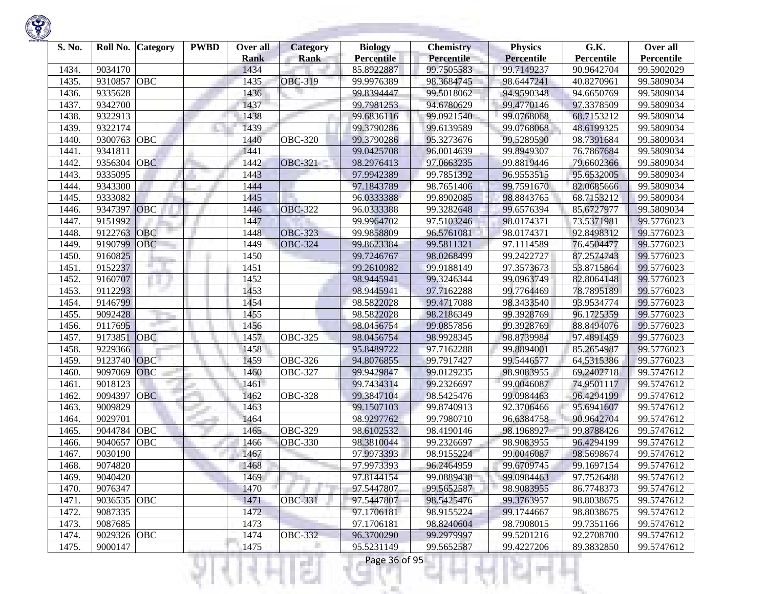

| S. No. | Roll No.           | <b>Category</b> | <b>PWBD</b> | Over all     | <b>Category</b> | <b>Biology</b>           | <b>Chemistry</b>         | <b>Physics</b>           | G.K.                     | Over all                 |
|--------|--------------------|-----------------|-------------|--------------|-----------------|--------------------------|--------------------------|--------------------------|--------------------------|--------------------------|
|        |                    |                 |             | <b>Rank</b>  | <b>Rank</b>     | <b>Percentile</b>        | <b>Percentile</b>        | <b>Percentile</b>        | Percentile<br>90.9642704 | Percentile<br>99.5902029 |
| 1434.  | 9034170<br>9310857 | <b>OBC</b>      |             | 1434<br>1435 | <b>OBC-319</b>  | 85.8922887<br>99.9976389 | 99.7505583<br>98.3684745 | 99.7149237<br>98.6447241 |                          | 99.5809034               |
| 1435.  | 9335628            |                 |             | 1436         |                 | 99.8394447               | 99.5018062               | 94.9590348               | 40.8270961               | 99.5809034               |
| 1436.  | 9342700            |                 |             |              |                 | 99.7981253               | 94.6780629               | 99.4770146               | 94.6650769               | 99.5809034               |
| 1437.  |                    |                 |             | 1437         |                 |                          |                          |                          | 97.3378509               |                          |
| 1438.  | 9322913            |                 |             | 1438         |                 | 99.6836116               | 99.0921540               | 99.0768068               | 68.7153212               | 99.5809034               |
| 1439.  | 9322174            |                 |             | 1439         |                 | 99.3790286               | 99.6139589               | 99.0768068               | 48.6199325               | 99.5809034               |
| 1440   | 9300763            | OBC             |             | 1440         | <b>OBC-320</b>  | 99.3790286               | 95.3273676               | 99.5289590               | 98.7391684               | 99.5809034               |
| 1441   | 9341811            |                 |             | 1441         |                 | 99.0425708               | 96.0014639               | 99.8949307               | 76.7867684               | 99.5809034               |
| 1442   | 9356304            | <b>OBC</b>      |             | 1442         | <b>OBC-321</b>  | 98.2976413               | 97.0663235               | 99.8819446               | 79.6602366               | 99.5809034               |
| 1443   | 9335095            |                 |             | 1443         |                 | 97.9942389               | 99.7851392               | 96.9553515               | 95.6532005               | 99.5809034               |
| 1444.  | 9343300            |                 |             | 1444         |                 | 97.1843789               | 98.7651406               | 99.7591670               | 82.0685666               | 99.5809034               |
| 1445   | 9333082            |                 |             | 1445         |                 | 96.0333388               | 99.8902085               | 98.8843765               | 68.7153212               | 99.5809034               |
| 1446   | 9347397            | OBC             |             | 1446         | <b>OBC-322</b>  | 96.0333388               | 99.3282648               | 99.6576394               | 85.6727977               | 99.5809034               |
| 1447.  | 9151992            |                 |             | 1447         |                 | 99.9964702               | 97.5103246               | 98.0174371               | 73.5371981               | 99.5776023               |
| 1448   | 9122763            | <b>OBC</b>      |             | 1448         | <b>OBC-323</b>  | 99.9858809               | 96.5761081               | 98.0174371               | 92.8498312               | 99.5776023               |
| 1449.  | 9190799            | <b>OBC</b>      |             | 1449         | <b>OBC-324</b>  | 99.8623384               | 99.5811321               | 97.1114589               | 76.4504477               | 99.5776023               |
| 1450   | 9160825            |                 |             | 1450         |                 | 99.7246767               | 98.0268499               | 99.2422727               | 87.2574743               | 99.5776023               |
| 1451.  | 9152237            |                 |             | 1451         |                 | 99.2610982               | 99.9188149               | 97.3573673               | 53.8715864               | 99.5776023               |
| 1452.  | 9160707            |                 |             | 1452         |                 | 98.9445941               | 99.3246344               | 99.0963749               | 82.8064148               | 99.5776023               |
| 1453.  | 9112293            |                 |             | 1453         |                 | 98.9445941               | 97.7162288               | 99.7764469               | 78.7895189               | 99.5776023               |
| 1454.  | 9146799            |                 |             | 1454         |                 | 98.5822028               | 99.4717088               | 98.3433540               | 93.9534774               | 99.5776023               |
| 1455   | 9092428            |                 |             | 1455         |                 | 98.5822028               | 98.2186349               | 99.3928769               | 96.1725359               | 99.5776023               |
| 1456.  | 9117695            |                 |             | 1456         |                 | 98.0456754               | 99.0857856               | 99.3928769               | 88.8494076               | 99.5776023               |
| 1457.  | 9173851            | <b>OBC</b>      |             | 1457         | <b>OBC-325</b>  | 98.0456754               | 98.9928345               | 98.8739984               | 97.4891459               | 99.5776023               |
| 1458   | 9229366            |                 |             | 1458         |                 | 95.8489722               | 97.7162288               | 99.8894001               | 85.2654987               | 99.5776023               |
| 1459   | 9123740            | OBC             |             | 1459         | <b>OBC-326</b>  | 94.8076855               | 99.7917427               | 99.5446577               | 64.5315386               | 99.5776023               |
| 1460   | 9097069            | OBC             |             | 1460         | <b>OBC-327</b>  | 99.9429847               | 99.0129235               | 98.9083955               | 69.2402718               | 99.5747612               |
| 1461   | 9018123            |                 |             | 1461         |                 | 99.7434314               | 99.2326697               | 99.0046087               | 74.9501117               | 99.5747612               |
| 1462   | 9094397            | <b>OBC</b>      |             | 1462         | <b>OBC-328</b>  | 99.3847104               | 98.5425476               | 99.0984463               | 96.4294199               | 99.5747612               |
| 1463.  | 9009829            |                 |             | 1463         |                 | 99.1507103               | 99.8740913               | 92.3706466               | 95.6941607               | 99.5747612               |
| 1464.  | 9029701            |                 |             | 1464         |                 | 98.9297762               | 99.7980710               | 96.6384758               | 90.9642704               | 99.5747612               |
| 1465   | 9044784            | <b>OBC</b>      |             | 1465         | <b>OBC-329</b>  | 98.6102532               | 98.4190146               | 98.1968927               | 99.8788426               | 99.5747612               |
| 1466   | 9040657            | <b>OBC</b>      |             | 1466         | <b>OBC-330</b>  | 98.3810044               | 99.2326697               | 98.9083955               | 96.4294199               | 99.5747612               |
| 1467.  | 9030190            |                 |             | 1467         |                 | 97.9973393               | 98.9155224               | 99.0046087               | 98.5698674               | 99.5747612               |
| 1468.  | 9074820            |                 |             | 1468         |                 | 97.9973393               | 96.2464959               | 99.6709745               | 99.1697154               | 99.5747612               |
| 1469.  | 9040420            |                 |             | 1469         |                 | 97.8144154               | 99.0889438               | 99.0984463               | 97.7526488               | 99.5747612               |
| 1470.  | 9076347            |                 |             | 1470         |                 | 97.5447807               | 99.5652587               | 98.9083955               | 86.7748373               | 99.5747612               |
| 1471.  | 9036535 OBC        |                 |             | 1471         | <b>OBC-331</b>  | 97.5447807               | 98.5425476               | 99.3763957               | 98.8038675               | 99.5747612               |
| 1472.  | 9087335            |                 |             | 1472         |                 | 97.1706181               | 98.9155224               | 99.1744667               | 98.8038675               | 99.5747612               |
| 1473.  | 9087685            |                 |             | 1473         |                 | 97.1706181               | 98.8240604               | 98.7908015               | 99.7351166               | 99.5747612               |
| 1474.  | 9029326 OBC        |                 |             | 1474         | <b>OBC-332</b>  | 96.3700290               | 99.2979997               | 99.5201216               | 92.2708700               | 99.5747612               |
| 1475.  | 9000147            |                 |             | 1475         | п               | 95.5231149               | 99.5652587               | 99.4227206               | 89.3832850               | 99.5747612               |

n

٠

ы

K)

v

Ħ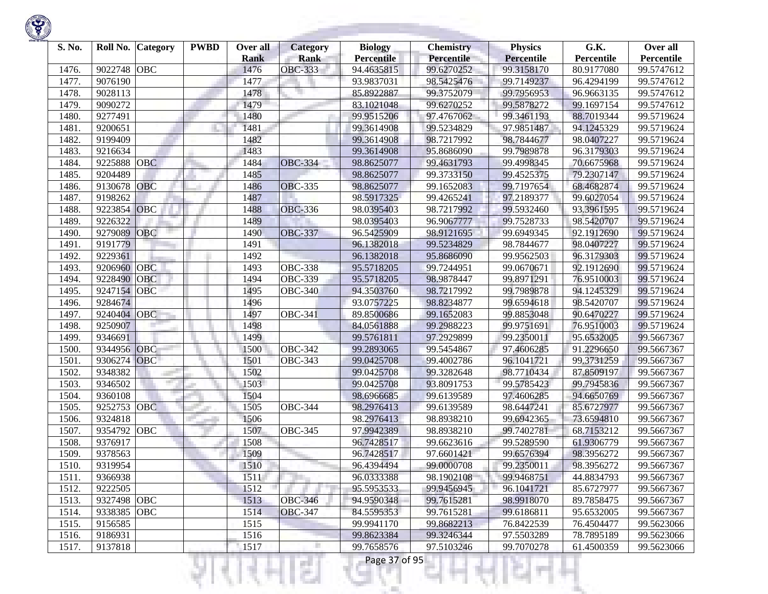

| S. No. | Roll No.    | <b>Category</b> | <b>PWBD</b> | Over all    | Category              | <b>Biology</b>    | <b>Chemistry</b> | <b>Physics</b>    | G.K.       | Over all   |
|--------|-------------|-----------------|-------------|-------------|-----------------------|-------------------|------------------|-------------------|------------|------------|
|        |             |                 |             | <b>Rank</b> | <b>Rank</b>           | <b>Percentile</b> | Percentile       | <b>Percentile</b> | Percentile | Percentile |
| 1476.  | 9022748     | <b>OBC</b>      |             | 1476        | <b>OBC-333</b>        | 94.4635815        | 99.6270252       | 99.3158170        | 80.9177080 | 99.5747612 |
| 1477.  | 9076190     |                 |             | 1477        |                       | 93.9837031        | 98.5425476       | 99.7149237        | 96.4294199 | 99.5747612 |
| 1478.  | 9028113     |                 |             | 1478        |                       | 85.8922887        | 99.3752079       | 99.7956953        | 96.9663135 | 99.5747612 |
| 1479   | 9090272     |                 |             | 1479        |                       | 83.1021048        | 99.6270252       | 99.5878272        | 99.1697154 | 99.5747612 |
| 1480   | 9277491     |                 |             | 1480        |                       | 99.9515206        | 97.4767062       | 99.3461193        | 88.7019344 | 99.5719624 |
| 1481.  | 9200651     |                 |             | 1481        |                       | 99.3614908        | 99.5234829       | 97.9851487        | 94.1245329 | 99.5719624 |
| 1482.  | 9199409     |                 |             | 1482        |                       | 99.3614908        | 98.7217992       | 98.7844677        | 98.0407227 | 99.5719624 |
| 1483.  | 9216634     |                 |             | 1483        |                       | 99.3614908        | 95.8686090       | 99.7989878        | 96.3179303 | 99.5719624 |
| 1484.  | 9225888     | <b>OBC</b>      |             | 1484        | <b>OBC-334</b>        | 98.8625077        | 99.4631793       | 99.4998345        | 70.6675968 | 99.5719624 |
| 1485.  | 9204489     |                 |             | 1485        |                       | 98.8625077        | 99.3733150       | 99.4525375        | 79.2307147 | 99.5719624 |
| 1486.  | 9130678     | <b>OBC</b>      |             | 1486        | <b>OBC-335</b>        | 98.8625077        | 99.1652083       | 99.7197654        | 68.4682874 | 99.5719624 |
| 1487.  | 9198262     |                 |             | 1487        |                       | 98.5917325        | 99.4265241       | 97.2189377        | 99.6027054 | 99.5719624 |
| 1488   | 9223854     | OBC             |             | 1488        | <b>OBC-336</b>        | 98.0395403        | 98.7217992       | 99.5932460        | 93.3961595 | 99.5719624 |
| 1489   | 9226322     |                 |             | 1489        |                       | 98.0395403        | 96.9067777       | 99.7528733        | 98.5420707 | 99.5719624 |
| 1490.  | 9279089     | OBC             |             | 1490        | <b>OBC-337</b>        | 96.5425909        | 98.9121695       | 99.6949345        | 92.1912690 | 99.5719624 |
| 1491.  | 9191779     |                 |             | 1491        |                       | 96.1382018        | 99.5234829       | 98.7844677        | 98.0407227 | 99.5719624 |
| 1492.  | 9229361     |                 |             | 1492        |                       | 96.1382018        | 95.8686090       | 99.9562503        | 96.3179303 | 99.5719624 |
| 1493.  | 9206960     | <b>OBC</b>      |             | 1493        | <b>OBC-338</b>        | 95.5718205        | 99.7244951       | 99.0670671        | 92.1912690 | 99.5719624 |
| 1494.  | 9228490     | <b>OBC</b>      |             | 1494        | <b>OBC-339</b>        | 95.5718205        | 98.9878447       | 99.8971291        | 76.9510003 | 99.5719624 |
| 1495   | 9247154     | <b>OBC</b>      |             | 1495        | <b>OBC-340</b>        | 94.3503760        | 98.7217992       | 99.7989878        | 94.1245329 | 99.5719624 |
| 1496.  | 9284674     |                 |             | 1496        |                       | 93.0757225        | 98.8234877       | 99.6594618        | 98.5420707 | 99.5719624 |
| 1497.  | 9240404     | <b>OBC</b>      |             | 1497        | <b>OBC-341</b>        | 89.8500686        | 99.1652083       | 99.8853048        | 90.6470227 | 99.5719624 |
| 1498   | 9250907     |                 |             | 1498        |                       | 84.0561888        | 99.2988223       | 99.9751691        | 76.9510003 | 99.5719624 |
| 1499   | 9346691     |                 |             | 1499        |                       | 99.5761811        | 97.2929899       | 99.2350011        | 95.6532005 | 99.5667367 |
| 1500.  | 9344956 OBC |                 |             | 1500        | <b>OBC-342</b>        | 99.2893065        | 99.5454867       | 97.4606285        | 91.2296650 | 99.5667367 |
| 1501.  | 9306274     | OBC             |             | 1501        | <b>OBC-343</b>        | 99.0425708        | 99.4002786       | 96.1041721        | 99.3731259 | 99.5667367 |
| 1502.  | 9348382     |                 |             | 1502        |                       | 99.0425708        | 99.3282648       | 98.7710434        | 87.8509197 | 99.5667367 |
| 1503.  | 9346502     |                 |             | 1503        |                       | 99.0425708        | 93.8091753       | 99.5785423        | 99.7945836 | 99.5667367 |
| 1504.  | 9360108     |                 |             | 1504        |                       | 98.6966685        | 99.6139589       | 97.4606285        | 94.6650769 | 99.5667367 |
| 1505   | 9252753     | <b>OBC</b>      |             | 1505        | <b>OBC-344</b>        | 98.2976413        | 99.6139589       | 98.6447241        | 85.6727977 | 99.5667367 |
| 1506.  | 9324818     |                 |             | 1506        |                       | 98.2976413        | 98.8938210       | 99.6942365        | 73.6594810 | 99.5667367 |
| 1507.  | 9354792     | OBC             |             | 1507        | $\overline{O}$ BC-345 | 97.9942389        | 98.8938210       | 99.7402781        | 68.7153212 | 99.5667367 |
| 1508.  | 9376917     |                 |             | 1508        |                       | 96.7428517        | 99.6623616       | 99.5289590        | 61.9306779 | 99.5667367 |
| 1509   | 9378563     |                 |             | 1509        |                       | 96.7428517        | 97.6601421       | 99.6576394        | 98.3956272 | 99.5667367 |
| 1510.  | 9319954     |                 |             | 1510        |                       | 96.4394494        | 99.0000708       | 99.2350011        | 98.3956272 | 99.5667367 |
| 1511.  | 9366938     |                 |             | 1511        |                       | 96.0333388        | 98.1902108       | 99.9468751        | 44.8834793 | 99.5667367 |
| 1512.  | 9222505     |                 |             | 1512        |                       | 95.5953533        | 99.9456945       | 96.1041721        | 85.6727977 | 99.5667367 |
| 1513.  | 9327498 OBC |                 |             | 1513        | <b>OBC-346</b>        | 94.9590348        | 99.7615281       | 98.9918070        | 89.7858475 | 99.5667367 |
| 1514.  | 9338385     | <b>OBC</b>      |             | 1514        | <b>OBC-347</b>        | 84.5595353        | 99.7615281       | 99.6186811        | 95.6532005 | 99.5667367 |
| 1515.  | 9156585     |                 |             | 1515        |                       | 99.9941170        | 99.8682213       | 76.8422539        | 76.4504477 | 99.5623066 |
| 1516.  | 9186931     |                 |             | 1516        |                       | 99.8623384        | 99.3246344       | 97.5503289        | 78.7895189 | 99.5623066 |
| 1517.  | 9137818     |                 |             | 1517        |                       | 99.7658576        | 97.5103246       | 99.7070278        | 61.4500359 | 99.5623066 |

**STORY OF STRATE** 

**State of Concession** 

Ħ

a ili

KJ

₹

리미서

œ.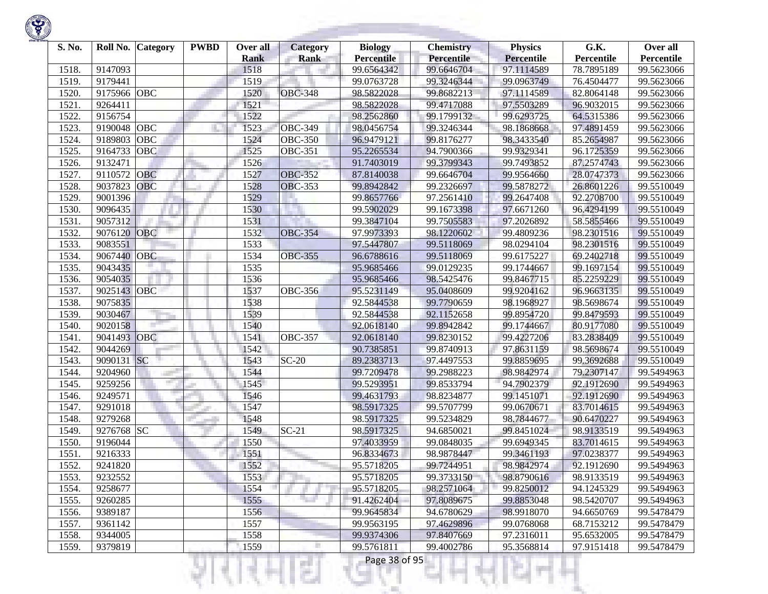| S. No. | Roll No.    | <b>Category</b> | <b>PWBD</b> | Over all            | <b>Category</b> | <b>Biology</b>                  | <b>Chemistry</b>         | <b>Physics</b>                  | G.K.                     | Over all                 |
|--------|-------------|-----------------|-------------|---------------------|-----------------|---------------------------------|--------------------------|---------------------------------|--------------------------|--------------------------|
| 1518.  | 9147093     |                 |             | <b>Rank</b><br>1518 | Rank            | <b>Percentile</b><br>99.6564342 | Percentile<br>99.6646704 | <b>Percentile</b><br>97.1114589 | Percentile<br>78.7895189 | Percentile<br>99.5623066 |
| 1519.  | 9179441     |                 |             | 1519                |                 | 99.0763728                      | 99.3246344               | 99.0963749                      | 76.4504477               | 99.5623066               |
| 1520.  | 9175966 OBC |                 |             | 1520                | <b>OBC-348</b>  | 98.5822028                      | 99.8682213               | 97.1114589                      | 82.8064148               | 99.5623066               |
| 1521.  | 9264411     |                 |             | 1521                |                 | 98.5822028                      | 99.4717088               | 97.5503289                      | 96.9032015               | 99.5623066               |
| 1522   | 9156754     |                 |             | 1522                |                 | 98.2562860                      | 99.1799132               | 99.6293725                      | 64.5315386               | 99.5623066               |
|        |             | OBC             |             |                     | <b>OBC-349</b>  |                                 | 99.3246344               |                                 |                          |                          |
| 1523.  | 9190048     |                 |             | 1523                |                 | 98.0456754                      |                          | 98.1868668                      | 97.4891459               | 99.5623066               |
| 1524.  | 9189803     | <b>OBC</b>      |             | 1524                | <b>OBC-350</b>  | 96.9479121                      | 99.8176277               | 98.3433540                      | 85.2654987               | 99.5623066               |
| 1525.  | 9164733     | OBC             |             | 1525                | <b>OBC-351</b>  | 95.2265534                      | 94.7900366               | 99.9329341                      | 96.1725359               | 99.5623066               |
| 1526.  | 9132471     |                 |             | 1526                |                 | 91.7403019                      | 99.3799343               | 99.7493852                      | 87.2574743               | 99.5623066               |
| 1527.  | 9110572     | OBC             |             | 1527                | <b>OBC-352</b>  | 87.8140038                      | 99.6646704               | 99.9564660                      | 28.0747373               | 99.5623066               |
| 1528.  | 9037823     | OBC             |             | 1528                | <b>OBC-353</b>  | 99.8942842                      | 99.2326697               | 99.5878272                      | 26.8601226               | 99.5510049               |
| 1529.  | 9001396     |                 |             | 1529                |                 | 99.8657766                      | 97.2561410               | 99.2647408                      | 92.2708700               | 99.5510049               |
| 1530.  | 9096435     |                 |             | 1530                |                 | 99.5902029                      | 99.1673398               | 97.6671260                      | 96.4294199               | 99.5510049               |
| 1531.  | 9057312     |                 |             | 1531                |                 | 99.3847104                      | 99.7505583               | 97.2026892                      | 58.5855466               | 99.5510049               |
| 1532.  | 9076120     | OBC             |             | 1532                | <b>OBC-354</b>  | 97.9973393                      | 98.1220602               | 99.4809236                      | 98.2301516               | 99.5510049               |
| 1533.  | 9083551     |                 |             | 1533                |                 | 97.5447807                      | 99.5118069               | 98.0294104                      | 98.2301516               | 99.5510049               |
| 1534.  | 9067440     | <b>OBC</b>      |             | 1534                | <b>OBC-355</b>  | 96.6788616                      | 99.5118069               | 99.6175227                      | 69.2402718               | 99.5510049               |
| 1535.  | 9043435     |                 |             | 1535                |                 | 95.9685466                      | 99.0129235               | 99.1744667                      | 99.1697154               | 99.5510049               |
| 1536.  | 9054035     |                 |             | 1536                |                 | 95.9685466                      | 98.5425476               | 99.8467715                      | 85.2259229               | 99.5510049               |
| 1537.  | 9025143     | OBC             |             | 1537                | <b>OBC-356</b>  | 95.5231149                      | 95.0408609               | 99.9204162                      | 96.9663135               | 99.5510049               |
| 1538.  | 9075835     |                 |             | 1538                |                 | 92.5844538                      | 99.7790659               | 98.1968927                      | 98.5698674               | 99.5510049               |
| 1539.  | 9030467     |                 |             | 1539                |                 | 92.5844538                      | 92.1152658               | 99.8954720                      | 99.8479593               | 99.5510049               |
| 1540.  | 9020158     |                 |             | 1540                |                 | 92.0618140                      | 99.8942842               | 99.1744667                      | 80.9177080               | 99.5510049               |
| 1541.  | 9041493     | OBC             |             | 1541                | <b>OBC-357</b>  | 92.0618140                      | 99.8230152               | 99.4227206                      | 83.2838409               | 99.5510049               |
| 1542.  | 9044269     |                 |             | 1542                |                 | 90.7385851                      | 99.8740913               | 97.8631159                      | 98.5698674               | 99.5510049               |
| 1543.  | 9090131 SC  |                 |             | 1543                | $SC-20$         | 89.2383713                      | 97.4497553               | 99.8859695                      | 99.3692688               | 99.5510049               |
| 1544.  | 9204960     |                 |             | 1544                |                 | 99.7209478                      | 99.2988223               | 98.9842974                      | 79.2307147               | 99.5494963               |
| 1545.  | 9259256     | m.              |             | 1545                |                 | 99.5293951                      | 99.8533794               | 94.7902379                      | 92.1912690               | 99.5494963               |
| 1546.  | 9249571     |                 |             | 1546                |                 | 99.4631793                      | 98.8234877               | 99.1451071                      | 92.1912690               | 99.5494963               |
| 1547.  | 9291018     |                 |             | 1547                |                 | 98.5917325                      | 99.5707799               | 99.0670671                      | 83.7014615               | 99.5494963               |
| 1548.  | 9279268     |                 |             | 1548                |                 | 98.5917325                      | 99.5234829               | 98.7844677                      | 90.6470227               | 99.5494963               |
| 1549.  | 9276768 SC  |                 |             | 1549                | $SC-21$         | 98.5917325                      | 94.6850021               | 99.8451024                      | 98.9133519               | 99.5494963               |
| 1550.  | 9196044     |                 |             | 1550                |                 | 97.4033959                      | 99.0848035               | 99.6949345                      | 83.7014615               | 99.5494963               |
| 1551.  | 9216333     |                 |             | 1551                |                 | 96.8334673                      | 98.9878447               | 99.3461193                      | 97.0238377               | 99.5494963               |
| 1552.  | 9241820     |                 |             | 1552                |                 | 95.5718205                      | 99.7244951               | 98.9842974                      | 92.1912690               | 99.5494963               |
| 1553.  | 9232552     |                 |             | 1553                |                 | 95.5718205                      | 99.3733150               | 98.8790616                      | 98.9133519               | 99.5494963               |
| 1554.  | 9258677     |                 |             | 1554                |                 | 95.5718205                      | 98.2571064               | 99.8250012                      | 94.1245329               | 99.5494963               |
| 1555.  | 9260285     |                 |             | 1555                |                 | 91.4262404                      | 97.8089675               | 99.8853048                      | 98.5420707               | 99.5494963               |
| 1556.  | 9389187     |                 |             | 1556                |                 | 99.9645834                      | 94.6780629               | 98.9918070                      | 94.6650769               | 99.5478479               |
| 1557.  | 9361142     |                 |             | 1557                |                 | 99.9563195                      | 97.4629896               | 99.0768068                      | 68.7153212               | 99.5478479               |
| 1558.  | 9344005     |                 |             | 1558                |                 | 99.9374306                      | 97.8407669               | 97.2316011                      | 95.6532005               | 99.5478479               |
| 1559.  | 9379819     |                 |             | 1559                | ٠               | 99.5761811                      | 99.4002786               | 95.3568814                      | 97.9151418               | 99.5478479               |

a.

m

ш

÷

K)

w

Ħ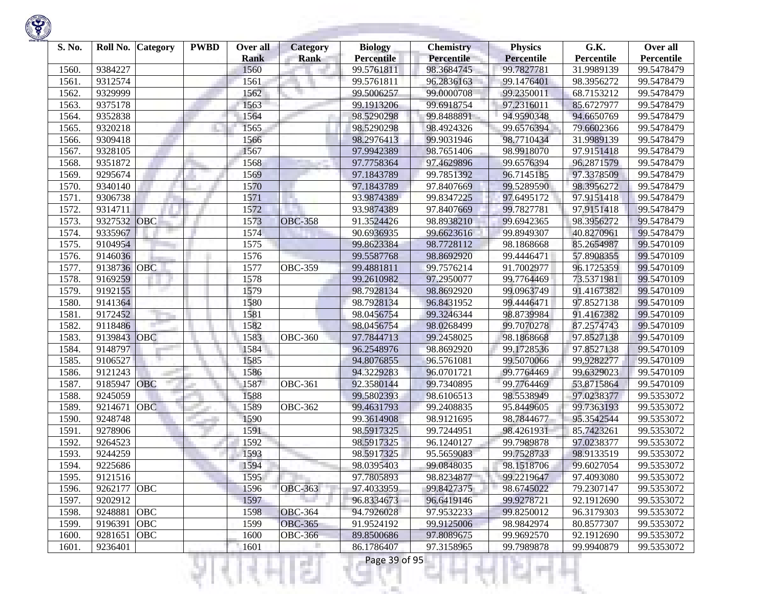

| S. No. | Roll No.    | <b>Category</b> | <b>PWBD</b> | Over all<br><b>Rank</b> | <b>Category</b><br><b>Rank</b> | <b>Biology</b><br><b>Percentile</b> | <b>Chemistry</b><br><b>Percentile</b> | <b>Physics</b><br><b>Percentile</b> | G.K.<br>Percentile | Over all<br>Percentile |
|--------|-------------|-----------------|-------------|-------------------------|--------------------------------|-------------------------------------|---------------------------------------|-------------------------------------|--------------------|------------------------|
| 1560.  | 9384227     |                 |             | 1560                    |                                | 99.5761811                          | 98.3684745                            | 99.7827781                          | 31.9989139         | 99.5478479             |
| 1561   | 9312574     |                 |             | 1561                    |                                | 99.5761811                          | 96.2836163                            | 99.1476401                          | 98.3956272         | 99.5478479             |
| 1562.  | 9329999     |                 |             | 1562                    |                                | 99.5006257                          | 99.0000708                            | 99.2350011                          | 68.7153212         | 99.5478479             |
| 1563   | 9375178     |                 |             | 1563                    |                                | 99.1913206                          | 99.6918754                            | 97.2316011                          | 85.6727977         | 99.5478479             |
| 1564.  | 9352838     |                 |             | 1564                    |                                | 98.5290298                          | 99.8488891                            | 94.9590348                          | 94.6650769         | 99.5478479             |
| 1565   | 9320218     |                 |             | 1565                    |                                | 98.5290298                          | 98.4924326                            | 99.6576394                          | 79.6602366         | 99.5478479             |
| 1566   | 9309418     |                 |             | 1566                    |                                | 98.2976413                          | 99.9031946                            | 98.7710434                          | 31.9989139         | 99.5478479             |
| 1567.  | 9328105     |                 |             | 1567                    |                                | 97.9942389                          | 98.7651406                            | 98.9918070                          | 97.9151418         | 99.5478479             |
| 1568   | 9351872     |                 |             | 1568                    |                                | 97.7758364                          | 97.4629896                            | 99.6576394                          | 96.2871579         | 99.5478479             |
| 1569   | 9295674     |                 |             | 1569                    |                                | 97.1843789                          | 99.7851392                            | 96.7145185                          | 97.3378509         | 99.5478479             |
| 1570   | 9340140     |                 |             | 1570                    |                                | 97.1843789                          | 97.8407669                            | 99.5289590                          | 98.3956272         | 99.5478479             |
| 1571.  | 9306738     |                 |             | 1571                    | ×.                             | 93.9874389                          | 99.8347225                            | 97.6495172                          | 97.9151418         | 99.5478479             |
| 1572   | 9314711     |                 |             | 1572                    |                                | 93.9874389                          | 97.8407669                            | 99.7827781                          | 97.9151418         | 99.5478479             |
| 1573.  | 9327532     | OBC             |             | 1573                    | <b>OBC-358</b>                 | 91.3524426                          | 98.8938210                            | 99.6942365                          | 98.3956272         | 99.5478479             |
| 1574.  | 9335967     |                 |             | 1574                    |                                | 90.6936935                          | 99.6623616                            | 99.8949307                          | 40.8270961         | 99.5478479             |
| 1575   | 9104954     |                 |             | 1575                    |                                | 99.8623384                          | 98.7728112                            | 98.1868668                          | 85.2654987         | 99.5470109             |
| 1576.  | 9146036     |                 |             | 1576                    |                                | 99.5587768                          | 98.8692920                            | 99.4446471                          | 57.8908355         | 99.5470109             |
| 1577.  | 9138736 OBC |                 |             | 1577                    | <b>OBC-359</b>                 | 99.4881811                          | 99.7576214                            | 91.7002977                          | 96.1725359         | 99.5470109             |
| 1578.  | 9169259     |                 |             | 1578                    |                                | 99.2610982                          | 97.2950077                            | 99.7764469                          | 73.5371981         | 99.5470109             |
| 1579.  | 9192155     |                 |             | 1579                    |                                | 98.7928134                          | 98.8692920                            | 99.0963749                          | 91.4167382         | 99.5470109             |
| 1580   | 9141364     |                 |             | 1580                    |                                | 98.7928134                          | 96.8431952                            | 99.4446471                          | 97.8527138         | 99.5470109             |
| 1581   | 9172452     |                 |             | 1581                    |                                | 98.0456754                          | 99.3246344                            | 98.8739984                          | 91.4167382         | 99.5470109             |
| 1582   | 9118486     |                 |             | 1582                    |                                | 98.0456754                          | 98.0268499                            | 99.7070278                          | 87.2574743         | 99.5470109             |
| 1583   | 9139843     | OBC             |             | 1583                    | <b>OBC-360</b>                 | 97.7844713                          | 99.2458025                            | 98.1868668                          | 97.8527138         | 99.5470109             |
| 1584   | 9148797     |                 |             | 1584                    |                                | 96.2548976                          | 98.8692920                            | 99.1728536                          | 97.8527138         | 99.5470109             |
| 1585.  | 9106527     |                 |             | 1585                    |                                | 94.8076855                          | 96.5761081                            | 99.5070066                          | 99.9282277         | 99.5470109             |
| 1586   | 9121243     |                 |             | 1586                    |                                | 94.3229283                          | 96.0701721                            | 99.7764469                          | 99.6329023         | 99.5470109             |
| 1587.  | 9185947     | OBC             |             | 1587                    | <b>OBC-361</b>                 | 92.3580144                          | 99.7340895                            | 99.7764469                          | 53.8715864         | 99.5470109             |
| 1588   | 9245059     |                 |             | 1588                    |                                | 99.5802393                          | 98.6106513                            | 98.5538949                          | 97.0238377         | 99.5353072             |
| 1589   | 9214671     | <b>OBC</b>      |             | 1589                    | <b>OBC-362</b>                 | 99.4631793                          | 99.2408835                            | 95.8449605                          | 99.7363193         | 99.5353072             |
| 1590   | 9248748     |                 |             | 1590                    |                                | 99.3614908                          | 98.9121695                            | 98.7844677                          | 95.3542544         | 99.5353072             |
| 1591   | 9278906     |                 |             | 1591                    |                                | 98.5917325                          | 99.7244951                            | 98.4261931                          | 85.7423261         | 99.5353072             |
| 1592   | 9264523     |                 |             | 1592                    |                                | 98.5917325                          | 96.1240127                            | 99.7989878                          | 97.0238377         | 99.5353072             |
| 1593.  | 9244259     |                 |             | 1593                    |                                | 98.5917325                          | 95.5659083                            | 99.7528733                          | 98.9133519         | 99.5353072             |
| 1594.  | 9225686     |                 |             | 1594                    |                                | 98.0395403                          | 99.0848035                            | 98.1518706                          | 99.6027054         | 99.5353072             |
| 1595.  | 9121516     |                 |             | 1595                    |                                | 97.7805893                          | 98.8234877                            | 99.2219647                          | 97.4093080         | 99.5353072             |
| 1596.  | 9262177 OBC |                 |             | 1596                    | <b>OBC-363</b>                 | 97.4033959                          | 99.8427375                            | 98.6745022                          | 79.2307147         | 99.5353072             |
| 1597.  | 9202912     |                 |             | 1597                    |                                | 96.8334673                          | 96.6419146                            | 99.9278721                          | 92.1912690         | 99.5353072             |
| 1598.  | 9248881     | <b>OBC</b>      |             | 1598                    | <b>OBC-364</b>                 | 94.7926028                          | 97.9532233                            | 99.8250012                          | 96.3179303         | 99.5353072             |
| 1599.  | 9196391     | OBC             |             | 1599                    | <b>OBC-365</b>                 | 91.9524192                          | 99.9125006                            | 98.9842974                          | 80.8577307         | 99.5353072             |
| 1600.  | 9281651     | OBC             |             | 1600                    | <b>OBC-366</b>                 | 89.8500686                          | 97.8089675                            | 99.9692570                          | 92.1912690         | 99.5353072             |
| 1601.  | 9236401     |                 |             | 1601                    |                                | 86.1786407                          | 97.3158965                            | 99.7989878                          | 99.9940879         | 99.5353072             |
|        |             |                 |             |                         | . .                            | Page 39 of 95                       |                                       |                                     |                    |                        |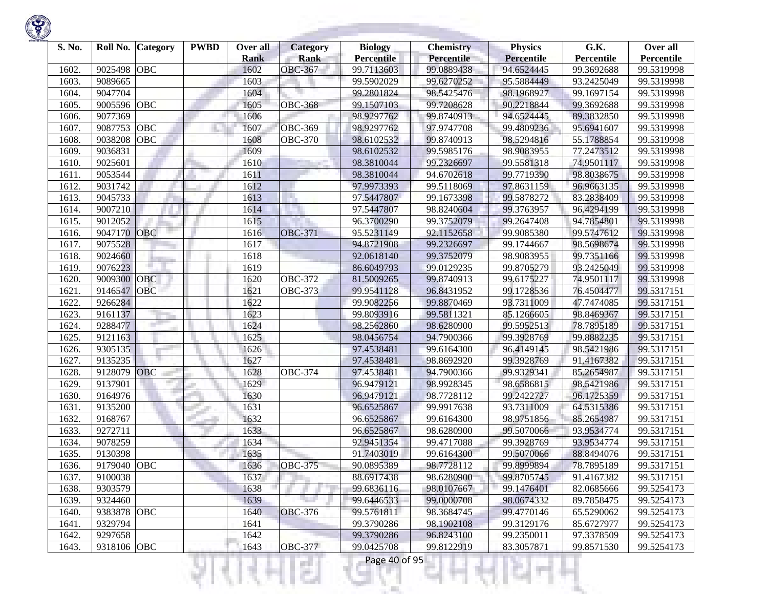

| S. No. | Roll No.    | <b>Category</b> | <b>PWBD</b> | Over all    | <b>Category</b> | <b>Biology</b>    | <b>Chemistry</b> | <b>Physics</b>    | G.K.       | Over all   |
|--------|-------------|-----------------|-------------|-------------|-----------------|-------------------|------------------|-------------------|------------|------------|
|        |             |                 |             | <b>Rank</b> | Rank            | <b>Percentile</b> | Percentile       | <b>Percentile</b> | Percentile | Percentile |
| 1602.  | 9025498     | <b>OBC</b>      |             | 1602        | <b>OBC-367</b>  | 99.7113603        | 99.0889438       | 94.6524445        | 99.3692688 | 99.5319998 |
| 1603   | 9089665     |                 |             | 1603        |                 | 99.5902029        | 99.6270252       | 95.5884449        | 93.2425049 | 99.5319998 |
| 1604.  | 9047704     |                 |             | 1604        |                 | 99.2801824        | 98.5425476       | 98.1968927        | 99.1697154 | 99.5319998 |
| 1605   | 9005596     | OBC             |             | 1605        | <b>OBC-368</b>  | 99.1507103        | 99.7208628       | 90.2218844        | 99.3692688 | 99.5319998 |
| 1606   | 9077369     |                 |             | 1606        |                 | 98.9297762        | 99.8740913       | 94.6524445        | 89.3832850 | 99.5319998 |
| 1607   | 9087753     | OBC             |             | 1607        | OBC-369         | 98.9297762        | 97.9747708       | 99.4809236        | 95.6941607 | 99.5319998 |
| 1608   | 9038208     | OBC             |             | 1608        | <b>OBC-370</b>  | 98.6102532        | 99.8740913       | 98.5294816        | 55.1788854 | 99.5319998 |
| 1609   | 9036831     |                 |             | 1609        |                 | 98.6102532        | 99.5985176       | 98.9083955        | 77.2473512 | 99.5319998 |
| 1610   | 9025601     |                 |             | 1610        |                 | 98.3810044        | 99.2326697       | 99.5581318        | 74.9501117 | 99.5319998 |
| 1611.  | 9053544     |                 |             | 1611        |                 | 98.3810044        | 94.6702618       | 99.7719390        | 98.8038675 | 99.5319998 |
| 1612   | 9031742     |                 |             | 1612        |                 | 97.9973393        | 99.5118069       | 97.8631159        | 96.9663135 | 99.5319998 |
| 1613.  | 9045733     |                 |             | 1613        | ×.              | 97.5447807        | 99.1673398       | 99.5878272        | 83.2838409 | 99.5319998 |
| 1614.  | 9007210     |                 |             | 1614        |                 | 97.5447807        | 98.8240604       | 99.3763957        | 96.4294199 | 99.5319998 |
| 1615   | 9012052     |                 |             | 1615        |                 | 96.3700290        | 99.3752079       | 99.2647408        | 94.7854801 | 99.5319998 |
| 1616.  | 9047170     | <b>OBC</b>      |             | 1616        | <b>OBC-371</b>  | 95.5231149        | 92.1152658       | 99.9085380        | 99.5747612 | 99.5319998 |
| 1617.  | 9075528     |                 |             | 1617        |                 | 94.8721908        | 99.2326697       | 99.1744667        | 98.5698674 | 99.5319998 |
| 1618.  | 9024660     |                 |             | 1618        |                 | 92.0618140        | 99.3752079       | 98.9083955        | 99.7351166 | 99.5319998 |
| 1619   | 9076223     |                 |             | 1619        |                 | 86.6049793        | 99.0129235       | 99.8705279        | 93.2425049 | 99.5319998 |
| 1620   | 9009300     | <b>OBC</b>      |             | 1620        | <b>OBC-372</b>  | 81.5009265        | 99.8740913       | 99.6175227        | 74.9501117 | 99.5319998 |
| 1621   | 9146547     | <b>OBC</b>      |             | 1621        | <b>OBC-373</b>  | 99.9541128        | 96.8431952       | 99.1728536        | 76.4504477 | 99.5317151 |
| 1622   | 9266284     |                 |             | 1622        |                 | 99.9082256        | 99.8870469       | 93.7311009        | 47.7474085 | 99.5317151 |
| 1623   | 9161137     |                 |             | 1623        |                 | 99.8093916        | 99.5811321       | 85.1266605        | 98.8469367 | 99.5317151 |
| 1624.  | 9288477     |                 |             | 1624        |                 | 98.2562860        | 98.6280900       | 99.5952513        | 78.7895189 | 99.5317151 |
| 1625   | 9121163     |                 |             | 1625        |                 | 98.0456754        | 94.7900366       | 99.3928769        | 99.8882235 | 99.5317151 |
| 1626   | 9305135     |                 |             | 1626        |                 | 97.4538481        | 99.6164300       | 96.4149145        | 98.5421986 | 99.5317151 |
| 1627.  | 9135235     |                 |             | 1627        |                 | 97.4538481        | 98.8692920       | 99.3928769        | 91.4167382 | 99.5317151 |
| 1628   | 9128079     | OBC             |             | 1628        | <b>OBC-374</b>  | 97.4538481        | 94.7900366       | 99.9329341        | 85.2654987 | 99.5317151 |
| 1629   | 9137901     |                 |             | 1629        |                 | 96.9479121        | 98.9928345       | 98.6586815        | 98.5421986 | 99.5317151 |
| 1630   | 9164976     |                 |             | 1630        |                 | 96.9479121        | 98.7728112       | 99.2422727        | 96.1725359 | 99.5317151 |
| 1631   | 9135200     |                 |             | 1631        |                 | 96.6525867        | 99.9917638       | 93.7311009        | 64.5315386 | 99.5317151 |
| 1632   | 9168767     |                 |             | 1632        |                 | 96.6525867        | 99.6164300       | 98.9751856        | 85.2654987 | 99.5317151 |
| 1633.  | 9272711     |                 |             | 1633        |                 | 96.6525867        | 98.6280900       | 99.5070066        | 93.9534774 | 99.5317151 |
| 1634   | 9078259     |                 |             | 1634        |                 | 92.9451354        | 99.4717088       | 99.3928769        | 93.9534774 | 99.5317151 |
| 1635   | 9130398     |                 |             | 1635        |                 | 91.7403019        | 99.6164300       | 99.5070066        | 88.8494076 | 99.5317151 |
| 1636.  | 9179040     | OBC             |             | 1636        | <b>OBC-375</b>  | 90.0895389        | 98.7728112       | 99.8999894        | 78.7895189 | 99.5317151 |
| 1637.  | 9100038     |                 |             | 1637        |                 | 88.6917438        | 98.6280900       | 99.8705745        | 91.4167382 | 99.5317151 |
| 1638.  | 9303579     |                 |             | 1638        |                 | 99.6836116        | 98.0107667       | 99.1476401        | 82.0685666 | 99.5254173 |
| 1639.  | 9324460     |                 |             | 1639        |                 | 99.6446533        | 99.0000708       | 98.0674332        | 89.7858475 | 99.5254173 |
| 1640.  | 9383878 OBC |                 |             | 1640        | <b>OBC-376</b>  | 99.5761811        | 98.3684745       | 99.4770146        | 65.5290062 | 99.5254173 |
| 1641.  | 9329794     |                 |             | 1641        |                 | 99.3790286        | 98.1902108       | 99.3129176        | 85.6727977 | 99.5254173 |
| 1642.  | 9297658     |                 |             | 1642        |                 | 99.3790286        | 96.8243100       | 99.2350011        | 97.3378509 | 99.5254173 |
| 1643.  | 9318106 OBC |                 |             | 1643        | <b>OBC-377</b>  | 99.0425708        | 99.8122919       | 83.3057871        | 99.8571530 | 99.5254173 |

।धनम्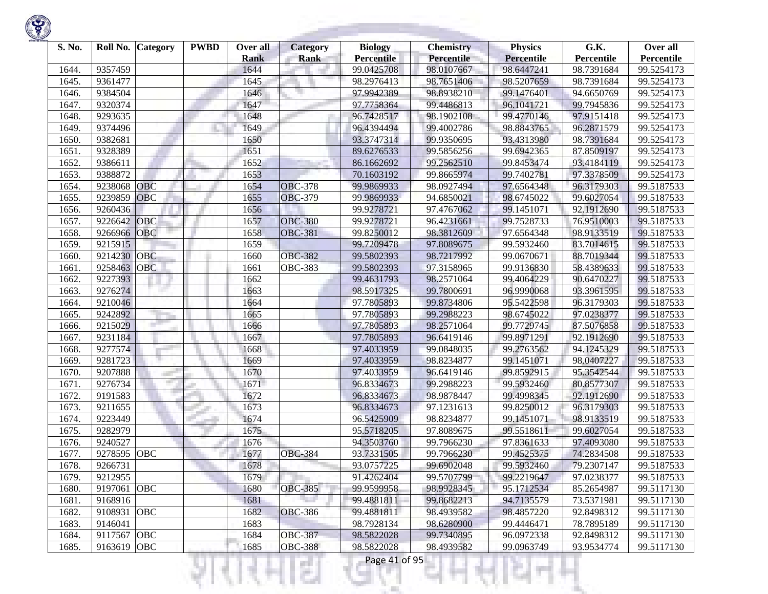

| S. No. | Roll No. | <b>Category</b> | <b>PWBD</b> | Over all    | <b>Category</b> | <b>Biology</b>    | <b>Chemistry</b>  | <b>Physics</b>    | G.K.       | Over all   |
|--------|----------|-----------------|-------------|-------------|-----------------|-------------------|-------------------|-------------------|------------|------------|
|        |          |                 |             | <b>Rank</b> | <b>Rank</b>     | <b>Percentile</b> | <b>Percentile</b> | <b>Percentile</b> | Percentile | Percentile |
| 1644.  | 9357459  |                 |             | 1644        |                 | 99.0425708        | 98.0107667        | 98.6447241        | 98.7391684 | 99.5254173 |
| 1645.  | 9361477  |                 |             | 1645        |                 | 98.2976413        | 98.7651406        | 98.5207659        | 98.7391684 | 99.5254173 |
| 1646.  | 9384504  |                 |             | 1646        |                 | 97.9942389        | 98.8938210        | 99.1476401        | 94.6650769 | 99.5254173 |
| 1647.  | 9320374  |                 |             | 1647        |                 | 97.7758364        | 99.4486813        | 96.1041721        | 99.7945836 | 99.5254173 |
| 1648.  | 9293635  |                 |             | 1648        |                 | 96.7428517        | 98.1902108        | 99.4770146        | 97.9151418 | 99.5254173 |
| 1649.  | 9374496  |                 |             | 1649        |                 | 96.4394494        | 99.4002786        | 98.8843765        | 96.2871579 | 99.5254173 |
| 1650.  | 9382681  |                 |             | 1650        |                 | 93.3747314        | 99.9350695        | 93.4313980        | 98.7391684 | 99.5254173 |
| 1651.  | 9328389  |                 |             | 1651        |                 | 89.6276533        | 99.5856256        | 99.6942365        | 87.8509197 | 99.5254173 |
| 1652.  | 9386611  |                 |             | 1652        |                 | 86.1662692        | 99.2562510        | 99.8453474        | 93.4184119 | 99.5254173 |
| 1653.  | 9388872  |                 |             | 1653        |                 | 70.1603192        | 99.8665974        | 99.7402781        | 97.3378509 | 99.5254173 |
| 1654.  | 9238068  | <b>OBC</b>      |             | 1654        | <b>OBC-378</b>  | 99.9869933        | 98.0927494        | 97.6564348        | 96.3179303 | 99.5187533 |
| 1655.  | 9239859  | <b>OBC</b>      |             | 1655        | <b>OBC-379</b>  | 99.9869933        | 94.6850021        | 98.6745022        | 99.6027054 | 99.5187533 |
| 1656.  | 9260436  |                 |             | 1656        |                 | 99.9278721        | 97.4767062        | 99.1451071        | 92.1912690 | 99.5187533 |
| 1657.  | 9226642  | OBC             |             | 1657        | <b>OBC-380</b>  | 99.9278721        | 96.4231661        | 99.7528733        | 76.9510003 | 99.5187533 |
| 1658.  | 9266966  | <b>OBC</b>      |             | 1658        | <b>OBC-381</b>  | 99.8250012        | 98.3812609        | 97.6564348        | 98.9133519 | 99.5187533 |
| 1659.  | 9215915  |                 |             | 1659        |                 | 99.7209478        | 97.8089675        | 99.5932460        | 83.7014615 | 99.5187533 |
| 1660   | 9214230  | <b>OBC</b>      |             | 1660        | <b>OBC-382</b>  | 99.5802393        | 98.7217992        | 99.0670671        | 88.7019344 | 99.5187533 |
| 1661.  | 9258463  | <b>OBC</b>      |             | 1661        | <b>OBC-383</b>  | 99.5802393        | 97.3158965        | 99.9136830        | 58.4389633 | 99.5187533 |
| 1662.  | 9227393  |                 |             | 1662        |                 | 99.4631793        | 98.2571064        | 99.4064229        | 90.6470227 | 99.5187533 |
| 1663.  | 9276274  |                 |             | 1663        |                 | 98.5917325        | 99.7800691        | 96.9990068        | 93.3961595 | 99.5187533 |
| 1664.  | 9210046  |                 |             | 1664        |                 | 97.7805893        | 99.8734806        | 95.5422598        | 96.3179303 | 99.5187533 |
| 1665.  | 9242892  |                 |             | 1665        |                 | 97.7805893        | 99.2988223        | 98.6745022        | 97.0238377 | 99.5187533 |
| 1666.  | 9215029  |                 |             | 1666        |                 | 97.7805893        | 98.2571064        | 99.7729745        | 87.5076858 | 99.5187533 |
| 1667.  | 9231184  |                 |             | 1667        |                 | 97.7805893        | 96.6419146        | 99.8971291        | 92.1912690 | 99.5187533 |
| 1668.  | 9277574  |                 |             | 1668        |                 | 97.4033959        | 99.0848035        | 99.2763562        | 94.1245329 | 99.5187533 |
| 1669.  | 9281723  |                 |             | 1669        |                 | 97.4033959        | 98.8234877        | 99.1451071        | 98.0407227 | 99.5187533 |
| 1670.  | 9207888  |                 |             | 1670        |                 | 97.4033959        | 96.6419146        | 99.8592915        | 95.3542544 | 99.5187533 |
| 1671.  | 9276734  |                 |             | 1671        |                 | 96.8334673        | 99.2988223        | 99.5932460        | 80.8577307 | 99.5187533 |
| 1672.  | 9191583  |                 |             | 1672        |                 | 96.8334673        | 98.9878447        | 99.4998345        | 92.1912690 | 99.5187533 |
| 1673.  | 9211655  |                 |             | 1673        |                 | 96.8334673        | 97.1231613        | 99.8250012        | 96.3179303 | 99.5187533 |
| 1674.  | 9223449  |                 |             | 1674        |                 | 96.5425909        | 98.8234877        | 99.1451071        | 98.9133519 | 99.5187533 |
| 1675.  | 9282979  |                 |             | 1675        |                 | 95.5718205        | 97.8089675        | 99.5518611        | 99.6027054 | 99.5187533 |
| 1676.  | 9240527  |                 |             | 1676        |                 | 94.3503760        | 99.7966230        | 97.8361633        | 97.4093080 | 99.5187533 |
| 1677.  | 9278595  | <b>OBC</b>      |             | 1677        | <b>OBC-384</b>  | 93.7331505        | 99.7966230        | 99.4525375        | 74.2834508 | 99.5187533 |
| 1678.  | 9266731  |                 |             | 1678        |                 | 93.0757225        | 99.6902048        | 99.5932460        | 79.2307147 | 99.5187533 |
| 1679.  | 9212955  |                 |             | 1679        |                 | 91.4262404        | 99.5707799        | 99.2219647        | 97.0238377 | 99.5187533 |
| 1680.  | 9197061  | OBC             |             | 1680        | <b>OBC-385</b>  | 99.9599958        | 98.9928345        | 95.1712534        | 85.2654987 | 99.5117130 |
| 1681.  | 9168916  |                 |             | 1681        |                 | 99.4881811        | 99.8682213        | 94.7135579        | 73.5371981 | 99.5117130 |
| 1682.  | 9108931  | OBC             |             | 1682        | <b>OBC-386</b>  | 99.4881811        | 98.4939582        | 98.4857220        | 92.8498312 | 99.5117130 |
| 1683.  | 9146041  |                 |             | 1683        |                 | 98.7928134        | 98.6280900        | 99.4446471        | 78.7895189 | 99.5117130 |
| 1684.  | 9117567  | <b>OBC</b>      |             | 1684        | <b>OBC-387</b>  | 98.5822028        | 99.7340895        | 96.0972338        | 92.8498312 | 99.5117130 |
| 1685.  | 9163619  | <b>OBC</b>      |             | 1685        | <b>OBC-388</b>  | 98.5822028        | 98.4939582        | 99.0963749        | 93.9534774 | 99.5117130 |

리버서

K,

ч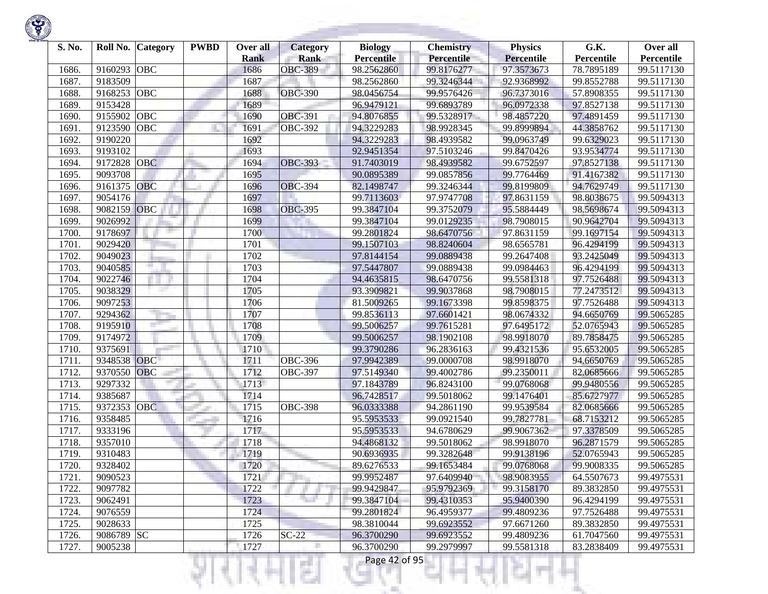

| S. No. |             | Roll No. Category | <b>PWBD</b> | Over all<br><b>Rank</b> | <b>Category</b><br><b>Rank</b> | <b>Biology</b><br><b>Percentile</b> | <b>Chemistry</b><br>Percentile | <b>Physics</b><br><b>Percentile</b> | G.K.<br>Percentile | Over all<br>Percentile |
|--------|-------------|-------------------|-------------|-------------------------|--------------------------------|-------------------------------------|--------------------------------|-------------------------------------|--------------------|------------------------|
| 1686.  | 9160293     | OBC               |             | 1686                    | <b>OBC-389</b>                 | 98.2562860                          | 99.8176277                     | 97.3573673                          | 78.7895189         | 99.5117130             |
| 1687.  | 9183509     |                   |             | 1687                    |                                | 98.2562860                          | 99.3246344                     | 92.9368992                          | 99.8552788         | 99.5117130             |
| 1688.  | 9168253     | OBC               |             | 1688                    | <b>OBC-390</b>                 | 98.0456754                          | 99.9576426                     | 96.7373016                          | 57.8908355         | 99.5117130             |
| 1689   | 9153428     |                   |             | 1689                    |                                | 96.9479121                          | 99.6893789                     | 96.0972338                          | 97.8527138         | 99.5117130             |
| 1690.  | 9155902     | OBC               |             | 1690                    | OBC-391                        | 94.8076855                          | 99.5328917                     | 98.4857220                          | 97.4891459         | 99.5117130             |
| 1691   | 9123590     | OBC               |             | 1691                    | <b>OBC-392</b>                 | 94.3229283                          | 98.9928345                     | 99.8999894                          | 44.3858762         | 99.5117130             |
| 1692   | 9190220     |                   |             | 1692                    |                                | 94.3229283                          | 98.4939582                     | 99.0963749                          | 99.6329023         | 99.5117130             |
| 1693.  | 9193102     |                   |             | 1693                    |                                | 92.9451354                          | 97.5103246                     | 99.8470426                          | 93.9534774         | 99.5117130             |
| 1694.  | 9172828     | <b>OBC</b>        |             | 1694                    | <b>OBC-393</b>                 | 91.7403019                          | 98.4939582                     | 99.6752597                          | 97.8527138         | 99.5117130             |
| 1695.  | 9093708     |                   |             | 1695                    |                                | 90.0895389                          | 99.0857856                     | 99.7764469                          | 91.4167382         | 99.5117130             |
| 1696.  | 9161375     | <b>OBC</b>        |             | 1696                    | <b>OBC-394</b>                 | 82.1498747                          | 99.3246344                     | 99.8199809                          | 94.7629749         | 99.5117130             |
| 1697.  | 9054176     |                   |             | 1697                    |                                | 99.7113603                          | 97.9747708                     | 97.8631159                          | 98.8038675         | 99.5094313             |
| 1698.  | 9082159     | OBC               |             | 1698                    | <b>OBC-395</b>                 | 99.3847104                          | 99.3752079                     | 95.5884449                          | 98.5698674         | 99.5094313             |
| 1699   | 9026992     |                   |             | 1699                    |                                | 99.3847104                          | 99.0129235                     | 98.7908015                          | 90.9642704         | 99.5094313             |
| 1700.  | 9178697     |                   |             | 1700                    |                                | 99.2801824                          | 98.6470756                     | 97.8631159                          | 99.1697154         | 99.5094313             |
| 1701.  | 9029420     |                   |             | 1701                    |                                | 99.1507103                          | 98.8240604                     | 98.6565781                          | 96.4294199         | 99.5094313             |
| 1702   | 9049023     |                   |             | 1702                    |                                | 97.8144154                          | 99.0889438                     | 99.2647408                          | 93.2425049         | 99.5094313             |
| 1703.  | 9040585     |                   |             | 1703                    |                                | 97.5447807                          | 99.0889438                     | 99.0984463                          | 96.4294199         | 99.5094313             |
| 1704.  | 9022746     |                   |             | 1704                    |                                | 94.4635815                          | 98.6470756                     | 99.5581318                          | 97.7526488         | 99.5094313             |
| 1705.  | 9038329     |                   |             | 1705                    |                                | 93.3909821                          | 99.9037868                     | 98.7908015                          | 77.2473512         | 99.5094313             |
| 1706.  | 9097253     |                   |             | 1706                    |                                | 81.5009265                          | 99.1673398                     | 99.8598375                          | 97.7526488         | 99.5094313             |
| 1707.  | 9294362     |                   |             | 1707                    |                                | 99.8536113                          | 97.6601421                     | 98.0674332                          | 94.6650769         | 99.5065285             |
| 1708.  | 9195910     |                   |             | 1708                    |                                | 99.5006257                          | 99.7615281                     | 97.6495172                          | 52.0765943         | 99.5065285             |
| 1709   | 9174972     |                   |             | 1709                    |                                | 99.5006257                          | 98.1902108                     | 98.9918070                          | 89.7858475         | 99.5065285             |
| 1710.  | 9375691     |                   |             | 1710                    |                                | 99.3790286                          | 96.2836163                     | 99.4321536                          | 95.6532005         | 99.5065285             |
| 1711.  | 9348538 OBC |                   |             | 1711                    | <b>OBC-396</b>                 | 97.9942389                          | 99.0000708                     | 98.9918070                          | 94.6650769         | 99.5065285             |
| 1712.  | 9370550     | <b>OBC</b>        |             | 1712                    | <b>OBC-397</b>                 | 97.5149340                          | 99.4002786                     | 99.2350011                          | 82.0685666         | 99.5065285             |
| 1713.  | 9297332     |                   |             | 1713                    |                                | 97.1843789                          | 96.8243100                     | 99.0768068                          | 99.9480556         | 99.5065285             |
| 1714.  | 9385687     |                   |             | 1714                    |                                | 96.7428517                          | 99.5018062                     | 99.1476401                          | 85.6727977         | 99.5065285             |
| 1715.  | 9372353     | <b>OBC</b>        |             | 1715                    | <b>OBC-398</b>                 | 96.0333388                          | 94.2861190                     | 99.9539584                          | 82.0685666         | 99.5065285             |
| 1716.  | 9358485     |                   |             | 1716                    |                                | 95.5953533                          | 99.0921540                     | 99.7827781                          | 68.7153212         | 99.5065285             |
| 1717.  | 9333196     |                   |             | 1717                    |                                | 95.5953533                          | 94.6780629                     | 99.9067362                          | 97.3378509         | 99.5065285             |
| 1718.  | 9357010     |                   |             | 1718                    |                                | 94.4868132                          | 99.5018062                     | 98.9918070                          | 96.2871579         | 99.5065285             |
| 1719   | 9310483     |                   |             | 1719                    |                                | 90.6936935                          | 99.3282648                     | 99.9138196                          | 52.0765943         | 99.5065285             |
| 1720.  | 9328402     |                   |             | 1720                    |                                | 89.6276533                          | 99.1653484                     | 99.0768068                          | 99.9008335         | 99.5065285             |
| 1721.  | 9090523     |                   |             | 1721                    |                                | 99.9952487                          | 97.6409940                     | 98.9083955                          | 64.5507673         | 99.4975531             |
| 1722.  | 9097782     |                   |             | 1722                    |                                | 99.9429847                          | 95.9792369                     | 99.3158170                          | 89.3832850         | 99.4975531             |
| 1723.  | 9062491     |                   |             | 1723                    | n e                            | 99.3847104                          | 99.4310353                     | 95.9400390                          | 96.4294199         | 99.4975531             |
| 1724.  | 9076559     |                   |             | 1724                    |                                | 99.2801824                          | 96.4959377                     | 99.4809236                          | 97.7526488         | 99.4975531             |
| 1725.  | 9028633     |                   |             | 1725                    |                                | 98.3810044                          | 99.6923552                     | 97.6671260                          | 89.3832850         | 99.4975531             |
| 1726.  | 9086789 SC  |                   |             | 1726                    | $SC-22$                        | 96.3700290                          | 99.6923552                     | 99.4809236                          | 61.7047560         | 99.4975531             |
| 1727.  | 9005238     |                   |             | 1727                    |                                | 96.3700290                          | 99.2979997                     | 99.5581318                          | 83.2838409         | 99.4975531             |
|        |             |                   |             |                         | s                              | Page 42 of 95                       |                                |                                     |                    |                        |

**State State**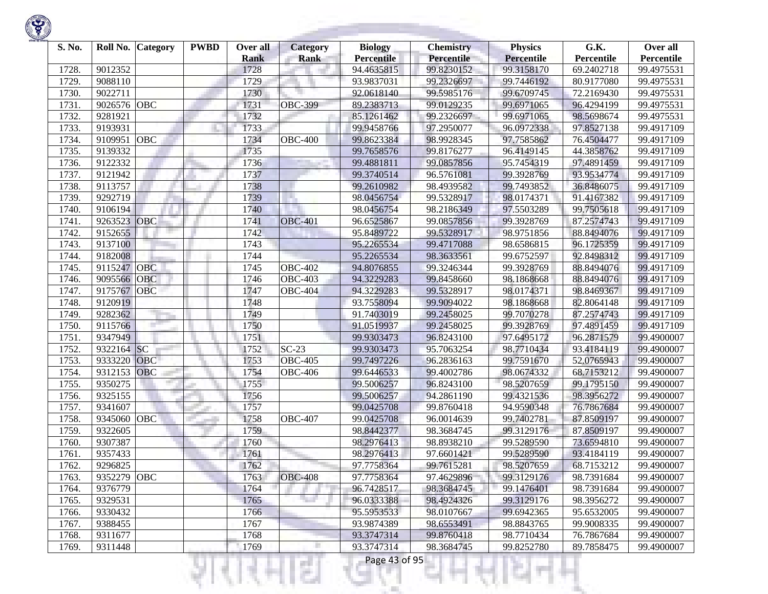

| S. No. | Roll No.    | <b>Category</b> | <b>PWBD</b> | Over all<br><b>Rank</b> | Category<br><b>Rank</b> | <b>Biology</b><br><b>Percentile</b> | <b>Chemistry</b><br>Percentile | <b>Physics</b><br><b>Percentile</b> | G.K.<br>Percentile | Over all<br>Percentile |
|--------|-------------|-----------------|-------------|-------------------------|-------------------------|-------------------------------------|--------------------------------|-------------------------------------|--------------------|------------------------|
| 1728.  | 9012352     |                 |             | 1728                    |                         | 94.4635815                          | 99.8230152                     | 99.3158170                          | 69.2402718         | 99.4975531             |
| 1729   | 9088110     |                 |             | 1729                    |                         | 93.9837031                          | 99.2326697                     | 99.7446192                          | 80.9177080         | 99.4975531             |
| 1730.  | 9022711     |                 |             | 1730                    |                         | 92.0618140                          | 99.5985176                     | 99.6709745                          | 72.2169430         | 99.4975531             |
| 1731.  | 9026576     | OBC             |             | 1731                    | <b>OBC-399</b>          | 89.2383713                          | 99.0129235                     | 99.6971065                          | 96.4294199         | 99.4975531             |
| 1732.  | 9281921     |                 |             | 1732                    |                         | 85.1261462                          | 99.2326697                     | 99.6971065                          | 98.5698674         | 99.4975531             |
| 1733.  | 9193931     |                 |             | 1733                    |                         | 99.9458766                          | 97.2950077                     | 96.0972338                          | 97.8527138         | 99.4917109             |
| 1734.  | 9109951     | OBC             |             | 1734                    | <b>OBC-400</b>          | 99.8623384                          | 98.9928345                     | 97.7585862                          | 76.4504477         | 99.4917109             |
| 1735.  | 9139332     |                 |             | 1735                    |                         | 99.7658576                          | 99.8176277                     | 96.4149145                          | 44.3858762         | 99.4917109             |
| 1736.  | 9122332     |                 |             | 1736                    |                         | 99.4881811                          | 99.0857856                     | 95.7454319                          | 97.4891459         | 99.4917109             |
| 1737.  | 9121942     |                 |             | 1737                    |                         | 99.3740514                          | 96.5761081                     | 99.3928769                          | 93.9534774         | 99.4917109             |
| 1738.  | 9113757     |                 |             | 1738                    |                         | 99.2610982                          | 98.4939582                     | 99.7493852                          | 36.8486075         | 99.4917109             |
| 1739   | 9292719     |                 |             | 1739                    | n.                      | 98.0456754                          | 99.5328917                     | 98.0174371                          | 91.4167382         | 99.4917109             |
| 1740.  | 9106194     |                 |             | 1740                    |                         | 98.0456754                          | 98.2186349                     | 97.5503289                          | 99.7505618         | 99.4917109             |
| 1741.  | 9263523     | OBC             |             | 1741                    | <b>OBC-401</b>          | 96.6525867                          | 99.0857856                     | 99.3928769                          | 87.2574743         | 99.4917109             |
| 1742.  | 9152655     |                 |             | 1742                    |                         | 95.8489722                          | 99.5328917                     | 98.9751856                          | 88.8494076         | 99.4917109             |
| 1743.  | 9137100     |                 |             | 1743                    |                         | 95.2265534                          | 99.4717088                     | 98.6586815                          | 96.1725359         | 99.4917109             |
| 1744.  | 9182008     |                 |             | 1744                    |                         | 95.2265534                          | 98.3633561                     | 99.6752597                          | 92.8498312         | 99.4917109             |
| 1745.  | 9115247     | <b>OBC</b>      |             | 1745                    | <b>OBC-402</b>          | 94.8076855                          | 99.3246344                     | 99.3928769                          | 88.8494076         | 99.4917109             |
| 1746.  | 9095566     | <b>OBC</b>      |             | 1746                    | <b>OBC-403</b>          | 94.3229283                          | 99.8458660                     | 98.1868668                          | 88.8494076         | 99.4917109             |
| 1747.  | 9175767     | <b>OBC</b>      |             | 1747                    | <b>OBC-404</b>          | 94.3229283                          | 99.5328917                     | 98.0174371                          | 98.8469367         | 99.4917109             |
| 1748.  | 9120919     |                 |             | 1748                    |                         | 93.7558094                          | 99.9094022                     | 98.1868668                          | 82.8064148         | 99.4917109             |
| 1749   | 9282362     |                 |             | 1749                    |                         | 91.7403019                          | 99.2458025                     | 99.7070278                          | 87.2574743         | 99.4917109             |
| 1750.  | 9115766     |                 |             | 1750                    |                         | 91.0519937                          | 99.2458025                     | 99.3928769                          | 97.4891459         | 99.4917109             |
| 1751.  | 9347949     |                 |             | 1751                    |                         | 99.9303473                          | 96.8243100                     | 97.6495172                          | 96.2871579         | 99.4900007             |
| 1752.  | 9322164 SC  |                 |             | 1752                    | $SC-23$                 | 99.9303473                          | 95.7063254                     | 98.7710434                          | 93.4184119         | 99.4900007             |
| 1753.  | 9333220     | OBC             |             | 1753                    | $\overline{O}$ BC-405   | 99.7497226                          | 96.2836163                     | 99.7591670                          | 52,0765943         | 99.4900007             |
| 1754.  | 9312153     | OBC             |             | 1754                    | <b>OBC-406</b>          | 99.6446533                          | 99.4002786                     | 98.0674332                          | 68.7153212         | 99.4900007             |
| 1755.  | 9350275     |                 |             | 1755                    |                         | 99.5006257                          | 96.8243100                     | 98.5207659                          | 99.1795150         | 99.4900007             |
| 1756.  | 9325155     |                 |             | 1756                    |                         | 99.5006257                          | 94.2861190                     | 99.4321536                          | 98.3956272         | 99.4900007             |
| 1757.  | 9341607     |                 |             | 1757                    |                         | 99.0425708                          | 99.8760418                     | 94.9590348                          | 76.7867684         | 99.4900007             |
| 1758.  | 9345060     | OBC             |             | 1758                    | <b>OBC-407</b>          | 99.0425708                          | 96.0014639                     | 99.7402781                          | 87.8509197         | 99.4900007             |
| 1759.  | 9322605     |                 |             | 1759                    |                         | 98.8442377                          | 98.3684745                     | 99.3129176                          | 87.8509197         | 99.4900007             |
| 1760   | 9307387     |                 |             | 1760                    |                         | 98.2976413                          | 98.8938210                     | 99.5289590                          | 73.6594810         | 99.4900007             |
| 1761   | 9357433     |                 |             | 1761                    |                         | 98.2976413                          | 97.6601421                     | 99.5289590                          | 93.4184119         | 99.4900007             |
| 1762.  | 9296825     |                 |             | 1762                    |                         | 97.7758364                          | 99.7615281                     | 98.5207659                          | 68.7153212         | 99.4900007             |
| 1763.  | 9352279 OBC |                 |             | 1763                    | <b>OBC-408</b>          | 97.7758364                          | 97.4629896                     | 99.3129176                          | 98.7391684         | 99.4900007             |
| 1764.  | 9376779     |                 |             | 1764                    |                         | 96.7428517                          | 98.3684745                     | 99.1476401                          | 98.7391684         | 99.4900007             |
| 1765.  | 9329531     |                 |             | 1765                    |                         | 96.0333388                          | 98.4924326                     | 99.3129176                          | 98.3956272         | 99.4900007             |
| 1766.  | 9330432     |                 |             | 1766                    |                         | 95.5953533                          | 98.0107667                     | 99.6942365                          | 95.6532005         | 99.4900007             |
| 1767.  | 9388455     |                 |             | 1767                    |                         | 93.9874389                          | 98.6553491                     | 98.8843765                          | 99.9008335         | 99.4900007             |
| 1768.  | 9311677     |                 |             | 1768                    |                         | 93.3747314                          | 99.8760418                     | 98.7710434                          | 76.7867684         | 99.4900007             |
| 1769.  | 9311448     |                 |             | 1769                    |                         | 93.3747314                          | 98.3684745                     | 99.8252780                          | 89.7858475         | 99.4900007             |
|        |             |                 |             |                         | s                       | Page 43 of 95                       |                                |                                     |                    |                        |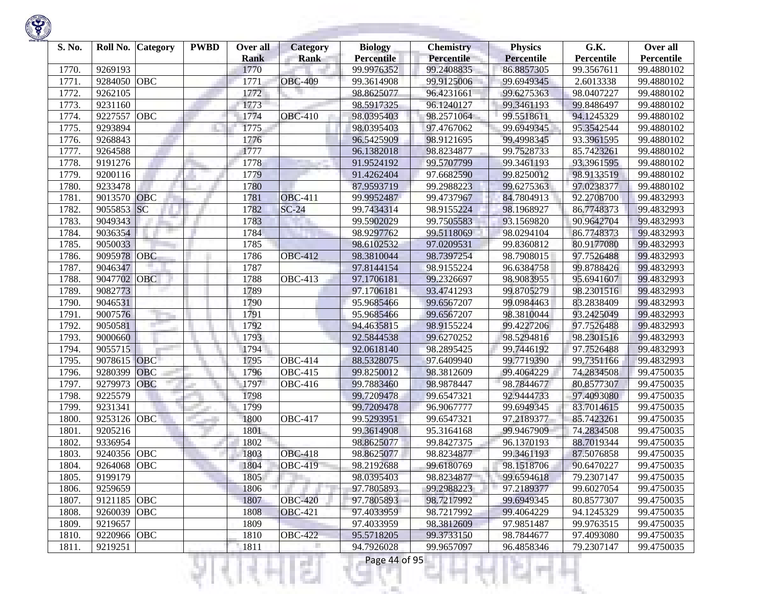

| S. No. | Roll No.    | <b>Category</b> | <b>PWBD</b> | Over all<br><b>Rank</b> | <b>Category</b><br><b>Rank</b> | <b>Biology</b><br><b>Percentile</b> | <b>Chemistry</b><br>Percentile | <b>Physics</b><br><b>Percentile</b> | G.K.<br>Percentile | Over all<br>Percentile |
|--------|-------------|-----------------|-------------|-------------------------|--------------------------------|-------------------------------------|--------------------------------|-------------------------------------|--------------------|------------------------|
| 1770.  | 9269193     |                 |             | 1770                    |                                | 99.9976352                          | 99.2408835                     | 86.8857305                          | 99.3567611         | 99.4880102             |
| 1771.  | 9284050     | <b>OBC</b>      |             | 1771                    | <b>OBC-409</b>                 | 99.3614908                          | 99.9125006                     | 99.6949345                          | 2.6013338          | 99.4880102             |
| 1772.  | 9262105     |                 |             | 1772                    |                                | 98.8625077                          | 96.4231661                     | 99.6275363                          | 98.0407227         | 99.4880102             |
| 1773.  | 9231160     |                 |             | 1773                    |                                | 98.5917325                          | 96.1240127                     | 99.3461193                          | 99.8486497         | 99.4880102             |
| 1774.  | 9227557     | <b>OBC</b>      |             | 1774                    | <b>OBC-410</b>                 | 98.0395403                          | 98.2571064                     | 99.5518611                          | 94.1245329         | 99.4880102             |
| 1775.  | 9293894     |                 |             | 1775                    |                                | 98.0395403                          | 97.4767062                     | 99.6949345                          | 95.3542544         | 99.4880102             |
| 1776.  | 9268843     |                 |             | 1776                    |                                | 96.5425909                          | 98.9121695                     | 99.4998345                          | 93.3961595         | 99.4880102             |
| 1777.  | 9264588     |                 |             | 1777                    |                                | 96.1382018                          | 98.8234877                     | 99.7528733                          | 85.7423261         | 99.4880102             |
| 1778.  | 9191276     |                 |             | 1778                    |                                | 91.9524192                          | 99.5707799                     | 99.3461193                          | 93.3961595         | 99.4880102             |
| 1779   | 9200116     |                 |             | 1779                    |                                | 91.4262404                          | 97.6682590                     | 99.8250012                          | 98.9133519         | 99.4880102             |
| 1780.  | 9233478     |                 |             | 1780                    |                                | 87.9593719                          | 99.2988223                     | 99.6275363                          | 97.0238377         | 99.4880102             |
| 1781.  | 9013570     | <b>OBC</b>      |             | 1781                    | <b>OBC-411</b>                 | 99.9952487                          | 99.4737967                     | 84.7804913                          | 92.2708700         | 99.4832993             |
| 1782.  | 9055853     | SC              |             | 1782                    | $SC-24$                        | 99.7434314                          | 98.9155224                     | 98.1968927                          | 86.7748373         | 99.4832993             |
| 1783.  | 9049343     |                 |             | 1783                    |                                | 99.5902029                          | 99.7505583                     | 93.1569820                          | 90.9642704         | 99.4832993             |
| 1784.  | 9036354     |                 |             | 1784                    |                                | 98.9297762                          | 99.5118069                     | 98.0294104                          | 86.7748373         | 99.4832993             |
| 1785   | 9050033     |                 |             | 1785                    |                                | 98.6102532                          | 97.0209531                     | 99.8360812                          | 80.9177080         | 99.4832993             |
| 1786.  | 9095978     | <b>OBC</b>      |             | 1786                    | <b>OBC-412</b>                 | 98.3810044                          | 98.7397254                     | 98.7908015                          | 97.7526488         | 99.4832993             |
| 1787.  | 9046347     |                 |             | 1787                    |                                | 97.8144154                          | 98.9155224                     | 96.6384758                          | 99.8788426         | 99.4832993             |
| 1788.  | 9047702     | OBC             |             | 1788                    | <b>OBC-413</b>                 | 97.1706181                          | 99.2326697                     | 98.9083955                          | 95.6941607         | 99.4832993             |
| 1789.  | 9082773     |                 |             | 1789                    |                                | 97.1706181                          | 93.4741293                     | 99.8705279                          | 98.2301516         | 99.4832993             |
| 1790.  | 9046531     |                 |             | 1790                    |                                | 95.9685466                          | 99.6567207                     | 99.0984463                          | 83.2838409         | 99.4832993             |
| 1791.  | 9007576     |                 |             | 1791                    |                                | 95.9685466                          | 99.6567207                     | 98.3810044                          | 93.2425049         | 99.4832993             |
| 1792.  | 9050581     |                 |             | 1792                    |                                | 94.4635815                          | 98.9155224                     | 99.4227206                          | 97.7526488         | 99.4832993             |
| 1793.  | 9000660     |                 |             | 1793                    |                                | 92.5844538                          | 99.6270252                     | 98.5294816                          | 98.2301516         | 99.4832993             |
| 1794.  | 9055715     |                 |             | 1794                    |                                | 92.0618140                          | 98.2895425                     | 99.7446192                          | 97.7526488         | 99.4832993             |
| 1795   | 9078615     | <b>OBC</b>      |             | 1795                    | <b>OBC-414</b>                 | 88.5328075                          | 97.6409940                     | 99.7719390                          | 99.7351166         | 99.4832993             |
| 1796.  | 9280399     | <b>OBC</b>      |             | 1796                    | <b>OBC-415</b>                 | 99.8250012                          | 98.3812609                     | 99.4064229                          | 74.2834508         | 99.4750035             |
| 1797.  | 9279973     | <b>OBC</b>      |             | 1797                    | <b>OBC-416</b>                 | 99.7883460                          | 98.9878447                     | 98.7844677                          | 80.8577307         | 99.4750035             |
| 1798   | 9225579     |                 |             | 1798                    |                                | 99.7209478                          | 99.6547321                     | 92.9444733                          | 97.4093080         | 99.4750035             |
| 1799   | 9231341     |                 |             | 1799                    |                                | 99.7209478                          | 96.9067777                     | 99.6949345                          | 83.7014615         | 99.4750035             |
| 1800   | 9253126     | OBC             |             | 1800                    | $\overline{OBC}$ -417          | 99.5293951                          | 99.6547321                     | 97.2189377                          | 85.7423261         | 99.4750035             |
| 1801.  | 9205216     |                 |             | 1801                    |                                | 99.3614908                          | 95.3164168                     | 99.9467909                          | 74.2834508         | 99.4750035             |
| 1802.  | 9336954     |                 |             | 1802                    |                                | 98.8625077                          | 99.8427375                     | 96.1370193                          | 88.7019344         | 99.4750035             |
| 1803.  | 9240356     | <b>OBC</b>      |             | 1803                    | <b>OBC-418</b>                 | 98.8625077                          | 98.8234877                     | 99.3461193                          | 87.5076858         | 99.4750035             |
| 1804.  | 9264068     | OBC             |             | 1804                    | <b>OBC-419</b>                 | 98.2192688                          | 99.6180769                     | 98.1518706                          | 90.6470227         | 99.4750035             |
| 1805.  | 9199179     |                 |             | 1805                    |                                | 98.0395403                          | 98.8234877                     | 99.6594618                          | 79.2307147         | 99.4750035             |
| 1806.  | 9259659     |                 |             | 1806                    |                                | 97.7805893                          | 99.2988223                     | 97.2189377                          | 99.6027054         | 99.4750035             |
| 1807.  | 9121185 OBC |                 |             | 1807                    | <b>OBC-420</b>                 | 97.7805893                          | 98.7217992                     | 99.6949345                          | 80.8577307         | 99.4750035             |
| 1808.  | 9260039     | OBC             |             | 1808                    | <b>OBC-421</b>                 | 97.4033959                          | 98.7217992                     | 99.4064229                          | 94.1245329         | 99.4750035             |
| 1809.  | 9219657     |                 |             | 1809                    |                                | 97.4033959                          | 98.3812609                     | 97.9851487                          | 99.9763515         | 99.4750035             |
| 1810.  | 9220966 OBC |                 |             | 1810                    | <b>OBC-422</b>                 | 95.5718205                          | 99.3733150                     | 98.7844677                          | 97.4093080         | 99.4750035             |
| 1811.  | 9219251     |                 |             | 1811                    |                                | 94.7926028                          | 99.9657097                     | 96.4858346                          | 79.2307147         | 99.4750035             |
|        |             |                 |             |                         |                                | Page 44 of 95                       |                                |                                     |                    |                        |

<u> Bartha ann an Saomhai</u>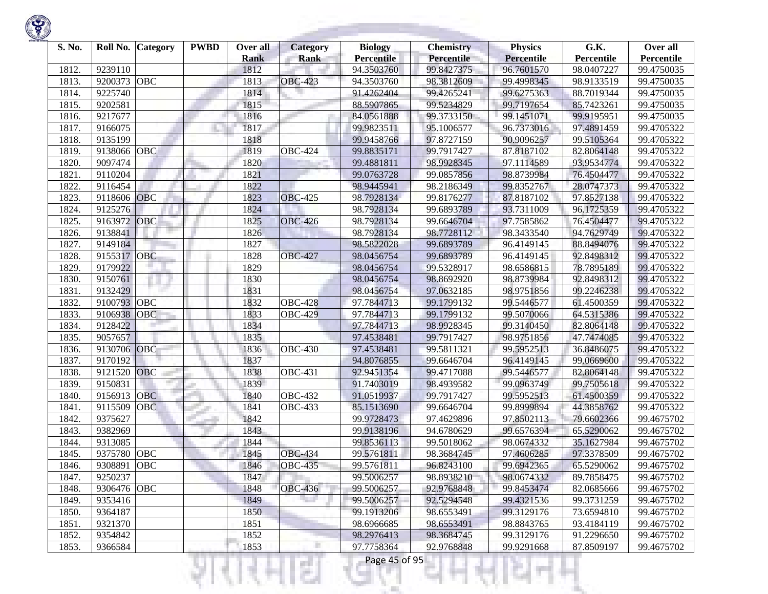

| S. No. | Roll No.           | <b>Category</b> | <b>PWBD</b> | Over all<br><b>Rank</b> | <b>Category</b><br><b>Rank</b> | <b>Biology</b><br><b>Percentile</b> | <b>Chemistry</b><br>Percentile | <b>Physics</b><br><b>Percentile</b> | G.K.<br>Percentile       | Over all<br>Percentile |
|--------|--------------------|-----------------|-------------|-------------------------|--------------------------------|-------------------------------------|--------------------------------|-------------------------------------|--------------------------|------------------------|
| 1812.  | 9239110            |                 |             | 1812                    |                                | 94.3503760                          | 99.8427375                     | 96.7601570                          | 98.0407227               | 99.4750035             |
| 1813.  | 9200373            | <b>OBC</b>      |             | 1813                    | <b>OBC-423</b>                 | 94.3503760                          | 98.3812609                     | 99.4998345                          | 98.9133519               | 99.4750035             |
| 1814.  | 9225740            |                 |             | 1814                    |                                | 91.4262404                          | 99.4265241                     | 99.6275363                          | 88.7019344               | 99.4750035             |
| 1815.  | 9202581            |                 |             | 1815                    |                                | 88.5907865                          | 99.5234829                     | 99.7197654                          | 85.7423261               | 99.4750035             |
| 1816.  | 9217677            |                 |             | 1816                    |                                | 84.0561888                          | 99.3733150                     | 99.1451071                          | 99.9195951               | 99.4750035             |
| 1817.  | 9166075            |                 |             | 1817                    |                                | 99.9823511                          | 95.1006577                     | 96.7373016                          | 97.4891459               | 99.4705322             |
|        | 9135199            |                 |             | 1818                    |                                |                                     | 97.8727159                     |                                     |                          |                        |
| 1818.  |                    | OBC             |             |                         |                                | 99.9458766                          |                                | 90.9096257                          | 99.5105364               | 99.4705322             |
| 1819.  | 9138066<br>9097474 |                 |             | 1819<br>1820            | <b>OBC-424</b>                 | 99.8835171                          | 99.7917427                     | 87.8187102<br>97.1114589            | 82.8064148<br>93.9534774 | 99.4705322             |
| 1820.  | 9110204            |                 |             |                         |                                | 99.4881811                          | 98.9928345                     |                                     |                          | 99.4705322             |
| 1821.  |                    |                 |             | 1821                    |                                | 99.0763728                          | 99.0857856                     | 98.8739984                          | 76.4504477               | 99.4705322             |
| 1822.  | 9116454            |                 |             | 1822                    |                                | 98.9445941                          | 98.2186349                     | 99.8352767                          | 28.0747373               | 99.4705322             |
| 1823.  | 9118606            | <b>OBC</b>      |             | 1823                    | <b>OBC-425</b>                 | 98.7928134                          | 99.8176277                     | 87.8187102                          | 97.8527138               | 99.4705322             |
| 1824.  | 9125276            |                 |             | 1824                    |                                | 98.7928134                          | 99.6893789                     | 93.7311009                          | 96.1725359               | 99.4705322             |
| 1825.  | 9163972            | OBC             |             | 1825                    | <b>OBC-426</b>                 | 98.7928134                          | 99.6646704                     | 97.7585862                          | 76.4504477               | 99.4705322             |
| 1826.  | 9138841            |                 |             | 1826                    |                                | 98.7928134                          | 98.7728112                     | 98.3433540                          | 94.7629749               | 99.4705322             |
| 1827.  | 9149184            |                 |             | 1827                    |                                | 98.5822028                          | 99.6893789                     | 96.4149145                          | 88.8494076               | 99.4705322             |
| 1828.  | 9155317            | <b>OBC</b>      |             | 1828                    | <b>OBC-427</b>                 | 98.0456754                          | 99.6893789                     | 96.4149145                          | 92.8498312               | 99.4705322             |
| 1829.  | 9179922            |                 |             | 1829                    |                                | 98.0456754                          | 99.5328917                     | 98.6586815                          | 78.7895189               | 99.4705322             |
| 1830.  | 9150761            |                 |             | 1830                    |                                | 98.0456754                          | 98.8692920                     | 98.8739984                          | 92.8498312               | 99.4705322             |
| 1831.  | 9132429            |                 |             | 1831                    |                                | 98.0456754                          | 97.0632185                     | 98.9751856                          | 99.2246238               | 99.4705322             |
| 1832.  | 9100793            | OBC             |             | 1832                    | <b>OBC-428</b>                 | 97.7844713                          | 99.1799132                     | 99.5446577                          | 61.4500359               | 99.4705322             |
| 1833.  | 9106938            | <b>OBC</b>      |             | 1833                    | <b>OBC-429</b>                 | 97.7844713                          | 99.1799132                     | 99.5070066                          | 64.5315386               | 99.4705322             |
| 1834.  | 9128422            |                 |             | 1834                    |                                | 97.7844713                          | 98.9928345                     | 99.3140450                          | 82.8064148               | 99.4705322             |
| 1835.  | 9057657            |                 |             | 1835                    |                                | 97.4538481                          | 99.7917427                     | 98.9751856                          | 47.7474085               | 99.4705322             |
| 1836.  | 9130706            | OBC             |             | 1836                    | <b>OBC-430</b>                 | 97.4538481                          | 99.5811321                     | 99.5952513                          | 36.8486075               | 99.4705322             |
| 1837.  | 9170192            |                 |             | 1837                    |                                | 94.8076855                          | 99.6646704                     | 96.4149145                          | 99.0669600               | 99.4705322             |
| 1838.  | 9121520            | <b>OBC</b>      |             | 1838                    | <b>OBC-431</b>                 | 92.9451354                          | 99.4717088                     | 99.5446577                          | 82.8064148               | 99.4705322             |
| 1839.  | 9150831            |                 |             | 1839                    |                                | 91.7403019                          | 98.4939582                     | 99.0963749                          | 99.7505618               | 99.4705322             |
| 1840.  | 9156913            | <b>OBC</b>      |             | 1840                    | <b>OBC-432</b>                 | 91.0519937                          | 99.7917427                     | 99.5952513                          | 61.4500359               | 99.4705322             |
| 1841.  | 9115509            | <b>OBC</b>      |             | 1841                    | <b>OBC-433</b>                 | 85.1513690                          | 99.6646704                     | 99.8999894                          | 44.3858762               | 99.4705322             |
| 1842.  | 9375627            |                 |             | 1842                    |                                | 99.9728473                          | 97.4629896                     | 97.8502113                          | 79.6602366               | 99.4675702             |
| 1843.  | 9382969            |                 |             | 1843                    |                                | 99.9138196                          | 94.6780629                     | 99.6576394                          | 65.5290062               | 99.4675702             |
| 1844.  | 9313085            |                 |             | 1844                    |                                | 99.8536113                          | 99.5018062                     | 98.0674332                          | 35.1627984               | 99.4675702             |
| 1845   | 9375780            | <b>OBC</b>      |             | 1845                    | <b>OBC-434</b>                 | 99.5761811                          | 98.3684745                     | 97.4606285                          | 97.3378509               | 99.4675702             |
| 1846.  | 9308891            | <b>OBC</b>      |             | 1846                    | <b>OBC-435</b>                 | 99.5761811                          | 96.8243100                     | 99.6942365                          | 65.5290062               | 99.4675702             |
| 1847.  | 9250237            |                 |             | 1847                    |                                | 99.5006257                          | 98.8938210                     | 98.0674332                          | 89.7858475               | 99.4675702             |
| 1848.  | 9306476 OBC        |                 |             | 1848                    | <b>OBC-436</b>                 | 99.5006257                          | 92.9768848                     | 99.8453474                          | 82.0685666               | 99.4675702             |
| 1849.  | 9353416            |                 |             | 1849                    |                                | 99.5006257                          | 92.5294548                     | 99.4321536                          | 99.3731259               | 99.4675702             |
| 1850.  | 9364187            |                 |             | 1850                    |                                | 99.1913206                          | 98.6553491                     | 99.3129176                          | 73.6594810               | 99.4675702             |
| 1851.  | 9321370            |                 |             | 1851                    |                                | 98.6966685                          | 98.6553491                     | 98.8843765                          | 93.4184119               | 99.4675702             |
| 1852.  | 9354842            |                 |             | 1852                    |                                | 98.2976413                          | 98.3684745                     | 99.3129176                          | 91.2296650               | 99.4675702             |
| 1853.  | 9366584            |                 |             | 1853                    |                                | 97.7758364                          | 92.9768848                     | 99.9291668                          | 87.8509197               | 99.4675702             |

₹Н

ĸ

щH

m

ч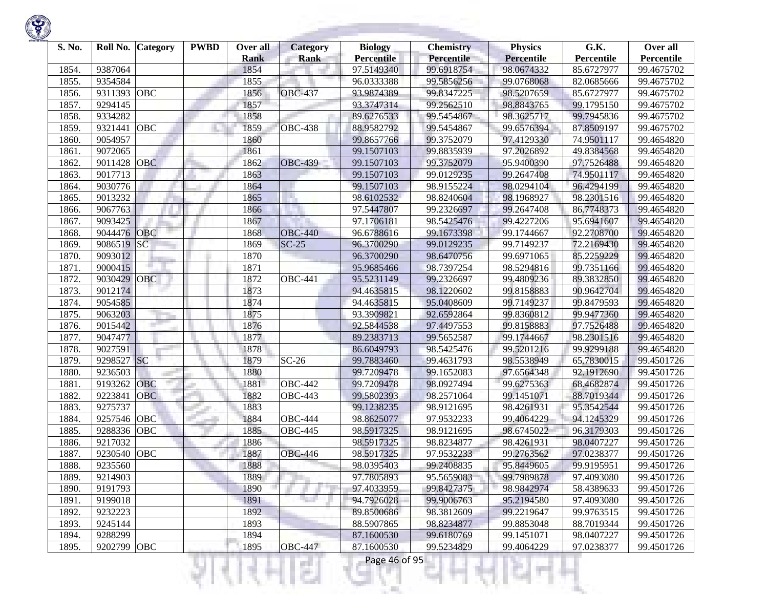

| S. No.         | Roll No.               | <b>Category</b> | <b>PWBD</b> | Over all     | <b>Category</b>       | <b>Biology</b>           | <b>Chemistry</b>         | <b>Physics</b>           | G.K.                     | Over all                 |
|----------------|------------------------|-----------------|-------------|--------------|-----------------------|--------------------------|--------------------------|--------------------------|--------------------------|--------------------------|
|                |                        |                 |             | <b>Rank</b>  | <b>Rank</b>           | <b>Percentile</b>        | Percentile               | <b>Percentile</b>        | Percentile               | Percentile               |
| 1854.          | 9387064                |                 |             | 1854         |                       | 97.5149340               | 99.6918754               | 98.0674332               | 85.6727977               | 99.4675702               |
| 1855.          | 9354584                |                 |             | 1855         |                       | 96.0333388               | 99.5856256               | 99.0768068               | 82.0685666               | 99.4675702               |
| 1856.          | 9311393                | <b>OBC</b>      |             | 1856         | <b>OBC-437</b>        | 93.9874389               | 99.8347225               | 98.5207659               | 85.6727977               | 99.4675702               |
| 1857.          | 9294145                |                 |             | 1857         |                       | 93.3747314               | 99.2562510               | 98.8843765               | 99.1795150               | 99.4675702               |
| 1858.          | 9334282                |                 |             | 1858         |                       | 89.6276533               | 99.5454867               | 98.3625717               | 99.7945836               | 99.4675702               |
| 1859.          | 9321441                | OBC             |             | 1859         | <b>OBC-438</b>        | 88.9582792               | 99.5454867               | 99.6576394               | 87.8509197               | 99.4675702               |
| 1860           | 9054957                |                 |             | 1860         |                       | 99.8657766               | 99.3752079               | 97.4129330               | 74.9501117               | 99.4654820               |
| 1861.          | 9072065                |                 |             | 1861         |                       | 99.1507103               | 99.8835939               | 97.2026892               | 49.8384568               | 99.4654820               |
| 1862.          | 9011428                | <b>OBC</b>      |             | 1862         | <b>OBC-439</b>        | 99.1507103               | 99.3752079               | 95.9400390               | 97.7526488               | 99.4654820               |
| 1863.          | 9017713                |                 |             | 1863         |                       | 99.1507103               | 99.0129235               | 99.2647408               | 74.9501117               | 99.4654820               |
| 1864.          | 9030776                |                 |             | 1864         |                       | 99.1507103               | 98.9155224               | 98.0294104               | 96.4294199               | 99.4654820               |
| 1865.          | 9013232                |                 |             | 1865         | H.                    | 98.6102532               | 98.8240604               | 98.1968927               | 98.2301516               | 99.4654820               |
| 1866.          | 9067763                |                 |             | 1866         |                       | 97.5447807               | 99.2326697               | 99.2647408               | 86.7748373               | 99.4654820               |
| 1867.          | 9093425                |                 |             | 1867         |                       | 97.1706181               | 98.5425476               | 99.4227206               | 95.6941607               | 99.4654820               |
| 1868.          | 9044476                | <b>OBC</b>      |             | 1868         | <b>OBC-440</b>        | 96.6788616               | 99.1673398               | 99.1744667               | 92.2708700               | 99.4654820               |
| 1869.          | 9086519                | SC              |             | 1869         | $SC-25$               | 96.3700290               | 99.0129235               | 99.7149237               | 72.2169430               | 99.4654820               |
| 1870.          | 9093012                |                 |             | 1870         |                       | 96.3700290               | 98.6470756               | 99.6971065               | 85.2259229               | 99.4654820               |
| 1871.          | 9000415                |                 |             | 1871         |                       | 95.9685466               | 98.7397254               | 98.5294816               | 99.7351166               | 99.4654820               |
| 1872.          | 9030429                | <b>OBC</b>      |             | 1872         | $\overline{OBC}$ -441 | 95.5231149               | 99.2326697               | 99.4809236               | 89.3832850               | 99.4654820               |
| 1873.          | 9012174                |                 |             | 1873         |                       | 94.4635815               | 98.1220602               | 99.8158883               | 90.9642704               | 99.4654820               |
| 1874.          | 9054585                |                 |             | 1874         |                       | 94.4635815               | 95.0408609               | 99.7149237               | 99.8479593               | 99.4654820               |
| 1875.          | 9063203                |                 |             | 1875         |                       | 93.3909821               | 92.6592864               | 99.8360812               | 99.9477360               | 99.4654820               |
| 1876.          | 9015442                |                 |             | 1876         |                       | 92.5844538               | 97.4497553               | 99.8158883               | 97.7526488               | 99.4654820               |
| 1877.          | 9047477                |                 |             | 1877         |                       | 89.2383713               | 99.5652587               | 99.1744667               | 98.2301516               | 99.4654820               |
| 1878.          | 9027591                |                 |             | 1878         |                       | 86.6049793               | 98.5425476               | 99.5201216               | 99.9299188               | 99.4654820               |
| 1879.          | 9298527                | <b>SC</b>       |             | 1879         | $SC-26$               | 99.7883460               | 99.4631793               | 98.5538949               | 65.7830015               | 99.4501726               |
| 1880           | 9236503                |                 |             | 1880         |                       | 99.7209478               | 99.1652083               | 97.6564348               | 92.1912690               | 99.4501726               |
| 1881.          | 9193262                | OBC             |             | 1881         | <b>OBC-442</b>        | 99.7209478               | 98.0927494               | 99.6275363               | 68.4682874               | 99.4501726               |
| 1882.          | 9223841                | <b>OBC</b>      |             | 1882         | <b>OBC-443</b>        | 99.5802393               | 98.2571064               | 99.1451071               | 88.7019344               | 99.4501726               |
| 1883.          | 9275737                |                 |             | 1883         |                       | 99.1238235               | 98.9121695               | 98.4261931               | 95.3542544               | 99.4501726               |
| 1884.          | 9257546                | OBC             |             | 1884         | <b>OBC-444</b>        | 98.8625077               | 97.9532233               | 99.4064229               | 94.1245329               | 99.4501726               |
| 1885.          | 9288336                | OBC             |             | 1885         | <b>OBC-445</b>        | 98.5917325               | 98.9121695               | 98.6745022               | 96.3179303               | 99.4501726               |
| 1886.          | 9217032                |                 |             | 1886         |                       | 98.5917325               | 98.8234877               | 98.4261931               | 98.0407227               | 99.4501726               |
| 1887.          | 9230540                | <b>OBC</b>      |             | 1887         | <b>OBC-446</b>        | 98.5917325               | 97.9532233               | 99.2763562               | 97.0238377               | 99.4501726               |
| 1888.          | 9235560                |                 |             | 1888         |                       | 98.0395403               | 99.2408835               | 95.8449605               | 99.9195951               | 99.4501726               |
| 1889.          | 9214903                |                 |             | 1889         |                       | 97.7805893               | 95.5659083               | 99.7989878               | 97.4093080               | 99.4501726               |
| 1890.          | 9191793                |                 |             | 1890         |                       | 97.4033959               | 99.8427375               | 98.9842974               | 58.4389633               | 99.4501726               |
| 1891.          | 9199018                |                 |             | 1891         | ta 1                  | 94.7926028               | 99.9006763               | 95.2194580               | 97.4093080               | 99.4501726               |
| 1892.          | 9232223                |                 |             | 1892         |                       | 89.8500686               | 98.3812609               | 99.2219647               | 99.9763515               | 99.4501726               |
| 1893.          | 9245144                |                 |             | 1893         |                       | 88.5907865               | 98.8234877               | 99.8853048               | 88.7019344               | 99.4501726               |
|                |                        |                 |             |              |                       |                          |                          |                          |                          |                          |
|                |                        |                 |             |              |                       |                          |                          |                          |                          |                          |
| 1894.<br>1895. | 9288299<br>9202799 OBC |                 |             | 1894<br>1895 | <b>OBC-447</b>        | 87.1600530<br>87.1600530 | 99.6180769<br>99.5234829 | 99.1451071<br>99.4064229 | 98.0407227<br>97.0238377 | 99.4501726<br>99.4501726 |

n

٠

u

R

v

Ħ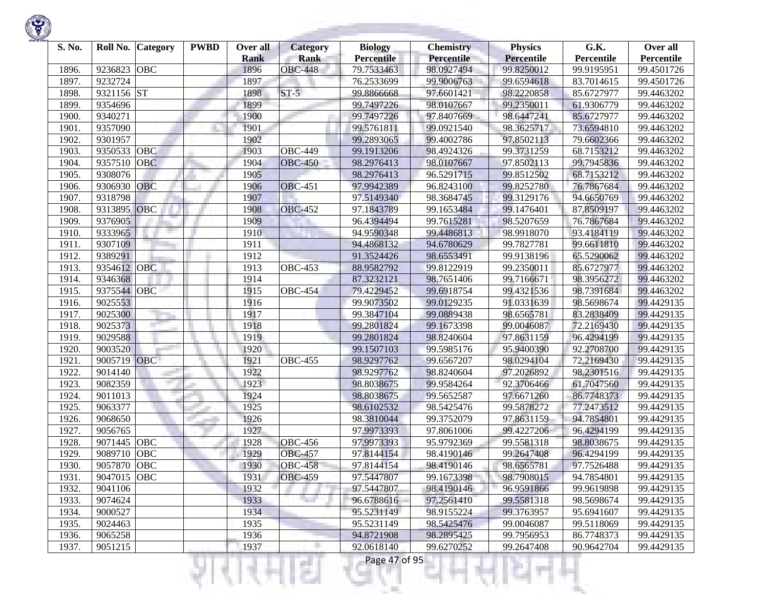

| S. No. | Roll No.    | <b>Category</b> | <b>PWBD</b> | Over all    | <b>Category</b> | <b>Biology</b>    | <b>Chemistry</b> | <b>Physics</b>    | G.K.       | Over all   |
|--------|-------------|-----------------|-------------|-------------|-----------------|-------------------|------------------|-------------------|------------|------------|
|        |             |                 |             | <b>Rank</b> | <b>Rank</b>     | <b>Percentile</b> | Percentile       | <b>Percentile</b> | Percentile | Percentile |
| 1896.  | 9236823     | <b>OBC</b>      |             | 1896        | <b>OBC-448</b>  | 79.7533463        | 98.0927494       | 99.8250012        | 99.9195951 | 99.4501726 |
| 1897.  | 9232724     |                 |             | 1897        |                 | 76.2533699        | 99.9006763       | 99.6594618        | 83.7014615 | 99.4501726 |
| 1898.  | 9321156     | <b>ST</b>       |             | 1898        | $ST-5$          | 99.8866668        | 97.6601421       | 98.2220858        | 85.6727977 | 99.4463202 |
| 1899.  | 9354696     |                 |             | 1899        |                 | 99.7497226        | 98.0107667       | 99.2350011        | 61.9306779 | 99.4463202 |
| 1900   | 9340271     |                 |             | 1900        |                 | 99.7497226        | 97.8407669       | 98.6447241        | 85.6727977 | 99.4463202 |
| 1901.  | 9357090     |                 |             | 1901        |                 | 99.5761811        | 99.0921540       | 98.3625717        | 73.6594810 | 99.4463202 |
| 1902.  | 9301957     |                 |             | 1902        |                 | 99.2893065        | 99.4002786       | 97.8502113        | 79.6602366 | 99.4463202 |
| 1903.  | 9350533     | OBC             |             | 1903        | <b>OBC-449</b>  | 99.1913206        | 98.4924326       | 99.3731259        | 68.7153212 | 99.4463202 |
| 1904.  | 9357510     | <b>OBC</b>      |             | 1904        | <b>OBC-450</b>  | 98.2976413        | 98.0107667       | 97.8502113        | 99.7945836 | 99.4463202 |
| 1905.  | 9308076     |                 |             | 1905        |                 | 98.2976413        | 96.5291715       | 99.8512502        | 68.7153212 | 99.4463202 |
| 1906.  | 9306930     | <b>OBC</b>      |             | 1906        | <b>OBC-451</b>  | 97.9942389        | 96.8243100       | 99.8252780        | 76.7867684 | 99.4463202 |
| 1907.  | 9318798     |                 |             | 1907        |                 | 97.5149340        | 98.3684745       | 99.3129176        | 94.6650769 | 99.4463202 |
| 1908.  | 9313895     | OBC             |             | 1908        | <b>OBC-452</b>  | 97.1843789        | 99.1653484       | 99.1476401        | 87.8509197 | 99.4463202 |
| 1909.  | 9376905     |                 |             | 1909        |                 | 96.4394494        | 99.7615281       | 98.5207659        | 76.7867684 | 99.4463202 |
| 1910.  | 9333965     |                 |             | 1910        |                 | 94.9590348        | 99.4486813       | 98.9918070        | 93.4184119 | 99.4463202 |
| 1911.  | 9307109     |                 |             | 1911        |                 | 94.4868132        | 94.6780629       | 99.7827781        | 99.6611810 | 99.4463202 |
| 1912.  | 9389291     |                 |             | 1912        |                 | 91.3524426        | 98.6553491       | 99.9138196        | 65.5290062 | 99.4463202 |
| 1913.  | 9354612     | <b>OBC</b>      |             | 1913        | <b>OBC-453</b>  | 88.9582792        | 99.8122919       | 99.2350011        | 85.6727977 | 99.4463202 |
| 1914.  | 9346368     |                 |             | 1914        |                 | 87.3232121        | 98.7651406       | 99.7166671        | 98.3956272 | 99.4463202 |
| 1915.  | 9375544     | <b>OBC</b>      |             | 1915        | <b>OBC-454</b>  | 79.4229452        | 99.6918754       | 99.4321536        | 98.7391684 | 99.4463202 |
| 1916.  | 9025553     |                 |             | 1916        |                 | 99.9073502        | 99.0129235       | 91.0331639        | 98.5698674 | 99.4429135 |
| 1917.  | 9025300     |                 |             | 1917        |                 | 99.3847104        | 99.0889438       | 98.6565781        | 83.2838409 | 99.4429135 |
| 1918.  | 9025373     |                 |             | 1918        |                 | 99.2801824        | 99.1673398       | 99.0046087        | 72.2169430 | 99.4429135 |
| 1919.  | 9029588     |                 |             | 1919        |                 | 99.2801824        | 98.8240604       | 97.8631159        | 96.4294199 | 99.4429135 |
| 1920.  | 9003520     |                 |             | 1920        |                 | 99.1507103        | 99.5985176       | 95.9400390        | 92.2708700 | 99.4429135 |
| 1921.  | 9005719 OBC |                 |             | 1921        | <b>OBC-455</b>  | 98.9297762        | 99.6567207       | 98.0294104        | 72,2169430 | 99.4429135 |
| 1922.  | 9014140     |                 |             | 1922        |                 | 98.9297762        | 98.8240604       | 97.2026892        | 98.2301516 | 99.4429135 |
| 1923.  | 9082359     |                 |             | 1923        |                 | 98.8038675        | 99.9584264       | 92.3706466        | 61.7047560 | 99.4429135 |
| 1924.  | 9011013     |                 |             | 1924        |                 | 98.8038675        | 99.5652587       | 97.6671260        | 86.7748373 | 99.4429135 |
| 1925.  | 9063377     |                 |             | 1925        |                 | 98.6102532        | 98.5425476       | 99.5878272        | 77.2473512 | 99.4429135 |
| 1926.  | 9068650     |                 |             | 1926        |                 | 98.3810044        | 99.3752079       | 97.8631159        | 94.7854801 | 99.4429135 |
| 1927.  | 9056765     |                 |             | 1927        |                 | 97.9973393        | 97.8061006       | 99.4227206        | 96.4294199 | 99.4429135 |
| 1928.  | 9071445     | <b>OBC</b>      |             | 1928        | <b>OBC-456</b>  | 97.9973393        | 95.9792369       | 99.5581318        | 98.8038675 | 99.4429135 |
| 1929   | 9089710     | OBC             |             | 1929        | <b>OBC-457</b>  | 97.8144154        | 98.4190146       | 99.2647408        | 96.4294199 | 99.4429135 |
| 1930.  | 9057870     | <b>OBC</b>      |             | 1930        | <b>OBC-458</b>  | 97.8144154        | 98.4190146       | 98.6565781        | 97.7526488 | 99.4429135 |
| 1931.  | 9047015 OBC |                 |             | 1931        | <b>OBC-459</b>  | 97.5447807        | 99.1673398       | 98.7908015        | 94.7854801 | 99.4429135 |
| 1932.  | 9041106     |                 |             | 1932        |                 | 97.5447807        | 98.4190146       | 96.9591866        | 99.9619898 | 99.4429135 |
| 1933.  | 9074624     |                 |             | 1933        |                 | 96.6788616        | 97.2561410       | 99.5581318        | 98.5698674 | 99.4429135 |
| 1934.  | 9000527     |                 |             | 1934        |                 | 95.5231149        | 98.9155224       | 99.3763957        | 95.6941607 | 99.4429135 |
| 1935.  | 9024463     |                 |             | 1935        |                 | 95.5231149        | 98.5425476       | 99.0046087        | 99.5118069 | 99.4429135 |
| 1936.  | 9065258     |                 |             | 1936        |                 | 94.8721908        | 98.2895425       | 99.7956953        | 86.7748373 | 99.4429135 |
| 1937.  | 9051215     |                 |             | 1937        |                 | 92.0618140        | 99.6270252       | 99.2647408        | 90.9642704 | 99.4429135 |

યનમ્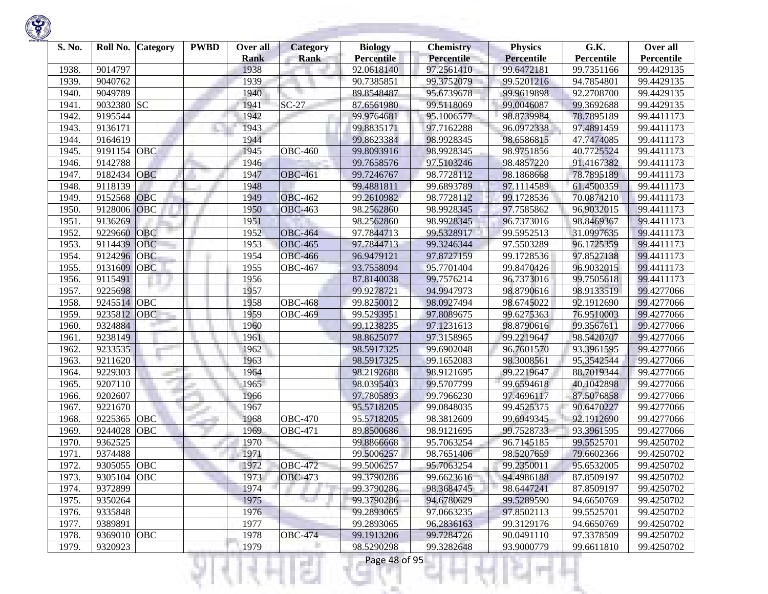

| S. No. | Roll No.    | <b>Category</b> | <b>PWBD</b> | Over all    | <b>Category</b> | <b>Biology</b>    | <b>Chemistry</b> | <b>Physics</b>    | G.K.       | Over all   |
|--------|-------------|-----------------|-------------|-------------|-----------------|-------------------|------------------|-------------------|------------|------------|
|        |             |                 |             | <b>Rank</b> | <b>Rank</b>     | <b>Percentile</b> | Percentile       | <b>Percentile</b> | Percentile | Percentile |
| 1938.  | 9014797     |                 |             | 1938        |                 | 92.0618140        | 97.2561410       | 99.6472181        | 99.7351166 | 99.4429135 |
| 1939.  | 9040762     |                 |             | 1939        |                 | 90.7385851        | 99.3752079       | 99.5201216        | 94.7854801 | 99.4429135 |
| 1940.  | 9049789     |                 |             | 1940        |                 | 89.8548487        | 95.6739678       | 99.9619898        | 92.2708700 | 99.4429135 |
| 1941.  | 9032380     | <b>SC</b>       |             | 1941        | $SC-27$         | 87.6561980        | 99.5118069       | 99.0046087        | 99.3692688 | 99.4429135 |
| 1942.  | 9195544     |                 |             | 1942        |                 | 99.9764681        | 95.1006577       | 98.8739984        | 78.7895189 | 99.4411173 |
| 1943.  | 9136171     |                 |             | 1943        |                 | 99.8835171        | 97.7162288       | 96.0972338        | 97.4891459 | 99.4411173 |
| 1944.  | 9164619     |                 |             | 1944        |                 | 99.8623384        | 98.9928345       | 98.6586815        | 47.7474085 | 99.4411173 |
| 1945.  | 9191154     | OBC             |             | 1945        | <b>OBC-460</b>  | 99.8093916        | 98.9928345       | 98.9751856        | 40.7725524 | 99.4411173 |
| 1946.  | 9142788     |                 |             | 1946        |                 | 99.7658576        | 97.5103246       | 98.4857220        | 91.4167382 | 99.4411173 |
| 1947.  | 9182434     | <b>OBC</b>      |             | 1947        | <b>OBC-461</b>  | 99.7246767        | 98.7728112       | 98.1868668        | 78.7895189 | 99.4411173 |
| 1948.  | 9118139     |                 |             | 1948        |                 | 99.4881811        | 99.6893789       | 97.1114589        | 61.4500359 | 99.4411173 |
| 1949   | 9152568     | <b>OBC</b>      |             | 1949        | <b>OBC-462</b>  | 99.2610982        | 98.7728112       | 99.1728536        | 70.0874210 | 99.4411173 |
| 1950.  | 9128006     | OBC             |             | 1950        | <b>OBC-463</b>  | 98.2562860        | 98.9928345       | 97.7585862        | 96.9032015 | 99.4411173 |
| 1951.  | 9136269     |                 |             | 1951        |                 | 98.2562860        | 98.9928345       | 96.7373016        | 98.8469367 | 99.4411173 |
| 1952.  | 9229660     | <b>OBC</b>      |             | 1952        | <b>OBC-464</b>  | 97.7844713        | 99.5328917       | 99.5952513        | 31.0997635 | 99.4411173 |
| 1953.  | 9114439     | <b>OBC</b>      |             | 1953        | <b>OBC-465</b>  | 97.7844713        | 99.3246344       | 97.5503289        | 96.1725359 | 99.4411173 |
| 1954.  | 9124296     | OBC             |             | 1954        | <b>OBC-466</b>  | 96.9479121        | 97.8727159       | 99.1728536        | 97.8527138 | 99.4411173 |
| 1955.  | 9131609     | <b>OBC</b>      |             | 1955        | <b>OBC-467</b>  | 93.7558094        | 95.7701404       | 99.8470426        | 96.9032015 | 99.4411173 |
| 1956.  | 9115491     |                 |             | 1956        |                 | 87.8140038        | 99.7576214       | 96.7373016        | 99.7505618 | 99.4411173 |
| 1957.  | 9225698     |                 |             | 1957        |                 | 99.9278721        | 94.9947973       | 98.8790616        | 98.9133519 | 99.4277066 |
| 1958.  | 9245514     | OBC             |             | 1958        | <b>OBC-468</b>  | 99.8250012        | 98.0927494       | 98.6745022        | 92.1912690 | 99.4277066 |
| 1959.  | 9235812     | OBC             |             | 1959        | <b>OBC-469</b>  | 99.5293951        | 97.8089675       | 99.6275363        | 76.9510003 | 99.4277066 |
| 1960.  | 9324884     |                 |             | 1960        |                 | 99.1238235        | 97.1231613       | 98.8790616        | 99.3567611 | 99.4277066 |
| 1961.  | 9238149     |                 |             | 1961        |                 | 98.8625077        | 97.3158965       | 99.2219647        | 98.5420707 | 99.4277066 |
| 1962.  | 9233535     |                 |             | 1962        |                 | 98.5917325        | 99.6902048       | 96.7601570        | 93.3961595 | 99.4277066 |
| 1963.  | 9211620     |                 |             | 1963        |                 | 98.5917325        | 99.1652083       | 98.3008561        | 95.3542544 | 99.4277066 |
| 1964.  | 9229303     |                 |             | 1964        |                 | 98.2192688        | 98.9121695       | 99.2219647        | 88.7019344 | 99.4277066 |
| 1965.  | 9207110     | man i           |             | 1965        |                 | 98.0395403        | 99.5707799       | 99.6594618        | 40.1042898 | 99.4277066 |
| 1966.  | 9202607     |                 |             | 1966        |                 | 97.7805893        | 99.7966230       | 97.4696117        | 87.5076858 | 99.4277066 |
| 1967.  | 9221670     |                 |             | 1967        |                 | 95.5718205        | 99.0848035       | 99.4525375        | 90.6470227 | 99.4277066 |
| 1968   | 9225365     | OBC             |             | 1968        | <b>OBC-470</b>  | 95.5718205        | 98.3812609       | 99.6949345        | 92.1912690 | 99.4277066 |
| 1969   | 9244028     | OBC             |             | 1969        | <b>OBC-471</b>  | 89.8500686        | 98.9121695       | 99.7528733        | 93.3961595 | 99.4277066 |
| 1970.  | 9362525     |                 |             | 1970        |                 | 99.8866668        | 95.7063254       | 96.7145185        | 99.5525701 | 99.4250702 |
| 1971.  | 9374488     |                 |             | 1971        |                 | 99.5006257        | 98.7651406       | 98.5207659        | 79.6602366 | 99.4250702 |
| 1972.  | 9305055     | OBC             |             | 1972        | <b>OBC-472</b>  | 99.5006257        | 95.7063254       | 99.2350011        | 95.6532005 | 99.4250702 |
| 1973.  | 9305104 OBC |                 |             | 1973        | <b>OBC-473</b>  | 99.3790286        | 99.6623616       | 94.4986188        | 87.8509197 | 99.4250702 |
| 1974.  | 9372899     |                 |             | 1974        |                 | 99.3790286        | 98.3684745       | 98.6447241        | 87.8509197 | 99.4250702 |
| 1975.  | 9350264     |                 |             | 1975        | . .             | 99.3790286        | 94.6780629       | 99.5289590        | 94.6650769 | 99.4250702 |
| 1976.  | 9335848     |                 |             | 1976        |                 | 99.2893065        | 97.0663235       | 97.8502113        | 99.5525701 | 99.4250702 |
| 1977.  | 9389891     |                 |             | 1977        |                 | 99.2893065        | 96.2836163       | 99.3129176        | 94.6650769 | 99.4250702 |
| 1978.  | 9369010     | OBC             |             | 1978        | <b>OBC-474</b>  | 99.1913206        | 99.7284726       | 90.0491110        | 97.3378509 | 99.4250702 |
| 1979.  | 9320923     |                 |             | 1979        |                 | 98.5290298        | 99.3282648       | 93.9000779        | 99.6611810 | 99.4250702 |

।धनम्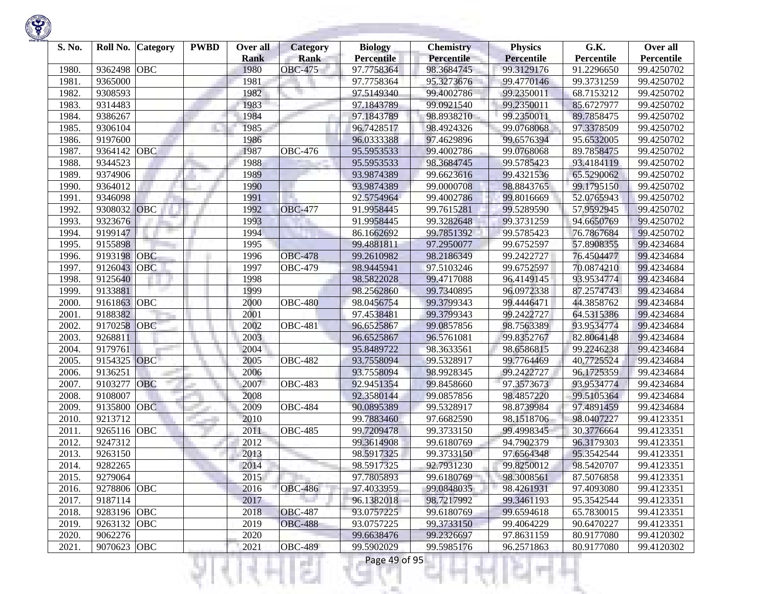

| S. No. | Roll No.    | Category   | <b>PWBD</b> | Over all    | Category       | <b>Biology</b>    | <b>Chemistry</b> | <b>Physics</b>    | G.K.       | Over all   |
|--------|-------------|------------|-------------|-------------|----------------|-------------------|------------------|-------------------|------------|------------|
|        |             |            |             | <b>Rank</b> | <b>Rank</b>    | <b>Percentile</b> | Percentile       | <b>Percentile</b> | Percentile | Percentile |
| 1980.  | 9362498     | <b>OBC</b> |             | 1980        | <b>OBC-475</b> | 97.7758364        | 98.3684745       | 99.3129176        | 91.2296650 | 99.4250702 |
| 1981.  | 9365000     |            |             | 1981        |                | 97.7758364        | 95.3273676       | 99.4770146        | 99.3731259 | 99.4250702 |
| 1982.  | 9308593     |            |             | 1982        |                | 97.5149340        | 99.4002786       | 99.2350011        | 68.7153212 | 99.4250702 |
| 1983.  | 9314483     |            |             | 1983        |                | 97.1843789        | 99.0921540       | 99.2350011        | 85.6727977 | 99.4250702 |
| 1984.  | 9386267     |            |             | 1984        |                | 97.1843789        | 98.8938210       | 99.2350011        | 89.7858475 | 99.4250702 |
| 1985.  | 9306104     |            |             | 1985        |                | 96.7428517        | 98.4924326       | 99.0768068        | 97.3378509 | 99.4250702 |
| 1986.  | 9197600     |            |             | 1986        |                | 96.0333388        | 97.4629896       | 99.6576394        | 95.6532005 | 99.4250702 |
| 1987.  | 9364142     | OBC        |             | 1987        | <b>OBC-476</b> | 95.5953533        | 99.4002786       | 99.0768068        | 89.7858475 | 99.4250702 |
| 1988.  | 9344523     |            |             | 1988        |                | 95.5953533        | 98.3684745       | 99.5785423        | 93.4184119 | 99.4250702 |
| 1989   | 9374906     |            |             | 1989        |                | 93.9874389        | 99.6623616       | 99.4321536        | 65.5290062 | 99.4250702 |
| 1990.  | 9364012     |            |             | 1990        |                | 93.9874389        | 99.0000708       | 98.8843765        | 99.1795150 | 99.4250702 |
| 1991.  | 9346098     |            |             | 1991        |                | 92.5754964        | 99.4002786       | 99.8016669        | 52.0765943 | 99.4250702 |
| 1992.  | 9308032     | OBC        |             | 1992        | <b>OBC-477</b> | 91.9958445        | 99.7615281       | 99.5289590        | 57.9592945 | 99.4250702 |
| 1993.  | 9323676     |            |             | 1993        |                | 91.9958445        | 99.3282648       | 99.3731259        | 94.6650769 | 99.4250702 |
| 1994.  | 9199147     |            |             | 1994        |                | 86.1662692        | 99.7851392       | 99.5785423        | 76.7867684 | 99.4250702 |
| 1995.  | 9155898     |            |             | 1995        |                | 99.4881811        | 97.2950077       | 99.6752597        | 57.8908355 | 99.4234684 |
| 1996.  | 9193198     | <b>OBC</b> |             | 1996        | <b>OBC-478</b> | 99.2610982        | 98.2186349       | 99.2422727        | 76.4504477 | 99.4234684 |
| 1997.  | 9126043     | <b>OBC</b> |             | 1997        | <b>OBC-479</b> | 98.9445941        | 97.5103246       | 99.6752597        | 70.0874210 | 99.4234684 |
| 1998   | 9125640     |            |             | 1998        |                | 98.5822028        | 99.4717088       | 96.4149145        | 93.9534774 | 99.4234684 |
| 1999   | 9133881     |            |             | 1999        |                | 98.2562860        | 99.7340895       | 96.0972338        | 87.2574743 | 99.4234684 |
| 2000.  | 9161863     | OBC        |             | 2000        | <b>OBC-480</b> | 98.0456754        | 99.3799343       | 99.4446471        | 44.3858762 | 99.4234684 |
| 2001.  | 9188382     |            |             | 2001        |                | 97.4538481        | 99.3799343       | 99.2422727        | 64.5315386 | 99.4234684 |
| 2002.  | 9170258     | OBC        |             | 2002        | <b>OBC-481</b> | 96.6525867        | 99.0857856       | 98.7563389        | 93.9534774 | 99.4234684 |
| 2003.  | 9268811     |            |             | 2003        |                | 96.6525867        | 96.5761081       | 99.8352767        | 82.8064148 | 99.4234684 |
| 2004.  | 9179761     |            |             | 2004        |                | 95.8489722        | 98.3633561       | 98.6586815        | 99.2246238 | 99.4234684 |
| 2005.  | 9154325     | OBC        |             | 2005        | <b>OBC-482</b> | 93.7558094        | 99.5328917       | 99.7764469        | 40.7725524 | 99.4234684 |
| 2006.  | 9136251     |            |             | 2006        |                | 93.7558094        | 98.9928345       | 99.2422727        | 96.1725359 | 99.4234684 |
| 2007.  | 9103277     | OBC        |             | 2007        | <b>OBC-483</b> | 92.9451354        | 99.8458660       | 97.3573673        | 93.9534774 | 99.4234684 |
| 2008.  | 9108007     |            |             | 2008        |                | 92.3580144        | 99.0857856       | 98.4857220        | 99.5105364 | 99.4234684 |
| 2009.  | 9135800     | <b>OBC</b> |             | 2009        | <b>OBC-484</b> | 90.0895389        | 99.5328917       | 98.8739984        | 97.4891459 | 99.4234684 |
| 2010.  | 9213712     |            |             | 2010        |                | 99.7883460        | 97.6682590       | 98.1518706        | 98.0407227 | 99.4123351 |
| 2011.  | 9265116     | <b>OBC</b> |             | 2011        | <b>OBC-485</b> | 99.7209478        | 99.3733150       | 99.4998345        | 30.3776664 | 99.4123351 |
| 2012.  | 9247312     |            |             | 2012        |                | 99.3614908        | 99.6180769       | 94.7902379        | 96.3179303 | 99.4123351 |
| 2013.  | 9263150     |            |             | 2013        |                | 98.5917325        | 99.3733150       | 97.6564348        | 95.3542544 | 99.4123351 |
| 2014.  | 9282265     |            |             | 2014        |                | 98.5917325        | 92.7931230       | 99.8250012        | 98.5420707 | 99.4123351 |
| 2015.  | 9279064     |            |             | 2015        |                | 97.7805893        | 99.6180769       | 98.3008561        | 87.5076858 | 99.4123351 |
| 2016.  | 9278806     | OBC        |             | 2016        | <b>OBC-486</b> | 97.4033959        | 99.0848035       | 98.4261931        | 97.4093080 | 99.4123351 |
| 2017.  | 9187114     |            |             | 2017        |                | 96.1382018        | 98.7217992       | 99.3461193        | 95.3542544 | 99.4123351 |
| 2018.  | 9283196 OBC |            |             | 2018        | <b>OBC-487</b> | 93.0757225        | 99.6180769       | 99.6594618        | 65.7830015 | 99.4123351 |
| 2019.  | 9263132     | OBC        |             | 2019        | <b>OBC-488</b> | 93.0757225        | 99.3733150       | 99.4064229        | 90.6470227 | 99.4123351 |
| 2020.  | 9062276     |            |             | 2020        |                | 99.6638476        | 99.2326697       | 97.8631159        | 80.9177080 | 99.4120302 |
| 2021.  | 9070623 OBC |            |             | 2021        | <b>OBC-489</b> | 99.5902029        | 99.5985176       | 96.2571863        | 80.9177080 | 99.4120302 |

!यनम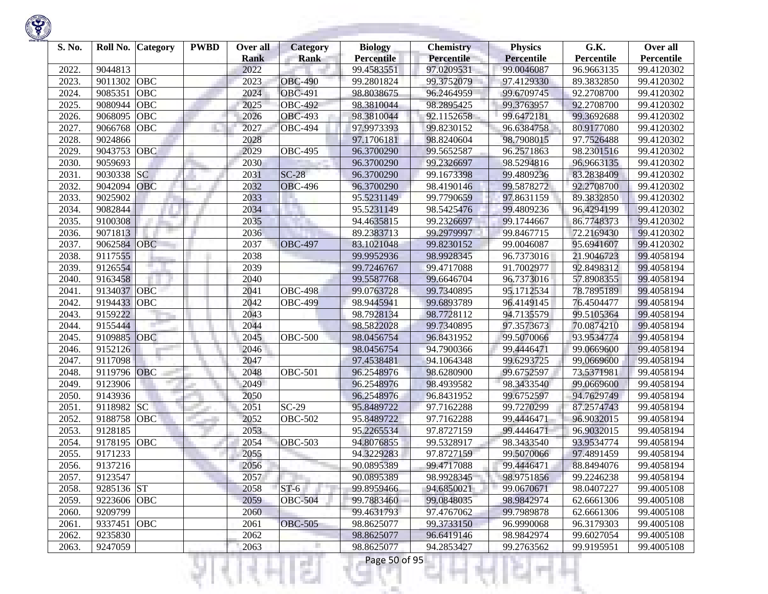| S. No. | Roll No. Category     | <b>PWBD</b> | Over all<br><b>Rank</b> | <b>Category</b><br><b>Rank</b> | <b>Biology</b><br><b>Percentile</b> | <b>Chemistry</b><br><b>Percentile</b> | <b>Physics</b><br><b>Percentile</b> | G.K.<br>Percentile       | Over all<br>Percentile |
|--------|-----------------------|-------------|-------------------------|--------------------------------|-------------------------------------|---------------------------------------|-------------------------------------|--------------------------|------------------------|
| 2022.  | 9044813               |             | 2022                    |                                | 99.4583551                          | 97.0209531                            | 99.0046087                          | 96.9663135               | 99.4120302             |
| 2023.  | OBC<br>9011302        |             | 2023                    | <b>OBC-490</b>                 | 99.2801824                          | 99.3752079                            | 97.4129330                          | 89.3832850               | 99.4120302             |
| 2024.  | OBC<br>9085351        |             | 2024                    | <b>OBC-491</b>                 | 98.8038675                          | 96.2464959                            | 99.6709745                          | 92.2708700               | 99.4120302             |
| 2025.  | OBC<br>9080944        |             | 2025                    | <b>OBC-492</b>                 | 98.3810044                          | 98.2895425                            | 99.3763957                          | 92.2708700               | 99.4120302             |
| 2026.  | OBC<br>9068095        |             | 2026                    | <b>OBC-493</b>                 | 98.3810044                          | 92.1152658                            | 99.6472181                          | 99.3692688               | 99.4120302             |
| 2027.  | 9066768<br>OBC        |             | 2027                    | <b>OBC-494</b>                 | 97.9973393                          | 99.8230152                            | 96.6384758                          | 80.9177080               |                        |
| 2028.  | 9024866               |             | 2028                    |                                |                                     | 98.8240604                            | 98.7908015                          | 97.7526488               | 99.4120302             |
|        | 9043753<br>OBC        |             | 2029                    | <b>OBC-495</b>                 | 97.1706181                          |                                       | 96.2571863                          | 98.2301516               | 99.4120302             |
| 2029.  | 9059693               |             | 2030                    |                                | 96.3700290                          | 99.5652587<br>99.2326697              | 98.5294816                          |                          | 99.4120302             |
| 2030.  | <b>SC</b><br>9030338  |             |                         | $SC-28$                        | 96.3700290                          |                                       |                                     | 96.9663135<br>83.2838409 | 99.4120302             |
| 2031.  |                       |             | 2031                    |                                | 96.3700290                          | 99.1673398                            | 99.4809236                          |                          | 99.4120302             |
| 2032.  | 9042094 OBC           |             | 2032                    | <b>OBC-496</b>                 | 96.3700290                          | 98.4190146                            | 99.5878272                          | 92.2708700               | 99.4120302             |
| 2033.  | 9025902               |             | 2033                    |                                | 95.5231149                          | 99.7790659                            | 97.8631159                          | 89.3832850               | 99.4120302             |
| 2034.  | 9082844               |             | 2034                    |                                | 95.5231149                          | 98.5425476                            | 99.4809236                          | 96.4294199               | 99.4120302             |
| 2035.  | 9100308               |             | 2035                    |                                | 94.4635815                          | 99.2326697                            | 99.1744667                          | 86.7748373               | 99.4120302             |
| 2036.  | 9071813               |             | 2036                    |                                | 89.2383713                          | 99.2979997                            | 99.8467715                          | 72.2169430               | 99.4120302             |
| 2037.  | 9062584<br><b>OBC</b> |             | 2037                    | <b>OBC-497</b>                 | 83.1021048                          | 99.8230152                            | 99.0046087                          | 95.6941607               | 99.4120302             |
| 2038.  | 9117555               |             | 2038                    |                                | 99.9952936                          | 98.9928345                            | 96.7373016                          | 21.9046723               | 99.4058194             |
| 2039.  | 9126554               |             | 2039                    |                                | 99.7246767                          | 99.4717088                            | 91.7002977                          | 92.8498312               | 99.4058194             |
| 2040.  | 9163458               |             | 2040                    |                                | 99.5587768                          | 99.6646704                            | 96.7373016                          | 57.8908355               | 99.4058194             |
| 2041.  | OBC<br>9134037        |             | 2041                    | <b>OBC-498</b>                 | 99.0763728                          | 99.7340895                            | 95.1712534                          | 78.7895189               | 99.4058194             |
| 2042.  | 9194433<br>OBC        |             | 2042                    | <b>OBC-499</b>                 | 98.9445941                          | 99.6893789                            | 96.4149145                          | 76.4504477               | 99.4058194             |
| 2043.  | 9159222               |             | 2043                    |                                | 98.7928134                          | 98.7728112                            | 94.7135579                          | 99.5105364               | 99.4058194             |
| 2044.  | 9155444               |             | 2044                    |                                | 98.5822028                          | 99.7340895                            | 97.3573673                          | 70.0874210               | 99.4058194             |
| 2045.  | OBC<br>9109885        |             | 2045                    | <b>OBC-500</b>                 | 98.0456754                          | 96.8431952                            | 99.5070066                          | 93.9534774               | 99.4058194             |
| 2046.  | 9152126               |             | 2046                    |                                | 98.0456754                          | 94.7900366                            | 99.4446471                          | 99.0669600               | 99.4058194             |
| 2047.  | 9117098               |             | 2047                    |                                | 97.4538481                          | 94.1064348                            | 99.6293725                          | 99.0669600               | 99.4058194             |
| 2048.  | 9119796 OBC           |             | 2048                    | <b>OBC-501</b>                 | 96.2548976                          | 98.6280900                            | 99.6752597                          | 73.5371981               | 99.4058194             |
| 2049.  | 9123906               |             | 2049                    |                                | 96.2548976                          | 98.4939582                            | 98.3433540                          | 99.0669600               | 99.4058194             |
| 2050.  | 9143936               |             | 2050                    |                                | 96.2548976                          | 96.8431952                            | 99.6752597                          | 94.7629749               | 99.4058194             |
| 2051.  | 9118982 SC            |             | 2051                    | $SC-29$                        | 95.8489722                          | 97.7162288                            | 99.7270299                          | 87.2574743               | 99.4058194             |
| 2052.  | OBC<br>9188758        |             | 2052                    | <b>OBC-502</b>                 | 95.8489722                          | 97.7162288                            | 99.4446471                          | 96.9032015               | 99.4058194             |
| 2053.  | 9128185               |             | 2053                    |                                | 95.2265534                          | 97.8727159                            | 99.4446471                          | 96.9032015               | 99.4058194             |
| 2054.  | OBC<br>9178195        |             | 2054                    | <b>OBC-503</b>                 | 94.8076855                          | 99.5328917                            | 98.3433540                          | 93.9534774               | 99.4058194             |
| 2055.  | 9171233               |             | 2055                    |                                | 94.3229283                          | 97.8727159                            | 99.5070066                          | 97.4891459               | 99.4058194             |
| 2056.  | 9137216               |             | 2056                    |                                | 90.0895389                          | 99.4717088                            | 99.4446471                          | 88.8494076               | 99.4058194             |
| 2057.  | 9123547               |             | 2057                    |                                | 90.0895389                          | 98.9928345                            | 98.9751856                          | 99.2246238               | 99.4058194             |
| 2058.  | 9285136 ST            |             | 2058                    | $ST-6$                         | 99.8959466                          | 94.6850021                            | 99.0670671                          | 98.0407227               | 99.4005108             |
| 2059.  | 9223606 OBC           |             | 2059                    | <b>OBC-504</b>                 | 99.7883460                          | 99.0848035                            | 98.9842974                          | 62.6661306               | 99.4005108             |
| 2060.  | 9209799               |             | 2060                    |                                | 99.4631793                          | 97.4767062                            | 99.7989878                          | 62.6661306               | 99.4005108             |
| 2061.  | 9337451<br><b>OBC</b> |             | 2061                    | <b>OBC-505</b>                 | 98.8625077                          | 99.3733150                            | 96.9990068                          | 96.3179303               | 99.4005108             |
| 2062.  | 9235830               |             | 2062                    |                                | 98.8625077                          | 96.6419146                            | 98.9842974                          | 99.6027054               | 99.4005108             |
| 2063.  | 9247059               |             | 2063                    |                                | 98.8625077                          | 94.2853427                            | 99.2763562                          | 99.9195951               | 99.4005108             |

375

ш

÷

R

w

Ħ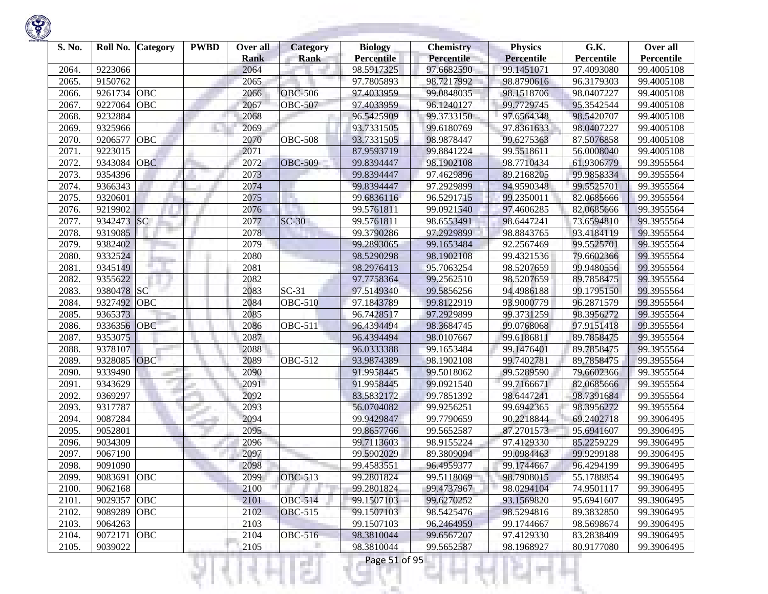

| S. No. | Roll No.    | <b>Category</b> | <b>PWBD</b> | Over all<br><b>Rank</b> | <b>Category</b><br><b>Rank</b> | <b>Biology</b><br><b>Percentile</b> | <b>Chemistry</b><br><b>Percentile</b> | <b>Physics</b><br><b>Percentile</b> | G.K.<br>Percentile | Over all<br>Percentile |
|--------|-------------|-----------------|-------------|-------------------------|--------------------------------|-------------------------------------|---------------------------------------|-------------------------------------|--------------------|------------------------|
| 2064.  | 9223066     |                 |             | 2064                    |                                | 98.5917325                          | 97.6682590                            | 99.1451071                          | 97.4093080         | 99.4005108             |
| 2065.  | 9150762     |                 |             | 2065                    |                                | 97.7805893                          | 98.7217992                            | 98.8790616                          | 96.3179303         | 99.4005108             |
| 2066.  | 9261734     | OBC             |             | 2066                    | <b>OBC-506</b>                 | 97.4033959                          | 99.0848035                            | 98.1518706                          | 98.0407227         | 99.4005108             |
| 2067.  | 9227064     | OBC             |             | 2067                    | <b>OBC-507</b>                 | 97.4033959                          | 96.1240127                            | 99.7729745                          | 95.3542544         | 99.4005108             |
| 2068.  | 9232884     |                 |             | 2068                    |                                | 96.5425909                          | 99.3733150                            | 97.6564348                          | 98.5420707         | 99.4005108             |
| 2069.  | 9325966     |                 |             | 2069                    |                                | 93.7331505                          | 99.6180769                            | 97.8361633                          | 98.0407227         | 99.4005108             |
| 2070.  | 9206577     | OBC             |             | 2070                    | <b>OBC-508</b>                 | 93.7331505                          | 98.9878447                            | 99.6275363                          | 87.5076858         | 99.4005108             |
| 2071.  | 9223015     |                 |             | 2071                    |                                | 87.9593719                          | 99.8841224                            | 99.5518611                          | 56.0008040         | 99.4005108             |
| 2072.  | 9343084     | <b>OBC</b>      |             | 2072                    | <b>OBC-509</b>                 | 99.8394447                          | 98.1902108                            | 98.7710434                          | 61.9306779         | 99.3955564             |
| 2073.  | 9354396     |                 |             | 2073                    |                                | 99.8394447                          | 97.4629896                            | 89.2168205                          | 99.9858334         | 99.3955564             |
| 2074.  | 9366343     |                 |             | 2074                    |                                | 99.8394447                          | 97.2929899                            | 94.9590348                          | 99.5525701         | 99.3955564             |
| 2075.  | 9320601     |                 |             | 2075                    |                                | 99.6836116                          | 96.5291715                            | 99.2350011                          | 82.0685666         | 99.3955564             |
| 2076.  | 9219902     |                 |             | 2076                    |                                | 99.5761811                          | 99.0921540                            | 97.4606285                          | 82.0685666         | 99.3955564             |
| 2077.  | 9342473     | SC              |             | 2077                    | $SC-30$                        | 99.5761811                          | 98.6553491                            | 98.6447241                          | 73.6594810         | 99.3955564             |
| 2078.  | 9319085     |                 |             | 2078                    |                                | 99.3790286                          | 97.2929899                            | 98.8843765                          | 93.4184119         | 99.3955564             |
| 2079.  | 9382402     |                 |             | 2079                    |                                | 99.2893065                          | 99.1653484                            | 92.2567469                          | 99.5525701         | 99.3955564             |
| 2080.  | 9332524     |                 |             | 2080                    |                                | 98.5290298                          | 98.1902108                            | 99.4321536                          | 79.6602366         | 99.3955564             |
| 2081.  | 9345149     |                 |             | 2081                    |                                | 98.2976413                          | 95.7063254                            | 98.5207659                          | 99.9480556         | 99.3955564             |
| 2082.  | 9355622     |                 |             | 2082                    |                                | 97.7758364                          | 99.2562510                            | 98.5207659                          | 89.7858475         | 99.3955564             |
| 2083.  | 9380478     | <b>SC</b>       |             | 2083                    | $SC-31$                        | 97.5149340                          | 99.5856256                            | 94.4986188                          | 99.1795150         | 99.3955564             |
| 2084.  | 9327492     | OBC             |             | 2084                    | $\overline{O}$ BC-510          | 97.1843789                          | 99.8122919                            | 93.9000779                          | 96.2871579         | 99.3955564             |
| 2085.  | 9365373     |                 |             | 2085                    |                                | 96.7428517                          | 97.2929899                            | 99.3731259                          | 98.3956272         | 99.3955564             |
| 2086.  | 9336356     | <b>OBC</b>      |             | 2086                    | <b>OBC-511</b>                 | 96.4394494                          | 98.3684745                            | 99.0768068                          | 97.9151418         | 99.3955564             |
| 2087.  | 9353075     |                 |             | 2087                    |                                | 96.4394494                          | 98.0107667                            | 99.6186811                          | 89.7858475         | 99.3955564             |
| 2088.  | 9378107     |                 |             | 2088                    |                                | 96.0333388                          | 99.1653484                            | 99.1476401                          | 89.7858475         | 99.3955564             |
| 2089.  | 9328085     | <b>OBC</b>      |             | 2089                    | $\overline{O}$ BC-512          | 93.9874389                          | 98.1902108                            | 99.7402781                          | 89.7858475         | 99.3955564             |
| 2090.  | 9339490     |                 |             | 2090                    |                                | 91.9958445                          | 99.5018062                            | 99.5289590                          | 79.6602366         | 99.3955564             |
| 2091.  | 9343629     |                 |             | 2091                    |                                | 91.9958445                          | 99.0921540                            | 99.7166671                          | 82.0685666         | 99.3955564             |
| 2092.  | 9369297     |                 |             | 2092                    |                                | 83.5832172                          | 99.7851392                            | 98.6447241                          | 98.7391684         | 99.3955564             |
| 2093.  | 9317787     |                 |             | 2093                    |                                | 56.0704082                          | 99.9256251                            | 99.6942365                          | 98.3956272         | 99.3955564             |
| 2094.  | 9087284     |                 |             | 2094                    |                                | 99.9429847                          | 99.7790659                            | 90.2218844                          | 69.2402718         | 99.3906495             |
| 2095.  | 9052801     |                 |             | 2095                    |                                | 99.8657766                          | 99.5652587                            | 87.2701573                          | 95.6941607         | 99.3906495             |
| 2096.  | 9034309     |                 |             | 2096                    |                                | 99.7113603                          | 98.9155224                            | 97.4129330                          | 85.2259229         | 99.3906495             |
| 2097.  | 9067190     |                 |             | 2097                    |                                | 99.5902029                          | 89.3809094                            | 99.0984463                          | 99.9299188         | 99.3906495             |
| 2098.  | 9091090     |                 |             | 2098                    |                                | 99.4583551                          | 96.4959377                            | 99.1744667                          | 96.4294199         | 99.3906495             |
| 2099.  | 9083691 OBC |                 |             | 2099                    | <b>OBC-513</b>                 | 99.2801824                          | 99.5118069                            | 98.7908015                          | 55.1788854         | 99.3906495             |
| 2100.  | 9062168     |                 |             | 2100                    |                                | 99.2801824                          | 99.4737967                            | 98.0294104                          | 74.9501117         | 99.3906495             |
| 2101.  | 9029357 OBC |                 |             | 2101                    | <b>OBC-514</b>                 | 99.1507103                          | 99.6270252                            | 93.1569820                          | 95.6941607         | 99.3906495             |
| 2102.  | 9089289     | <b>OBC</b>      |             | 2102                    | <b>OBC-515</b>                 | 99.1507103                          | 98.5425476                            | 98.5294816                          | 89.3832850         | 99.3906495             |
| 2103.  | 9064263     |                 |             | 2103                    |                                | 99.1507103                          | 96.2464959                            | 99.1744667                          | 98.5698674         | 99.3906495             |
| 2104.  | 9072171     | <b>OBC</b>      |             | 2104                    | <b>OBC-516</b>                 | 98.3810044                          | 99.6567207                            | 97.4129330                          | 83.2838409         | 99.3906495             |
| 2105.  | 9039022     |                 |             | 2105                    |                                | 98.3810044                          | 99.5652587                            | 98.1968927                          | 80.9177080         | 99.3906495             |
|        |             |                 |             |                         |                                | Page 51 of 95                       |                                       |                                     |                    |                        |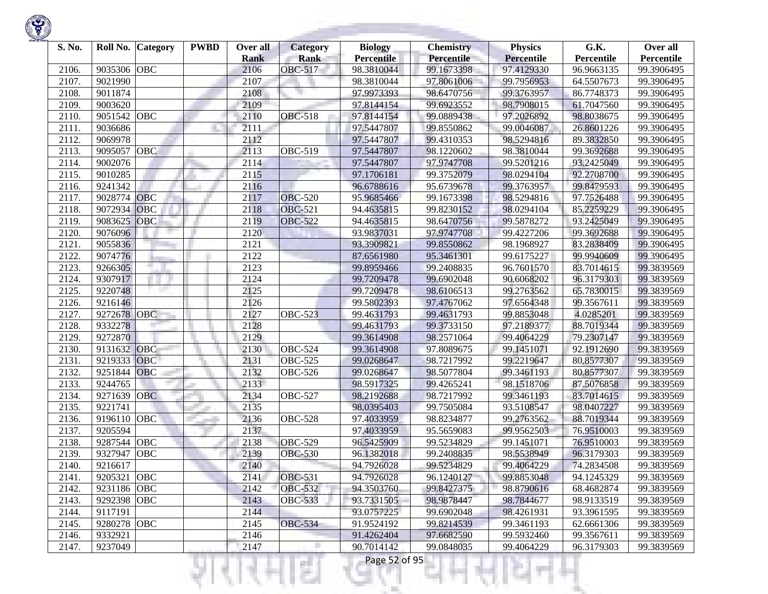

| S. No. | Roll No.    | <b>Category</b> | <b>PWBD</b> | Over all<br><b>Rank</b> | <b>Category</b><br><b>Rank</b> | <b>Biology</b><br><b>Percentile</b> | <b>Chemistry</b><br>Percentile | <b>Physics</b><br><b>Percentile</b> | G.K.<br>Percentile | Over all<br>Percentile |
|--------|-------------|-----------------|-------------|-------------------------|--------------------------------|-------------------------------------|--------------------------------|-------------------------------------|--------------------|------------------------|
| 2106.  | 9035306     | <b>OBC</b>      |             | 2106                    | <b>OBC-517</b>                 | 98.3810044                          | 99.1673398                     | 97.4129330                          | 96.9663135         | 99.3906495             |
| 2107.  | 9021990     |                 |             | 2107                    |                                | 98.3810044                          | 97.8061006                     | 99.7956953                          | 64.5507673         | 99.3906495             |
| 2108   | 9011874     |                 |             | 2108                    |                                | 97.9973393                          | 98.6470756                     | 99.3763957                          | 86.7748373         | 99.3906495             |
| 2109.  | 9003620     |                 |             | 2109                    |                                | 97.8144154                          | 99.6923552                     | 98.7908015                          | 61.7047560         | 99.3906495             |
| 2110   | 9051542     | <b>OBC</b>      |             | 2110                    | <b>OBC-518</b>                 | 97.8144154                          | 99.0889438                     | 97.2026892                          | 98.8038675         | 99.3906495             |
| 2111.  | 9036686     |                 |             | 2111                    |                                | 97.5447807                          | 99.8550862                     | 99.0046087                          | 26.8601226         | 99.3906495             |
| 2112.  | 9069978     |                 |             | 2112                    |                                | 97.5447807                          | 99.4310353                     | 98.5294816                          | 89.3832850         | 99.3906495             |
| 2113.  | 9095057     | <b>OBC</b>      |             | 2113                    | <b>OBC-519</b>                 | 97.5447807                          | 98.1220602                     | 98.3810044                          | 99.3692688         | 99.3906495             |
| 2114.  | 9002076     |                 |             | 2114                    |                                | 97.5447807                          | 97.9747708                     | 99.5201216                          | 93.2425049         | 99.3906495             |
| 2115.  | 9010285     |                 |             | 2115                    |                                | 97.1706181                          | 99.3752079                     | 98.0294104                          | 92.2708700         | 99.3906495             |
| 2116.  | 9241342     |                 |             | 2116                    |                                | 96.6788616                          | 95.6739678                     | 99.3763957                          | 99.8479593         | 99.3906495             |
| 2117.  | 9028774     | <b>OBC</b>      |             | 2117                    | <b>OBC-520</b>                 | 95.9685466                          | 99.1673398                     | 98.5294816                          | 97.7526488         | 99.3906495             |
| 2118.  | 9072934     | OBC             |             | 2118                    | <b>OBC-521</b>                 | 94.4635815                          | 99.8230152                     | 98.0294104                          | 85.2259229         | 99.3906495             |
| 2119   | 9083625     | OBC             |             | 2119                    | <b>OBC-522</b>                 | 94.4635815                          | 98.6470756                     | 99.5878272                          | 93.2425049         | 99.3906495             |
| 2120   | 9076096     |                 |             | 2120                    |                                | 93.9837031                          | 97.9747708                     | 99.4227206                          | 99.3692688         | 99.3906495             |
| 2121.  | 9055836     |                 |             | 2121                    |                                | 93.3909821                          | 99.8550862                     | 98.1968927                          | 83.2838409         | 99.3906495             |
| 2122.  | 9074776     |                 |             | 2122                    |                                | 87.6561980                          | 95.3461301                     | 99.6175227                          | 99.9940609         | 99.3906495             |
| 2123.  | 9266305     |                 |             | 2123                    |                                | 99.8959466                          | 99.2408835                     | 96.7601570                          | 83.7014615         | 99.3839569             |
| 2124.  | 9307917     |                 |             | 2124                    |                                | 99.7209478                          | 99.6902048                     | 90.6068202                          | 96.3179303         | 99.3839569             |
| 2125.  | 9220748     |                 |             | 2125                    |                                | 99.7209478                          | 98.6106513                     | 99.2763562                          | 65.7830015         | 99.3839569             |
| 2126.  | 9216146     |                 |             | 2126                    |                                | 99.5802393                          | 97.4767062                     | 97.6564348                          | 99.3567611         | 99.3839569             |
| 2127.  | 9272678     | <b>OBC</b>      |             | 2127                    | <b>OBC-523</b>                 | 99.4631793                          | 99.4631793                     | 99.8853048                          | 4.0285201          | 99.3839569             |
| 2128.  | 9332278     |                 |             | 2128                    |                                | 99.4631793                          | 99.3733150                     | 97.2189377                          | 88.7019344         | 99.3839569             |
| 2129.  | 9272870     |                 |             | 2129                    |                                | 99.3614908                          | 98.2571064                     | 99.4064229                          | 79.2307147         | 99.3839569             |
| 2130.  | 9131632     | OBC             |             | 2130                    | <b>OBC-524</b>                 | 99.3614908                          | 97.8089675                     | 99.1451071                          | 92.1912690         | 99.3839569             |
| 2131.  | 9219333     | OBC             |             | 2131                    | <b>OBC-525</b>                 | 99.0268647                          | 98.7217992                     | 99.2219647                          | 80.8577307         | 99.3839569             |
| 2132.  | 9251844     | <b>OBC</b>      |             | 2132                    | <b>OBC-526</b>                 | 99.0268647                          | 98.5077804                     | 99.3461193                          | 80.8577307         | 99.3839569             |
| 2133.  | 9244765     |                 |             | 2133                    |                                | 98.5917325                          | 99.4265241                     | 98.1518706                          | 87.5076858         | 99.3839569             |
| 2134.  | 9271639     | <b>OBC</b>      |             | 2134                    | <b>OBC-527</b>                 | 98.2192688                          | 98.7217992                     | 99.3461193                          | 83.7014615         | 99.3839569             |
| 2135.  | 9221741     |                 |             | 2135                    |                                | 98.0395403                          | 99.7505084                     | 93.5108547                          | 98.0407227         | 99.3839569             |
| 2136.  | 9196110     | OBC             |             | 2136                    | <b>OBC-528</b>                 | 97.4033959                          | 98.8234877                     | 99.2763562                          | 88.7019344         | 99.3839569             |
| 2137.  | 9205594     |                 |             | 2137                    |                                | 97.4033959                          | 95.5659083                     | 99.9562503                          | 76.9510003         | 99.3839569             |
| 2138.  | 9287544     | <b>OBC</b>      |             | 2138                    | <b>OBC-529</b>                 | 96.5425909                          | 99.5234829                     | 99.1451071                          | 76.9510003         | 99.3839569             |
| 2139.  | 9327947     | <b>OBC</b>      |             | 2139                    | <b>OBC-530</b>                 | 96.1382018                          | 99.2408835                     | 98.5538949                          | 96.3179303         | 99.3839569             |
| 2140.  | 9216617     |                 |             | 2140                    |                                | 94.7926028                          | 99.5234829                     | 99.4064229                          | 74.2834508         | 99.3839569             |
| 2141.  | 9205321 OBC |                 |             | 2141                    | <b>OBC-531</b>                 | 94.7926028                          | 96.1240127                     | 99.8853048                          | 94.1245329         | 99.3839569             |
| 2142.  | 9231186 OBC |                 |             | 2142                    | <b>OBC-532</b>                 | 94.3503760                          | 99.8427375                     | 98.8790616                          | 68.4682874         | 99.3839569             |
| 2143.  | 9292398 OBC |                 |             | 2143                    | <b>OBC-533</b>                 | 93.7331505                          | 98.9878447                     | 98.7844677                          | 98.9133519         | 99.3839569             |
| 2144.  | 9117191     |                 |             | 2144                    |                                | 93.0757225                          | 99.6902048                     | 98.4261931                          | 93.3961595         | 99.3839569             |
| 2145.  | 9280278 OBC |                 |             | 2145                    | <b>OBC-534</b>                 | 91.9524192                          | 99.8214539                     | 99.3461193                          | 62.6661306         | 99.3839569             |
| 2146.  | 9332921     |                 |             | 2146                    |                                | 91.4262404                          | 97.6682590                     | 99.5932460                          | 99.3567611         | 99.3839569             |
| 2147.  | 9237049     |                 |             | 2147                    |                                | 90.7014142                          | 99.0848035                     | 99.4064229                          | 96.3179303         | 99.3839569             |
|        |             |                 |             |                         | s                              | Page 52 of 95                       |                                |                                     |                    |                        |

<u> 1989 - Alban Santan, p</u>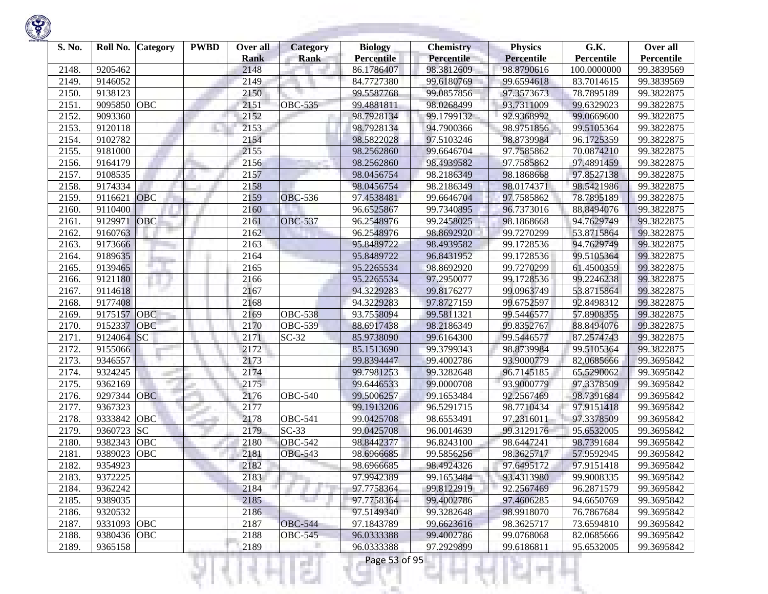

| S. No. | Roll No.    | <b>Category</b> | <b>PWBD</b> | Over all<br><b>Rank</b> | <b>Category</b><br><b>Rank</b> | <b>Biology</b><br><b>Percentile</b> | <b>Chemistry</b><br><b>Percentile</b> | <b>Physics</b><br><b>Percentile</b> | G.K.<br>Percentile | Over all<br>Percentile |
|--------|-------------|-----------------|-------------|-------------------------|--------------------------------|-------------------------------------|---------------------------------------|-------------------------------------|--------------------|------------------------|
| 2148.  | 9205462     |                 |             | 2148                    |                                | 86.1786407                          | 98.3812609                            | 98.8790616                          | 100.0000000        | 99.3839569             |
| 2149.  | 9146052     |                 |             | 2149                    |                                | 84.7727380                          | 99.6180769                            | 99.6594618                          | 83.7014615         | 99.3839569             |
| 2150.  | 9138123     |                 |             | 2150                    |                                | 99.5587768                          | 99.0857856                            | 97.3573673                          | 78.7895189         | 99.3822875             |
| 2151.  | 9095850     | OBC             |             | 2151                    | <b>OBC-535</b>                 | 99.4881811                          | 98.0268499                            | 93.7311009                          | 99.6329023         | 99.3822875             |
| 2152.  | 9093360     |                 |             | 2152                    |                                | 98.7928134                          | 99.1799132                            | 92.9368992                          | 99.0669600         | 99.3822875             |
| 2153.  | 9120118     |                 |             | 2153                    |                                | 98.7928134                          | 94.7900366                            | 98.9751856                          | 99.5105364         | 99.3822875             |
| 2154.  | 9102782     |                 |             | 2154                    |                                | 98.5822028                          | 97.5103246                            | 98.8739984                          | 96.1725359         | 99.3822875             |
| 2155.  | 9181000     |                 |             | 2155                    |                                | 98.2562860                          | 99.6646704                            | 97.7585862                          | 70.0874210         | 99.3822875             |
| 2156.  | 9164179     |                 |             | 2156                    |                                | 98.2562860                          | 98.4939582                            | 97.7585862                          | 97.4891459         | 99.3822875             |
| 2157.  | 9108535     |                 |             | 2157                    |                                | 98.0456754                          | 98.2186349                            | 98.1868668                          | 97.8527138         | 99.3822875             |
| 2158.  | 9174334     |                 |             | 2158                    |                                | 98.0456754                          | 98.2186349                            | 98.0174371                          | 98.5421986         | 99.3822875             |
| 2159.  | 9116621     | OBC             |             | 2159                    | <b>OBC-536</b>                 | 97.4538481                          | 99.6646704                            | 97.7585862                          | 78.7895189         | 99.3822875             |
| 2160.  | 9110400     |                 |             | 2160                    |                                | 96.6525867                          | 99.7340895                            | 96.7373016                          | 88.8494076         | 99.3822875             |
| 2161.  | 9129971     | OBC             |             | 2161                    | <b>OBC-537</b>                 | 96.2548976                          | 99.2458025                            | 98.1868668                          | 94.7629749         | 99.3822875             |
| 2162   | 9160763     |                 |             | 2162                    |                                | 96.2548976                          | 98.8692920                            | 99.7270299                          | 53.8715864         | 99.3822875             |
| 2163.  | 9173666     |                 |             | 2163                    |                                | 95.8489722                          | 98.4939582                            | 99.1728536                          | 94.7629749         | 99.3822875             |
| 2164.  | 9189635     |                 |             | 2164                    |                                | 95.8489722                          | 96.8431952                            | 99.1728536                          | 99.5105364         | 99.3822875             |
| 2165.  | 9139465     |                 |             | 2165                    |                                | 95.2265534                          | 98.8692920                            | 99.7270299                          | 61.4500359         | 99.3822875             |
| 2166.  | 9121180     |                 |             | 2166                    |                                | 95.2265534                          | 97.2950077                            | 99.1728536                          | 99.2246238         | 99.3822875             |
| 2167.  | 9114618     |                 |             | 2167                    |                                | 94.3229283                          | 99.8176277                            | 99.0963749                          | 53.8715864         | 99.3822875             |
| 2168.  | 9177408     |                 |             | 2168                    |                                | 94.3229283                          | 97.8727159                            | 99.6752597                          | 92.8498312         | 99.3822875             |
| 2169   | 9175157     | OBC             |             | 2169                    | <b>OBC-538</b>                 | 93.7558094                          | 99.5811321                            | 99.5446577                          | 57.8908355         | 99.3822875             |
| 2170.  | 9152337     | <b>OBC</b>      |             | 2170                    | <b>OBC-539</b>                 | 88.6917438                          | 98.2186349                            | 99.8352767                          | 88.8494076         | 99.3822875             |
| 2171.  | 9124064     | SC              |             | 2171                    | $SC-32$                        | 85.9738090                          | 99.6164300                            | 99.5446577                          | 87.2574743         | 99.3822875             |
| 2172.  | 9155066     |                 |             | 2172                    |                                | 85.1513690                          | 99.3799343                            | 98.8739984                          | 99.5105364         | 99.3822875             |
| 2173.  | 9346557     |                 |             | 2173                    |                                | 99.8394447                          | 99.4002786                            | 93.9000779                          | 82.0685666         | 99.3695842             |
| 2174.  | 9324245     |                 |             | 2174                    |                                | 99.7981253                          | 99.3282648                            | 96.7145185                          | 65.5290062         | 99.3695842             |
| 2175.  | 9362169     |                 |             | 2175                    |                                | 99.6446533                          | 99.0000708                            | 93.9000779                          | 97.3378509         | 99.3695842             |
| 2176.  | 9297344     | <b>OBC</b>      |             | 2176                    | <b>OBC-540</b>                 | 99.5006257                          | 99.1653484                            | 92.2567469                          | 98.7391684         | 99.3695842             |
| 2177.  | 9367323     |                 |             | 2177                    |                                | 99.1913206                          | 96.5291715                            | 98.7710434                          | 97.9151418         | 99.3695842             |
| 2178.  | 9333842     | OBC             |             | 2178                    | <b>OBC-541</b>                 | 99.0425708                          | 98.6553491                            | 97.2316011                          | 97.3378509         | 99.3695842             |
| 2179.  | 9360723     | <b>SC</b>       |             | 2179                    | $SC-33$                        | 99.0425708                          | 96.0014639                            | 99.3129176                          | 95.6532005         | 99.3695842             |
| 2180.  | 9382343     | OBC             |             | 2180                    | <b>OBC-542</b>                 | 98.8442377                          | 96.8243100                            | 98.6447241                          | 98.7391684         | 99.3695842             |
| 2181.  | 9389023     | OBC             |             | 2181                    | <b>OBC-543</b>                 | 98.6966685                          | 99.5856256                            | 98.3625717                          | 57.9592945         | 99.3695842             |
| 2182.  | 9354923     |                 |             | 2182                    |                                | 98.6966685                          | 98.4924326                            | 97.6495172                          | 97.9151418         | 99.3695842             |
| 2183.  | 9372225     |                 |             | 2183                    |                                | 97.9942389                          | 99.1653484                            | 93.4313980                          | 99.9008335         | 99.3695842             |
| 2184.  | 9362242     |                 |             | 2184                    |                                | 97.7758364                          | 99.8122919                            | 92.2567469                          | 96.2871579         | 99.3695842             |
| 2185.  | 9389035     |                 |             | 2185                    |                                | 97.7758364                          | 99.4002786                            | 97.4606285                          | 94.6650769         | 99.3695842             |
| 2186.  | 9320532     |                 |             | 2186                    |                                | 97.5149340                          | 99.3282648                            | 98.9918070                          | 76.7867684         | 99.3695842             |
| 2187.  | 9331093 OBC |                 |             | 2187                    | <b>OBC-544</b>                 | 97.1843789                          | 99.6623616                            | 98.3625717                          | 73.6594810         | 99.3695842             |
| 2188.  | 9380436 OBC |                 |             | 2188                    | $\overline{O}$ BC-545          | 96.0333388                          | 99.4002786                            | 99.0768068                          | 82.0685666         | 99.3695842             |
| 2189.  | 9365158     |                 |             | 2189                    |                                | 96.0333388                          | 97.2929899                            | 99.6186811                          | 95.6532005         | 99.3695842             |
|        |             |                 |             |                         |                                | Page 53 of 95                       |                                       |                                     |                    |                        |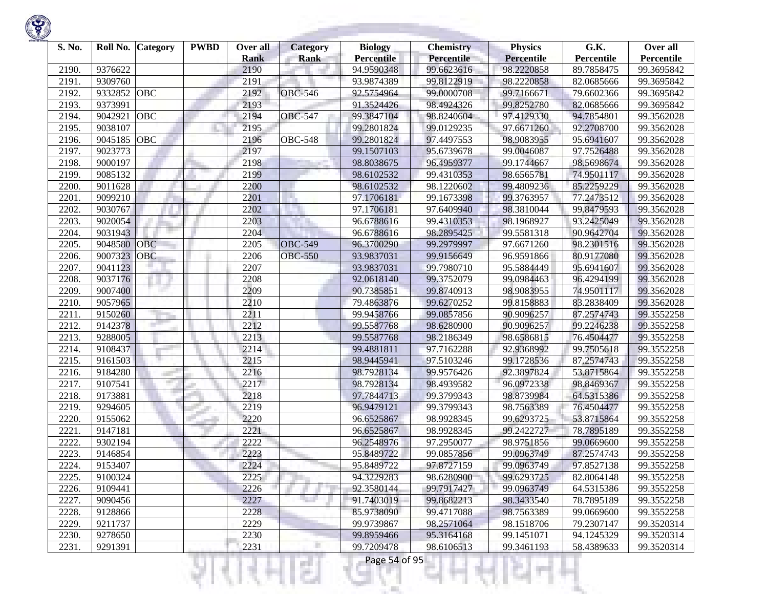

| S. No. |         | Roll No. Category | <b>PWBD</b> | Over all<br><b>Rank</b> | <b>Category</b><br><b>Rank</b> | <b>Biology</b><br><b>Percentile</b> | <b>Chemistry</b><br><b>Percentile</b> | <b>Physics</b><br><b>Percentile</b> | G.K.<br>Percentile | Over all<br>Percentile |
|--------|---------|-------------------|-------------|-------------------------|--------------------------------|-------------------------------------|---------------------------------------|-------------------------------------|--------------------|------------------------|
| 2190.  | 9376622 |                   |             | 2190                    |                                | 94.9590348                          | 99.6623616                            | 98.2220858                          | 89.7858475         | 99.3695842             |
| 2191.  | 9309760 |                   |             | 2191                    |                                | 93.9874389                          | 99.8122919                            | 98.2220858                          | 82.0685666         | 99.3695842             |
| 2192.  | 9332852 | <b>OBC</b>        |             | 2192                    | <b>OBC-546</b>                 | 92.5754964                          | 99.0000708                            | 99.7166671                          | 79.6602366         | 99.3695842             |
| 2193.  | 9373991 |                   |             | 2193                    |                                | 91.3524426                          | 98.4924326                            | 99.8252780                          | 82.0685666         | 99.3695842             |
| 2194.  | 9042921 | OBC               |             | 2194                    | <b>OBC-547</b>                 | 99.3847104                          | 98.8240604                            | 97.4129330                          | 94.7854801         | 99.3562028             |
| 2195.  | 9038107 |                   |             | 2195                    |                                | 99.2801824                          | 99.0129235                            | 97.6671260                          | 92.2708700         | 99.3562028             |
| 2196.  | 9045185 | OBC               |             | 2196                    | <b>OBC-548</b>                 | 99.2801824                          | 97.4497553                            | 98.9083955                          | 95.6941607         | 99.3562028             |
| 2197.  | 9023773 |                   |             | 2197                    |                                | 99.1507103                          | 95.6739678                            | 99.0046087                          | 97.7526488         | 99.3562028             |
| 2198.  | 9000197 |                   |             | 2198                    |                                | 98.8038675                          | 96.4959377                            | 99.1744667                          | 98.5698674         | 99.3562028             |
| 2199.  | 9085132 |                   |             | 2199                    |                                | 98.6102532                          | 99.4310353                            | 98.6565781                          | 74.9501117         | 99.3562028             |
| 2200.  | 9011628 |                   |             | 2200                    |                                | 98.6102532                          | 98.1220602                            | 99.4809236                          | 85.2259229         | 99.3562028             |
| 2201.  | 9099210 |                   |             | 2201                    |                                | 97.1706181                          | 99.1673398                            | 99.3763957                          | 77.2473512         | 99.3562028             |
| 2202.  | 9030767 |                   |             | 2202                    |                                | 97.1706181                          | 97.6409940                            | 98.3810044                          | 99.8479593         | 99.3562028             |
| 2203.  | 9020054 |                   |             | 2203                    |                                | 96.6788616                          | 99.4310353                            | 98.1968927                          | 93.2425049         | 99.3562028             |
| 2204.  | 9031943 |                   |             | 2204                    |                                | 96.6788616                          | 98.2895425                            | 99.5581318                          | 90.9642704         | 99.3562028             |
| 2205.  | 9048580 | OBC               |             | 2205                    | <b>OBC-549</b>                 | 96.3700290                          | 99.2979997                            | 97.6671260                          | 98.2301516         | 99.3562028             |
| 2206.  | 9007323 | OBC               |             | 2206                    | <b>OBC-550</b>                 | 93.9837031                          | 99.9156649                            | 96.9591866                          | 80.9177080         | 99.3562028             |
| 2207.  | 9041123 |                   |             | 2207                    |                                | 93.9837031                          | 99.7980710                            | 95.5884449                          | 95.6941607         | 99.3562028             |
| 2208.  | 9037176 |                   |             | 2208                    |                                | 92.0618140                          | 99.3752079                            | 99.0984463                          | 96.4294199         | 99.3562028             |
| 2209.  | 9007400 |                   |             | 2209                    |                                | 90.7385851                          | 99.8740913                            | 98.9083955                          | 74.9501117         | 99.3562028             |
| 2210.  | 9057965 |                   |             | 2210                    |                                | 79.4863876                          | 99.6270252                            | 99.8158883                          | 83.2838409         | 99.3562028             |
| 2211.  | 9150260 |                   |             | 2211                    |                                | 99.9458766                          | 99.0857856                            | 90.9096257                          | 87.2574743         | 99.3552258             |
| 2212.  | 9142378 |                   |             | 2212                    |                                | 99.5587768                          | 98.6280900                            | 90.9096257                          | 99.2246238         | 99.3552258             |
| 2213.  | 9288005 |                   |             | 2213                    |                                | 99.5587768                          | 98.2186349                            | 98.6586815                          | 76.4504477         | 99.3552258             |
| 2214.  | 9108437 |                   |             | 2214                    |                                | 99.4881811                          | 97.7162288                            | 92.9368992                          | 99.7505618         | 99.3552258             |
| 2215.  | 9161503 |                   |             | 2215                    |                                | 98.9445941                          | 97.5103246                            | 99.1728536                          | 87.2574743         | 99.3552258             |
| 2216.  | 9184280 |                   |             | 2216                    |                                | 98.7928134                          | 99.9576426                            | 92.3897824                          | 53.8715864         | 99.3552258             |
| 2217.  | 9107541 |                   |             | 2217                    |                                | 98.7928134                          | 98.4939582                            | 96.0972338                          | 98.8469367         | 99.3552258             |
| 2218.  | 9173881 |                   |             | 2218                    |                                | 97.7844713                          | 99.3799343                            | 98.8739984                          | 64.5315386         | 99.3552258             |
| 2219.  | 9294605 |                   |             | 2219                    |                                | 96.9479121                          | 99.3799343                            | 98.7563389                          | 76.4504477         | 99.3552258             |
| 2220.  | 9155062 |                   |             | 2220                    |                                | 96.6525867                          | 98.9928345                            | 99.6293725                          | 53.8715864         | 99.3552258             |
| 2221.  | 9147181 |                   |             | 2221                    |                                | 96.6525867                          | 98.9928345                            | 99.2422727                          | 78.7895189         | 99.3552258             |
| 2222.  | 9302194 |                   |             | 2222                    |                                | 96.2548976                          | 97.2950077                            | 98.9751856                          | 99.0669600         | 99.3552258             |
| 2223.  | 9146854 |                   |             | 2223                    |                                | 95.8489722                          | 99.0857856                            | 99.0963749                          | 87.2574743         | 99.3552258             |
| 2224.  | 9153407 |                   |             | 2224                    |                                | 95.8489722                          | 97.8727159                            | 99.0963749                          | 97.8527138         | 99.3552258             |
| 2225.  | 9100324 |                   |             | 2225                    |                                | 94.3229283                          | 98.6280900                            | 99.6293725                          | 82.8064148         | 99.3552258             |
| 2226.  | 9109441 |                   |             | 2226                    |                                | 92.3580144                          | 99.7917427                            | 99.0963749                          | 64.5315386         | 99.3552258             |
| 2227.  | 9090456 |                   |             | 2227                    |                                | 91.7403019                          | 99.8682213                            | 98.3433540                          | 78.7895189         | 99.3552258             |
| 2228.  | 9128866 |                   |             | 2228                    |                                | 85.9738090                          | 99.4717088                            | 98.7563389                          | 99.0669600         | 99.3552258             |
| 2229.  | 9211737 |                   |             | 2229                    |                                | 99.9739867                          | 98.2571064                            | 98.1518706                          | 79.2307147         | 99.3520314             |
| 2230.  | 9278650 |                   |             | 2230                    |                                | 99.8959466                          | 95.3164168                            | 99.1451071                          | 94.1245329         | 99.3520314             |
| 2231.  | 9291391 |                   |             | 2231                    |                                | 99.7209478                          | 98.6106513                            | 99.3461193                          | 58.4389633         | 99.3520314             |
|        |         |                   |             |                         |                                | Page 54 of 95                       |                                       |                                     |                    |                        |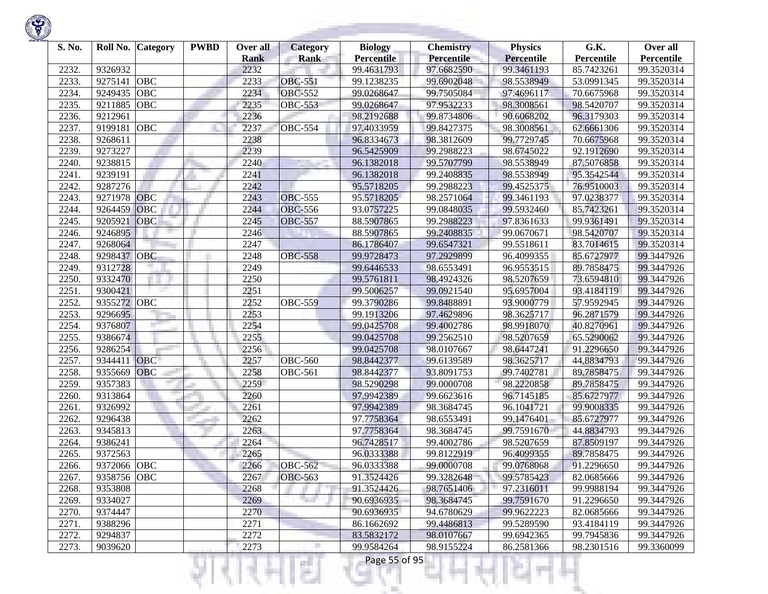| S. No. |             | Roll No. Category | <b>PWBD</b> | Over all<br><b>Rank</b> | <b>Category</b><br><b>Rank</b> | <b>Biology</b><br><b>Percentile</b> | <b>Chemistry</b><br><b>Percentile</b> | <b>Physics</b><br><b>Percentile</b> | G.K.<br>Percentile | Over all<br>Percentile |
|--------|-------------|-------------------|-------------|-------------------------|--------------------------------|-------------------------------------|---------------------------------------|-------------------------------------|--------------------|------------------------|
| 2232.  | 9326932     |                   |             | 2232                    |                                | 99.4631793                          | 97.6682590                            | 99.3461193                          | 85.7423261         | 99.3520314             |
| 2233.  | 9275141     | OBC               |             | 2233                    | <b>OBC-551</b>                 | 99.1238235                          | 99.6902048                            | 98.5538949                          | 53.0991345         | 99.3520314             |
| 2234.  | 9249435     | OBC               |             | 2234                    | <b>OBC-552</b>                 | 99.0268647                          | 99.7505084                            | 97.4696117                          | 70.6675968         | 99.3520314             |
| 2235.  | 9211885     | OBC               |             | 2235                    | <b>OBC-553</b>                 | 99.0268647                          | 97.9532233                            | 98.3008561                          | 98.5420707         | 99.3520314             |
| 2236.  | 9212961     |                   |             | 2236                    |                                | 98.2192688                          | 99.8734806                            | 90.6068202                          | 96.3179303         | 99.3520314             |
| 2237.  | 9199181     | OBC               |             | 2237                    | <b>OBC-554</b>                 | 97.4033959                          | 99.8427375                            | 98.3008561                          | 62.6661306         | 99.3520314             |
| 2238.  | 9268611     |                   |             | 2238                    |                                | 96.8334673                          | 98.3812609                            | 99.7729745                          | 70.6675968         | 99.3520314             |
| 2239.  | 9273227     |                   |             | 2239                    |                                | 96.5425909                          | 99.2988223                            | 98.6745022                          | 92.1912690         | 99.3520314             |
| 2240.  | 9238815     |                   |             | 2240                    |                                | 96.1382018                          | 99.5707799                            | 98.5538949                          | 87.5076858         | 99.3520314             |
| 2241.  | 9239191     |                   |             | 2241                    |                                | 96.1382018                          | 99.2408835                            | 98.5538949                          | 95.3542544         | 99.3520314             |
| 2242.  | 9287276     |                   |             | 2242                    |                                | 95.5718205                          | 99.2988223                            | 99.4525375                          | 76.9510003         | 99.3520314             |
| 2243.  | 9271978     | OBC               |             | 2243                    | <b>OBC-555</b>                 | 95.5718205                          | 98.2571064                            | 99.3461193                          | 97.0238377         | 99.3520314             |
| 2244.  | 9264459     | OBC               |             | 2244                    | <b>OBC-556</b>                 | 93.0757225                          | 99.0848035                            | 99.5932460                          | 85.7423261         | 99.3520314             |
| 2245.  | 9205921     | OBC               |             | 2245                    | <b>OBC-557</b>                 | 88.5907865                          | 99.2988223                            | 97.8361633                          | 99.9361491         | 99.3520314             |
| 2246.  | 9246895     |                   |             | 2246                    |                                | 88.5907865                          | 99.2408835                            | 99.0670671                          | 98.5420707         | 99.3520314             |
| 2247.  | 9268064     |                   |             | 2247                    |                                | 86.1786407                          | 99.6547321                            | 99.5518611                          | 83.7014615         | 99.3520314             |
| 2248.  | 9298437     | OBC               |             | 2248                    | <b>OBC-558</b>                 | 99.9728473                          | 97.2929899                            | 96.4099355                          | 85.6727977         | 99.3447926             |
| 2249.  | 9312728     |                   |             | 2249                    |                                | 99.6446533                          | 98.6553491                            | 96.9553515                          | 89.7858475         | 99.3447926             |
| 2250.  | 9332470     |                   |             | 2250                    |                                | 99.5761811                          | 98.4924326                            | 98.5207659                          | 73.6594810         | 99.3447926             |
| 2251.  | 9300421     |                   |             | 2251                    |                                | 99.5006257                          | 99.0921540                            | 95.6957004                          | 93.4184119         | 99.3447926             |
| 2252.  | 9355272 OBC |                   |             | 2252                    | <b>OBC-559</b>                 | 99.3790286                          | 99.8488891                            | 93.9000779                          | 57.9592945         | 99.3447926             |
| 2253.  | 9296695     |                   |             | 2253                    |                                | 99.1913206                          | 97.4629896                            | 98.3625717                          | 96.2871579         | 99.3447926             |
| 2254.  | 9376807     |                   |             | 2254                    |                                | 99.0425708                          | 99.4002786                            | 98.9918070                          | 40.8270961         | 99.3447926             |
| 2255.  | 9386674     |                   |             | 2255                    |                                | 99.0425708                          | 99.2562510                            | 98.5207659                          | 65.5290062         | 99.3447926             |
| 2256.  | 9286254     |                   |             | 2256                    |                                | 99.0425708                          | 98.0107667                            | 98.6447241                          | 91.2296650         | 99.3447926             |
| 2257.  | 9344411     | OBC               |             | 2257                    | <b>OBC-560</b>                 | 98.8442377                          | 99.6139589                            | 98.3625717                          | 44.8834793         | 99.3447926             |
| 2258.  | 9355669     | OBC               |             | 2258                    | <b>OBC-561</b>                 | 98.8442377                          | 93.8091753                            | 99.7402781                          | 89.7858475         | 99.3447926             |
| 2259.  | 9357383     |                   |             | 2259                    |                                | 98.5290298                          | 99.0000708                            | 98.2220858                          | 89.7858475         | 99.3447926             |
| 2260.  | 9313864     |                   |             | 2260                    |                                | 97.9942389                          | 99.6623616                            | 96.7145185                          | 85.6727977         | 99.3447926             |
| 2261.  | 9326992     |                   |             | 2261                    |                                | 97.9942389                          | 98.3684745                            | 96.1041721                          | 99.9008335         | 99.3447926             |
| 2262.  | 9296438     |                   |             | 2262                    |                                | 97.7758364                          | 98.6553491                            | 99.1476401                          | 85.6727977         | 99.3447926             |
| 2263.  | 9345813     |                   |             | 2263                    |                                | 97.7758364                          | 98.3684745                            | 99.7591670                          | 44.8834793         | 99.3447926             |
| 2264.  | 9386241     |                   |             | 2264                    |                                | 96.7428517                          | 99.4002786                            | 98.5207659                          | 87.8509197         | 99.3447926             |
| 2265.  | 9372563     |                   |             | 2265                    |                                | 96.0333388                          | 99.8122919                            | 96.4099355                          | 89.7858475         | 99.3447926             |
| 2266.  | 9372066 OBC |                   |             | 2266                    | <b>OBC-562</b>                 | 96.0333388                          | 99.0000708                            | 99.0768068                          | 91.2296650         | 99.3447926             |
| 2267.  | 9358756 OBC |                   |             | 2267                    | <b>OBC-563</b>                 | 91.3524426                          | 99.3282648                            | 99.5785423                          | 82.0685666         | 99.3447926             |
| 2268.  | 9353808     |                   |             | 2268                    |                                | 91.3524426                          | 98.7651406                            | 97.2316011                          | 99.9988194         | 99.3447926             |
| 2269.  | 9334027     |                   |             | 2269                    | ta 1                           | 90.6936935                          | 98.3684745                            | 99.7591670                          | 91.2296650         | 99.3447926             |
| 2270.  | 9374447     |                   |             | 2270                    |                                | 90.6936935                          | 94.6780629                            | 99.9622223                          | 82.0685666         | 99.3447926             |
| 2271.  | 9388296     |                   |             | 2271                    |                                | 86.1662692                          | 99.4486813                            | 99.5289590                          | 93.4184119         | 99.3447926             |
| 2272.  | 9294837     |                   |             | 2272                    |                                | 83.5832172                          | 98.0107667                            | 99.6942365                          | 99.7945836         | 99.3447926             |
| 2273.  | 9039620     |                   |             | 2273                    |                                | 99.9584264                          | 98.9155224                            | 86.2581366                          | 98.2301516         | 99.3360099             |
|        |             |                   |             |                         | s                              | Page 55 of 95                       |                                       |                                     |                    |                        |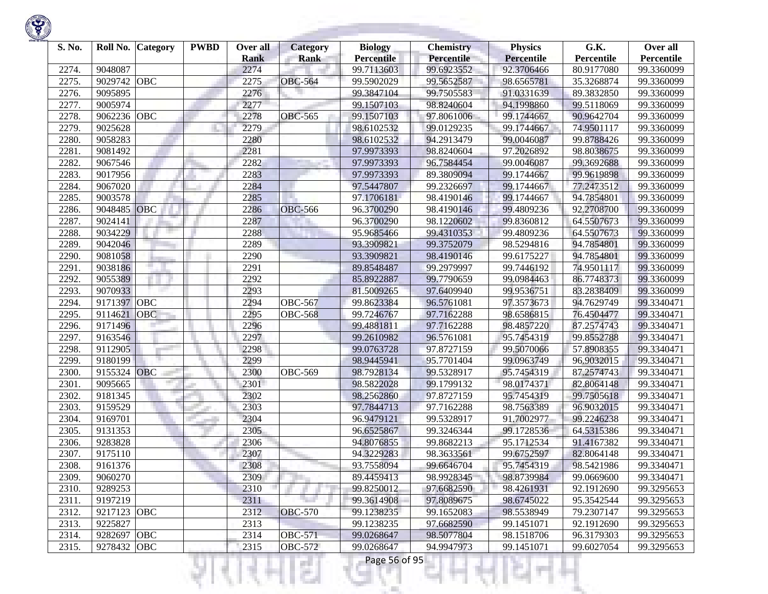| S. No. | Roll No. Category |            | <b>PWBD</b> | Over all<br><b>Rank</b> | <b>Category</b><br><b>Rank</b> | <b>Biology</b><br><b>Percentile</b> | <b>Chemistry</b><br><b>Percentile</b> | <b>Physics</b><br><b>Percentile</b> | G.K.<br>Percentile | Over all<br>Percentile |
|--------|-------------------|------------|-------------|-------------------------|--------------------------------|-------------------------------------|---------------------------------------|-------------------------------------|--------------------|------------------------|
| 2274.  | 9048087           |            |             | 2274                    |                                | 99.7113603                          | 99.6923552                            | 92.3706466                          | 80.9177080         | 99.3360099             |
| 2275.  | 9029742           | OBC        |             | 2275                    | <b>OBC-564</b>                 | 99.5902029                          | 99.5652587                            | 98.6565781                          | 35.3268874         | 99.3360099             |
| 2276.  | 9095895           |            |             | 2276                    |                                | 99.3847104                          | 99.7505583                            | 91.0331639                          | 89.3832850         | 99.3360099             |
| 2277.  | 9005974           |            |             | 2277                    |                                | 99.1507103                          | 98.8240604                            | 94.1998860                          | 99.5118069         | 99.3360099             |
| 2278.  | 9062236           | OBC        |             | 2278                    | <b>OBC-565</b>                 | 99.1507103                          | 97.8061006                            | 99.1744667                          | 90.9642704         | 99.3360099             |
| 2279.  | 9025628           |            |             | 2279                    |                                | 98.6102532                          | 99.0129235                            | 99.1744667                          | 74.9501117         | 99.3360099             |
| 2280.  | 9058283           |            |             | 2280                    |                                | 98.6102532                          | 94.2913479                            | 99.0046087                          | 99.8788426         | 99.3360099             |
| 2281   | 9081492           |            |             | 2281                    |                                | 97.9973393                          | 98.8240604                            | 97.2026892                          | 98.8038675         | 99.3360099             |
| 2282   | 9067546           |            |             | 2282                    |                                | 97.9973393                          | 96.7584454                            | 99.0046087                          | 99.3692688         | 99.3360099             |
| 2283.  | 9017956           |            |             | 2283                    |                                | 97.9973393                          | 89.3809094                            | 99.1744667                          | 99.9619898         | 99.3360099             |
| 2284   | 9067020           |            |             | 2284                    |                                | 97.5447807                          | 99.2326697                            | 99.1744667                          | 77.2473512         | 99.3360099             |
| 2285.  | 9003578           |            |             | 2285                    |                                | 97.1706181                          | 98.4190146                            | 99.1744667                          | 94.7854801         | 99.3360099             |
| 2286.  | 9048485           | OBC        |             | 2286                    | <b>OBC-566</b>                 | 96.3700290                          | 98.4190146                            | 99.4809236                          | 92.2708700         | 99.3360099             |
| 2287.  | 9024141           |            |             | 2287                    |                                | 96.3700290                          | 98.1220602                            | 99.8360812                          | 64.5507673         | 99.3360099             |
| 2288.  | 9034229           |            |             | 2288                    |                                | 95.9685466                          | 99.4310353                            | 99.4809236                          | 64.5507673         | 99.3360099             |
| 2289   | 9042046           |            |             | 2289                    |                                | 93.3909821                          | 99.3752079                            | 98.5294816                          | 94.7854801         | 99.3360099             |
| 2290.  | 9081058           |            |             | 2290                    |                                | 93.3909821                          | 98.4190146                            | 99.6175227                          | 94.7854801         | 99.3360099             |
| 2291.  | 9038186           |            |             | 2291                    |                                | 89.8548487                          | 99.2979997                            | 99.7446192                          | 74.9501117         | 99.3360099             |
| 2292.  | 9055389           |            |             | 2292                    |                                | 85.8922887                          | 99.7790659                            | 99.0984463                          | 86.7748373         | 99.3360099             |
| 2293.  | 9070933           |            |             | 2293                    |                                | 81.5009265                          | 97.6409940                            | 99.9536751                          | 83.2838409         | 99.3360099             |
| 2294.  | 9171397           | <b>OBC</b> |             | 2294                    | <b>OBC-567</b>                 | 99.8623384                          | 96.5761081                            | 97.3573673                          | 94.7629749         | 99.3340471             |
| 2295.  | 9114621           | <b>OBC</b> |             | 2295                    | <b>OBC-568</b>                 | 99.7246767                          | 97.7162288                            | 98.6586815                          | 76.4504477         | 99.3340471             |
| 2296.  | 9171496           |            |             | 2296                    |                                | 99.4881811                          | 97.7162288                            | 98.4857220                          | 87.2574743         | 99.3340471             |
| 2297.  | 9163546           |            |             | 2297                    |                                | 99.2610982                          | 96.5761081                            | 95.7454319                          | 99.8552788         | 99.3340471             |
| 2298.  | 9112905           |            |             | 2298                    |                                | 99.0763728                          | 97.8727159                            | 99.5070066                          | 57.8908355         | 99.3340471             |
| 2299.  | 9180199           |            |             | 2299                    |                                | 98.9445941                          | 95.7701404                            | 99.0963749                          | 96.9032015         | 99.3340471             |
| 2300.  | 9155324           | <b>OBC</b> |             | 2300                    | <b>OBC-569</b>                 | 98.7928134                          | 99.5328917                            | 95.7454319                          | 87.2574743         | 99.3340471             |
| 2301.  | 9095665           |            |             | 2301                    |                                | 98.5822028                          | 99.1799132                            | 98.0174371                          | 82.8064148         | 99.3340471             |
| 2302.  | 9181345           |            |             | 2302                    |                                | 98.2562860                          | 97.8727159                            | 95.7454319                          | 99.7505618         | 99.3340471             |
| 2303.  | 9159529           |            |             | 2303                    |                                | 97.7844713                          | 97.7162288                            | 98.7563389                          | 96.9032015         | 99.3340471             |
| 2304.  | 9169701           |            |             | 2304                    |                                | 96.9479121                          | 99.5328917                            | 91.7002977                          | 99.2246238         | 99.3340471             |
| 2305.  | 9131353           |            |             | 2305                    |                                | 96.6525867                          | 99.3246344                            | 99.1728536                          | 64.5315386         | 99.3340471             |
| 2306.  | 9283828           |            |             | 2306                    |                                | 94.8076855                          | 99.8682213                            | 95.1712534                          | 91.4167382         | 99.3340471             |
| 2307.  | 9175110           |            |             | 2307                    |                                | 94.3229283                          | 98.3633561                            | 99.6752597                          | 82.8064148         | 99.3340471             |
| 2308.  | 9161376           |            |             | 2308                    |                                | 93.7558094                          | 99.6646704                            | 95.7454319                          | 98.5421986         | 99.3340471             |
| 2309.  | 9060270           |            |             | 2309                    |                                | 89.4459413                          | 98.9928345                            | 98.8739984                          | 99.0669600         | 99.3340471             |
| 2310.  | 9289253           |            |             | 2310                    |                                | 99.8250012                          | 97.6682590                            | 98.4261931                          | 92.1912690         | 99.3295653             |
| 2311.  | 9197219           |            |             | 2311                    |                                | 99.3614908                          | 97.8089675                            | 98.6745022                          | 95.3542544         | 99.3295653             |
| 2312.  | 9217123 OBC       |            |             | 2312                    | <b>OBC-570</b>                 | 99.1238235                          | 99.1652083                            | 98.5538949                          | 79.2307147         | 99.3295653             |
| 2313.  | 9225827           |            |             | 2313                    |                                | 99.1238235                          | 97.6682590                            | 99.1451071                          | 92.1912690         | 99.3295653             |
| 2314.  | 9282697           | OBC        |             | 2314                    | <b>OBC-571</b>                 | 99.0268647                          | 98.5077804                            | 98.1518706                          | 96.3179303         | 99.3295653             |
| 2315.  | 9278432           | OBC        |             | 2315                    | <b>OBC-572</b>                 | 99.0268647                          | 94.9947973                            | 99.1451071                          | 99.6027054         | 99.3295653             |

a.

m

ш

÷

R.

w

t ×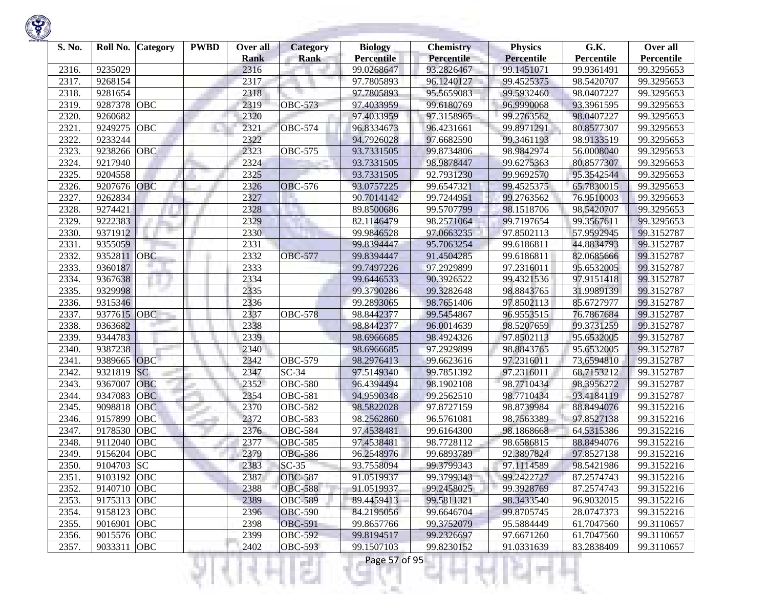| S. No. | Roll No.    | <b>Category</b> | <b>PWBD</b> | Over all<br><b>Rank</b> | <b>Category</b><br>Rank | <b>Biology</b><br><b>Percentile</b> | <b>Chemistry</b><br><b>Percentile</b> | <b>Physics</b><br>Percentile | G.K.<br>Percentile | Over all<br>Percentile |
|--------|-------------|-----------------|-------------|-------------------------|-------------------------|-------------------------------------|---------------------------------------|------------------------------|--------------------|------------------------|
| 2316.  | 9235029     |                 |             | 2316                    |                         | 99.0268647                          | 93.2826467                            | 99.1451071                   | 99.9361491         | 99.3295653             |
| 2317.  | 9268154     |                 |             | 2317                    |                         | 97.7805893                          | 96.1240127                            | 99.4525375                   | 98.5420707         | 99.3295653             |
| 2318.  | 9281654     |                 |             | 2318                    |                         | 97.7805893                          | 95.5659083                            | 99.5932460                   | 98.0407227         | 99.3295653             |
| 2319.  | 9287378     | <b>OBC</b>      |             | 2319                    | <b>OBC-573</b>          | 97.4033959                          | 99.6180769                            | 96.9990068                   | 93.3961595         | 99.3295653             |
| 2320.  | 9260682     |                 |             | 2320                    |                         | 97.4033959                          | 97.3158965                            | 99.2763562                   | 98.0407227         | 99.3295653             |
| 2321   | 9249275     | OBC             |             | 2321                    | <b>OBC-574</b>          | 96.8334673                          | 96.4231661                            | 99.8971291                   | 80.8577307         | 99.3295653             |
| 2322.  | 9233244     |                 |             | 2322                    |                         | 94.7926028                          | 97.6682590                            | 99.3461193                   | 98.9133519         | 99.3295653             |
| 2323   | 9238266     | OBC             |             | 2323                    | <b>OBC-575</b>          | 93.7331505                          | 99.8734806                            | 98.9842974                   | 56.0008040         | 99.3295653             |
| 2324.  | 9217940     |                 |             | 2324                    |                         | 93.7331505                          | 98.9878447                            | 99.6275363                   | 80.8577307         | 99.3295653             |
| 2325   | 9204558     |                 |             | 2325                    |                         | 93.7331505                          | 92.7931230                            | 99.9692570                   | 95.3542544         | 99.3295653             |
| 2326.  | 9207676 OBC |                 |             | 2326                    | <b>OBC-576</b>          | 93.0757225                          | 99.6547321                            | 99.4525375                   | 65.7830015         | 99.3295653             |
| 2327.  | 9262834     |                 |             | 2327                    |                         | 90.7014142                          | 99.7244951                            | 99.2763562                   | 76.9510003         | 99.3295653             |
| 2328   | 9274421     |                 |             | 2328                    |                         | 89.8500686                          | 99.5707799                            | 98.1518706                   | 98.5420707         | 99.3295653             |
| 2329.  | 9222383     |                 |             | 2329                    |                         | 82.1146479                          | 98.2571064                            | 99.7197654                   | 99.3567611         | 99.3295653             |
| 2330   | 9371912     |                 |             | 2330                    |                         | 99.9846528                          | 97.0663235                            | 97.8502113                   | 57.9592945         | 99.3152787             |
| 2331   | 9355059     |                 |             | 2331                    |                         | 99.8394447                          | 95.7063254                            | 99.6186811                   | 44.8834793         | 99.3152787             |
| 2332   | 9352811     | <b>OBC</b>      |             | 2332                    | <b>OBC-577</b>          | 99.8394447                          | 91.4504285                            | 99.6186811                   | 82.0685666         | 99.3152787             |
| 2333.  | 9360187     |                 |             | 2333                    |                         | 99.7497226                          | 97.2929899                            | 97.2316011                   | 95.6532005         | 99.3152787             |
| 2334.  | 9367638     |                 |             | 2334                    |                         | 99.6446533                          | 90.3926522                            | 99.4321536                   | 97.9151418         | 99.3152787             |
| 2335.  | 9329998     |                 |             | 2335                    |                         | 99.3790286                          | 99.3282648                            | 98.8843765                   | 31.9989139         | 99.3152787             |
| 2336.  | 9315346     |                 |             | 2336                    |                         | 99.2893065                          | 98.7651406                            | 97.8502113                   | 85.6727977         | 99.3152787             |
| 2337.  | 9377615     | OBC             |             | 2337                    | <b>OBC-578</b>          | 98.8442377                          | 99.5454867                            | 96.9553515                   | 76.7867684         | 99.3152787             |
| 2338.  | 9363682     |                 |             | 2338                    |                         | 98.8442377                          | 96.0014639                            | 98.5207659                   | 99.3731259         | 99.3152787             |
| 2339   | 9344783     |                 |             | 2339                    |                         | 98.6966685                          | 98.4924326                            | 97.8502113                   | 95.6532005         | 99.3152787             |
| 2340.  | 9387238     |                 |             | 2340                    |                         | 98.6966685                          | 97.2929899                            | 98.8843765                   | 95.6532005         | 99.3152787             |
| 2341   | 9389665 OBC |                 |             | 2342                    | <b>OBC-579</b>          | 98.2976413                          | 99.6623616                            | 97.2316011                   | 73.6594810         | 99.3152787             |
| 2342   | 9321819     | <b>SC</b>       |             | 2347                    | $SC-34$                 | 97.5149340                          | 99.7851392                            | 97.2316011                   | 68.7153212         | 99.3152787             |
| 2343.  | 9367007     | OBC             |             | 2352                    | <b>OBC-580</b>          | 96.4394494                          | 98.1902108                            | 98.7710434                   | 98.3956272         | 99.3152787             |
| 2344.  | 9347083     | <b>OBC</b>      |             | 2354                    | $\overline{O}$ BC-581   | 94.9590348                          | 99.2562510                            | 98.7710434                   | 93.4184119         | 99.3152787             |
| 2345.  | 9098818     | <b>OBC</b>      |             | 2370                    | <b>OBC-582</b>          | 98.5822028                          | 97.8727159                            | 98.8739984                   | 88.8494076         | 99.3152216             |
| 2346.  | 9157899     | OBC             |             | 2372                    | <b>OBC-583</b>          | 98.2562860                          | 96.5761081                            | 98.7563389                   | 97.8527138         | 99.3152216             |
| 2347.  | 9178530     | OBC             |             | 2376                    | <b>OBC-584</b>          | 97.4538481                          | 99.6164300                            | 98.1868668                   | 64.5315386         | 99.3152216             |
| 2348   | 9112040     | OBC             |             | 2377                    | <b>OBC-585</b>          | 97.4538481                          | 98.7728112                            | 98.6586815                   | 88.8494076         | 99.3152216             |
| 2349.  | 9156204     | <b>OBC</b>      |             | 2379                    | <b>OBC-586</b>          | 96.2548976                          | 99.6893789                            | 92.3897824                   | 97.8527138         | 99.3152216             |
| 2350   | 9104703 SC  |                 |             | 2383                    | $SC-35$                 | 93.7558094                          | 99.3799343                            | 97.1114589                   | 98.5421986         | 99.3152216             |
| 2351.  | 9103192 OBC |                 |             | 2387                    | <b>OBC-587</b>          | 91.0519937                          | 99.3799343                            | 99.2422727                   | 87.2574743         | 99.3152216             |
| 2352.  | 9140710 OBC |                 |             | 2388                    | <b>OBC-588</b>          | 91.0519937                          | 99.2458025                            | 99.3928769                   | 87.2574743         | 99.3152216             |
| 2353.  | 9175313 OBC |                 |             | 2389                    | <b>OBC-589</b>          | 89.4459413                          | 99.5811321                            | 98.3433540                   | 96.9032015         | 99.3152216             |
| 2354.  | 9158123 OBC |                 |             | 2396                    | <b>OBC-590</b>          | 84.2195056                          | 99.6646704                            | 99.8705745                   | 28.0747373         | 99.3152216             |
| 2355.  | 9016901 OBC |                 |             | 2398                    | <b>OBC-591</b>          | 99.8657766                          | 99.3752079                            | 95.5884449                   | 61.7047560         | 99.3110657             |
| 2356.  | 9015576 OBC |                 |             | 2399                    | <b>OBC-592</b>          | 99.8194517                          | 99.2326697                            | 97.6671260                   | 61.7047560         | 99.3110657             |
| 2357.  | 9033311 OBC |                 |             | 2402                    | <b>OBC-593</b>          | 99.1507103                          | 99.8230152                            | 91.0331639                   | 83.2838409         | 99.3110657             |
|        |             |                 |             |                         | e i<br>×                | Page 57 of 95                       |                                       |                              |                    |                        |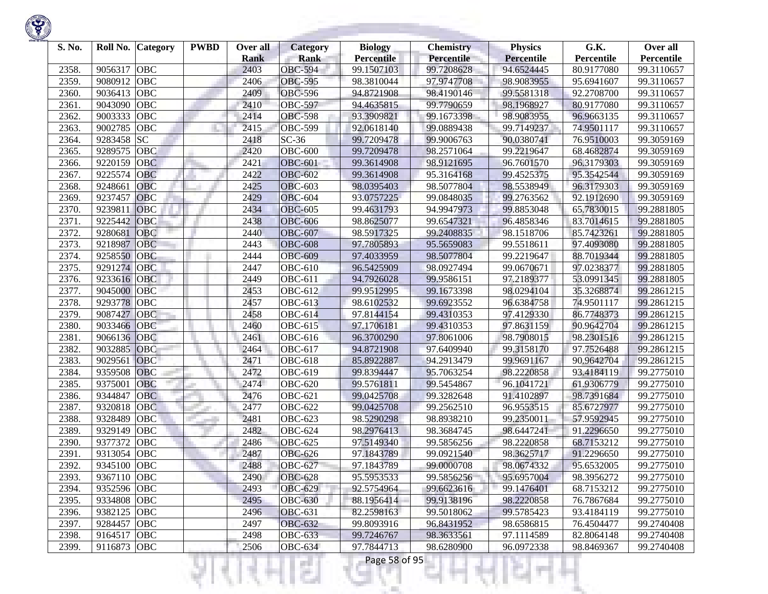| S. No. | Roll No.    | <b>Category</b> | <b>PWBD</b> | Over all<br><b>Rank</b> | <b>Category</b><br><b>Rank</b> | <b>Biology</b><br><b>Percentile</b> | <b>Chemistry</b><br>Percentile | <b>Physics</b><br><b>Percentile</b> | G.K.<br>Percentile | Over all<br>Percentile |
|--------|-------------|-----------------|-------------|-------------------------|--------------------------------|-------------------------------------|--------------------------------|-------------------------------------|--------------------|------------------------|
| 2358.  | 9056317     | <b>OBC</b>      |             | 2403                    | <b>OBC-594</b>                 | 99.1507103                          | 99.7208628                     | 94.6524445                          | 80.9177080         | 99.3110657             |
| 2359.  | 9080912     | <b>OBC</b>      |             | 2406                    | <b>OBC-595</b>                 | 98.3810044                          | 97.9747708                     | 98.9083955                          | 95.6941607         | 99.3110657             |
| 2360.  | 9036413     | <b>OBC</b>      |             | 2409                    | <b>OBC-596</b>                 | 94.8721908                          | 98.4190146                     | 99.5581318                          | 92.2708700         | 99.3110657             |
| 2361.  | 9043090     | <b>OBC</b>      |             | 2410                    | <b>OBC-597</b>                 | 94.4635815                          | 99.7790659                     | 98.1968927                          | 80.9177080         | 99.3110657             |
| 2362.  | 9003333     | <b>OBC</b>      |             | 2414                    | <b>OBC-598</b>                 | 93.3909821                          | 99.1673398                     | 98.9083955                          | 96.9663135         | 99.3110657             |
| 2363.  | 9002785     | OBC             |             | 2415                    | <b>OBC-599</b>                 | 92.0618140                          | 99.0889438                     | 99.7149237                          | 74.9501117         | 99.3110657             |
| 2364.  | 9283458     | <b>SC</b>       |             | 2418                    | $SC-36$                        | 99.7209478                          | 99.9006763                     | 90.0380741                          | 76.9510003         | 99.3059169             |
| 2365.  | 9289575     | OBC             |             | 2420                    | <b>OBC-600</b>                 | 99.7209478                          | 98.2571064                     | 99.2219647                          | 68.4682874         | 99.3059169             |
| 2366.  | 9220159     | <b>OBC</b>      |             | 2421                    | <b>OBC-601</b>                 | 99.3614908                          | 98.9121695                     | 96.7601570                          | 96.3179303         | 99.3059169             |
| 2367.  | 9225574     | <b>OBC</b>      |             | 2422                    | <b>OBC-602</b>                 | 99.3614908                          | 95.3164168                     | 99.4525375                          | 95.3542544         | 99.3059169             |
| 2368.  | 9248661     | <b>OBC</b>      |             | 2425                    | <b>OBC-603</b>                 | 98.0395403                          | 98.5077804                     | 98.5538949                          | 96.3179303         | 99.3059169             |
| 2369.  | 9237457     | <b>OBC</b>      |             | 2429                    | <b>OBC-604</b>                 | 93.0757225                          | 99.0848035                     | 99.2763562                          | 92.1912690         | 99.3059169             |
| 2370.  | 9239811     | OBC             |             | 2434                    | <b>OBC-605</b>                 | 99.4631793                          | 94.9947973                     | 99.8853048                          | 65.7830015         | 99.2881805             |
| 2371.  | 9225442     | OBC             |             | 2438                    | <b>OBC-606</b>                 | 98.8625077                          | 99.6547321                     | 96.4858346                          | 83.7014615         | 99.2881805             |
| 2372.  | 9280681     | OBC             |             | 2440                    | <b>OBC-607</b>                 | 98.5917325                          | 99.2408835                     | 98.1518706                          | 85.7423261         | 99.2881805             |
| 2373.  | 9218987     | <b>OBC</b>      |             | 2443                    | <b>OBC-608</b>                 | 97.7805893                          | 95.5659083                     | 99.5518611                          | 97.4093080         | 99.2881805             |
| 2374.  | 9258550     | <b>OBC</b>      |             | 2444                    | <b>OBC-609</b>                 | 97.4033959                          | 98.5077804                     | 99.2219647                          | 88.7019344         | 99.2881805             |
| 2375.  | 9291274     | <b>OBC</b>      |             | 2447                    | <b>OBC-610</b>                 | 96.5425909                          | 98.0927494                     | 99.0670671                          | 97.0238377         | 99.2881805             |
| 2376.  | 9233616     | OBC             |             | 2449                    | <b>OBC-611</b>                 | 94.7926028                          | 99.9586151                     | 97.2189377                          | 53.0991345         | 99.2881805             |
| 2377.  | 9045000     | <b>OBC</b>      |             | 2453                    | <b>OBC-612</b>                 | 99.9512995                          | 99.1673398                     | 98.0294104                          | 35.3268874         | 99.2861215             |
| 2378.  | 9293778     | <b>OBC</b>      |             | 2457                    | OBC-613                        | 98.6102532                          | 99.6923552                     | 96.6384758                          | 74.9501117         | 99.2861215             |
| 2379.  | 9087427     | <b>OBC</b>      |             | 2458                    | OBC-614                        | 97.8144154                          | 99.4310353                     | 97.4129330                          | 86.7748373         | 99.2861215             |
| 2380.  | 9033466     | OBC             |             | 2460                    | OBC-615                        | 97.1706181                          | 99.4310353                     | 97.8631159                          | 90.9642704         | 99.2861215             |
| 2381.  | 9066136     | OBC             |             | 2461                    | OBC-616                        | 96.3700290                          | 97.8061006                     | 98.7908015                          | 98.2301516         | 99.2861215             |
| 2382.  | 9032885     | OBC             |             | 2464                    | OBC-617                        | 94.8721908                          | 97.6409940                     | 99.3158170                          | 97.7526488         | 99.2861215             |
| 2383.  | 9029561     | <b>OBC</b>      |             | 2471                    | <b>OBC-618</b>                 | 85.8922887                          | 94.2913479                     | 99.9691167                          | 90.9642704         | 99.2861215             |
| 2384.  | 9359508     | <b>OBC</b>      |             | 2472                    | OBC-619                        | 99.8394447                          | 95.7063254                     | 98.2220858                          | 93.4184119         | 99.2775010             |
| 2385.  | 9375001     | <b>OBC</b>      |             | 2474                    | <b>OBC-620</b>                 | 99.5761811                          | 99.5454867                     | 96.1041721                          | 61.9306779         | 99.2775010             |
| 2386.  | 9344847     | <b>OBC</b>      |             | 2476                    | <b>OBC-621</b>                 | 99.0425708                          | 99.3282648                     | 91.4102897                          | 98.7391684         | 99.2775010             |
| 2387.  | 9320818     | <b>OBC</b>      |             | 2477                    | <b>OBC-622</b>                 | 99.0425708                          | 99.2562510                     | 96.9553515                          | 85.6727977         | 99.2775010             |
| 2388.  | 9328489     | OBC             |             | 2481                    | OBC-623                        | 98.5290298                          | 98.8938210                     | 99.2350011                          | 57.9592945         | 99.2775010             |
| 2389.  | 9329149     | <b>OBC</b>      |             | 2482                    | <b>OBC-624</b>                 | 98.2976413                          | 98.3684745                     | 98.6447241                          | 91.2296650         | 99.2775010             |
| 2390.  | 9377372     | <b>OBC</b>      |             | 2486                    | <b>OBC-625</b>                 | 97.5149340                          | 99.5856256                     | 98.2220858                          | 68.7153212         | 99.2775010             |
| 2391.  | 9313054     | <b>OBC</b>      |             | 2487                    | <b>OBC-626</b>                 | 97.1843789                          | 99.0921540                     | 98.3625717                          | 91.2296650         | 99.2775010             |
| 2392.  | 9345100     | <b>OBC</b>      |             | 2488                    | <b>OBC-627</b>                 | 97.1843789                          | 99.0000708                     | 98.0674332                          | 95.6532005         | 99.2775010             |
| 2393.  | 9367110 OBC |                 |             | 2490                    | <b>OBC-628</b>                 | 95.5953533                          | 99.5856256                     | 95.6957004                          | 98.3956272         | 99.2775010             |
| 2394.  | 9352596 OBC |                 |             | 2493                    | <b>OBC-629</b>                 | 92.5754964                          | 99.6623616                     | 99.1476401                          | 68.7153212         | 99.2775010             |
| 2395.  | 9334808 OBC |                 |             | 2495                    | <b>OBC-630</b>                 | 88.1956414                          | 99.9138196                     | 98.2220858                          | 76.7867684         | 99.2775010             |
| 2396.  | 9382125 OBC |                 |             | 2496                    | <b>OBC-631</b>                 | 82.2598163                          | 99.5018062                     | 99.5785423                          | 93.4184119         | 99.2775010             |
| 2397.  | 9284457 OBC |                 |             | 2497                    | <b>OBC-632</b>                 | 99.8093916                          | 96.8431952                     | 98.6586815                          | 76.4504477         | 99.2740408             |
| 2398.  | 9164517     | OBC             |             | 2498                    | <b>OBC-633</b>                 | 99.7246767                          | 98.3633561                     | 97.1114589                          | 82.8064148         | 99.2740408             |
| 2399.  | 9116873 OBC |                 |             | 2506                    | <b>OBC-634</b>                 | 97.7844713                          | 98.6280900                     | 96.0972338                          | 98.8469367         | 99.2740408             |
|        |             |                 |             |                         | a a                            | Page 58 of 95                       |                                |                                     |                    |                        |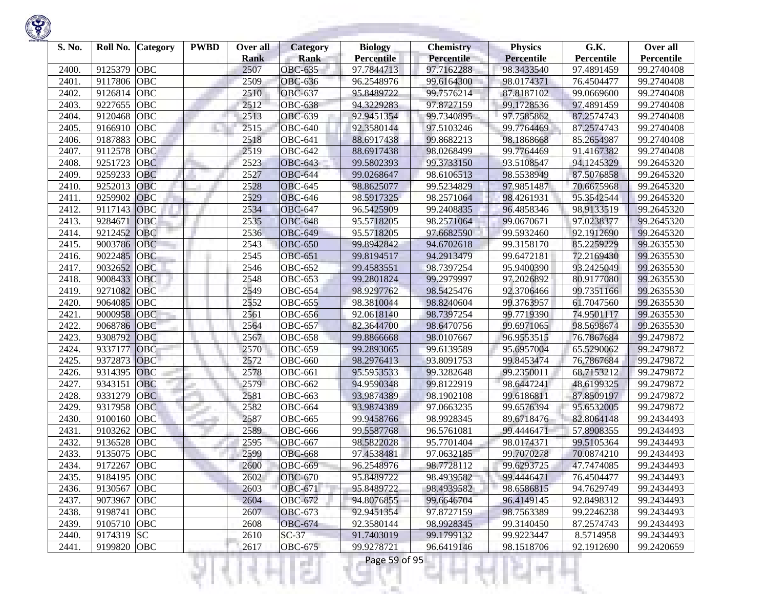| S. No. | Roll No.    | <b>Category</b> | <b>PWBD</b> | Over all<br><b>Rank</b> | <b>Category</b><br><b>Rank</b> | <b>Biology</b><br><b>Percentile</b> | <b>Chemistry</b><br>Percentile | <b>Physics</b><br><b>Percentile</b> | G.K.<br>Percentile | Over all<br>Percentile |
|--------|-------------|-----------------|-------------|-------------------------|--------------------------------|-------------------------------------|--------------------------------|-------------------------------------|--------------------|------------------------|
| 2400.  | 9125379     | <b>OBC</b>      |             | 2507                    | <b>OBC-635</b>                 | 97.7844713                          | 97.7162288                     | 98.3433540                          | 97.4891459         | 99.2740408             |
| 2401.  | 9117806     | <b>OBC</b>      |             | 2509                    | <b>OBC-636</b>                 | 96.2548976                          | 99.6164300                     | 98.0174371                          | 76.4504477         | 99.2740408             |
| 2402.  | 9126814     | <b>OBC</b>      |             | 2510                    | <b>OBC-637</b>                 | 95.8489722                          | 99.7576214                     | 87.8187102                          | 99.0669600         | 99.2740408             |
| 2403.  | 9227655     | <b>OBC</b>      |             | 2512                    | <b>OBC-638</b>                 | 94.3229283                          | 97.8727159                     | 99.1728536                          | 97.4891459         | 99.2740408             |
| 2404.  | 9120468     | <b>OBC</b>      |             | 2513                    | <b>OBC-639</b>                 | 92.9451354                          | 99.7340895                     | 97.7585862                          | 87.2574743         | 99.2740408             |
| 2405.  | 9166910     | <b>OBC</b>      |             | 2515                    | <b>OBC-640</b>                 | 92.3580144                          | 97.5103246                     | 99.7764469                          | 87.2574743         | 99.2740408             |
| 2406.  | 9187883     | OBC             |             | 2518                    | <b>OBC-641</b>                 | 88.6917438                          | 99.8682213                     | 98.1868668                          | 85.2654987         | 99.2740408             |
| 2407.  | 9112578     | <b>OBC</b>      |             | 2519                    | <b>OBC-642</b>                 | 88.6917438                          | 98.0268499                     | 99.7764469                          | 91.4167382         | 99.2740408             |
| 2408.  | 9251723     | <b>OBC</b>      |             | 2523                    | <b>OBC-643</b>                 | 99.5802393                          | 99.3733150                     | 93.5108547                          | 94.1245329         | 99.2645320             |
| 2409.  | 9259233     | <b>OBC</b>      |             | 2527                    | <b>OBC-644</b>                 | 99.0268647                          | 98.6106513                     | 98.5538949                          | 87.5076858         | 99.2645320             |
| 2410.  | 9252013     | <b>OBC</b>      |             | 2528                    | <b>OBC-645</b>                 | 98.8625077                          | 99.5234829                     | 97.9851487                          | 70.6675968         | 99.2645320             |
| 2411.  | 9259902     | <b>OBC</b>      |             | 2529                    | <b>OBC-646</b>                 | 98.5917325                          | 98.2571064                     | 98.4261931                          | 95.3542544         | 99.2645320             |
| 2412.  | 9117143     | <b>OBC</b>      |             | 2534                    | <b>OBC-647</b>                 | 96.5425909                          | 99.2408835                     | 96.4858346                          | 98.9133519         | 99.2645320             |
| 2413.  | 9284671     | OBC             |             | 2535                    | <b>OBC-648</b>                 | 95.5718205                          | 98.2571064                     | 99.0670671                          | 97.0238377         | 99.2645320             |
| 2414.  | 9212452     | <b>OBC</b>      |             | 2536                    | <b>OBC-649</b>                 | 95.5718205                          | 97.6682590                     | 99.5932460                          | 92.1912690         | 99.2645320             |
| 2415.  | 9003786     | <b>OBC</b>      |             | 2543                    | <b>OBC-650</b>                 | 99.8942842                          | 94.6702618                     | 99.3158170                          | 85.2259229         | 99.2635530             |
| 2416.  | 9022485     | OBC             |             | 2545                    | <b>OBC-651</b>                 | 99.8194517                          | 94.2913479                     | 99.6472181                          | 72.2169430         | 99.2635530             |
| 2417.  | 9032652     | <b>OBC</b>      |             | 2546                    | <b>OBC-652</b>                 | 99.4583551                          | 98.7397254                     | 95.9400390                          | 93.2425049         | 99.2635530             |
| 2418.  | 9008433     | <b>OBC</b>      |             | 2548                    | <b>OBC-653</b>                 | 99.2801824                          | 99.2979997                     | 97.2026892                          | 80.9177080         | 99.2635530             |
| 2419.  | 9271082     | <b>OBC</b>      |             | 2549                    | <b>OBC-654</b>                 | 98.9297762                          | 98.5425476                     | 92.3706466                          | 99.7351166         | 99.2635530             |
| 2420.  | 9064085     | OBC             |             | 2552                    | <b>OBC-655</b>                 | 98.3810044                          | 98.8240604                     | 99.3763957                          | 61.7047560         | 99.2635530             |
| 2421   | 9000958     | <b>OBC</b>      |             | 2561                    | <b>OBC-656</b>                 | 92.0618140                          | 98.7397254                     | 99.7719390                          | 74.9501117         | 99.2635530             |
| 2422.  | 9068786     | <b>OBC</b>      |             | 2564                    | <b>OBC-657</b>                 | 82.3644700                          | 98.6470756                     | 99.6971065                          | 98.5698674         | 99.2635530             |
| 2423.  | 9308792     | OBC             |             | 2567                    | <b>OBC-658</b>                 | 99.8866668                          | 98.0107667                     | 96.9553515                          | 76.7867684         | 99.2479872             |
| 2424.  | 9337177     | OBC             |             | 2570                    | <b>OBC-659</b>                 | 99.2893065                          | 99.6139589                     | 95.6957004                          | 65.5290062         | 99.2479872             |
| 2425.  | 9372873     | OBC             |             | 2572                    | <b>OBC-660</b>                 | 98.2976413                          | 93.8091753                     | 99.8453474                          | 76.7867684         | 99.2479872             |
| 2426.  | 9314395     | <b>OBC</b>      |             | 2578                    | <b>OBC-661</b>                 | 95.5953533                          | 99.3282648                     | 99.2350011                          | 68.7153212         | 99.2479872             |
| 2427.  | 9343151     | <b>OBC</b>      |             | 2579                    | <b>OBC-662</b>                 | 94.9590348                          | 99.8122919                     | 98.6447241                          | 48.6199325         | 99.2479872             |
| 2428.  | 9331279     | <b>OBC</b>      |             | 2581                    | <b>OBC-663</b>                 | 93.9874389                          | 98.1902108                     | 99.6186811                          | 87.8509197         | 99.2479872             |
| 2429.  | 9317958     | <b>OBC</b>      |             | 2582                    | <b>OBC-664</b>                 | 93.9874389                          | 97.0663235                     | 99.6576394                          | 95.6532005         | 99.2479872             |
| 2430.  | 9100160     | OBC             |             | 2587                    | <b>OBC-665</b>                 | 99.9458766                          | 98.9928345                     | 89.6718476                          | 82.8064148         | 99.2434493             |
| 2431.  | 9103262     | <b>OBC</b>      |             | 2589                    | <b>OBC-666</b>                 | 99.5587768                          | 96.5761081                     | 99.4446471                          | 57.8908355         | 99.2434493             |
| 2432.  | 9136528     | <b>OBC</b>      |             | 2595                    | <b>OBC-667</b>                 | 98.5822028                          | 95.7701404                     | 98.0174371                          | 99.5105364         | 99.2434493             |
| 2433.  | 9135075     | <b>OBC</b>      |             | 2599                    | <b>OBC-668</b>                 | 97.4538481                          | 97.0632185                     | 99.7070278                          | 70.0874210         | 99.2434493             |
| 2434.  | 9172267     | <b>OBC</b>      |             | 2600                    | <b>OBC-669</b>                 | 96.2548976                          | 98.7728112                     | 99.6293725                          | 47.7474085         | 99.2434493             |
| 2435.  | 9184195 OBC |                 |             | 2602                    | <b>OBC-670</b>                 | 95.8489722                          | 98.4939582                     | 99.4446471                          | 76.4504477         | 99.2434493             |
| 2436.  | 9130567 OBC |                 |             | 2603                    | OBC-671                        | 95.8489722                          | 98.4939582                     | 98.6586815                          | 94.7629749         | 99.2434493             |
| 2437.  | 9073967 OBC |                 |             | 2604                    | <b>OBC-672</b>                 | 94.8076855                          | 99.6646704                     | 96.4149145                          | 92.8498312         | 99.2434493             |
| 2438.  | 9198741 OBC |                 |             | 2607                    | <b>OBC-673</b>                 | 92.9451354                          | 97.8727159                     | 98.7563389                          | 99.2246238         | 99.2434493             |
| 2439.  | 9105710 OBC |                 |             | 2608                    | <b>OBC-674</b>                 | 92.3580144                          | 98.9928345                     | 99.3140450                          | 87.2574743         | 99.2434493             |
| 2440.  | 9174319 SC  |                 |             | 2610                    | $SC-37$                        | 91.7403019                          | 99.1799132                     | 99.9223447                          | 8.5714958          | 99.2434493             |
| 2441.  | 9199820 OBC |                 |             | 2617                    | <b>OBC-675</b>                 | 99.9278721                          | 96.6419146                     | 98.1518706                          | 92.1912690         | 99.2420659             |
|        |             |                 |             |                         | a a                            | Page 59 of 95                       |                                |                                     |                    |                        |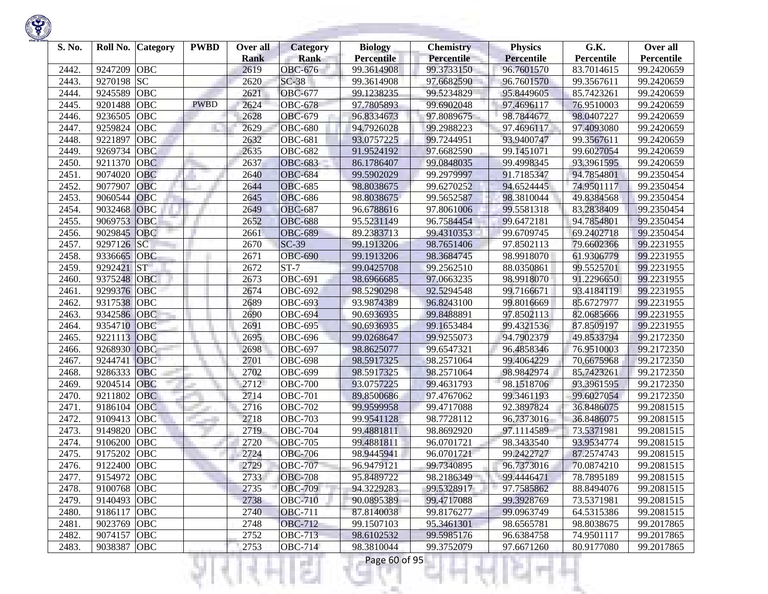| S. No. | Roll No.    | <b>Category</b> | <b>PWBD</b> | Over all<br><b>Rank</b> | <b>Category</b><br><b>Rank</b> | <b>Biology</b><br><b>Percentile</b> | <b>Chemistry</b><br>Percentile | <b>Physics</b><br>Percentile | G.K.<br>Percentile | Over all<br>Percentile |
|--------|-------------|-----------------|-------------|-------------------------|--------------------------------|-------------------------------------|--------------------------------|------------------------------|--------------------|------------------------|
| 2442.  | 9247209     | <b>OBC</b>      |             | 2619                    | <b>OBC-676</b>                 | 99.3614908                          | 99.3733150                     | 96.7601570                   | 83.7014615         | 99.2420659             |
| 2443.  | 9270198     | <b>SC</b>       |             | 2620                    | $SC-38$                        | 99.3614908                          | 97.6682590                     | 96.7601570                   | 99.3567611         | 99.2420659             |
| 2444.  | 9245589     | <b>OBC</b>      |             | 2621                    | <b>OBC-677</b>                 | 99.1238235                          | 99.5234829                     | 95.8449605                   | 85.7423261         | 99.2420659             |
| 2445.  | 9201488     | <b>OBC</b>      | <b>PWBD</b> | 2624                    | <b>OBC-678</b>                 | 97.7805893                          | 99.6902048                     | 97.4696117                   | 76.9510003         | 99.2420659             |
| 2446.  | 9236505     | <b>OBC</b>      |             | 2628                    | <b>OBC-679</b>                 | 96.8334673                          | 97.8089675                     | 98.7844677                   | 98.0407227         | 99.2420659             |
| 2447.  | 9259824     | OBC             |             | 2629                    | <b>OBC-680</b>                 | 94.7926028                          | 99.2988223                     | 97.4696117                   | 97.4093080         | 99.2420659             |
| 2448.  | 9221897     | OBC             |             | 2632                    | <b>OBC-681</b>                 | 93.0757225                          | 99.7244951                     | 93.9400747                   | 99.3567611         | 99.2420659             |
| 2449.  | 9269734     | OBC             |             | 2635                    | <b>OBC-682</b>                 | 91.9524192                          | 97.6682590                     | 99.1451071                   | 99.6027054         | 99.2420659             |
| 2450.  | 9211370     | <b>OBC</b>      |             | 2637                    | <b>OBC-683</b>                 | 86.1786407                          | 99.0848035                     | 99.4998345                   | 93.3961595         | 99.2420659             |
| 2451   | 9074020     | <b>OBC</b>      |             | 2640                    | <b>OBC-684</b>                 | 99.5902029                          | 99.2979997                     | 91.7185347                   | 94.7854801         | 99.2350454             |
| 2452.  | 9077907     | OBC             |             | 2644                    | <b>OBC-685</b>                 | 98.8038675                          | 99.6270252                     | 94.6524445                   | 74.9501117         | 99.2350454             |
| 2453.  | 9060544     | <b>OBC</b>      |             | 2645                    | <b>OBC-686</b>                 | 98.8038675                          | 99.5652587                     | 98.3810044                   | 49.8384568         | 99.2350454             |
| 2454.  | 9032468     | OBC             |             | 2649                    | <b>OBC-687</b>                 | 96.6788616                          | 97.8061006                     | 99.5581318                   | 83.2838409         | 99.2350454             |
| 2455.  | 9069753     | OBC             |             | 2652                    | <b>OBC-688</b>                 | 95.5231149                          | 96.7584454                     | 99.6472181                   | 94.7854801         | 99.2350454             |
| 2456.  | 9029845     | <b>OBC</b>      |             | 2661                    | <b>OBC-689</b>                 | 89.2383713                          | 99.4310353                     | 99.6709745                   | 69.2402718         | 99.2350454             |
| 2457.  | 9297126     | <b>SC</b>       |             | 2670                    | $SC-39$                        | 99.1913206                          | 98.7651406                     | 97.8502113                   | 79.6602366         | 99.2231955             |
| 2458.  | 9336665     | <b>OBC</b>      |             | 2671                    | <b>OBC-690</b>                 | 99.1913206                          | 98.3684745                     | 98.9918070                   | 61.9306779         | 99.2231955             |
| 2459.  | 9292421     | <b>ST</b>       |             | 2672                    | $ST-7$                         | 99.0425708                          | 99.2562510                     | 88.0350861                   | 99.5525701         | 99.2231955             |
| 2460.  | 9375248     | <b>OBC</b>      |             | 2673                    | <b>OBC-691</b>                 | 98.6966685                          | 97.0663235                     | 98.9918070                   | 91.2296650         | 99.2231955             |
| 2461.  | 9299376     | OBC             |             | 2674                    | <b>OBC-692</b>                 | 98.5290298                          | 92.5294548                     | 99.7166671                   | 93.4184119         | 99.2231955             |
| 2462.  | 9317538     | <b>OBC</b>      |             | 2689                    | <b>OBC-693</b>                 | 93.9874389                          | 96.8243100                     | 99.8016669                   | 85.6727977         | 99.2231955             |
| 2463.  | 9342586     | <b>OBC</b>      |             | 2690                    | <b>OBC-694</b>                 | 90.6936935                          | 99.8488891                     | 97.8502113                   | 82.0685666         | 99.2231955             |
| 2464.  | 9354710     | OBC             |             | 2691                    | <b>OBC-695</b>                 | 90.6936935                          | 99.1653484                     | 99.4321536                   | 87.8509197         | 99.2231955             |
| 2465.  | 9221113     | OBC             |             | 2695                    | <b>OBC-696</b>                 | 99.0268647                          | 99.9255073                     | 94.7902379                   | 49.8533794         | 99.2172350             |
| 2466.  | 9268930     | OBC             |             | 2698                    | <b>OBC-697</b>                 | 98.8625077                          | 99.6547321                     | 96.4858346                   | 76.9510003         | 99.2172350             |
| 2467.  | 9244741     | <b>OBC</b>      |             | 2701                    | <b>OBC-698</b>                 | 98.5917325                          | 98.2571064                     | 99.4064229                   | 70.6675968         | 99.2172350             |
| 2468.  | 9286333     | <b>OBC</b>      |             | 2702                    | <b>OBC-699</b>                 | 98.5917325                          | 98.2571064                     | 98.9842974                   | 85.7423261         | 99.2172350             |
| 2469.  | 9204514     | OBC             |             | 2712                    | <b>OBC-700</b>                 | 93.0757225                          | 99.4631793                     | 98.1518706                   | 93.3961595         | 99.2172350             |
| 2470.  | 9211802     | <b>OBC</b>      |             | 2714                    | <b>OBC-701</b>                 | 89.8500686                          | 97.4767062                     | 99.3461193                   | 99.6027054         | 99.2172350             |
| 2471.  | 9186104     | <b>OBC</b>      |             | 2716                    | <b>OBC-702</b>                 | 99.9599958                          | 99.4717088                     | 92.3897824                   | 36.8486075         | 99.2081515             |
| 2472.  | 9109413     | OBC             |             | 2718                    | <b>OBC-703</b>                 | 99.9541128                          | 98.7728112                     | 96.7373016                   | 36.8486075         | 99.2081515             |
| 2473.  | 9149820     | <b>OBC</b>      |             | 2719                    | <b>OBC-704</b>                 | 99.4881811                          | 98.8692920                     | 97.1114589                   | 73.5371981         | 99.2081515             |
| 2474.  | 9106200     | <b>OBC</b>      |             | 2720                    | <b>OBC-705</b>                 | 99.4881811                          | 96.0701721                     | 98.3433540                   | 93.9534774         | 99.2081515             |
| 2475.  | 9175202     | <b>OBC</b>      |             | 2724                    | <b>OBC-706</b>                 | 98.9445941                          | 96.0701721                     | 99.2422727                   | 87.2574743         | 99.2081515             |
| 2476.  | 9122400     | <b>OBC</b>      |             | 2729                    | <b>OBC-707</b>                 | 96.9479121                          | 99.7340895                     | 96.7373016                   | 70.0874210         | 99.2081515             |
| 2477.  | 9154972 OBC |                 |             | 2733                    | <b>OBC-708</b>                 | 95.8489722                          | 98.2186349                     | 99.4446471                   | 78.7895189         | 99.2081515             |
| 2478.  | 9100768 OBC |                 |             | 2735                    | <b>OBC-709</b>                 | 94.3229283                          | 99.5328917                     | 97.7585862                   | 88.8494076         | 99.2081515             |
| 2479.  | 9140493 OBC |                 |             | 2738                    | <b>OBC-710</b>                 | 90.0895389                          | 99.4717088                     | 99.3928769                   | 73.5371981         | 99.2081515             |
| 2480.  | 9186117 OBC |                 |             | 2740                    | <b>OBC-711</b>                 | 87.8140038                          | 99.8176277                     | 99.0963749                   | 64.5315386         | 99.2081515             |
| 2481.  | 9023769 OBC |                 |             | 2748                    | <b>OBC-712</b>                 | 99.1507103                          | 95.3461301                     | 98.6565781                   | 98.8038675         | 99.2017865             |
| 2482.  | 9074157     | <b>OBC</b>      |             | 2752                    | <b>OBC-713</b>                 | 98.6102532                          | 99.5985176                     | 96.6384758                   | 74.9501117         | 99.2017865             |
| 2483.  | 9038387     | <b>OBC</b>      |             | 2753                    | <b>OBC-714</b>                 | 98.3810044                          | 99.3752079                     | 97.6671260                   | 80.9177080         | 99.2017865             |
|        |             |                 |             |                         | a T                            | Page 60 of 95                       |                                |                              |                    |                        |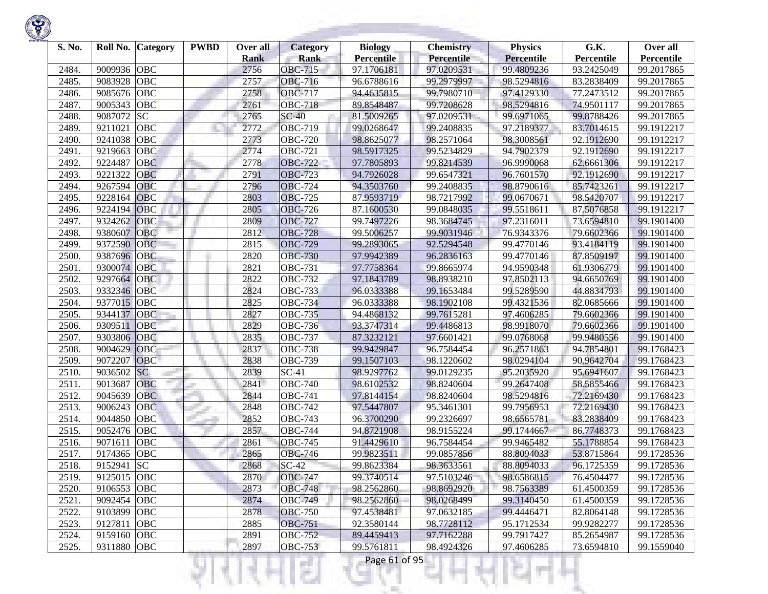| S. No.         | Roll No.                   | <b>Category</b> | <b>PWBD</b> | Over all<br><b>Rank</b> | <b>Category</b><br><b>Rank</b>   | <b>Biology</b><br><b>Percentile</b> | <b>Chemistry</b><br>Percentile | <b>Physics</b><br><b>Percentile</b> | G.K.<br>Percentile       | Over all<br>Percentile   |
|----------------|----------------------------|-----------------|-------------|-------------------------|----------------------------------|-------------------------------------|--------------------------------|-------------------------------------|--------------------------|--------------------------|
| 2484.          | 9009936                    | <b>OBC</b>      |             | 2756                    | <b>OBC-715</b>                   | 97.1706181                          | 97.0209531                     | 99.4809236                          | 93.2425049               | 99.2017865               |
| 2485.          | 9083928                    | <b>OBC</b>      |             | 2757                    | <b>OBC-716</b>                   | 96.6788616                          | 99.2979997                     | 98.5294816                          | 83.2838409               | 99.2017865               |
| 2486.          | 9085676                    | <b>OBC</b>      |             | 2758                    | <b>OBC-717</b>                   | 94.4635815                          | 99.7980710                     | 97.4129330                          | 77.2473512               | 99.2017865               |
| 2487.          | 9005343                    | <b>OBC</b>      |             | 2761                    | <b>OBC-718</b>                   | 89.8548487                          | 99.7208628                     | 98.5294816                          | 74.9501117               | 99.2017865               |
| 2488.          | 9087072                    | <b>SC</b>       |             | 2765                    | $SC-40$                          | 81.5009265                          | 97.0209531                     | 99.6971065                          | 99.8788426               | 99.2017865               |
| 2489.          | 9211021                    | <b>OBC</b>      |             | 2772                    | <b>OBC-719</b>                   | 99.0268647                          | 99.2408835                     | 97.2189377                          | 83.7014615               | 99.1912217               |
| 2490.          | 9241038                    | OBC             |             | 2773                    | <b>OBC-720</b>                   | 98.8625077                          | 98.2571064                     | 98.3008561                          | 92.1912690               | 99.1912217               |
| 2491.          | 9219663                    | <b>OBC</b>      |             | 2774                    | <b>OBC-721</b>                   | 98.5917325                          | 99.5234829                     | 94.7902379                          | 92.1912690               | 99.1912217               |
| 2492.          | 9224487                    | <b>OBC</b>      |             | 2778                    | <b>OBC-722</b>                   | 97.7805893                          | 99.8214539                     | 96.9990068                          | 62.6661306               | 99.1912217               |
| 2493.          | 9221322                    | <b>OBC</b>      |             | 2791                    | <b>OBC-723</b>                   | 94.7926028                          | 99.6547321                     | 96.7601570                          | 92.1912690               | 99.1912217               |
| 2494.          | 9267594                    | <b>OBC</b>      |             | 2796                    | <b>OBC-724</b>                   | 94.3503760                          | 99.2408835                     | 98.8790616                          | 85.7423261               | 99.1912217               |
| 2495.          | 9228164                    | <b>OBC</b>      |             | 2803                    | <b>OBC-725</b>                   | 87.9593719                          | 98.7217992                     | 99.0670671                          | 98.5420707               | 99.1912217               |
| 2496.          | 9224194                    | OBC             |             | 2805                    | <b>OBC-726</b>                   | 87.1600530                          | 99.0848035                     | 99.5518611                          | 87.5076858               | 99.1912217               |
| 2497.          | 9324262                    | OBC             |             | 2809                    | <b>OBC-727</b>                   | 99.7497226                          | 98.3684745                     | 97.2316011                          | 73.6594810               | 99.1901400               |
| 2498.          | 9380607                    | <b>OBC</b>      |             | 2812                    | <b>OBC-728</b>                   | 99.5006257                          | 99.9031946                     | 76.9343376                          | 79.6602366               | 99.1901400               |
| 2499.          | 9372590                    | <b>OBC</b>      |             | 2815                    | <b>OBC-729</b>                   | 99.2893065                          | 92.5294548                     | 99.4770146                          | 93.4184119               | 99.1901400               |
| 2500.          | 9387696                    | <b>OBC</b>      |             | 2820                    | <b>OBC-730</b>                   | 97.9942389                          | 96.2836163                     | 99.4770146                          | 87.8509197               | 99.1901400               |
| 2501.          | 9300074                    | <b>OBC</b>      |             | 2821                    | <b>OBC-731</b>                   | 97.7758364                          | 99.8665974                     | 94.9590348                          | 61.9306779               | 99.1901400               |
| 2502.          | 9297664                    | <b>OBC</b>      |             | 2822                    | <b>OBC-732</b>                   | 97.1843789                          | 98.8938210                     | 97.8502113                          | 94.6650769               | 99.1901400               |
| 2503.          | 9332346                    | <b>OBC</b>      |             | 2824                    | <b>OBC-733</b>                   | 96.0333388                          | 99.1653484                     | 99.5289590                          | 44.8834793               | 99.1901400               |
| 2504.          | 9377015                    | OBC             |             | 2825                    | <b>OBC-734</b>                   | 96.0333388                          | 98.1902108                     | 99.4321536                          | 82.0685666               | 99.1901400               |
| 2505.          | 9344137                    | <b>OBC</b>      |             | 2827                    | <b>OBC-735</b>                   | 94.4868132                          | 99.7615281                     | 97.4606285                          | 79.6602366               | 99.1901400               |
| 2506.          | 9309511                    | <b>OBC</b>      |             | 2829                    | <b>OBC-736</b>                   | 93.3747314                          | 99.4486813                     | 98.9918070                          | 79.6602366               | 99.1901400               |
| 2507.          | 9303806                    | OBC             |             | 2835                    | <b>OBC-737</b>                   | 87.3232121                          | 97.6601421                     | 99.0768068                          | 99.9480556               | 99.1901400               |
| 2508.          | 9004629                    | OBC             |             | 2837                    | <b>OBC-738</b>                   | 99.9429847                          | 96.7584454                     | 96.2571863                          | 94.7854801               | 99.1768423               |
| 2509.          | 9072207                    | <b>OBC</b>      |             | 2838                    | <b>OBC-739</b>                   | 99.1507103                          | 98.1220602                     | 98.0294104                          | 90.9642704               | 99.1768423               |
| 2510.          | 9036502                    | <b>SC</b>       |             | 2839                    | $SC-41$                          | 98.9297762                          | 99.0129235                     | 95.2035920                          | 95.6941607               | 99.1768423               |
| 2511.          | 9013687                    | OBC             |             | 2841                    | $\overline{O}$ BC-740            | 98.6102532                          | 98.8240604                     | 99.2647408                          | 58.5855466               | 99.1768423               |
| 2512.          | 9045639                    | <b>OBC</b>      |             | 2844                    | <b>OBC-741</b>                   | 97.8144154                          | 98.8240604                     | 98.5294816                          | 72.2169430               | 99.1768423               |
| 2513.          | 9006243                    | <b>OBC</b>      |             | 2848                    | <b>OBC-742</b>                   | 97.5447807                          | 95.3461301                     | 99.7956953                          | 72.2169430               | 99.1768423               |
| 2514.          | 9044850                    | OBC             |             | 2852                    | <b>OBC-743</b>                   | 96.3700290                          | 99.2326697                     | 98.6565781                          | 83.2838409               | 99.1768423               |
| 2515.          | 9052476                    | <b>OBC</b>      |             | 2857                    | <b>OBC-744</b>                   | 94.8721908                          | 98.9155224                     | 99.1744667                          | 86.7748373               | 99.1768423               |
| 2516.          | 9071611                    | <b>OBC</b>      |             | 2861                    | <b>OBC-745</b>                   | 91.4429610                          | 96.7584454                     | 99.9465482                          | 55.1788854               | 99.1768423               |
| 2517.          | 9174365                    | <b>OBC</b>      |             | 2865                    | <b>OBC-746</b>                   | 99.9823511                          | 99.0857856                     | 88.8094033                          | 53.8715864               | 99.1728536               |
| 2518.          | 9152941                    | <b>SC</b>       |             | 2868                    | $SC-42$                          | 99.8623384                          | 98.3633561                     | 88.8094033                          | 96.1725359               | 99.1728536               |
| 2519.          | 9125015 OBC                |                 |             | 2870                    | <b>OBC-747</b>                   | 99.3740514                          | 97.5103246                     | 98.6586815                          | 76.4504477               | 99.1728536               |
| 2520.          | 9106553 OBC                |                 |             | 2873                    | <b>OBC-748</b>                   | 98.2562860                          | 98.8692920                     | 98.7563389                          | 61.4500359               | 99.1728536               |
| 2521.<br>2522. | 9092454 OBC<br>9103899 OBC |                 |             | 2874<br>2878            | <b>OBC-749</b><br><b>OBC-750</b> | 98.2562860<br>97.4538481            | 98.0268499<br>97.0632185       | 99.3140450<br>99.4446471            | 61.4500359<br>82.8064148 | 99.1728536<br>99.1728536 |
| 2523.          | 9127811                    | OBC             |             | 2885                    | <b>OBC-751</b>                   | 92.3580144                          | 98.7728112                     | 95.1712534                          | 99.9282277               | 99.1728536               |
| 2524.          | 9159160 OBC                |                 |             | 2891                    | <b>OBC-752</b>                   | 89.4459413                          | 97.7162288                     | 99.7917427                          | 85.2654987               | 99.1728536               |
| 2525.          | 9311880 OBC                |                 |             | 2897                    | <b>OBC-753</b>                   | 99.5761811                          | 98.4924326                     | 97.4606285                          | 73.6594810               | 99.1559040               |
|                |                            |                 |             |                         |                                  |                                     |                                |                                     |                          |                          |
|                |                            |                 |             |                         | a a                              | Page 61 of 95                       |                                |                                     |                          |                          |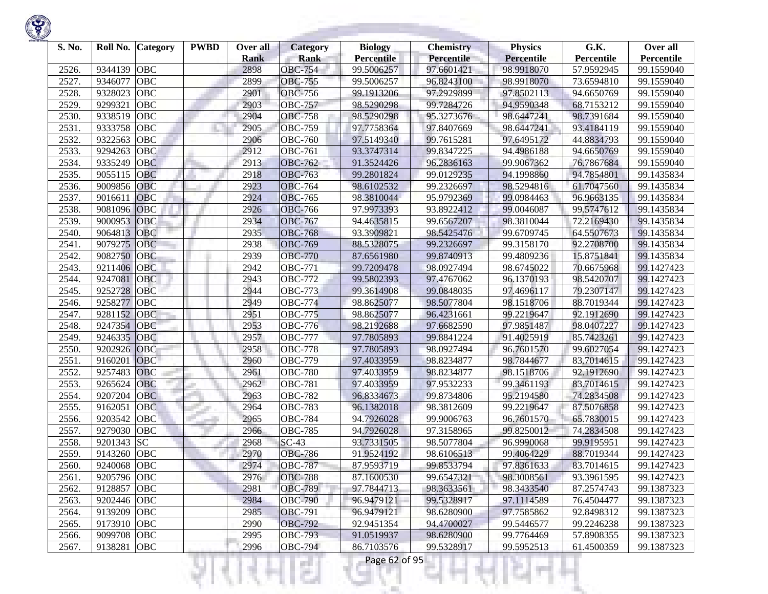| S. No. | Roll No.    | <b>Category</b> | <b>PWBD</b> | Over all<br><b>Rank</b> | <b>Category</b><br><b>Rank</b> | <b>Biology</b><br><b>Percentile</b> | <b>Chemistry</b><br>Percentile | <b>Physics</b><br>Percentile | G.K.<br>Percentile | Over all<br>Percentile |
|--------|-------------|-----------------|-------------|-------------------------|--------------------------------|-------------------------------------|--------------------------------|------------------------------|--------------------|------------------------|
| 2526.  | 9344139     | <b>OBC</b>      |             | 2898                    | <b>OBC-754</b>                 | 99.5006257                          | 97.6601421                     | 98.9918070                   | 57.9592945         | 99.1559040             |
| 2527.  | 9346077     | <b>OBC</b>      |             | 2899                    | <b>OBC-755</b>                 | 99.5006257                          | 96.8243100                     | 98.9918070                   | 73.6594810         | 99.1559040             |
| 2528.  | 9328023     | <b>OBC</b>      |             | 2901                    | <b>OBC-756</b>                 | 99.1913206                          | 97.2929899                     | 97.8502113                   | 94.6650769         | 99.1559040             |
| 2529.  | 9299321     | <b>OBC</b>      |             | 2903                    | <b>OBC-757</b>                 | 98.5290298                          | 99.7284726                     | 94.9590348                   | 68.7153212         | 99.1559040             |
| 2530.  | 9338519     | <b>OBC</b>      |             | 2904                    | <b>OBC-758</b>                 | 98.5290298                          | 95.3273676                     | 98.6447241                   | 98.7391684         | 99.1559040             |
| 2531.  | 9333758     | <b>OBC</b>      |             | 2905                    | <b>OBC-759</b>                 | 97.7758364                          | 97.8407669                     | 98.6447241                   | 93.4184119         | 99.1559040             |
| 2532.  | 9322563     | <b>OBC</b>      |             | 2906                    | <b>OBC-760</b>                 | 97.5149340                          | 99.7615281                     | 97.6495172                   | 44.8834793         | 99.1559040             |
| 2533.  | 9294263     | OBC             |             | 2912                    | <b>OBC-761</b>                 | 93.3747314                          | 99.8347225                     | 94.4986188                   | 94.6650769         | 99.1559040             |
| 2534.  | 9335249     | <b>OBC</b>      |             | 2913                    | <b>OBC-762</b>                 | 91.3524426                          | 96.2836163                     | 99.9067362                   | 76.7867684         | 99.1559040             |
| 2535.  | 9055115     | <b>OBC</b>      |             | 2918                    | <b>OBC-763</b>                 | 99.2801824                          | 99.0129235                     | 94.1998860                   | 94.7854801         | 99.1435834             |
| 2536.  | 9009856     | <b>OBC</b>      |             | 2923                    | <b>OBC-764</b>                 | 98.6102532                          | 99.2326697                     | 98.5294816                   | 61.7047560         | 99.1435834             |
| 2537.  | 9016611     | <b>OBC</b>      |             | 2924                    | <b>OBC-765</b>                 | 98.3810044                          | 95.9792369                     | 99.0984463                   | 96.9663135         | 99.1435834             |
| 2538.  | 9081096     | <b>OBC</b>      |             | 2926                    | <b>OBC-766</b>                 | 97.9973393                          | 93.8922412                     | 99.0046087                   | 99.5747612         | 99.1435834             |
| 2539.  | 9000953     | OBC             |             | 2934                    | <b>OBC-767</b>                 | 94.4635815                          | 99.6567207                     | 98.3810044                   | 72.2169430         | 99.1435834             |
| 2540.  | 9064813     | OBC             |             | 2935                    | <b>OBC-768</b>                 | 93.3909821                          | 98.5425476                     | 99.6709745                   | 64.5507673         | 99.1435834             |
| 2541.  | 9079275     | <b>OBC</b>      |             | 2938                    | <b>OBC-769</b>                 | 88.5328075                          | 99.2326697                     | 99.3158170                   | 92.2708700         | 99.1435834             |
| 2542.  | 9082750     | <b>OBC</b>      |             | 2939                    | <b>OBC-770</b>                 | 87.6561980                          | 99.8740913                     | 99.4809236                   | 15.8751841         | 99.1435834             |
| 2543.  | 9211406     | <b>OBC</b>      |             | 2942                    | <b>OBC-771</b>                 | 99.7209478                          | 98.0927494                     | 98.6745022                   | 70.6675968         | 99.1427423             |
| 2544.  | 9247081     | OBC             |             | 2943                    | <b>OBC-772</b>                 | 99.5802393                          | 97.4767062                     | 96.1370193                   | 98.5420707         | 99.1427423             |
| 2545.  | 9252728     | <b>OBC</b>      |             | 2944                    | <b>OBC-773</b>                 | 99.3614908                          | 99.0848035                     | 97.4696117                   | 79.2307147         | 99.1427423             |
| 2546.  | 9258277     | <b>OBC</b>      |             | 2949                    | <b>OBC-774</b>                 | 98.8625077                          | 98.5077804                     | 98.1518706                   | 88.7019344         | 99.1427423             |
| 2547.  | 9281152     | <b>OBC</b>      |             | 2951                    | <b>OBC-775</b>                 | 98.8625077                          | 96.4231661                     | 99.2219647                   | 92.1912690         | 99.1427423             |
| 2548.  | 9247354     | <b>OBC</b>      |             | 2953                    | <b>OBC-776</b>                 | 98.2192688                          | 97.6682590                     | 97.9851487                   | 98.0407227         | 99.1427423             |
| 2549.  | 9246335     | <b>OBC</b>      |             | 2957                    | <b>OBC-777</b>                 | 97.7805893                          | 99.8841224                     | 91.4025919                   | 85.7423261         | 99.1427423             |
| 2550.  | 9202926     | OBC             |             | 2958                    | <b>OBC-778</b>                 | 97.7805893                          | 98.0927494                     | 96.7601570                   | 99.6027054         | 99.1427423             |
| 2551.  | 9160201     | <b>OBC</b>      |             | 2960                    | <b>OBC-779</b>                 | 97.4033959                          | 98.8234877                     | 98.7844677                   | 83.7014615         | 99.1427423             |
| 2552.  | 9257483     | <b>OBC</b>      |             | 2961                    | <b>OBC-780</b>                 | 97.4033959                          | 98.8234877                     | 98.1518706                   | 92.1912690         | 99.1427423             |
| 2553.  | 9265624     | OBC             |             | 2962                    | <b>OBC-781</b>                 | 97.4033959                          | 97.9532233                     | 99.3461193                   | 83.7014615         | 99.1427423             |
| 2554.  | 9207204     | <b>OBC</b>      |             | 2963                    | <b>OBC-782</b>                 | 96.8334673                          | 99.8734806                     | 95.2194580                   | 74.2834508         | 99.1427423             |
| 2555.  | 9162051     | <b>OBC</b>      |             | 2964                    | <b>OBC-783</b>                 | 96.1382018                          | 98.3812609                     | 99.2219647                   | 87.5076858         | 99.1427423             |
| 2556.  | 9203542     | OBC             |             | 2965                    | <b>OBC-784</b>                 | 94.7926028                          | 99.9006763                     | 96.7601570                   | 65.7830015         | 99.1427423             |
| 2557.  | 9279030     | <b>OBC</b>      |             | 2966                    | <b>OBC-785</b>                 | 94.7926028                          | 97.3158965                     | 99.8250012                   | 74.2834508         | 99.1427423             |
| 2558.  | 9201343     | <b>SC</b>       |             | 2968                    | $SC-43$                        | 93.7331505                          | 98.5077804                     | 96.9990068                   | 99.9195951         | 99.1427423             |
| 2559.  | 9143260     | <b>OBC</b>      |             | 2970                    | <b>OBC-786</b>                 | 91.9524192                          | 98.6106513                     | 99.4064229                   | 88.7019344         | 99.1427423             |
| 2560.  | 9240068     | <b>OBC</b>      |             | 2974                    | <b>OBC-787</b>                 | 87.9593719                          | 99.8533794                     | 97.8361633                   | 83.7014615         | 99.1427423             |
| 2561.  | 9205796 OBC |                 |             | 2976                    | <b>OBC-788</b>                 | 87.1600530                          | 99.6547321                     | 98.3008561                   | 93.3961595         | 99.1427423             |
| 2562.  | 9128857 OBC |                 |             | 2981                    | <b>OBC-789</b>                 | 97.7844713                          | 98.3633561                     | 98.3433540                   | 87.2574743         | 99.1387323             |
| 2563.  | 9202446 OBC |                 |             | 2984                    | <b>OBC-790</b>                 | 96.9479121                          | 99.5328917                     | 97.1114589                   | 76.4504477         | 99.1387323             |
| 2564.  | 9139209 OBC |                 |             | 2985                    | <b>OBC-791</b>                 | 96.9479121                          | 98.6280900                     | 97.7585862                   | 92.8498312         | 99.1387323             |
| 2565.  | 9173910 OBC |                 |             | 2990                    | <b>OBC-792</b>                 | 92.9451354                          | 94.4700027                     | 99.5446577                   | 99.2246238         | 99.1387323             |
| 2566.  | 9099708 OBC |                 |             | 2995                    | <b>OBC-793</b>                 | 91.0519937                          | 98.6280900                     | 99.7764469                   | 57.8908355         | 99.1387323             |
| 2567.  | 9138281     | OBC             |             | 2996                    | <b>OBC-794</b>                 | 86.7103576                          | 99.5328917                     | 99.5952513                   | 61.4500359         | 99.1387323             |
|        |             |                 |             |                         | 51                             | Page 62 of 95                       |                                |                              |                    |                        |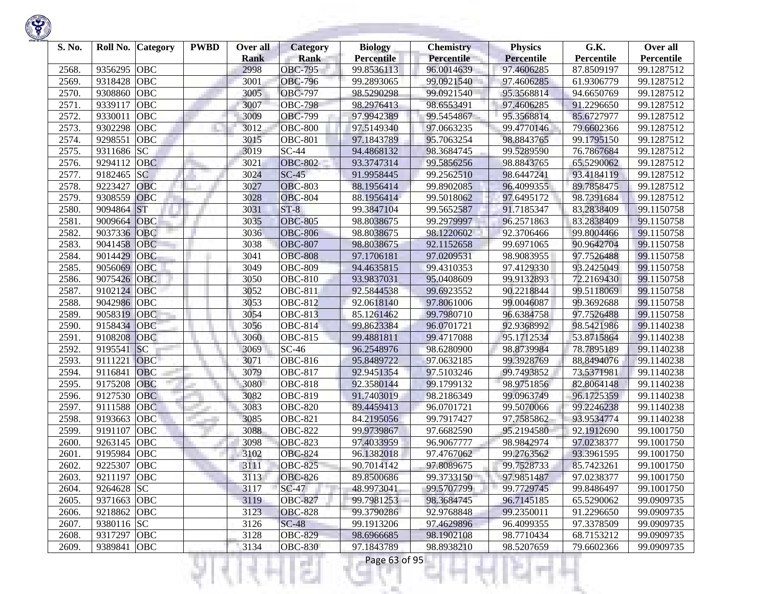| S. No.         | Roll No.           | <b>Category</b> | <b>PWBD</b> | Over all            | <b>Category</b>               | <b>Biology</b>                  | <b>Chemistry</b>         | <b>Physics</b>                  | G.K.                     | Over all                 |
|----------------|--------------------|-----------------|-------------|---------------------|-------------------------------|---------------------------------|--------------------------|---------------------------------|--------------------------|--------------------------|
|                |                    | <b>OBC</b>      |             | <b>Rank</b><br>2998 | <b>Rank</b><br><b>OBC-795</b> | <b>Percentile</b><br>99.8536113 | Percentile<br>96.0014639 | <b>Percentile</b><br>97.4606285 | Percentile               | Percentile<br>99.1287512 |
| 2568.<br>2569. | 9356295<br>9318428 | <b>OBC</b>      |             | 3001                | <b>OBC-796</b>                | 99.2893065                      | 99.0921540               | 97.4606285                      | 87.8509197<br>61.9306779 | 99.1287512               |
| 2570.          | 9308860            | <b>OBC</b>      |             | 3005                | <b>OBC-797</b>                | 98.5290298                      | 99.0921540               | 95.3568814                      | 94.6650769               | 99.1287512               |
| 2571.          | 9339117            | <b>OBC</b>      |             | 3007                | <b>OBC-798</b>                | 98.2976413                      | 98.6553491               | 97.4606285                      | 91.2296650               | 99.1287512               |
| 2572.          | 9330011            | <b>OBC</b>      |             | 3009                | <b>OBC-799</b>                | 97.9942389                      | 99.5454867               | 95.3568814                      | 85.6727977               | 99.1287512               |
| 2573.          | 9302298            | <b>OBC</b>      |             | 3012                | <b>OBC-800</b>                | 97.5149340                      | 97.0663235               | 99.4770146                      | 79.6602366               | 99.1287512               |
| 2574.          | 9298551            | OBC             |             | 3015                | <b>OBC-801</b>                | 97.1843789                      | 95.7063254               | 98.8843765                      | 99.1795150               | 99.1287512               |
| 2575.          | 9311686            | <b>SC</b>       |             | 3019                | $SC-44$                       | 94.4868132                      | 98.3684745               | 99.5289590                      | 76.7867684               | 99.1287512               |
| 2576.          | 9294112            | <b>OBC</b>      |             | 3021                | <b>OBC-802</b>                | 93.3747314                      | 99.5856256               | 98.8843765                      | 65.5290062               | 99.1287512               |
| 2577.          | 9182465            | <b>SC</b>       |             | 3024                | $SC-45$                       | 91.9958445                      | 99.2562510               | 98.6447241                      | 93.4184119               | 99.1287512               |
| 2578.          | 9223427            | <b>OBC</b>      |             | 3027                | <b>OBC-803</b>                | 88.1956414                      | 99.8902085               | 96.4099355                      | 89.7858475               | 99.1287512               |
| 2579.          | 9308559            | <b>OBC</b>      |             | 3028                | <b>OBC-804</b>                | 88.1956414                      | 99.5018062               | 97.6495172                      | 98.7391684               | 99.1287512               |
| 2580.          | 9094864            | <b>ST</b>       |             | 3031                | $ST-8$                        | 99.3847104                      | 99.5652587               | 91.7185347                      | 83.2838409               | 99.1150758               |
| 2581           | 9009664            | OBC             |             | 3035                | <b>OBC-805</b>                | 98.8038675                      | 99.2979997               | 96.2571863                      | 83.2838409               | 99.1150758               |
| 2582.          | 9037336            | OBC             |             | 3036                | <b>OBC-806</b>                | 98.8038675                      | 98.1220602               | 92.3706466                      | 99.8004466               | 99.1150758               |
| 2583.          | 9041458            | <b>OBC</b>      |             | 3038                | <b>OBC-807</b>                | 98.8038675                      | 92.1152658               | 99.6971065                      | 90.9642704               | 99.1150758               |
| 2584.          | 9014429            | <b>OBC</b>      |             | 3041                | <b>OBC-808</b>                | 97.1706181                      | 97.0209531               | 98.9083955                      | 97.7526488               | 99.1150758               |
| 2585.          | 9056069            | <b>OBC</b>      |             | 3049                | <b>OBC-809</b>                | 94.4635815                      | 99.4310353               | 97.4129330                      | 93.2425049               | 99.1150758               |
| 2586.          | 9075426            | <b>OBC</b>      |             | 3050                | <b>OBC-810</b>                | 93.9837031                      | 95.0408609               | 99.9132893                      | 72.2169430               | 99.1150758               |
| 2587.          | 9102124            | <b>OBC</b>      |             | 3052                | <b>OBC-811</b>                | 92.5844538                      | 99.6923552               | 90.2218844                      | 99.5118069               | 99.1150758               |
| 2588.          | 9042986            | OBC             |             | 3053                | OBC-812                       | 92.0618140                      | 97.8061006               | 99.0046087                      | 99.3692688               | 99.1150758               |
| 2589.          | 9058319            | <b>OBC</b>      |             | 3054                | <b>OBC-813</b>                | 85.1261462                      | 99.7980710               | 96.6384758                      | 97.7526488               | 99.1150758               |
| 2590.          | 9158434            | OBC             |             | 3056                | $\overline{O}$ BC-814         | 99.8623384                      | 96.0701721               | 92.9368992                      | 98.5421986               | 99.1140238               |
| 2591.          | 9108208            | <b>OBC</b>      |             | 3060                | <b>OBC-815</b>                | 99.4881811                      | 99.4717088               | 95.1712534                      | 53.8715864               | 99.1140238               |
| 2592.          | 9195541            | <b>SC</b>       |             | 3069                | $SC-46$                       | 96.2548976                      | 98.6280900               | 98.8739984                      | 78.7895189               | 99.1140238               |
| 2593.          | 9111221            | <b>OBC</b>      |             | 3071                | OBC-816                       | 95.8489722                      | 97.0632185               | 99.3928769                      | 88.8494076               | 99.1140238               |
| 2594.          | 9116841            | <b>OBC</b>      |             | 3079                | OBC-817                       | 92.9451354                      | 97.5103246               | 99.7493852                      | 73.5371981               | 99.1140238               |
| 2595.          | 9175208            | OBC             |             | 3080                | <b>OBC-818</b>                | 92.3580144                      | 99.1799132               | 98.9751856                      | 82.8064148               | 99.1140238               |
| 2596.          | 9127530            | <b>OBC</b>      |             | 3082                | <b>OBC-819</b>                | 91.7403019                      | 98.2186349               | 99.0963749                      | 96.1725359               | 99.1140238               |
| 2597.          | 9111588            | <b>OBC</b>      |             | 3083                | <b>OBC-820</b>                | 89.4459413                      | 96.0701721               | 99.5070066                      | 99.2246238               | 99.1140238               |
| 2598.          | 9193663            | OBC             |             | 3085                | <b>OBC-821</b>                | 84.2195056                      | 99.7917427               | 97.7585862                      | 93.9534774               | 99.1140238               |
| 2599.          | 9191107            | <b>OBC</b>      |             | 3088                | <b>OBC-822</b>                | 99.9739867                      | 97.6682590               | 95.2194580                      | 92.1912690               | 99.1001750               |
| 2600.          | 9263145            | <b>OBC</b>      |             | 3098                | <b>OBC-823</b>                | 97.4033959                      | 96.9067777               | 98.9842974                      | 97.0238377               | 99.1001750               |
| 2601           | 9195984            | <b>OBC</b>      |             | 3102                | <b>OBC-824</b>                | 96.1382018                      | 97.4767062               | 99.2763562                      | 93.3961595               | 99.1001750               |
| 2602.          | 9225307            | <b>OBC</b>      |             | 3111                | <b>OBC-825</b>                | 90.7014142                      | 97.8089675               | 99.7528733                      | 85.7423261               | 99.1001750               |
| 2603.          | 9211197 OBC        |                 |             | 3113                | <b>OBC-826</b>                | 89.8500686                      | 99.3733150               | 97.9851487                      | 97.0238377               | 99.1001750               |
| 2604.          | 9264628 SC         |                 |             | 3117                | $SC-47$                       | 48.9973041                      | 99.5707799               | 99.7729745                      | 99.8486497               | 99.1001750               |
| 2605.          | 9371663 OBC        |                 |             | 3119                | <b>OBC-827</b>                | 99.7981253                      | 98.3684745               | 96.7145185                      | 65.5290062               | 99.0909735               |
| 2606.          | 9218862 OBC        |                 |             | 3123                | <b>OBC-828</b>                | 99.3790286                      | 92.9768848               | 99.2350011                      | 91.2296650               | 99.0909735               |
| 2607.          | 9380116 SC         |                 |             | 3126                | $SC-48$                       | 99.1913206                      | 97.4629896               | 96.4099355                      | 97.3378509               | 99.0909735               |
| 2608.          | 9317297 OBC        |                 |             | 3128                | <b>OBC-829</b>                | 98.6966685                      | 98.1902108               | 98.7710434                      | 68.7153212               | 99.0909735               |
| 2609.          | 9389841            | OBC             |             | 3134                | <b>OBC-830</b>                | 97.1843789                      | 98.8938210               | 98.5207659                      | 79.6602366               | 99.0909735               |
|                |                    |                 |             |                     | a Bar                         | Page 63 of 95                   |                          |                                 |                          |                          |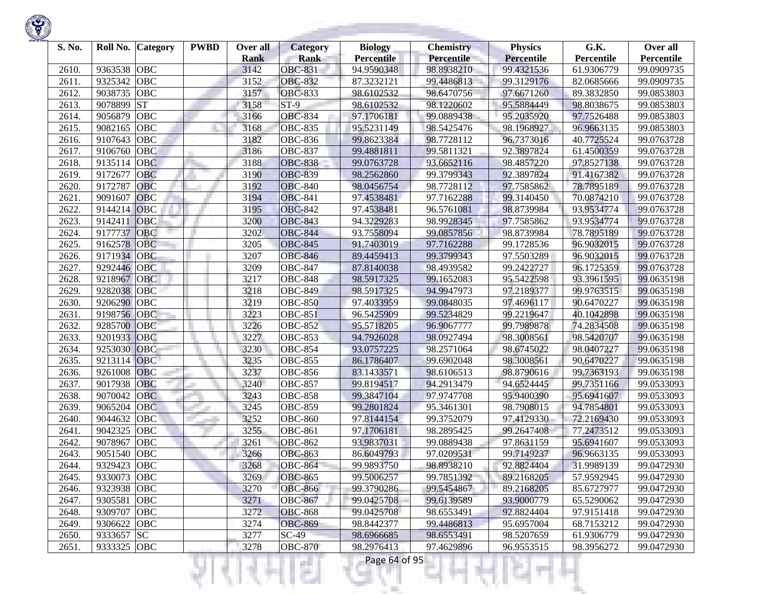| S. No. | Roll No.    | <b>Category</b> | <b>PWBD</b> | Over all<br><b>Rank</b> | <b>Category</b><br><b>Rank</b> | <b>Biology</b><br><b>Percentile</b> | <b>Chemistry</b><br>Percentile | <b>Physics</b><br><b>Percentile</b> | G.K.<br>Percentile | Over all<br>Percentile |
|--------|-------------|-----------------|-------------|-------------------------|--------------------------------|-------------------------------------|--------------------------------|-------------------------------------|--------------------|------------------------|
| 2610.  | 9363538     | <b>OBC</b>      |             | 3142                    | <b>OBC-831</b>                 | 94.9590348                          | 98.8938210                     | 99.4321536                          | 61.9306779         | 99.0909735             |
| 2611.  | 9325342     | <b>OBC</b>      |             | 3152                    | <b>OBC-832</b>                 | 87.3232121                          | 99.4486813                     | 99.3129176                          | 82.0685666         | 99.0909735             |
| 2612.  | 9038735     | <b>OBC</b>      |             | 3157                    | <b>OBC-833</b>                 | 98.6102532                          | 98.6470756                     | 97.6671260                          | 89.3832850         | 99.0853803             |
| 2613.  | 9078899     | <b>ST</b>       |             | 3158                    | $ST-9$                         | 98.6102532                          | 98.1220602                     | 95.5884449                          | 98.8038675         | 99.0853803             |
| 2614.  | 9056879     | OBC             |             | 3166                    | <b>OBC-834</b>                 | 97.1706181                          | 99.0889438                     | 95.2035920                          | 97.7526488         | 99.0853803             |
| 2615.  | 9082165     | OBC             |             | 3168                    | <b>OBC-835</b>                 | 95.5231149                          | 98.5425476                     | 98.1968927                          | 96.9663135         | 99.0853803             |
| 2616.  | 9107643     | OBC             |             | 3182                    | <b>OBC-836</b>                 | 99.8623384                          | 98.7728112                     | 96.7373016                          | 40.7725524         | 99.0763728             |
| 2617.  | 9106760     | OBC             |             | 3186                    | <b>OBC-837</b>                 | 99.4881811                          | 99.5811321                     | 92.3897824                          | 61.4500359         | 99.0763728             |
| 2618.  | 9135114     | <b>OBC</b>      |             | 3188                    | <b>OBC-838</b>                 | 99.0763728                          | 93.6652116                     | 98.4857220                          | 97.8527138         | 99.0763728             |
| 2619.  | 9172677     | <b>OBC</b>      |             | 3190                    | <b>OBC-839</b>                 | 98.2562860                          | 99.3799343                     | 92.3897824                          | 91.4167382         | 99.0763728             |
| 2620.  | 9172787     | <b>OBC</b>      |             | 3192                    | <b>OBC-840</b>                 | 98.0456754                          | 98.7728112                     | 97.7585862                          | 78.7895189         | 99.0763728             |
| 2621.  | 9091607     | <b>OBC</b>      |             | 3194                    | <b>OBC-841</b>                 | 97.4538481                          | 97.7162288                     | 99.3140450                          | 70.0874210         | 99.0763728             |
| 2622.  | 9144214     | OBC             |             | 3195                    | <b>OBC-842</b>                 | 97.4538481                          | 96.5761081                     | 98.8739984                          | 93.9534774         | 99.0763728             |
| 2623.  | 9142411     | OBC             |             | 3200                    | <b>OBC-843</b>                 | 94.3229283                          | 98.9928345                     | 97.7585862                          | 93.9534774         | 99.0763728             |
| 2624.  | 9177737     | <b>OBC</b>      |             | 3202                    | <b>OBC-844</b>                 | 93.7558094                          | 99.0857856                     | 98.8739984                          | 78.7895189         | 99.0763728             |
| 2625.  | 9162578     | <b>OBC</b>      |             | 3205                    | <b>OBC-845</b>                 | 91.7403019                          | 97.7162288                     | 99.1728536                          | 96.9032015         | 99.0763728             |
| 2626.  | 9171934     | <b>OBC</b>      |             | 3207                    | <b>OBC-846</b>                 | 89.4459413                          | 99.3799343                     | 97.5503289                          | 96.9032015         | 99.0763728             |
| 2627.  | 9292446     | <b>OBC</b>      |             | 3209                    | <b>OBC-847</b>                 | 87.8140038                          | 98.4939582                     | 99.2422727                          | 96.1725359         | 99.0763728             |
| 2628.  | 9218967     | OBC             |             | 3217                    | <b>OBC-848</b>                 | 98.5917325                          | 99.1652083                     | 95.5422598                          | 93.3961595         | 99.0635198             |
| 2629.  | 9282038     | <b>OBC</b>      |             | 3218                    | <b>OBC-849</b>                 | 98.5917325                          | 94.9947973                     | 97.2189377                          | 99.9763515         | 99.0635198             |
| 2630.  | 9206290     | <b>OBC</b>      |             | 3219                    | <b>OBC-850</b>                 | 97.4033959                          | 99.0848035                     | 97.4696117                          | 90.6470227         | 99.0635198             |
| 2631.  | 9198756     | <b>OBC</b>      |             | 3223                    | <b>OBC-851</b>                 | 96.5425909                          | 99.5234829                     | 99.2219647                          | 40.1042898         | 99.0635198             |
| 2632.  | 9285700     | <b>OBC</b>      |             | 3226                    | OBC-852                        | 95.5718205                          | 96.9067777                     | 99.7989878                          | 74.2834508         | 99.0635198             |
| 2633.  | 9201933     | <b>OBC</b>      |             | 3227                    | <b>OBC-853</b>                 | 94.7926028                          | 98.0927494                     | 98.3008561                          | 98.5420707         | 99.0635198             |
| 2634.  | 9253030     | OBC             |             | 3230                    | <b>OBC-854</b>                 | 93.0757225                          | 98.2571064                     | 98.6745022                          | 98.0407227         | 99.0635198             |
| 2635.  | 9213114     | <b>OBC</b>      |             | 3235                    | <b>OBC-855</b>                 | 86.1786407                          | 99.6902048                     | 98.3008561                          | 90.6470227         | 99.0635198             |
| 2636.  | 9261008     | <b>OBC</b>      |             | 3237                    | <b>OBC-856</b>                 | 83.1433571                          | 98.6106513                     | 98.8790616                          | 99.7363193         | 99.0635198             |
| 2637.  | 9017938     | OBC             |             | 3240                    | <b>OBC-857</b>                 | 99.8194517                          | 94.2913479                     | 94.6524445                          | 99.7351166         | 99.0533093             |
| 2638.  | 9070042     | <b>OBC</b>      |             | 3243                    | <b>OBC-858</b>                 | 99.3847104                          | 97.9747708                     | 95.9400390                          | 95.6941607         | 99.0533093             |
| 2639.  | 9065204     | <b>OBC</b>      |             | 3245                    | <b>OBC-859</b>                 | 99.2801824                          | 95.3461301                     | 98.7908015                          | 94.7854801         | 99.0533093             |
| 2640.  | 9044632     | OBC             |             | 3252                    | <b>OBC-860</b>                 | 97.8144154                          | 99.3752079                     | 97.4129330                          | 72.2169430         | 99.0533093             |
| 2641   | 9042325     | <b>OBC</b>      |             | 3255                    | <b>OBC-861</b>                 | 97.1706181                          | 98.2895425                     | 99.2647408                          | 77.2473512         | 99.0533093             |
| 2642.  | 9078967     | <b>OBC</b>      |             | 3261                    | <b>OBC-862</b>                 | 93.9837031                          | 99.0889438                     | 97.8631159                          | 95.6941607         | 99.0533093             |
| 2643.  | 9051540     | <b>OBC</b>      |             | 3266                    | <b>OBC-863</b>                 | 86.6049793                          | 97.0209531                     | 99.7149237                          | 96.9663135         | 99.0533093             |
| 2644.  | 9329423     | <b>OBC</b>      |             | 3268                    | <b>OBC-864</b>                 | 99.9893750                          | 98.8938210                     | 92.8824404                          | 31.9989139         | 99.0472930             |
| 2645.  | 9330073 OBC |                 |             | 3269                    | <b>OBC-865</b>                 | 99.5006257                          | 99.7851392                     | 89.2168205                          | 57.9592945         | 99.0472930             |
| 2646.  | 9323938 OBC |                 |             | 3270                    | <b>OBC-866</b>                 | 99.3790286                          | 99.5454867                     | 89.2168205                          | 85.6727977         | 99.0472930             |
| 2647.  | 9305581 OBC |                 |             | 3271                    | <b>OBC-867</b>                 | 99.0425708                          | 99.6139589                     | 93.9000779                          | 65.5290062         | 99.0472930             |
| 2648.  | 9309707 OBC |                 |             | 3272                    | <b>OBC-868</b>                 | 99.0425708                          | 98.6553491                     | 92.8824404                          | 97.9151418         | 99.0472930             |
| 2649.  | 9306622     | OBC             |             | 3274                    | <b>OBC-869</b>                 | 98.8442377                          | 99.4486813                     | 95.6957004                          | 68.7153212         | 99.0472930             |
| 2650.  | 9333657 SC  |                 |             | 3277                    | $SC-49$                        | 98.6966685                          | 98.6553491                     | 98.5207659                          | 61.9306779         | 99.0472930             |
| 2651.  | 9333325 OBC |                 |             | 3278                    | <b>OBC-870</b>                 | 98.2976413                          | 97.4629896                     | 96.9553515                          | 98.3956272         | 99.0472930             |
|        |             |                 |             |                         | a a                            | Page 64 of 95                       |                                |                                     |                    |                        |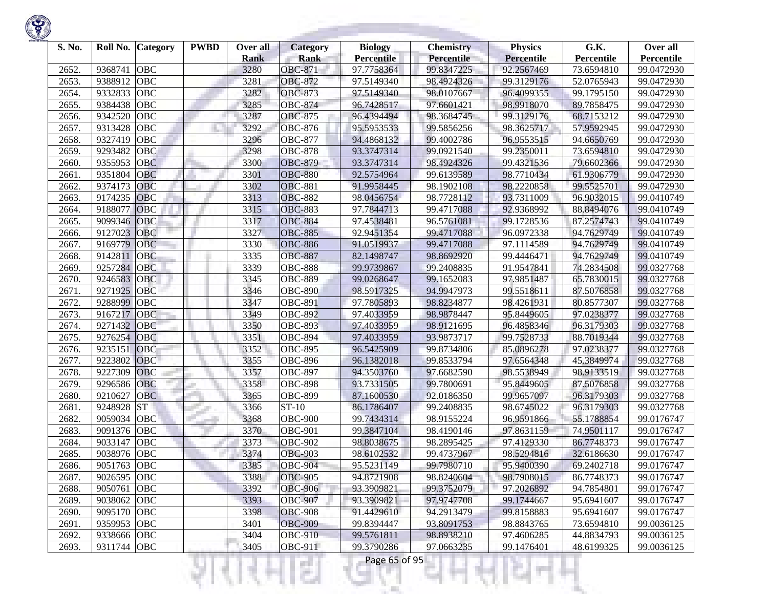| S. No. | Roll No.    | <b>Category</b> | <b>PWBD</b> | Over all    | <b>Category</b> | <b>Biology</b>    | <b>Chemistry</b> | <b>Physics</b>    | G.K.       | Over all   |
|--------|-------------|-----------------|-------------|-------------|-----------------|-------------------|------------------|-------------------|------------|------------|
|        |             |                 |             | <b>Rank</b> | <b>Rank</b>     | <b>Percentile</b> | Percentile       | <b>Percentile</b> | Percentile | Percentile |
| 2652.  | 9368741     | <b>OBC</b>      |             | 3280        | <b>OBC-871</b>  | 97.7758364        | 99.8347225       | 92.2567469        | 73.6594810 | 99.0472930 |
| 2653.  | 9388912     | <b>OBC</b>      |             | 3281        | <b>OBC-872</b>  | 97.5149340        | 98.4924326       | 99.3129176        | 52.0765943 | 99.0472930 |
| 2654.  | 9332833     | <b>OBC</b>      |             | 3282        | <b>OBC-873</b>  | 97.5149340        | 98.0107667       | 96.4099355        | 99.1795150 | 99.0472930 |
| 2655.  | 9384438     | <b>OBC</b>      |             | 3285        | <b>OBC-874</b>  | 96.7428517        | 97.6601421       | 98.9918070        | 89.7858475 | 99.0472930 |
| 2656.  | 9342520     | <b>OBC</b>      |             | 3287        | <b>OBC-875</b>  | 96.4394494        | 98.3684745       | 99.3129176        | 68.7153212 | 99.0472930 |
| 2657.  | 9313428     | OBC             |             | 3292        | <b>OBC-876</b>  | 95.5953533        | 99.5856256       | 98.3625717        | 57.9592945 | 99.0472930 |
| 2658.  | 9327419     | <b>OBC</b>      |             | 3296        | <b>OBC-877</b>  | 94.4868132        | 99.4002786       | 96.9553515        | 94.6650769 | 99.0472930 |
| 2659.  | 9293482     | <b>OBC</b>      |             | 3298        | <b>OBC-878</b>  | 93.3747314        | 99.0921540       | 99.2350011        | 73.6594810 | 99.0472930 |
| 2660.  | 9355953     | <b>OBC</b>      |             | 3300        | <b>OBC-879</b>  | 93.3747314        | 98.4924326       | 99.4321536        | 79.6602366 | 99.0472930 |
| 2661.  | 9351804     | <b>OBC</b>      |             | 3301        | <b>OBC-880</b>  | 92.5754964        | 99.6139589       | 98.7710434        | 61.9306779 | 99.0472930 |
| 2662.  | 9374173     | <b>OBC</b>      |             | 3302        | <b>OBC-881</b>  | 91.9958445        | 98.1902108       | 98.2220858        | 99.5525701 | 99.0472930 |
| 2663.  | 9174235     | <b>OBC</b>      |             | 3313        | <b>OBC-882</b>  | 98.0456754        | 98.7728112       | 93.7311009        | 96.9032015 | 99.0410749 |
| 2664.  | 9188077     | <b>OBC</b>      |             | 3315        | <b>OBC-883</b>  | 97.7844713        | 99.4717088       | 92.9368992        | 88.8494076 | 99.0410749 |
| 2665.  | 9099346     | OBC             |             | 3317        | <b>OBC-884</b>  | 97.4538481        | 96.5761081       | 99.1728536        | 87.2574743 | 99.0410749 |
| 2666.  | 9127023     | <b>OBC</b>      |             | 3327        | <b>OBC-885</b>  | 92.9451354        | 99.4717088       | 96.0972338        | 94.7629749 | 99.0410749 |
| 2667.  | 9169779     | <b>OBC</b>      |             | 3330        | <b>OBC-886</b>  | 91.0519937        | 99.4717088       | 97.1114589        | 94.7629749 | 99.0410749 |
| 2668.  | 9142811     | <b>OBC</b>      |             | 3335        | <b>OBC-887</b>  | 82.1498747        | 98.8692920       | 99.4446471        | 94.7629749 | 99.0410749 |
| 2669   | 9257284     | <b>OBC</b>      |             | 3339        | <b>OBC-888</b>  | 99.9739867        | 99.2408835       | 91.9547841        | 74.2834508 | 99.0327768 |
| 2670.  | 9246583     | <b>OBC</b>      |             | 3345        | <b>OBC-889</b>  | 99.0268647        | 99.1652083       | 97.9851487        | 65.7830015 | 99.0327768 |
| 2671.  | 9271925     | <b>OBC</b>      |             | 3346        | <b>OBC-890</b>  | 98.5917325        | 94.9947973       | 99.5518611        | 87.5076858 | 99.0327768 |
| 2672.  | 9288999     | <b>OBC</b>      |             | 3347        | <b>OBC-891</b>  | 97.7805893        | 98.8234877       | 98.4261931        | 80.8577307 | 99.0327768 |
| 2673.  | 9167217     | <b>OBC</b>      |             | 3349        | <b>OBC-892</b>  | 97.4033959        | 98.9878447       | 95.8449605        | 97.0238377 | 99.0327768 |
| 2674.  | 9271432     | <b>OBC</b>      |             | 3350        | <b>OBC-893</b>  | 97.4033959        | 98.9121695       | 96.4858346        | 96.3179303 | 99.0327768 |
| 2675.  | 9276254     | OBC             |             | 3351        | <b>OBC-894</b>  | 97.4033959        | 93.9873717       | 99.7528733        | 88.7019344 | 99.0327768 |
| 2676.  | 9235151     | OBC             |             | 3352        | <b>OBC-895</b>  | 96.5425909        | 99.8734806       | 85.0896278        | 97.0238377 | 99.0327768 |
| 2677.  | 9223802     | OBC             |             | 3355        | <b>OBC-896</b>  | 96.1382018        | 99.8533794       | 97.6564348        | 45.3849974 | 99.0327768 |
| 2678.  | 9227309     | <b>OBC</b>      |             | 3357        | <b>OBC-897</b>  | 94.3503760        | 97.6682590       | 98.5538949        | 98.9133519 | 99.0327768 |
| 2679.  | 9296586     | OBC             |             | 3358        | <b>OBC-898</b>  | 93.7331505        | 99.7800691       | 95.8449605        | 87.5076858 | 99.0327768 |
| 2680.  | 9210627     | <b>OBC</b>      |             | 3365        | <b>OBC-899</b>  | 87.1600530        | 92.0186350       | 99.9657097        | 96.3179303 | 99.0327768 |
| 2681   | 9248928     | <b>ST</b>       |             | 3366        | ST-10           | 86.1786407        | 99.2408835       | 98.6745022        | 96.3179303 | 99.0327768 |
| 2682.  | 9059034     | OBC             |             | 3368        | <b>OBC-900</b>  | 99.7434314        | 98.9155224       | 96.9591866        | 55.1788854 | 99.0176747 |
| 2683.  | 9091376     | <b>OBC</b>      |             | 3370        | <b>OBC-901</b>  | 99.3847104        | 98.4190146       | 97.8631159        | 74.9501117 | 99.0176747 |
| 2684.  | 9033147     | <b>OBC</b>      |             | 3373        | <b>OBC-902</b>  | 98.8038675        | 98.2895425       | 97.4129330        | 86.7748373 | 99.0176747 |
| 2685.  | 9038976     | <b>OBC</b>      |             | 3374        | <b>OBC-903</b>  | 98.6102532        | 99.4737967       | 98.5294816        | 32.6186630 | 99.0176747 |
| 2686.  | 9051763     | <b>OBC</b>      |             | 3385        | <b>OBC-904</b>  | 95.5231149        | 99.7980710       | 95.9400390        | 69.2402718 | 99.0176747 |
| 2687.  | 9026595 OBC |                 |             | 3388        | <b>OBC-905</b>  | 94.8721908        | 98.8240604       | 98.7908015        | 86.7748373 | 99.0176747 |
| 2688.  | 9050761     | <b>OBC</b>      |             | 3392        | <b>OBC-906</b>  | 93.3909821        | 99.3752079       | 97.2026892        | 94.7854801 | 99.0176747 |
| 2689.  | 9038062 OBC |                 |             | 3393        | <b>OBC-907</b>  | 93.3909821        | 97.9747708       | 99.1744667        | 95.6941607 | 99.0176747 |
| 2690.  | 9095170     | <b>OBC</b>      |             | 3398        | <b>OBC-908</b>  | 91.4429610        | 94.2913479       | 99.8158883        | 95.6941607 | 99.0176747 |
| 2691.  | 9359953 OBC |                 |             | 3401        | <b>OBC-909</b>  | 99.8394447        | 93.8091753       | 98.8843765        | 73.6594810 | 99.0036125 |
| 2692.  | 9338666 OBC |                 |             | 3404        | <b>OBC-910</b>  | 99.5761811        | 98.8938210       | 97.4606285        | 44.8834793 | 99.0036125 |
| 2693.  | 9311744 OBC |                 |             | 3405        | <b>OBC-911</b>  | 99.3790286        | 97.0663235       | 99.1476401        | 48.6199325 | 99.0036125 |

₹Н

v

m

÷ Ш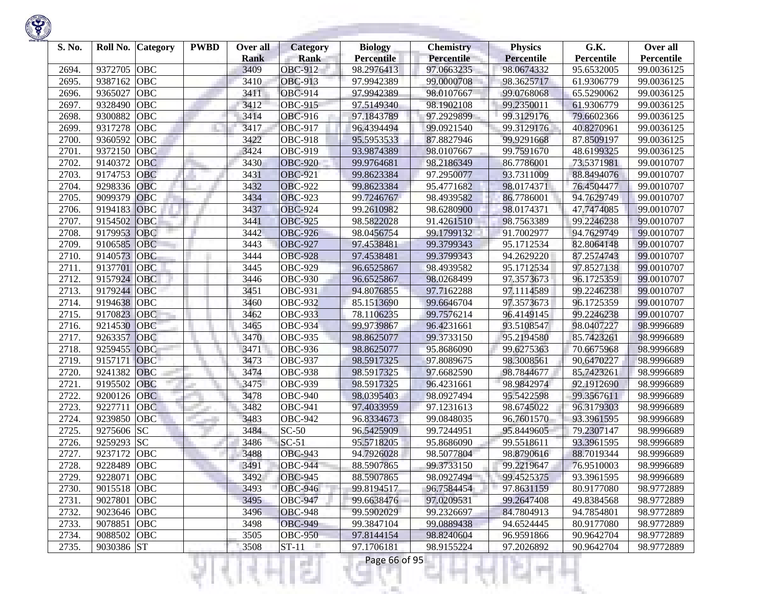| S. No. | Roll No.    | Category   | <b>PWBD</b> | Over all<br><b>Rank</b> | Category<br><b>Rank</b> | <b>Biology</b><br><b>Percentile</b> | <b>Chemistry</b><br><b>Percentile</b> | <b>Physics</b><br>Percentile | G.K.<br>Percentile       | Over all<br>Percentile |
|--------|-------------|------------|-------------|-------------------------|-------------------------|-------------------------------------|---------------------------------------|------------------------------|--------------------------|------------------------|
| 2694.  | 9372705     | <b>OBC</b> |             | 3409                    | <b>OBC-912</b>          | 98.2976413                          | 97.0663235                            | 98.0674332                   | 95.6532005               | 99.0036125             |
| 2695.  | 9387162     | <b>OBC</b> |             | 3410                    | <b>OBC-913</b>          | 97.9942389                          | 99.0000708                            | 98.3625717                   | 61.9306779               | 99.0036125             |
| 2696.  | 9365027     | <b>OBC</b> |             | 3411                    | <b>OBC-914</b>          | 97.9942389                          | 98.0107667                            | 99.0768068                   | 65.5290062               | 99.0036125             |
| 2697.  | 9328490     | <b>OBC</b> |             | 3412                    | <b>OBC-915</b>          | 97.5149340                          | 98.1902108                            | 99.2350011                   | 61.9306779               | 99.0036125             |
| 2698.  | 9300882     | <b>OBC</b> |             | 3414                    | <b>OBC-916</b>          | 97.1843789                          | 97.2929899                            | 99.3129176                   | 79.6602366               | 99.0036125             |
| 2699.  | 9317278     | OBC        |             | 3417                    | <b>OBC-917</b>          | 96.4394494                          | 99.0921540                            | 99.3129176                   | 40.8270961               | 99.0036125             |
| 2700.  | 9360592     | <b>OBC</b> |             | 3422                    | <b>OBC-918</b>          | 95.5953533                          | 87.8827946                            | 99.9291668                   | 87.8509197               | 99.0036125             |
| 2701.  | 9372150     | OBC        |             | 3424                    | OBC-919                 | 93.9874389                          | 98.0107667                            | 99.7591670                   | 48.6199325               | 99.0036125             |
| 2702.  | 9140372     | <b>OBC</b> |             | 3430                    | <b>OBC-920</b>          | 99.9764681                          | 98.2186349                            | 86.7786001                   | 73.5371981               | 99.0010707             |
| 2703.  | 9174753     | OBC        |             | 3431                    | <b>OBC-921</b>          | 99.8623384                          | 97.2950077                            | 93.7311009                   | 88.8494076               | 99.0010707             |
| 2704.  | 9298336     | OBC        |             | 3432                    | <b>OBC-922</b>          | 99.8623384                          | 95.4771682                            | 98.0174371                   | 76.4504477               | 99.0010707             |
| 2705.  | 9099379     | <b>OBC</b> |             | 3434                    | <b>OBC-923</b>          | 99.7246767                          | 98.4939582                            | 86.7786001                   | 94.7629749               | 99.0010707             |
| 2706.  | 9194183     | OBC        |             | 3437                    | <b>OBC-924</b>          | 99.2610982                          | 98.6280900                            | 98.0174371                   | 47.7474085               | 99.0010707             |
| 2707.  | 9154502     | OBC        |             | 3441                    | <b>OBC-925</b>          | 98.5822028                          | 91.4261510                            | 98.7563389                   | 99.2246238               | 99.0010707             |
| 2708.  | 9179953     | OBC        |             | 3442                    | <b>OBC-926</b>          | 98.0456754                          | 99.1799132                            | 91.7002977                   | 94.7629749               | 99.0010707             |
| 2709.  | 9106585     | <b>OBC</b> |             | 3443                    | <b>OBC-927</b>          | 97.4538481                          | 99.3799343                            | 95.1712534                   | 82.8064148               | 99.0010707             |
| 2710.  | 9140573     | OBC        |             | 3444                    | <b>OBC-928</b>          | 97.4538481                          | 99.3799343                            | 94.2629220                   | 87.2574743               | 99.0010707             |
| 2711.  | 9137701     | <b>OBC</b> |             | 3445                    | <b>OBC-929</b>          | 96.6525867                          | 98.4939582                            | 95.1712534                   | 97.8527138               | 99.0010707             |
| 2712.  | 9157924     | OBC        |             | 3446                    | <b>OBC-930</b>          | 96.6525867                          | 98.0268499                            | 97.3573673                   | 96.1725359               | 99.0010707             |
| 2713.  | 9179244     | OBC        |             | 3451                    | <b>OBC-931</b>          | 94.8076855                          | 97.7162288                            | 97.1114589                   | 99.2246238               | 99.0010707             |
| 2714.  | 9194638     | <b>OBC</b> |             | 3460                    | <b>OBC-932</b>          | 85.1513690                          | 99.6646704                            | 97.3573673                   | 96.1725359               | 99.0010707             |
| 2715.  | 9170823     | <b>OBC</b> |             | 3462                    | <b>OBC-933</b>          | 78.1106235                          | 99.7576214                            | 96.4149145                   | 99.2246238               | 99.0010707             |
| 2716.  | 9214530     | OBC        |             | 3465                    | <b>OBC-934</b>          | 99.9739867                          | 96.4231661                            | 93.5108547                   | 98.0407227               | 98.9996689             |
| 2717.  | 9263357     | <b>OBC</b> |             | 3470                    | <b>OBC-935</b>          | 98.8625077                          | 99.3733150                            | 95.2194580                   | 85.7423261               | 98.9996689             |
| 2718.  | 9259455     | OBC        |             | 3471                    | <b>OBC-936</b>          | 98.8625077                          | 95.8686090                            | 99.6275363                   | 70.6675968               | 98.9996689             |
| 2719.  | 9157171     | <b>OBC</b> |             | 3473                    | <b>OBC-937</b>          | 98.5917325                          | 97.8089675                            | 98.3008561                   | 90.6470227               | 98.9996689             |
| 2720.  | 9241382     | <b>OBC</b> |             | 3474                    | <b>OBC-938</b>          | 98.5917325                          | 97.6682590                            | 98.7844677                   | 85.7423261               | 98.9996689             |
| 2721.  | 9195502     | OBC        |             | 3475                    | <b>OBC-939</b>          | 98.5917325                          | 96.4231661                            | 98.9842974                   | 92.1912690               | 98.9996689             |
| 2722.  | 9200126     | <b>OBC</b> |             | 3478                    | <b>OBC-940</b>          | 98.0395403                          | 98.0927494                            | 95.5422598                   | 99.3567611               | 98.9996689             |
| 2723.  | 9227711     | <b>OBC</b> |             | 3482                    | <b>OBC-941</b>          | 97.4033959                          | 97.1231613                            | 98.6745022                   | 96.3179303               | 98.9996689             |
| 2724.  | 9239850     | OBC        |             | 3483                    | <b>OBC-942</b>          | 96.8334673                          | 99.0848035                            | 96.7601570                   | 93.3961595               | 98.9996689             |
| 2725.  | 9275606     | <b>SC</b>  |             | 3484                    | $SC-50$                 | 96.5425909                          | 99.7244951                            | 95.8449605                   | 79.2307147               | 98.9996689             |
| 2726.  | 9259293     | <b>SC</b>  |             | 3486                    | $SC-51$                 | 95.5718205                          | 95.8686090                            | 99.5518611                   | 93.3961595               | 98.9996689             |
| 2727   | 9237172     | <b>OBC</b> |             | 3488                    | <b>OBC-943</b>          | 94.7926028                          | 98.5077804                            | 98.8790616                   | 88.7019344               | 98.9996689             |
| 2728.  | 9228489     | <b>OBC</b> |             | 3491                    | <b>OBC-944</b>          | 88.5907865                          | 99.3733150                            | 99.2219647                   | 76.9510003               | 98.9996689             |
| 2729.  | 9228071 OBC |            |             | 3492                    | <b>OBC-945</b>          | 88.5907865                          | 98.0927494                            | 99.4525375                   | 93.3961595               | 98.9996689             |
| 2730.  | 9015518 OBC |            |             | 3493                    | <b>OBC-946</b>          | 99.8194517                          | 96.7584454                            | 97.8631159                   | 80.9177080               | 98.9772889             |
| 2731.  | 9027801 OBC |            |             | 3495                    | <b>OBC-947</b>          | 99.6638476                          | 97.0209531                            | 99.2647408                   | 49.8384568               | 98.9772889             |
| 2732.  | 9023646 OBC |            |             | 3496                    | <b>OBC-948</b>          | 99.5902029                          | 99.2326697                            | 84.7804913                   | 94.7854801               | 98.9772889             |
| 2733.  | 9078851 OBC |            |             | 3498                    | <b>OBC-949</b>          | 99.3847104                          | 99.0889438                            | 94.6524445                   | 80.9177080               | 98.9772889             |
| 2734.  | 9088502 OBC |            |             | 3505                    | <b>OBC-950</b>          | 97.8144154                          | 98.8240604                            | 96.9591866                   | 90.9642704<br>90.9642704 | 98.9772889             |
| 2735.  | 9030386 ST  |            |             | 3508                    | $ST-11$                 | 97.1706181                          | 98.9155224                            | 97.2026892                   |                          | 98.9772889             |
|        |             |            |             |                         | a ka                    | Page 66 of 95                       |                                       |                              |                          |                        |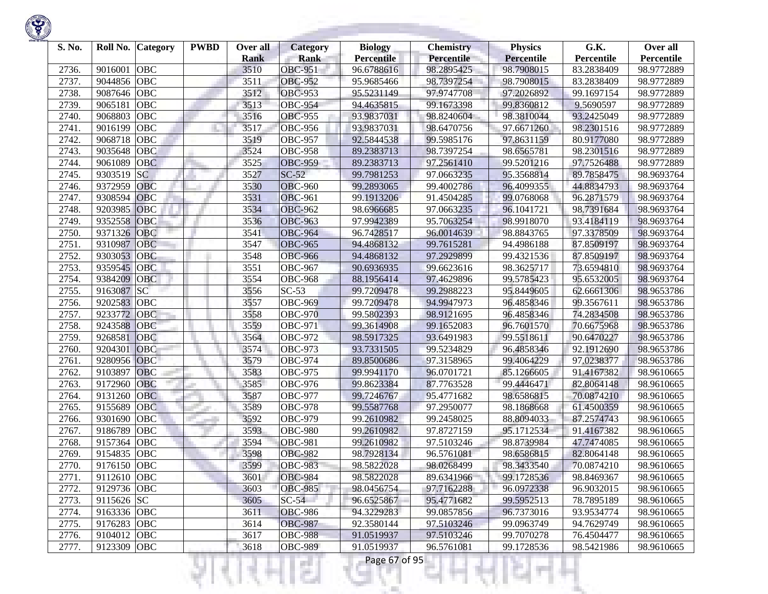| S. No. | Roll No.    | <b>Category</b> | <b>PWBD</b> | Over all<br><b>Rank</b> | <b>Category</b><br><b>Rank</b> | <b>Biology</b><br><b>Percentile</b> | <b>Chemistry</b><br>Percentile | <b>Physics</b><br><b>Percentile</b> | G.K.<br>Percentile | Over all<br>Percentile |
|--------|-------------|-----------------|-------------|-------------------------|--------------------------------|-------------------------------------|--------------------------------|-------------------------------------|--------------------|------------------------|
| 2736.  | 9016001     | <b>OBC</b>      |             | 3510                    | <b>OBC-951</b>                 | 96.6788616                          | 98.2895425                     | 98.7908015                          | 83.2838409         | 98.9772889             |
| 2737.  | 9044856     | <b>OBC</b>      |             | 3511                    | <b>OBC-952</b>                 | 95.9685466                          | 98.7397254                     | 98.7908015                          | 83.2838409         | 98.9772889             |
| 2738.  | 9087646     | <b>OBC</b>      |             | 3512                    | <b>OBC-953</b>                 | 95.5231149                          | 97.9747708                     | 97.2026892                          | 99.1697154         | 98.9772889             |
| 2739.  | 9065181     | <b>OBC</b>      |             | 3513                    | <b>OBC-954</b>                 | 94.4635815                          | 99.1673398                     | 99.8360812                          | 9.5690597          | 98.9772889             |
| 2740.  | 9068803     | <b>OBC</b>      |             | 3516                    | <b>OBC-955</b>                 | 93.9837031                          | 98.8240604                     | 98.3810044                          | 93.2425049         | 98.9772889             |
| 2741.  | 9016199     | <b>OBC</b>      |             | 3517                    | <b>OBC-956</b>                 | 93.9837031                          | 98.6470756                     | 97.6671260                          | 98.2301516         | 98.9772889             |
| 2742.  | 9068718     | OBC             |             | 3519                    | <b>OBC-957</b>                 | 92.5844538                          | 99.5985176                     | 97.8631159                          | 80.9177080         | 98.9772889             |
| 2743.  | 9035648     | OBC             |             | 3524                    | <b>OBC-958</b>                 | 89.2383713                          | 98.7397254                     | 98.6565781                          | 98.2301516         | 98.9772889             |
| 2744.  | 9061089     | <b>OBC</b>      |             | 3525                    | <b>OBC-959</b>                 | 89.2383713                          | 97.2561410                     | 99.5201216                          | 97.7526488         | 98.9772889             |
| 2745.  | 9303519     | <b>SC</b>       |             | 3527                    | $SC-52$                        | 99.7981253                          | 97.0663235                     | 95.3568814                          | 89.7858475         | 98.9693764             |
| 2746.  | 9372959     | <b>OBC</b>      |             | 3530                    | <b>OBC-960</b>                 | 99.2893065                          | 99.4002786                     | 96.4099355                          | 44.8834793         | 98.9693764             |
| 2747.  | 9308594     | <b>OBC</b>      |             | 3531                    | <b>OBC-961</b>                 | 99.1913206                          | 91.4504285                     | 99.0768068                          | 96.2871579         | 98.9693764             |
| 2748.  | 9203985     | OBC             |             | 3534                    | <b>OBC-962</b>                 | 98.6966685                          | 97.0663235                     | 96.1041721                          | 98.7391684         | 98.9693764             |
| 2749.  | 9352558     | OBC             |             | 3536                    | <b>OBC-963</b>                 | 97.9942389                          | 95.7063254                     | 98.9918070                          | 93.4184119         | 98.9693764             |
| 2750.  | 9371326     | OBC             |             | 3541                    | <b>OBC-964</b>                 | 96.7428517                          | 96.0014639                     | 98.8843765                          | 97.3378509         | 98.9693764             |
| 2751.  | 9310987     | <b>OBC</b>      |             | 3547                    | <b>OBC-965</b>                 | 94.4868132                          | 99.7615281                     | 94.4986188                          | 87.8509197         | 98.9693764             |
| 2752.  | 9303053     | <b>OBC</b>      |             | 3548                    | <b>OBC-966</b>                 | 94.4868132                          | 97.2929899                     | 99.4321536                          | 87.8509197         | 98.9693764             |
| 2753.  | 9359545     | <b>OBC</b>      |             | 3551                    | <b>OBC-967</b>                 | 90.6936935                          | 99.6623616                     | 98.3625717                          | 73.6594810         | 98.9693764             |
| 2754.  | 9384209     | OBC             |             | 3554                    | <b>OBC-968</b>                 | 88.1956414                          | 97.4629896                     | 99.5785423                          | 95.6532005         | 98.9693764             |
| 2755.  | 9163087     | <b>SC</b>       |             | 3556                    | $SC-53$                        | 99.7209478                          | 99.2988223                     | 95.8449605                          | 62.6661306         | 98.9653786             |
| 2756.  | 9202583     | OBC             |             | 3557                    | <b>OBC-969</b>                 | 99.7209478                          | 94.9947973                     | 96.4858346                          | 99.3567611         | 98.9653786             |
| 2757.  | 9233772     | <b>OBC</b>      |             | 3558                    | <b>OBC-970</b>                 | 99.5802393                          | 98.9121695                     | 96.4858346                          | 74.2834508         | 98.9653786             |
| 2758.  | 9243588     | OBC             |             | 3559                    | <b>OBC-971</b>                 | 99.3614908                          | 99.1652083                     | 96.7601570                          | 70.6675968         | 98.9653786             |
| 2759.  | 9268581     | OBC             |             | 3564                    | <b>OBC-972</b>                 | 98.5917325                          | 93.6491983                     | 99.5518611                          | 90.6470227         | 98.9653786             |
| 2760.  | 9204301     | OBC             |             | 3574                    | <b>OBC-973</b>                 | 93.7331505                          | 99.5234829                     | 96.4858346                          | 92.1912690         | 98.9653786             |
| 2761.  | 9280956     | OBC             |             | 3579                    | <b>OBC-974</b>                 | 89.8500686                          | 97.3158965                     | 99.4064229                          | 97.0238377         | 98.9653786             |
| 2762.  | 9103897     | <b>OBC</b>      |             | 3583                    | <b>OBC-975</b>                 | 99.9941170                          | 96.0701721                     | 85.1266605                          | 91.4167382         | 98.9610665             |
| 2763.  | 9172960     | <b>OBC</b>      |             | 3585                    | <b>OBC-976</b>                 | 99.8623384                          | 87.7763528                     | 99.4446471                          | 82.8064148         | 98.9610665             |
| 2764.  | 9131260     | <b>OBC</b>      |             | 3587                    | <b>OBC-977</b>                 | 99.7246767                          | 95.4771682                     | 98.6586815                          | 70.0874210         | 98.9610665             |
| 2765.  | 9155689     | <b>OBC</b>      |             | 3589                    | <b>OBC-978</b>                 | 99.5587768                          | 97.2950077                     | 98.1868668                          | 61.4500359         | 98.9610665             |
| 2766.  | 9301690     | OBC             |             | 3592                    | <b>OBC-979</b>                 | 99.2610982                          | 99.2458025                     | 88.8094033                          | 87.2574743         | 98.9610665             |
| 2767.  | 9186789     | <b>OBC</b>      |             | 3593                    | <b>OBC-980</b>                 | 99.2610982                          | 97.8727159                     | 95.1712534                          | 91.4167382         | 98.9610665             |
| 2768.  | 9157364     | <b>OBC</b>      |             | 3594                    | <b>OBC-981</b>                 | 99.2610982                          | 97.5103246                     | 98.8739984                          | 47.7474085         | 98.9610665             |
| 2769.  | 9154835     | <b>OBC</b>      |             | 3598                    | <b>OBC-982</b>                 | 98.7928134                          | 96.5761081                     | 98.6586815                          | 82.8064148         | 98.9610665             |
| 2770.  | 9176150     | <b>OBC</b>      |             | 3599                    | <b>OBC-983</b>                 | 98.5822028                          | 98.0268499                     | 98.3433540                          | 70.0874210         | 98.9610665             |
| 2771.  | 9112610 OBC |                 |             | 3601                    | <b>OBC-984</b>                 | 98.5822028                          | 89.6341966                     | 99.1728536                          | 98.8469367         | 98.9610665             |
| 2772.  | 9129736 OBC |                 |             | 3603                    | <b>OBC-985</b>                 | 98.0456754                          | 97.7162288                     | 96.0972338                          | 96.9032015         | 98.9610665             |
| 2773.  | 9115626 SC  |                 |             | 3605                    | $SC-54$                        | 96.6525867                          | 95.4771682                     | 99.5952513                          | 78.7895189         | 98.9610665             |
| 2774.  | 9163336 OBC |                 |             | 3611                    | <b>OBC-986</b>                 | 94.3229283                          | 99.0857856                     | 96.7373016                          | 93.9534774         | 98.9610665             |
| 2775.  | 9176283 OBC |                 |             | 3614                    | <b>OBC-987</b>                 | 92.3580144                          | 97.5103246                     | 99.0963749                          | 94.7629749         | 98.9610665             |
| 2776.  | 9104012 OBC |                 |             | 3617                    | <b>OBC-988</b>                 | 91.0519937                          | 97.5103246                     | 99.7070278                          | 76.4504477         | 98.9610665             |
| 2777.  | 9123309 OBC |                 |             | 3618                    | <b>OBC-989</b>                 | 91.0519937                          | 96.5761081                     | 99.1728536                          | 98.5421986         | 98.9610665             |
|        |             |                 |             |                         |                                | Page 67 of 95                       |                                |                                     |                    |                        |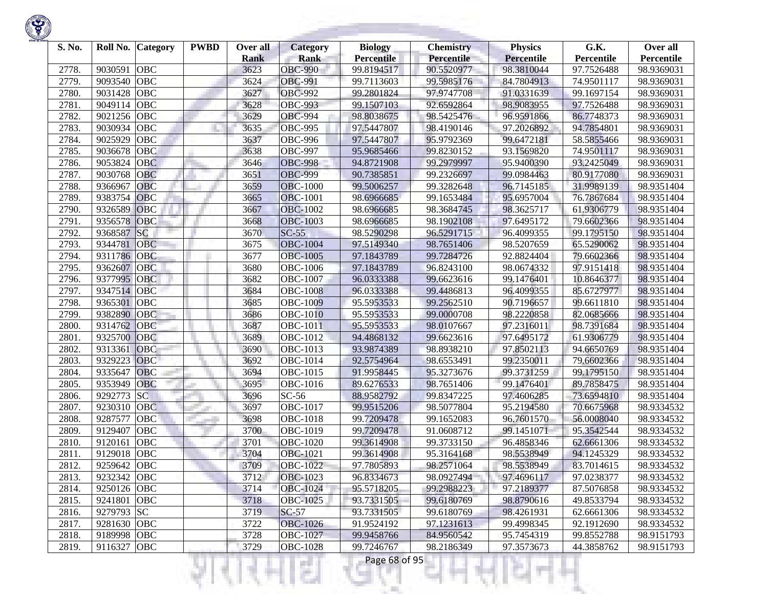| S. No. | Roll No.    | <b>Category</b> | <b>PWBD</b> | Over all<br><b>Rank</b> | Category<br><b>Rank</b> | <b>Biology</b><br>Percentile | <b>Chemistry</b><br>Percentile | <b>Physics</b><br><b>Percentile</b> | G.K.<br>Percentile | Over all<br>Percentile |
|--------|-------------|-----------------|-------------|-------------------------|-------------------------|------------------------------|--------------------------------|-------------------------------------|--------------------|------------------------|
| 2778.  | 9030591     | <b>OBC</b>      |             | 3623                    | <b>OBC-990</b>          | 99.8194517                   | 90.5520977                     | 98.3810044                          | 97.7526488         | 98.9369031             |
| 2779.  | 9093540     | <b>OBC</b>      |             | 3624                    | <b>OBC-991</b>          | 99.7113603                   | 99.5985176                     | 84.7804913                          | 74.9501117         | 98.9369031             |
| 2780.  | 9031428     | <b>OBC</b>      |             | 3627                    | <b>OBC-992</b>          | 99.2801824                   | 97.9747708                     | 91.0331639                          | 99.1697154         | 98.9369031             |
| 2781.  | 9049114     | <b>OBC</b>      |             | 3628                    | <b>OBC-993</b>          | 99.1507103                   | 92.6592864                     | 98.9083955                          | 97.7526488         | 98.9369031             |
| 2782.  | 9021256     | <b>OBC</b>      |             | 3629                    | <b>OBC-994</b>          | 98.8038675                   | 98.5425476                     | 96.9591866                          | 86.7748373         | 98.9369031             |
| 2783.  | 9030934     | <b>OBC</b>      |             | 3635                    | <b>OBC-995</b>          | 97.5447807                   | 98.4190146                     | 97.2026892                          | 94.7854801         | 98.9369031             |
| 2784.  | 9025929     | OBC             |             | 3637                    | <b>OBC-996</b>          | 97.5447807                   | 95.9792369                     | 99.6472181                          | 58.5855466         | 98.9369031             |
| 2785.  | 9036678     | OBC             |             | 3638                    | <b>OBC-997</b>          | 95.9685466                   | 99.8230152                     | 93.1569820                          | 74.9501117         | 98.9369031             |
| 2786.  | 9053824     | <b>OBC</b>      |             | 3646                    | <b>OBC-998</b>          | 94.8721908                   | 99.2979997                     | 95.9400390                          | 93.2425049         | 98.9369031             |
| 2787.  | 9030768     | OBC             |             | 3651                    | <b>OBC-999</b>          | 90.7385851                   | 99.2326697                     | 99.0984463                          | 80.9177080         | 98.9369031             |
| 2788.  | 9366967     | <b>OBC</b>      |             | 3659                    | <b>OBC-1000</b>         | 99.5006257                   | 99.3282648                     | 96.7145185                          | 31.9989139         | 98.9351404             |
| 2789.  | 9383754     | <b>OBC</b>      |             | 3665                    | <b>OBC-1001</b>         | 98.6966685                   | 99.1653484                     | 95.6957004                          | 76.7867684         | 98.9351404             |
| 2790.  | 9326589     | <b>OBC</b>      |             | 3667                    | <b>OBC-1002</b>         | 98.6966685                   | 98.3684745                     | 98.3625717                          | 61.9306779         | 98.9351404             |
| 2791.  | 9356578     | OBC             |             | 3668                    | <b>OBC-1003</b>         | 98.6966685                   | 98.1902108                     | 97.6495172                          | 79.6602366         | 98.9351404             |
| 2792.  | 9368587     | <b>SC</b>       |             | 3670                    | $SC-55$                 | 98.5290298                   | 96.5291715                     | 96.4099355                          | 99.1795150         | 98.9351404             |
| 2793.  | 9344781     | <b>OBC</b>      |             | 3675                    | <b>OBC-1004</b>         | 97.5149340                   | 98.7651406                     | 98.5207659                          | 65.5290062         | 98.9351404             |
| 2794.  | 9311786     | OBC             |             | 3677                    | <b>OBC-1005</b>         | 97.1843789                   | 99.7284726                     | 92.8824404                          | 79.6602366         | 98.9351404             |
| 2795.  | 9362607     | OBC             |             | 3680                    | <b>OBC-1006</b>         | 97.1843789                   | 96.8243100                     | 98.0674332                          | 97.9151418         | 98.9351404             |
| 2796.  | 9377995     | <b>OBC</b>      |             | 3682                    | <b>OBC-1007</b>         | 96.0333388                   | 99.6623616                     | 99.1476401                          | 10.8646377         | 98.9351404             |
| 2797.  | 9347514     | <b>OBC</b>      |             | 3684                    | <b>OBC-1008</b>         | 96.0333388                   | 99.4486813                     | 96.4099355                          | 85.6727977         | 98.9351404             |
| 2798.  | 9365301     | <b>OBC</b>      |             | 3685                    | <b>OBC-1009</b>         | 95.5953533                   | 99.2562510                     | 90.7196657                          | 99.6611810         | 98.9351404             |
| 2799.  | 9382890     | <b>OBC</b>      |             | 3686                    | <b>OBC-1010</b>         | 95.5953533                   | 99.0000708                     | 98.2220858                          | 82.0685666         | 98.9351404             |
| 2800.  | 9314762     | <b>OBC</b>      |             | 3687                    | <b>OBC-1011</b>         | 95.5953533                   | 98.0107667                     | 97.2316011                          | 98.7391684         | 98.9351404             |
| 2801.  | 9325700     | OBC             |             | 3689                    | OBC-1012                | 94.4868132                   | 99.6623616                     | 97.6495172                          | 61.9306779         | 98.9351404             |
| 2802.  | 9313361     | OBC             |             | 3690                    | OBC-1013                | 93.9874389                   | 98.8938210                     | 97.8502113                          | 94.6650769         | 98.9351404             |
| 2803.  | 9329223     | OBC             |             | 3692                    | OBC-1014                | 92.5754964                   | 98.6553491                     | 99.2350011                          | 79.6602366         | 98.9351404             |
| 2804.  | 9335647     | <b>OBC</b>      |             | 3694                    | OBC-1015                | 91.9958445                   | 95.3273676                     | 99.3731259                          | 99.1795150         | 98.9351404             |
| 2805.  | 9353949     | OBC             |             | 3695                    | OBC-1016                | 89.6276533                   | 98.7651406                     | 99.1476401                          | 89.7858475         | 98.9351404             |
| 2806.  | 9292773     | <b>SC</b>       |             | 3696                    | $SC-56$                 | 88.9582792                   | 99.8347225                     | 97.4606285                          | 73.6594810         | 98.9351404             |
| 2807.  | 9230310     | <b>OBC</b>      |             | 3697                    | <b>OBC-1017</b>         | 99.9515206                   | 98.5077804                     | 95.2194580                          | 70.6675968         | 98.9334532             |
| 2808.  | 9287577     | OBC             |             | 3698                    | <b>OBC-1018</b>         | 99.7209478                   | 99.1652083                     | 96.7601570                          | 56.0008040         | 98.9334532             |
| 2809.  | 9129407     | <b>OBC</b>      |             | 3700                    | OBC-1019                | 99.7209478                   | 91.0608712                     | 99.1451071                          | 95.3542544         | 98.9334532             |
| 2810.  | 9120161     | <b>OBC</b>      |             | 3701                    | OBC-1020                | 99.3614908                   | 99.3733150                     | 96.4858346                          | 62.6661306         | 98.9334532             |
| 2811.  | 9129018     | <b>OBC</b>      |             | 3704                    | <b>OBC-1021</b>         | 99.3614908                   | 95.3164168                     | 98.5538949                          | 94.1245329         | 98.9334532             |
| 2812.  | 9259642     | <b>OBC</b>      |             | 3709                    | <b>OBC-1022</b>         | 97.7805893                   | 98.2571064                     | 98.5538949                          | 83.7014615         | 98.9334532             |
| 2813.  | 9232342 OBC |                 |             | 3712                    | OBC-1023                | 96.8334673                   | 98.0927494                     | 97.4696117                          | 97.0238377         | 98.9334532             |
| 2814.  | 9250126 OBC |                 |             | 3714                    | <b>OBC-1024</b>         | 95.5718205                   | 99.2988223                     | 97.2189377                          | 87.5076858         | 98.9334532             |
| 2815.  | 9241801 OBC |                 |             | 3718                    | <b>OBC-1025</b>         | 93.7331505                   | 99.6180769                     | 98.8790616                          | 49.8533794         | 98.9334532             |
| 2816.  | 9279793 SC  |                 |             | 3719                    | $SC-57$                 | 93.7331505                   | 99.6180769                     | 98.4261931                          | 62.6661306         | 98.9334532             |
| 2817.  | 9281630 OBC |                 |             | 3722                    | <b>OBC-1026</b>         | 91.9524192                   | 97.1231613                     | 99.4998345                          | 92.1912690         | 98.9334532             |
| 2818.  | 9189998 OBC |                 |             | 3728                    | <b>OBC-1027</b>         | 99.9458766                   | 84.9560542                     | 95.7454319                          | 99.8552788         | 98.9151793             |
| 2819.  | 9116327     | OBC             |             | 3729                    | <b>OBC-1028</b>         | 99.7246767                   | 98.2186349                     | 97.3573673                          | 44.3858762         | 98.9151793             |
|        |             |                 |             |                         |                         | Page 68 of 95                |                                |                                     |                    |                        |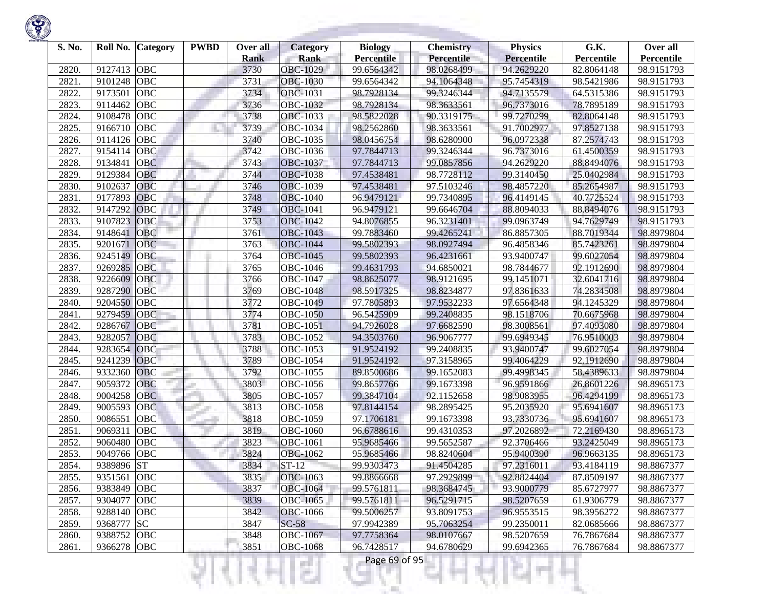| S. No.         | Roll No.           | <b>Category</b> | <b>PWBD</b> | Over all            | <b>Category</b>                | <b>Biology</b>                  | <b>Chemistry</b>         | <b>Physics</b>                  | G.K.                     | Over all                 |
|----------------|--------------------|-----------------|-------------|---------------------|--------------------------------|---------------------------------|--------------------------|---------------------------------|--------------------------|--------------------------|
|                |                    | <b>OBC</b>      |             | <b>Rank</b><br>3730 | <b>Rank</b><br><b>OBC-1029</b> | <b>Percentile</b><br>99.6564342 | Percentile<br>98.0268499 | <b>Percentile</b><br>94.2629220 | Percentile               | Percentile<br>98.9151793 |
| 2820.<br>2821. | 9127413<br>9101248 | <b>OBC</b>      |             | 3731                | <b>OBC-1030</b>                | 99.6564342                      | 94.1064348               | 95.7454319                      | 82.8064148<br>98.5421986 | 98.9151793               |
| 2822.          | 9173501            | <b>OBC</b>      |             | 3734                | <b>OBC-1031</b>                | 98.7928134                      | 99.3246344               | 94.7135579                      | 64.5315386               | 98.9151793               |
| 2823.          | 9114462            | <b>OBC</b>      |             | 3736                | <b>OBC-1032</b>                | 98.7928134                      | 98.3633561               | 96.7373016                      | 78.7895189               | 98.9151793               |
| 2824.          | 9108478            | <b>OBC</b>      |             | 3738                | OBC-1033                       | 98.5822028                      | 90.3319175               | 99.7270299                      | 82.8064148               | 98.9151793               |
| 2825.          | 9166710            | OBC             |             | 3739                | OBC-1034                       | 98.2562860                      | 98.3633561               | 91.7002977                      | 97.8527138               | 98.9151793               |
| 2826.          | 9114126            | OBC             |             | 3740                | OBC-1035                       | 98.0456754                      | 98.6280900               | 96.0972338                      | 87.2574743               | 98.9151793               |
| 2827.          | 9154114            | OBC             |             | 3742                | OBC-1036                       | 97.7844713                      | 99.3246344               | 96.7373016                      | 61.4500359               | 98.9151793               |
| 2828.          | 9134841            | <b>OBC</b>      |             | 3743                | OBC-1037                       | 97.7844713                      | 99.0857856               | 94.2629220                      | 88.8494076               | 98.9151793               |
| 2829.          | 9129384            | <b>OBC</b>      |             | 3744                | <b>OBC-1038</b>                | 97.4538481                      | 98.7728112               | 99.3140450                      | 25.0402984               | 98.9151793               |
| 2830.          | 9102637            | <b>OBC</b>      |             | 3746                | OBC-1039                       | 97.4538481                      | 97.5103246               | 98.4857220                      | 85.2654987               | 98.9151793               |
| 2831.          | 9177893            | <b>OBC</b>      |             | 3748                | <b>OBC-1040</b>                | 96.9479121                      | 99.7340895               | 96.4149145                      | 40.7725524               | 98.9151793               |
| 2832.          | 9147292            | <b>OBC</b>      |             | 3749                | <b>OBC-1041</b>                | 96.9479121                      | 99.6646704               | 88.8094033                      | 88.8494076               | 98.9151793               |
| 2833.          | 9107823            | OBC             |             | 3753                | <b>OBC-1042</b>                | 94.8076855                      | 96.3231401               | 99.0963749                      | 94.7629749               | 98.9151793               |
| 2834.          | 9148641            | <b>OBC</b>      |             | 3761                | OBC-1043                       | 99.7883460                      | 99.4265241               | 86.8857305                      | 88.7019344               | 98.8979804               |
| 2835.          | 9201671            | <b>OBC</b>      |             | 3763                | <b>OBC-1044</b>                | 99.5802393                      | 98.0927494               | 96.4858346                      | 85.7423261               | 98.8979804               |
| 2836.          | 9245149            | <b>OBC</b>      |             | 3764                | <b>OBC-1045</b>                | 99.5802393                      | 96.4231661               | 93.9400747                      | 99.6027054               | 98.8979804               |
| 2837.          | 9269285            | <b>OBC</b>      |             | 3765                | OBC-1046                       | 99.4631793                      | 94.6850021               | 98.7844677                      | 92.1912690               | 98.8979804               |
| 2838.          | 9226609            | <b>OBC</b>      |             | 3766                | <b>OBC-1047</b>                | 98.8625077                      | 98.9121695               | 99.1451071                      | 32.6041716               | 98.8979804               |
| 2839.          | 9287290            | <b>OBC</b>      |             | 3769                | <b>OBC-1048</b>                | 98.5917325                      | 98.8234877               | 97.8361633                      | 74.2834508               | 98.8979804               |
| 2840.          | 9204550            | <b>OBC</b>      |             | 3772                | OBC-1049                       | 97.7805893                      | 97.9532233               | 97.6564348                      | 94.1245329               | 98.8979804               |
| 2841.          | 9279459            | <b>OBC</b>      |             | 3774                | <b>OBC-1050</b>                | 96.5425909                      | 99.2408835               | 98.1518706                      | 70.6675968               | 98.8979804               |
| 2842.          | 9286767            | <b>OBC</b>      |             | 3781                | OBC-1051                       | 94.7926028                      | 97.6682590               | 98.3008561                      | 97.4093080               | 98.8979804               |
| 2843.          | 9282057            | OBC             |             | 3783                | OBC-1052                       | 94.3503760                      | 96.9067777               | 99.6949345                      | 76.9510003               | 98.8979804               |
| 2844.          | 9283654            | OBC             |             | 3788                | OBC-1053                       | 91.9524192                      | 99.2408835               | 93.9400747                      | 99.6027054               | 98.8979804               |
| 2845.          | 9241239            | OBC             |             | 3789                | <b>OBC-1054</b>                | 91.9524192                      | 97.3158965               | 99.4064229                      | 92.1912690               | 98.8979804               |
| 2846.          | 9332360            | <b>OBC</b>      |             | 3792                | OBC-1055                       | 89.8500686                      | 99.1652083               | 99.4998345                      | 58.4389633               | 98.8979804               |
| 2847.          | 9059372            | <b>OBC</b>      |             | 3803                | OBC-1056                       | 99.8657766                      | 99.1673398               | 96.9591866                      | 26.8601226               | 98.8965173               |
| 2848.          | 9004258            | <b>OBC</b>      |             | 3805                | <b>OBC-1057</b>                | 99.3847104                      | 92.1152658               | 98.9083955                      | 96.4294199               | 98.8965173               |
| 2849.          | 9005593            | <b>OBC</b>      |             | 3813                | <b>OBC-1058</b>                | 97.8144154                      | 98.2895425               | 95.2035920                      | 95.6941607               | 98.8965173               |
| 2850.          | 9086551            | OBC             |             | 3818                | OBC-1059                       | 97.1706181                      | 99.1673398               | 93.7330736                      | 95.6941607               | 98.8965173               |
| 2851.          | 9069311            | <b>OBC</b>      |             | 3819                | <b>OBC-1060</b>                | 96.6788616                      | 99.4310353               | 97.2026892                      | 72.2169430               | 98.8965173               |
| 2852.          | 9060480            | <b>OBC</b>      |             | 3823                | <b>OBC-1061</b>                | 95.9685466                      | 99.5652587               | 92.3706466                      | 93.2425049               | 98.8965173               |
| 2853.          | 9049766            | <b>OBC</b>      |             | 3824                | OBC-1062                       | 95.9685466                      | 98.8240604               | 95.9400390                      | 96.9663135               | 98.8965173               |
| 2854.          | 9389896 ST         |                 |             | 3834                | $ST-12$                        | 99.9303473                      | 91.4504285               | 97.2316011                      | 93.4184119               | 98.8867377               |
| 2855.          | 9351561 OBC        |                 |             | 3835                | <b>OBC-1063</b>                | 99.8866668                      | 97.2929899               | 92.8824404                      | 87.8509197               | 98.8867377               |
| 2856.          | 9383849 OBC        |                 |             | 3837                | <b>OBC-1064</b>                | 99.5761811                      | 98.3684745               | 93.9000779                      | 85.6727977               | 98.8867377               |
| 2857.          | 9304077            | <b>OBC</b>      |             | 3839                | OBC-1065                       | 99.5761811                      | 96.5291715               | 98.5207659                      | 61.9306779               | 98.8867377               |
| 2858.          | 9288140            | OBC             |             | 3842                | <b>OBC-1066</b>                | 99.5006257                      | 93.8091753               | 96.9553515                      | 98.3956272               | 98.8867377               |
| 2859.          | 9368777 SC         |                 |             | 3847                | $SC-58$                        | 97.9942389                      | 95.7063254               | 99.2350011                      | 82.0685666               | 98.8867377               |
| 2860.          | 9388752 OBC        |                 |             | 3848                | <b>OBC-1067</b>                | 97.7758364                      | 98.0107667               | 98.5207659                      | 76.7867684               | 98.8867377               |
| 2861.          | 9366278 OBC        |                 |             | 3851                | <b>OBC-1068</b>                | 96.7428517                      | 94.6780629               | 99.6942365                      | 76.7867684               | 98.8867377               |
|                |                    |                 |             |                     |                                | Page 69 of 95                   |                          |                                 |                          |                          |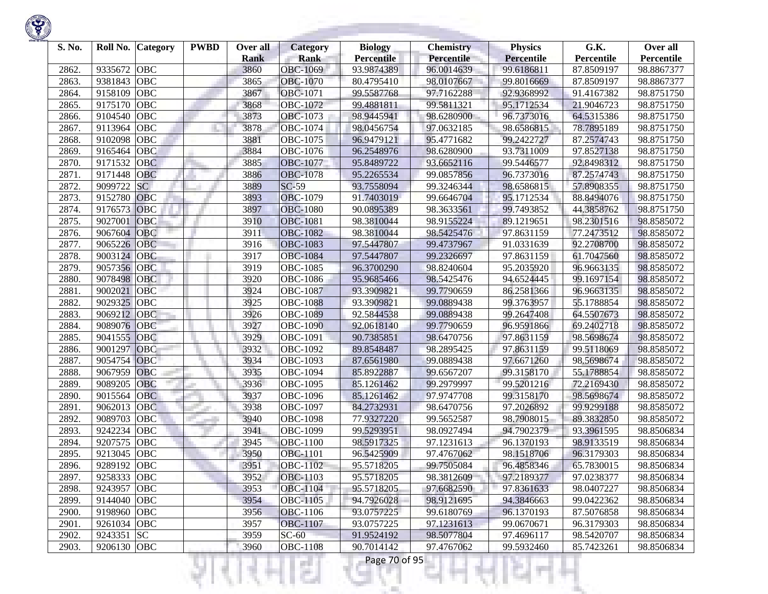| S. No. | Roll No.    | Category   | <b>PWBD</b> | Over all<br><b>Rank</b> | <b>Category</b><br><b>Rank</b> | <b>Biology</b><br><b>Percentile</b> | <b>Chemistry</b><br><b>Percentile</b> | <b>Physics</b><br>Percentile | G.K.<br>Percentile | Over all<br>Percentile |
|--------|-------------|------------|-------------|-------------------------|--------------------------------|-------------------------------------|---------------------------------------|------------------------------|--------------------|------------------------|
| 2862.  | 9335672     | <b>OBC</b> |             | 3860                    | OBC-1069                       | 93.9874389                          | 96.0014639                            | 99.6186811                   | 87.8509197         | 98.8867377             |
| 2863.  | 9381843     | <b>OBC</b> |             | 3865                    | <b>OBC-1070</b>                | 80.4795410                          | 98.0107667                            | 99.8016669                   | 87.8509197         | 98.8867377             |
| 2864.  | 9158109     | <b>OBC</b> |             | 3867                    | <b>OBC-1071</b>                | 99.5587768                          | 97.7162288                            | 92.9368992                   | 91.4167382         | 98.8751750             |
| 2865.  | 9175170     | <b>OBC</b> |             | 3868                    | OBC-1072                       | 99.4881811                          | 99.5811321                            | 95.1712534                   | 21.9046723         | 98.8751750             |
| 2866.  | 9104540     | <b>OBC</b> |             | 3873                    | OBC-1073                       | 98.9445941                          | 98.6280900                            | 96.7373016                   | 64.5315386         | 98.8751750             |
| 2867   | 9113964     | OBC        |             | 3878                    | OBC-1074                       | 98.0456754                          | 97.0632185                            | 98.6586815                   | 78.7895189         | 98.8751750             |
| 2868.  | 9102098     | OBC        |             | 3881                    | OBC-1075                       | 96.9479121                          | 95.4771682                            | 99.2422727                   | 87.2574743         | 98.8751750             |
| 2869   | 9165464     | OBC        |             | 3884                    | OBC-1076                       | 96.2548976                          | 98.6280900                            | 93.7311009                   | 97.8527138         | 98.8751750             |
| 2870.  | 9171532     | <b>OBC</b> |             | 3885                    | OBC-1077                       | 95.8489722                          | 93.6652116                            | 99.5446577                   | 92.8498312         | 98.8751750             |
| 2871.  | 9171448     | OBC        |             | 3886                    | <b>OBC-1078</b>                | 95.2265534                          | 99.0857856                            | 96.7373016                   | 87.2574743         | 98.8751750             |
| 2872.  | 9099722     | <b>SC</b>  |             | 3889                    | $SC-59$                        | 93.7558094                          | 99.3246344                            | 98.6586815                   | 57.8908355         | 98.8751750             |
| 2873.  | 9152780     | <b>OBC</b> |             | 3893                    | <b>OBC-1079</b>                | 91.7403019                          | 99.6646704                            | 95.1712534                   | 88.8494076         | 98.8751750             |
| 2874.  | 9176573     | OBC        |             | 3897                    | <b>OBC-1080</b>                | 90.0895389                          | 98.3633561                            | 99.7493852                   | 44.3858762         | 98.8751750             |
| 2875.  | 9027001     | OBC        |             | 3910                    | <b>OBC-1081</b>                | 98.3810044                          | 98.9155224                            | 89.1219651                   | 98.2301516         | 98.8585072             |
| 2876.  | 9067604     | <b>OBC</b> |             | 3911                    | <b>OBC-1082</b>                | 98.3810044                          | 98.5425476                            | 97.8631159                   | 77.2473512         | 98.8585072             |
| 2877.  | 9065226     | <b>OBC</b> |             | 3916                    | <b>OBC-1083</b>                | 97.5447807                          | 99.4737967                            | 91.0331639                   | 92.2708700         | 98.8585072             |
| 2878.  | 9003124     | OBC        |             | 3917                    | <b>OBC-1084</b>                | 97.5447807                          | 99.2326697                            | 97.8631159                   | 61.7047560         | 98.8585072             |
| 2879.  | 9057356     | <b>OBC</b> |             | 3919                    | <b>OBC-1085</b>                | 96.3700290                          | 98.8240604                            | 95.2035920                   | 96.9663135         | 98.8585072             |
| 2880   | 9078498     | OBC        |             | 3920                    | <b>OBC-1086</b>                | 95.9685466                          | 98.5425476                            | 94.6524445                   | 99.1697154         | 98.8585072             |
| 2881   | 9002021     | <b>OBC</b> |             | 3924                    | <b>OBC-1087</b>                | 93.3909821                          | 99.7790659                            | 86.2581366                   | 96.9663135         | 98.8585072             |
| 2882   | 9029325     | OBC        |             | 3925                    | <b>OBC-1088</b>                | 93.3909821                          | 99.0889438                            | 99.3763957                   | 55.1788854         | 98.8585072             |
| 2883.  | 9069212     | <b>OBC</b> |             | 3926                    | <b>OBC-1089</b>                | 92.5844538                          | 99.0889438                            | 99.2647408                   | 64.5507673         | 98.8585072             |
| 2884   | 9089076     | OBC        |             | 3927                    | <b>OBC-1090</b>                | 92.0618140                          | 99.7790659                            | 96.9591866                   | 69.2402718         | 98.8585072             |
| 2885.  | 9041555     | <b>OBC</b> |             | 3929                    | OBC-1091                       | 90.7385851                          | 98.6470756                            | 97.8631159                   | 98.5698674         | 98.8585072             |
| 2886.  | 9001297     | OBC        |             | 3932                    | OBC-1092                       | 89.8548487                          | 98.2895425                            | 97.8631159                   | 99.5118069         | 98.8585072             |
| 2887   | 9054754     | <b>OBC</b> |             | 3934                    | OBC-1093                       | 87.6561980                          | 99.0889438                            | 97.6671260                   | 98.5698674         | 98.8585072             |
| 2888.  | 9067959     | <b>OBC</b> |             | 3935                    | <b>OBC-1094</b>                | 85.8922887                          | 99.6567207                            | 99.3158170                   | 55.1788854         | 98.8585072             |
| 2889.  | 9089205     | OBC        |             | 3936                    | OBC-1095                       | 85.1261462                          | 99.2979997                            | 99.5201216                   | 72.2169430         | 98.8585072             |
| 2890.  | 9015564     | <b>OBC</b> |             | 3937                    | OBC-1096                       | 85.1261462                          | 97.9747708                            | 99.3158170                   | 98.5698674         | 98.8585072             |
| 2891.  | 9062013     | <b>OBC</b> |             | 3938                    | OBC-1097                       | 84.2732931                          | 98.6470756                            | 97.2026892                   | 99.9299188         | 98.8585072             |
| 2892.  | 9089703     | OBC        |             | 3940                    | <b>OBC-1098</b>                | 77.9327220                          | 99.5652587                            | 98.7908015                   | 89.3832850         | 98.8585072             |
| 2893.  | 9242234     | <b>OBC</b> |             | 3941                    | OBC-1099                       | 99.5293951                          | 98.0927494                            | 94.7902379                   | 93.3961595         | 98.8506834             |
| 2894.  | 9207575     | <b>OBC</b> |             | 3945                    | <b>OBC-1100</b>                | 98.5917325                          | 97.1231613                            | 96.1370193                   | 98.9133519         | 98.8506834             |
| 2895.  | 9213045     | <b>OBC</b> |             | 3950                    | <b>OBC-1101</b>                | 96.5425909                          | 97.4767062                            | 98.1518706                   | 96.3179303         | 98.8506834             |
| 2896.  | 9289192     | <b>OBC</b> |             | 3951                    | <b>OBC-1102</b>                | 95.5718205                          | 99.7505084                            | 96.4858346                   | 65.7830015         | 98.8506834             |
| 2897.  | 9258333 OBC |            |             | 3952                    | <b>OBC-1103</b>                | 95.5718205                          | 98.3812609                            | 97.2189377                   | 97.0238377         | 98.8506834             |
| 2898.  | 9243957 OBC |            |             | 3953                    | <b>OBC-1104</b>                | 95.5718205                          | 97.6682590                            | 97.8361633                   | 98.0407227         | 98.8506834             |
| 2899.  | 9144040 OBC |            |             | 3954                    | OBC-1105                       | 94.7926028                          | 98.9121695                            | 94.3846663                   | 99.0422362         | 98.8506834             |
| 2900.  | 9198960 OBC |            |             | 3956                    | OBC-1106                       | 93.0757225                          | 99.6180769                            | 96.1370193                   | 87.5076858         | 98.8506834             |
| 2901.  | 9261034 OBC |            |             | 3957                    | <b>OBC-1107</b>                | 93.0757225                          | 97.1231613                            | 99.0670671                   | 96.3179303         | 98.8506834             |
| 2902.  | 9243351 SC  |            |             | 3959                    | $SC-60$                        | 91.9524192                          | 98.5077804                            | 97.4696117                   | 98.5420707         | 98.8506834             |
| 2903.  | 9206130 OBC |            |             | 3960                    | <b>OBC-1108</b>                | 90.7014142                          | 97.4767062                            | 99.5932460                   | 85.7423261         | 98.8506834             |
|        |             |            |             |                         | e.                             | Page 70 of 95                       |                                       |                              |                    |                        |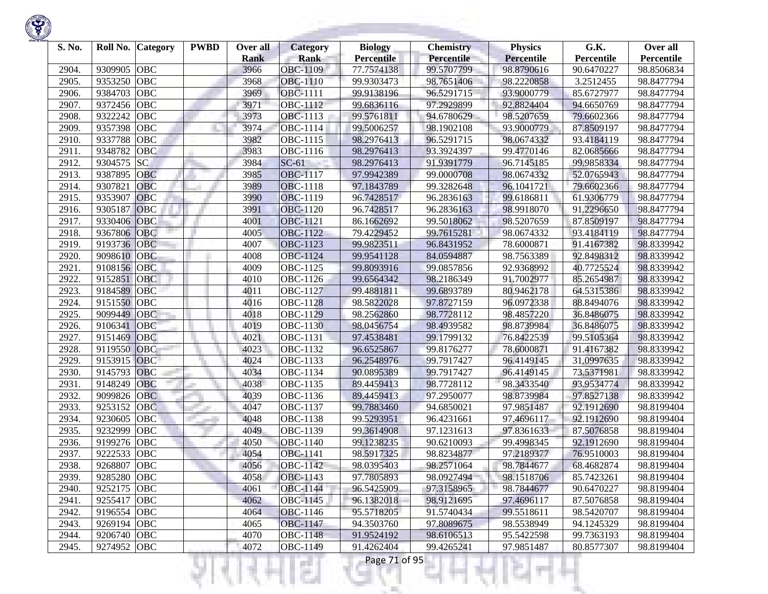| S. No. | Roll No.    | Category   | <b>PWBD</b> | Over all<br><b>Rank</b> | <b>Category</b><br><b>Rank</b> | <b>Biology</b><br><b>Percentile</b> | <b>Chemistry</b><br><b>Percentile</b> | <b>Physics</b><br>Percentile | G.K.<br>Percentile | Over all<br>Percentile |
|--------|-------------|------------|-------------|-------------------------|--------------------------------|-------------------------------------|---------------------------------------|------------------------------|--------------------|------------------------|
| 2904.  | 9309905     | <b>OBC</b> |             | 3966                    | OBC-1109                       | 77.7574138                          | 99.5707799                            | 98.8790616                   | 90.6470227         | 98.8506834             |
| 2905.  | 9353250     | <b>OBC</b> |             | 3968                    | <b>OBC-1110</b>                | 99.9303473                          | 98.7651406                            | 98.2220858                   | 3.2512455          | 98.8477794             |
| 2906.  | 9384703     | <b>OBC</b> |             | 3969                    | <b>OBC-1111</b>                | 99.9138196                          | 96.5291715                            | 93.9000779                   | 85.6727977         | 98.8477794             |
| 2907.  | 9372456     | <b>OBC</b> |             | 3971                    | OBC-1112                       | 99.6836116                          | 97.2929899                            | 92.8824404                   | 94.6650769         | 98.8477794             |
| 2908.  | 9322242     | <b>OBC</b> |             | 3973                    | OBC-1113                       | 99.5761811                          | 94.6780629                            | 98.5207659                   | 79.6602366         | 98.8477794             |
| 2909.  | 9357398     | <b>OBC</b> |             | 3974                    | OBC-1114                       | 99.5006257                          | 98.1902108                            | 93.9000779                   | 87.8509197         | 98.8477794             |
| 2910.  | 9337788     | <b>OBC</b> |             | 3982                    | OBC-1115                       | 98.2976413                          | 96.5291715                            | 98.0674332                   | 93.4184119         | 98.8477794             |
| 2911.  | 9348782     | OBC        |             | 3983                    | OBC-1116                       | 98.2976413                          | 93.3924397                            | 99.4770146                   | 82.0685666         | 98.8477794             |
| 2912.  | 9304575     | <b>SC</b>  |             | 3984                    | $SC-61$                        | 98.2976413                          | 91.9391779                            | 96.7145185                   | 99.9858334         | 98.8477794             |
| 2913.  | 9387895     | OBC        |             | 3985                    | <b>OBC-1117</b>                | 97.9942389                          | 99.0000708                            | 98.0674332                   | 52.0765943         | 98.8477794             |
| 2914.  | 9307821     | <b>OBC</b> |             | 3989                    | <b>OBC-1118</b>                | 97.1843789                          | 99.3282648                            | 96.1041721                   | 79.6602366         | 98.8477794             |
| 2915.  | 9353907     | <b>OBC</b> |             | 3990                    | OBC-1119                       | 96.7428517                          | 96.2836163                            | 99.6186811                   | 61.9306779         | 98.8477794             |
| 2916.  | 9305187     | OBC        |             | 3991                    | <b>OBC-1120</b>                | 96.7428517                          | 96.2836163                            | 98.9918070                   | 91.2296650         | 98.8477794             |
| 2917.  | 9330406     | OBC        |             | 4001                    | OBC-1121                       | 86.1662692                          | 99.5018062                            | 98.5207659                   | 87.8509197         | 98.8477794             |
| 2918.  | 9367806     | OBC        |             | 4005                    | <b>OBC-1122</b>                | 79.4229452                          | 99.7615281                            | 98.0674332                   | 93.4184119         | 98.8477794             |
| 2919.  | 9193736     | <b>OBC</b> |             | 4007                    | OBC-1123                       | 99.9823511                          | 96.8431952                            | 78.6000871                   | 91.4167382         | 98.8339942             |
| 2920.  | 9098610     | OBC        |             | 4008                    | <b>OBC-1124</b>                | 99.9541128                          | 84.0594887                            | 98.7563389                   | 92.8498312         | 98.8339942             |
| 2921.  | 9108156     | OBC        |             | 4009                    | OBC-1125                       | 99.8093916                          | 99.0857856                            | 92.9368992                   | 40.7725524         | 98.8339942             |
| 2922.  | 9152851     | <b>OBC</b> |             | 4010                    | OBC-1126                       | 99.6564342                          | 98.2186349                            | 91.7002977                   | 85.2654987         | 98.8339942             |
| 2923.  | 9184589     | OBC        |             | 4011                    | <b>OBC-1127</b>                | 99.4881811                          | 99.6893789                            | 80.9462178                   | 64.5315386         | 98.8339942             |
| 2924.  | 9151550     | <b>OBC</b> |             | 4016                    | <b>OBC-1128</b>                | 98.5822028                          | 97.8727159                            | 96.0972338                   | 88.8494076         | 98.8339942             |
| 2925.  | 9099449     | <b>OBC</b> |             | 4018                    | OBC-1129                       | 98.2562860                          | 98.7728112                            | 98.4857220                   | 36.8486075         | 98.8339942             |
| 2926.  | 9106341     | OBC        |             | 4019                    | <b>OBC-1130</b>                | 98.0456754                          | 98.4939582                            | 98.8739984                   | 36.8486075         | 98.8339942             |
| 2927.  | 9151469     | OBC        |             | 4021                    | OBC-1131                       | 97.4538481                          | 99.1799132                            | 76.8422539                   | 99.5105364         | 98.8339942             |
| 2928.  | 9119550     | OBC        |             | 4023                    | OBC-1132                       | 96.6525867                          | 99.8176277                            | 78.6000871                   | 91.4167382         | 98.8339942             |
| 2929.  | 9153915     | <b>OBC</b> |             | 4024                    | OBC-1133                       | 96.2548976                          | 99.7917427                            | 96.4149145                   | 31,0997635         | 98.8339942             |
| 2930.  | 9145793     | <b>OBC</b> |             | 4034                    | OBC-1134                       | 90.0895389                          | 99.7917427                            | 96.4149145                   | 73.5371981         | 98.8339942             |
| 2931.  | 9148249     | OBC        |             | 4038                    | OBC-1135                       | 89.4459413                          | 98.7728112                            | 98.3433540                   | 93.9534774         | 98.8339942             |
| 2932.  | 9099826     | <b>OBC</b> |             | 4039                    | OBC-1136                       | 89.4459413                          | 97.2950077                            | 98.8739984                   | 97.8527138         | 98.8339942             |
| 2933.  | 9253152     | <b>OBC</b> |             | 4047                    | OBC-1137                       | 99.7883460                          | 94.6850021                            | 97.9851487                   | 92.1912690         | 98.8199404             |
| 2934.  | 9230605     | OBC        |             | 4048                    | OBC-1138                       | 99.5293951                          | 96.4231661                            | 97.4696117                   | 92.1912690         | 98.8199404             |
| 2935.  | 9232999     | <b>OBC</b> |             | 4049                    | OBC-1139                       | 99.3614908                          | 97.1231613                            | 97.8361633                   | 87.5076858         | 98.8199404             |
| 2936.  | 9199276     | <b>OBC</b> |             | 4050                    | OBC-1140                       | 99.1238235                          | 90.6210093                            | 99.4998345                   | 92.1912690         | 98.8199404             |
| 2937.  | 9222533     | <b>OBC</b> |             | 4054                    | OBC-1141                       | 98.5917325                          | 98.8234877                            | 97.2189377                   | 76.9510003         | 98.8199404             |
| 2938.  | 9268807     | <b>OBC</b> |             | 4056                    | <b>OBC-1142</b>                | 98.0395403                          | 98.2571064                            | 98.7844677                   | 68.4682874         | 98.8199404             |
| 2939.  | 9285280 OBC |            |             | 4058                    | OBC-1143                       | 97.7805893                          | 98.0927494                            | 98.1518706                   | 85.7423261         | 98.8199404             |
| 2940.  | 9252175 OBC |            |             | 4061                    | <b>OBC-1144</b>                | 96.5425909                          | 97.3158965                            | 98.7844677                   | 90.6470227         | 98.8199404             |
| 2941.  | 9255417 OBC |            |             | 4062                    | OBC-1145                       | 96.1382018                          | 98.9121695                            | 97.4696117                   | 87.5076858         | 98.8199404             |
| 2942.  | 9196554 OBC |            |             | 4064                    | OBC-1146                       | 95.5718205                          | 91.5740434                            | 99.5518611                   | 98.5420707         | 98.8199404             |
| 2943.  | 9269194 OBC |            |             | 4065                    | OBC-1147                       | 94.3503760                          | 97.8089675                            | 98.5538949                   | 94.1245329         | 98.8199404             |
| 2944.  | 9206740 OBC |            |             | 4070                    | <b>OBC-1148</b>                | 91.9524192                          | 98.6106513                            | 95.5422598                   | 99.7363193         | 98.8199404             |
| 2945.  | 9274952 OBC |            |             | 4072                    | <b>OBC-1149</b>                | 91.4262404                          | 99.4265241                            | 97.9851487                   | 80.8577307         | 98.8199404             |
|        |             |            |             |                         | a a<br>e.                      | Page 71 of 95                       |                                       |                              |                    |                        |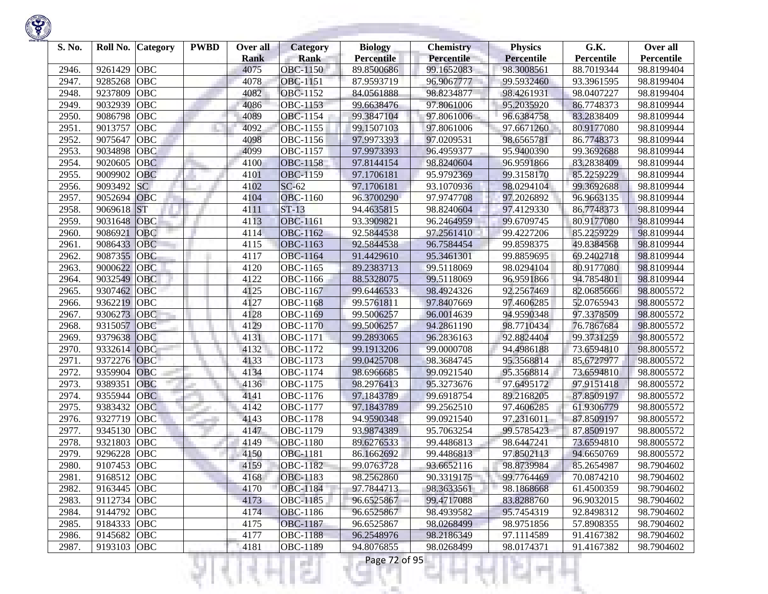| S. No. | Roll No.    | Category   | <b>PWBD</b> | Over all<br><b>Rank</b> | Category<br><b>Rank</b> | <b>Biology</b><br><b>Percentile</b> | <b>Chemistry</b><br><b>Percentile</b> | <b>Physics</b><br>Percentile | G.K.<br>Percentile | Over all<br>Percentile |
|--------|-------------|------------|-------------|-------------------------|-------------------------|-------------------------------------|---------------------------------------|------------------------------|--------------------|------------------------|
| 2946.  | 9261429     | <b>OBC</b> |             | 4075                    | OBC-1150                | 89.8500686                          | 99.1652083                            | 98.3008561                   | 88.7019344         | 98.8199404             |
| 2947.  | 9285268     | <b>OBC</b> |             | 4078                    | OBC-1151                | 87.9593719                          | 96.9067777                            | 99.5932460                   | 93.3961595         | 98.8199404             |
| 2948.  | 9237809     | <b>OBC</b> |             | 4082                    | <b>OBC-1152</b>         | 84.0561888                          | 98.8234877                            | 98.4261931                   | 98.0407227         | 98.8199404             |
| 2949.  | 9032939     | <b>OBC</b> |             | 4086                    | <b>OBC-1153</b>         | 99.6638476                          | 97.8061006                            | 95.2035920                   | 86.7748373         | 98.8109944             |
| 2950.  | 9086798     | <b>OBC</b> |             | 4089                    | OBC-1154                | 99.3847104                          | 97.8061006                            | 96.6384758                   | 83.2838409         | 98.8109944             |
| 2951.  | 9013757     | <b>OBC</b> |             | 4092                    | OBC-1155                | 99.1507103                          | 97.8061006                            | 97.6671260                   | 80.9177080         | 98.8109944             |
| 2952.  | 9075647     | OBC        |             | 4098                    | OBC-1156                | 97.9973393                          | 97.0209531                            | 98.6565781                   | 86.7748373         | 98.8109944             |
| 2953.  | 9034898     | OBC        |             | 4099                    | OBC-1157                | 97.9973393                          | 96.4959377                            | 95.9400390                   | 99.3692688         | 98.8109944             |
| 2954.  | 9020605     | <b>OBC</b> |             | 4100                    | <b>OBC-1158</b>         | 97.8144154                          | 98.8240604                            | 96.9591866                   | 83.2838409         | 98.8109944             |
| 2955.  | 9009902     | OBC        |             | 4101                    | <b>OBC-1159</b>         | 97.1706181                          | 95.9792369                            | 99.3158170                   | 85.2259229         | 98.8109944             |
| 2956.  | 9093492     | <b>SC</b>  |             | 4102                    | $SC-62$                 | 97.1706181                          | 93.1070936                            | 98.0294104                   | 99.3692688         | 98.8109944             |
| 2957.  | 9052694     | OBC        |             | 4104                    | OBC-1160                | 96.3700290                          | 97.9747708                            | 97.2026892                   | 96.9663135         | 98.8109944             |
| 2958.  | 9069618     | <b>ST</b>  |             | 4111                    | $ST-13$                 | 94.4635815                          | 98.8240604                            | 97.4129330                   | 86.7748373         | 98.8109944             |
| 2959.  | 9031648     | OBC        |             | 4113                    | <b>OBC-1161</b>         | 93.3909821                          | 96.2464959                            | 99.6709745                   | 80.9177080         | 98.8109944             |
| 2960.  | 9086921     | OBC        |             | 4114                    | OBC-1162                | 92.5844538                          | 97.2561410                            | 99.4227206                   | 85.2259229         | 98.8109944             |
| 2961.  | 9086433     | <b>OBC</b> |             | 4115                    | OBC-1163                | 92.5844538                          | 96.7584454                            | 99.8598375                   | 49.8384568         | 98.8109944             |
| 2962.  | 9087355     | OBC        |             | 4117                    | <b>OBC-1164</b>         | 91.4429610                          | 95.3461301                            | 99.8859695                   | 69.2402718         | 98.8109944             |
| 2963.  | 9000622     | <b>OBC</b> |             | 4120                    | OBC-1165                | 89.2383713                          | 99.5118069                            | 98.0294104                   | 80.9177080         | 98.8109944             |
| 2964.  | 9032549     | <b>OBC</b> |             | 4122                    | OBC-1166                | 88.5328075                          | 99.5118069                            | 96.9591866                   | 94.7854801         | 98.8109944             |
| 2965.  | 9307462     | <b>OBC</b> |             | 4125                    | OBC-1167                | 99.6446533                          | 98.4924326                            | 92.2567469                   | 82.0685666         | 98.8005572             |
| 2966.  | 9362219     | OBC        |             | 4127                    | <b>OBC-1168</b>         | 99.5761811                          | 97.8407669                            | 97.4606285                   | 52.0765943         | 98.8005572             |
| 2967.  | 9306273     | <b>OBC</b> |             | 4128                    | OBC-1169                | 99.5006257                          | 96.0014639                            | 94.9590348                   | 97.3378509         | 98.8005572             |
| 2968.  | 9315057     | OBC        |             | 4129                    | <b>OBC-1170</b>         | 99.5006257                          | 94.2861190                            | 98.7710434                   | 76.7867684         | 98.8005572             |
| 2969.  | 9379638     | OBC        |             | 4131                    | OBC-1171                | 99.2893065                          | 96.2836163                            | 92.8824404                   | 99.3731259         | 98.8005572             |
| 2970.  | 9332614     | OBC        |             | 4132                    | OBC-1172                | 99.1913206                          | 99.0000708                            | 94.4986188                   | 73.6594810         | 98.8005572             |
| 2971.  | 9372276     | <b>OBC</b> |             | 4133                    | OBC-1173                | 99.0425708                          | 98.3684745                            | 95.3568814                   | 85.6727977         | 98.8005572             |
| 2972.  | 9359904     | <b>OBC</b> |             | 4134                    | OBC-1174                | 98.6966685                          | 99.0921540                            | 95.3568814                   | 73.6594810         | 98.8005572             |
| 2973.  | 9389351     | OBC        |             | 4136                    | OBC-1175                | 98.2976413                          | 95.3273676                            | 97.6495172                   | 97.9151418         | 98.8005572             |
| 2974.  | 9355944     | <b>OBC</b> |             | 4141                    | OBC-1176                | 97.1843789                          | 99.6918754                            | 89.2168205                   | 87.8509197         | 98.8005572             |
| 2975.  | 9383432     | <b>OBC</b> |             | 4142                    | OBC-1177                | 97.1843789                          | 99.2562510                            | 97.4606285                   | 61.9306779         | 98.8005572             |
| 2976.  | 9327719     | OBC        |             | 4143                    | OBC-1178                | 94.9590348                          | 99.0921540                            | 97.2316011                   | 87.8509197         | 98.8005572             |
| 2977.  | 9345130     | <b>OBC</b> |             | 4147                    | OBC-1179                | 93.9874389                          | 95.7063254                            | 99.5785423                   | 87.8509197         | 98.8005572             |
| 2978.  | 9321803     | <b>OBC</b> |             | 4149                    | OBC-1180                | 89.6276533                          | 99.4486813                            | 98.6447241                   | 73.6594810         | 98.8005572             |
| 2979.  | 9296228     | <b>OBC</b> |             | 4150                    | <b>OBC-1181</b>         | 86.1662692                          | 99.4486813                            | 97.8502113                   | 94.6650769         | 98.8005572             |
| 2980.  | 9107453     | <b>OBC</b> |             | 4159                    | <b>OBC-1182</b>         | 99.0763728                          | 93.6652116                            | 98.8739984                   | 85.2654987         | 98.7904602             |
| 2981.  | 9168512 OBC |            |             | 4168                    | OBC-1183                | 98.2562860                          | 90.3319175                            | 99.7764469                   | 70.0874210         | 98.7904602             |
| 2982.  | 9163445 OBC |            |             | 4170                    | <b>OBC-1184</b>         | 97.7844713                          | 98.3633561                            | 98.1868668                   | 61.4500359         | 98.7904602             |
| 2983.  | 9112734 OBC |            |             | 4173                    | OBC-1185                | 96.6525867                          | 99.4717088                            | 83.8288760                   | 96.9032015         | 98.7904602             |
| 2984.  | 9144792 OBC |            |             | 4174                    | OBC-1186                | 96.6525867                          | 98.4939582                            | 95.7454319                   | 92.8498312         | 98.7904602             |
| 2985.  | 9184333 OBC |            |             | 4175                    | <b>OBC-1187</b>         | 96.6525867                          | 98.0268499                            | 98.9751856                   | 57.8908355         | 98.7904602             |
| 2986.  | 9145682 OBC |            |             | 4177                    | <b>OBC-1188</b>         | 96.2548976                          | 98.2186349                            | 97.1114589                   | 91.4167382         | 98.7904602             |
| 2987.  | 9193103 OBC |            |             | 4181                    | <b>OBC-1189</b>         | 94.8076855                          | 98.0268499                            | 98.0174371                   | 91.4167382         | 98.7904602             |
|        |             |            |             |                         | m.                      | Page 72 of 95                       |                                       |                              |                    |                        |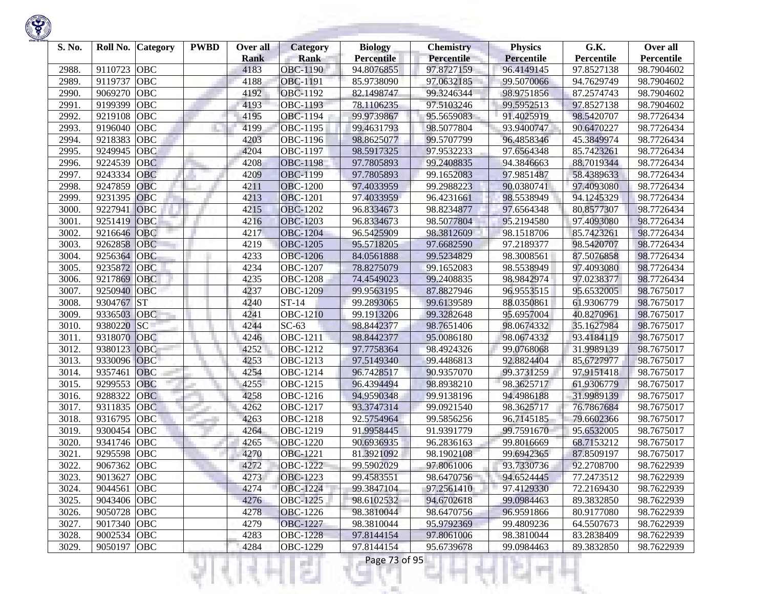| S. No. | Roll No.    | Category   | <b>PWBD</b> | Over all<br><b>Rank</b> | <b>Category</b><br><b>Rank</b> | <b>Biology</b><br><b>Percentile</b> | <b>Chemistry</b><br><b>Percentile</b> | <b>Physics</b><br>Percentile | G.K.<br>Percentile | Over all<br>Percentile |
|--------|-------------|------------|-------------|-------------------------|--------------------------------|-------------------------------------|---------------------------------------|------------------------------|--------------------|------------------------|
| 2988.  | 9110723     | <b>OBC</b> |             | 4183                    | <b>OBC-1190</b>                | 94.8076855                          | 97.8727159                            | 96.4149145                   | 97.8527138         | 98.7904602             |
| 2989.  | 9119737     | <b>OBC</b> |             | 4188                    | OBC-1191                       | 85.9738090                          | 97.0632185                            | 99.5070066                   | 94.7629749         | 98.7904602             |
| 2990.  | 9069270     | <b>OBC</b> |             | 4192                    | <b>OBC-1192</b>                | 82.1498747                          | 99.3246344                            | 98.9751856                   | 87.2574743         | 98.7904602             |
| 2991   | 9199399     | <b>OBC</b> |             | 4193                    | OBC-1193                       | 78.1106235                          | 97.5103246                            | 99.5952513                   | 97.8527138         | 98.7904602             |
| 2992.  | 9219108     | <b>OBC</b> |             | 4195                    | <b>OBC-1194</b>                | 99.9739867                          | 95.5659083                            | 91.4025919                   | 98.5420707         | 98.7726434             |
| 2993.  | 9196040     | <b>OBC</b> |             | 4199                    | OBC-1195                       | 99.4631793                          | 98.5077804                            | 93.9400747                   | 90.6470227         | 98.7726434             |
| 2994.  | 9218383     | OBC        |             | 4203                    | OBC-1196                       | 98.8625077                          | 99.5707799                            | 96.4858346                   | 45.3849974         | 98.7726434             |
| 2995.  | 9249945     | OBC        |             | 4204                    | OBC-1197                       | 98.5917325                          | 97.9532233                            | 97.6564348                   | 85.7423261         | 98.7726434             |
| 2996.  | 9224539     | <b>OBC</b> |             | 4208                    | <b>OBC-1198</b>                | 97.7805893                          | 99.2408835                            | 94.3846663                   | 88.7019344         | 98.7726434             |
| 2997.  | 9243334     | <b>OBC</b> |             | 4209                    | <b>OBC-1199</b>                | 97.7805893                          | 99.1652083                            | 97.9851487                   | 58.4389633         | 98.7726434             |
| 2998.  | 9247859     | <b>OBC</b> |             | 4211                    | <b>OBC-1200</b>                | 97.4033959                          | 99.2988223                            | 90.0380741                   | 97.4093080         | 98.7726434             |
| 2999.  | 9231395     | <b>OBC</b> |             | 4213                    | <b>OBC-1201</b>                | 97.4033959                          | 96.4231661                            | 98.5538949                   | 94.1245329         | 98.7726434             |
| 3000.  | 9227941     | OBC        |             | 4215                    | <b>OBC-1202</b>                | 96.8334673                          | 98.8234877                            | 97.6564348                   | 80.8577307         | 98.7726434             |
| 3001.  | 9251419     | OBC        |             | 4216                    | <b>OBC-1203</b>                | 96.8334673                          | 98.5077804                            | 95.2194580                   | 97.4093080         | 98.7726434             |
| 3002.  | 9216646     | OBC        |             | 4217                    | <b>OBC-1204</b>                | 96.5425909                          | 98.3812609                            | 98.1518706                   | 85.7423261         | 98.7726434             |
| 3003.  | 9262858     | <b>OBC</b> |             | 4219                    | <b>OBC-1205</b>                | 95.5718205                          | 97.6682590                            | 97.2189377                   | 98.5420707         | 98.7726434             |
| 3004.  | 9256364     | OBC        |             | 4233                    | <b>OBC-1206</b>                | 84.0561888                          | 99.5234829                            | 98.3008561                   | 87.5076858         | 98.7726434             |
| 3005.  | 9235872     | <b>OBC</b> |             | 4234                    | <b>OBC-1207</b>                | 78.8275079                          | 99.1652083                            | 98.5538949                   | 97.4093080         | 98.7726434             |
| 3006.  | 9217869     | <b>OBC</b> |             | 4235                    | <b>OBC-1208</b>                | 74.4549023                          | 99.2408835                            | 98.9842974                   | 97.0238377         | 98.7726434             |
| 3007.  | 9250940     | <b>OBC</b> |             | 4237                    | <b>OBC-1209</b>                | 99.9563195                          | 87.8827946                            | 96.9553515                   | 95.6532005         | 98.7675017             |
| 3008.  | 9304767 ST  |            |             | 4240                    | $ST-14$                        | 99.2893065                          | 99.6139589                            | 88.0350861                   | 61.9306779         | 98.7675017             |
| 3009.  | 9336503     | <b>OBC</b> |             | 4241                    | OBC-1210                       | 99.1913206                          | 99.3282648                            | 95.6957004                   | 40.8270961         | 98.7675017             |
| 3010.  | 9380220     | <b>SC</b>  |             | 4244                    | $SC-63$                        | 98.8442377                          | 98.7651406                            | 98.0674332                   | 35.1627984         | 98.7675017             |
| 3011.  | 9318070     | OBC        |             | 4246                    | OBC-1211                       | 98.8442377                          | 95.0086180                            | 98.0674332                   | 93.4184119         | 98.7675017             |
| 3012.  | 9380123     | OBC        |             | 4252                    | OBC-1212                       | 97.7758364                          | 98.4924326                            | 99.0768068                   | 31.9989139         | 98.7675017             |
| 3013.  | 9330096     | <b>OBC</b> |             | 4253                    | OBC-1213                       | 97.5149340                          | 99.4486813                            | 92.8824404                   | 85.6727977         | 98.7675017             |
| 3014.  | 9357461     | <b>OBC</b> |             | 4254                    | OBC-1214                       | 96.7428517                          | 90.9357070                            | 99.3731259                   | 97.9151418         | 98.7675017             |
| 3015.  | 9299553     | <b>OBC</b> |             | 4255                    | OBC-1215                       | 96.4394494                          | 98.8938210                            | 98.3625717                   | 61.9306779         | 98.7675017             |
| 3016.  | 9288322     | <b>OBC</b> |             | 4258                    | OBC-1216                       | 94.9590348                          | 99.9138196                            | 94.4986188                   | 31.9989139         | 98.7675017             |
| 3017.  | 9311835     | <b>OBC</b> |             | 4262                    | OBC-1217                       | 93.3747314                          | 99.0921540                            | 98.3625717                   | 76.7867684         | 98.7675017             |
| 3018.  | 9316795     | OBC        |             | 4263                    | OBC-1218                       | 92.5754964                          | 99.5856256                            | 96.7145185                   | 79.6602366         | 98.7675017             |
| 3019.  | 9300454     | <b>OBC</b> |             | 4264                    | OBC-1219                       | 91.9958445                          | 91.9391779                            | 99.7591670                   | 95.6532005         | 98.7675017             |
| 3020.  | 9341746     | <b>OBC</b> |             | 4265                    | <b>OBC-1220</b>                | 90.6936935                          | 96.2836163                            | 99.8016669                   | 68.7153212         | 98.7675017             |
| 3021.  | 9295598     | <b>OBC</b> |             | 4270                    | OBC-1221                       | 81.3921092                          | 98.1902108                            | 99.6942365                   | 87.8509197         | 98.7675017             |
| 3022.  | 9067362     | <b>OBC</b> |             | 4272                    | <b>OBC-1222</b>                | 99.5902029                          | 97.8061006                            | 93.7330736                   | 92.2708700         | 98.7622939             |
| 3023.  | 9013627 OBC |            |             | 4273                    | OBC-1223                       | 99.4583551                          | 98.6470756                            | 94.6524445                   | 77.2473512         | 98.7622939             |
| 3024.  | 9044561 OBC |            |             | 4274                    | <b>OBC-1224</b>                | 99.3847104                          | 97.2561410                            | 97.4129330                   | 72.2169430         | 98.7622939             |
| 3025.  | 9043406 OBC |            |             | 4276                    | OBC-1225                       | 98.6102532                          | 94.6702618                            | 99.0984463                   | 89.3832850         | 98.7622939             |
| 3026.  | 9050728 OBC |            |             | 4278                    | <b>OBC-1226</b>                | 98.3810044                          | 98.6470756                            | 96.9591866                   | 80.9177080         | 98.7622939             |
| 3027.  | 9017340 OBC |            |             | 4279                    | <b>OBC-1227</b>                | 98.3810044                          | 95.9792369                            | 99.4809236                   | 64.5507673         | 98.7622939             |
| 3028.  | 9002534 OBC |            |             | 4283                    | <b>OBC-1228</b>                | 97.8144154                          | 97.8061006                            | 98.3810044                   | 83.2838409         | 98.7622939             |
| 3029.  | 9050197 OBC |            |             | 4284                    | <b>OBC-1229</b>                | 97.8144154                          | 95.6739678                            | 99.0984463                   | 89.3832850         | 98.7622939             |
|        |             |            |             |                         | a a<br>e.                      | Page 73 of 95                       |                                       |                              |                    |                        |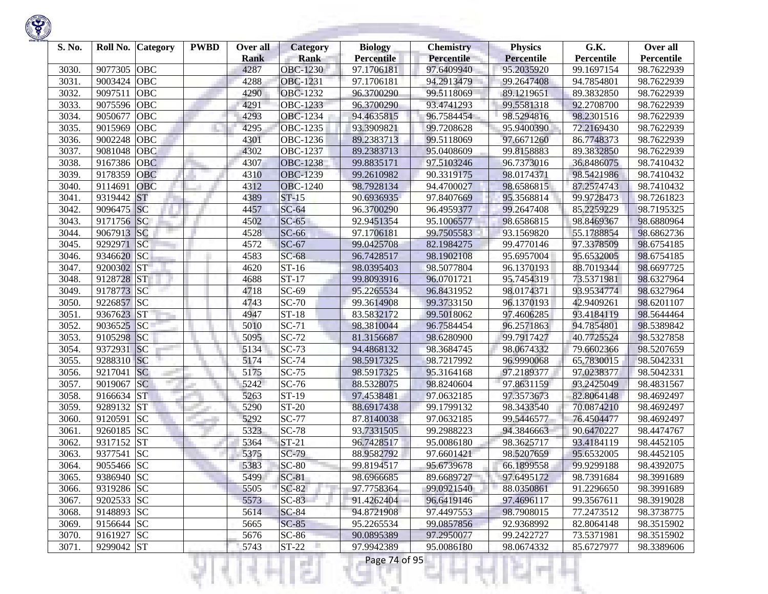| S. No. | Roll No.   | <b>Category</b> | <b>PWBD</b> | Over all    | <b>Category</b> | <b>Biology</b>    | <b>Chemistry</b> | <b>Physics</b>    | G.K.       | Over all   |
|--------|------------|-----------------|-------------|-------------|-----------------|-------------------|------------------|-------------------|------------|------------|
|        |            |                 |             | <b>Rank</b> | <b>Rank</b>     | <b>Percentile</b> | Percentile       | <b>Percentile</b> | Percentile | Percentile |
| 3030.  | 9077305    | <b>OBC</b>      |             | 4287        | <b>OBC-1230</b> | 97.1706181        | 97.6409940       | 95.2035920        | 99.1697154 | 98.7622939 |
| 3031.  | 9003424    | <b>OBC</b>      |             | 4288        | OBC-1231        | 97.1706181        | 94.2913479       | 99.2647408        | 94.7854801 | 98.7622939 |
| 3032.  | 9097511    | <b>OBC</b>      |             | 4290        | <b>OBC-1232</b> | 96.3700290        | 99.5118069       | 89.1219651        | 89.3832850 | 98.7622939 |
| 3033.  | 9075596    | <b>OBC</b>      |             | 4291        | OBC-1233        | 96.3700290        | 93.4741293       | 99.5581318        | 92.2708700 | 98.7622939 |
| 3034.  | 9050677    | <b>OBC</b>      |             | 4293        | <b>OBC-1234</b> | 94.4635815        | 96.7584454       | 98.5294816        | 98.2301516 | 98.7622939 |
| 3035.  | 9015969    | OBC             |             | 4295        | OBC-1235        | 93.3909821        | 99.7208628       | 95.9400390        | 72.2169430 | 98.7622939 |
| 3036.  | 9002248    | <b>OBC</b>      |             | 4301        | OBC-1236        | 89.2383713        | 99.5118069       | 97.6671260        | 86.7748373 | 98.7622939 |
| 3037.  | 9081048    | OBC             |             | 4302        | <b>OBC-1237</b> | 89.2383713        | 95.0408609       | 99.8158883        | 89.3832850 | 98.7622939 |
| 3038.  | 9167386    | <b>OBC</b>      |             | 4307        | <b>OBC-1238</b> | 99.8835171        | 97.5103246       | 96.7373016        | 36.8486075 | 98.7410432 |
| 3039.  | 9178359    | OBC             |             | 4310        | OBC-1239        | 99.2610982        | 90.3319175       | 98.0174371        | 98.5421986 | 98.7410432 |
| 3040.  | 9114691    | <b>OBC</b>      |             | 4312        | <b>OBC-1240</b> | 98.7928134        | 94.4700027       | 98.6586815        | 87.2574743 | 98.7410432 |
| 3041.  | 9319442    | <b>ST</b>       |             | 4389        | $ST-15$         | 90.6936935        | 97.8407669       | 95.3568814        | 99.9728473 | 98.7261823 |
| 3042.  | 9096475    | SC              |             | 4457        | $SC-64$         | 96.3700290        | 96.4959377       | 99.2647408        | 85.2259229 | 98.7195325 |
| 3043.  | 9171756 SC |                 |             | 4502        | $SC-65$         | 92.9451354        | 95.1006577       | 98.6586815        | 98.8469367 | 98.6880964 |
| 3044.  | 9067913 SC |                 |             | 4528        | $SC-66$         | 97.1706181        | 99.7505583       | 93.1569820        | 55.1788854 | 98.6862736 |
| 3045.  | 9292971    | <b>SC</b>       |             | 4572        | $SC-67$         | 99.0425708        | 82.1984275       | 99.4770146        | 97.3378509 | 98.6754185 |
| 3046.  | 9346620    | SC              |             | 4583        | $SC-68$         | 96.7428517        | 98.1902108       | 95.6957004        | 95.6532005 | 98.6754185 |
| 3047.  | 9200302    | <b>ST</b>       |             | 4620        | $ST-16$         | 98.0395403        | 98.5077804       | 96.1370193        | 88.7019344 | 98.6697725 |
| 3048.  | 9128728    | <b>ST</b>       |             | 4688        | $ST-17$         | 99.8093916        | 96.0701721       | 95.7454319        | 73.5371981 | 98.6327964 |
| 3049.  | 9178773 SC |                 |             | 4718        | $SC-69$         | 95.2265534        | 96.8431952       | 98.0174371        | 93.9534774 | 98.6327964 |
| 3050.  | 9226857 SC |                 |             | 4743        | $SC-70$         | 99.3614908        | 99.3733150       | 96.1370193        | 42.9409261 | 98.6201107 |
| 3051.  | 9367623    | <b>ST</b>       |             | 4947        | $ST-18$         | 83.5832172        | 99.5018062       | 97.4606285        | 93.4184119 | 98.5644464 |
| 3052.  | 9036525    | SC              |             | 5010        | $SC-71$         | 98.3810044        | 96.7584454       | 96.2571863        | 94.7854801 | 98.5389842 |
| 3053.  | 9105298    | SC              |             | 5095        | $SC-72$         | 81.3156687        | 98.6280900       | 99.7917427        | 40.7725524 | 98.5327858 |
| 3054.  | 9372931    | <b>SC</b>       |             | 5134        | $SC-73$         | 94.4868132        | 98.3684745       | 98.0674332        | 79.6602366 | 98.5207659 |
| 3055.  | 9288310    | SC              |             | 5174        | <b>SC-74</b>    | 98.5917325        | 98.7217992       | 96.9990068        | 65.7830015 | 98.5042331 |
| 3056.  | 9217041    | <b>SC</b>       |             | 5175        | $SC-75$         | 98.5917325        | 95.3164168       | 97.2189377        | 97.0238377 | 98.5042331 |
| 3057.  | 9019067    | <b>SC</b>       |             | 5242        | SC-76           | 88.5328075        | 98.8240604       | 97.8631159        | 93.2425049 | 98.4831567 |
| 3058.  | 9166634    | <b>ST</b>       |             | 5263        | ST-19           | 97.4538481        | 97.0632185       | 97.3573673        | 82.8064148 | 98.4692497 |
| 3059.  | 9289132    | <b>ST</b>       |             | 5290        | ST-20           | 88.6917438        | 99.1799132       | 98.3433540        | 70.0874210 | 98.4692497 |
| 3060.  | 9120591    | <b>SC</b>       |             | 5292        | <b>SC-77</b>    | 87.8140038        | 97.0632185       | 99.5446577        | 76.4504477 | 98.4692497 |
| 3061.  | 9260185    | <b>SC</b>       |             | 5323        | $SC-78$         | 93.7331505        | 99.2988223       | 94.3846663        | 90.6470227 | 98.4474767 |
| 3062.  | 9317152    | <b>ST</b>       |             | 5364        | $ST-21$         | 96.7428517        | 95.0086180       | 98.3625717        | 93.4184119 | 98.4452105 |
| 3063.  | 9377541    | <b>SC</b>       |             | 5375        | $SC-79$         | 88.9582792        | 97.6601421       | 98.5207659        | 95.6532005 | 98.4452105 |
| 3064.  | 9055466 SC |                 |             | 5383        | $SC-80$         | 99.8194517        | 95.6739678       | 66.1899558        | 99.9299188 | 98.4392075 |
| 3065.  | 9386940 SC |                 |             | 5499        | $SC-81$         | 98.6966685        | 89.6689727       | 97.6495172        | 98.7391684 | 98.3991689 |
| 3066.  | 9319286 SC |                 |             | 5505        | $SC-82$         | 97.7758364        | 99.0921540       | 88.0350861        | 91.2296650 | 98.3991689 |
| 3067.  | 9202533 SC |                 |             | 5573        | $SC-83$         | 91.4262404        | 96.6419146       | 97.4696117        | 99.3567611 | 98.3919028 |
| 3068.  | 9148893 SC |                 |             | 5614        | <b>SC-84</b>    | 94.8721908        | 97.4497553       | 98.7908015        | 77.2473512 | 98.3738775 |
| 3069.  | 9156644 SC |                 |             | 5665        | $SC-85$         | 95.2265534        | 99.0857856       | 92.9368992        | 82.8064148 | 98.3515902 |
| 3070.  | 9161927 SC |                 |             | 5676        | $SC-86$         | 90.0895389        | 97.2950077       | 99.2422727        | 73.5371981 | 98.3515902 |
| 3071.  | 9299042 ST |                 |             | 5743        | $ST-22$         | 97.9942389        | 95.0086180       | 98.0674332        | 85.6727977 | 98.3389606 |

Ħ

a.

375

ш

÷

K)

w

Ħ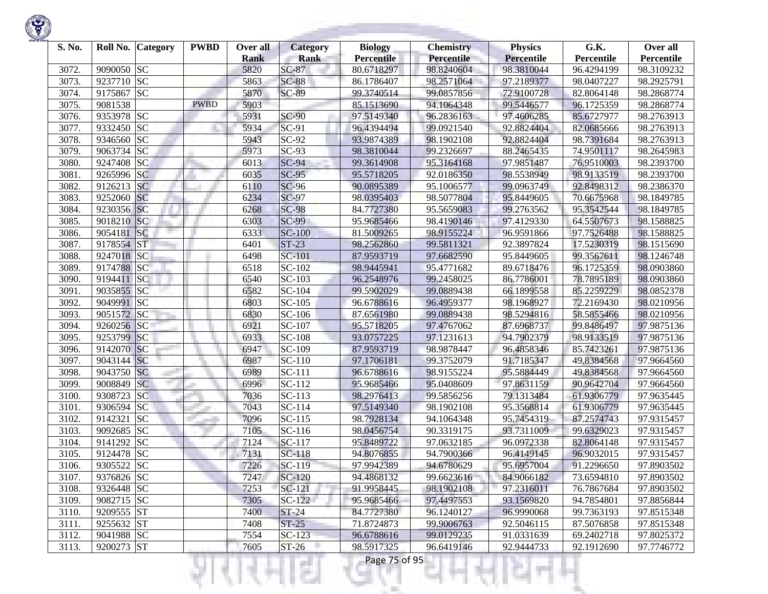

| S. No. |            | Roll No. Category | <b>PWBD</b> | Over all<br><b>Rank</b> | <b>Category</b><br><b>Rank</b> | <b>Biology</b><br><b>Percentile</b> | <b>Chemistry</b><br>Percentile | <b>Physics</b><br><b>Percentile</b> | G.K.<br>Percentile | Over all<br>Percentile |
|--------|------------|-------------------|-------------|-------------------------|--------------------------------|-------------------------------------|--------------------------------|-------------------------------------|--------------------|------------------------|
| 3072.  | 9090050 SC |                   |             | 5820                    | $SC-87$                        | 80.6718297                          | 98.8240604                     | 98.3810044                          | 96.4294199         | 98.3109232             |
| 3073.  | 9237710 SC |                   |             | 5863                    | <b>SC-88</b>                   | 86.1786407                          | 98.2571064                     | 97.2189377                          | 98.0407227         | 98.2925791             |
| 3074.  | 9175867    | <b>SC</b>         |             | 5870                    | <b>SC-89</b>                   | 99.3740514                          | 99.0857856                     | 72.9100728                          | 82.8064148         | 98.2868774             |
| 3075.  | 9081538    |                   | <b>PWBD</b> | 5903                    |                                | 85.1513690                          | 94.1064348                     | 99.5446577                          | 96.1725359         | 98.2868774             |
| 3076.  | 9353978 SC |                   |             | 5931                    | <b>SC-90</b>                   | 97.5149340                          | 96.2836163                     | 97.4606285                          | 85.6727977         | 98.2763913             |
| 3077.  | 9332450 SC |                   |             | 5934                    | SC-91                          | 96.4394494                          | 99.0921540                     | 92.8824404                          | 82.0685666         | 98.2763913             |
| 3078.  | 9346560 SC |                   |             | 5943                    | $SC-92$                        | 93.9874389                          | 98.1902108                     | 92.8824404                          | 98.7391684         | 98.2763913             |
| 3079.  | 9063734 SC |                   |             | 5973                    | $SC-93$                        | 98.3810044                          | 99.2326697                     | 88.2465435                          | 74.9501117         | 98.2645983             |
| 3080.  | 9247408    | <b>SC</b>         |             | 6013                    | $SC-94$                        | 99.3614908                          | 95.3164168                     | 97.9851487                          | 76.9510003         | 98.2393700             |
| 3081.  | 9265996 SC |                   |             | 6035                    | $SC-95$                        | 95.5718205                          | 92.0186350                     | 98.5538949                          | 98.9133519         | 98.2393700             |
| 3082.  | 9126213 SC |                   |             | 6110                    | <b>SC-96</b>                   | 90.0895389                          | 95.1006577                     | 99.0963749                          | 92.8498312         | 98.2386370             |
| 3083.  | 9252060 SC |                   |             | 6234                    | $SC-97$                        | 98.0395403                          | 98.5077804                     | 95.8449605                          | 70.6675968         | 98.1849785             |
| 3084.  | 9230356 SC |                   |             | 6268                    | <b>SC-98</b>                   | 84.7727380                          | 95.5659083                     | 99.2763562                          | 95.3542544         | 98.1849785             |
| 3085.  | 9018210 SC |                   |             | 6303                    | <b>SC-99</b>                   | 95.9685466                          | 98.4190146                     | 97.4129330                          | 64.5507673         | 98.1588825             |
| 3086.  | 9054181    | SC                |             | 6333                    | <b>SC-100</b>                  | 81.5009265                          | 98.9155224                     | 96.9591866                          | 97.7526488         | 98.1588825             |
| 3087.  | 9178554    | <b>ST</b>         |             | 6401                    | $ST-23$                        | 98.2562860                          | 99.5811321                     | 92.3897824                          | 17.5230319         | 98.1515690             |
| 3088.  | 9247018 SC |                   |             | 6498                    | <b>SC-101</b>                  | 87.9593719                          | 97.6682590                     | 95.8449605                          | 99.3567611         | 98.1246748             |
| 3089.  | 9174788    | <b>SC</b>         |             | 6518                    | SC-102                         | 98.9445941                          | 95.4771682                     | 89.6718476                          | 96.1725359         | 98.0903860             |
| 3090.  | 9194411 SC |                   |             | 6540                    | SC-103                         | 96.2548976                          | 99.2458025                     | 86.7786001                          | 78.7895189         | 98.0903860             |
| 3091.  | 9035855 SC |                   |             | 6582                    | $SC-104$                       | 99.5902029                          | 99.0889438                     | 66.1899558                          | 85.2259229         | 98.0852378             |
| 3092.  | 9049991 SC |                   |             | 6803                    | SC-105                         | 96.6788616                          | 96.4959377                     | 98.1968927                          | 72.2169430         | 98.0210956             |
| 3093.  | 9051572 SC |                   |             | 6830                    | SC-106                         | 87.6561980                          | 99.0889438                     | 98.5294816                          | 58.5855466         | 98.0210956             |
| 3094.  | 9260256    | SC                |             | 6921                    | SC-107                         | 95.5718205                          | 97.4767062                     | 87.6968737                          | 99.8486497         | 97.9875136             |
| 3095.  | 9253799    | SC                |             | 6933                    | <b>SC-108</b>                  | 93.0757225                          | 97.1231613                     | 94.7902379                          | 98.9133519         | 97.9875136             |
| 3096.  | 9142070 SC |                   |             | 6947                    | SC-109                         | 87.9593719                          | 98.9878447                     | 96.4858346                          | 85.7423261         | 97.9875136             |
| 3097.  | 9043144 SC |                   |             | 6987                    | SC-110                         | 97.1706181                          | 99.3752079                     | 91.7185347                          | 49.8384568         | 97.9664560             |
| 3098.  | 9043750 SC |                   |             | 6989                    | SC-111                         | 96.6788616                          | 98.9155224                     | 95.5884449                          | 49.8384568         | 97.9664560             |
| 3099.  | 9008849 SC |                   |             | 6996                    | SC-112                         | 95.9685466                          | 95.0408609                     | 97.8631159                          | 90.9642704         | 97.9664560             |
| 3100.  | 9308723 SC |                   |             | 7036                    | $SC-113$                       | 98.2976413                          | 99.5856256                     | 79.1313484                          | 61.9306779         | 97.9635445             |
| 3101.  | 9306594 SC |                   |             | 7043                    | SC-114                         | 97.5149340                          | 98.1902108                     | 95.3568814                          | 61.9306779         | 97.9635445             |
| 3102.  | 9142321    | <b>SC</b>         |             | 7096                    | SC-115                         | 98.7928134                          | 94.1064348                     | 95.7454319                          | 87.2574743         | 97.9315457             |
| 3103.  | 9092685    | <b>SC</b>         |             | 7105                    | SC-116                         | 98.0456754                          | 90.3319175                     | 93.7311009                          | 99.6329023         | 97.9315457             |
| 3104.  | 9141292    | <b>SC</b>         |             | 7124                    | $SC-117$                       | 95.8489722                          | 97.0632185                     | 96.0972338                          | 82.8064148         | 97.9315457             |
| 3105.  | 9124478 SC |                   |             | 7131                    | $SC-118$                       | 94.8076855                          | 94.7900366                     | 96.4149145                          | 96.9032015         | 97.9315457             |
| 3106.  | 9305522    | <b>SC</b>         |             | 7226                    | SC-119                         | 97.9942389                          | 94.6780629                     | 95.6957004                          | 91.2296650         | 97.8903502             |
| 3107.  | 9376826 SC |                   |             | 7247                    | SC-120                         | 94.4868132                          | 99.6623616                     | 84.9066182                          | 73.6594810         | 97.8903502             |
| 3108.  | 9326448 SC |                   |             | 7253                    | SC-121                         | 91.9958445                          | 98.1902108                     | 97.2316011                          | 76.7867684         | 97.8903502             |
| 3109.  | 9082715 SC |                   |             | 7305                    | $SC-122$                       | 95.9685466                          | 97.4497553                     | 93.1569820                          | 94.7854801         | 97.8856844             |
| 3110.  | 9209555 ST |                   |             | 7400                    | <b>ST-24</b>                   | 84.7727380                          | 96.1240127                     | 96.9990068                          | 99.7363193         | 97.8515348             |
| 3111.  | 9255632 ST |                   |             | 7408                    | $ST-25$                        | 71.8724873                          | 99.9006763                     | 92.5046115                          | 87.5076858         | 97.8515348             |
| 3112.  | 9041988 SC |                   |             | 7554                    | $SC-123$                       | 96.6788616                          | 99.0129235                     | 91.0331639                          | 69.2402718         | 97.8025372             |
| 3113.  | 9200273 ST |                   |             | 7605                    | $ST-26$                        | 98.5917325                          | 96.6419146                     | 92.9444733                          | 92.1912690         | 97.7746772             |
|        |            |                   |             |                         | and the                        | Page 75 of 95                       |                                |                                     |                    |                        |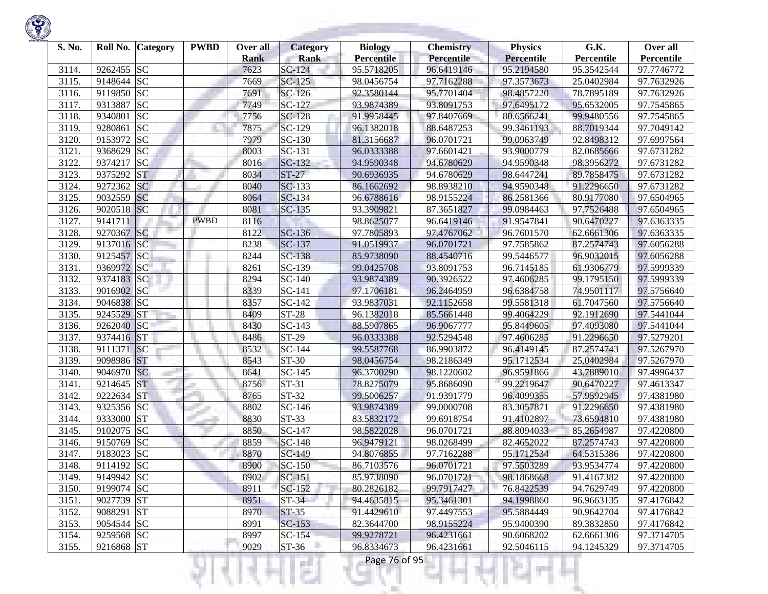

| S. No. | Roll No. Category    | <b>PWBD</b> | Over all<br><b>Rank</b> | <b>Category</b><br><b>Rank</b> | <b>Biology</b><br><b>Percentile</b> | <b>Chemistry</b><br>Percentile | <b>Physics</b><br><b>Percentile</b> | G.K.<br>Percentile | Over all<br>Percentile |
|--------|----------------------|-------------|-------------------------|--------------------------------|-------------------------------------|--------------------------------|-------------------------------------|--------------------|------------------------|
| 3114.  | 9262455 SC           |             | 7623                    | SC-124                         | 95.5718205                          | 96.6419146                     | 95.2194580                          | 95.3542544         | 97.7746772             |
| 3115.  | 9148644 SC           |             | 7669                    | $SC-125$                       | 98.0456754                          | 97.7162288                     | 97.3573673                          | 25.0402984         | 97.7632926             |
| 3116.  | 9119850 SC           |             | 7691                    | SC-126                         | 92.3580144                          | 95.7701404                     | 98.4857220                          | 78.7895189         | 97.7632926             |
| 3117.  | 9313887<br><b>SC</b> |             | 7749                    | SC-127                         | 93.9874389                          | 93.8091753                     | 97.6495172                          | 95.6532005         | 97.7545865             |
| 3118.  | <b>SC</b><br>9340801 |             | 7756                    | SC-128                         | 91.9958445                          | 97.8407669                     | 80.6566241                          | 99.9480556         | 97.7545865             |
| 3119.  | 9280861<br><b>SC</b> |             | 7875                    | SC-129                         | 96.1382018                          | 88.6487253                     | 99.3461193                          | 88.7019344         | 97.7049142             |
| 3120.  | <b>SC</b><br>9153972 |             | 7979                    | SC-130                         | 81.3156687                          | 96.0701721                     | 99.0963749                          | 92.8498312         | 97.6997564             |
| 3121.  | <b>SC</b><br>9368629 |             | 8003                    | SC-131                         | 96.0333388                          | 97.6601421                     | 93.9000779                          | 82.0685666         | 97.6731282             |
| 3122.  | <b>SC</b><br>9374217 |             | 8016                    | SC-132                         | 94.9590348                          | 94.6780629                     | 94.9590348                          | 98.3956272         | 97.6731282             |
| 3123.  | 9375292<br><b>ST</b> |             | 8034                    | $ST-27$                        | 90.6936935                          | 94.6780629                     | 98.6447241                          | 89.7858475         | 97.6731282             |
| 3124.  | 9272362<br><b>SC</b> |             | 8040                    | SC-133                         | 86.1662692                          | 98.8938210                     | 94.9590348                          | 91.2296650         | 97.6731282             |
| 3125.  | 9032559<br><b>SC</b> |             | 8064                    | SC-134                         | 96.6788616                          | 98.9155224                     | 86.2581366                          | 80.9177080         | 97.6504965             |
| 3126.  | 9020518 SC           |             | 8081                    | SC-135                         | 93.3909821                          | 87.3651827                     | 99.0984463                          | 97.7526488         | 97.6504965             |
| 3127.  | 9141711              | <b>PWBD</b> | 8116                    |                                | 98.8625077                          | 96.6419146                     | 91.9547841                          | 90.6470227         | 97.6363335             |
| 3128.  | SC<br>9270367        |             | 8122                    | SC-136                         | 97.7805893                          | 97.4767062                     | 96.7601570                          | 62.6661306         | 97.6363335             |
| 3129.  | 9137016 SC           |             | 8238                    | SC-137                         | 91.0519937                          | 96.0701721                     | 97.7585862                          | 87.2574743         | 97.6056288             |
| 3130.  | 9125457 SC           |             | 8244                    | <b>SC-138</b>                  | 85.9738090                          | 88.4540716                     | 99.5446577                          | 96.9032015         | 97.6056288             |
| 3131.  | 9369972 SC           |             | 8261                    | SC-139                         | 99.0425708                          | 93.8091753                     | 96.7145185                          | 61.9306779         | 97.5999339             |
| 3132.  | 9374183 SC           |             | 8294                    | SC-140                         | 93.9874389                          | 90.3926522                     | 97.4606285                          | 99.1795150         | 97.5999339             |
| 3133.  | 9016902 SC           |             | 8339                    | SC-141                         | 97.1706181                          | 96.2464959                     | 96.6384758                          | 74.9501117         | 97.5756640             |
| 3134.  | 9046838 SC           |             | 8357                    | SC-142                         | 93.9837031                          | 92.1152658                     | 99.5581318                          | 61.7047560         | 97.5756640             |
| 3135.  | <b>ST</b><br>9245529 |             | 8409                    | <b>ST-28</b>                   | 96.1382018                          | 85.5661448                     | 99.4064229                          | 92.1912690         | 97.5441044             |
| 3136.  | 9262040<br> SC       |             | 8430                    | SC-143                         | 88.5907865                          | 96.9067777                     | 95.8449605                          | 97.4093080         | 97.5441044             |
| 3137.  | 9374416 ST           |             | 8486                    | ST-29                          | 96.0333388                          | 92.5294548                     | 97.4606285                          | 91.2296650         | 97.5279201             |
| 3138.  | SC<br>9111371        |             | 8532                    | SC-144                         | 99.5587768                          | 86.9903872                     | 96.4149145                          | 87.2574743         | 97.5267970             |
| 3139.  | <b>ST</b><br>9098986 |             | 8543                    | ST-30                          | 98.0456754                          | 98.2186349                     | 95.1712534                          | 25.0402984         | 97.5267970             |
| 3140.  | 9046970 SC           |             | 8641                    | SC-145                         | 96.3700290                          | 98.1220602                     | 96.9591866                          | 43.7889010         | 97.4996437             |
| 3141.  | <b>ST</b><br>9214645 |             | 8756                    | $ST-31$                        | 78.8275079                          | 95.8686090                     | 99.2219647                          | 90.6470227         | 97.4613347             |
| 3142.  | 9222634<br><b>ST</b> |             | 8765                    | ST-32                          | 99.5006257                          | 91.9391779                     | 96.4099355                          | 57.9592945         | 97.4381980             |
| 3143.  | 9325356 SC           |             | 8802                    | SC-146                         | 93.9874389                          | 99.0000708                     | 83.3057871                          | 91.2296650         | 97.4381980             |
| 3144.  | <b>ST</b><br>9333000 |             | 8830                    | $ST-33$                        | 83.5832172                          | 99.6918754                     | 91.4102897                          | 73.6594810         | 97.4381980             |
| 3145.  | 9102075<br><b>SC</b> |             | 8850                    | SC-147                         | 98.5822028                          | 96.0701721                     | 88.8094033                          | 85.2654987         | 97.4220800             |
| 3146.  | 9150769<br><b>SC</b> |             | 8859                    | SC-148                         | 96.9479121                          | 98.0268499                     | 82.4652022                          | 87.2574743         | 97.4220800             |
| 3147.  | 9183023<br><b>SC</b> |             | 8870                    | SC-149                         | 94.8076855                          | 97.7162288                     | 95.1712534                          | 64.5315386         | 97.4220800             |
| 3148.  | 9114192 SC           |             | 8900                    | SC-150                         | 86.7103576                          | 96.0701721                     | 97.5503289                          | 93.9534774         | 97.4220800             |
| 3149.  | 9149942 SC           |             | 8902                    | $SC-151$                       | 85.9738090                          | 96.0701721                     | 98.1868668                          | 91.4167382         | 97.4220800             |
| 3150.  | 9199074 SC           |             | 8911                    | SC-152                         | 80.2826182                          | 99.7917427                     | 76.8422539                          | 94.7629749         | 97.4220800             |
| 3151.  | 9027739 ST           |             | 8951                    | $ST-34$                        | 94.4635815                          | 95.3461301                     | 94.1998860                          | 96.9663135         | 97.4176842             |
| 3152.  | 9088291 ST           |             | 8970                    | $ST-35$                        | 91.4429610                          | 97.4497553                     | 95.5884449                          | 90.9642704         | 97.4176842             |
| 3153.  | 9054544 SC           |             | 8991                    | $SC-153$                       | 82.3644700                          | 98.9155224                     | 95.9400390                          | 89.3832850         | 97.4176842             |
| 3154.  | 9259568 SC           |             | 8997                    | SC-154                         | 99.9278721                          | 96.4231661                     | 90.6068202                          | 62.6661306         | 97.3714705             |
| 3155.  | 9216868 ST           |             | 9029                    | $ST-36$                        | 96.8334673                          | 96.4231661                     | 92.5046115                          | 94.1245329         | 97.3714705             |
|        |                      |             |                         | a ka                           | Page 76 of 95                       |                                |                                     |                    |                        |

**Company of the Company** 

**State State**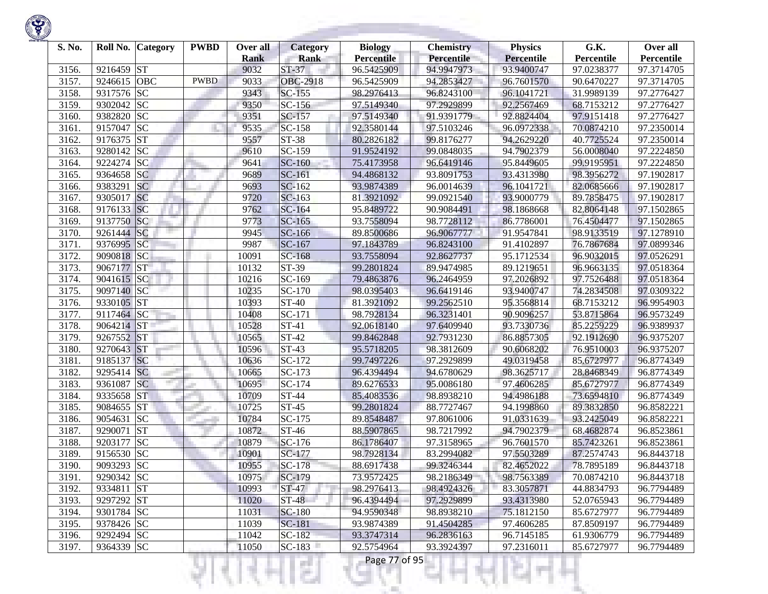| S. No. |            | Roll No. Category | <b>PWBD</b> | Over all<br><b>Rank</b> | <b>Category</b><br><b>Rank</b> | <b>Biology</b><br><b>Percentile</b> | <b>Chemistry</b><br>Percentile | <b>Physics</b><br>Percentile | G.K.<br>Percentile | Over all<br>Percentile |
|--------|------------|-------------------|-------------|-------------------------|--------------------------------|-------------------------------------|--------------------------------|------------------------------|--------------------|------------------------|
| 3156.  | 9216459 ST |                   |             | 9032                    | $ST-37$                        | 96.5425909                          | 94.9947973                     | 93.9400747                   | 97.0238377         | 97.3714705             |
| 3157.  | 9246615    | <b>OBC</b>        | <b>PWBD</b> | 9033                    | <b>OBC-2918</b>                | 96.5425909                          | 94.2853427                     | 96.7601570                   | 90.6470227         | 97.3714705             |
| 3158.  | 9317576 SC |                   |             | 9343                    | SC-155                         | 98.2976413                          | 96.8243100                     | 96.1041721                   | 31.9989139         | 97.2776427             |
| 3159.  | 9302042 SC |                   |             | 9350                    | $SC-156$                       | 97.5149340                          | 97.2929899                     | 92.2567469                   | 68.7153212         | 97.2776427             |
| 3160.  | 9382820 SC |                   |             | 9351                    | SC-157                         | 97.5149340                          | 91.9391779                     | 92.8824404                   | 97.9151418         | 97.2776427             |
| 3161.  | 9157047 SC |                   |             | 9535                    | SC-158                         | 92.3580144                          | 97.5103246                     | 96.0972338                   | 70.0874210         | 97.2350014             |
| 3162.  | 9176375    | <b>ST</b>         |             | 9557                    | ST-38                          | 80.2826182                          | 99.8176277                     | 94.2629220                   | 40.7725524         | 97.2350014             |
| 3163.  | 9280142 SC |                   |             | 9610                    | $SC-159$                       | 91.9524192                          | 99.0848035                     | 94.7902379                   | 56.0008040         | 97.2224850             |
| 3164.  | 9224274 SC |                   |             | 9641                    | $SC-160$                       | 75.4173958                          | 96.6419146                     | 95.8449605                   | 99.9195951         | 97.2224850             |
| 3165.  | 9364658 SC |                   |             | 9689                    | SC-161                         | 94.4868132                          | 93.8091753                     | 93.4313980                   | 98.3956272         | 97.1902817             |
| 3166.  | 9383291    | <b>SC</b>         |             | 9693                    | SC-162                         | 93.9874389                          | 96.0014639                     | 96.1041721                   | 82.0685666         | 97.1902817             |
| 3167.  | 9305017    | <b>SC</b>         |             | 9720                    | $SC-163$                       | 81.3921092                          | 99.0921540                     | 93.9000779                   | 89.7858475         | 97.1902817             |
| 3168.  | 9176133 SC |                   |             | 9762                    | SC-164                         | 95.8489722                          | 90.9084491                     | 98.1868668                   | 82.8064148         | 97.1502865             |
| 3169.  | 9137750    | SC                |             | 9773                    | $SC-165$                       | 93.7558094                          | 98.7728112                     | 86.7786001                   | 76.4504477         | 97.1502865             |
| 3170.  | 9261444 SC |                   |             | 9945                    | SC-166                         | 89.8500686                          | 96.9067777                     | 91.9547841                   | 98.9133519         | 97.1278910             |
| 3171.  | 9376995    | SC                |             | 9987                    | SC-167                         | 97.1843789                          | 96.8243100                     | 91.4102897                   | 76.7867684         | 97.0899346             |
| 3172.  | 9090818 SC |                   |             | 10091                   | $SC-168$                       | 93.7558094                          | 92.8627737                     | 95.1712534                   | 96.9032015         | 97.0526291             |
| 3173.  | 9067177 ST |                   |             | 10132                   | ST-39                          | 99.2801824                          | 89.9474985                     | 89.1219651                   | 96.9663135         | 97.0518364             |
| 3174.  | 9041615 SC |                   |             | 10216                   | SC-169                         | 79.4863876                          | 96.2464959                     | 97.2026892                   | 97.7526488         | 97.0518364             |
| 3175.  | 9097140 SC |                   |             | 10235                   | SC-170                         | 98.0395403                          | 96.6419146                     | 93.9400747                   | 74.2834508         | 97.0309322             |
| 3176.  | 9330105    | <b>ST</b>         |             | 10393                   | ST-40                          | 81.3921092                          | 99.2562510                     | 95.3568814                   | 68.7153212         | 96.9954903             |
| 3177.  | 9117464 SC |                   |             | 10408                   | SC-171                         | 98.7928134                          | 96.3231401                     | 90.9096257                   | 53.8715864         | 96.9573249             |
| 3178.  | 9064214 ST |                   |             | 10528                   | ST-41                          | 92.0618140                          | 97.6409940                     | 93.7330736                   | 85.2259229         | 96.9389937             |
| 3179.  | 9267552    | <b>ST</b>         |             | 10565                   | ST-42                          | 99.8462848                          | 92.7931230                     | 86.8857305                   | 92.1912690         | 96.9375207             |
| 3180.  | 9270643 ST |                   |             | 10596                   | ST-43                          | 95.5718205                          | 98.3812609                     | 90.6068202                   | 76.9510003         | 96.9375207             |
| 3181.  | 9185137    | <b>SC</b>         |             | 10636                   | SC-172                         | 99.7497226                          | 97.2929899                     | 49.0319458                   | 85.6727977         | 96.8774349             |
| 3182.  | 9295414 SC |                   |             | 10665                   | SC-173                         | 96.4394494                          | 94.6780629                     | 98.3625717                   | 28.8468349         | 96.8774349             |
| 3183.  | 9361087    | <b>SC</b>         |             | 10695                   | SC-174                         | 89.6276533                          | 95.0086180                     | 97.4606285                   | 85.6727977         | 96.8774349             |
| 3184.  | 9335658 ST |                   |             | 10709                   | <b>ST-44</b>                   | 85.4083536                          | 98.8938210                     | 94.4986188                   | 73.6594810         | 96.8774349             |
| 3185.  | 9084655    | <b>ST</b>         |             | 10725                   | ST-45                          | 99.2801824                          | 88.7727467                     | 94.1998860                   | 89.3832850         | 96.8582221             |
| 3186.  | 9054631    | <b>SC</b>         |             | 10784                   | SC-175                         | 89.8548487                          | 97.8061006                     | 91.0331639                   | 93.2425049         | 96.8582221             |
| 3187.  | 9290071    | <b>ST</b>         |             | 10872                   | ST-46                          | 88.5907865                          | 98.7217992                     | 94.7902379                   | 68.4682874         | 96.8523861             |
| 3188.  | 9203177    | <b>SC</b>         |             | 10879                   | SC-176                         | 86.1786407                          | 97.3158965                     | 96.7601570                   | 85.7423261         | 96.8523861             |
| 3189.  | 9156530 SC |                   |             | 10901                   | SC-177                         | 98.7928134                          | 83.2994082                     | 97.5503289                   | 87.2574743         | 96.8443718             |
| 3190.  | 9093293 SC |                   |             | 10955                   | SC-178                         | 88.6917438                          | 99.3246344                     | 82.4652022                   | 78.7895189         | 96.8443718             |
| 3191.  | 9290342 SC |                   |             | 10975                   | SC-179                         | 73.9572425                          | 98.2186349                     | 98.7563389                   | 70.0874210         | 96.8443718             |
| 3192.  | 9334811 ST |                   |             | 10993                   | $ST-47$                        | 98.2976413                          | 98.4924326                     | 83.3057871                   | 44.8834793         | 96.7794489             |
| 3193.  | 9297292 ST |                   |             | 11020                   | $ST-48$                        | 96.4394494                          | 97.2929899                     | 93.4313980                   | 52.0765943         | 96.7794489             |
| 3194.  | 9301784 SC |                   |             | 11031                   | <b>SC-180</b>                  | 94.9590348                          | 98.8938210                     | 75.1812150                   | 85.6727977         | 96.7794489             |
| 3195.  | 9378426 SC |                   |             | 11039                   | <b>SC-181</b>                  | 93.9874389                          | 91.4504285                     | 97.4606285                   | 87.8509197         | 96.7794489             |
| 3196.  | 9292494 SC |                   |             | 11042                   | SC-182                         | 93.3747314                          | 96.2836163                     | 96.7145185                   | 61.9306779         | 96.7794489             |
| 3197.  | 9364339 SC |                   |             | 11050                   | $SC-183$                       | 92.5754964                          | 93.3924397                     | 97.2316011                   | 85.6727977         | 96.7794489             |
|        |            |                   |             |                         | a a                            | Page 77 of 95                       |                                |                              |                    |                        |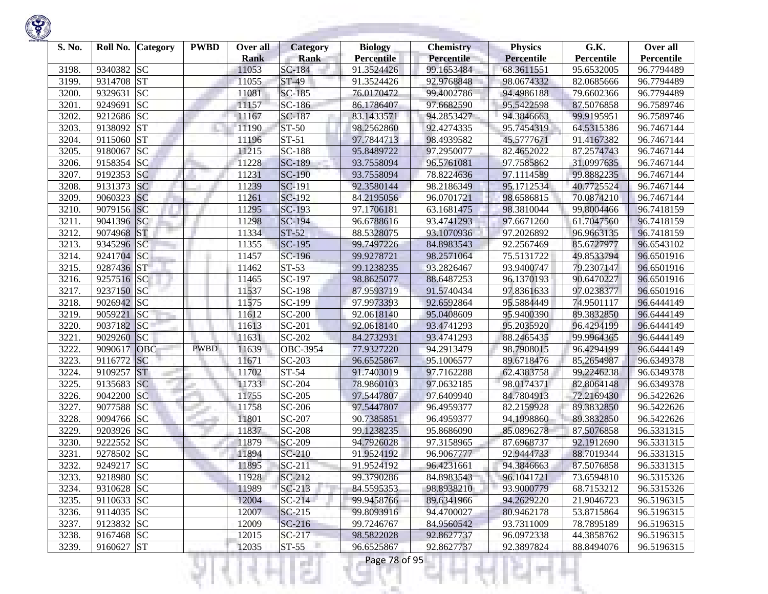

| S. No. | Roll No.   | <b>Category</b> | <b>PWBD</b> | Over all<br><b>Rank</b> | <b>Category</b><br><b>Rank</b> | <b>Biology</b><br><b>Percentile</b> | <b>Chemistry</b><br><b>Percentile</b> | <b>Physics</b><br>Percentile | G.K.<br>Percentile | Over all<br>Percentile |
|--------|------------|-----------------|-------------|-------------------------|--------------------------------|-------------------------------------|---------------------------------------|------------------------------|--------------------|------------------------|
| 3198.  | 9340382 SC |                 |             | 11053                   | SC-184                         | 91.3524426                          | 99.1653484                            | 68.3611551                   | 95.6532005         | 96.7794489             |
| 3199.  | 9314708    | <b>ST</b>       |             | 11055                   | ST-49                          | 91.3524426                          | 92.9768848                            | 98.0674332                   | 82.0685666         | 96.7794489             |
| 3200.  | 9329631    | <b>SC</b>       |             | 11081                   | SC-185                         | 76.0170472                          | 99.4002786                            | 94.4986188                   | 79.6602366         | 96.7794489             |
| 3201.  | 9249691    | <b>SC</b>       |             | 11157                   | SC-186                         | 86.1786407                          | 97.6682590                            | 95.5422598                   | 87.5076858         | 96.7589746             |
| 3202.  | 9212686 SC |                 |             | 11167                   | SC-187                         | 83.1433571                          | 94.2853427                            | 94.3846663                   | 99.9195951         | 96.7589746             |
| 3203.  | 9138092 ST |                 |             | 11190                   | ST-50                          | 98.2562860                          | 92.4274335                            | 95.7454319                   | 64.5315386         | 96.7467144             |
| 3204.  | 9115060    | <b>ST</b>       |             | 11196                   | $ST-51$                        | 97.7844713                          | 98.4939582                            | 45.5777671                   | 91.4167382         | 96.7467144             |
| 3205.  | 9180067    | <b>SC</b>       |             | 11215                   | <b>SC-188</b>                  | 95.8489722                          | 97.2950077                            | 82.4652022                   | 87.2574743         | 96.7467144             |
| 3206.  | 9158354 SC |                 |             | 11228                   | <b>SC-189</b>                  | 93.7558094                          | 96.5761081                            | 97.7585862                   | 31.0997635         | 96.7467144             |
| 3207.  | 9192353 SC |                 |             | 11231                   | <b>SC-190</b>                  | 93.7558094                          | 78.8224636                            | 97.1114589                   | 99.8882235         | 96.7467144             |
| 3208.  | 9131373 SC |                 |             | 11239                   | SC-191                         | 92.3580144                          | 98.2186349                            | 95.1712534                   | 40.7725524         | 96.7467144             |
| 3209.  | 9060323 SC |                 |             | 11261                   | SC-192                         | 84.2195056                          | 96.0701721                            | 98.6586815                   | 70.0874210         | 96.7467144             |
| 3210.  | 9079156 SC |                 |             | 11295                   | SC-193                         | 97.1706181                          | 63.1681475                            | 98.3810044                   | 99.8004466         | 96.7418159             |
| 3211.  | 9041396 SC |                 |             | 11298                   | SC-194                         | 96.6788616                          | 93.4741293                            | 97.6671260                   | 61.7047560         | 96.7418159             |
| 3212.  | 9074968    | <b>ST</b>       |             | 11334                   | $ST-52$                        | 88.5328075                          | 93.1070936                            | 97.2026892                   | 96.9663135         | 96.7418159             |
| 3213.  | 9345296 SC |                 |             | 11355                   | SC-195                         | 99.7497226                          | 84.8983543                            | 92.2567469                   | 85.6727977         | 96.6543102             |
| 3214.  | 9241704 SC |                 |             | 11457                   | SC-196                         | 99.9278721                          | 98.2571064                            | 75.5131722                   | 49.8533794         | 96.6501916             |
| 3215.  | 9287436 ST |                 |             | 11462                   | $ST-53$                        | 99.1238235                          | 93.2826467                            | 93.9400747                   | 79.2307147         | 96.6501916             |
| 3216.  | 9257516 SC |                 |             | 11465                   | SC-197                         | 98.8625077                          | 88.6487253                            | 96.1370193                   | 90.6470227         | 96.6501916             |
| 3217.  | 9237150 SC |                 |             | 11537                   | SC-198                         | 87.9593719                          | 91.5740434                            | 97.8361633                   | 97.0238377         | 96.6501916             |
| 3218.  | 9026942 SC |                 |             | 11575                   | SC-199                         | 97.9973393                          | 92.6592864                            | 95.5884449                   | 74.9501117         | 96.6444149             |
| 3219.  | 9059221    | SC              |             | 11612                   | SC-200                         | 92.0618140                          | 95.0408609                            | 95.9400390                   | 89.3832850         | 96.6444149             |
| 3220.  | 9037182    | <b>SC</b>       |             | 11613                   | SC-201                         | 92.0618140                          | 93.4741293                            | 95.2035920                   | 96.4294199         | 96.6444149             |
| 3221.  | 9029260    | SC              |             | 11631                   | SC-202                         | 84.2732931                          | 93.4741293                            | 88.2465435                   | 99.9964365         | 96.6444149             |
| 3222.  | 9090617    | <b>OBC</b>      | <b>PWBD</b> | 11639                   | OBC-3954                       | 77.9327220                          | 94.2913479                            | 98.7908015                   | 96.4294199         | 96.6444149             |
| 3223.  | 9116772    | <b>SC</b>       |             | 11671                   | SC-203                         | 96.6525867                          | 95.1006577                            | 89.6718476                   | 85.2654987         | 96.6349378             |
| 3224.  | 9109257    | <b>ST</b>       |             | 11702                   | ST-54                          | 91.7403019                          | 97.7162288                            | 62.4383758                   | 99.2246238         | 96.6349378             |
| 3225.  | 9135683 SC |                 |             | 11733                   | SC-204                         | 78.9860103                          | 97.0632185                            | 98.0174371                   | 82.8064148         | 96.6349378             |
| 3226.  | 9042200    | <b>SC</b>       |             | 11755                   | SC-205                         | 97.5447807                          | 97.6409940                            | 84.7804913                   | 72.2169430         | 96.5422626             |
| 3227.  | 9077588 SC |                 |             | 11758                   | SC-206                         | 97.5447807                          | 96.4959377                            | 82.2159928                   | 89.3832850         | 96.5422626             |
| 3228.  | 9094766 SC |                 |             | 11801                   | SC-207                         | 90.7385851                          | 96.4959377                            | 94.1998860                   | 89.3832850         | 96.5422626             |
| 3229.  | 9203926 SC |                 |             | 11837                   | <b>SC-208</b>                  | 99.1238235                          | 95.8686090                            | 85.0896278                   | 87.5076858         | 96.5331315             |
| 3230.  | 9222552    | <b>SC</b>       |             | 11879                   | SC-209                         | 94.7926028                          | 97.3158965                            | 87.6968737                   | 92.1912690         | 96.5331315             |
| 3231.  | 9278502 SC |                 |             | 11894                   | $SC-210$                       | 91.9524192                          | 96.9067777                            | 92.9444733                   | 88.7019344         | 96.5331315             |
| 3232.  | 9249217    | <b>SC</b>       |             | 11895                   | $SC-211$                       | 91.9524192                          | 96.4231661                            | 94.3846663                   | 87.5076858         | 96.5331315             |
| 3233.  | 9218980 SC |                 |             | 11928                   | SC-212                         | 99.3790286                          | 84.8983543                            | 96.1041721                   | 73.6594810         | 96.5315326             |
| 3234.  | 9310628 SC |                 |             | 11989                   | $SC-213$                       | 84.5595353                          | 98.8938210                            | 93.9000779                   | 68.7153212         | 96.5315326             |
| 3235.  | 9110633 SC |                 |             | 12004                   | $SC-214$                       | 99.9458766                          | 89.6341966                            | 94.2629220                   | 21.9046723         | 96.5196315             |
| 3236.  | 9114035 SC |                 |             | 12007                   | $SC-215$                       | 99.8093916                          | 94.4700027                            | 80.9462178                   | 53.8715864         | 96.5196315             |
| 3237.  | 9123832 SC |                 |             | 12009                   | $SC-216$                       | 99.7246767                          | 84.9560542                            | 93.7311009                   | 78.7895189         | 96.5196315             |
| 3238.  | 9167468 SC |                 |             | 12015                   | $SC-217$                       | 98.5822028                          | 92.8627737                            | 96.0972338                   | 44.3858762         | 96.5196315             |
| 3239.  | 9160627 ST |                 |             | 12035                   | $ST-55$                        | 96.6525867                          | 92.8627737                            | 92.3897824                   | 88.8494076         | 96.5196315             |
|        |            |                 |             |                         | a a                            | Page 78 of 95                       |                                       |                              |                    |                        |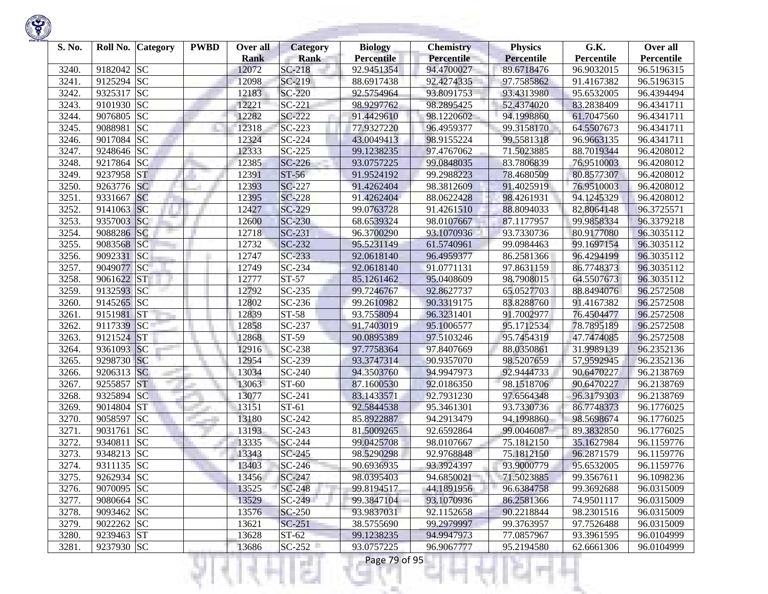| S. No. | Roll No.   | <b>Category</b> | <b>PWBD</b> | Over all<br><b>Rank</b> | <b>Category</b><br><b>Rank</b> | <b>Biology</b><br><b>Percentile</b> | <b>Chemistry</b><br>Percentile | <b>Physics</b><br>Percentile | G.K.<br>Percentile | Over all<br>Percentile |
|--------|------------|-----------------|-------------|-------------------------|--------------------------------|-------------------------------------|--------------------------------|------------------------------|--------------------|------------------------|
| 3240.  | 9182042 SC |                 |             | 12072                   | SC-218                         | 92.9451354                          | 94.4700027                     | 89.6718476                   | 96.9032015         | 96.5196315             |
| 3241.  | 9125294    | <b>SC</b>       |             | 12098                   | SC-219                         | 88.6917438                          | 92.4274335                     | 97.7585862                   | 91.4167382         | 96.5196315             |
| 3242.  | 9325317    | <b>SC</b>       |             | 12183                   | <b>SC-220</b>                  | 92.5754964                          | 93.8091753                     | 93.4313980                   | 95.6532005         | 96.4394494             |
| 3243.  | 9101930    | <b>SC</b>       |             | 12221                   | $SC-221$                       | 98.9297762                          | 98.2895425                     | 52.4374020                   | 83.2838409         | 96.4341711             |
| 3244.  | 9076805    | <b>SC</b>       |             | 12282                   | SC-222                         | 91.4429610                          | 98.1220602                     | 94.1998860                   | 61.7047560         | 96.4341711             |
| 3245.  | 9088981    | <b>SC</b>       |             | 12318                   | SC-223                         | 77.9327220                          | 96.4959377                     | 99.3158170                   | 64.5507673         | 96.4341711             |
| 3246.  | 9017084    | <b>SC</b>       |             | 12324                   | $SC-224$                       | 43.0049413                          | 98.9155224                     | 99.5581318                   | 96.9663135         | 96.4341711             |
| 3247.  | 9248646 SC |                 |             | 12333                   | $SC-225$                       | 99.1238235                          | 97.4767062                     | 71.5023885                   | 88.7019344         | 96.4208012             |
| 3248.  | 9217864    | <b>SC</b>       |             | 12385                   | $SC-226$                       | 93.0757225                          | 99.0848035                     | 83.7806839                   | 76.9510003         | 96.4208012             |
| 3249.  | 9237958    | <b>ST</b>       |             | 12391                   | ST-56                          | 91.9524192                          | 99.2988223                     | 78.4680509                   | 80.8577307         | 96.4208012             |
| 3250.  | 9263776 SC |                 |             | 12393                   | SC-227                         | 91.4262404                          | 98.3812609                     | 91.4025919                   | 76.9510003         | 96.4208012             |
| 3251.  | 9331667    | <b>SC</b>       |             | 12395                   | <b>SC-228</b>                  | 91.4262404                          | 88.0622428                     | 98.4261931                   | 94.1245329         | 96.4208012             |
| 3252.  | 9141063    | <b>SC</b>       |             | 12427                   | SC-229                         | 99.0763728                          | 91.4261510                     | 88.8094033                   | 82.8064148         | 96.3725571             |
| 3253.  | 9357003    | <sub>SC</sub>   |             | 12600                   | $SC-230$                       | 68.6539324                          | 98.0107667                     | 87.1177957                   | 99.9858334         | 96.3379218             |
| 3254.  | 9088286    | SC              |             | 12718                   | $SC-231$                       | 96.3700290                          | 93.1070936                     | 93.7330736                   | 80.9177080         | 96.3035112             |
| 3255.  | 9083568    | <b>SC</b>       |             | 12732                   | $SC-232$                       | 95.5231149                          | 61.5740961                     | 99.0984463                   | 99.1697154         | 96.3035112             |
| 3256.  | 9092331    | SC              |             | 12747                   | $SC-233$                       | 92.0618140                          | 96.4959377                     | 86.2581366                   | 96.4294199         | 96.3035112             |
| 3257.  | 9049077    | <b>SC</b>       |             | 12749                   | SC-234                         | 92.0618140                          | 91.0771131                     | 97.8631159                   | 86.7748373         | 96.3035112             |
| 3258.  | 9061622 ST |                 |             | 12777                   | $ST-57$                        | 85.1261462                          | 95.0408609                     | 98.7908015                   | 64.5507673         | 96.3035112             |
| 3259.  | 9132593 SC |                 |             | 12792                   | $SC-235$                       | 99.7246767                          | 92.8627737                     | 65.0527703                   | 88.8494076         | 96.2572508             |
| 3260.  | 9145265 SC |                 |             | 12802                   | SC-236                         | 99.2610982                          | 90.3319175                     | 83.8288760                   | 91.4167382         | 96.2572508             |
| 3261.  | 9151981    | <b>ST</b>       |             | 12839                   | ST-58                          | 93.7558094                          | 96.3231401                     | 91.7002977                   | 76.4504477         | 96.2572508             |
| 3262.  | 9117339    | <b>SC</b>       |             | 12858                   | SC-237                         | 91.7403019                          | 95.1006577                     | 95.1712534                   | 78.7895189         | 96.2572508             |
| 3263.  | 9121524    | <b>ST</b>       |             | 12868                   | ST-59                          | 90.0895389                          | 97.5103246                     | 95.7454319                   | 47.7474085         | 96.2572508             |
| 3264.  | 9361093    | SC              |             | 12916                   | SC-238                         | 97.7758364                          | 97.8407669                     | 88.0350861                   | 31.9989139         | 96.2352136             |
| 3265.  | 9298730 SC |                 |             | 12954                   | SC-239                         | 93.3747314                          | 90.9357070                     | 98.5207659                   | 57.9592945         | 96.2352136             |
| 3266.  | 9206313    | <b>SC</b>       |             | 13034                   | SC-240                         | 94.3503760                          | 94.9947973                     | 92.9444733                   | 90.6470227         | 96.2138769             |
| 3267.  | 9255857    | <b>ST</b>       |             | 13063                   | ST-60                          | 87.1600530                          | 92.0186350                     | 98.1518706                   | 90.6470227         | 96.2138769             |
| 3268.  | 9325894    | <b>SC</b>       |             | 13077                   | SC-241                         | 83.1433571                          | 92.7931230                     | 97.6564348                   | 96.3179303         | 96.2138769             |
| 3269.  | 9014804    | <b>ST</b>       |             | 13151                   | $ST-61$                        | 92.5844538                          | 95.3461301                     | 93.7330736                   | 86.7748373         | 96.1776025             |
| 3270.  | 9058597    | <b>SC</b>       |             | 13180                   | SC-242                         | 85.8922887                          | 94.2913479                     | 94.1998860                   | 98.5698674         | 96.1776025             |
| 3271.  | 9031761    | <b>SC</b>       |             | 13193                   | SC-243                         | 81.5009265                          | 92.6592864                     | 99.0046087                   | 89.3832850         | 96.1776025             |
| 3272.  | 9340811    | <b>SC</b>       |             | 13335                   | SC-244                         | 99.0425708                          | 98.0107667                     | 75.1812150                   | 35.1627984         | 96.1159776             |
| 3273.  | 9348213    | <b>SC</b>       |             | 13343                   | $SC-245$                       | 98.5290298                          | 92.9768848                     | 75.1812150                   | 96.2871579         | 96.1159776             |
| 3274.  | 9311135 SC |                 |             | 13403                   | $SC-246$                       | 90.6936935                          | 93.3924397                     | 93.9000779                   | 95.6532005         | 96.1159776             |
| 3275.  | 9262934 SC |                 |             | 13456                   | SC-247                         | 98.0395403                          | 94.6850021                     | 71.5023885                   | 99.3567611         | 96.1098236             |
| 3276.  | 9070095 SC |                 |             | 13525                   | SC-248                         | 99.8194517                          | 44.1891956                     | 96.6384758                   | 99.3692688         | 96.0315009             |
| 3277.  | 9080664 SC |                 |             | 13529                   | $SC-249$                       | 99.3847104                          | 93.1070936                     | 86.2581366                   | 74.9501117         | 96.0315009             |
| 3278.  | 9093462 SC |                 |             | 13576                   | SC-250                         | 93.9837031                          | 92.1152658                     | 90.2218844                   | 98.2301516         | 96.0315009             |
| 3279.  | 9022262 SC |                 |             | 13621                   | $SC-251$                       | 38.5755690                          | 99.2979997                     | 99.3763957                   | 97.7526488         | 96.0315009             |
| 3280.  | 9239463 ST |                 |             | 13628                   | $ST-62$                        | 99.1238235                          | 94.9947973                     | 77.0857967                   | 93.3961595         | 96.0104999             |
| 3281.  | 9237930 SC |                 |             | 13686                   | $SC-252$                       | 93.0757225                          | 96.9067777                     | 95.2194580                   | 62.6661306         | 96.0104999             |
|        |            |                 |             |                         | e i                            | Page 79 of 95                       |                                |                              |                    |                        |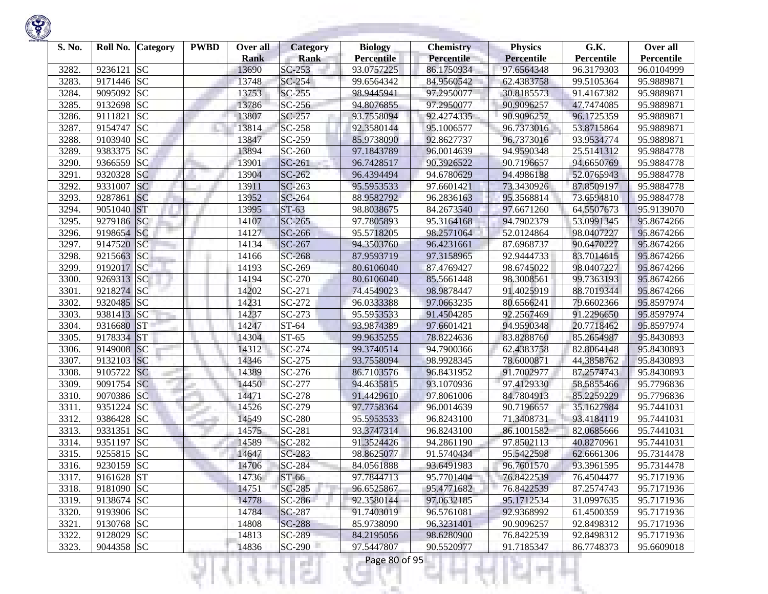

| S. No. |            | Roll No. Category | <b>PWBD</b> | Over all<br><b>Rank</b> | Category<br><b>Rank</b> | <b>Biology</b><br><b>Percentile</b> | <b>Chemistry</b><br>Percentile | <b>Physics</b><br>Percentile | G.K.<br>Percentile | Over all<br>Percentile |
|--------|------------|-------------------|-------------|-------------------------|-------------------------|-------------------------------------|--------------------------------|------------------------------|--------------------|------------------------|
| 3282   | 9236121    | <b>SC</b>         |             | 13690                   | $SC-253$                | 93.0757225                          | 86.1750934                     | 97.6564348                   | 96.3179303         | 96.0104999             |
| 3283.  | 9171446 SC |                   |             | 13748                   | $SC-254$                | 99.6564342                          | 84.9560542                     | 62.4383758                   | 99.5105364         | 95.9889871             |
| 3284.  | 9095092 SC |                   |             | 13753                   | $SC-255$                | 98.9445941                          | 97.2950077                     | 30.8185573                   | 91.4167382         | 95.9889871             |
| 3285.  | 9132698 SC |                   |             | 13786                   | SC-256                  | 94.8076855                          | 97.2950077                     | 90.9096257                   | 47.7474085         | 95.9889871             |
| 3286.  | 9111821    | <b>SC</b>         |             | 13807                   | SC-257                  | 93.7558094                          | 92.4274335                     | 90.9096257                   | 96.1725359         | 95.9889871             |
| 3287.  | 9154747    | <b>SC</b>         |             | 13814                   | SC-258                  | 92.3580144                          | 95.1006577                     | 96.7373016                   | 53.8715864         | 95.9889871             |
| 3288.  | 9103940    | <b>SC</b>         |             | 13847                   | SC-259                  | 85.9738090                          | 92.8627737                     | 96.7373016                   | 93.9534774         | 95.9889871             |
| 3289.  | 9383375    | <b>SC</b>         |             | 13894                   | SC-260                  | 97.1843789                          | 96.0014639                     | 94.9590348                   | 25.5141312         | 95.9884778             |
| 3290.  | 9366559    | <b>SC</b>         |             | 13901                   | SC-261                  | 96.7428517                          | 90.3926522                     | 90.7196657                   | 94.6650769         | 95.9884778             |
| 3291.  | 9320328    | <b>SC</b>         |             | 13904                   | SC-262                  | 96.4394494                          | 94.6780629                     | 94.4986188                   | 52.0765943         | 95.9884778             |
| 3292.  | 9331007    | <b>SC</b>         |             | 13911                   | SC-263                  | 95.5953533                          | 97.6601421                     | 73.3430926                   | 87.8509197         | 95.9884778             |
| 3293.  | 9287861    | <b>SC</b>         |             | 13952                   | SC-264                  | 88.9582792                          | 96.2836163                     | 95.3568814                   | 73.6594810         | 95.9884778             |
| 3294.  | 9051040    | <b>ST</b>         |             | 13995                   | $ST-63$                 | 98.8038675                          | 84.2673540                     | 97.6671260                   | 64.5507673         | 95.9139070             |
| 3295.  | 9279186    | <b>SC</b>         |             | 14107                   | $SC-265$                | 97.7805893                          | 95.3164168                     | 94.7902379                   | 53.0991345         | 95.8674266             |
| 3296.  | 9198654 SC |                   |             | 14127                   | SC-266                  | 95.5718205                          | 98.2571064                     | 52.0124864                   | 98.0407227         | 95.8674266             |
| 3297.  | 9147520    | <sub>SC</sub>     |             | 14134                   | SC-267                  | 94.3503760                          | 96.4231661                     | 87.6968737                   | 90.6470227         | 95.8674266             |
| 3298.  | 9215663 SC |                   |             | 14166                   | SC-268                  | 87.9593719                          | 97.3158965                     | 92.9444733                   | 83.7014615         | 95.8674266             |
| 3299.  | 9192017    | SC                |             | 14193                   | SC-269                  | 80.6106040                          | 87.4769427                     | 98.6745022                   | 98.0407227         | 95.8674266             |
| 3300.  | 9269313 SC |                   |             | 14194                   | SC-270                  | 80.6106040                          | 85.5661448                     | 98.3008561                   | 99.7363193         | 95.8674266             |
| 3301.  | 9218274 SC |                   |             | 14202                   | SC-271                  | 74.4549023                          | 98.9878447                     | 91.4025919                   | 88.7019344         | 95.8674266             |
| 3302.  | 9320485 SC |                   |             | 14231                   | SC-272                  | 96.0333388                          | 97.0663235                     | 80.6566241                   | 79.6602366         | 95.8597974             |
| 3303.  | 9381413 SC |                   |             | 14237                   | SC-273                  | 95.5953533                          | 91.4504285                     | 92.2567469                   | 91.2296650         | 95.8597974             |
| 3304.  | 9316680    | <b>ST</b>         |             | 14247                   | ST-64                   | 93.9874389                          | 97.6601421                     | 94.9590348                   | 20.7718462         | 95.8597974             |
| 3305.  | 9178334    | <b>ST</b>         |             | 14304                   | ST-65                   | 99.9635255                          | 78.8224636                     | 83.8288760                   | 85.2654987         | 95.8430893             |
| 3306.  | 9149008    | SC                |             | 14312                   | SC-274                  | 99.3740514                          | 94.7900366                     | 62.4383758                   | 82.8064148         | 95.8430893             |
| 3307.  | 9132103 SC |                   |             | 14346                   | SC-275                  | 93.7558094                          | 98.9928345                     | 78.6000871                   | 44.3858762         | 95.8430893             |
| 3308.  | 9105722    | <b>SC</b>         |             | 14389                   | SC-276                  | 86.7103576                          | 96.8431952                     | 91.7002977                   | 87.2574743         | 95.8430893             |
| 3309.  | 9091754 SC |                   |             | 14450                   | SC-277                  | 94.4635815                          | 93.1070936                     | 97.4129330                   | 58.5855466         | 95.7796836             |
| 3310.  | 9070386 SC |                   |             | 14471                   | SC-278                  | 91.4429610                          | 97.8061006                     | 84.7804913                   | 85.2259229         | 95.7796836             |
| 3311.  | 9351224 SC |                   |             | 14526                   | SC-279                  | 97.7758364                          | 96.0014639                     | 90.7196657                   | 35.1627984         | 95.7441031             |
| 3312.  | 9386428 SC |                   |             | 14549                   | <b>SC-280</b>           | 95.5953533                          | 96.8243100                     | 71.3408731                   | 93.4184119         | 95.7441031             |
| 3313.  | 9331351    | <b>SC</b>         |             | 14575                   | SC-281                  | 93.3747314                          | 96.8243100                     | 86.1001582                   | 82.0685666         | 95.7441031             |
| 3314.  | 9351197    | <b>SC</b>         |             | 14589                   | SC-282                  | 91.3524426                          | 94.2861190                     | 97.8502113                   | 40.8270961         | 95.7441031             |
| 3315.  | 9255815 SC |                   |             | 14647                   | SC-283                  | 98.8625077                          | 91.5740434                     | 95.5422598                   | 62.6661306         | 95.7314478             |
| 3316.  | 9230159 SC |                   |             | 14706                   | SC-284                  | 84.0561888                          | 93.6491983                     | 96.7601570                   | 93.3961595         | 95.7314478             |
| 3317.  | 9161628 ST |                   |             | 14736                   | $ST-66$                 | 97.7844713                          | 95.7701404                     | 76.8422539                   | 76.4504477         | 95.7171936             |
| 3318.  | 9181090 SC |                   |             | 14751                   | <b>SC-285</b>           | 96.6525867                          | 95.4771682                     | 76.8422539                   | 87.2574743         | 95.7171936             |
| 3319.  | 9138674 SC |                   |             | 14778                   | $SC-286$                | 92.3580144                          | 97.0632185                     | 95.1712534                   | 31.0997635         | 95.7171936             |
| 3320.  | 9193906 SC |                   |             | 14784                   | <b>SC-287</b>           | 91.7403019                          | 96.5761081                     | 92.9368992                   | 61.4500359         | 95.7171936             |
| 3321.  | 9130768 SC |                   |             | 14808                   | <b>SC-288</b>           | 85.9738090                          | 96.3231401                     | 90.9096257                   | 92.8498312         | 95.7171936             |
| 3322.  | 9128029 SC |                   |             | 14813                   | SC-289                  | 84.2195056                          | 98.6280900                     | 76.8422539                   | 92.8498312         | 95.7171936             |
| 3323.  | 9044358 SC |                   |             | 14836                   | $SC-290$                | 97.5447807                          | 90.5520977                     | 91.7185347                   | 86.7748373         | 95.6609018             |
|        |            |                   |             |                         | a ka                    | Page 80 of 95                       |                                |                              |                    |                        |

**Service State** 

**State State**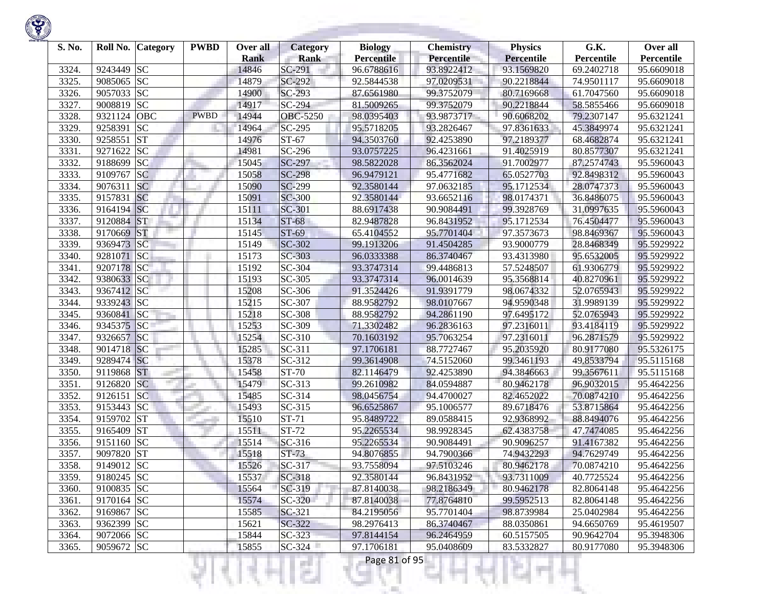

| S. No. | Roll No.   | <b>Category</b>        | <b>PWBD</b> | Over all             | <b>Category</b>       | <b>Biology</b>                  | <b>Chemistry</b>         | <b>Physics</b>           | G.K.                     | Over all                 |
|--------|------------|------------------------|-------------|----------------------|-----------------------|---------------------------------|--------------------------|--------------------------|--------------------------|--------------------------|
| 3324.  | 9243449    | <b>SC</b>              |             | <b>Rank</b><br>14846 | <b>Rank</b><br>SC-291 | <b>Percentile</b><br>96.6788616 | Percentile<br>93.8922412 | Percentile<br>93.1569820 | Percentile<br>69.2402718 | Percentile<br>95.6609018 |
| 3325.  | 9085065    | <b>SC</b>              |             | 14879                | SC-292                | 92.5844538                      | 97.0209531               | 90.2218844               | 74.9501117               | 95.6609018               |
| 3326.  | 9057033    | <b>SC</b>              |             | 14900                | SC-293                | 87.6561980                      | 99.3752079               | 80.7169668               | 61.7047560               | 95.6609018               |
| 3327.  | 9008819    | <b>SC</b>              |             | 14917                | SC-294                | 81.5009265                      | 99.3752079               | 90.2218844               | 58.5855466               | 95.6609018               |
| 3328.  | 9321124    | OBC                    | <b>PWBD</b> | 14944                | OBC-5250              | 98.0395403                      | 93.9873717               | 90.6068202               | 79.2307147               | 95.6321241               |
| 3329   | 9258391    | <b>SC</b>              |             | 14964                | SC-295                | 95.5718205                      | 93.2826467               | 97.8361633               | 45.3849974               | 95.6321241               |
| 3330.  | 9258551    | <b>ST</b>              |             | 14976                | ST-67                 | 94.3503760                      | 92.4253890               | 97.2189377               | 68.4682874               | 95.6321241               |
| 3331.  | 9271622    | <b>SC</b>              |             | 14981                | SC-296                | 93.0757225                      | 96.4231661               | 91.4025919               | 80.8577307               | 95.6321241               |
| 3332.  | 9188699    | <b>SC</b>              |             | 15045                | SC-297                | 98.5822028                      | 86.3562024               | 91.7002977               | 87.2574743               | 95.5960043               |
| 3333.  | 9109767    | <b>SC</b>              |             | 15058                | <b>SC-298</b>         | 96.9479121                      | 95.4771682               | 65.0527703               | 92.8498312               | 95.5960043               |
| 3334.  | 9076311    | <b>SC</b>              |             | 15090                | SC-299                | 92.3580144                      | 97.0632185               | 95.1712534               | 28.0747373               | 95.5960043               |
| 3335.  | 9157831    | <b>SC</b>              |             | 15091                | <b>SC-300</b>         | 92.3580144                      | 93.6652116               | 98.0174371               | 36.8486075               | 95.5960043               |
| 3336.  | 9164194    | SC                     |             | 15111                | SC-301                | 88.6917438                      | 90.9084491               | 99.3928769               | 31.0997635               | 95.5960043               |
| 3337.  | 9120884    | <b>ST</b>              |             | 15134                | <b>ST-68</b>          | 82.9487828                      | 96.8431952               | 95.1712534               | 76.4504477               | 95.5960043               |
| 3338.  | 9170669    | <b>ST</b>              |             | 15145                | ST-69                 | 65.4104552                      | 95.7701404               | 97.3573673               | 98.8469367               | 95.5960043               |
| 3339.  | 9369473    | <b>SC</b>              |             | 15149                | SC-302                | 99.1913206                      | 91.4504285               | 93.9000779               | 28.8468349               | 95.5929922               |
| 3340.  | 9281071    | <b>SC</b>              |             | 15173                | SC-303                | 96.0333388                      | 86.3740467               | 93.4313980               | 95.6532005               | 95.5929922               |
| 3341.  | 9207178    | <b>SC</b>              |             | 15192                | SC-304                | 93.3747314                      | 99.4486813               | 57.5248507               | 61.9306779               | 95.5929922               |
| 3342.  | 9380633 SC |                        |             | 15193                | SC-305                | 93.3747314                      | 96.0014639               | 95.3568814               | 40.8270961               | 95.5929922               |
| 3343.  | 9367412 SC |                        |             | 15208                | SC-306                |                                 | 91.9391779               | 98.0674332               | 52.0765943               |                          |
| 3344.  | 9339243 SC |                        |             | 15215                | SC-307                | 91.3524426                      |                          |                          |                          | 95.5929922<br>95.5929922 |
| 3345.  | 9360841    | SC                     |             | 15218                | SC-308                | 88.9582792                      | 98.0107667<br>94.2861190 | 94.9590348<br>97.6495172 | 31.9989139               |                          |
|        |            | SC                     |             |                      |                       | 88.9582792                      |                          |                          | 52.0765943               | 95.5929922               |
| 3346.  | 9345375    |                        |             | 15253                | SC-309                | 71.3302482                      | 96.2836163               | 97.2316011               | 93.4184119               | 95.5929922               |
| 3347.  | 9326657    | SC                     |             | 15254                | SC-310                | 70.1603192                      | 95.7063254               | 97.2316011               | 96.2871579               | 95.5929922               |
| 3348.  | 9014718    | <b>SC</b>              |             | 15285                | SC-311                | 97.1706181                      | 88.7727467               | 95.2035920               | 80.9177080               | 95.5326175               |
| 3349.  | 9289474 SC |                        |             | 15378                | SC-312                | 99.3614908                      | 74.5152060               | 99.3461193               | 49.8533794               | 95.5115168               |
| 3350.  | 9119868    | <b>ST</b>              |             | 15458                | <b>ST-70</b>          | 82.1146479                      | 92.4253890               | 94.3846663               | 99.3567611               | 95.5115168               |
| 3351.  | 9126820    | <b>SC</b>              |             | 15479                | SC-313                | 99.2610982                      | 84.0594887               | 80.9462178               | 96.9032015               | 95.4642256               |
| 3352.  | 9126151    | <b>SC</b>              |             | 15485                | SC-314                | 98.0456754                      | 94.4700027               | 82.4652022               | 70.0874210               | 95.4642256               |
| 3353.  | 9153443    | <b>SC</b>              |             | 15493                | SC-315                | 96.6525867                      | 95.1006577               | 89.6718476               | 53.8715864               | 95.4642256               |
| 3354.  | 9159702    | <b>ST</b>              |             | 15510                | ST-71                 | 95.8489722                      | 89.0588415               | 92.9368992               | 88.8494076               | 95.4642256               |
| 3355.  | 9165409    | <b>ST</b><br><b>SC</b> |             | 15511                | ST-72                 | 95.2265534                      | 98.9928345               | 62.4383758               | 47.7474085               | 95.4642256               |
| 3356.  | 9151160    | <b>ST</b>              |             | 15514                | SC-316                | 95.2265534                      | 90.9084491               | 90.9096257               | 91.4167382<br>94.7629749 | 95.4642256               |
| 3357.  | 9097820    |                        |             | 15518<br>15526       | ST-73                 | 94.8076855                      | 94.7900366               | 74.9432293               |                          | 95.4642256               |
| 3358.  | 9149012 SC |                        |             |                      | SC-317                | 93.7558094                      | 97.5103246               | 80.9462178               | 70.0874210               | 95.4642256               |
| 3359.  | 9180245 SC |                        |             | 15537                | SC-318                | 92.3580144                      | 96.8431952               | 93.7311009               | 40.7725524               | 95.4642256               |
| 3360.  | 9100835 SC |                        |             | 15564                | SC-319                | 87.8140038                      | 98.2186349               | 80.9462178               | 82.8064148               | 95.4642256               |
| 3361.  | 9170164 SC |                        |             | 15574                | SC-320                | 87.8140038                      | 77.8764810               | 99.5952513               | 82.8064148               | 95.4642256               |
| 3362.  | 9169867 SC |                        |             | 15585                | SC-321                | 84.2195056                      | 95.7701404               | 98.8739984               | 25.0402984               | 95.4642256               |
| 3363.  | 9362399 SC |                        |             | 15621                | SC-322                | 98.2976413                      | 86.3740467               | 88.0350861               | 94.6650769               | 95.4619507               |
| 3364.  | 9072066 SC |                        |             | 15844                | $SC-323$              | 97.8144154                      | 96.2464959               | 60.5157505               | 90.9642704               | 95.3948306               |
| 3365.  | 9059672 SC |                        |             | 15855                | $SC-324$              | 97.1706181                      | 95.0408609               | 83.5332827               | 80.9177080               | 95.3948306               |
|        |            |                        |             |                      | a i                   | Page 81 of 95                   |                          |                          |                          |                          |

**Contract Contract**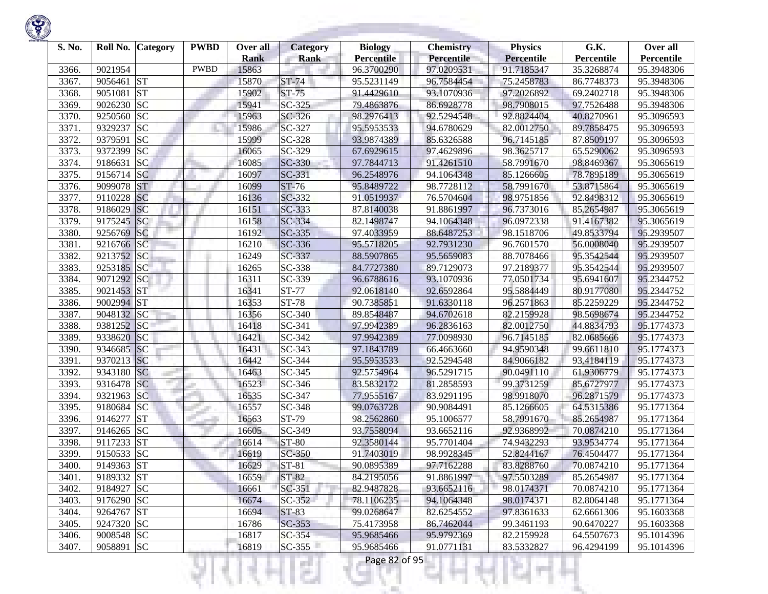| S. No.                                                                        | Roll No.<br><b>Category</b>                                                                                                          | <b>PWBD</b> | Over all                                                                      | Category                                                                                    | <b>Biology</b>                                                                                                             | <b>Chemistry</b>                                                                                                           | <b>Physics</b>                                                                                                             | G.K.                                                                                                                       | Over all                                                                                                                   |
|-------------------------------------------------------------------------------|--------------------------------------------------------------------------------------------------------------------------------------|-------------|-------------------------------------------------------------------------------|---------------------------------------------------------------------------------------------|----------------------------------------------------------------------------------------------------------------------------|----------------------------------------------------------------------------------------------------------------------------|----------------------------------------------------------------------------------------------------------------------------|----------------------------------------------------------------------------------------------------------------------------|----------------------------------------------------------------------------------------------------------------------------|
|                                                                               |                                                                                                                                      | <b>PWBD</b> | <b>Rank</b>                                                                   | <b>Rank</b>                                                                                 | <b>Percentile</b>                                                                                                          | Percentile                                                                                                                 | <b>Percentile</b>                                                                                                          | Percentile                                                                                                                 | Percentile                                                                                                                 |
| 3366.                                                                         | 9021954                                                                                                                              |             | 15863                                                                         |                                                                                             | 96.3700290                                                                                                                 | 97.0209531                                                                                                                 | 91.7185347                                                                                                                 | 35.3268874                                                                                                                 | 95.3948306                                                                                                                 |
| 3367.                                                                         | <b>ST</b><br>9056461                                                                                                                 |             | 15870                                                                         | ST-74                                                                                       | 95.5231149                                                                                                                 | 96.7584454                                                                                                                 | 75.2458783                                                                                                                 | 86.7748373                                                                                                                 | 95.3948306                                                                                                                 |
| 3368.                                                                         | <b>ST</b><br>9051081                                                                                                                 |             | 15902                                                                         | ST-75                                                                                       | 91.4429610                                                                                                                 | 93.1070936                                                                                                                 | 97.2026892                                                                                                                 | 69.2402718                                                                                                                 | 95.3948306                                                                                                                 |
| 3369.                                                                         | <b>SC</b><br>9026230                                                                                                                 |             | 15941                                                                         | SC-325                                                                                      | 79.4863876                                                                                                                 | 86.6928778                                                                                                                 | 98.7908015                                                                                                                 | 97.7526488                                                                                                                 | 95.3948306                                                                                                                 |
| 3370.                                                                         | <b>SC</b><br>9250560                                                                                                                 |             | 15963                                                                         | SC-326                                                                                      | 98.2976413                                                                                                                 | 92.5294548                                                                                                                 | 92.8824404                                                                                                                 | 40.8270961                                                                                                                 | 95.3096593                                                                                                                 |
| 3371.                                                                         | <b>SC</b><br>9329237                                                                                                                 |             | 15986                                                                         | SC-327                                                                                      | 95.5953533                                                                                                                 | 94.6780629                                                                                                                 | 82.0012750                                                                                                                 | 89.7858475                                                                                                                 | 95.3096593                                                                                                                 |
| 3372.                                                                         | <b>SC</b><br>9379591                                                                                                                 |             | 15999                                                                         | SC-328                                                                                      | 93.9874389                                                                                                                 | 85.6326588                                                                                                                 | 96.7145185                                                                                                                 | 87.8509197                                                                                                                 | 95.3096593                                                                                                                 |
| 3373.                                                                         | <b>SC</b><br>9372399                                                                                                                 |             | 16065                                                                         | SC-329                                                                                      | 67.6929615                                                                                                                 | 97.4629896                                                                                                                 | 98.3625717                                                                                                                 | 65.5290062                                                                                                                 | 95.3096593                                                                                                                 |
| 3374.                                                                         | <b>SC</b><br>9186631                                                                                                                 |             | 16085                                                                         | SC-330                                                                                      | 97.7844713                                                                                                                 | 91.4261510                                                                                                                 | 58.7991670                                                                                                                 | 98.8469367                                                                                                                 | 95.3065619                                                                                                                 |
| 3375.                                                                         | 9156714 SC                                                                                                                           |             | 16097                                                                         | SC-331                                                                                      | 96.2548976                                                                                                                 | 94.1064348                                                                                                                 | 85.1266605                                                                                                                 | 78.7895189                                                                                                                 | 95.3065619                                                                                                                 |
| 3376.                                                                         | <b>ST</b><br>9099078                                                                                                                 |             | 16099                                                                         | ST-76                                                                                       | 95.8489722                                                                                                                 | 98.7728112                                                                                                                 | 58.7991670                                                                                                                 | 53.8715864                                                                                                                 | 95.3065619                                                                                                                 |
| 3377.                                                                         | 9110228<br><b>SC</b>                                                                                                                 |             | 16136                                                                         | SC-332                                                                                      | 91.0519937                                                                                                                 | 76.5704604                                                                                                                 | 98.9751856                                                                                                                 | 92.8498312                                                                                                                 | 95.3065619                                                                                                                 |
| 3378.                                                                         | <b>SC</b><br>9186029                                                                                                                 |             | 16151                                                                         | SC-333                                                                                      | 87.8140038                                                                                                                 | 91.8861997                                                                                                                 | 96.7373016                                                                                                                 | 85.2654987                                                                                                                 | 95.3065619                                                                                                                 |
| 3379.                                                                         | SC<br>9175245                                                                                                                        |             | 16158                                                                         | SC-334                                                                                      | 82.1498747                                                                                                                 | 94.1064348                                                                                                                 | 96.0972338                                                                                                                 | 91.4167382                                                                                                                 | 95.3065619                                                                                                                 |
| 3380.                                                                         | SC<br>9256769                                                                                                                        |             | 16192                                                                         | SC-335                                                                                      | 97.4033959                                                                                                                 | 88.6487253                                                                                                                 | 98.1518706                                                                                                                 | 49.8533794                                                                                                                 | 95.2939507                                                                                                                 |
| 3381.                                                                         | 9216766 SC                                                                                                                           |             | 16210                                                                         | SC-336                                                                                      | 95.5718205                                                                                                                 | 92.7931230                                                                                                                 | 96.7601570                                                                                                                 | 56.0008040                                                                                                                 | 95.2939507                                                                                                                 |
| 3382.                                                                         | 9213752 SC                                                                                                                           |             | 16249                                                                         | SC-337                                                                                      | 88.5907865                                                                                                                 | 95.5659083                                                                                                                 | 88.7078466                                                                                                                 | 95.3542544                                                                                                                 | 95.2939507                                                                                                                 |
| 3383.                                                                         | 9253185<br><b>SC</b>                                                                                                                 |             | 16265                                                                         | SC-338                                                                                      | 84.7727380                                                                                                                 | 89.7129073                                                                                                                 | 97.2189377                                                                                                                 | 95.3542544                                                                                                                 | 95.2939507                                                                                                                 |
| 3384.                                                                         | 9071292 SC                                                                                                                           |             | 16311                                                                         | SC-339                                                                                      | 96.6788616                                                                                                                 | 93.1070936                                                                                                                 | 77.0501734                                                                                                                 | 95.6941607                                                                                                                 | 95.2344752                                                                                                                 |
| 3385.                                                                         | 9021453 ST                                                                                                                           |             | 16341                                                                         | ST-77                                                                                       | 92.0618140                                                                                                                 | 92.6592864                                                                                                                 | 95.5884449                                                                                                                 | 80.9177080                                                                                                                 | 95.2344752                                                                                                                 |
| 3386.                                                                         | 9002994 ST                                                                                                                           |             | 16353                                                                         | <b>ST-78</b>                                                                                | 90.7385851                                                                                                                 | 91.6330118                                                                                                                 | 96.2571863                                                                                                                 | 85.2259229                                                                                                                 | 95.2344752                                                                                                                 |
| 3387.                                                                         | 9048132 SC                                                                                                                           |             | 16356                                                                         | SC-340                                                                                      | 89.8548487                                                                                                                 | 94.6702618                                                                                                                 | 82.2159928                                                                                                                 | 98.5698674                                                                                                                 | 95.2344752                                                                                                                 |
| 3388.                                                                         | SC<br>9381252                                                                                                                        |             | 16418                                                                         | SC-341                                                                                      | 97.9942389                                                                                                                 | 96.2836163                                                                                                                 | 82.0012750                                                                                                                 | 44.8834793                                                                                                                 | 95.1774373                                                                                                                 |
| 3389.                                                                         | 9338620<br> SC                                                                                                                       |             | 16421                                                                         | SC-342                                                                                      | 97.9942389                                                                                                                 | 77.0098930                                                                                                                 | 96.7145185                                                                                                                 | 82.0685666                                                                                                                 | 95.1774373                                                                                                                 |
| 3390.                                                                         | <b>SC</b><br>9346685                                                                                                                 |             | 16431                                                                         | SC-343                                                                                      | 97.1843789                                                                                                                 | 66.4663660                                                                                                                 | 94.9590348                                                                                                                 | 99.6611810                                                                                                                 | 95.1774373                                                                                                                 |
| 3391.                                                                         | 9370213 SC                                                                                                                           |             | 16442                                                                         | SC-344                                                                                      | 95.5953533                                                                                                                 | 92.5294548                                                                                                                 | 84.9066182                                                                                                                 | 93.4184119                                                                                                                 | 95.1774373                                                                                                                 |
| 3392.                                                                         | <b>SC</b><br>9343180                                                                                                                 |             | 16463                                                                         | SC-345                                                                                      | 92.5754964                                                                                                                 | 96.5291715                                                                                                                 | 90.0491110                                                                                                                 | 61.9306779                                                                                                                 | 95.1774373                                                                                                                 |
| 3393.                                                                         | <b>SC</b><br>9316478                                                                                                                 |             | 16523                                                                         | SC-346                                                                                      | 83.5832172                                                                                                                 | 81.2858593                                                                                                                 | 99.3731259                                                                                                                 | 85.6727977                                                                                                                 | 95.1774373                                                                                                                 |
| 3394.                                                                         | <b>SC</b><br>9321963                                                                                                                 |             | 16535                                                                         | SC-347                                                                                      | 77.9555167                                                                                                                 | 83.9291195                                                                                                                 | 98.9918070                                                                                                                 | 96.2871579                                                                                                                 | 95.1774373                                                                                                                 |
| 3395.                                                                         | <b>SC</b><br>9180684                                                                                                                 |             | 16557                                                                         | SC-348                                                                                      | 99.0763728                                                                                                                 | 90.9084491                                                                                                                 | 85.1266605                                                                                                                 | 64.5315386                                                                                                                 | 95.1771364                                                                                                                 |
| 3396.                                                                         | <b>ST</b><br>9146277                                                                                                                 |             | 16563                                                                         | ST-79                                                                                       | 98.2562860                                                                                                                 | 95.1006577                                                                                                                 | 58.7991670                                                                                                                 | 85.2654987                                                                                                                 | 95.1771364                                                                                                                 |
| 3397.                                                                         | <b>SC</b><br>9146265                                                                                                                 |             | 16605                                                                         | SC-349                                                                                      | 93.7558094                                                                                                                 | 93.6652116                                                                                                                 | 92.9368992                                                                                                                 | 70.0874210                                                                                                                 | 95.1771364                                                                                                                 |
| 3398.                                                                         | <b>ST</b><br>9117233                                                                                                                 |             | 16614                                                                         | <b>ST-80</b>                                                                                | 92.3580144                                                                                                                 | 95.7701404                                                                                                                 | 74.9432293                                                                                                                 | 93.9534774                                                                                                                 | 95.1771364                                                                                                                 |
|                                                                               |                                                                                                                                      |             |                                                                               |                                                                                             |                                                                                                                            |                                                                                                                            |                                                                                                                            |                                                                                                                            |                                                                                                                            |
|                                                                               |                                                                                                                                      |             |                                                                               |                                                                                             |                                                                                                                            |                                                                                                                            |                                                                                                                            |                                                                                                                            |                                                                                                                            |
|                                                                               |                                                                                                                                      |             |                                                                               |                                                                                             |                                                                                                                            |                                                                                                                            |                                                                                                                            |                                                                                                                            |                                                                                                                            |
|                                                                               |                                                                                                                                      |             |                                                                               |                                                                                             |                                                                                                                            |                                                                                                                            |                                                                                                                            |                                                                                                                            |                                                                                                                            |
|                                                                               |                                                                                                                                      |             |                                                                               |                                                                                             |                                                                                                                            |                                                                                                                            |                                                                                                                            |                                                                                                                            |                                                                                                                            |
|                                                                               |                                                                                                                                      |             |                                                                               |                                                                                             |                                                                                                                            |                                                                                                                            |                                                                                                                            |                                                                                                                            |                                                                                                                            |
|                                                                               |                                                                                                                                      |             |                                                                               |                                                                                             |                                                                                                                            |                                                                                                                            |                                                                                                                            |                                                                                                                            |                                                                                                                            |
|                                                                               |                                                                                                                                      |             |                                                                               |                                                                                             |                                                                                                                            |                                                                                                                            |                                                                                                                            |                                                                                                                            |                                                                                                                            |
|                                                                               |                                                                                                                                      |             |                                                                               |                                                                                             |                                                                                                                            |                                                                                                                            |                                                                                                                            |                                                                                                                            |                                                                                                                            |
| 3399.<br>3400.<br>3401.<br>3402.<br>3403.<br>3404.<br>3405.<br>3406.<br>3407. | <b>SC</b><br>9150533<br>9149363 ST<br>9189332 ST<br>9184927 SC<br>9176290 SC<br>9264767 ST<br>9247320 SC<br>9008548 SC<br>9058891 SC |             | 16619<br>16629<br>16659<br>16661<br>16674<br>16694<br>16786<br>16817<br>16819 | SC-350<br>$ST-81$<br>ST-82<br>SC-351<br>SC-352<br>ST-83<br>$SC-353$<br>$SC-354$<br>$SC-355$ | 91.7403019<br>90.0895389<br>84.2195056<br>82.9487828<br>78.1106235<br>99.0268647<br>75.4173958<br>95.9685466<br>95.9685466 | 98.9928345<br>97.7162288<br>91.8861997<br>93.6652116<br>94.1064348<br>82.6254552<br>86.7462044<br>95.9792369<br>91.0771131 | 52.8244167<br>83.8288760<br>97.5503289<br>98.0174371<br>98.0174371<br>97.8361633<br>99.3461193<br>82.2159928<br>83.5332827 | 76.4504477<br>70.0874210<br>85.2654987<br>70.0874210<br>82.8064148<br>62.6661306<br>90.6470227<br>64.5507673<br>96.4294199 | 95.1771364<br>95.1771364<br>95.1771364<br>95.1771364<br>95.1771364<br>95.1603368<br>95.1603368<br>95.1014396<br>95.1014396 |

Ħ

a.

Ħ

ш

÷

K)

w

Ħ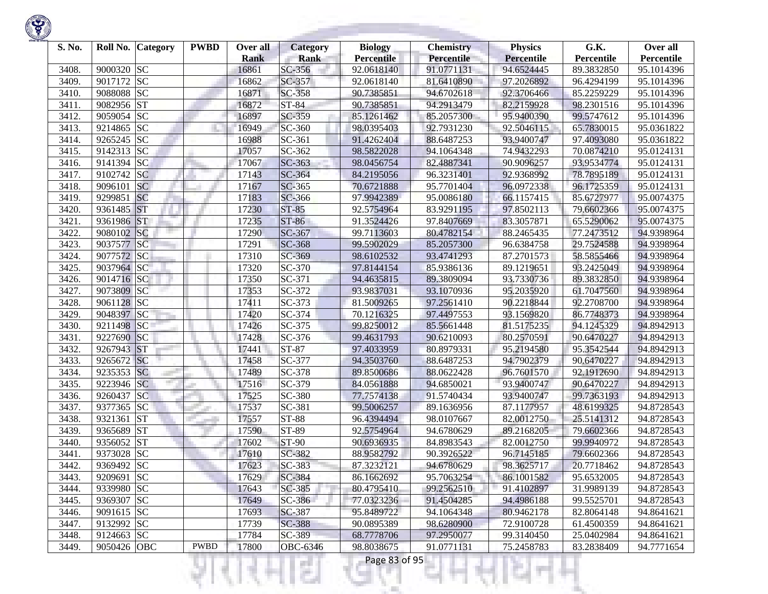

| S. No. | Roll No.                                     | <b>Category</b> | <b>PWBD</b> | Over all    | <b>Category</b>         | <b>Biology</b>    | <b>Chemistry</b> | <b>Physics</b>    | G.K.                     | Over all   |
|--------|----------------------------------------------|-----------------|-------------|-------------|-------------------------|-------------------|------------------|-------------------|--------------------------|------------|
|        |                                              |                 |             | <b>Rank</b> | <b>Rank</b>             | <b>Percentile</b> | Percentile       | <b>Percentile</b> | Percentile               | Percentile |
| 3408   | <b>SC</b><br>9000320<br>9017172<br><b>SC</b> |                 |             | 16861       | SC-356                  | 92.0618140        | 91.0771131       | 94.6524445        | 89.3832850<br>96.4294199 | 95.1014396 |
| 3409.  |                                              |                 |             | 16862       | SC-357<br><b>SC-358</b> | 92.0618140        | 81.6410890       | 97.2026892        |                          | 95.1014396 |
| 3410.  | <b>SC</b><br>9088088                         |                 |             | 16871       |                         | 90.7385851        | 94.6702618       | 92.3706466        | 85.2259229               | 95.1014396 |
| 3411.  | <b>ST</b><br>9082956                         |                 |             | 16872       | ST-84                   | 90.7385851        | 94.2913479       | 82.2159928        | 98.2301516               | 95.1014396 |
| 3412.  | 9059054 SC                                   |                 |             | 16897       | SC-359                  | 85.1261462        | 85.2057300       | 95.9400390        | 99.5747612               | 95.1014396 |
| 3413.  | <b>SC</b><br>9214865                         |                 |             | 16949       | SC-360                  | 98.0395403        | 92.7931230       | 92.5046115        | 65.7830015               | 95.0361822 |
| 3414.  | <b>SC</b><br>9265245                         |                 |             | 16988       | SC-361                  | 91.4262404        | 88.6487253       | 93.9400747        | 97.4093080               | 95.0361822 |
| 3415.  | <b>SC</b><br>9142313                         |                 |             | 17057       | SC-362                  | 98.5822028        | 94.1064348       | 74.9432293        | 70.0874210               | 95.0124131 |
| 3416.  | <b>SC</b><br>9141394                         |                 |             | 17067       | SC-363                  | 98.0456754        | 82.4887341       | 90.9096257        | 93.9534774               | 95.0124131 |
| 3417.  | 9102742 SC                                   |                 |             | 17143       | SC-364                  | 84.2195056        | 96.3231401       | 92.9368992        | 78.7895189               | 95.0124131 |
| 3418.  | 9096101<br><b>SC</b>                         |                 |             | 17167       | SC-365                  | 70.6721888        | 95.7701404       | 96.0972338        | 96.1725359               | 95.0124131 |
| 3419.  | 9299851<br><b>SC</b>                         |                 |             | 17183       | SC-366                  | 97.9942389        | 95.0086180       | 66.1157415        | 85.6727977               | 95.0074375 |
| 3420.  | <b>ST</b><br>9361485                         |                 |             | 17230       | <b>ST-85</b>            | 92.5754964        | 83.9291195       | 97.8502113        | 79.6602366               | 95.0074375 |
| 3421   | <b>ST</b><br>9361986                         |                 |             | 17235       | ST-86                   | 91.3524426        | 97.8407669       | 83.3057871        | 65.5290062               | 95.0074375 |
| 3422.  | SC<br>9080102                                |                 |             | 17290       | SC-367                  | 99.7113603        | 80.4782154       | 88.2465435        | 77.2473512               | 94.9398964 |
| 3423.  | <b>SC</b><br>9037577                         |                 |             | 17291       | SC-368                  | 99.5902029        | 85.2057300       | 96.6384758        | 29.7524588               | 94.9398964 |
| 3424.  | <b>SC</b><br>9077572                         |                 |             | 17310       | SC-369                  | 98.6102532        | 93.4741293       | 87.2701573        | 58.5855466               | 94.9398964 |
| 3425.  | 9037964 SC                                   |                 |             | 17320       | SC-370                  | 97.8144154        | 85.9386136       | 89.1219651        | 93.2425049               | 94.9398964 |
| 3426.  | 9014716 SC                                   |                 |             | 17350       | SC-371                  | 94.4635815        | 89.3809094       | 93.7330736        | 89.3832850               | 94.9398964 |
| 3427.  | 9073809<br> SC                               |                 |             | 17353       | SC-372                  | 93.9837031        | 93.1070936       | 95.2035920        | 61.7047560               | 94.9398964 |
| 3428.  | 9061128 SC                                   |                 |             | 17411       | SC-373                  | 81.5009265        | 97.2561410       | 90.2218844        | 92.2708700               | 94.9398964 |
| 3429.  | SC<br>9048397                                |                 |             | 17420       | SC-374                  | 70.1216325        | 97.4497553       | 93.1569820        | 86.7748373               | 94.9398964 |
| 3430.  | <b>SC</b><br>9211498                         |                 |             | 17426       | SC-375                  | 99.8250012        | 85.5661448       | 81.5175235        | 94.1245329               | 94.8942913 |
| 3431.  | SC<br>9227690                                |                 |             | 17428       | SC-376                  | 99.4631793        | 90.6210093       | 80.2570591        | 90.6470227               | 94.8942913 |
| 3432.  | <b>ST</b><br>9267943                         |                 |             | 17441       | ST-87                   | 97.4033959        | 80.8979331       | 95.2194580        | 95.3542544               | 94.8942913 |
| 3433.  | <b>SC</b><br>9265672                         |                 |             | 17458       | SC-377                  | 94.3503760        | 88.6487253       | 94.7902379        | 90.6470227               | 94.8942913 |
| 3434.  | <b>SC</b><br>9235353                         |                 |             | 17489       | SC-378                  | 89.8500686        | 88.0622428       | 96.7601570        | 92.1912690               | 94.8942913 |
| 3435.  | 9223946 SC                                   |                 |             | 17516       | SC-379                  | 84.0561888        | 94.6850021       | 93.9400747        | 90.6470227               | 94.8942913 |
| 3436.  | <b>SC</b><br>9260437                         |                 |             | 17525       | SC-380                  | 77.7574138        | 91.5740434       | 93.9400747        | 99.7363193               | 94.8942913 |
| 3437.  | <b>SC</b><br>9377365                         |                 |             | 17537       | SC-381                  | 99.5006257        | 89.1636956       | 87.1177957        | 48.6199325               | 94.8728543 |
| 3438.  | <b>ST</b><br>9321361                         |                 |             | 17557       | <b>ST-88</b>            | 96.4394494        | 98.0107667       | 82.0012750        | 25.5141312               | 94.8728543 |
| 3439.  | <b>ST</b><br>9365689                         |                 |             | 17590       | ST-89                   | 92.5754964        | 94.6780629       | 89.2168205        | 79.6602366               | 94.8728543 |
| 3440.  | <b>ST</b><br>9356052                         |                 |             | 17602       | ST-90                   | 90.6936935        | 84.8983543       | 82.0012750        | 99.9940972               | 94.8728543 |
| 3441   | <b>SC</b><br>9373028                         |                 |             | 17610       | SC-382                  | 88.9582792        | 90.3926522       | 96.7145185        | 79.6602366               | 94.8728543 |
| 3442.  | 9369492 SC                                   |                 |             | 17623       | SC-383                  | 87.3232121        | 94.6780629       | 98.3625717        | 20.7718462               | 94.8728543 |
| 3443.  | 9209691 SC                                   |                 |             | 17629       | SC-384                  | 86.1662692        | 95.7063254       | 86.1001582        | 95.6532005               | 94.8728543 |
| 3444.  | 9339980 SC                                   |                 |             | 17643       | SC-385                  | 80.4795410        | 99.2562510       | 91.4102897        | 31.9989139               | 94.8728543 |
| 3445.  | 9369307 SC                                   |                 |             | 17649       | SC-386                  | 77.0323236        | 91.4504285       | 94.4986188        | 99.5525701               | 94.8728543 |
| 3446.  | 9091615 SC                                   |                 |             | 17693       | SC-387                  | 95.8489722        | 94.1064348       | 80.9462178        | 82.8064148               | 94.8641621 |
| 3447.  | 9132992 SC                                   |                 |             | 17739       | SC-388                  | 90.0895389        | 98.6280900       | 72.9100728        | 61.4500359               | 94.8641621 |
| 3448.  | 9124663 SC                                   |                 |             | 17784       | SC-389                  | 68.7778706        | 97.2950077       | 99.3140450        | 25.0402984               | 94.8641621 |
| 3449.  | 9050426 OBC                                  |                 | <b>PWBD</b> | 17800       | <b>OBC-6346</b>         | 98.8038675        | 91.0771131       | 75.2458783        | 83.2838409               | 94.7771654 |

!यनम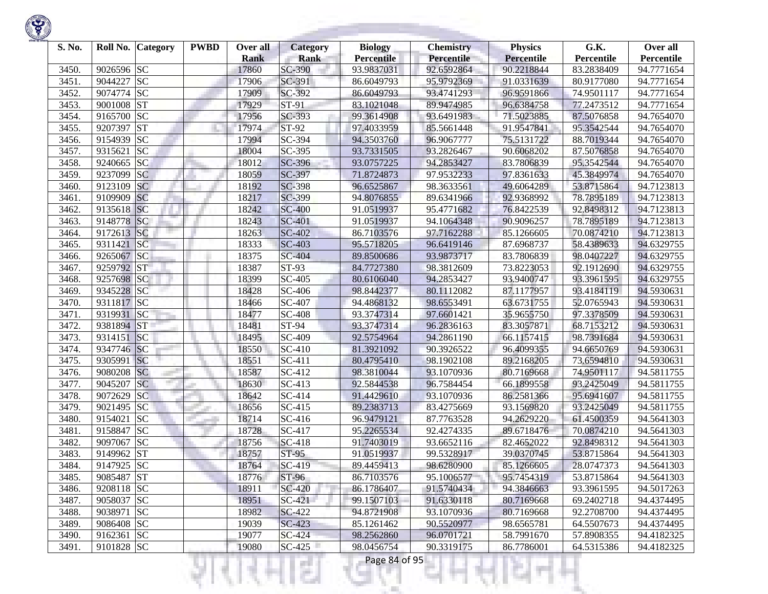

| S. No. | Roll No.   | <b>Category</b> | <b>PWBD</b> | Over all<br><b>Rank</b> | <b>Category</b><br><b>Rank</b> | <b>Biology</b><br><b>Percentile</b> | <b>Chemistry</b><br><b>Percentile</b> | <b>Physics</b><br>Percentile | G.K.<br>Percentile | Over all<br>Percentile |
|--------|------------|-----------------|-------------|-------------------------|--------------------------------|-------------------------------------|---------------------------------------|------------------------------|--------------------|------------------------|
| 3450.  | 9026596 SC |                 |             | 17860                   | SC-390                         | 93.9837031                          | 92.6592864                            | 90.2218844                   | 83.2838409         | 94.7771654             |
| 3451.  | 9044227    | <b>SC</b>       |             | 17906                   | SC-391                         | 86.6049793                          | 95.9792369                            | 91.0331639                   | 80.9177080         | 94.7771654             |
| 3452.  | 9074774    | <b>SC</b>       |             | 17909                   | SC-392                         | 86.6049793                          | 93.4741293                            | 96.9591866                   | 74.9501117         | 94.7771654             |
| 3453.  | 9001008    | <b>ST</b>       |             | 17929                   | ST-91                          | 83.1021048                          | 89.9474985                            | 96.6384758                   | 77.2473512         | 94.7771654             |
| 3454.  | 9165700    | <b>SC</b>       |             | 17956                   | SC-393                         | 99.3614908                          | 93.6491983                            | 71.5023885                   | 87.5076858         | 94.7654070             |
| 3455.  | 9207397    | <b>ST</b>       |             | 17974                   | ST-92                          | 97.4033959                          | 85.5661448                            | 91.9547841                   | 95.3542544         | 94.7654070             |
| 3456.  | 9154939    | <b>SC</b>       |             | 17994                   | SC-394                         | 94.3503760                          | 96.9067777                            | 75.5131722                   | 88.7019344         | 94.7654070             |
| 3457.  | 9315621    | <b>SC</b>       |             | 18004                   | SC-395                         | 93.7331505                          | 93.2826467                            | 90.6068202                   | 87.5076858         | 94.7654070             |
| 3458.  | 9240665    | <b>SC</b>       |             | 18012                   | SC-396                         | 93.0757225                          | 94.2853427                            | 83.7806839                   | 95.3542544         | 94.7654070             |
| 3459.  | 9237099    | <b>SC</b>       |             | 18059                   | SC-397                         | 71.8724873                          | 97.9532233                            | 97.8361633                   | 45.3849974         | 94.7654070             |
| 3460.  | 9123109    | <b>SC</b>       |             | 18192                   | SC-398                         | 96.6525867                          | 98.3633561                            | 49.6064289                   | 53.8715864         | 94.7123813             |
| 3461.  | 9109909    | <b>SC</b>       |             | 18217                   | SC-399                         | 94.8076855                          | 89.6341966                            | 92.9368992                   | 78.7895189         | 94.7123813             |
| 3462.  | 9135618 SC |                 |             | 18242                   | <b>SC-400</b>                  | 91.0519937                          | 95.4771682                            | 76.8422539                   | 92.8498312         | 94.7123813             |
| 3463.  | 9148778    | <b>SC</b>       |             | 18243                   | <b>SC-401</b>                  | 91.0519937                          | 94.1064348                            | 90.9096257                   | 78.7895189         | 94.7123813             |
| 3464.  | 9172613    | SC              |             | 18263                   | SC-402                         | 86.7103576                          | 97.7162288                            | 85.1266605                   | 70.0874210         | 94.7123813             |
| 3465.  | 9311421    | <b>SC</b>       |             | 18333                   | SC-403                         | 95.5718205                          | 96.6419146                            | 87.6968737                   | 58.4389633         | 94.6329755             |
| 3466.  | 9265067 SC |                 |             | 18375                   | SC-404                         | 89.8500686                          | 93.9873717                            | 83.7806839                   | 98.0407227         | 94.6329755             |
| 3467.  | 9259792 ST |                 |             | 18387                   | ST-93                          | 84.7727380                          | 98.3812609                            | 73.8223053                   | 92.1912690         | 94.6329755             |
| 3468.  | 9257698 SC |                 |             | 18399                   | SC-405                         | 80.6106040                          | 94.2853427                            | 93.9400747                   | 93.3961595         | 94.6329755             |
| 3469.  | 9345228 SC |                 |             | 18428                   | SC-406                         | 98.8442377                          | 80.1112082                            | 87.1177957                   | 93.4184119         | 94.5930631             |
| 3470.  | 9311817 SC |                 |             | 18466                   | SC-407                         | 94.4868132                          | 98.6553491                            | 63.6731755                   | 52.0765943         | 94.5930631             |
| 3471.  | 9319931    | SC              |             | 18477                   | <b>SC-408</b>                  | 93.3747314                          | 97.6601421                            | 35.9655750                   | 97.3378509         | 94.5930631             |
| 3472.  | 9381894    | <b>ST</b>       |             | 18481                   | ST-94                          | 93.3747314                          | 96.2836163                            | 83.3057871                   | 68.7153212         | 94.5930631             |
| 3473.  | 9314151    | SC              |             | 18495                   | SC-409                         | 92.5754964                          | 94.2861190                            | 66.1157415                   | 98.7391684         | 94.5930631             |
| 3474.  | 9347746 SC |                 |             | 18550                   | SC-410                         | 81.3921092                          | 90.3926522                            | 96.4099355                   | 94.6650769         | 94.5930631             |
| 3475.  | 9305991    | SC              |             | 18551                   | SC-411                         | 80.4795410                          | 98.1902108                            | 89.2168205                   | 73.6594810         | 94.5930631             |
| 3476.  | 9080208    | <b>SC</b>       |             | 18587                   | SC-412                         | 98.3810044                          | 93.1070936                            | 80.7169668                   | 74.9501117         | 94.5811755             |
| 3477.  | 9045207    | <b>SC</b>       |             | 18630                   | SC-413                         | 92.5844538                          | 96.7584454                            | 66.1899558                   | 93.2425049         | 94.5811755             |
| 3478.  | 9072629    | <b>SC</b>       |             | 18642                   | SC-414                         | 91.4429610                          | 93.1070936                            | 86.2581366                   | 95.6941607         | 94.5811755             |
| 3479.  | 9021495    | <b>SC</b>       |             | 18656                   | SC-415                         | 89.2383713                          | 83.4275669                            | 93.1569820                   | 93.2425049         | 94.5811755             |
| 3480.  | 9154021    | <b>SC</b>       |             | 18714                   | SC-416                         | 96.9479121                          | 87.7763528                            | 94.2629220                   | 61.4500359         | 94.5641303             |
| 3481.  | 9158847    | <b>SC</b>       |             | 18728                   | SC-417                         | 95.2265534                          | 92.4274335                            | 89.6718476                   | 70.0874210         | 94.5641303             |
| 3482.  | 9097067    | <b>SC</b>       |             | 18756                   | SC-418                         | 91.7403019                          | 93.6652116                            | 82.4652022                   | 92.8498312         | 94.5641303             |
| 3483.  | 9149962 ST |                 |             | 18757                   | ST-95                          | 91.0519937                          | 99.5328917                            | 39.0370745                   | 53.8715864         | 94.5641303             |
| 3484.  | 9147925 SC |                 |             | 18764                   | SC-419                         | 89.4459413                          | 98.6280900                            | 85.1266605                   | 28.0747373         | 94.5641303             |
| 3485.  | 9085487 ST |                 |             | 18776                   | ST-96                          | 86.7103576                          | 95.1006577                            | 95.7454319                   | 53.8715864         | 94.5641303             |
| 3486.  | 9208118 SC |                 |             | 18911                   | SC-420                         | 86.1786407                          | 91.5740434                            | 94.3846663                   | 93.3961595         | 94.5017263             |
| 3487.  | 9058037 SC |                 |             | 18951                   | $SC-421$                       | 99.1507103                          | 91.6330118                            | 80.7169668                   | 69.2402718         | 94.4374495             |
| 3488.  | 9038971 SC |                 |             | 18982                   | SC-422                         | 94.8721908                          | 93.1070936                            | 80.7169668                   | 92.2708700         | 94.4374495             |
| 3489.  | 9086408 SC |                 |             | 19039                   | SC-423                         | 85.1261462                          | 90.5520977                            | 98.6565781                   | 64.5507673         | 94.4374495             |
| 3490.  | 9162361 SC |                 |             | 19077                   | SC-424                         | 98.2562860                          | 96.0701721                            | 58.7991670                   | 57.8908355         | 94.4182325             |
| 3491.  | 9101828 SC |                 |             | 19080                   | $SC-425$                       | 98.0456754                          | 90.3319175                            | 86.7786001                   | 64.5315386         | 94.4182325             |
|        |            |                 |             |                         | a ka                           | Page 84 of 95                       |                                       |                              |                    |                        |

**STATISTICS** 

**State State**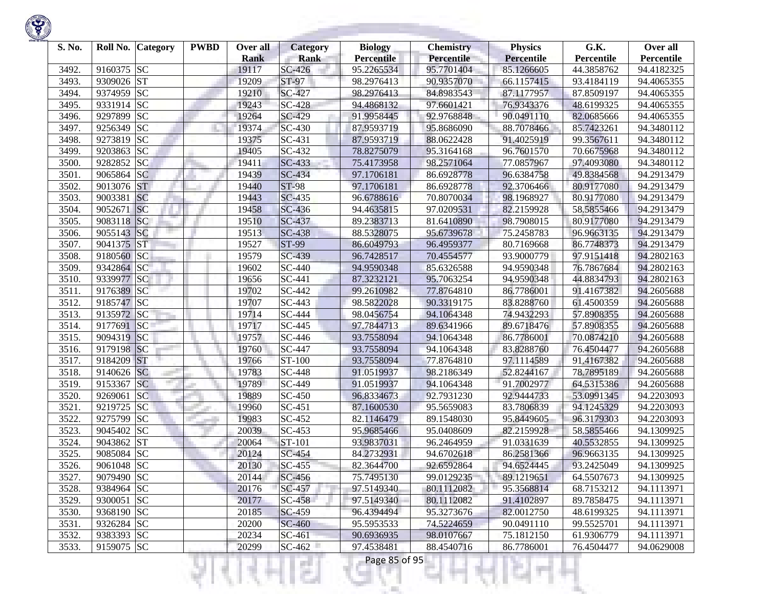

| S. No. |            | Roll No. Category | <b>PWBD</b> | Over all<br><b>Rank</b> | <b>Category</b><br><b>Rank</b> | <b>Biology</b><br><b>Percentile</b> | <b>Chemistry</b><br>Percentile | <b>Physics</b><br><b>Percentile</b> | G.K.<br>Percentile | Over all<br>Percentile |
|--------|------------|-------------------|-------------|-------------------------|--------------------------------|-------------------------------------|--------------------------------|-------------------------------------|--------------------|------------------------|
| 3492.  | 9160375 SC |                   |             | 19117                   | SC-426                         | 95.2265534                          | 95.7701404                     | 85.1266605                          | 44.3858762         | 94.4182325             |
| 3493.  | 9309026 ST |                   |             | 19209                   | ST-97                          | 98.2976413                          | 90.9357070                     | 66.1157415                          | 93.4184119         | 94.4065355             |
| 3494.  | 9374959    | <b>SC</b>         |             | 19210                   | SC-427                         | 98.2976413                          | 84.8983543                     | 87.1177957                          | 87.8509197         | 94.4065355             |
| 3495.  | 9331914 SC |                   |             | 19243                   | <b>SC-428</b>                  | 94.4868132                          | 97.6601421                     | 76.9343376                          | 48.6199325         | 94.4065355             |
| 3496.  | 9297899    | <b>SC</b>         |             | 19264                   | SC-429                         | 91.9958445                          | 92.9768848                     | 90.0491110                          | 82.0685666         | 94.4065355             |
| 3497.  | 9256349    | <b>SC</b>         |             | 19374                   | <b>SC-430</b>                  | 87.9593719                          | 95.8686090                     | 88.7078466                          | 85.7423261         | 94.3480112             |
| 3498.  | 9273819    | <b>SC</b>         |             | 19375                   | SC-431                         | 87.9593719                          | 88.0622428                     | 91.4025919                          | 99.3567611         | 94.3480112             |
| 3499.  | 9203863    | <b>SC</b>         |             | 19405                   | SC-432                         | 78.8275079                          | 95.3164168                     | 96.7601570                          | 70.6675968         | 94.3480112             |
| 3500.  | 9282852    | <b>SC</b>         |             | 19411                   | SC-433                         | 75.4173958                          | 98.2571064                     | 77.0857967                          | 97.4093080         | 94.3480112             |
| 3501.  | 9065864 SC |                   |             | 19439                   | <b>SC-434</b>                  | 97.1706181                          | 86.6928778                     | 96.6384758                          | 49.8384568         | 94.2913479             |
| 3502.  | 9013076 ST |                   |             | 19440                   | <b>ST-98</b>                   | 97.1706181                          | 86.6928778                     | 92.3706466                          | 80.9177080         | 94.2913479             |
| 3503.  | 9003381    | <b>SC</b>         |             | 19443                   | <b>SC-435</b>                  | 96.6788616                          | 70.8070034                     | 98.1968927                          | 80.9177080         | 94.2913479             |
| 3504.  | 9052671    | SC                |             | 19458                   | <b>SC-436</b>                  | 94.4635815                          | 97.0209531                     | 82.2159928                          | 58.5855466         | 94.2913479             |
| 3505.  | 9083118    | <b>SC</b>         |             | 19510                   | SC-437                         | 89.2383713                          | 81.6410890                     | 98.7908015                          | 80.9177080         | 94.2913479             |
| 3506.  | 9055143 SC |                   |             | 19513                   | <b>SC-438</b>                  | 88.5328075                          | 95.6739678                     | 75.2458783                          | 96.9663135         | 94.2913479             |
| 3507.  | 9041375 ST |                   |             | 19527                   | $ST-99$                        | 86.6049793                          | 96.4959377                     | 80.7169668                          | 86.7748373         | 94.2913479             |
| 3508.  | 9180560    | SC                |             | 19579                   | SC-439                         | 96.7428517                          | 70.4554577                     | 93.9000779                          | 97.9151418         | 94.2802163             |
| 3509.  | 9342864 SC |                   |             | 19602                   | SC-440                         | 94.9590348                          | 85.6326588                     | 94.9590348                          | 76.7867684         | 94.2802163             |
| 3510.  | 9339977    | SC                |             | 19656                   | SC-441                         | 87.3232121                          | 95.7063254                     | 94.9590348                          | 44.8834793         | 94.2802163             |
| 3511.  | 9176389 SC |                   |             | 19702                   | SC-442                         | 99.2610982                          | 77.8764810                     | 86.7786001                          | 91.4167382         | 94.2605688             |
| 3512.  | 9185747 SC |                   |             | 19707                   | SC-443                         | 98.5822028                          | 90.3319175                     | 83.8288760                          | 61.4500359         | 94.2605688             |
| 3513.  | 9135972 SC |                   |             | 19714                   | SC-444                         | 98.0456754                          | 94.1064348                     | 74.9432293                          | 57.8908355         | 94.2605688             |
| 3514.  | 9177691    | <b>SC</b>         |             | 19717                   | SC-445                         | 97.7844713                          | 89.6341966                     | 89.6718476                          | 57.8908355         | 94.2605688             |
| 3515.  | 9094319 SC |                   |             | 19757                   | SC-446                         | 93.7558094                          | 94.1064348                     | 86.7786001                          | 70.0874210         | 94.2605688             |
| 3516.  | 9179198    | SC                |             | 19760                   | SC-447                         | 93.7558094                          | 94.1064348                     | 83.8288760                          | 76.4504477         | 94.2605688             |
| 3517.  | 9184209    | <b>ST</b>         |             | 19766                   | ST-100                         | 93.7558094                          | 77.8764810                     | 97.1114589                          | 91.4167382         | 94.2605688             |
| 3518.  | 9140626 SC |                   |             | 19783                   | <b>SC-448</b>                  | 91.0519937                          | 98.2186349                     | 52.8244167                          | 78.7895189         | 94.2605688             |
| 3519.  | 9153367    | <b>SC</b>         |             | 19789                   | SC-449                         | 91.0519937                          | 94.1064348                     | 91.7002977                          | 64.5315386         | 94.2605688             |
| 3520.  | 9269061    | <b>SC</b>         |             | 19889                   | SC-450                         | 96.8334673                          | 92.7931230                     | 92.9444733                          | 53.0991345         | 94.2203093             |
| 3521.  | 9219725    | <b>SC</b>         |             | 19960                   | SC-451                         | 87.1600530                          | 95.5659083                     | 83.7806839                          | 94.1245329         | 94.2203093             |
| 3522.  | 9275799    | <b>SC</b>         |             | 19983                   | SC-452                         | 82.1146479                          | 89.1548030                     | 95.8449605                          | 96.3179303         | 94.2203093             |
| 3523.  | 9045402 SC |                   |             | 20039                   | SC-453                         | 95.9685466                          | 95.0408609                     | 82.2159928                          | 58.5855466         | 94.1309925             |
| 3524.  | 9043862 ST |                   |             | 20064                   | ST-101                         | 93.9837031                          | 96.2464959                     | 91.0331639                          | 40.5532855         | 94.1309925             |
| 3525.  | 9085084    | <b>SC</b>         |             | 20124                   | SC-454                         | 84.2732931                          | 94.6702618                     | 86.2581366                          | 96.9663135         | 94.1309925             |
| 3526.  | 9061048 SC |                   |             | 20130                   | SC-455                         | 82.3644700                          | 92.6592864                     | 94.6524445                          | 93.2425049         | 94.1309925             |
| 3527.  | 9079490 SC |                   |             | 20144                   | $SC-456$                       | 75.7495130                          | 99.0129235                     | 89.1219651                          | 64.5507673         | 94.1309925             |
| 3528.  | 9384964 SC |                   |             | 20176                   | SC-457                         | 97.5149340                          | 80.1112082                     | 95.3568814                          | 68.7153212         | 94.1113971             |
| 3529.  | 9300051 SC |                   |             | 20177                   | SC-458                         | 97.5149340                          | 80.1112082                     | 91.4102897                          | 89.7858475         | 94.1113971             |
| 3530.  | 9368190 SC |                   |             | 20185                   | SC-459                         | 96.4394494                          | 95.3273676                     | 82.0012750                          | 48.6199325         | 94.1113971             |
| 3531.  | 9326284 SC |                   |             | 20200                   | SC-460                         | 95.5953533                          | 74.5224659                     | 90.0491110                          | 99.5525701         | 94.1113971             |
| 3532.  | 9383393 SC |                   |             | 20234                   | SC-461                         | 90.6936935                          | 98.0107667                     | 75.1812150                          | 61.9306779         | 94.1113971             |
| 3533.  | 9159075 SC |                   |             | 20299                   | $SC-462$                       | 97.4538481                          | 88.4540716                     | 86.7786001                          | 76.4504477         | 94.0629008             |
|        |            |                   |             |                         | a ka                           | Page 85 of 95                       |                                |                                     |                    |                        |

**STATISTICS** 

**State State**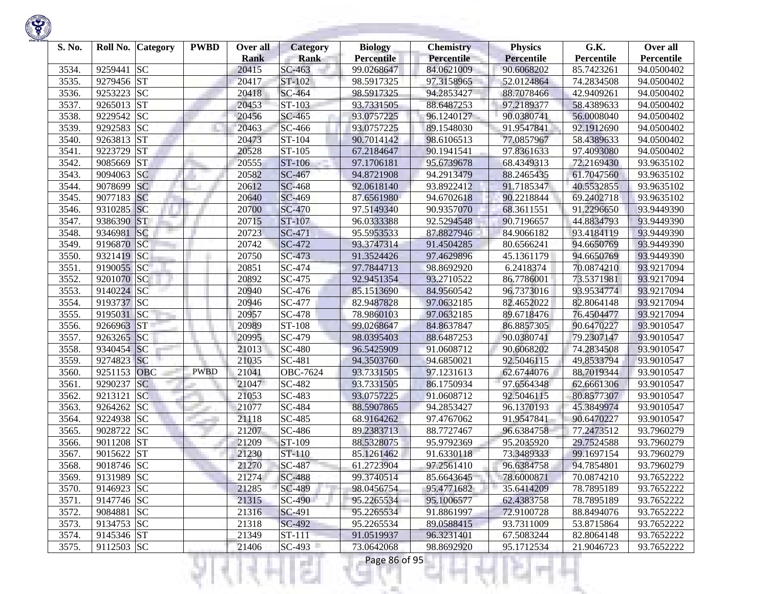

| S. No. |            | Roll No. Category | <b>PWBD</b> | Over all<br><b>Rank</b> | <b>Category</b><br><b>Rank</b> | <b>Biology</b><br><b>Percentile</b> | <b>Chemistry</b><br><b>Percentile</b> | <b>Physics</b><br>Percentile | G.K.<br>Percentile | Over all<br>Percentile |
|--------|------------|-------------------|-------------|-------------------------|--------------------------------|-------------------------------------|---------------------------------------|------------------------------|--------------------|------------------------|
| 3534.  | 9259441    | <b>SC</b>         |             | 20415                   | SC-463                         | 99.0268647                          | 84.0621009                            | 90.6068202                   | 85.7423261         | 94.0500402             |
| 3535.  | 9279456 ST |                   |             | 20417                   | ST-102                         | 98.5917325                          | 97.3158965                            | 52.0124864                   | 74.2834508         | 94.0500402             |
| 3536.  | 9253223    | <b>SC</b>         |             | 20418                   | SC-464                         | 98.5917325                          | 94.2853427                            | 88.7078466                   | 42.9409261         | 94.0500402             |
| 3537.  | 9265013 ST |                   |             | 20453                   | ST-103                         | 93.7331505                          | 88.6487253                            | 97.2189377                   | 58.4389633         | 94.0500402             |
| 3538.  | 9229542 SC |                   |             | 20456                   | SC-465                         | 93.0757225                          | 96.1240127                            | 90.0380741                   | 56.0008040         | 94.0500402             |
| 3539.  | 9292583 SC |                   |             | 20463                   | SC-466                         | 93.0757225                          | 89.1548030                            | 91.9547841                   | 92.1912690         | 94.0500402             |
| 3540.  | 9263813    | <b>ST</b>         |             | 20473                   | ST-104                         | 90.7014142                          | 98.6106513                            | 77.0857967                   | 58.4389633         | 94.0500402             |
| 3541.  | 9223729    | <b>ST</b>         |             | 20528                   | ST-105                         | 67.2184647                          | 90.1941541                            | 97.8361633                   | 97.4093080         | 94.0500402             |
| 3542.  | 9085669    | <b>ST</b>         |             | 20555                   | ST-106                         | 97.1706181                          | 95.6739678                            | 68.4349313                   | 72.2169430         | 93.9635102             |
| 3543.  | 9094063    | <b>SC</b>         |             | 20582                   | SC-467                         | 94.8721908                          | 94.2913479                            | 88.2465435                   | 61.7047560         | 93.9635102             |
| 3544.  | 9078699    | <b>SC</b>         |             | 20612                   | SC-468                         | 92.0618140                          | 93.8922412                            | 91.7185347                   | 40.5532855         | 93.9635102             |
| 3545.  | 9077183 SC |                   |             | 20640                   | SC-469                         | 87.6561980                          | 94.6702618                            | 90.2218844                   | 69.2402718         | 93.9635102             |
| 3546.  | 9310285 SC |                   |             | 20700                   | <b>SC-470</b>                  | 97.5149340                          | 90.9357070                            | 68.3611551                   | 91.2296650         | 93.9449390             |
| 3547.  | 9386390    | <b>ST</b>         |             | 20715                   | ST-107                         | 96.0333388                          | 92.5294548                            | 90.7196657                   | 44.8834793         | 93.9449390             |
| 3548.  | 9346981    | SC                |             | 20723                   | SC-471                         | 95.5953533                          | 87.8827946                            | 84.9066182                   | 93.4184119         | 93.9449390             |
| 3549.  | 9196870    | SC                |             | 20742                   | SC-472                         | 93.3747314                          | 91.4504285                            | 80.6566241                   | 94.6650769         | 93.9449390             |
| 3550.  | 9321419 SC |                   |             | 20750                   | SC-473                         | 91.3524426                          | 97.4629896                            | 45.1361179                   | 94.6650769         | 93.9449390             |
| 3551.  | 9190055 SC |                   |             | 20851                   | SC-474                         | 97.7844713                          | 98.8692920                            | 6.2418374                    | 70.0874210         | 93.9217094             |
| 3552.  | 9201070 SC |                   |             | 20892                   | SC-475                         | 92.9451354                          | 93.2710522                            | 86.7786001                   | 73.5371981         | 93.9217094             |
| 3553.  | 9140224 SC |                   |             | 20940                   | SC-476                         | 85.1513690                          | 84.9560542                            | 96.7373016                   | 93.9534774         | 93.9217094             |
| 3554.  | 9193737 SC |                   |             | 20946                   | SC-477                         | 82.9487828                          | 97.0632185                            | 82.4652022                   | 82.8064148         | 93.9217094             |
| 3555.  | 9195031    | SC                |             | 20957                   | SC-478                         | 78.9860103                          | 97.0632185                            | 89.6718476                   | 76.4504477         | 93.9217094             |
| 3556.  | 9266963    | <b>ST</b>         |             | 20989                   | ST-108                         | 99.0268647                          | 84.8637847                            | 86.8857305                   | 90.6470227         | 93.9010547             |
| 3557.  | 9263265    | SC                |             | 20995                   | SC-479                         | 98.0395403                          | 88.6487253                            | 90.0380741                   | 79.2307147         | 93.9010547             |
| 3558.  | 9340454    | SC                |             | 21013                   | SC-480                         | 96.5425909                          | 91.0608712                            | 90.6068202                   | 74.2834508         | 93.9010547             |
| 3559.  | 9274823    | SC                |             | 21035                   | SC-481                         | 94.3503760                          | 94.6850021                            | 92.5046115                   | 49.8533794         | 93.9010547             |
| 3560.  | 9251153    | <b>OBC</b>        | <b>PWBD</b> | 21041                   | OBC-7624                       | 93.7331505                          | 97.1231613                            | 62.6744076                   | 88.7019344         | 93.9010547             |
| 3561.  | 9290237    | SC                |             | 21047                   | SC-482                         | 93.7331505                          | 86.1750934                            | 97.6564348                   | 62.6661306         | 93.9010547             |
| 3562.  | 9213121    | <b>SC</b>         |             | 21053                   | SC-483                         | 93.0757225                          | 91.0608712                            | 92.5046115                   | 80.8577307         | 93.9010547             |
| 3563.  | 9264262 SC |                   |             | 21077                   | SC-484                         | 88.5907865                          | 94.2853427                            | 96.1370193                   | 45.3849974         | 93.9010547             |
| 3564.  | 9224938 SC |                   |             | 21118                   | SC-485                         | 68.9164262                          | 97.4767062                            | 91.9547841                   | 90.6470227         | 93.9010547             |
| 3565.  | 9028722    | <b>SC</b>         |             | 21207                   | SC-486                         | 89.2383713                          | 88.7727467                            | 96.6384758                   | 77.2473512         | 93.7960279             |
| 3566.  | 9011208    | <b>ST</b>         |             | 21209                   | ST-109                         | 88.5328075                          | 95.9792369                            | 95.2035920                   | 29.7524588         | 93.7960279             |
| 3567.  | 9015622    | <b>ST</b>         |             | 21230                   | ST-110                         | 85.1261462                          | 91.6330118                            | 73.3489333                   | 99.1697154         | 93.7960279             |
| 3568.  | 9018746 SC |                   |             | 21270                   | <b>SC-487</b>                  | 61.2723904                          | 97.2561410                            | 96.6384758                   | 94.7854801         | 93.7960279             |
| 3569.  | 9131989 SC |                   |             | 21274                   | <b>SC-488</b>                  | 99.3740514                          | 85.6643645                            | 78.6000871                   | 70.0874210         | 93.7652222             |
| 3570.  | 9146923 SC |                   |             | 21285                   | SC-489                         | 98.0456754                          | 95.4771682                            | 35.6414209                   | 78.7895189         | 93.7652222             |
| 3571.  | 9147746 SC |                   |             | 21315                   | SC-490                         | 95.2265534                          | 95.1006577                            | 62.4383758                   | 78.7895189         | 93.7652222             |
| 3572.  | 9084881 SC |                   |             | 21316                   | SC-491                         | 95.2265534                          | 91.8861997                            | 72.9100728                   | 88.8494076         | 93.7652222             |
| 3573.  | 9134753 SC |                   |             | 21318                   | SC-492                         | 95.2265534                          | 89.0588415                            | 93.7311009                   | 53.8715864         | 93.7652222             |
| 3574.  | 9145346 ST |                   |             | 21349                   | ST-111                         | 91.0519937                          | 96.3231401                            | 67.5083244                   | 82.8064148         | 93.7652222             |
| 3575.  | 9112503 SC |                   |             | 21406                   | $SC-493$                       | 73.0642068                          | 98.8692920                            | 95.1712534                   | 21.9046723         | 93.7652222             |
|        |            |                   |             |                         |                                | Page 86 of 95                       |                                       |                              |                    |                        |

**State of Concession**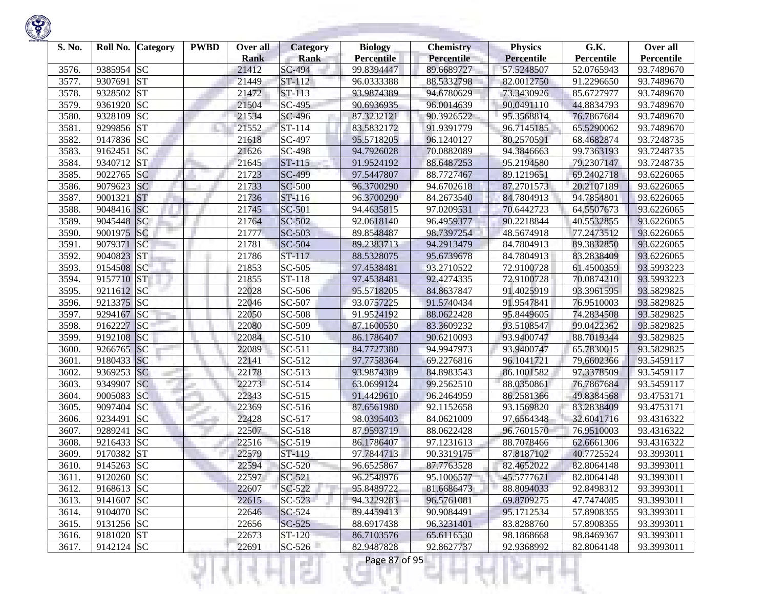| S. No. | Roll No.     | <b>Category</b> | <b>PWBD</b> | Over all<br><b>Rank</b> | <b>Category</b><br><b>Rank</b> | <b>Biology</b><br><b>Percentile</b> | <b>Chemistry</b><br>Percentile | <b>Physics</b><br><b>Percentile</b> | G.K.<br>Percentile | Over all<br>Percentile |
|--------|--------------|-----------------|-------------|-------------------------|--------------------------------|-------------------------------------|--------------------------------|-------------------------------------|--------------------|------------------------|
| 3576.  | 9385954 SC   |                 |             | 21412                   | $SC-494$                       | 99.8394447                          | 89.6689727                     | 57.5248507                          | 52.0765943         | 93.7489670             |
| 3577.  | 9307691      | <b>ST</b>       |             | 21449                   | ST-112                         | 96.0333388                          | 88.5332798                     | 82.0012750                          | 91.2296650         | 93.7489670             |
| 3578.  | 9328502      | <b>ST</b>       |             | 21472                   | ST-113                         | 93.9874389                          | 94.6780629                     | 73.3430926                          | 85.6727977         | 93.7489670             |
| 3579.  | 9361920      | <b>SC</b>       |             | 21504                   | SC-495                         | 90.6936935                          | 96.0014639                     | 90.0491110                          | 44.8834793         | 93.7489670             |
| 3580.  | 9328109      | <b>SC</b>       |             | 21534                   | SC-496                         | 87.3232121                          | 90.3926522                     | 95.3568814                          | 76.7867684         | 93.7489670             |
| 3581.  | 9299856 ST   |                 |             | 21552                   | ST-114                         | 83.5832172                          | 91.9391779                     | 96.7145185                          | 65.5290062         | 93.7489670             |
| 3582.  | 9147836 SC   |                 |             | 21618                   | SC-497                         | 95.5718205                          | 96.1240127                     | 80.2570591                          | 68.4682874         | 93.7248735             |
| 3583.  | 9162451      | <b>SC</b>       |             | 21626                   | SC-498                         | 94.7926028                          | 70.0882089                     | 94.3846663                          | 99.7363193         | 93.7248735             |
| 3584.  | 9340712      | <b>ST</b>       |             | 21645                   | ST-115                         | 91.9524192                          | 88.6487253                     | 95.2194580                          | 79.2307147         | 93.7248735             |
| 3585.  | 9022765      | <b>SC</b>       |             | 21723                   | <b>SC-499</b>                  | 97.5447807                          | 88.7727467                     | 89.1219651                          | 69.2402718         | 93.6226065             |
| 3586.  | 9079623      | <b>SC</b>       |             | 21733                   | SC-500                         | 96.3700290                          | 94.6702618                     | 87.2701573                          | 20.2107189         | 93.6226065             |
| 3587.  | 9001321      | <b>ST</b>       |             | 21736                   | ST-116                         | 96.3700290                          | 84.2673540                     | 84.7804913                          | 94.7854801         | 93.6226065             |
| 3588.  | 9048416 SC   |                 |             | 21745                   | SC-501                         | 94.4635815                          | 97.0209531                     | 70.6442723                          | 64.5507673         | 93.6226065             |
| 3589.  | 9045448 SC   |                 |             | 21764                   | SC-502                         | 92.0618140                          | 96.4959377                     | 90.2218844                          | 40.5532855         | 93.6226065             |
| 3590.  | 9001975      | SC              |             | 21777                   | SC-503                         | 89.8548487                          | 98.7397254                     | 48.5674918                          | 77.2473512         | 93.6226065             |
| 3591.  | 9079371      | <b>SC</b>       |             | 21781                   | SC-504                         | 89.2383713                          | 94.2913479                     | 84.7804913                          | 89.3832850         | 93.6226065             |
| 3592.  | 9040823 ST   |                 |             | 21786                   | ST-117                         | 88.5328075                          | 95.6739678                     | 84.7804913                          | 83.2838409         | 93.6226065             |
| 3593.  | 9154508      | <b>SC</b>       |             | 21853                   | $SC-505$                       | 97.4538481                          | 93.2710522                     | 72.9100728                          | 61.4500359         | 93.5993223             |
| 3594.  | 9157710      | <b>ST</b>       |             | 21855                   | ST-118                         | 97.4538481                          | 92.4274335                     | 72.9100728                          | 70.0874210         | 93.5993223             |
| 3595.  | 9211612 SC   |                 |             | 22028                   | SC-506                         | 95.5718205                          | 84.8637847                     | 91.4025919                          | 93.3961595         | 93.5829825             |
| 3596.  | 9213375 SC   |                 |             | 22046                   | SC-507                         | 93.0757225                          | 91.5740434                     | 91.9547841                          | 76.9510003         | 93.5829825             |
| 3597.  | 9294167      | SC              |             | 22050                   | SC-508                         | 91.9524192                          | 88.0622428                     | 95.8449605                          | 74.2834508         | 93.5829825             |
| 3598.  | 9162227      | <b>SC</b>       |             | 22080                   | SC-509                         | 87.1600530                          | 83.3609232                     | 93.5108547                          | 99.0422362         | 93.5829825             |
| 3599.  | 9192108      | SC              |             | 22084                   | SC-510                         | 86.1786407                          | 90.6210093                     | 93.9400747                          | 88.7019344         | 93.5829825             |
| 3600.  | 9266765      | <b>SC</b>       |             | 22089                   | SC-511                         | 84.7727380                          | 94.9947973                     | 93.9400747                          | 65.7830015         | 93.5829825             |
| 3601.  | 9180433 SC   |                 |             | 22141                   | SC-512                         | 97.7758364                          | 69.2276816                     | 96.1041721                          | 79.6602366         | 93.5459117             |
| 3602.  | 9369253      | <b>SC</b>       |             | 22178                   | SC-513                         | 93.9874389                          | 84.8983543                     | 86.1001582                          | 97.3378509         | 93.5459117             |
| 3603.  | 9349907      | <b>SC</b>       |             | 22273                   | SC-514                         | 63.0699124                          | 99.2562510                     | 88.0350861                          | 76.7867684         | 93.5459117             |
| 3604.  | 9005083      | <b>SC</b>       |             | 22343                   | $SC-515$                       | 91.4429610                          | 96.2464959                     | 86.2581366                          | 49.8384568         | 93.4753171             |
| 3605.  | 9097404      | <b>SC</b>       |             | 22369                   | SC-516                         | 87.6561980                          | 92.1152658                     | 93.1569820                          | 83.2838409         | 93.4753171             |
| 3606.  | 9234491      | <b>SC</b>       |             | 22428                   | SC-517                         | 98.0395403                          | 84.0621009                     | 97.6564348                          | 32.6041716         | 93.4316322             |
| 3607.  | 9289241      | <b>SC</b>       |             | 22507                   | SC-518                         | 87.9593719                          | 88.0622428                     | 96.7601570                          | 76.9510003         | 93.4316322             |
| 3608.  | 9216433      | <b>SC</b>       |             | 22516                   | SC-519                         | 86.1786407                          | 97.1231613                     | 88.7078466                          | 62.6661306         | 93.4316322             |
| 3609.  | 9170382      | <b>ST</b>       |             | 22579                   | ST-119                         | 97.7844713                          | 90.3319175                     | 87.8187102                          | 40.7725524         | 93.3993011             |
| 3610.  | $9145263$ SC |                 |             | 22594                   | SC-520                         | 96.6525867                          | 87.7763528                     | 82.4652022                          | 82.8064148         | 93.3993011             |
| 3611.  | 9120260 SC   |                 |             | 22597                   | SC-521                         | 96.2548976                          | 95.1006577                     | 45.5777671                          | 82.8064148         | 93.3993011             |
| 3612.  | 9168613 SC   |                 |             | 22607                   | SC-522                         | 95.8489722                          | 81.6686473                     | 88.8094033                          | 92.8498312         | 93.3993011             |
| 3613.  | 9141607 SC   |                 |             | 22615                   | $SC-523$                       | 94.3229283                          | 96.5761081                     | 69.8709275                          | 47.7474085         | 93.3993011             |
| 3614.  | 9104070 SC   |                 |             | 22646                   | SC-524                         | 89.4459413                          | 90.9084491                     | 95.1712534                          | 57.8908355         | 93.3993011             |
| 3615.  | 9131256 SC   |                 |             | 22656                   | $SC-525$                       | 88.6917438                          | 96.3231401                     | 83.8288760                          | 57.8908355         | 93.3993011             |
| 3616.  | 9181020 ST   |                 |             | 22673                   | ST-120                         | 86.7103576                          | 65.6116530                     | 98.1868668                          | 98.8469367         | 93.3993011             |
| 3617.  | 9142124 SC   |                 |             | 22691                   | $SC-526$                       | 82.9487828                          | 92.8627737                     | 92.9368992                          | 82.8064148         | 93.3993011             |
|        |              |                 |             |                         | an i                           | Page 87 of 95                       |                                |                                     |                    |                        |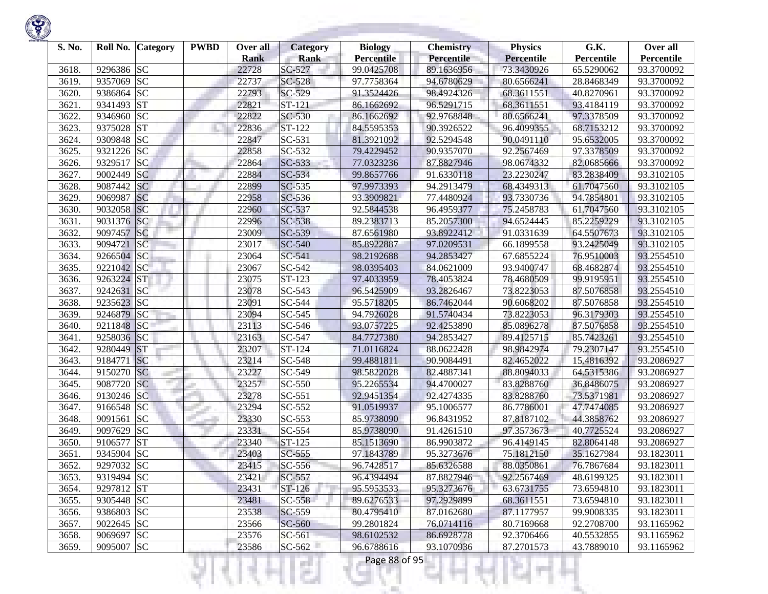

| S. No. |            | Roll No. Category | <b>PWBD</b> | Over all<br><b>Rank</b> | Category<br><b>Rank</b> | <b>Biology</b><br><b>Percentile</b> | <b>Chemistry</b><br><b>Percentile</b> | <b>Physics</b><br><b>Percentile</b> | G.K.<br>Percentile | Over all<br>Percentile |
|--------|------------|-------------------|-------------|-------------------------|-------------------------|-------------------------------------|---------------------------------------|-------------------------------------|--------------------|------------------------|
| 3618.  | 9296386 SC |                   |             | 22728                   | SC-527                  | 99.0425708                          | 89.1636956                            | 73.3430926                          | 65.5290062         | 93.3700092             |
| 3619.  | 9357069    | <b>SC</b>         |             | 22737                   | SC-528                  | 97.7758364                          | 94.6780629                            | 80.6566241                          | 28.8468349         | 93.3700092             |
| 3620.  | 9386864    | <b>SC</b>         |             | 22793                   | SC-529                  | 91.3524426                          | 98.4924326                            | 68.3611551                          | 40.8270961         | 93.3700092             |
| 3621.  | 9341493 ST |                   |             | 22821                   | ST-121                  | 86.1662692                          | 96.5291715                            | 68.3611551                          | 93.4184119         | 93.3700092             |
| 3622.  | 9346960 SC |                   |             | 22822                   | SC-530                  | 86.1662692                          | 92.9768848                            | 80.6566241                          | 97.3378509         | 93.3700092             |
| 3623.  | 9375028    | <b>ST</b>         |             | 22836                   | ST-122                  | 84.5595353                          | 90.3926522                            | 96.4099355                          | 68.7153212         | 93.3700092             |
| 3624.  | 9309848 SC |                   |             | 22847                   | SC-531                  | 81.3921092                          | 92.5294548                            | 90.0491110                          | 95.6532005         | 93.3700092             |
| 3625.  | 9321226 SC |                   |             | 22858                   | SC-532                  | 79.4229452                          | 90.9357070                            | 92.2567469                          | 97.3378509         | 93.3700092             |
| 3626.  | 9329517    | <b>SC</b>         |             | 22864                   | SC-533                  | 77.0323236                          | 87.8827946                            | 98.0674332                          | 82.0685666         | 93.3700092             |
| 3627.  | 9002449    | <b>SC</b>         |             | 22884                   | $SC-534$                | 99.8657766                          | 91.6330118                            | 23.2230247                          | 83.2838409         | 93.3102105             |
| 3628.  | 9087442    | <b>SC</b>         |             | 22899                   | SC-535                  | 97.9973393                          | 94.2913479                            | 68.4349313                          | 61.7047560         | 93.3102105             |
| 3629.  | 9069987    | <b>SC</b>         |             | 22958                   | SC-536                  | 93.3909821                          | 77.4480924                            | 93.7330736                          | 94.7854801         | 93.3102105             |
| 3630.  | 9032058 SC |                   |             | 22960                   | SC-537                  | 92.5844538                          | 96.4959377                            | 75.2458783                          | 61.7047560         | 93.3102105             |
| 3631.  | 9031376    | <b>SC</b>         |             | 22996                   | SC-538                  | 89.2383713                          | 85.2057300                            | 94.6524445                          | 85.2259229         | 93.3102105             |
| 3632.  | 9097457    | SC                |             | 23009                   | SC-539                  | 87.6561980                          | 93.8922412                            | 91.0331639                          | 64.5507673         | 93.3102105             |
| 3633.  | 9094721    | <b>SC</b>         |             | 23017                   | SC-540                  | 85.8922887                          | 97.0209531                            | 66.1899558                          | 93.2425049         | 93.3102105             |
| 3634.  | 9266504 SC |                   |             | 23064                   | SC-541                  | 98.2192688                          | 94.2853427                            | 67.6855224                          | 76.9510003         | 93.2554510             |
| 3635.  | 9221042 SC |                   |             | 23067                   | SC-542                  | 98.0395403                          | 84.0621009                            | 93.9400747                          | 68.4682874         | 93.2554510             |
| 3636.  | 9263224 ST |                   |             | 23075                   | ST-123                  | 97.4033959                          | 78.4053824                            | 78.4680509                          | 99.9195951         | 93.2554510             |
| 3637.  | 9242631    | SC                |             | 23078                   | SC-543                  | 96.5425909                          | 93.2826467                            | 73.8223053                          | 87.5076858         | 93.2554510             |
| 3638.  | 9235623 SC |                   |             | 23091                   | SC-544                  | 95.5718205                          | 86.7462044                            | 90.6068202                          | 87.5076858         | 93.2554510             |
| 3639.  | 9246879    | SC                |             | 23094                   | SC-545                  | 94.7926028                          | 91.5740434                            | 73.8223053                          | 96.3179303         | 93.2554510             |
| 3640.  | 9211848 SC |                   |             | 23113                   | SC-546                  | 93.0757225                          | 92.4253890                            | 85.0896278                          | 87.5076858         | 93.2554510             |
| 3641.  | 9258036 SC |                   |             | 23163                   | SC-547                  | 84.7727380                          | 94.2853427                            | 89.4125715                          | 85.7423261         | 93.2554510             |
| 3642.  | 9280449    | ST                |             | 23207                   | ST-124                  | 71.0116824                          | 88.0622428                            | 98.9842974                          | 79.2307147         | 93.2554510             |
| 3643.  | 9184771    | SC                |             | 23214                   | SC-548                  | 99.4881811                          | 90.9084491                            | 82.4652022                          | 15.4816392         | 93.2086927             |
| 3644.  | 9150270 SC |                   |             | 23227                   | SC-549                  | 98.5822028                          | 82.4887341                            | 88.8094033                          | 64.5315386         | 93.2086927             |
| 3645.  | 9087720    | <b>SC</b>         |             | 23257                   | SC-550                  | 95.2265534                          | 94.4700027                            | 83.8288760                          | 36.8486075         | 93.2086927             |
| 3646.  | 9130246 SC |                   |             | 23278                   | SC-551                  | 92.9451354                          | 92.4274335                            | 83.8288760                          | 73.5371981         | 93.2086927             |
| 3647.  | 9166548 SC |                   |             | 23294                   | SC-552                  | 91.0519937                          | 95.1006577                            | 86.7786001                          | 47.7474085         | 93.2086927             |
| 3648.  | 9091561    | <b>SC</b>         |             | 23330                   | SC-553                  | 85.9738090                          | 96.8431952                            | 87.8187102                          | 44.3858762         | 93.2086927             |
| 3649.  | 9097629    | <b>SC</b>         |             | 23331                   | SC-554                  | 85.9738090                          | 91.4261510                            | 97.3573673                          | 40.7725524         | 93.2086927             |
| 3650.  | 9106577    | <b>ST</b>         |             | 23340                   | ST-125                  | 85.1513690                          | 86.9903872                            | 96.4149145                          | 82.8064148         | 93.2086927             |
| 3651.  | 9345904 SC |                   |             | 23403                   | $SC-555$                | 97.1843789                          | 95.3273676                            | 75.1812150                          | 35.1627984         | 93.1823011             |
| 3652.  | 9297032 SC |                   |             | 23415                   | SC-556                  | 96.7428517                          | 85.6326588                            | 88.0350861                          | 76.7867684         | 93.1823011             |
| 3653.  | 9319494 SC |                   |             | 23421                   | SC-557                  | 96.4394494                          | 87.8827946                            | 92.2567469                          | 48.6199325         | 93.1823011             |
| 3654.  | 9297812 ST |                   |             | 23431                   | ST-126                  | 95.5953533                          | 95.3273676                            | 63.6731755                          | 73.6594810         | 93.1823011             |
| 3655.  | 9305448 SC |                   |             | 23481                   | $SC-558$                | 89.6276533                          | 97.2929899                            | 68.3611551                          | 73.6594810         | 93.1823011             |
| 3656.  | 9386803 SC |                   |             | 23538                   | SC-559                  | 80.4795410                          | 87.0162680                            | 87.1177957                          | 99.9008335         | 93.1823011             |
| 3657.  | 9022645 SC |                   |             | 23566                   | SC-560                  | 99.2801824                          | 76.0714116                            | 80.7169668                          | 92.2708700         | 93.1165962             |
| 3658.  | 9069697 SC |                   |             | 23576                   | SC-561                  | 98.6102532                          | 86.6928778                            | 92.3706466                          | 40.5532855         | 93.1165962             |
| 3659.  | 9095007 SC |                   |             | 23586                   | $SC-562$                | 96.6788616                          | 93.1070936                            | 87.2701573                          | 43.7889010         | 93.1165962             |
|        |            |                   |             |                         |                         | Page 88 of 95                       |                                       |                                     |                    |                        |

**Contract Contract**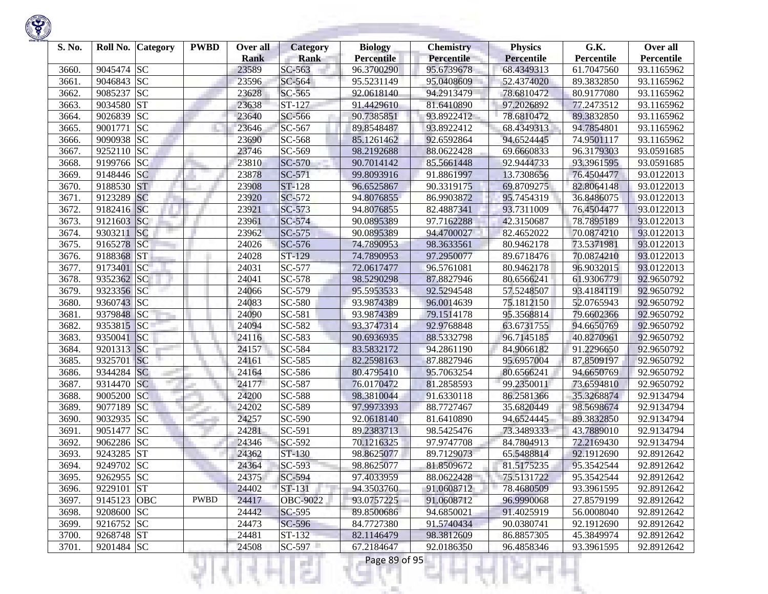

| S. No. |             | Roll No. Category | <b>PWBD</b> | Over all<br><b>Rank</b> | <b>Category</b><br><b>Rank</b> | <b>Biology</b><br><b>Percentile</b> | <b>Chemistry</b><br><b>Percentile</b> | <b>Physics</b><br>Percentile | G.K.<br>Percentile | Over all<br>Percentile |
|--------|-------------|-------------------|-------------|-------------------------|--------------------------------|-------------------------------------|---------------------------------------|------------------------------|--------------------|------------------------|
| 3660.  | 9045474 SC  |                   |             | 23589                   | SC-563                         | 96.3700290                          | 95.6739678                            | 68.4349313                   | 61.7047560         | 93.1165962             |
| 3661.  | 9046843 SC  |                   |             | 23596                   | SC-564                         | 95.5231149                          | 95.0408609                            | 52.4374020                   | 89.3832850         | 93.1165962             |
| 3662   | 9085237     | <b>SC</b>         |             | 23628                   | SC-565                         | 92.0618140                          | 94.2913479                            | 78.6810472                   | 80.9177080         | 93.1165962             |
| 3663.  | 9034580     | <b>ST</b>         |             | 23638                   | ST-127                         | 91.4429610                          | 81.6410890                            | 97.2026892                   | 77.2473512         | 93.1165962             |
| 3664.  | 9026839     | <b>SC</b>         |             | 23640                   | SC-566                         | 90.7385851                          | 93.8922412                            | 78.6810472                   | 89.3832850         | 93.1165962             |
| 3665.  | 9001771     | <b>SC</b>         |             | 23646                   | SC-567                         | 89.8548487                          | 93.8922412                            | 68.4349313                   | 94.7854801         | 93.1165962             |
| 3666.  | 9090938 SC  |                   |             | 23690                   | SC-568                         | 85.1261462                          | 92.6592864                            | 94.6524445                   | 74.9501117         | 93.1165962             |
| 3667.  | 9252110 SC  |                   |             | 23746                   | SC-569                         | 98.2192688                          | 88.0622428                            | 69.6660833                   | 96.3179303         | 93.0591685             |
| 3668.  | 9199766 SC  |                   |             | 23810                   | SC-570                         | 90.7014142                          | 85.5661448                            | 92.9444733                   | 93.3961595         | 93.0591685             |
| 3669.  | 9148446 SC  |                   |             | 23878                   | $SC-571$                       | 99.8093916                          | 91.8861997                            | 13.7308656                   | 76.4504477         | 93.0122013             |
| 3670.  | 9188530     | <b>ST</b>         |             | 23908                   | <b>ST-128</b>                  | 96.6525867                          | 90.3319175                            | 69.8709275                   | 82.8064148         | 93.0122013             |
| 3671.  | 9123289     | <b>SC</b>         |             | 23920                   | SC-572                         | 94.8076855                          | 86.9903872                            | 95.7454319                   | 36.8486075         | 93.0122013             |
| 3672.  | 9182416 SC  |                   |             | 23921                   | $SC-573$                       | 94.8076855                          | 82.4887341                            | 93.7311009                   | 76.4504477         | 93.0122013             |
| 3673.  | 9121603     | <sub>SC</sub>     |             | 23961                   | SC-574                         | 90.0895389                          | 97.7162288                            | 42.3150687                   | 78.7895189         | 93.0122013             |
| 3674.  | 9303211     | SC                |             | 23962                   | $SC-575$                       | 90.0895389                          | 94.4700027                            | 82.4652022                   | 70.0874210         | 93.0122013             |
| 3675.  | 9165278     | <b>SC</b>         |             | 24026                   | SC-576                         | 74.7890953                          | 98.3633561                            | 80.9462178                   | 73.5371981         | 93.0122013             |
| 3676.  | 9188368     | ST                |             | 24028                   | ST-129                         | 74.7890953                          | 97.2950077                            | 89.6718476                   | 70.0874210         | 93.0122013             |
| 3677.  | 9173401     | <b>SC</b>         |             | 24031                   | SC-577                         | 72.0617477                          | 96.5761081                            | 80.9462178                   | 96.9032015         | 93.0122013             |
| 3678.  | 9352362 SC  |                   |             | 24041                   | SC-578                         | 98.5290298                          | 87.8827946                            | 80.6566241                   | 61.9306779         | 92.9650792             |
| 3679.  | 9323356 SC  |                   |             | 24066                   | SC-579                         | 95.5953533                          | 92.5294548                            | 57.5248507                   | 93.4184119         | 92.9650792             |
| 3680.  | 9360743 SC  |                   |             | 24083                   | <b>SC-580</b>                  | 93.9874389                          | 96.0014639                            | 75.1812150                   | 52.0765943         | 92.9650792             |
| 3681.  | 9379848 SC  |                   |             | 24090                   | SC-581                         | 93.9874389                          | 79.1514178                            | 95.3568814                   | 79.6602366         | 92.9650792             |
| 3682.  | 9353815 SC  |                   |             | 24094                   | SC-582                         | 93.3747314                          | 92.9768848                            | 63.6731755                   | 94.6650769         | 92.9650792             |
| 3683.  | 9350041     | SC                |             | 24116                   | SC-583                         | 90.6936935                          | 88.5332798                            | 96.7145185                   | 40.8270961         | 92.9650792             |
| 3684.  | 9201313 SC  |                   |             | 24157                   | SC-584                         | 83.5832172                          | 94.2861190                            | 84.9066182                   | 91.2296650         | 92.9650792             |
| 3685.  | 9325701     | SC                |             | 24161                   | SC-585                         | 82.2598163                          | 87.8827946                            | 95.6957004                   | 87.8509197         | 92.9650792             |
| 3686.  | 9344284 SC  |                   |             | 24164                   | SC-586                         | 80.4795410                          | 95.7063254                            | 80.6566241                   | 94.6650769         | 92.9650792             |
| 3687.  | 9314470     | <b>SC</b>         |             | 24177                   | SC-587                         | 76.0170472                          | 81.2858593                            | 99.2350011                   | 73.6594810         | 92.9650792             |
| 3688.  | 9005200     | <b>SC</b>         |             | 24200                   | <b>SC-588</b>                  | 98.3810044                          | 91.6330118                            | 86.2581366                   | 35.3268874         | 92.9134794             |
| 3689.  | 9077189     | <b>SC</b>         |             | 24202                   | SC-589                         | 97.9973393                          | 88.7727467                            | 35.6820449                   | 98.5698674         | 92.9134794             |
| 3690.  | 9032935 SC  |                   |             | 24257                   | SC-590                         | 92.0618140                          | 81.6410890                            | 94.6524445                   | 89.3832850         | 92.9134794             |
| 3691.  | 9051477     | <b>SC</b>         |             | 24281                   | SC-591                         | 89.2383713                          | 98.5425476                            | 73.3489333                   | 43.7889010         | 92.9134794             |
| 3692.  | 9062286 SC  |                   |             | 24346                   | SC-592                         | 70.1216325                          | 97.9747708                            | 84.7804913                   | 72.2169430         | 92.9134794             |
| 3693.  | 9243285 ST  |                   |             | 24362                   | ST-130                         | 98.8625077                          | 89.7129073                            | 65.5488814                   | 92.1912690         | 92.8912642             |
| 3694.  | 9249702 SC  |                   |             | 24364                   | SC-593                         | 98.8625077                          | 81.8509672                            | 81.5175235                   | 95.3542544         | 92.8912642             |
| 3695.  | 9262955 SC  |                   |             | 24375                   | SC-594                         | 97.4033959                          | 88.0622428                            | 75.5131722                   | 95.3542544         | 92.8912642             |
| 3696.  | 9229101 ST  |                   |             | 24402                   | ST-131                         | 94.3503760                          | 91.0608712                            | 78.4680509                   | 93.3961595         | 92.8912642             |
| 3697.  | 9145123 OBC |                   | <b>PWBD</b> | 24417                   | OBC-9022                       | 93.0757225                          | 91.0608712                            | 96.9990068                   | 27.8579199         | 92.8912642             |
| 3698.  | 9208600 SC  |                   |             | 24442                   | SC-595                         | 89.8500686                          | 94.6850021                            | 91.4025919                   | 56.0008040         | 92.8912642             |
| 3699.  | 9216752 SC  |                   |             | 24473                   | SC-596                         | 84.7727380                          | 91.5740434                            | 90.0380741                   | 92.1912690         | 92.8912642             |
| 3700.  | 9268748 ST  |                   |             | 24481                   | ST-132                         | 82.1146479                          | 98.3812609                            | 86.8857305                   | 45.3849974         | 92.8912642             |
| 3701.  | 9201484 SC  |                   |             | 24508                   | $SC-597$                       | 67.2184647                          | 92.0186350                            | 96.4858346                   | 93.3961595         | 92.8912642             |
|        |             |                   |             |                         | a sa                           | Page 89 of 95                       |                                       |                              |                    |                        |

**State State**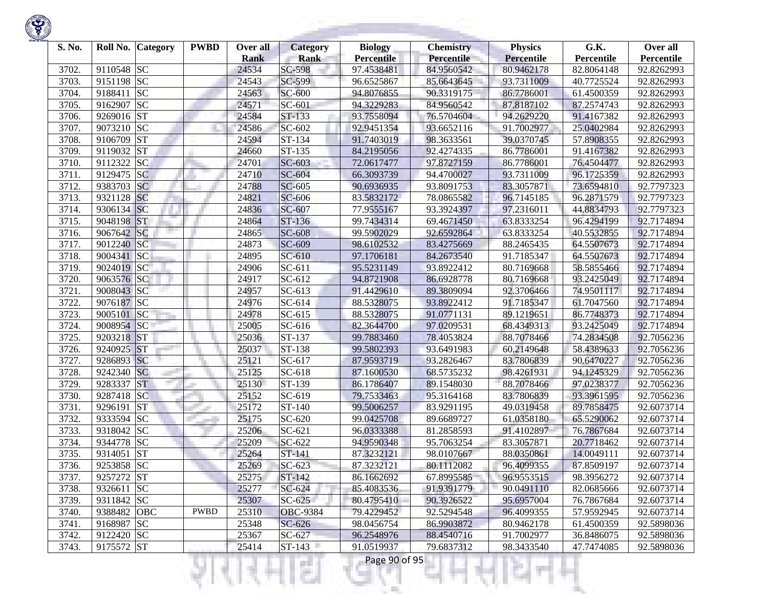

| S. No. |             | Roll No. Category | <b>PWBD</b> | Over all<br><b>Rank</b> | Category<br><b>Rank</b> | <b>Biology</b><br><b>Percentile</b> | <b>Chemistry</b><br><b>Percentile</b> | <b>Physics</b><br>Percentile | G.K.<br>Percentile | Over all<br>Percentile |
|--------|-------------|-------------------|-------------|-------------------------|-------------------------|-------------------------------------|---------------------------------------|------------------------------|--------------------|------------------------|
| 3702.  | 9110548 SC  |                   |             | 24534                   | SC-598                  | 97.4538481                          | 84.9560542                            | 80.9462178                   | 82.8064148         | 92.8262993             |
| 3703.  | 9151198 SC  |                   |             | 24543                   | SC-599                  | 96.6525867                          | 85.6643645                            | 93.7311009                   | 40.7725524         | 92.8262993             |
| 3704.  | 9188411     | <b>SC</b>         |             | 24563                   | SC-600                  | 94.8076855                          | 90.3319175                            | 86.7786001                   | 61.4500359         | 92.8262993             |
| 3705.  | 9162907     | <b>SC</b>         |             | 24571                   | SC-601                  | 94.3229283                          | 84.9560542                            | 87.8187102                   | 87.2574743         | 92.8262993             |
| 3706.  | 9269016 ST  |                   |             | 24584                   | ST-133                  | 93.7558094                          | 76.5704604                            | 94.2629220                   | 91.4167382         | 92.8262993             |
| 3707.  | 9073210 SC  |                   |             | 24586                   | SC-602                  | 92.9451354                          | 93.6652116                            | 91.7002977                   | 25.0402984         | 92.8262993             |
| 3708   | 9106709     | <b>ST</b>         |             | 24594                   | ST-134                  | 91.7403019                          | 98.3633561                            | 39.0370745                   | 57.8908355         | 92.8262993             |
| 3709.  | 9119032     | <b>ST</b>         |             | 24660                   | ST-135                  | 84.2195056                          | 92.4274335                            | 86.7786001                   | 91.4167382         | 92.8262993             |
| 3710.  | 9112322     | <b>SC</b>         |             | 24701                   | SC-603                  | 72.0617477                          | 97.8727159                            | 86.7786001                   | 76.4504477         | 92.8262993             |
| 3711.  | 9129475     | <b>SC</b>         |             | 24710                   | SC-604                  | 66.3093739                          | 94.4700027                            | 93.7311009                   | 96.1725359         | 92.8262993             |
| 3712.  | 9383703     | <b>SC</b>         |             | 24788                   | SC-605                  | 90.6936935                          | 93.8091753                            | 83.3057871                   | 73.6594810         | 92.7797323             |
| 3713.  | 9321128     | <b>SC</b>         |             | 24821                   | SC-606                  | 83.5832172                          | 78.0865582                            | 96.7145185                   | 96.2871579         | 92.7797323             |
| 3714.  | 9306134 SC  |                   |             | 24836                   | SC-607                  | 77.9555167                          | 93.3924397                            | 97.2316011                   | 44.8834793         | 92.7797323             |
| 3715.  | 9048198     | <b>ST</b>         |             | 24864                   | ST-136                  | 99.7434314                          | 69.4671450                            | 63.8333254                   | 96.4294199         | 92.7174894             |
| 3716.  | 9067642 SC  |                   |             | 24865                   | SC-608                  | 99.5902029                          | 92.6592864                            | 63.8333254                   | 40.5532855         | 92.7174894             |
| 3717.  | 9012240 SC  |                   |             | 24873                   | SC-609                  | 98.6102532                          | 83.4275669                            | 88.2465435                   | 64.5507673         | 92.7174894             |
| 3718.  | 9004341 SC  |                   |             | 24895                   | $SC-610$                | 97.1706181                          | 84.2673540                            | 91.7185347                   | 64.5507673         | 92.7174894             |
| 3719.  | 9024019 SC  |                   |             | 24906                   | SC-611                  | 95.5231149                          | 93.8922412                            | 80.7169668                   | 58.5855466         | 92.7174894             |
| 3720.  | 9063576 SC  |                   |             | 24917                   | SC-612                  | 94.8721908                          | 86.6928778                            | 80.7169668                   | 93.2425049         | 92.7174894             |
| 3721.  | 9008043 SC  |                   |             | 24957                   | $SC-613$                | 91.4429610                          | 89.3809094                            | 92.3706466                   | 74.9501117         | 92.7174894             |
| 3722.  | 9076187 SC  |                   |             | 24976                   | SC-614                  | 88.5328075                          | 93.8922412                            | 91.7185347                   | 61.7047560         | 92.7174894             |
| 3723.  | 9005101     | SC                |             | 24978                   | $SC-615$                | 88.5328075                          | 91.0771131                            | 89.1219651                   | 86.7748373         | 92.7174894             |
| 3724.  | 9008954 SC  |                   |             | 25005                   | SC-616                  | 82.3644700                          | 97.0209531                            | 68.4349313                   | 93.2425049         | 92.7174894             |
| 3725.  | 9203218     | <b>ST</b>         |             | 25036                   | ST-137                  | 99.7883460                          | 78.4053824                            | 88.7078466                   | 74.2834508         | 92.7056236             |
| 3726.  | 9240925     | <b>ST</b>         |             | 25037                   | ST-138                  | 99.5802393                          | 93.6491983                            | 60.2149648                   | 58.4389633         | 92.7056236             |
| 3727.  | 9286893 SC  |                   |             | 25121                   | SC-617                  | 87.9593719                          | 93.2826467                            | 83.7806839                   | 90.6470227         | 92.7056236             |
| 3728.  | 9242340 SC  |                   |             | 25125                   | SC-618                  | 87.1600530                          | 68.5735232                            | 98.4261931                   | 94.1245329         | 92.7056236             |
| 3729.  | 9283337     | <b>ST</b>         |             | 25130                   | ST-139                  | 86.1786407                          | 89.1548030                            | 88.7078466                   | 97.0238377         | 92.7056236             |
| 3730.  | 9287418 SC  |                   |             | 25152                   | SC-619                  | 79.7533463                          | 95.3164168                            | 83.7806839                   | 93.3961595         | 92.7056236             |
| 3731.  | 9296191     | <b>ST</b>         |             | 25172                   | ST-140                  | 99.5006257                          | 83.9291195                            | 49.0319458                   | 89.7858475         | 92.6073714             |
| 3732.  | 9333594 SC  |                   |             | 25175                   | SC-620                  | 99.0425708                          | 89.6689727                            | 61.0358180                   | 65.5290062         | 92.6073714             |
| 3733.  | 9318042 SC  |                   |             | 25206                   | SC-621                  | 96.0333388                          | 81.2858593                            | 91.4102897                   | 76.7867684         | 92.6073714             |
| 3734.  | 9344778 SC  |                   |             | 25209                   | $SC-622$                | 94.9590348                          | 95.7063254                            | 83.3057871                   | 20.7718462         | 92.6073714             |
| 3735.  | 9314051     | <b>ST</b>         |             | 25264                   | ST-141                  | 87.3232121                          | 98.0107667                            | 88.0350861                   | 14.0049111         | 92.6073714             |
| 3736.  | 9253858 SC  |                   |             | 25269                   | $SC-623$                | 87.3232121                          | 80.1112082                            | 96.4099355                   | 87.8509197         | 92.6073714             |
| 3737.  | 9257272 ST  |                   |             | 25275                   | ST-142                  | 86.1662692                          | 67.8995585                            | 96.9553515                   | 98.3956272         | 92.6073714             |
| 3738.  | 9326611 SC  |                   |             | 25277                   | SC-624                  | 85.4083536                          | 91.9391779                            | 90.0491110                   | 82.0685666         | 92.6073714             |
| 3739.  | 9311842 SC  |                   |             | 25307                   | $SC-625$                | 80.4795410                          | 90.3926522                            | 95.6957004                   | 76.7867684         | 92.6073714             |
| 3740.  | 9388482 OBC |                   | <b>PWBD</b> | 25310                   | <b>OBC-9384</b>         | 79.4229452                          | 92.5294548                            | 96.4099355                   | 57.9592945         | 92.6073714             |
| 3741.  | 9168987 SC  |                   |             | 25348                   | SC-626                  | 98.0456754                          | 86.9903872                            | 80.9462178                   | 61.4500359         | 92.5898036             |
| 3742.  | 9122420 SC  |                   |             | 25367                   | SC-627                  | 96.2548976                          | 88.4540716                            | 91.7002977                   | 36.8486075         | 92.5898036             |
| 3743.  | 9175572 ST  |                   |             | 25414                   | $ST-143$                | 91.0519937                          | 79.6837312                            | 98.3433540                   | 47.7474085         | 92.5898036             |
|        |             |                   |             |                         | a ka                    | Page 90 of 95                       |                                       |                              |                    |                        |

**STATISTICS** 

**State State**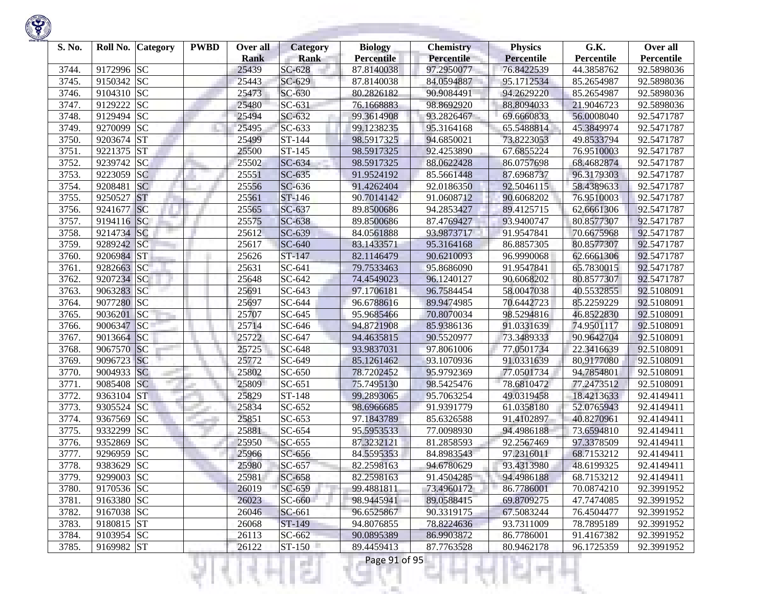

| S. No. |            | Roll No. Category | <b>PWBD</b> | Over all<br><b>Rank</b> | Category<br><b>Rank</b> | <b>Biology</b><br><b>Percentile</b> | <b>Chemistry</b><br>Percentile | <b>Physics</b><br>Percentile | G.K.<br>Percentile | Over all<br>Percentile |
|--------|------------|-------------------|-------------|-------------------------|-------------------------|-------------------------------------|--------------------------------|------------------------------|--------------------|------------------------|
| 3744.  | 9172996 SC |                   |             | 25439                   | SC-628                  | 87.8140038                          | 97.2950077                     | 76.8422539                   | 44.3858762         | 92.5898036             |
| 3745.  | 9150342 SC |                   |             | 25443                   | SC-629                  | 87.8140038                          | 84.0594887                     | 95.1712534                   | 85.2654987         | 92.5898036             |
| 3746.  | 9104310 SC |                   |             | 25473                   | SC-630                  | 80.2826182                          | 90.9084491                     | 94.2629220                   | 85.2654987         | 92.5898036             |
| 3747.  | 9129222    | <b>SC</b>         |             | 25480                   | SC-631                  | 76.1668883                          | 98.8692920                     | 88.8094033                   | 21.9046723         | 92.5898036             |
| 3748.  | 9129494    | <b>SC</b>         |             | 25494                   | SC-632                  | 99.3614908                          | 93.2826467                     | 69.6660833                   | 56.0008040         | 92.5471787             |
| 3749.  | 9270099    | <b>SC</b>         |             | 25495                   | SC-633                  | 99.1238235                          | 95.3164168                     | 65.5488814                   | 45.3849974         | 92.5471787             |
| 3750.  | 9203674    | <b>ST</b>         |             | 25499                   | ST-144                  | 98.5917325                          | 94.6850021                     | 73.8223053                   | 49.8533794         | 92.5471787             |
| 3751.  | 9221375    | <b>ST</b>         |             | 25500                   | ST-145                  | 98.5917325                          | 92.4253890                     | 67.6855224                   | 76.9510003         | 92.5471787             |
| 3752.  | 9239742 SC |                   |             | 25502                   | SC-634                  | 98.5917325                          | 88.0622428                     | 86.0757698                   | 68.4682874         | 92.5471787             |
| 3753.  | 9223059    | <b>SC</b>         |             | 25551                   | $SC-635$                | 91.9524192                          | 85.5661448                     | 87.6968737                   | 96.3179303         | 92.5471787             |
| 3754.  | 9208481    | <b>SC</b>         |             | 25556                   | SC-636                  | 91.4262404                          | 92.0186350                     | 92.5046115                   | 58.4389633         | 92.5471787             |
| 3755.  | 9250527    | <b>ST</b>         |             | 25561                   | ST-146                  | 90.7014142                          | 91.0608712                     | 90.6068202                   | 76.9510003         | 92.5471787             |
| 3756.  | 9241677    | SC                |             | 25565                   | SC-637                  | 89.8500686                          | 94.2853427                     | 89.4125715                   | 62.6661306         | 92.5471787             |
| 3757.  | 9194116 SC |                   |             | 25575                   | SC-638                  | 89.8500686                          | 87.4769427                     | 93.9400747                   | 80.8577307         | 92.5471787             |
| 3758.  | 9214734 SC |                   |             | 25612                   | SC-639                  | 84.0561888                          | 93.9873717                     | 91.9547841                   | 70.6675968         | 92.5471787             |
| 3759.  | 9289242 SC |                   |             | 25617                   | SC-640                  | 83.1433571                          | 95.3164168                     | 86.8857305                   | 80.8577307         | 92.5471787             |
| 3760.  | 9206984 ST |                   |             | 25626                   | ST-147                  | 82.1146479                          | 90.6210093                     | 96.9990068                   | 62.6661306         | 92.5471787             |
| 3761.  | 9282663 SC |                   |             | 25631                   | SC-641                  | 79.7533463                          | 95.8686090                     | 91.9547841                   | 65.7830015         | 92.5471787             |
| 3762.  | 9207234 SC |                   |             | 25648                   | SC-642                  | 74.4549023                          | 96.1240127                     | 90.6068202                   | 80.8577307         | 92.5471787             |
| 3763.  | 9063283 SC |                   |             | 25691                   | SC-643                  | 97.1706181                          | 96.7584454                     | 58.0047038                   | 40.5532855         | 92.5108091             |
| 3764.  | 9077280 SC |                   |             | 25697                   | SC-644                  | 96.6788616                          | 89.9474985                     | 70.6442723                   | 85.2259229         | 92.5108091             |
| 3765.  | 9036201    | SC                |             | 25707                   | SC-645                  | 95.9685466                          | 70.8070034                     | 98.5294816                   | 46.8522830         | 92.5108091             |
| 3766.  | 9006347    | SC                |             | 25714                   | SC-646                  | 94.8721908                          | 85.9386136                     | 91.0331639                   | 74.9501117         | 92.5108091             |
| 3767.  | 9013664 SC |                   |             | 25722                   | SC-647                  | 94.4635815                          | 90.5520977                     | 73.3489333                   | 90.9642704         | 92.5108091             |
| 3768.  | 9067570    | SC                |             | 25725                   | SC-648                  | 93.9837031                          | 97.8061006                     | 77.0501734                   | 22.3416639         | 92.5108091             |
| 3769.  | 9096723 SC |                   |             | 25772                   | SC-649                  | 85.1261462                          | 93.1070936                     | 91.0331639                   | 80.9177080         | 92.5108091             |
| 3770.  | 9004933 SC |                   |             | 25802                   | SC-650                  | 78.7202452                          | 95.9792369                     | 77.0501734                   | 94.7854801         | 92.5108091             |
| 3771.  | 9085408    | <b>SC</b>         |             | 25809                   | SC-651                  | 75.7495130                          | 98.5425476                     | 78.6810472                   | 77.2473512         | 92.5108091             |
| 3772.  | 9363104    | <b>ST</b>         |             | 25829                   | ST-148                  | 99.2893065                          | 95.7063254                     | 49.0319458                   | 18.4213633         | 92.4149411             |
| 3773.  | 9305524 SC |                   |             | 25834                   | SC-652                  | 98.6966685                          | 91.9391779                     | 61.0358180                   | 52.0765943         | 92.4149411             |
| 3774.  | 9367569    | <b>SC</b>         |             | 25851                   | SC-653                  | 97.1843789                          | 85.6326588                     | 91.4102897                   | 40.8270961         | 92.4149411             |
| 3775.  | 9332299    | <b>SC</b>         |             | 25881                   | SC-654                  | 95.5953533                          | 77.0098930                     | 94.4986188                   | 73.6594810         | 92.4149411             |
| 3776.  | 9352869    | <b>SC</b>         |             | 25950                   | $SC-655$                | 87.3232121                          | 81.2858593                     | 92.2567469                   | 97.3378509         | 92.4149411             |
| 3777.  | 9296959    | <b>SC</b>         |             | 25966                   | SC-656                  | 84.5595353                          | 84.8983543                     | 97.2316011                   | 68.7153212         | 92.4149411             |
| 3778.  | 9383629 SC |                   |             | 25980                   | $SC-657$                | 82.2598163                          | 94.6780629                     | 93.4313980                   | 48.6199325         | 92.4149411             |
| 3779.  | 9299003 SC |                   |             | 25981                   | $SC-658$                | 82.2598163                          | 91.4504285                     | 94.4986188                   | 68.7153212         | 92.4149411             |
| 3780.  | 9170536 SC |                   |             | 26019                   | SC-659                  | 99.4881811                          | 73.4960172                     | 86.7786001                   | 70.0874210         | 92.3991952             |
| 3781.  | 9163380 SC |                   |             | 26023                   | SC-660                  | 98.9445941                          | 89.0588415                     | 69.8709275                   | 47.7474085         | 92.3991952             |
| 3782.  | 9167038 SC |                   |             | 26046                   | SC-661                  | 96.6525867                          | 90.3319175                     | 67.5083244                   | 76.4504477         | 92.3991952             |
| 3783.  | 9180815 ST |                   |             | 26068                   | ST-149                  | 94.8076855                          | 78.8224636                     | 93.7311009                   | 78.7895189         | 92.3991952             |
| 3784.  | 9103954 SC |                   |             | 26113                   | SC-662                  | 90.0895389                          | 86.9903872                     | 86.7786001                   | 91.4167382         | 92.3991952             |
| 3785.  | 9169982 ST |                   |             | 26122                   | $ST-150$                | 89.4459413                          | 87.7763528                     | 80.9462178                   | 96.1725359         | 92.3991952             |
|        |            |                   |             |                         | a sa                    | Page 91 of 95                       |                                |                              |                    |                        |

**State State**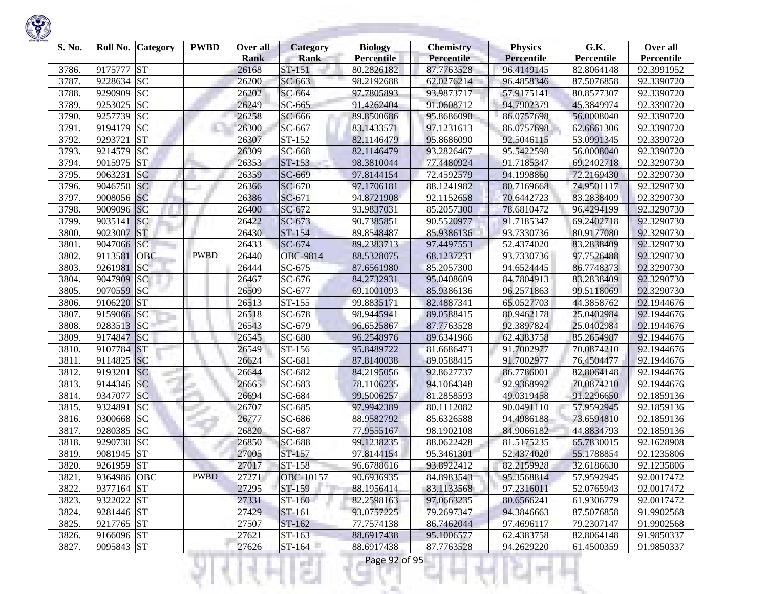

| S. No. |             | Roll No. Category | <b>PWBD</b> | Over all<br><b>Rank</b> | <b>Category</b><br><b>Rank</b> | <b>Biology</b><br><b>Percentile</b> | <b>Chemistry</b><br>Percentile | <b>Physics</b><br>Percentile | G.K.<br>Percentile | Over all<br>Percentile |
|--------|-------------|-------------------|-------------|-------------------------|--------------------------------|-------------------------------------|--------------------------------|------------------------------|--------------------|------------------------|
| 3786.  | 9175777     | <b>ST</b>         |             | 26168                   | ST-151                         | 80.2826182                          | 87.7763528                     | 96.4149145                   | 82.8064148         | 92.3991952             |
| 3787.  | 9228634 SC  |                   |             | 26200                   | SC-663                         | 98.2192688                          | 62.0276214                     | 96.4858346                   | 87.5076858         | 92.3390720             |
| 3788.  | 9290909     | <b>SC</b>         |             | 26202                   | SC-664                         | 97.7805893                          | 93.9873717                     | 57.9175141                   | 80.8577307         | 92.3390720             |
| 3789.  | 9253025 SC  |                   |             | 26249                   | SC-665                         | 91.4262404                          | 91.0608712                     | 94.7902379                   | 45.3849974         | 92.3390720             |
| 3790.  | 9257739     | <b>SC</b>         |             | 26258                   | SC-666                         | 89.8500686                          | 95.8686090                     | 86.0757698                   | 56.0008040         | 92.3390720             |
| 3791.  | 9194179     | <b>SC</b>         |             | 26300                   | SC-667                         | 83.1433571                          | 97.1231613                     | 86.0757698                   | 62.6661306         | 92.3390720             |
| 3792.  | 9293721     | <b>ST</b>         |             | 26307                   | ST-152                         | 82.1146479                          | 95.8686090                     | 92.5046115                   | 53.0991345         | 92.3390720             |
| 3793.  | 9214579     | <b>SC</b>         |             | 26309                   | SC-668                         | 82.1146479                          | 93.2826467                     | 95.5422598                   | 56.0008040         | 92.3390720             |
| 3794.  | 9015975 ST  |                   |             | 26353                   | ST-153                         | 98.3810044                          | 77.4480924                     | 91.7185347                   | 69.2402718         | 92.3290730             |
| 3795.  | 9063231     | <b>SC</b>         |             | 26359                   | SC-669                         | 97.8144154                          | 72.4592579                     | 94.1998860                   | 72.2169430         | 92.3290730             |
| 3796.  | 9046750 SC  |                   |             | 26366                   | SC-670                         | 97.1706181                          | 88.1241982                     | 80.7169668                   | 74.9501117         | 92.3290730             |
| 3797.  | 9008056 SC  |                   |             | 26386                   | $SC-671$                       | 94.8721908                          | 92.1152658                     | 70.6442723                   | 83.2838409         | 92.3290730             |
| 3798.  | 9009096 SC  |                   |             | 26400                   | SC-672                         | 93.9837031                          | 85.2057300                     | 78.6810472                   | 96.4294199         | 92.3290730             |
| 3799.  | 9035141     | <b>SC</b>         |             | 26422                   | SC-673                         | 90.7385851                          | 90.5520977                     | 91.7185347                   | 69.2402718         | 92.3290730             |
| 3800.  | 9023007     | <b>ST</b>         |             | 26430                   | ST-154                         | 89.8548487                          | 85.9386136                     | 93.7330736                   | 80.9177080         | 92.3290730             |
| 3801.  | 9047066 SC  |                   |             | 26433                   | SC-674                         | 89.2383713                          | 97.4497553                     | 52.4374020                   | 83.2838409         | 92.3290730             |
| 3802.  | 9113581     | <b>OBC</b>        | <b>PWBD</b> | 26440                   | <b>OBC-9814</b>                | 88.5328075                          | 68.1237231                     | 93.7330736                   | 97.7526488         | 92.3290730             |
| 3803.  | 9261981     | SC                |             | 26444                   | SC-675                         | 87.6561980                          | 85.2057300                     | 94.6524445                   | 86.7748373         | 92.3290730             |
| 3804.  | 9047909     | SC                |             | 26467                   | SC-676                         | 84.2732931                          | 95.0408609                     | 84.7804913                   | 83.2838409         | 92.3290730             |
| 3805.  | 9070559 SC  |                   |             | 26509                   | SC-677                         | 69.1001093                          | 85.9386136                     | 96.2571863                   | 99.5118069         | 92.3290730             |
| 3806.  | 9106220 ST  |                   |             | 26513                   | ST-155                         | 99.8835171                          | 82.4887341                     | 65.0527703                   | 44.3858762         | 92.1944676             |
| 3807.  | 9159066 SC  |                   |             | 26518                   | SC-678                         | 98.9445941                          | 89.0588415                     | 80.9462178                   | 25.0402984         | 92.1944676             |
| 3808.  | 9283513     | SC                |             | 26543                   | SC-679                         | 96.6525867                          | 87.7763528                     | 92.3897824                   | 25.0402984         | 92.1944676             |
| 3809.  | 9174847     | SC                |             | 26545                   | SC-680                         | 96.2548976                          | 89.6341966                     | 62.4383758                   | 85.2654987         | 92.1944676             |
| 3810.  | 9107784     | <b>ST</b>         |             | 26549                   | ST-156                         | 95.8489722                          | 81.6686473                     | 91.7002977                   | 70.0874210         | 92.1944676             |
| 3811.  | 9114825 SC  |                   |             | 26624                   | SC-681                         | 87.8140038                          | 89.0588415                     | 91.7002977                   | 76.4504477         | 92.1944676             |
| 3812.  | 9193201     | <b>SC</b>         |             | 26644                   | SC-682                         | 84.2195056                          | 92.8627737                     | 86.7786001                   | 82.8064148         | 92.1944676             |
| 3813.  | 9144346 SC  |                   |             | 26665                   | SC-683                         | 78.1106235                          | 94.1064348                     | 92.9368992                   | 70.0874210         | 92.1944676             |
| 3814.  | 9347077     | <b>SC</b>         |             | 26694                   | SC-684                         | 99.5006257                          | 81.2858593                     | 49.0319458                   | 91.2296650         | 92.1859136             |
| 3815.  | 9324891     | <b>SC</b>         |             | 26707                   | SC-685                         | 97.9942389                          | 80.1112082                     | 90.0491110                   | 57.9592945         | 92.1859136             |
| 3816.  | 9300668     | <b>SC</b>         |             | 26777                   | SC-686                         | 88.9582792                          | 85.6326588                     | 94.4986188                   | 73.6594810         | 92.1859136             |
| 3817.  | 9280385 SC  |                   |             | 26820                   | SC-687                         | 77.9555167                          | 98.1902108                     | 84.9066182                   | 44.8834793         | 92.1859136             |
| 3818.  | 9290730     | <b>SC</b>         |             | 26850                   | SC-688                         | 99.1238235                          | 88.0622428                     | 81.5175235                   | 65.7830015         | 92.1628908             |
| 3819.  | 9081945 ST  |                   |             | 27005                   | ST-157                         | 97.8144154                          | 95.3461301                     | 52.4374020                   | 55.1788854         | 92.1235806             |
| 3820.  | 9261959 ST  |                   |             | 27017                   | ST-158                         | 96.6788616                          | 93.8922412                     | 82.2159928                   | 32.6186630         | 92.1235806             |
| 3821.  | 9364986 OBC |                   | <b>PWBD</b> | 27271                   | OBC-10157                      | 90.6936935                          | 84.8983543                     | 95.3568814                   | 57.9592945         | 92.0017472             |
| 3822.  | 9377164 ST  |                   |             | 27295                   | ST-159                         | 88.1956414                          | 83.1133568                     | 97.2316011                   | 52.0765943         | 92.0017472             |
| 3823.  | 9322022 ST  |                   |             | 27331                   | ST-160                         | 82.2598163                          | 97.0663235                     | 80.6566241                   | 61.9306779         | 92.0017472             |
| 3824.  | 9281446 ST  |                   |             | 27429                   | ST-161                         | 93.0757225                          | 79.2697347                     | 94.3846663                   | 87.5076858         | 91.9902568             |
| 3825.  | 9217765 ST  |                   |             | 27507                   | ST-162                         | 77.7574138                          | 86.7462044                     | 97.4696117                   | 79.2307147         | 91.9902568             |
| 3826.  | 9166096 ST  |                   |             | 27621                   | ST-163                         | 88.6917438                          | 95.1006577                     | 62.4383758                   | 82.8064148         | 91.9850337             |
| 3827.  | 9095843 ST  |                   |             | 27626                   | $ST-164$                       | 88.6917438                          | 87.7763528                     | 94.2629220                   | 61.4500359         | 91.9850337             |
|        |             |                   |             |                         | a ka                           | Page 92 of 95                       |                                |                              |                    |                        |

**State State**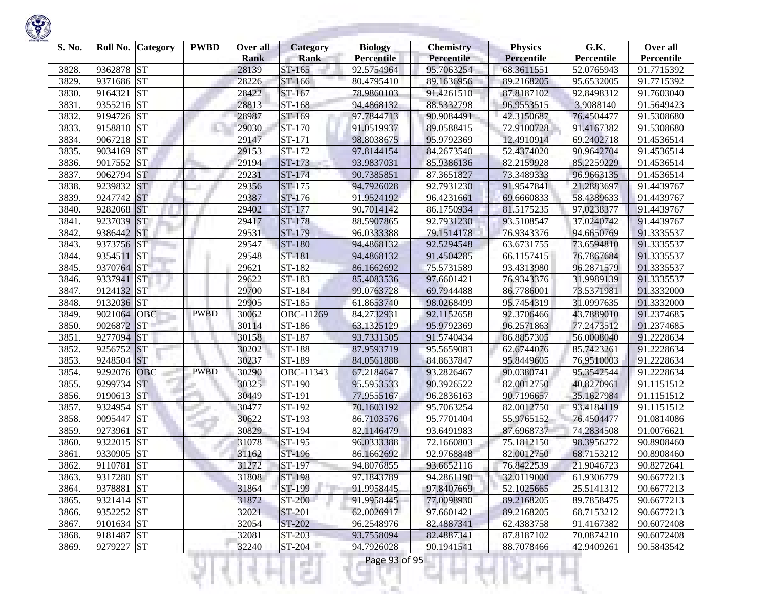

| S. No. | Roll No.   | <b>Category</b> | <b>PWBD</b> | Over all             | <b>Category</b>       | <b>Biology</b>                  | <b>Chemistry</b>         | <b>Physics</b>           | G.K.                     | Over all                 |
|--------|------------|-----------------|-------------|----------------------|-----------------------|---------------------------------|--------------------------|--------------------------|--------------------------|--------------------------|
| 3828.  | 9362878    | <b>ST</b>       |             | <b>Rank</b><br>28139 | <b>Rank</b><br>ST-165 | <b>Percentile</b><br>92.5754964 | Percentile<br>95.7063254 | Percentile               | Percentile<br>52.0765943 | Percentile<br>91.7715392 |
| 3829.  | 9371686 ST |                 |             | 28226                | ST-166                | 80.4795410                      | 89.1636956               | 68.3611551<br>89.2168205 | 95.6532005               | 91.7715392               |
| 3830.  | 9164321    | <b>ST</b>       |             | 28422                | ST-167                | 78.9860103                      | 91.4261510               | 87.8187102               | 92.8498312               | 91.7603040               |
| 3831.  | 9355216 ST |                 |             | 28813                | ST-168                | 94.4868132                      | 88.5332798               | 96.9553515               | 3.9088140                | 91.5649423               |
| 3832.  | 9194726 ST |                 |             | 28987                | ST-169                | 97.7844713                      | 90.9084491               | 42.3150687               | 76.4504477               | 91.5308680               |
| 3833.  | 9158810    | <b>ST</b>       |             | 29030                | ST-170                | 91.0519937                      | 89.0588415               | 72.9100728               | 91.4167382               | 91.5308680               |
| 3834.  | 9067218 ST |                 |             | 29147                | ST-171                | 98.8038675                      | 95.9792369               | 12.4910914               | 69.2402718               | 91.4536514               |
| 3835.  | 9034169    | <b>ST</b>       |             | 29153                | ST-172                | 97.8144154                      | 84.2673540               | 52.4374020               | 90.9642704               | 91.4536514               |
| 3836.  | 9017552    | <b>ST</b>       |             | 29194                | ST-173                | 93.9837031                      | 85.9386136               | 82.2159928               | 85.2259229               | 91.4536514               |
| 3837.  | 9062794    | <b>ST</b>       |             | 29231                | ST-174                | 90.7385851                      | 87.3651827               | 73.3489333               | 96.9663135               | 91.4536514               |
| 3838.  | 9239832    | <b>ST</b>       |             | 29356                | ST-175                | 94.7926028                      | 92.7931230               | 91.9547841               | 21.2883697               | 91.4439767               |
| 3839.  | 9247742 ST |                 |             | 29387                | ST-176                | 91.9524192                      | 96.4231661               | 69.6660833               | 58.4389633               | 91.4439767               |
| 3840.  | 9282068    | <b>ST</b>       |             | 29402                | ST-177                | 90.7014142                      | 86.1750934               | 81.5175235               | 97.0238377               | 91.4439767               |
| 3841.  | 9237039    | <b>ST</b>       |             | 29417                | ST-178                | 88.5907865                      | 92.7931230               | 93.5108547               | 37.0240742               | 91.4439767               |
| 3842.  | 9386442    | <b>ST</b>       |             | 29531                | ST-179                | 96.0333388                      | 79.1514178               | 76.9343376               | 94.6650769               | 91.3335537               |
| 3843.  | 9373756    | <b>ST</b>       |             | 29547                | ST-180                | 94.4868132                      | 92.5294548               | 63.6731755               | 73.6594810               | 91.3335537               |
| 3844.  | 9354511    | <b>ST</b>       |             | 29548                | ST-181                | 94.4868132                      | 91.4504285               | 66.1157415               | 76.7867684               | 91.3335537               |
| 3845.  | 9370764 ST |                 |             | 29621                | ST-182                | 86.1662692                      | 75.5731589               | 93.4313980               | 96.2871579               | 91.3335537               |
| 3846.  | 9337941    | <b>ST</b>       |             | 29622                | ST-183                | 85.4083536                      | 97.6601421               | 76.9343376               | 31.9989139               | 91.3335537               |
| 3847.  | 9124132 ST |                 |             | 29700                | ST-184                | 99.0763728                      | 69.7944488               | 86.7786001               | 73.5371981               | 91.3332000               |
| 3848.  | 9132036 ST |                 |             | 29905                | ST-185                | 61.8653740                      | 98.0268499               | 95.7454319               | 31.0997635               | 91.3332000               |
| 3849.  | 9021064    | <b>OBC</b>      | <b>PWBD</b> | 30062                | OBC-11269             | 84.2732931                      | 92.1152658               | 92.3706466               | 43.7889010               | 91.2374685               |
| 3850.  | 9026872    | <b>ST</b>       |             | 30114                | ST-186                | 63.1325129                      | 95.9792369               | 96.2571863               | 77.2473512               | 91.2374685               |
| 3851.  | 9277094    | <b>ST</b>       |             | 30158                | ST-187                | 93.7331505                      | 91.5740434               | 86.8857305               | 56.0008040               | 91.2228634               |
| 3852.  | 9256752    | <b>ST</b>       |             | 30202                | ST-188                | 87.9593719                      | 95.5659083               | 62.6744076               | 85.7423261               | 91.2228634               |
| 3853.  | 9248504    | <b>ST</b>       |             | 30237                | ST-189                | 84.0561888                      | 84.8637847               | 95.8449605               | 76.9510003               | 91.2228634               |
| 3854.  | 9292076    | <b>OBC</b>      | <b>PWBD</b> | 30290                | OBC-11343             | 67.2184647                      | 93.2826467               | 90.0380741               | 95.3542544               | 91.2228634               |
| 3855.  | 9299734    | <b>ST</b>       |             | 30325                | ST-190                | 95.5953533                      | 90.3926522               | 82.0012750               | 40.8270961               | 91.1151512               |
| 3856.  | 9190613 ST |                 |             | 30449                | ST-191                | 77.9555167                      | 96.2836163               | 90.7196657               | 35.1627984               | 91.1151512               |
| 3857.  | 9324954    | <b>ST</b>       |             | 30477                | ST-192                | 70.1603192                      | 95.7063254               | 82.0012750               | 93.4184119               | 91.1151512               |
| 3858.  | 9095447    | <b>ST</b>       |             | 30622                | ST-193                | 86.7103576                      | 95.7701404               | 55.9765152               | 76.4504477               | 91.0814086               |
| 3859.  | 9273961    | <b>ST</b>       |             | 30829                | ST-194                | 82.1146479                      | 93.6491983               | 87.6968737               | 74.2834508               | 91.0076621               |
| 3860.  | 9322015    | <b>ST</b>       |             | 31078                | ST-195                | 96.0333388                      | 72.1660803               | 75.1812150               | 98.3956272               | 90.8908460               |
| 3861.  | 9330905    | <b>ST</b>       |             | 31162                | ST-196                | 86.1662692                      | 92.9768848               | 82.0012750               | 68.7153212               | 90.8908460               |
| 3862.  | 9110781    | <b>ST</b>       |             | 31272                | ST-197                | 94.8076855                      | 93.6652116               | 76.8422539               | 21.9046723               | 90.8272641               |
| 3863.  | 9317280 ST |                 |             | 31808                | ST-198                | 97.1843789                      | 94.2861190               | 32.0119000               | 61.9306779               | 90.6677213               |
| 3864.  | 9378881 ST |                 |             | 31864                | ST-199                | 91.9958445                      | 97.8407669               | 52.1025665               | 25.5141312               | 90.6677213               |
| 3865.  | 9321414 ST |                 |             | 31872                | ST-200                | 91.9958445                      | 77.0098930               | 89.2168205               | 89.7858475               | 90.6677213               |
| 3866.  | 9352252 ST |                 |             | 32021                | ST-201                | 62.0026917                      | 97.6601421               | 89.2168205               | 68.7153212               | 90.6677213               |
| 3867.  | 9101634 ST |                 |             | 32054                | ST-202                | 96.2548976                      | 82.4887341               | 62.4383758               | 91.4167382               | 90.6072408               |
| 3868.  | 9181487 ST |                 |             | 32081                | ST-203                | 93.7558094                      | 82.4887341               | 87.8187102               | 70.0874210               | 90.6072408               |
| 3869.  | 9279227 ST |                 |             | 32240                | ST-204                | 94.7926028                      | 90.1941541               | 88.7078466               | 42.9409261               | 90.5843542               |
|        |            |                 |             |                      | m                     | Page 93 of 95                   |                          |                          |                          |                          |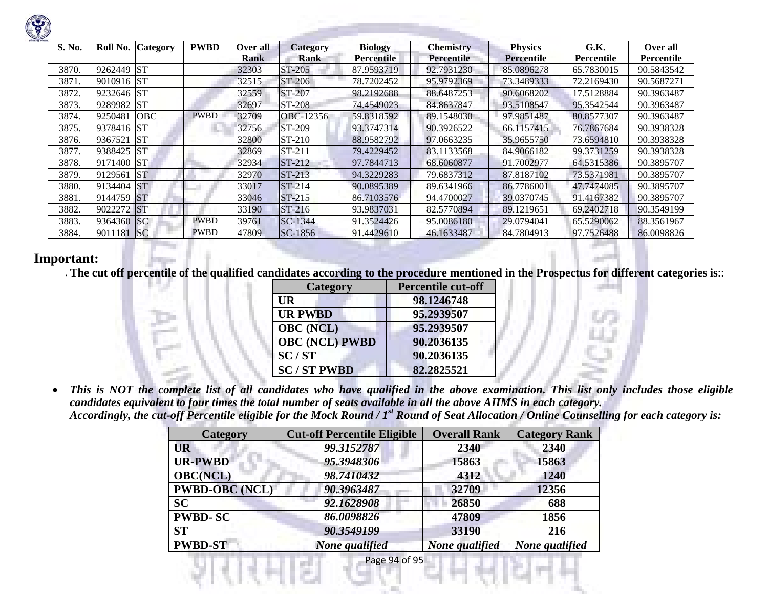| S. No. | Roll No.   | <b>Category</b> | <b>PWBD</b> | Over all | <b>Category</b> | <b>Biology</b>    | <b>Chemistry</b> | <b>Physics</b>    | G.K.       | Over all   |
|--------|------------|-----------------|-------------|----------|-----------------|-------------------|------------------|-------------------|------------|------------|
|        |            |                 |             | Rank     | Rank            | <b>Percentile</b> | Percentile       | <b>Percentile</b> | Percentile | Percentile |
| 3870.  | 9262449    | <b>ST</b>       |             | 32303    | <b>ST-205</b>   | 87.9593719        | 92.7931230       | 85.0896278        | 65.7830015 | 90.5843542 |
| 3871.  | 9010916 ST |                 |             | 32515    | $ST-206$        | 78.7202452        | 95.9792369       | 73.3489333        | 72.2169430 | 90.5687271 |
| 3872.  | 9232646 ST |                 |             | 32559    | $ST-207$        | 98.2192688        | 88.6487253       | 90.6068202        | 17.5128884 | 90.3963487 |
| 3873.  | 9289982    | <b>ST</b>       |             | 32697    | <b>ST-208</b>   | 74.4549023        | 84.8637847       | 93.5108547        | 95.3542544 | 90.3963487 |
| 3874.  | 9250481    | <b>OBC</b>      | <b>PWBD</b> | 32709    | OBC-12356       | 59.8318592        | 89.1548030       | 97.9851487        | 80.8577307 | 90.3963487 |
| 3875.  | 9378416 ST |                 |             | 32756    | ST-209          | 93.3747314        | 90.3926522       | 66.1157415        | 76.7867684 | 90.3938328 |
| 3876.  | 9367521    | <b>ST</b>       |             | 32800    | ST-210          | 88.9582792        | 97.0663235       | 35.9655750        | 73.6594810 | 90.3938328 |
| 3877.  | 9388425    | <b>ST</b>       |             | 32869    | ST-211          | 79.4229452        | 83.1133568       | 84.9066182        | 99.3731259 | 90.3938328 |
| 3878.  | 9171400 ST |                 |             | 32934    | $ST-212$        | 97.7844713        | 68.6060877       | 91.7002977        | 64.5315386 | 90.3895707 |
| 3879.  | 9129561    | <b>ST</b>       |             | 32970    | $ST-213$        | 94.3229283        | 79.6837312       | 87.8187102        | 73.5371981 | 90.3895707 |
| 3880.  | 9134404    | <b>ST</b>       |             | 33017    | $ST-214$        | 90.0895389        | 89.6341966       | 86.7786001        | 47.7474085 | 90.3895707 |
| 3881.  | 9144759 ST |                 |             | 33046    | $ST-215$        | 86.7103576        | 94.4700027       | 39.0370745        | 91.4167382 | 90.3895707 |
| 3882.  | 9022272 ST |                 |             | 33190    | $ST-216$        | 93.9837031        | 82.5770894       | 89.1219651        | 69.2402718 | 90.3549199 |
| 3883.  | 9364360 SC |                 | <b>PWBD</b> | 39761    | <b>SC-1344</b>  | 91.3524426        | 95.0086180       | 29.0794041        | 65.5290062 | 88.3561967 |
| 3884.  | 9011181    | SC              | <b>PWBD</b> | 47809    | SC-1856         | 91.4429610        | 46.1633487       | 84.7804913        | 97.7526488 | 86.0098826 |

## **Important:**

• **The cut off percentile of the qualified candidates according to the procedure mentioned in the Prospectus for different categories is**::

| <b>Category</b>       | <b>Percentile cut-off</b> |  |
|-----------------------|---------------------------|--|
| UR                    | 98.1246748                |  |
| <b>UR PWBD</b>        | 95.2939507                |  |
| <b>OBC</b> (NCL)      | 95.2939507                |  |
| <b>OBC (NCL) PWBD</b> | 90.2036135                |  |
| SC/ST                 | 90.2036135                |  |
| <b>SC/ST PWBD</b>     | 82,2825521                |  |

 $\bullet$  *This is NOT the complete list of all candidates who have qualified in the above examination. This list only includes those eligible candidates equivalent to four times the total number of seats available in all the above AIIMS in each category. Accordingly, the cut-off Percentile eligible for the Mock Round / 1st Round of Seat Allocation / Online Counselling for each category is:* 

| <b>Category</b>       | <b>Cut-off Percentile Eligible</b> | <b>Overall Rank</b> | <b>Category Rank</b> |
|-----------------------|------------------------------------|---------------------|----------------------|
| <b>UR</b>             | 99.3152787                         | 2340                | 2340                 |
| <b>UR-PWBD</b>        | 95.3948306                         | 15863               | 15863                |
| <b>OBC(NCL)</b>       | 98.7410432                         | 4312                | 1240                 |
| <b>PWBD-OBC</b> (NCL) | 90.3963487                         | 32709               | 12356                |
| <b>SC</b>             | 92.1628908                         | 26850               | 688                  |
| <b>PWBD-SC</b>        | 86.0098826                         | 47809               | 1856                 |
| <b>ST</b>             | 90.3549199                         | 33190               | 216                  |
| <b>PWBD-ST</b>        | None qualified                     | None qualified      | None qualified       |